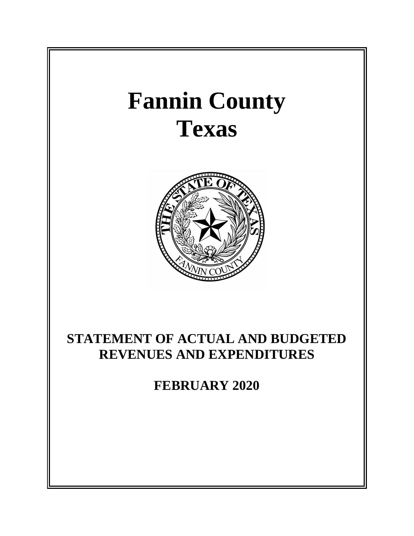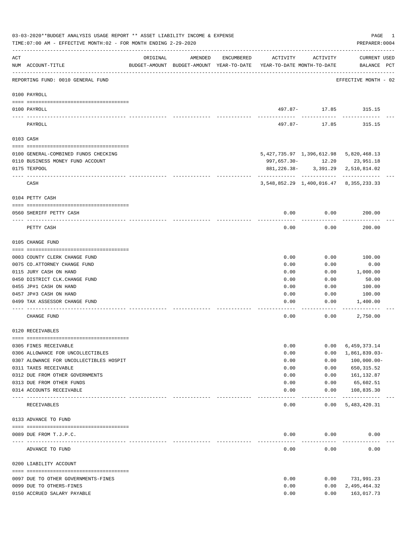|          | 03-03-2020**BUDGET ANALYSIS USAGE REPORT ** ASSET LIABILITY INCOME & EXPENSE<br>TIME: 07:00 AM - EFFECTIVE MONTH: 02 - FOR MONTH ENDING 2-29-2020 |                                                                                 |         |            |          |                   | PAGE<br>1<br>PREPARER: 0004                  |
|----------|---------------------------------------------------------------------------------------------------------------------------------------------------|---------------------------------------------------------------------------------|---------|------------|----------|-------------------|----------------------------------------------|
| ACT      | NUM ACCOUNT-TITLE                                                                                                                                 | ORIGINAL<br>BUDGET-AMOUNT BUDGET-AMOUNT YEAR-TO-DATE YEAR-TO-DATE MONTH-TO-DATE | AMENDED | ENCUMBERED | ACTIVITY | ACTIVITY          | CURRENT USED<br>BALANCE PCT                  |
|          | REPORTING FUND: 0010 GENERAL FUND                                                                                                                 |                                                                                 |         |            |          |                   | EFFECTIVE MONTH - 02                         |
|          | 0100 PAYROLL                                                                                                                                      |                                                                                 |         |            |          |                   |                                              |
| ---- --- | 0100 PAYROLL                                                                                                                                      |                                                                                 |         |            |          | ---------         | 497.87- 17.85 315.15                         |
|          | PAYROLL                                                                                                                                           |                                                                                 |         |            | 497.87-  | 17.85             | 315.15                                       |
|          | 0103 CASH                                                                                                                                         |                                                                                 |         |            |          |                   |                                              |
|          | 0100 GENERAL-COMBINED FUNDS CHECKING                                                                                                              |                                                                                 |         |            |          |                   | 5, 427, 735.97 1, 396, 612.98 5, 820, 468.13 |
|          | 0110 BUSINESS MONEY FUND ACCOUNT                                                                                                                  |                                                                                 |         |            |          |                   | 997,657.30- 12.20 23,951.18                  |
|          | 0175 TEXPOOL                                                                                                                                      |                                                                                 |         |            |          |                   | 881, 226.38- 3, 391.29 2, 510, 814.02        |
|          | CASH                                                                                                                                              |                                                                                 |         |            |          |                   | 3,548,852.29 1,400,016.47 8,355,233.33       |
|          | 0104 PETTY CASH                                                                                                                                   |                                                                                 |         |            |          |                   |                                              |
|          | 0560 SHERIFF PETTY CASH                                                                                                                           |                                                                                 |         |            | 0.00     | 0.00              | 200.00                                       |
|          | PETTY CASH                                                                                                                                        |                                                                                 |         |            | 0.00     | --------<br>0.00  | . _ _ _ _ _ _ _ _ .<br>200.00                |
|          | 0105 CHANGE FUND                                                                                                                                  |                                                                                 |         |            |          |                   |                                              |
|          | 0003 COUNTY CLERK CHANGE FUND                                                                                                                     |                                                                                 |         |            | 0.00     | 0.00              | 100.00                                       |
|          | 0075 CO. ATTORNEY CHANGE FUND                                                                                                                     |                                                                                 |         |            | 0.00     | 0.00              | 0.00                                         |
|          | 0115 JURY CASH ON HAND                                                                                                                            |                                                                                 |         |            | 0.00     | 0.00              | 1,000.00                                     |
|          | 0450 DISTRICT CLK. CHANGE FUND                                                                                                                    |                                                                                 |         |            | 0.00     | 0.00              | 50.00                                        |
|          | 0455 JP#1 CASH ON HAND                                                                                                                            |                                                                                 |         |            | 0.00     | 0.00              | 100.00                                       |
|          | 0457 JP#3 CASH ON HAND                                                                                                                            |                                                                                 |         |            | 0.00     | 0.00              | 100.00                                       |
|          | 0499 TAX ASSESSOR CHANGE FUND                                                                                                                     |                                                                                 |         |            | 0.00     | 0.00              | 1,400.00                                     |
|          | CHANGE FUND                                                                                                                                       |                                                                                 |         |            | 0.00     | 0.00              | 2,750.00                                     |
|          | 0120 RECEIVABLES                                                                                                                                  |                                                                                 |         |            |          |                   |                                              |
|          | 0305 FINES RECEIVABLE                                                                                                                             |                                                                                 |         |            | 0.00     | 0.00              | 6,459,373.14                                 |
|          | 0306 ALLOWANCE FOR UNCOLLECTIBLES                                                                                                                 |                                                                                 |         |            | 0.00     | 0.00              | 1,861,839.03-                                |
|          | 0307 ALOWANCE FOR UNCOLLECTIBLES HOSPIT                                                                                                           |                                                                                 |         |            | 0.00     | 0.00              | 100,000.00-                                  |
|          | 0311 TAXES RECEIVABLE                                                                                                                             |                                                                                 |         |            | 0.00     | 0.00              | 650, 315.52                                  |
|          | 0312 DUE FROM OTHER GOVERNMENTS                                                                                                                   |                                                                                 |         |            | 0.00     | 0.00              | 161,132.87                                   |
|          | 0313 DUE FROM OTHER FUNDS                                                                                                                         |                                                                                 |         |            | 0.00     | 0.00              | 65,602.51                                    |
|          | 0314 ACCOUNTS RECEIVABLE<br>------------------------ -----------                                                                                  |                                                                                 |         |            | 0.00     | 0.00<br>--------- | 108,835.30<br>-------------                  |
|          | RECEIVABLES                                                                                                                                       |                                                                                 |         |            | 0.00     | 0.00              | 5,483,420.31                                 |
|          | 0133 ADVANCE TO FUND                                                                                                                              |                                                                                 |         |            |          |                   |                                              |
|          | 0089 DUE FROM T.J.P.C.                                                                                                                            |                                                                                 |         |            | 0.00     | 0.00              | 0.00                                         |
|          | ADVANCE TO FUND                                                                                                                                   |                                                                                 |         |            | 0.00     | 0.00              | 0.00                                         |
|          | 0200 LIABILITY ACCOUNT                                                                                                                            |                                                                                 |         |            |          |                   |                                              |
|          | 0097 DUE TO OTHER GOVERNMENTS-FINES                                                                                                               |                                                                                 |         |            | 0.00     | 0.00              | 731,991.23                                   |
|          | 0099 DUE TO OTHERS-FINES                                                                                                                          |                                                                                 |         |            | 0.00     | 0.00              | 2,495,464.32                                 |
|          | 0150 ACCRUED SALARY PAYABLE                                                                                                                       |                                                                                 |         |            | 0.00     | 0.00              | 163,017.73                                   |
|          |                                                                                                                                                   |                                                                                 |         |            |          |                   |                                              |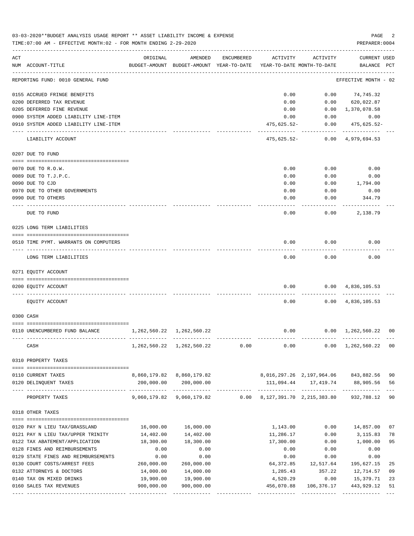|     | 03-03-2020**BUDGET ANALYSIS USAGE REPORT ** ASSET LIABILITY INCOME & EXPENSE<br>TIME: 07:00 AM - EFFECTIVE MONTH: 02 - FOR MONTH ENDING 2-29-2020 |                           |                                                                                |            |                                               |                     | PAGE<br>PREPARER: 0004               | 2  |
|-----|---------------------------------------------------------------------------------------------------------------------------------------------------|---------------------------|--------------------------------------------------------------------------------|------------|-----------------------------------------------|---------------------|--------------------------------------|----|
| ACT | NUM ACCOUNT-TITLE                                                                                                                                 | ORIGINAL                  | AMENDED<br>BUDGET-AMOUNT BUDGET-AMOUNT YEAR-TO-DATE YEAR-TO-DATE MONTH-TO-DATE | ENCUMBERED | ACTIVITY                                      | ACTIVITY            | <b>CURRENT USED</b><br>BALANCE PCT   |    |
|     | REPORTING FUND: 0010 GENERAL FUND                                                                                                                 |                           |                                                                                |            |                                               |                     | EFFECTIVE MONTH - 02                 |    |
|     | 0155 ACCRUED FRINGE BENEFITS                                                                                                                      |                           |                                                                                |            | 0.00                                          |                     | $0.00$ $74,745.32$                   |    |
|     | 0200 DEFERRED TAX REVENUE                                                                                                                         |                           |                                                                                |            | 0.00                                          | 0.00                | 620,022.87                           |    |
|     | 0205 DEFERRED FINE REVENUE                                                                                                                        |                           |                                                                                |            | 0.00                                          | 0.00                | 1,370,078.58                         |    |
|     | 0900 SYSTEM ADDED LIABILITY LINE-ITEM                                                                                                             |                           |                                                                                |            | 0.00                                          | 0.00                | 0.00                                 |    |
|     | 0910 SYSTEM ADDED LIABILITY LINE-ITEM                                                                                                             |                           |                                                                                |            | 475,625.52-                                   | 0.00                | 475,625.52-                          |    |
|     | LIABILITY ACCOUNT                                                                                                                                 |                           |                                                                                |            | 475,625.52-                                   |                     | $0.00 \quad 4,979,694.53$            |    |
|     | 0207 DUE TO FUND                                                                                                                                  |                           |                                                                                |            |                                               |                     |                                      |    |
|     | 0070 DUE TO R.O.W.                                                                                                                                |                           |                                                                                |            | 0.00                                          | 0.00                | 0.00                                 |    |
|     | 0089 DUE TO T.J.P.C.                                                                                                                              |                           |                                                                                |            | 0.00                                          | 0.00                | 0.00                                 |    |
|     | 0090 DUE TO CJD                                                                                                                                   |                           |                                                                                |            | 0.00                                          | 0.00                | 1,794.00                             |    |
|     | 0970 DUE TO OTHER GOVERNMENTS                                                                                                                     |                           |                                                                                |            | 0.00                                          | 0.00                | 0.00                                 |    |
|     | 0990 DUE TO OTHERS                                                                                                                                |                           |                                                                                |            | 0.00                                          | 0.00                | 344.79                               |    |
|     | DUE TO FUND                                                                                                                                       |                           |                                                                                |            | 0.00                                          | 0.00                | 2,138.79                             |    |
|     | 0225 LONG TERM LIABILITIES                                                                                                                        |                           |                                                                                |            |                                               |                     |                                      |    |
|     | 0510 TIME PYMT. WARRANTS ON COMPUTERS                                                                                                             |                           |                                                                                |            | 0.00                                          | 0.00                | 0.00                                 |    |
|     | LONG TERM LIABILITIES                                                                                                                             |                           |                                                                                |            | 0.00                                          | 0.00                | 0.00                                 |    |
|     | 0271 EQUITY ACCOUNT                                                                                                                               |                           |                                                                                |            |                                               |                     |                                      |    |
|     | 0200 EQUITY ACCOUNT                                                                                                                               |                           |                                                                                |            | 0.00                                          |                     | $0.00 \quad 4,836,105.53$            |    |
|     |                                                                                                                                                   |                           |                                                                                |            |                                               |                     |                                      |    |
|     | EQUITY ACCOUNT                                                                                                                                    |                           |                                                                                |            | 0.00                                          |                     | $0.00 \quad 4,836,105.53$            |    |
|     | 0300 CASH                                                                                                                                         |                           |                                                                                |            |                                               |                     |                                      |    |
|     |                                                                                                                                                   |                           |                                                                                |            |                                               |                     |                                      |    |
|     | 0110 UNENCUMBERED FUND BALANCE                                                                                                                    | 1,262,560.22 1,262,560.22 |                                                                                |            | 0.00                                          |                     | $0.00 \quad 1,262,560.22$            | 00 |
|     | CASH                                                                                                                                              |                           | 1,262,560.22 1,262,560.22 0.00                                                 |            |                                               |                     | $0.00$ $0.00$ $1,262,560.22$         | 00 |
|     | 0310 PROPERTY TAXES                                                                                                                               |                           |                                                                                |            |                                               |                     |                                      |    |
|     |                                                                                                                                                   |                           |                                                                                |            |                                               |                     |                                      |    |
|     | 0110 CURRENT TAXES                                                                                                                                |                           | 8,860,179.82 8,860,179.82                                                      |            |                                               |                     | 8,016,297.26 2,197,964.06 843,882.56 | 90 |
|     | 0120 DELINQUENT TAXES                                                                                                                             |                           | 200,000.00 200,000.00                                                          |            |                                               |                     | 111,094.44    17,419.74    88,905.56 | 56 |
|     | PROPERTY TAXES                                                                                                                                    | -------------             | -------------<br>9,060,179.82 9,060,179.82                                     |            | $0.00 \qquad 8,127,391.70 \quad 2,215,383.80$ |                     | 932,788.12                           | 90 |
|     | 0318 OTHER TAXES                                                                                                                                  |                           |                                                                                |            |                                               |                     |                                      |    |
|     |                                                                                                                                                   |                           |                                                                                |            |                                               |                     |                                      |    |
|     | 0120 PAY N LIEU TAX/GRASSLAND                                                                                                                     | 16,000.00                 | 16,000.00                                                                      |            | 1,143.00                                      | 0.00                | 14,857.00                            | 07 |
|     | 0121 PAY N LIEU TAX/UPPER TRINITY                                                                                                                 | 14,402.00                 | 14,402.00                                                                      |            | 11,286.17                                     | 0.00                | 3,115.83                             | 78 |
|     | 0122 TAX ABATEMENT/APPLICATION<br>0128 FINES AND REIMBURSEMENTS                                                                                   | 18,300.00<br>0.00         | 18,300.00<br>0.00                                                              |            | 17,300.00<br>0.00                             | 0.00<br>0.00        | 1,000.00<br>0.00                     | 95 |
|     | 0129 STATE FINES AND REIMBURSEMENTS                                                                                                               | 0.00                      | 0.00                                                                           |            | 0.00                                          | 0.00                | 0.00                                 |    |
|     | 0130 COURT COSTS/ARREST FEES                                                                                                                      | 260,000.00                | 260,000.00                                                                     |            |                                               | 64,372.85 12,517.64 | 195,627.15                           | 25 |
|     | 0132 ATTORNEYS & DOCTORS                                                                                                                          | 14,000.00                 | 14,000.00                                                                      |            | 1,285.43                                      | 357.22              | 12,714.57                            | 09 |
|     | 0140 TAX ON MIXED DRINKS                                                                                                                          | 19,900.00                 | 19,900.00                                                                      |            | 4,520.29                                      | 0.00                | 15,379.71                            | 23 |
|     | 0160 SALES TAX REVENUES                                                                                                                           | 900,000.00                | 900,000.00                                                                     |            | 456,070.88                                    | 106,376.17          | 443,929.12                           | 51 |
|     |                                                                                                                                                   |                           |                                                                                |            |                                               |                     |                                      |    |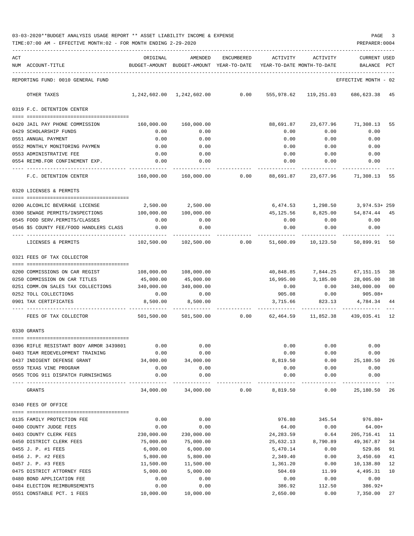| 03-03-2020**BUDGET ANALYSIS USAGE REPORT ** ASSET LIABILITY INCOME & EXPENSE | PAGE           |  |
|------------------------------------------------------------------------------|----------------|--|
| TIME:07:00 AM - EFFECTIVE MONTH:02 - FOR MONTH ENDING 2-29-2020              | PREPARER: 0004 |  |

| ACT | NUM ACCOUNT-TITLE                                        | ORIGINAL           | AMENDED<br>BUDGET-AMOUNT BUDGET-AMOUNT YEAR-TO-DATE | <b>ENCUMBERED</b> | ACTIVITY              | ACTIVITY<br>YEAR-TO-DATE MONTH-TO-DATE | <b>CURRENT USED</b><br>BALANCE | PCT |
|-----|----------------------------------------------------------|--------------------|-----------------------------------------------------|-------------------|-----------------------|----------------------------------------|--------------------------------|-----|
|     | REPORTING FUND: 0010 GENERAL FUND                        |                    |                                                     |                   |                       |                                        | EFFECTIVE MONTH - 02           |     |
|     | OTHER TAXES                                              |                    | 1,242,602.00 1,242,602.00 0.00                      |                   | 555,978.62            |                                        | 119,251.03 686,623.38 45       |     |
|     | 0319 F.C. DETENTION CENTER                               |                    |                                                     |                   |                       |                                        |                                |     |
|     |                                                          |                    |                                                     |                   | 88,691.87             |                                        |                                |     |
|     | 0420 JAIL PAY PHONE COMMISSION<br>0429 SCHOLARSHIP FUNDS | 160,000.00<br>0.00 | 160,000.00<br>0.00                                  |                   | 0.00                  | 0.00                                   | 23,677.96 71,308.13 55<br>0.00 |     |
|     | 0551 ANNUAL PAYMENT                                      | 0.00               | 0.00                                                |                   | 0.00                  | 0.00                                   | 0.00                           |     |
|     | 0552 MONTHLY MONITORING PAYMEN                           | 0.00               | 0.00                                                |                   | 0.00                  | 0.00                                   | 0.00                           |     |
|     | 0553 ADMINISTRATIVE FEE                                  | 0.00               | 0.00                                                |                   | 0.00                  | 0.00                                   | 0.00                           |     |
|     | 0554 REIMB.FOR CONFINEMENT EXP.                          | 0.00               | 0.00                                                |                   | 0.00                  | 0.00                                   | 0.00                           |     |
|     |                                                          |                    |                                                     |                   |                       |                                        |                                |     |
|     | F.C. DETENTION CENTER                                    | 160,000.00         |                                                     | $160,000.00$ 0.00 | 88,691.87             |                                        | 23,677.96 71,308.13            | 55  |
|     | 0320 LICENSES & PERMITS                                  |                    |                                                     |                   |                       |                                        |                                |     |
|     | 0200 ALCOHLIC BEVERAGE LICENSE                           |                    | 2,500.00 2,500.00                                   |                   |                       | 6,474.53 1,298.50 3,974.53+259         |                                |     |
|     | 0300 SEWAGE PERMITS/INSPECTIONS                          | 100,000.00         | 100,000.00                                          |                   |                       | 45,125.56 8,825.00 54,874.44 45        |                                |     |
|     | 0545 FOOD SERV. PERMITS/CLASSES                          | 0.00               | 0.00                                                |                   | 0.00                  | 0.00                                   | 0.00                           |     |
|     | 0546 \$5 COUNTY FEE/FOOD HANDLERS CLASS                  | 0.00               | 0.00                                                |                   | 0.00                  | 0.00                                   | 0.00                           |     |
|     |                                                          |                    |                                                     |                   |                       |                                        |                                |     |
|     | LICENSES & PERMITS                                       |                    | 102,500.00 102,500.00                               |                   | $0.00$ 51,600.09      | 10,123.50                              | 50,899.91 50                   |     |
|     | 0321 FEES OF TAX COLLECTOR                               |                    |                                                     |                   |                       |                                        |                                |     |
|     | 0200 COMMISSIONS ON CAR REGIST                           | 108,000.00         | 108,000.00                                          |                   | 40,848.85             |                                        | 7,844.25 67,151.15 38          |     |
|     | 0250 COMMISSION ON CAR TITLES                            | 45,000.00          | 45,000.00                                           |                   | 16,995.00             | 3,185.00                               | 28,005.00                      | 38  |
|     | 0251 COMM.ON SALES TAX COLLECTIONS                       | 340,000.00         | 340,000.00                                          |                   | 0.00                  | 0.00                                   | 340,000.00                     | 00  |
|     | 0252 TOLL COLLECTIONS                                    | 0.00               | 0.00                                                |                   |                       | 905.08 0.00                            | $905.08+$                      |     |
|     | 0901 TAX CERTIFICATES                                    | 8,500.00           | 8,500.00                                            |                   | 3,715.66              | 823.13                                 | 4,784.34                       | 44  |
|     | FEES OF TAX COLLECTOR                                    | 501,500.00         | 501,500.00                                          | 0.00              | 62,464.59             | .<br>11,852.38                         | 439,035.41 12                  |     |
|     | 0330 GRANTS                                              |                    |                                                     |                   |                       |                                        |                                |     |
|     |                                                          |                    |                                                     |                   |                       |                                        |                                |     |
|     | 0396 RIFLE RESISTANT BODY ARMOR 3439801                  | 0.00               | 0.00                                                |                   | 0.00                  | 0.00                                   | 0.00                           |     |
|     | 0403 TEAM REDEVELOPMENT TRAINING                         | 0.00               | 0.00                                                |                   | 0.00                  | 0.00                                   | 0.00                           |     |
|     | 0437 INDIGENT DEFENSE GRANT                              | 34,000.00          | 34,000.00                                           |                   | 8,819.50              | 0.00                                   | 25,180.50 26                   |     |
|     | 0559 TEXAS VINE PROGRAM                                  | 0.00               | 0.00                                                |                   | 0.00                  | 0.00                                   | 0.00                           |     |
|     | 0565 TCOG 911 DISPATCH FURNISHINGS                       | 0.00               | 0.00                                                |                   | 0.00                  | 0.00                                   | 0.00                           |     |
|     | GRANTS                                                   | 34,000.00          | 34,000.00                                           | 0.00              | 8,819.50              | 0.00                                   | 25,180.50 26                   |     |
|     | 0340 FEES OF OFFICE                                      |                    |                                                     |                   |                       |                                        |                                |     |
|     |                                                          |                    |                                                     |                   |                       |                                        |                                |     |
|     | 0135 FAMILY PROTECTION FEE                               | 0.00               | 0.00                                                |                   | 976.80                |                                        | 345.54 976.80+                 |     |
|     | 0400 COUNTY JUDGE FEES<br>0403 COUNTY CLERK FEES         | 0.00<br>230,000.00 | 0.00<br>230,000.00                                  |                   | 64.00<br>24,283.59    | 0.00<br>0.64                           | $64.00+$<br>205, 716. 41 11    |     |
|     |                                                          | 75,000.00          | 75,000.00                                           |                   |                       | 8,790.89                               | 49,367.87 34                   |     |
|     | 0450 DISTRICT CLERK FEES<br>0455 J. P. #1 FEES           | 6,000.00           | 6,000.00                                            |                   | 25,632.13<br>5,470.14 | 0.00                                   | 529.86 91                      |     |
|     | 0456 J. P. #2 FEES                                       | 5,800.00           | 5,800.00                                            |                   | 2,349.40              | 0.00                                   | 3,450.60                       | 41  |
|     | 0457 J. P. #3 FEES                                       | 11,500.00          | 11,500.00                                           |                   | 1,361.20              | 0.00                                   | 10,138.80                      | 12  |
|     | 0475 DISTRICT ATTORNEY FEES                              | 5,000.00           | 5,000.00                                            |                   | 504.69                | 11.99                                  | 4,495.31                       | 10  |
|     | 0480 BOND APPLICATION FEE                                | 0.00               | 0.00                                                |                   | 0.00                  | 0.00                                   | 0.00                           |     |
|     | 0484 ELECTION REIMBURSEMENTS                             | 0.00               | 0.00                                                |                   | 386.92                | 112.50                                 | 386.92+                        |     |
|     | 0551 CONSTABLE PCT. 1 FEES                               | 10,000.00          | 10,000.00                                           |                   | 2,650.00              | 0.00                                   | 7,350.00 27                    |     |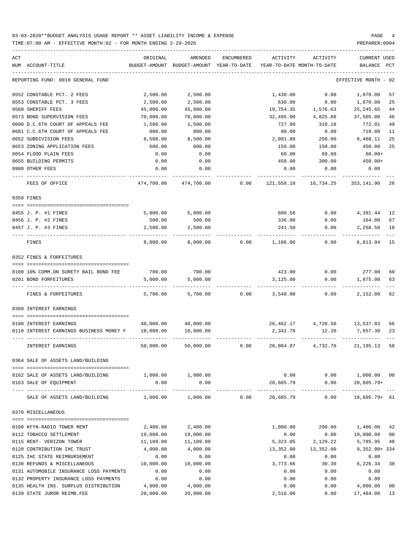| ACT |                                                        | ORIGINAL                      | AMENDED                    | <b>ENCUMBERED</b> | ACTIVITY                   | ACTIVITY                    | CURRENT USED                   |      |
|-----|--------------------------------------------------------|-------------------------------|----------------------------|-------------------|----------------------------|-----------------------------|--------------------------------|------|
|     | NUM ACCOUNT-TITLE                                      | BUDGET-AMOUNT                 | BUDGET-AMOUNT              | YEAR-TO-DATE      |                            | YEAR-TO-DATE MONTH-TO-DATE  | <b>BALANCE</b>                 | PCT  |
|     | REPORTING FUND: 0010 GENERAL FUND                      |                               |                            |                   |                            |                             | EFFECTIVE MONTH                | - 02 |
|     | 0552 CONSTABLE PCT. 2 FEES                             | 2,500.00                      | 2,500.00                   |                   | 1,430.00                   | 0.00                        | 1,070.00                       | 57   |
|     | 0553 CONSTABLE PCT. 3 FEES                             | 2,500.00                      | 2,500.00                   |                   | 630.00                     | 0.00                        | 1,870.00                       | 25   |
|     | 0560 SHERIFF FEES                                      | 45,000.00                     | 45,000.00                  |                   | 19,754.35                  | 1,576.63                    | 25, 245.65                     | 44   |
|     | 0573 BOND SUPERVISION FEES                             | 70,000.00                     | 70,000.00                  |                   | 32,495.00                  | 4,825.88                    | 37,505.00                      | 46   |
|     | 0600 D.C.6TH COURT OF APPEALS FEE                      | 1,500.00                      | 1,500.00                   |                   | 727.99                     | 310.18                      | 772.01                         | 49   |
|     | 0601 C.C.6TH COURT OF APPEALS FEE                      | 800.00                        | 800.00                     |                   | 90.00                      | 0.00                        | 710.00                         | 11   |
|     | 0652 SUBDIVISION FEES                                  | 8,500.00                      | 8,500.00                   |                   | 2,091.89                   | 250.00                      | 6,408.11                       | 25   |
|     | 0653 ZONING APPLICATION FEES                           | 600.00                        | 600.00                     |                   | 150.00                     | 150.00                      | 450.00                         | 25   |
|     | 0654 FLOOD PLAIN FEES                                  | 0.00                          | 0.00                       |                   | 60.00                      | 60.00                       | $60.00+$                       |      |
|     | 0655 BUILDING PERMITS                                  | 0.00                          | 0.00                       |                   | 450.00                     | 300.00                      | $450.00+$                      |      |
|     | 0900 OTHER FEES                                        | 0.00                          | 0.00                       |                   | 0.00                       | 0.00                        | 0.00                           |      |
|     | FEES OF OFFICE                                         | 474,700.00                    | 474,700.00                 | 0.00              | 121,558.10                 | 16,734.25                   | 353,141.90                     | 26   |
|     | 0350 FINES                                             |                               |                            |                   |                            |                             |                                |      |
|     | 0455 J. P. #1 FINES                                    | 5,000.00                      | 5,000.00                   |                   | 608.56                     | 0.00                        | 4,391.44                       | 12   |
|     | 0456 J. P. #2 FINES                                    | 500.00                        | 500.00                     |                   | 336.00                     | 0.00                        | 164.00                         | 67   |
|     | 0457 J. P. #3 FINES                                    | 2,500.00                      | 2,500.00                   |                   | 241.50                     | 0.00                        | 2,258.50                       | 10   |
|     | FINES                                                  | 8,000.00                      | 8,000.00                   | 0.00              | 1,186.06                   | 0.00                        | 6,813.94                       | 15   |
|     | 0352 FINES & FORFEITURES                               |                               |                            |                   |                            |                             |                                |      |
|     | 0100 10% COMM.ON SURETY BAIL BOND FEE                  | 700.00                        | 700.00                     |                   | 423.00                     | 0.00                        | 277.00                         | 60   |
|     | 0201 BOND FORFEITURES                                  | 5,000.00                      | 5,000.00                   |                   | 3,125.00                   | 0.00                        | 1,875.00                       | 63   |
|     |                                                        |                               |                            |                   |                            |                             |                                |      |
|     | FINES & FORFEITURES                                    | 5,700.00                      | 5,700.00                   | 0.00              | 3,548.00                   | 0.00                        | 2,152.00                       | 62   |
|     | 0360 INTEREST EARNINGS                                 |                               |                            |                   |                            |                             |                                |      |
|     | 0100 INTEREST EARNINGS                                 | 40,000.00                     | 40,000.00                  |                   | 26,462.17                  | 4,720.50                    | 13,537.83                      | 66   |
|     | 0110 INTEREST EARNINGS BUSINESS MONEY F                | 10,000.00                     | 10,000.00                  |                   | 2,342.70                   | 12.20                       | 7,657.30                       | 23   |
|     | INTEREST EARNINGS                                      | 50,000.00                     | 50,000.00                  | 0.00              | 28,804.87                  | 4,732.70                    | 21, 195. 13                    | 58   |
|     | 0364 SALE OF ASSETS LAND/BUILDING                      |                               |                            |                   |                            |                             |                                |      |
|     | 0162 SALE OF ASSETS LAND/BUILDING                      |                               | 1,000.00 1,000.00          |                   |                            | $0.00$ $0.00$ $1,000.00$ 00 |                                |      |
|     | 0163 SALE OF EQUIPMENT                                 | 0.00                          | 0.00                       |                   | 20,605.79                  | 0.00                        | $20,605.79+$                   |      |
|     | ---- -----------------<br>SALE OF ASSETS LAND/BUILDING | ----------------------------- | $1.000.00$ $1.000.00$ 0.00 |                   | -------------<br>20,605.79 | 0.00                        | -------------<br>19,605.79+ 61 |      |
|     | 0370 MISCELLANEOUS                                     |                               |                            |                   |                            |                             |                                |      |
|     |                                                        |                               |                            |                   |                            |                             |                                |      |
|     | 0100 KFYN-RADIO TOWER RENT                             | 2,400.00                      | 2,400.00                   |                   | 1,000.00                   | 200.00                      | 1,400.00                       | 42   |
|     | 0112 TOBACCO SETTLEMENT                                | 19,000.00                     | 19,000.00                  |                   | 0.00                       | 0.00                        | 19,000.00 00                   |      |
|     | 0115 RENT- VERIZON TOWER                               | 11,109.00                     | 11,109.00                  |                   | 5,323.05                   | 2,129.22                    | 5,785.95 48                    |      |
|     | 0120 CONTRIBUTION IHC TRUST                            | 4,000.00                      | 4,000.00                   |                   | 13,352.00                  | 13,352.00                   | $9,352.00+334$                 |      |
|     | 0125 IHC STATE REIMBURSEMENT                           | 0.00                          | 0.00                       |                   | 0.00                       | 0.00                        | 0.00                           |      |
|     | 0130 REFUNDS & MISCELLANEOUS                           | 10,000.00                     | 10,000.00                  |                   | 3,773.66                   | 30.30                       | 6,226.34                       | 38   |
|     | 0131 AUTOMOBILE INSURANCE LOSS PAYMENTS                | 0.00                          | 0.00                       |                   | 0.00                       | 0.00                        | 0.00                           |      |
|     | 0132 PROPERTY INSURANCE LOSS PAYMENTS                  | 0.00                          | 0.00                       |                   | 0.00                       | 0.00                        | 0.00                           |      |
|     | 0135 HEALTH INS. SURPLUS DISTRIBUTION                  | 4,000.00                      | 4,000.00                   |                   | 0.00                       | 0.00                        | 4,000.00                       | 00   |
|     | 0139 STATE JUROR REIMB.FEE                             | 20,000.00                     | 20,000.00                  |                   | 2,516.00                   | 0.00                        | 17,484.00                      | 13   |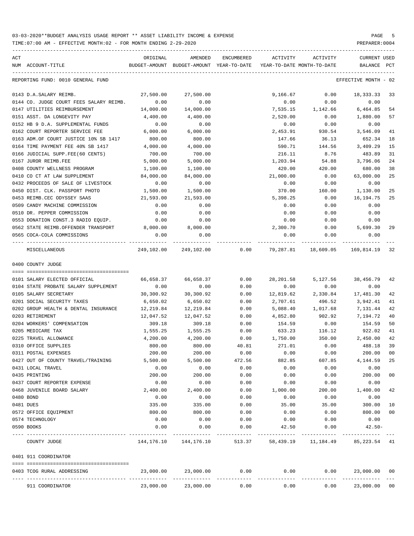| ACT | NUM ACCOUNT-TITLE                       | ORIGINAL   | AMENDED<br>BUDGET-AMOUNT BUDGET-AMOUNT YEAR-TO-DATE | ENCUMBERED | ACTIVITY<br>YEAR-TO-DATE MONTH-TO-DATE | ACTIVITY      | CURRENT USED<br>BALANCE | $_{\rm PCT}$   |
|-----|-----------------------------------------|------------|-----------------------------------------------------|------------|----------------------------------------|---------------|-------------------------|----------------|
|     | REPORTING FUND: 0010 GENERAL FUND       |            |                                                     |            |                                        |               | EFFECTIVE MONTH - 02    |                |
|     | 0143 D.A.SALARY REIMB.                  | 27,500.00  | 27,500.00                                           |            | 9,166.67                               | 0.00          | 18, 333. 33             | 33             |
|     | 0144 CO. JUDGE COURT FEES SALARY REIMB. | 0.00       | 0.00                                                |            | 0.00                                   | 0.00          | 0.00                    |                |
|     | 0147 UTILITIES REIMBURSEMENT            | 14,000.00  | 14,000.00                                           |            | 7,535.15                               | 1,142.66      | 6,464.85                | 54             |
|     | 0151 ASST. DA LONGEVITY PAY             | 4,400.00   | 4,400.00                                            |            | 2,520.00                               | 0.00          | 1,880.00                | 57             |
|     | 0152 HB 9 D.A. SUPPLEMENTAL FUNDS       | 0.00       | 0.00                                                |            | 0.00                                   | 0.00          | 0.00                    |                |
|     | 0162 COURT REPORTER SERVICE FEE         | 6,000.00   | 6,000.00                                            |            | 2,453.91                               | 930.54        | 3,546.09                | 41             |
|     | 0163 ADM.OF COURT JUSTICE 10% SB 1417   | 800.00     | 800.00                                              |            | 147.66                                 | 36.13         | 652.34                  | 18             |
|     | 0164 TIME PAYMENT FEE 40% SB 1417       | 4,000.00   | 4,000.00                                            |            | 590.71                                 | 144.56        | 3,409.29                | 15             |
|     | 0166 JUDICIAL SUPP.FEE(60 CENTS)        | 700.00     | 700.00                                              |            | 216.11                                 | 8.76          | 483.89                  | 31             |
|     | 0167 JUROR REIMB.FEE                    | 5,000.00   | 5,000.00                                            |            | 1,203.94                               | 54.88         | 3,796.06                | 24             |
|     | 0408 COUNTY WELLNESS PROGRAM            | 1,100.00   | 1,100.00                                            |            | 420.00                                 | 420.00        | 680.00                  | 38             |
|     | 0410 CO CT AT LAW SUPPLEMENT            | 84,000.00  | 84,000.00                                           |            | 21,000.00                              | 0.00          | 63,000.00               | 25             |
|     | 0432 PROCEEDS OF SALE OF LIVESTOCK      | 0.00       | 0.00                                                |            | 0.00                                   | 0.00          | 0.00                    |                |
|     | 0450 DIST. CLK. PASSPORT PHOTO          | 1,500.00   | 1,500.00                                            |            | 370.00                                 | 160.00        | 1,130.00                | 25             |
|     | 0453 REIMB.CEC ODYSSEY SAAS             | 21,593.00  | 21,593.00                                           |            | 5,398.25                               | 0.00          | 16,194.75               | 25             |
|     | 0509 CANDY MACHINE COMMISSION           | 0.00       | 0.00                                                |            | 0.00                                   | 0.00          | 0.00                    |                |
|     | 0510 DR. PEPPER COMMISSION              | 0.00       | 0.00                                                |            | 0.00                                   | 0.00          | 0.00                    |                |
|     | 0553 DONATION CONST.3 RADIO EQUIP.      | 0.00       | 0.00                                                |            | 0.00                                   | 0.00          | 0.00                    |                |
|     | 0562 STATE REIMB.OFFENDER TRANSPORT     | 8,000.00   | 8,000.00                                            |            | 2,300.70                               | 0.00          | 5,699.30                | 29             |
|     | 0565 COCA-COLA COMMISSIONS              | 0.00       | 0.00                                                |            | 0.00                                   | 0.00          | 0.00                    |                |
|     | MISCELLANEOUS                           | 249,102.00 |                                                     |            |                                        |               | 169,814.19              | 32             |
|     | 0400 COUNTY JUDGE                       |            |                                                     |            |                                        |               |                         |                |
|     |                                         |            |                                                     |            |                                        |               |                         |                |
|     | 0101 SALARY ELECTED OFFICIAL            | 66,658.37  | 66,658.37                                           | 0.00       | 28,201.58                              | 5,127.56      | 38,456.79               | 42             |
|     | 0104 STATE PROBATE SALARY SUPPLEMENT    | 0.00       | 0.00                                                | 0.00       | 0.00                                   | 0.00          | 0.00                    |                |
|     | 0105 SALARY SECRETARY                   | 30,300.92  | 30,300.92                                           | 0.00       | 12,819.62                              | 2,330.84      | 17,481.30               | 42             |
|     | 0201 SOCIAL SECURITY TAXES              | 6,650.02   | 6,650.02                                            | 0.00       | 2,707.61                               | 496.52        | 3,942.41                | 41             |
|     | 0202 GROUP HEALTH & DENTAL INSURANCE    | 12,219.84  | 12,219.84                                           | 0.00       | 5,088.40                               | 1,017.68      | 7,131.44                | 42             |
|     | 0203 RETIREMENT                         | 12,047.52  | 12,047.52                                           | 0.00       | 4,852.80                               | 902.92        | 7,194.72                | 40             |
|     | 0204 WORKERS' COMPENSATION              | 309.18     | 309.18                                              | 0.00       | 154.59                                 | 0.00          | 154.59                  | 50             |
|     | 0205 MEDICARE TAX                       | 1,555.25   | 1,555.25                                            | 0.00       |                                        | 633.23 116.12 | 922.02                  | 41             |
|     | 0225 TRAVEL ALLOWANCE                   | 4,200.00   | 4,200.00                                            | 0.00       | 1,750.00                               | 350.00        | 2,450.00                | 42             |
|     | 0310 OFFICE SUPPLIES                    | 800.00     | 800.00                                              | 40.81      | 271.01                                 | 0.00          | 488.18                  | 39             |
|     | 0311 POSTAL EXPENSES                    | 200.00     | 200.00                                              | 0.00       | 0.00                                   | 0.00          | 200.00 00               |                |
|     | 0427 OUT OF COUNTY TRAVEL/TRAINING      | 5,500.00   | 5,500.00                                            | 472.56     | 882.85                                 | 607.85        | 4,144.59                | 25             |
|     | 0431 LOCAL TRAVEL                       | 0.00       | 0.00                                                | 0.00       | 0.00                                   | 0.00          | 0.00                    |                |
|     | 0435 PRINTING                           | 200.00     | 200.00                                              | 0.00       | 0.00                                   | 0.00          | 200.00                  | 0 <sub>0</sub> |
|     | 0437 COURT REPORTER EXPENSE             | 0.00       | 0.00                                                | 0.00       | 0.00                                   | 0.00          | 0.00                    |                |
|     | 0468 JUVENILE BOARD SALARY              | 2,400.00   | 2,400.00                                            | 0.00       | 1,000.00                               | 200.00        | 1,400.00                | 42             |
|     | 0480 BOND                               | 0.00       | 0.00                                                | 0.00       | 0.00                                   | 0.00          | 0.00                    |                |
|     | 0481 DUES                               | 335.00     | 335.00                                              | 0.00       | 35.00                                  | 35.00         | 300.00                  | 10             |
|     | 0572 OFFICE EQUIPMENT                   | 800.00     | 800.00                                              | 0.00       | 0.00                                   | 0.00          | 800.00                  | 00             |
|     | 0574 TECHNOLOGY                         | 0.00       | 0.00                                                | 0.00       | 0.00                                   | 0.00          | 0.00                    |                |
|     | 0590 BOOKS                              | 0.00       | 0.00                                                | 0.00       | 42.50                                  | 0.00          | $42.50 -$               |                |
|     | COUNTY JUDGE                            |            | 144, 176. 10 144, 176. 10                           |            | 513.37 58,439.19                       | 11,184.49     | 85,223.54 41            |                |
|     | 0401 911 COORDINATOR                    |            |                                                     |            |                                        |               |                         |                |
|     | 0403 TCOG RURAL ADDRESSING              | 23,000.00  | 23,000.00                                           | 0.00       | 0.00                                   |               | 0.00<br>23,000.00 00    |                |
|     | 911 COORDINATOR                         |            | 23,000.00 23,000.00                                 | 0.00       | 0.00                                   | 0.00          | 23,000.00 00            |                |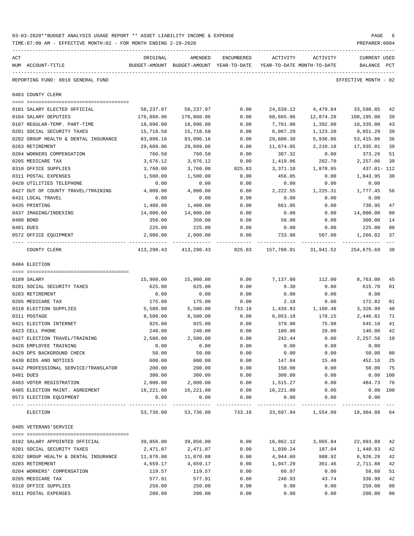| 03-03-2020**BUDGET ANALYSIS USAGE REPORT ** ASSET LIABILITY INCOME & EXPENSE | PAGE           |
|------------------------------------------------------------------------------|----------------|
| TIME:07:00 AM - EFFECTIVE MONTH:02 - FOR MONTH ENDING 2-29-2020              | PREPARER: 0004 |

| ACT |                                                | ORIGINAL   | AMENDED                                                    | ENCUMBERED | ACTIVITY  | ACTIVITY                   | CURRENT USED         |        |
|-----|------------------------------------------------|------------|------------------------------------------------------------|------------|-----------|----------------------------|----------------------|--------|
|     | NUM ACCOUNT-TITLE                              |            | BUDGET-AMOUNT BUDGET-AMOUNT YEAR-TO-DATE                   |            |           | YEAR-TO-DATE MONTH-TO-DATE | BALANCE              | PCT    |
|     | REPORTING FUND: 0010 GENERAL FUND              |            |                                                            |            |           |                            | EFFECTIVE MONTH - 02 |        |
|     | 0403 COUNTY CLERK                              |            |                                                            |            |           |                            |                      |        |
|     | 0101 SALARY ELECTED OFFICIAL                   | 58,237.97  | 58,237.97                                                  | 0.00       | 24,639.12 | 4,479.84                   | 33,598.85            | 42     |
|     | 0104 SALARY DEPUTIES                           | 176,860.96 | 176,860.96                                                 | 0.00       | 68,665.96 | 12,874.28                  | 108,195.00           | 39     |
|     | 0107 REGULAR-TEMP. PART-TIME                   | 18,096.00  | 18,096.00                                                  | 0.00       | 7,761.00  | 1,392.00                   | 10,335.00            | 43     |
|     | 0201 SOCIAL SECURITY TAXES                     | 15,718.58  | 15,718.58                                                  | 0.00       | 6,067.29  | 1,123.20                   | 9,651.29             | 39     |
|     | 0202 GROUP HEALTH & DENTAL INSURANCE           | 83,096.16  | 83,096.16                                                  | 0.00       | 29,680.30 | 5,936.06                   | 53, 415.86           | 36     |
|     | 0203 RETIREMENT                                | 29,609.06  | 29,609.06                                                  | 0.00       | 11,674.05 | 2,210.18                   | 17,935.01            | 39     |
|     | 0204 WORKERS COMPENSATION                      | 760.58     | 760.58                                                     | 0.00       | 387.32    | 0.00                       | 373.26               | 51     |
|     | 0205 MEDICARE TAX                              | 3,676.12   | 3,676.12                                                   | 0.00       | 1,419.06  | 262.70                     | 2,257.06             | 39     |
|     | 0310 OFFICE SUPPLIES                           | 3,760.00   | 3,760.00                                                   | 825.83     | 3,371.18  | 1,870.95                   | 437.01- 112          |        |
|     | 0311 POSTAL EXPENSES                           | 1,500.00   | 1,500.00                                                   | 0.00       | 456.05    | 0.00                       | 1,043.95             | 30     |
|     | 0420 UTILITIES TELEPHONE                       | 0.00       | 0.00                                                       | 0.00       | 0.00      | 0.00                       | 0.00                 |        |
|     | 0427 OUT OF COUNTY TRAVEL/TRAINING             | 4,000.00   | 4,000.00                                                   | 0.00       | 2,222.55  | 1,225.31                   | 1,777.45             | 56     |
|     | 0431 LOCAL TRAVEL                              | 0.00       | 0.00                                                       | 0.00       | 0.00      | 0.00                       | 0.00                 |        |
|     | 0435 PRINTING                                  | 1,400.00   | 1,400.00                                                   | 0.00       | 661.05    | 0.00                       | 738.95               | 47     |
|     | 0437 IMAGING/INDEXING                          | 14,000.00  | 14,000.00                                                  | 0.00       | 0.00      | 0.00                       | 14,000.00            | 00     |
|     | 0480 BOND                                      | 350.00     | 350.00                                                     | 0.00       | 50.00     | 0.00                       | 300.00               | 14     |
|     | 0481 DUES                                      | 225.00     | 225.00                                                     | 0.00       | 0.00      | 0.00                       | 225.00               | 00     |
|     | 0572 OFFICE EQUIPMENT                          | 2,000.00   | 2,000.00                                                   | 0.00       | 733.98    | 567.00                     | 1,266.02             | 37     |
|     | COUNTY CLERK                                   | 413,290.43 | 413,290.43                                                 | 825.83     |           | 157,788.91 31,941.52       | 254,675.69           | 38     |
|     | 0404 ELECTION                                  |            |                                                            |            |           |                            |                      |        |
|     |                                                |            |                                                            |            |           |                            |                      |        |
|     | 0109 SALARY                                    | 15,900.00  | 15,900.00                                                  | 0.00       | 7,137.00  | 112.00                     | 8,763.00             | 45     |
|     | 0201 SOCIAL SECURITY TAXES                     | 625.00     | 625.00                                                     | 0.00       | 9.30      | 0.00                       | 615.70               | 01     |
|     | 0203 RETIREMENT                                | 0.00       | 0.00                                                       | 0.00       | 0.00      | 0.00                       | 0.00                 |        |
|     | 0205 MEDICARE TAX                              | 175.00     | 175.00                                                     | 0.00       | 2.18      | 0.00                       | 172.82               | 01     |
|     | 0310 ELECTION SUPPLIES                         | 5,500.00   | 5,500.00                                                   | 733.18     | 1,439.83  | 1,160.48                   | 3,326.99             | 40     |
|     | 0311 POSTAGE                                   | 8,500.00   | 8,500.00                                                   | 0.00       | 6,053.18  | 170.15                     | 2,446.82             | 71     |
|     | 0421 ELECTION INTERNET                         | 925.00     | 925.00                                                     | 0.00       | 379.90    | 75.98                      | 545.10               | 41     |
|     | 0423 CELL PHONE                                | 240.00     | 240.00                                                     | 0.00       | 100.00    | 20.00                      | 140.00               | 42     |
|     | 0427 ELECTION TRAVEL/TRAINING                  | 2,500.00   | 2,500.00                                                   | 0.00       | 242.44    | 0.00                       | 2,257.56             | 10     |
|     | 0428 EMPLOYEE TRAINING                         | 0.00       | 0.00                                                       | 0.00       | 0.00      | 0.00                       | 0.00                 |        |
|     | 0429 DPS BACKGROUND CHECK                      | 50.00      | 50.00                                                      | 0.00       | 0.00      | 0.00                       | 50.00 00             |        |
|     | 0430 BIDS AND NOTICES                          | 600.00     | 600.00                                                     | 0.00       | 147.84    | 15.48                      | 452.16 25            |        |
|     | 0442 PROFESSIONAL SERVICE/TRANSLATOR           | 200.00     | 200.00                                                     | 0.00       | 150.00    | 0.00                       | 50.00 75             |        |
|     | 0481 DUES                                      | 300.00     | 300.00                                                     | 0.00       | 300.00    | 0.00                       | $0.00$ 100           |        |
|     | 0483 VOTER REGISTRATION                        | 2,000.00   | 2,000.00                                                   | 0.00       | 1,515.27  | 0.00                       | 484.73               | 76     |
|     | 0485 ELECTION MAINT. AGREEMENT                 | 16,221.00  | 16,221.00                                                  | 0.00       | 16,221.00 | 0.00                       | $0.00$ 100           |        |
|     | 0573 ELECTION EQUIPMENT                        | 0.00       | 0.00                                                       | 0.00       | 0.00      | 0.00                       | 0.00                 |        |
|     | ELECTION                                       |            | 53,736.00 53,736.00 733.18 33,697.94 1,554.09 19,304.88 64 |            |           |                            |                      |        |
|     | 0405 VETERANS'SERVICE                          |            |                                                            |            |           |                            |                      |        |
|     | 0102 SALARY APPOINTED OFFICIAL                 | 39,856.00  | 39,856.00                                                  | 0.00       | 16,862.12 | 3,065.84                   | 22,993.88 42         |        |
|     | 0201 SOCIAL SECURITY TAXES                     | 2,471.07   | 2,471.07                                                   | 0.00       | 1,030.24  | 187.04                     | 1,440.83             | 42     |
|     | 0202 GROUP HEALTH & DENTAL INSURANCE 11,870.88 |            | 11,870.88                                                  | 0.00       | 4,944.60  | 988.92                     | 6,926.28             | 42     |
|     | 0203 RETIREMENT                                | 4,659.17   | 4,659.17                                                   | 0.00       | 1,947.29  | 361.46                     | 2,711.88             | 42     |
|     | 0204 WORKERS' COMPENSATION                     | 119.57     | 119.57                                                     | 0.00       | 60.97     | 0.00                       | 58.60                | 51     |
|     | 0205 MEDICARE TAX                              | 577.91     | 577.91                                                     | 0.00       | 240.93    | 43.74                      | 336.98               | 42     |
|     | 0310 OFFICE SUPPLIES                           | 250.00     | 250.00                                                     | 0.00       | 0.00      | 0.00                       | 250.00               | 00     |
|     | 0311 POSTAL EXPENSES                           | 200.00     | 200.00                                                     | 0.00       | 0.00      | 0.00                       | 200.00               | $00\,$ |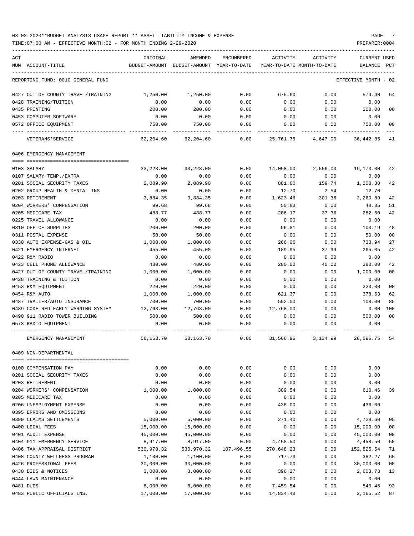TIME:07:00 AM - EFFECTIVE MONTH:02 - FOR MONTH ENDING 2-29-2020

| ACT<br>NUM ACCOUNT-TITLE                                          | ORIGINAL            | AMENDED<br>BUDGET-AMOUNT BUDGET-AMOUNT YEAR-TO-DATE | <b>ENCUMBERED</b> | ACTIVITY<br>YEAR-TO-DATE MONTH-TO-DATE | ACTIVITY       | <b>CURRENT USED</b><br>BALANCE PCT |                |
|-------------------------------------------------------------------|---------------------|-----------------------------------------------------|-------------------|----------------------------------------|----------------|------------------------------------|----------------|
| REPORTING FUND: 0010 GENERAL FUND                                 |                     |                                                     |                   |                                        |                | EFFECTIVE MONTH - 02               |                |
| 0427 OUT OF COUNTY TRAVEL/TRAINING                                | 1,250.00            | 1,250.00                                            | 0.00              | 675.60                                 | 0.00           | 574.40                             | 54             |
| 0428 TRAINING/TUITION                                             | 0.00                | 0.00                                                | 0.00              | 0.00                                   | 0.00           | 0.00                               |                |
| 0435 PRINTING                                                     | 200.00              | 200.00                                              | 0.00              | 0.00                                   | 0.00           | 200.00                             | 0 <sup>0</sup> |
| 0453 COMPUTER SOFTWARE                                            | 0.00                | 0.00                                                | 0.00              | 0.00                                   | 0.00           | 0.00                               |                |
| 0572 OFFICE EOUIPMENT                                             | 750.00              | 750.00                                              | 0.00              | 0.00                                   | 0.00           | 750.00                             | 00             |
| VETERANS ' SERVICE                                                | 62,204.60           | 62,204.60                                           | 0.00              | 25,761.75                              | 4,647.00       | 36,442.85                          | 41             |
| 0406 EMERGENCY MANAGEMENT                                         |                     |                                                     |                   |                                        |                |                                    |                |
|                                                                   |                     |                                                     |                   |                                        |                |                                    |                |
| 0103 SALARY                                                       | 33,228.00           | 33,228.00                                           | 0.00<br>0.00      | 14,058.00<br>0.00                      | 2,556.00       | 19,170.00                          | 42             |
| 0107 SALARY TEMP./EXTRA<br>0201 SOCIAL SECURITY TAXES             | 0.00<br>2,089.90    | 0.00<br>2,089.90                                    | 0.00              | 881.60                                 | 0.00<br>159.74 | 0.00<br>1,208.30                   | 42             |
| 0202 GROUP HEALTH & DENTAL INS                                    | 0.00                | 0.00                                                | 0.00              | 12.70                                  | 2.54           | $12.70-$                           |                |
| 0203 RETIREMENT                                                   | 3,884.35            | 3,884.35                                            | 0.00              | 1,623.46                               | 301.36         | 2,260.89                           | 42             |
| 0204 WORKERS' COMPENSATION                                        | 99.68               | 99.68                                               | 0.00              | 50.83                                  | 0.00           | 48.85                              | 51             |
| 0205 MEDICARE TAX                                                 | 488.77              | 488.77                                              | 0.00              | 206.17                                 | 37.36          | 282.60                             | 42             |
| 0225 TRAVEL ALLOWANCE                                             | 0.00                | 0.00                                                | 0.00              | 0.00                                   | 0.00           | 0.00                               |                |
| 0310 OFFICE SUPPLIES                                              | 200.00              | 200.00                                              | 0.00              | 96.81                                  | 0.00           | 103.19                             | 48             |
| 0311 POSTAL EXPENSE                                               | 50.00               | 50.00                                               | 0.00              | 0.00                                   | 0.00           | 50.00                              | 0 <sub>0</sub> |
| 0330 AUTO EXPENSE-GAS & OIL                                       | 1,000.00            | 1,000.00                                            | 0.00              | 266.06                                 | 0.00           | 733.94                             | 27             |
| 0421 EMERGENCY INTERNET                                           | 455.00              | 455.00                                              | 0.00              | 189.95                                 | 37.99          | 265.05                             | 42             |
| 0422 R&M RADIO                                                    | 0.00                | 0.00                                                | 0.00              | 0.00                                   | 0.00           | 0.00                               |                |
| 0423 CELL PHONE ALLOWANCE                                         | 480.00              | 480.00                                              | 0.00              | 200.00                                 | 40.00          | 280.00                             | 42             |
| 0427 OUT OF COUNTY TRAVEL/TRAINING                                | 1,000.00            | 1,000.00                                            | 0.00              | 0.00                                   | 0.00           | 1,000.00                           | 0 <sub>0</sub> |
| 0428 TRAINING & TUITION                                           | 0.00                | 0.00                                                | 0.00              | 0.00                                   | 0.00           | 0.00                               |                |
| 0453 R&M EQUIPMENT                                                | 220.00              | 220.00                                              | 0.00              | 0.00                                   | 0.00           | 220.00                             | 0 <sup>0</sup> |
| 0454 R&M AUTO                                                     | 1,000.00            | 1,000.00                                            | 0.00              | 621.37                                 | 0.00           | 378.63<br>108.00                   | 62<br>85       |
| 0487 TRAILER/AUTO INSURANCE<br>0489 CODE RED EARLY WARNING SYSTEM | 700.00<br>12,768.00 | 700.00<br>12,768.00                                 | 0.00<br>0.00      | 592.00<br>12,768.00                    | 0.00<br>0.00   | 0.00                               | 100            |
| 0490 911 RADIO TOWER BUILDING                                     | 500.00              | 500.00                                              | 0.00              | 0.00                                   | 0.00           | 500.00                             | 0 <sup>0</sup> |
| 0573 RADIO EQUIPMENT                                              | 0.00                | 0.00                                                | 0.00              | 0.00                                   | 0.00           | 0.00                               |                |
| EMERGENCY MANAGEMENT                                              | 58,163.70           | 58,163.70                                           | 0.00              | 31,566.95                              | 3,134.99       | 26,596.75                          | 54             |
| 0409 NON-DEPARTMENTAL                                             |                     |                                                     |                   |                                        |                |                                    |                |
|                                                                   |                     |                                                     |                   |                                        |                |                                    |                |
| 0100 COMPENSATION PAY                                             | 0.00                | 0.00                                                | 0.00              | 0.00                                   | 0.00           | 0.00                               |                |
| 0201 SOCIAL SECURITY TAXES                                        | 0.00                | 0.00                                                | 0.00              | 0.00                                   | 0.00           | 0.00                               |                |
| 0203 RETIREMENT                                                   | 0.00                | 0.00                                                | 0.00              | 0.00                                   | 0.00           | 0.00                               |                |
| 0204 WORKERS' COMPENSATION<br>0205 MEDICARE TAX                   | 1,000.00<br>0.00    | 1,000.00<br>0.00                                    | 0.00<br>0.00      | 389.54                                 | 0.00           | 610.46<br>0.00                     | 39             |
| 0206 UNEMPLOYMENT EXPENSE                                         | 0.00                | 0.00                                                | 0.00              | 0.00<br>436.00                         | 0.00<br>0.00   | $436.00 -$                         |                |
| 0395 ERRORS AND OMISSIONS                                         | 0.00                | 0.00                                                | 0.00              | 0.00                                   | 0.00           | 0.00                               |                |
| 0399 CLAIMS SETTLEMENTS                                           | 5,000.00            | 5,000.00                                            | 0.00              | 271.40                                 | 0.00           | 4,728.60                           | 05             |
| 0400 LEGAL FEES                                                   | 15,000.00           | 15,000.00                                           | 0.00              | 0.00                                   | 0.00           | 15,000.00                          | 00             |
| 0401 AUDIT EXPENSE                                                | 45,000.00           | 45,000.00                                           | 0.00              | 0.00                                   | 0.00           | 45,000.00                          | 00             |
| 0404 911 EMERGENCY SERVICE                                        | 8,917.00            | 8,917.00                                            | 0.00              | 4,458.50                               | 0.00           | 4,458.50                           | 50             |
| 0406 TAX APPRAISAL DISTRICT                                       | 530,970.32          | 530,970.32                                          | 107,496.55        | 270,648.23                             | 0.00           | 152,825.54                         | 71             |
| 0408 COUNTY WELLNESS PROGRAM                                      | 1,100.00            | 1,100.00                                            | 0.00              | 717.73                                 | 0.00           | 382.27                             | 65             |
| 0426 PROFESSIONAL FEES                                            | 30,000.00           | 30,000.00                                           | 0.00              | 0.00                                   | 0.00           | 30,000.00                          | 00             |
| 0430 BIDS & NOTICES                                               | 3,000.00            | 3,000.00                                            | 0.00              | 396.27                                 | 0.00           | 2,603.73                           | 13             |
| 0444 LAWN MAINTENANCE                                             | 0.00                | 0.00                                                | 0.00              | 0.00                                   | 0.00           | 0.00                               |                |
| 0481 DUES                                                         | 8,000.00            | 8,000.00                                            | 0.00              | 7,459.54                               | 0.00           | 540.46                             | 93             |

0483 PUBLIC OFFICIALS INS. 17,000.00 17,000.00 0.00 14,834.48 0.00 2,165.52 87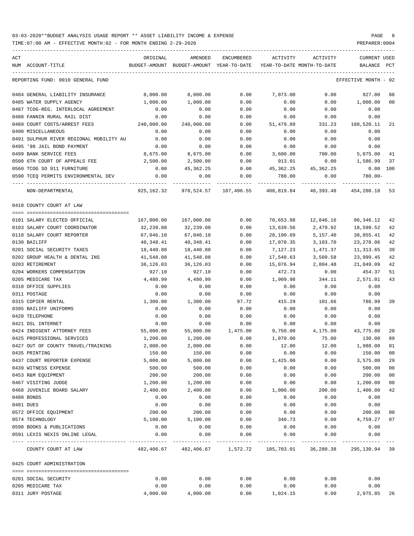| ACT | NUM ACCOUNT-TITLE                                          | ORIGINAL     | AMENDED<br>BUDGET-AMOUNT BUDGET-AMOUNT YEAR-TO-DATE | ENCUMBERED   |                 | ACTIVITY ACTIVITY<br>YEAR-TO-DATE MONTH-TO-DATE                     | CURRENT USED<br>BALANCE PCT |                |
|-----|------------------------------------------------------------|--------------|-----------------------------------------------------|--------------|-----------------|---------------------------------------------------------------------|-----------------------------|----------------|
|     | REPORTING FUND: 0010 GENERAL FUND                          |              |                                                     |              |                 |                                                                     | EFFECTIVE MONTH - 02        |                |
|     | 0484 GENERAL LIABILITY INSURANCE                           | 8,000.00     | 8,000.00                                            | 0.00         | 7,073.00        | 0.00                                                                | 927.00                      | 88             |
|     | 0485 WATER SUPPLY AGENCY                                   | 1,000.00     | 1,000.00                                            | 0.00         | 0.00            | 0.00                                                                | 1,000.00                    | 0 <sub>0</sub> |
|     | 0487 TCOG-REG. INTERLOCAL AGREEMENT                        | 0.00         | 0.00                                                | 0.00         | 0.00            | 0.00                                                                | 0.00                        |                |
|     | 0488 FANNIN RURAL RAIL DIST                                | 0.00         | 0.00                                                | 0.00         | 0.00            | 0.00                                                                | 0.00                        |                |
|     | 0489 COURT COSTS/ARREST FEES                               | 240,000.00   | 240,000.00                                          | 0.00         | 51,479.89       | 331.23                                                              | 188,520.11                  | 21             |
|     | 0490 MISCELLANEOUS                                         | 0.00         | 0.00                                                | 0.00         | 0.00            | 0.00                                                                | 0.00                        |                |
|     | 0491 SULPHUR RIVER REGIONAL MOBILITY AU                    | 0.00         | 0.00                                                | 0.00         | 0.00            | 0.00                                                                | 0.00                        |                |
|     | 0495 '98 JAIL BOND PAYMENT                                 | 0.00         | 0.00                                                | 0.00         | 0.00            | 0.00                                                                | 0.00                        |                |
|     | 0499 BANK SERVICE FEES                                     | 8,675.00     | 8,675.00                                            | 0.00         | 3,600.00        | 700.00                                                              | 5,075.00                    | 41             |
|     | 0500 6TH COURT OF APPEALS FEE                              | 2,500.00     | 2,500.00                                            | 0.00         | 913.01          | 0.00                                                                | 1,586.99                    | 37             |
|     | 0560 TCOG SO 911 FURNITURE                                 | 0.00         | 45, 362. 25                                         |              |                 | $0.00$ 45, 362.25 45, 362.25                                        | $0.00$ 100                  |                |
|     | 0590 TCEQ PERMITS ENVIRONMENTAL DEV                        | 0.00         | 0.00                                                | 0.00         | 780.00          | 0.00                                                                | $780.00-$                   |                |
|     | NON-DEPARTMENTAL                                           |              |                                                     |              |                 | 925,162.32 970,524.57 107,496.55 408,819.84 46,393.48 454,208.18 53 |                             |                |
|     | 0410 COUNTY COURT AT LAW                                   |              |                                                     |              |                 |                                                                     |                             |                |
|     | 0101 SALARY ELECTED OFFICIAL                               | 167,000.00   | 167,000.00                                          | 0.00         | 70,653.88       | 12,846.16                                                           | 96,346.12                   | 42             |
|     | 0103 SALARY COURT COORDINATOR                              | 32,239.08    | 32,239.08                                           | 0.00         | 13,639.56       | 2,479.92                                                            | 18,599.52                   | 42             |
|     | 0110 SALARY COURT REPORTER                                 | 67,046.10    | 67,046.10                                           | 0.00         | 28,190.69       | 5,157.40                                                            | 38,855.41                   | 42             |
|     | 0130 BAILIFF                                               | 40,348.41    | 40,348.41                                           | 0.00         | 17,070.35       | 3,103.70                                                            | 23,278.06                   | 42             |
|     | 0201 SOCIAL SECURITY TAXES                                 | 18,440.88    | 18,440.88                                           | 0.00         | 7,127.23        | 1,471.37                                                            | 11,313.65                   | 39             |
|     | 0202 GROUP HEALTH & DENTAL INS                             | 41,548.08    | 41,548.08                                           | 0.00         | 17,548.63       | 3,509.58                                                            | 23,999.45                   | 42             |
|     | 0203 RETIREMENT                                            | 36,126.03    | 36,126.03                                           | 0.00         | 15,076.94       | 2,804.48                                                            | 21,049.09                   | 42             |
|     | 0204 WORKERS COMPENSATION                                  | 927.10       | 927.10                                              | 0.00         | 472.73          | 0.00                                                                | 454.37                      | 51             |
|     | 0205 MEDICARE TAX                                          | 4,480.99     | 4,480.99                                            | 0.00         | 1,909.98        | 344.11                                                              | 2,571.01                    | 43             |
|     | 0310 OFFICE SUPPLIES                                       | 0.00         | 0.00                                                | 0.00         | 0.00            | 0.00                                                                | 0.00                        |                |
|     | 0311 POSTAGE                                               | 0.00         | 0.00                                                | 0.00         | 0.00            | 0.00                                                                | 0.00                        |                |
|     | 0315 COPIER RENTAL                                         | 1,300.00     | 1,300.00                                            | 97.72        | 415.29          | 101.66                                                              | 786.99                      | 39             |
|     | 0395 BAILIFF UNIFORMS                                      | 0.00         | 0.00                                                | 0.00         | 0.00            | 0.00                                                                | 0.00                        |                |
|     | 0420 TELEPHONE                                             | 0.00         | 0.00                                                | 0.00         | 0.00            | 0.00                                                                | 0.00                        |                |
|     | 0421 DSL INTERNET                                          | 0.00         | 0.00                                                | 0.00         | 0.00            | 0.00                                                                | 0.00                        |                |
|     | 0424 INDIGENT ATTORNEY FEES                                | 55,000.00    |                                                     |              |                 | 55,000.00  1,475.00  9,750.00  4,175.00                             | 43,775.00                   | 20             |
|     | 0425 PROFESSIONAL SERVICES                                 | 1,200.00     | 1,200.00                                            | 0.00         | 1,070.00        | 75.00                                                               | 130.00                      | 89             |
|     | 0427 OUT OF COUNTY TRAVEL/TRAINING                         | 2,000.00     | 2,000.00                                            | 0.00         | 12.00           | 12.00                                                               | 1,988.00                    | 01             |
|     | 0435 PRINTING                                              | 150.00       | 150.00                                              | 0.00         | 0.00            | 0.00                                                                | 150.00 00                   |                |
|     | 0437 COURT REPORTER EXPENSE                                | 5,000.00     | 5,000.00                                            | 0.00         | 1,425.00        | 0.00                                                                | 3,575.00                    | 29             |
|     | 0439 WITNESS EXPENSE                                       | 500.00       | 500.00                                              | 0.00         | 0.00            | 0.00                                                                | 500.00                      | 0 <sub>0</sub> |
|     | 0453 R&M EQUIPMENT                                         | 200.00       | 200.00                                              | 0.00         | 0.00            | 0.00                                                                | 200.00                      | 0 <sub>0</sub> |
|     | 0467 VISITING JUDGE                                        | 1,200.00     | 1,200.00                                            | 0.00         | 0.00            | 0.00                                                                | 1,200.00                    | 0 <sub>0</sub> |
|     | 0468 JUVENILE BOARD SALARY                                 | 2,400.00     | 2,400.00                                            | 0.00         | 1,000.00        | 200.00                                                              | 1,400.00                    | 42             |
|     | 0480 BONDS                                                 | 0.00         | 0.00                                                | 0.00         | 0.00            | 0.00                                                                | 0.00                        |                |
|     | 0481 DUES                                                  | 0.00         | 0.00                                                | 0.00         | 0.00            | 0.00                                                                | 0.00                        |                |
|     | 0572 OFFICE EQUIPMENT                                      | 200.00       | 200.00                                              | 0.00         | 0.00            |                                                                     | 200.00                      | 0 <sub>0</sub> |
|     | 0574 TECHNOLOGY                                            |              |                                                     |              |                 | 0.00                                                                | 4,759.27                    | 07             |
|     |                                                            | 5,100.00     | 5,100.00                                            | 0.00         | 340.73          | 0.00                                                                |                             |                |
|     | 0590 BOOKS & PUBLICATIONS<br>0591 LEXIS NEXIS ONLINE LEGAL | 0.00<br>0.00 | 0.00<br>0.00                                        | 0.00<br>0.00 | 0.00<br>0.00    | 0.00<br>0.00                                                        | 0.00<br>0.00                |                |
|     | COUNTY COURT AT LAW                                        |              |                                                     |              | ----------- -   | 482,406.67 482,406.67 1,572.72 185,703.01 36,280.38                 | 295,130.94 39               |                |
|     | 0425 COURT ADMINISTRATION                                  |              |                                                     |              |                 |                                                                     |                             |                |
|     | 0201 SOCIAL SECURITY                                       | 0.00         | 0.00                                                | 0.00         | 0.00            | 0.00                                                                | 0.00                        |                |
|     | 0205 MEDICARE TAX                                          | 0.00         | 0.00                                                | 0.00         | 0.00            | 0.00                                                                | 0.00                        |                |
|     | 0311 JURY POSTAGE                                          | 4,000.00     | 4,000.00                                            |              | $0.00$ 1,024.15 | 0.00                                                                | 2,975.85                    | 26             |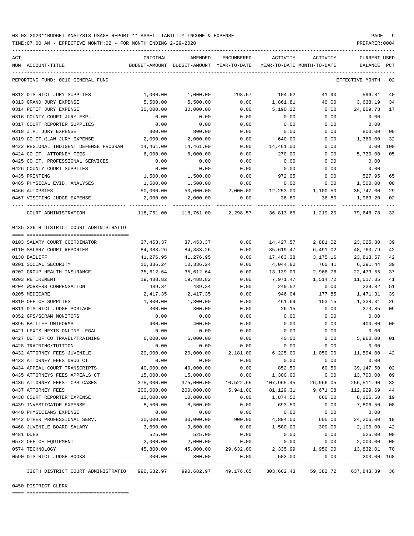TIME:07:00 AM - EFFECTIVE MONTH:02 - FOR MONTH ENDING 2-29-2020

|           |                                         |                         |                                                     |                      | ACTIVITY                               |           |                                 |              |
|-----------|-----------------------------------------|-------------------------|-----------------------------------------------------|----------------------|----------------------------------------|-----------|---------------------------------|--------------|
| ACT       | NUM ACCOUNT-TITLE                       | ORIGINAL                | AMENDED<br>BUDGET-AMOUNT BUDGET-AMOUNT YEAR-TO-DATE | ENCUMBERED           | YEAR-TO-DATE MONTH-TO-DATE             | ACTIVITY  | CURRENT USED<br>BALANCE         | $_{\rm PCT}$ |
|           |                                         |                         |                                                     |                      |                                        |           |                                 |              |
|           | REPORTING FUND: 0010 GENERAL FUND       |                         |                                                     |                      |                                        |           | EFFECTIVE MONTH - 02            |              |
|           | 0312 DISTRICT JURY SUPPLIES             | 1,000.00                | 1,000.00                                            | 298.57               | 104.62                                 | 41.90     | 596.81                          | 40           |
|           | 0313 GRAND JURY EXPENSE                 | 5,500.00                | 5,500.00                                            | 0.00                 | 1,861.81                               | 40.00     | 3,638.19                        | 34           |
|           | 0314 PETIT JURY EXPENSE                 | 30,000.00               | 30,000.00                                           | 0.00                 | 5,190.22                               | 0.00      | 24,809.78                       | 17           |
|           | 0316 COUNTY COURT JURY EXP.             | 0.00                    | 0.00                                                | 0.00                 | 0.00                                   | 0.00      | 0.00                            |              |
|           | 0317 COURT REPORTER SUPPLIES            | 0.00                    | 0.00                                                | 0.00                 | 0.00                                   | 0.00      | 0.00                            |              |
|           | 0318 J.P. JURY EXPENSE                  | 800.00                  | 800.00                                              | 0.00                 | 0.00                                   | 0.00      | 800.00                          | 00           |
|           | 0319 CO.CT.@LAW JURY EXPENSE            | 2,000.00                | 2,000.00                                            | 0.00                 | 640.00                                 | 0.00      | 1,360.00                        | 32           |
|           | 0422 REGIONAL INDIGENT DEFENSE PROGRAM  | 14,461.00               | 14,461.00                                           | 0.00                 | 14,461.00                              | 0.00      | 0.00                            | 100          |
|           | 0424 CO.CT. ATTORNEY FEES               | 6,000.00                | 6,000.00                                            | 0.00                 | 270.00                                 | 0.00      | 5,730.00                        | 05           |
|           | 0425 CO.CT. PROFESSIONAL SERVICES       | 0.00                    | 0.00                                                | 0.00                 | 0.00                                   | 0.00      | 0.00                            |              |
|           | 0426 COUNTY COURT SUPPLIES              | 0.00                    | 0.00                                                | 0.00                 | 0.00                                   | 0.00      | 0.00                            |              |
|           | 0435 PRINTING                           | 1,500.00                | 1,500.00                                            | 0.00                 | 972.05                                 | 0.00      | 527.95                          | 65           |
|           | 0465 PHYSICAL EVID. ANALYSES            | 1,500.00                | 1,500.00                                            | 0.00                 | 0.00                                   | 0.00      | 1,500.00                        | 00           |
|           | 0466 AUTOPSIES                          | 50,000.00               | 50,000.00                                           | 2,000.00             | 12,253.00                              | 1,100.50  | 35,747.00                       | 29           |
|           | 0467 VISITING JUDGE EXPENSE             | 2,000.00                | 2,000.00                                            | 0.00                 | 36.80                                  | 36.80     | 1,963.20                        | 02           |
|           | COURT ADMINISTRATION                    | 118,761.00              |                                                     |                      | 118,761.00 2,298.57 36,813.65          | 1,219.20  | 79,648.78                       | 33           |
|           | 0435 336TH DISTRICT COURT ADMINISTRATIO |                         |                                                     |                      |                                        |           |                                 |              |
|           |                                         |                         |                                                     |                      |                                        |           |                                 |              |
|           | 0103 SALARY COURT COORDINATOR           | 37,453.37               | 37,453.37                                           | 0.00                 | 14,427.57                              | 2,881.02  | 23,025.80                       | -39          |
|           | 0110 SALARY COURT REPORTER              | 84,383.26               | 84,383.26                                           | 0.00                 | 35,619.47                              | 6,491.02  | 48,763.79                       | 42           |
|           | 0130 BAILIFF                            | 41,276.95               | 41,276.95                                           | 0.00                 | 17,463.38                              | 3,175.16  | 23,813.57                       | 42           |
|           | 0201 SOCIAL SECURITY                    | 10,336.24               | 10,336.24                                           | 0.00                 | 4,044.80                               | 760.41    | 6,291.44                        | 39           |
|           | 0202 GROUP HEALTH INSURANCE             | 35,612.64               | 35,612.64                                           | 0.00                 | 13,139.09                              | 2,966.76  | 22,473.55                       | 37           |
|           | 0203 RETIREMENT                         | 19,488.82               | 19,488.82                                           | 0.00                 | 7,971.47                               | 1,514.72  | 11,517.35                       | 41           |
|           | 0204 WORKERS COMPENSATION               | 489.34                  | 489.34                                              | 0.00                 | 249.52                                 | 0.00      | 239.82                          | 51           |
|           | 0205 MEDICARE                           | 2,417.35                | 2,417.35                                            | 0.00                 | 946.04                                 | 177.85    | 1,471.31                        | 39           |
|           | 0310 OFFICE SUPPLIES                    | 1,800.00                | 1,800.00                                            | 0.00                 | 461.69                                 | 153.15    | 1,338.31                        | 26           |
|           | 0311 DISTRICT JUDGE POSTAGE             | 300.00                  | 300.00                                              | 0.00                 | 26.15                                  | 0.00      | 273.85                          | 09           |
|           | 0352 GPS/SCRAM MONITORS                 | 0.00                    | 0.00                                                | 0.00                 | 0.00                                   | 0.00      | 0.00                            |              |
|           | 0395 BAILIFF UNIFORMS                   | 400.00                  | 400.00                                              | 0.00                 | 0.00                                   | 0.00      | 400.00                          | 00           |
|           | 0421 LEXIS NEXIS ONLINE LEGAL           | 0.00                    | 0.00                                                | 0.00                 | 0.00                                   | 0.00      | 0.00                            |              |
|           | 0427 OUT OF CO TRAVEL/TRAINING          | 6,000.00                | 6,000.00                                            | 0.00                 | 40.00                                  | 0.00      | 5,960.00                        | 01           |
|           | 0428 TRAINING/TUITION                   | 0.00                    | 0.00                                                | 0.00                 | 0.00                                   | 0.00      | 0.00                            |              |
|           | 0432 ATTORNEY FEES JUVENILE             | 20,000.00               | 20,000.00                                           | 2,181.00             | 6,225.00                               | 1,050.00  | 11,594.00                       | 42           |
|           | 0433 ATTORNEY FEES DRUG CT              | 0.00                    | 0.00                                                | 0.00                 | 0.00                                   | 0.00      | 0.00                            |              |
|           | 0434 APPEAL COURT TRANSCRIPTS           | 40,000.00               | 40,000.00                                           | 0.00                 | 852.50                                 | 60.50     | 39,147.50                       | 02           |
|           | 0435 ATTORNEYS FEES APPEALS CT          | 15,000.00               | 15,000.00                                           | 0.00                 | 1,300.00                               | 0.00      | 13,700.00                       | 09           |
|           | 0436 ATTORNEY FEES- CPS CASES           | 375,000.00              | 375,000.00                                          | 10,522.65            | 107,965.45                             | 26,966.05 | 256,511.90                      | 32           |
|           | 0437 ATTORNEY FEES                      | 200,000.00              | 200,000.00                                          | 5,941.00             | 81,129.31                              | 9,671.08  | 112,929.69                      | 44           |
|           | 0438 COURT REPORTER EXPENSE             | 10,000.00               | 10,000.00                                           | 0.00                 | 1,874.50                               | 660.00    | 8,125.50                        | 19           |
|           | 0439 INVESTIGATOR EXPENSE               | 8,500.00                | 8,500.00                                            | 0.00                 | 693.50                                 | 0.00      | 7,806.50                        | 08           |
|           | 0440 PHYSICIANS EXPENSE                 | 0.00                    | 0.00                                                | 0.00                 | 0.00                                   | 0.00      | 0.00                            |              |
|           | 0442 OTHER PROFESSIONAL SERV.           | 30,000.00               | 30,000.00                                           | 900.00               | 4,894.00                               | 605.00    | 24,206.00                       | 19           |
|           | 0468 JUVENILE BOARD SALARY              | 3,600.00                | 3,600.00                                            | 0.00                 | 1,500.00                               | 300.00    | 2,100.00                        | 42           |
| 0481 DUES |                                         | 525.00                  | 525.00                                              | 0.00                 | 0.00                                   | 0.00      | 525.00                          | 00           |
|           | 0572 OFFICE EQUIPMENT                   | 2,000.00                | 2,000.00                                            | 0.00                 | 0.00                                   | 0.00      | 2,000.00                        | 00           |
|           | 0574 TECHNOLOGY                         | 45,800.00               | 45,800.00                                           | 29,632.00            | 2,335.99                               | 1,950.00  | 13,832.01                       | 70           |
|           | 0590 DISTRICT JUDGE BOOKS               | 300.00<br>------------- | 300.00<br>-------------                             | 0.00<br>------------ | 503.00<br>---------------------------- | 0.00      | $203.00 - 168$<br>------------- |              |
|           | 336TH DISTRICT COURT ADMINISTRATIO      | 990,682.97              |                                                     | 990,682.97 49,176.65 | 303,662.43                             | 59,382.72 | 637,843.89 36                   |              |

0450 DISTRICT CLERK

==== ===================================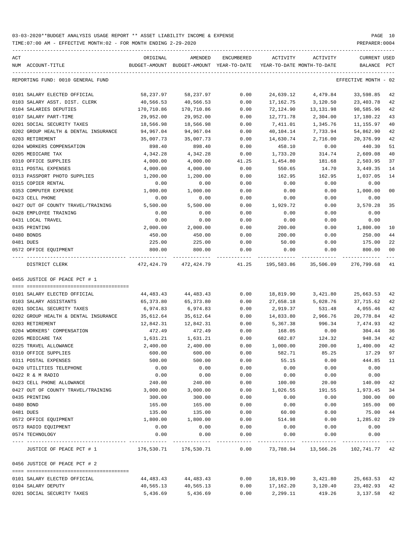TIME:07:00 AM - EFFECTIVE MONTH:02 - FOR MONTH ENDING 2-29-2020 PREPARER:0004

| ACT |                                      | ORIGINAL    | AMENDED                                  | ENCUMBERED        | ACTIVITY  | ACTIVITY                                                | <b>CURRENT USED</b>       |        |
|-----|--------------------------------------|-------------|------------------------------------------|-------------------|-----------|---------------------------------------------------------|---------------------------|--------|
|     | NUM ACCOUNT-TITLE                    |             | BUDGET-AMOUNT BUDGET-AMOUNT YEAR-TO-DATE |                   |           | YEAR-TO-DATE MONTH-TO-DATE                              | BALANCE                   | PCT    |
|     | REPORTING FUND: 0010 GENERAL FUND    |             |                                          |                   |           |                                                         | EFFECTIVE MONTH - 02      |        |
|     | 0101 SALARY ELECTED OFFICIAL         | 58,237.97   | 58,237.97                                | 0.00              | 24,639.12 | 4,479.84                                                | 33,598.85                 | 42     |
|     | 0103 SALARY ASST. DIST. CLERK        | 40,566.53   | 40,566.53                                | 0.00              | 17,162.75 | 3,120.50                                                | 23,403.78                 | 42     |
|     | 0104 SALARIES DEPUTIES               | 170,710.86  | 170,710.86                               | 0.00              | 72,124.90 | 13,131.98                                               | 98,585.96                 | 42     |
|     | 0107 SALARY PART-TIME                | 29,952.00   | 29,952.00                                | 0.00              | 12,771.78 | 2,304.00                                                | 17,180.22                 | 43     |
|     | 0201 SOCIAL SECURITY TAXES           | 18,566.98   | 18,566.98                                | 0.00              | 7,411.01  | 1,345.76                                                | 11,155.97                 | 40     |
|     | 0202 GROUP HEALTH & DENTAL INSURANCE | 94,967.04   | 94,967.04                                | 0.00              | 40,104.14 | 7,733.94                                                | 54,862.90                 | 42     |
|     | 0203 RETIREMENT                      | 35,007.73   | 35,007.73                                | 0.00              | 14,630.74 | 2,716.00                                                | 20,376.99                 | 42     |
|     | 0204 WORKERS COMPENSATION            | 898.40      | 898.40                                   | 0.00              | 458.10    | 0.00                                                    | 440.30                    | 51     |
|     | 0205 MEDICARE TAX                    | 4,342.28    | 4,342.28                                 | 0.00              | 1,733.20  | 314.74                                                  | 2,609.08                  | 40     |
|     | 0310 OFFICE SUPPLIES                 | 4,000.00    | 4,000.00                                 | 41.25             | 1,454.80  | 181.68                                                  | 2,503.95                  | 37     |
|     | 0311 POSTAL EXPENSES                 | 4,000.00    | 4,000.00                                 | 0.00              | 550.65    | 14.70                                                   | 3,449.35                  | 14     |
|     | 0313 PASSPORT PHOTO SUPPLIES         | 1,200.00    | 1,200.00                                 | 0.00              | 162.95    | 162.95                                                  | 1,037.05                  | 14     |
|     | 0315 COPIER RENTAL                   | 0.00        | 0.00                                     | 0.00              | 0.00      | 0.00                                                    | 0.00                      |        |
|     | 0353 COMPUTER EXPENSE                | 1,000.00    | 1,000.00                                 | 0.00              | 0.00      | 0.00                                                    | 1,000.00                  | 00     |
|     | 0423 CELL PHONE                      | 0.00        | 0.00                                     | 0.00              | 0.00      | 0.00                                                    | 0.00                      |        |
|     | 0427 OUT OF COUNTY TRAVEL/TRAINING   | 5,500.00    | 5,500.00                                 | 0.00              | 1,929.72  | 0.00                                                    | 3,570.28                  | 35     |
|     | 0428 EMPLOYEE TRAINING               | 0.00        | 0.00                                     | 0.00              | 0.00      | 0.00                                                    | 0.00                      |        |
|     | 0431 LOCAL TRAVEL                    | 0.00        | 0.00                                     | 0.00              | 0.00      | 0.00                                                    | 0.00                      |        |
|     | 0435 PRINTING                        | 2,000.00    | 2,000.00                                 | 0.00              | 200.00    | 0.00                                                    | 1,800.00                  | 10     |
|     | 0480 BONDS                           | 450.00      | 450.00                                   | 0.00              | 200.00    | 0.00                                                    | 250.00                    | 44     |
|     | 0481 DUES                            | 225.00      | 225.00                                   | 0.00              | 50.00     | 0.00                                                    | 175.00                    | 22     |
|     | 0572 OFFICE EQUIPMENT                | 800.00      | 800.00                                   | 0.00              | 0.00      | 0.00                                                    | 800.00                    | 00     |
|     | ---- ------------<br>DISTRICT CLERK  | ----------- | -------------<br>472, 424.79 472, 424.79 | 41.25             |           | _______________________________<br>195,583.86 35,506.09 | -----------<br>276,799.68 | 41     |
|     | 0455 JUSTICE OF PEACE PCT # 1        |             |                                          |                   |           |                                                         |                           |        |
|     |                                      |             |                                          |                   |           |                                                         |                           |        |
|     | 0101 SALARY ELECTED OFFICIAL         | 44,483.43   | 44,483.43                                | 0.00              | 18,819.90 | 3,421.80                                                | 25,663.53                 | 42     |
|     | 0103 SALARY ASSISTANTS               | 65,373.80   | 65,373.80                                | 0.00              | 27,658.18 | 5,028.76                                                | 37,715.62                 | 42     |
|     | 0201 SOCIAL SECURITY TAXES           | 6,974.83    | 6,974.83                                 | 0.00              | 2,919.37  | 531.48                                                  | 4,055.46                  | 42     |
|     | 0202 GROUP HEALTH & DENTAL INSURANCE | 35,612.64   | 35,612.64                                | 0.00              | 14,833.80 | 2,966.76                                                | 20,778.84                 | 42     |
|     | 0203 RETIREMENT                      | 12,842.31   | 12,842.31                                | 0.00              | 5,367.38  | 996.34                                                  | 7,474.93                  | 42     |
|     | 0204 WORKERS' COMPENSATION           | 472.49      | 472.49                                   | 0.00              | 168.05    | 0.00                                                    | 304.44                    | 36     |
|     | 0205 MEDICARE TAX                    | 1,631.21    | 1,631.21                                 | 0.00              | 682.87    | 124.32                                                  | 948.34                    | 42     |
|     | 0225 TRAVEL ALLOWANCE                | 2,400.00    | 2,400.00                                 | 0.00              | 1,000.00  | 200.00                                                  | 1,400.00                  | 42     |
|     | 0310 OFFICE SUPPLIES                 | 600.00      | 600.00                                   | 0.00              | 582.71    | 85.25                                                   | 17.29 97                  |        |
|     | 0311 POSTAL EXPENSES                 | 500.00      | 500.00                                   | 0.00              | 55.15     | 0.00                                                    | 444.85                    | 11     |
|     | 0420 UTILITIES TELEPHONE             | 0.00        | 0.00                                     | 0.00              | 0.00      | 0.00                                                    | 0.00                      |        |
|     | 0422 R & M RADIO                     | 0.00        | 0.00                                     | 0.00              | 0.00      | 0.00                                                    | 0.00                      |        |
|     | 0423 CELL PHONE ALLOWANCE            | 240.00      | 240.00                                   | 0.00              | 100.00    | 20.00                                                   | 140.00                    | 42     |
|     | 0427 OUT OF COUNTY TRAVEL/TRAINING   | 3,000.00    | 3,000.00                                 | 0.00              | 1,026.55  | 191.55                                                  | 1,973.45                  | 34     |
|     | 0435 PRINTING                        | 300.00      | 300.00                                   | 0.00              | 0.00      | 0.00                                                    | 300.00                    | 00     |
|     | 0480 BOND                            | 165.00      | 165.00                                   | 0.00              | 0.00      | 0.00                                                    | 165.00                    | $00\,$ |
|     | 0481 DUES                            | 135.00      | 135.00                                   | 0.00              | 60.00     | 0.00                                                    | 75.00                     | 44     |
|     | 0572 OFFICE EQUIPMENT                | 1,800.00    | 1,800.00                                 | 0.00              | 514.98    | 0.00                                                    | 1,285.02                  | 29     |
|     | 0573 RADIO EQUIPMENT                 | 0.00        | 0.00                                     | 0.00              | 0.00      | 0.00                                                    | 0.00                      |        |
|     | 0574 TECHNOLOGY                      | 0.00        | 0.00<br>-----------                      | 0.00<br>$--- - -$ | 0.00      | 0.00                                                    | 0.00                      |        |
|     | JUSTICE OF PEACE PCT # 1             | 176,530.71  | 176,530.71                               | 0.00              | 73,788.94 | 13,566.26                                               | 102,741.77 42             |        |
|     | 0456 JUSTICE OF PEACE PCT # 2        |             |                                          |                   |           |                                                         |                           |        |
|     |                                      |             |                                          |                   |           |                                                         |                           |        |
|     | 0101 SALARY ELECTED OFFICIAL         | 44,483.43   | 44,483.43                                | 0.00              | 18,819.90 | 3,421.80                                                | 25,663.53 42              |        |
|     | 0104 SALARY DEPUTY                   | 40,565.13   | 40,565.13                                | 0.00              | 17,162.20 | 3,120.40                                                | 23,402.93                 | 42     |
|     | 0201 SOCIAL SECURITY TAXES           | 5,436.69    | 5,436.69                                 | 0.00              | 2,299.11  | 419.26                                                  | 3,137.58                  | 42     |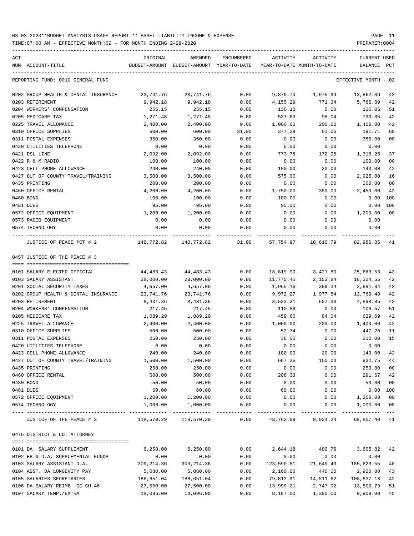TIME:07:00 AM - EFFECTIVE MONTH:02 - FOR MONTH ENDING 2-29-2020 PREPARER:0004

| ACT | NUM ACCOUNT-TITLE                                               | ORIGINAL<br>BUDGET-AMOUNT BUDGET-AMOUNT YEAR-TO-DATE | AMENDED               | ENCUMBERED    | ACTIVITY<br>YEAR-TO-DATE MONTH-TO-DATE | ACTIVITY                                                  | <b>CURRENT USED</b><br>BALANCE | PCT       |
|-----|-----------------------------------------------------------------|------------------------------------------------------|-----------------------|---------------|----------------------------------------|-----------------------------------------------------------|--------------------------------|-----------|
|     | REPORTING FUND: 0010 GENERAL FUND                               |                                                      |                       |               |                                        |                                                           | EFFECTIVE MONTH - 02           |           |
|     |                                                                 |                                                      |                       |               |                                        |                                                           |                                |           |
|     | 0202 GROUP HEALTH & DENTAL INSURANCE                            | 23,741.76                                            | 23,741.76             | 0.00          | 9,879.70                               | 1,975.94                                                  | 13,862.06                      | 42        |
|     | 0203 RETIREMENT                                                 | 9,942.18                                             | 9,942.18              | 0.00          | 4,155.29                               | 771.34                                                    | 5,786.89                       | 42        |
|     | 0204 WORKERS' COMPENSATION                                      | 255.15                                               | 255.15                | 0.00          | 130.10                                 | 0.00                                                      | 125.05                         | 51        |
|     | 0205 MEDICARE TAX                                               | 1,271.48                                             | 1,271.48              | 0.00          | 537.63                                 | 98.04<br>200.00                                           | 733.85<br>1,400.00             | 42        |
|     | 0225 TRAVEL ALLOWANCE                                           | 2,400.00                                             | 2,400.00              | 0.00          | 1,000.00                               |                                                           |                                | 42        |
|     | 0310 OFFICE SUPPLIES<br>0311 POSTAL EXPENSES                    | 600.00                                               | 600.00                | 31.00<br>0.00 | 377.29                                 | 61.06                                                     | 191.71                         | 68<br>00  |
|     | 0420 UTILITIES TELEPHONE                                        | 350.00<br>0.00                                       | 350.00<br>0.00        | 0.00          | 0.00<br>0.00                           | 0.00<br>0.00                                              | 350.00                         |           |
|     | 0421 DSL LINE                                                   | 2,092.00                                             | 2,092.00              | 0.00          | 773.75                                 | 172.95                                                    | 0.00<br>1,318.25               | 37        |
|     |                                                                 |                                                      |                       |               |                                        |                                                           |                                | 00        |
|     | 0422 R & M RADIO<br>0423 CELL PHONE ALLOWANCE                   | 100.00                                               | 100.00                | 0.00<br>0.00  | 0.00                                   | 0.00<br>20.00                                             | 100.00<br>140.00               | 42        |
|     |                                                                 | 240.00                                               | 240.00                |               | 100.00                                 |                                                           |                                |           |
|     | 0427 OUT OF COUNTY TRAVEL/TRAINING<br>0435 PRINTING             | 3,500.00<br>200.00                                   | 3,500.00<br>200.00    | 0.00<br>0.00  | 575.00<br>0.00                         | 0.00<br>0.00                                              | 2,925.00<br>200.00             | 16<br>00  |
|     |                                                                 | 4,200.00                                             |                       |               |                                        |                                                           |                                | 42        |
|     | 0460 OFFICE RENTAL                                              |                                                      | 4,200.00              | 0.00          | 1,750.00                               | 350.00                                                    | 2,450.00                       |           |
|     | 0480 BOND                                                       | 100.00                                               | 100.00                | 0.00          | 100.00<br>95.00                        | 0.00                                                      | 0.00                           | 100       |
|     | 0481 DUES                                                       | 95.00                                                | 95.00                 | 0.00          |                                        | 0.00                                                      | 0.00                           | 100<br>00 |
|     | 0572 OFFICE EOUIPMENT                                           | 1,200.00                                             | 1,200.00              | 0.00          | 0.00                                   | 0.00                                                      | 1,200.00                       |           |
|     | 0573 RADIO EQUIPMENT<br>0574 TECHNOLOGY                         | 0.00<br>0.00                                         | 0.00<br>0.00          | 0.00<br>0.00  | 0.00<br>0.00                           | 0.00<br>0.00                                              | 0.00<br>0.00                   |           |
|     |                                                                 |                                                      |                       |               |                                        |                                                           |                                |           |
|     | JUSTICE OF PEACE PCT # 2                                        |                                                      |                       |               |                                        | 140,772.82 140,772.82 31.00 57,754.97 10,610.79 82,986.85 |                                | 41        |
|     | 0457 JUSTICE OF THE PEACE # 3                                   |                                                      |                       |               |                                        |                                                           |                                |           |
|     |                                                                 |                                                      |                       |               |                                        |                                                           |                                |           |
|     | 0101 SALARY ELECTED OFFICIAL                                    | 44,483.43                                            | 44,483.43             | 0.00          | 18,819.90                              | 3,421.80                                                  | 25,663.53                      | 42        |
|     | 0103 SALARY ASSISTANT<br>0201 SOCIAL SECURITY TAXES             | 28,000.00<br>4,657.00                                | 28,000.00<br>4,657.00 | 0.00<br>0.00  | 11,775.45                              | 2,153.84<br>359.34                                        | 16,224.55<br>2,691.84          | 42<br>42  |
|     | 0202 GROUP HEALTH & DENTAL INSURANCE                            | 23,741.76                                            | 23,741.76             | 0.00          | 1,965.16                               | 1,977.84                                                  |                                | 42        |
|     | 0203 RETIREMENT                                                 | 8,431.36                                             | 8,431.36              | 0.00          | 9,972.27<br>3,533.31                   | 657.38                                                    | 13,769.49<br>4,898.05          | 42        |
|     | 0204 WORKERS' COMPENSATION                                      | 217.45                                               | 217.45                | 0.00          | 110.88                                 | 0.00                                                      | 106.57                         | 51        |
|     | 0205 MEDICARE TAX                                               | 1,089.29                                             | 1,089.29              | 0.00          | 459.60                                 | 84.04                                                     | 629.69                         | 42        |
|     |                                                                 | 2,400.00                                             |                       |               |                                        |                                                           | 1,400.00                       | 42        |
|     | 0225 TRAVEL ALLOWANCE                                           | 500.00                                               | 2,400.00              | 0.00          | 1,000.00                               | 200.00                                                    |                                |           |
|     | 0310 OFFICE SUPPLIES<br>0311 POSTAL EXPENSES                    | 250.00                                               | 500.00<br>250.00      | 0.00<br>0.00  | 52.74<br>38.00                         | 0.00<br>0.00                                              | 447.26<br>212.00               | 11<br>15  |
|     | 0420 UTILITIES TELEPHONE                                        | 0.00                                                 | 0.00                  | 0.00          | 0.00                                   | 0.00                                                      | 0.00                           |           |
|     |                                                                 |                                                      | 240.00                |               |                                        |                                                           |                                |           |
|     | 0423 CELL PHONE ALLOWANCE<br>0427 OUT OF COUNTY TRAVEL/TRAINING | 240.00<br>1,500.00                                   | 1,500.00              | 0.00<br>0.00  | 100.00<br>667.25                       | 20.00<br>150.00                                           | 140.00<br>832.75               | 42<br>44  |
|     | 0435 PRINTING                                                   | 250.00                                               | 250.00                | 0.00          | 0.00                                   | 0.00                                                      | 250.00                         | 00        |
|     | 0460 OFFICE RENTAL                                              | 500.00                                               | 500.00                | 0.00          | 208.33                                 | 0.00                                                      | 291.67                         | 42        |
|     | 0480 BOND                                                       | 50.00                                                | 50.00                 | 0.00          | 0.00                                   | 0.00                                                      | 50.00                          | 00        |
|     | 0481 DUES                                                       | 60.00                                                | 60.00                 | 0.00          | 60.00                                  | 0.00                                                      | 0.00                           | 100       |
|     | 0572 OFFICE EQUIPMENT                                           | 1,200.00                                             | 1,200.00              | 0.00          | 0.00                                   | 0.00                                                      | 1,200.00                       | 00        |
|     | 0574 TECHNOLOGY                                                 | 1,000.00                                             | 1,000.00              | 0.00          | 0.00                                   | 0.00                                                      | 1,000.00                       | 00        |
|     |                                                                 |                                                      |                       |               |                                        |                                                           |                                | $- - - -$ |
|     | JUSTICE OF THE PEACE # 3 118,570.29 118,570.29                  |                                                      |                       |               |                                        | $0.00$ $48,762.89$ $9,024.24$ $69,807.40$ $41$            |                                |           |
|     | 0475 DISTRICT & CO. ATTORNEY                                    |                                                      |                       |               |                                        |                                                           |                                |           |
|     | 0101 DA. SALARY SUPPLEMENT                                      | 6,250.00                                             | 6,250.00              | 0.00          | 2,644.18                               | 480.76                                                    | 3,605.82                       | 42        |
|     | 0102 HB 9 D.A. SUPPLEMENTAL FUNDS                               | 0.00                                                 | 0.00                  | 0.00          | 0.00                                   | 0.00                                                      | 0.00                           |           |
|     | 0103 SALARY ASSISTANT D.A.                                      | 309,214.36                                           | 309,214.36            | 0.00          | 123,590.81                             | 21,649.49                                                 | 185,623.55                     | 40        |
|     | 0104 ASST. DA LONGEVITY PAY                                     | 5,080.00                                             | 5,080.00              | 0.00          | 2,160.00                               | 440.00                                                    | 2,920.00                       | 43        |
|     | 0105 SALARIES SECRETARIES                                       | 188,651.04                                           | 188,651.04            | 0.00          | 79,813.91                              | 14,511.62                                                 | 108,837.13                     | 42        |
|     | 0106 DA SALARY REIMB. GC CH 46                                  | 27,500.00                                            | 27,500.00             | 0.00          | 13,999.21                              | 2,747.02                                                  | 13,500.79                      | 51        |
|     | 0107 SALARY TEMP./EXTRA                                         |                                                      | 18,096.00 18,096.00   | 0.00          |                                        | 8,187.00 1,380.00                                         | 9,909.00                       | 45        |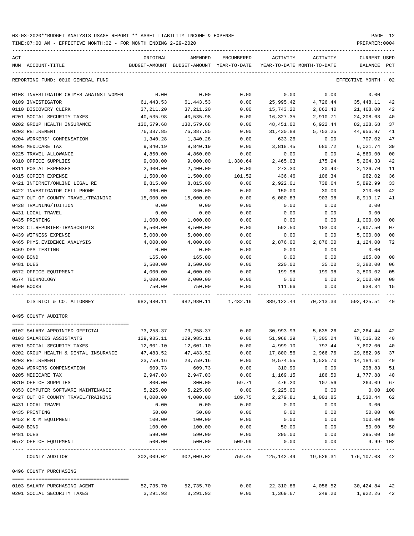TIME:07:00 AM - EFFECTIVE MONTH:02 - FOR MONTH ENDING 2-29-2020 PREPARER:0004

| ACT |                                        | ORIGINAL   | AMENDED                                  | ENCUMBERED             | ACTIVITY   | ACTIVITY                                       | CURRENT USED               |    |
|-----|----------------------------------------|------------|------------------------------------------|------------------------|------------|------------------------------------------------|----------------------------|----|
|     | NUM ACCOUNT-TITLE                      |            | BUDGET-AMOUNT BUDGET-AMOUNT YEAR-TO-DATE |                        |            | YEAR-TO-DATE MONTH-TO-DATE                     | BALANCE PCT                |    |
|     | REPORTING FUND: 0010 GENERAL FUND      |            |                                          |                        |            |                                                | EFFECTIVE MONTH - 02       |    |
|     | 0108 INVESTIGATOR CRIMES AGAINST WOMEN | 0.00       | 0.00                                     | 0.00                   | 0.00       | 0.00                                           | 0.00                       |    |
|     | 0109 INVESTIGATOR                      | 61,443.53  | 61,443.53                                | 0.00                   | 25,995.42  | 4,726.44                                       | 35,448.11                  | 42 |
|     | 0110 DISCOVERY CLERK                   | 37,211.20  | 37,211.20                                | 0.00                   | 15,743.20  | 2,862.40                                       | 21,468.00                  | 42 |
|     | 0201 SOCIAL SECURITY TAXES             | 40,535.98  | 40,535.98                                | 0.00                   | 16,327.35  | 2,910.71                                       | 24,208.63                  | 40 |
|     | 0202 GROUP HEALTH INSURANCE            | 130,579.68 | 130,579.68                               | 0.00                   | 48,451.00  | 6,922.44                                       | 82,128.68                  | 37 |
|     | 0203 RETIREMENT                        | 76,387.85  | 76,387.85                                | 0.00                   | 31,430.88  | 5,753.25                                       | 44,956.97                  | 41 |
|     | 0204 WORKERS' COMPENSATION             | 1,340.28   | 1,340.28                                 | 0.00                   | 633.26     | 0.00                                           | 707.02                     | 47 |
|     | 0205 MEDICARE TAX                      | 9,840.19   | 9,840.19                                 | 0.00                   | 3,818.45   | 680.72                                         | 6,021.74                   | 39 |
|     | 0225 TRAVEL ALLOWANCE                  | 4,860.00   | 4,860.00                                 | 0.00                   | 0.00       | 0.00                                           | 4,860.00                   | 00 |
|     | 0310 OFFICE SUPPLIES                   | 9,000.00   | 9,000.00                                 | 1,330.64               | 2,465.03   | 175.94                                         | 5,204.33                   | 42 |
|     | 0311 POSTAL EXPENSES                   | 2,400.00   | 2,400.00                                 | 0.00                   | 273.30     | $20.40-$                                       | 2,126.70                   | 11 |
|     | 0315 COPIER EXPENSE                    | 1,500.00   | 1,500.00                                 | 101.52                 | 436.46     | 106.34                                         | 962.02                     | 36 |
|     | 0421 INTERNET/ONLINE LEGAL RE          | 8,815.00   | 8,815.00                                 | 0.00                   | 2,922.01   | 738.64                                         | 5,892.99                   | 33 |
|     | 0422 INVESTIGATOR CELL PHONE           | 360.00     | 360.00                                   | 0.00                   | 150.00     | 30.00                                          | 210.00                     | 42 |
|     | 0427 OUT OF COUNTY TRAVEL/TRAINING     | 15,000.00  | 15,000.00                                | 0.00                   | 6,080.83   | 903.98                                         | 8,919.17                   | 41 |
|     | 0428 TRAINING/TUITION                  | 0.00       | 0.00                                     | 0.00                   | 0.00       | 0.00                                           | 0.00                       |    |
|     | 0431 LOCAL TRAVEL                      | 0.00       | 0.00                                     | 0.00                   | 0.00       | 0.00                                           | 0.00                       |    |
|     | 0435 PRINTING                          | 1,000.00   | 1,000.00                                 | 0.00                   | 0.00       | 0.00                                           | 1,000.00                   | 00 |
|     | 0438 CT.REPORTER-TRANSCRIPTS           | 8,500.00   | 8,500.00                                 | 0.00                   | 592.50     | 103.00                                         | 7,907.50                   | 07 |
|     | 0439 WITNESS EXPENSE                   | 5,000.00   | 5,000.00                                 | 0.00                   | 0.00       | 0.00                                           | 5,000.00                   | 00 |
|     | 0465 PHYS. EVIDENCE ANALYSIS           | 4,000.00   | 4,000.00                                 | 0.00                   | 2,876.00   | 2,876.00                                       | 1,124.00                   | 72 |
|     | 0469 DPS TESTING                       | 0.00       | 0.00                                     | 0.00                   | 0.00       | 0.00                                           | 0.00                       |    |
|     | 0480 BOND                              | 165.00     | 165.00                                   | 0.00                   | 0.00       | 0.00                                           | 165.00                     | 00 |
|     | 0481 DUES                              | 3,500.00   | 3,500.00                                 | 0.00                   | 220.00     | 35.00                                          | 3,280.00                   | 06 |
|     | 0572 OFFICE EQUIPMENT                  | 4,000.00   | 4,000.00                                 | 0.00                   | 199.98     | 199.98                                         | 3,800.02                   | 05 |
|     | 0574 TECHNOLOGY                        | 2,000.00   | 2,000.00                                 | 0.00                   | 0.00       | 0.00                                           | 2,000.00                   | 00 |
|     | 0590 BOOKS                             | 750.00     | 750.00                                   | 0.00                   | 111.66     | 0.00                                           | 638.34                     | 15 |
|     | DISTRICT & CO. ATTORNEY                |            |                                          |                        |            |                                                | 592,425.51                 | 40 |
|     | 0495 COUNTY AUDITOR                    |            |                                          |                        |            |                                                |                            |    |
|     |                                        |            |                                          |                        |            |                                                |                            |    |
|     | 0102 SALARY APPOINTED OFFICIAL         |            | 73,258.37 73,258.37                      |                        |            | $0.00$ $30,993.93$ $5,635.26$ $42,264.44$ $42$ |                            |    |
|     | 0103 SALARIES ASSISTANTS               | 129,985.11 | 129,985.11                               | 0.00                   |            | 51,968.29 7,305.24 78,016.82                   |                            | 40 |
|     | 0201 SOCIAL SECURITY TAXES             | 12,601.10  | 12,601.10                                | 0.00                   | 4,999.10   | 797.44                                         | 7,602.00                   | 40 |
|     | 0202 GROUP HEALTH & DENTAL INSURANCE   | 47,483.52  | 47,483.52                                | 0.00                   | 17,800.56  | 2,966.76                                       | 29,682.96 37               |    |
|     | 0203 RETIREMENT                        | 23,759.16  | 23,759.16                                | 0.00                   | 9,574.55   | 1,525.70                                       | 14,184.61                  | 40 |
|     | 0204 WORKERS COMPENSATION              | 609.73     | 609.73                                   | 0.00                   | 310.90     | 0.00                                           | 298.83                     | 51 |
|     | 0205 MEDICARE TAX                      | 2,947.03   | 2,947.03                                 | 0.00                   | 1,169.15   | 186.50                                         | 1,777.88                   | 40 |
|     | 0310 OFFICE SUPPLIES                   | 800.00     | 800.00                                   | 59.71                  | 476.20     | 107.56                                         | 264.09                     | 67 |
|     | 0353 COMPUTER SOFTWARE MAINTENANCE     | 5,225.00   | 5,225.00                                 | 0.00                   | 5,225.00   | 0.00                                           | 0.00 100                   |    |
|     | 0427 OUT OF COUNTY TRAVEL/TRAINING     | 4,000.00   | 4,000.00                                 | 189.75                 | 2,279.81   | 1,001.85                                       | 1,530.44                   | 62 |
|     | 0431 LOCAL TRAVEL                      | 0.00       | 0.00                                     | 0.00                   | 0.00       | 0.00                                           | 0.00                       |    |
|     | 0435 PRINTING                          | 50.00      | 50.00                                    | 0.00                   | 0.00       | 0.00                                           | 50.00                      | 00 |
|     | 0452 R & M EQUIPMENT                   | 100.00     | 100.00                                   | 0.00                   | 0.00       | 0.00                                           | 100.00                     | 00 |
|     | 0480 BOND                              | 100.00     | 100.00                                   | 0.00                   | 50.00      | 0.00                                           | 50.00                      | 50 |
|     | 0481 DUES                              | 590.00     | 590.00                                   | 0.00                   | 295.00     | 0.00                                           | 295.00                     | 50 |
|     | 0572 OFFICE EQUIPMENT                  | 500.00     | 500.00                                   | 509.99<br>------------ | 0.00       | 0.00<br>---------------------------            | $9.99 - 102$<br>---------- |    |
|     | COUNTY AUDITOR                         | 302,009.02 | 302,009.02                               | 759.45                 | 125,142.49 | 19,526.31                                      | 176,107.08 42              |    |
|     | 0496 COUNTY PURCHASING                 |            |                                          |                        |            |                                                |                            |    |
|     | 0103 SALARY PURCHASING AGENT           | 52,735.70  | 52,735.70                                | 0.00                   | 22,310.86  | 4,056.52                                       | 30,424.84 42               |    |
|     | 0201 SOCIAL SECURITY TAXES             | 3,291.93   | 3,291.93                                 | 0.00                   | 1,369.67   | 249.20                                         | 1,922.26 42                |    |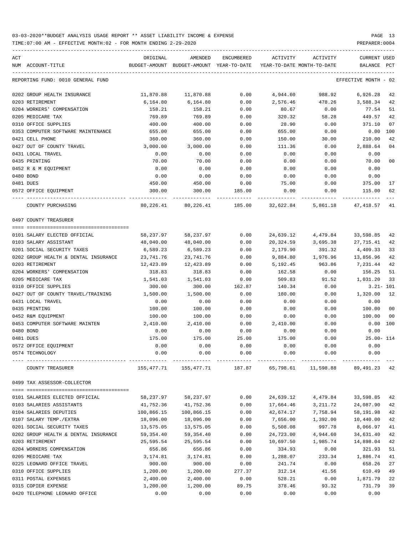TIME:07:00 AM - EFFECTIVE MONTH:02 - FOR MONTH ENDING 2-29-2020

| ACT<br>NUM ACCOUNT-TITLE             | ORIGINAL   | AMENDED<br>BUDGET-AMOUNT BUDGET-AMOUNT YEAR-TO-DATE        | ENCUMBERED | ACTIVITY<br>YEAR-TO-DATE MONTH-TO-DATE | ACTIVITY | <b>CURRENT USED</b><br>BALANCE PCT |                |
|--------------------------------------|------------|------------------------------------------------------------|------------|----------------------------------------|----------|------------------------------------|----------------|
|                                      |            |                                                            |            |                                        |          |                                    |                |
| REPORTING FUND: 0010 GENERAL FUND    |            |                                                            |            |                                        |          | EFFECTIVE MONTH - 02               |                |
| 0202 GROUP HEALTH INSURANCE          | 11,870.88  | 11,870.88                                                  | 0.00       | 4,944.60                               | 988.92   | 6,926.28                           | 42             |
| 0203 RETIREMENT                      | 6,164.80   | 6,164.80                                                   | 0.00       | 2,576.46                               | 478.26   | 3,588.34                           | 42             |
| 0204 WORKERS' COMPENSATION           | 158.21     | 158.21                                                     | 0.00       | 80.67                                  | 0.00     | 77.54                              | 51             |
| 0205 MEDICARE TAX                    | 769.89     | 769.89                                                     | 0.00       | 320.32                                 | 58.28    | 449.57                             | 42             |
| 0310 OFFICE SUPPLIES                 | 400.00     | 400.00                                                     | 0.00       | 28.90                                  | 0.00     | 371.10                             | 07             |
| 0353 COMPUTER SOFTWARE MAINTENANCE   | 655.00     | 655.00                                                     | 0.00       | 655.00                                 | 0.00     | 0.00                               | 100            |
| 0421 CELL PHONE                      | 360.00     | 360.00                                                     | 0.00       | 150.00                                 | 30.00    | 210.00                             | 42             |
| 0427 OUT OF COUNTY TRAVEL            | 3,000.00   | 3,000.00                                                   | 0.00       | 111.36                                 | 0.00     | 2,888.64                           | 0 <sub>4</sub> |
| 0431 LOCAL TRAVEL                    | 0.00       | 0.00                                                       | 0.00       | 0.00                                   | 0.00     | 0.00                               |                |
| 0435 PRINTING                        | 70.00      | 70.00                                                      | 0.00       | 0.00                                   | 0.00     | 70.00                              | 0 <sub>0</sub> |
| 0452 R & M EQUIPMENT                 | 0.00       | 0.00                                                       | 0.00       | 0.00                                   | 0.00     | 0.00                               |                |
| 0480 BOND                            | 0.00       | 0.00                                                       | 0.00       | 0.00                                   | 0.00     | 0.00                               |                |
| 0481 DUES                            | 450.00     | 450.00                                                     | 0.00       | 75.00                                  | 0.00     | 375.00                             | 17             |
| 0572 OFFICE EQUIPMENT                | 300.00     | 300.00                                                     | 185.00     | 0.00                                   | 0.00     | 115.00                             | 62             |
| COUNTY PURCHASING                    | 80,226.41  | 80,226.41                                                  | 185.00     | 32,622.84                              | 5,861.18 | 47,418.57                          | 41             |
| 0497 COUNTY TREASURER                |            |                                                            |            |                                        |          |                                    |                |
| 0101 SALARY ELECTED OFFICIAL         | 58,237.97  | 58,237.97                                                  | 0.00       | 24,639.12                              | 4,479.84 | 33,598.85                          | 42             |
| 0103 SALARY ASSISTANT                | 48,040.00  | 48,040.00                                                  | 0.00       | 20,324.59                              | 3,695.38 | 27,715.41                          | 42             |
| 0201 SOCIAL SECURITY TAXES           | 6,589.23   | 6,589.23                                                   | 0.00       | 2,179.90                               | 391.32   | 4,409.33                           | 33             |
| 0202 GROUP HEALTH & DENTAL INSURANCE | 23,741.76  | 23,741.76                                                  | 0.00       | 9,884.80                               | 1,976.96 | 13,856.96                          | 42             |
| 0203 RETIREMENT                      | 12,423.89  | 12,423.89                                                  | 0.00       | 5,192.45                               | 963.86   | 7,231.44                           | 42             |
| 0204 WORKERS' COMPENSATION           | 318.83     | 318.83                                                     | 0.00       | 162.58                                 | 0.00     | 156.25                             | 51             |
| 0205 MEDICARE TAX                    | 1,541.03   | 1,541.03                                                   | 0.00       | 509.83                                 | 91.52    | 1,031.20                           | 33             |
| 0310 OFFICE SUPPLIES                 | 300.00     | 300.00                                                     | 162.87     | 140.34                                 | 0.00     |                                    | $3.21 - 101$   |
| 0427 OUT OF COUNTY TRAVEL/TRAINING   | 1,500.00   | 1,500.00                                                   | 0.00       | 180.00                                 | 0.00     | 1,320.00                           | 12             |
| 0431 LOCAL TRAVEL                    | 0.00       | 0.00                                                       | 0.00       | 0.00                                   | 0.00     | 0.00                               |                |
| 0435 PRINTING                        | 100.00     | 100.00                                                     | 0.00       | 0.00                                   | 0.00     | 100.00                             | 0 <sub>0</sub> |
| 0452 R&M EOUIPMENT                   | 100.00     | 100.00                                                     | 0.00       | 0.00                                   | 0.00     | 100.00                             | 0 <sub>0</sub> |
| 0453 COMPUTER SOFTWARE MAINTEN       | 2,410.00   | 2,410.00                                                   | 0.00       | 2,410.00                               | 0.00     | $0.00$ 100                         |                |
| 0480 BOND                            | 0.00       | 0.00                                                       | 0.00       | 0.00                                   | 0.00     | 0.00                               |                |
| 0481 DUES                            | 175.00     | 175.00                                                     | 25.00      | 175.00                                 | 0.00     | $25.00 - 114$                      |                |
| 0572 OFFICE EQUIPMENT                | 0.00       | 0.00                                                       | 0.00       | 0.00                                   | 0.00     | 0.00                               |                |
| 0574 TECHNOLOGY                      | 0.00       | 0.00                                                       | 0.00       | 0.00                                   | 0.00     | 0.00                               |                |
| COUNTY TREASURER                     |            | 155,477.71 155,477.71 187.87 65,798.61 11,598.88 89,491.23 |            |                                        |          |                                    | 42             |
| 0499 TAX ASSESSOR-COLLECTOR          |            |                                                            |            |                                        |          |                                    |                |
|                                      |            |                                                            |            |                                        |          |                                    |                |
| 0101 SALARIES ELECTED OFFICIAL       | 58,237.97  | 58,237.97                                                  | 0.00       | 24,639.12                              | 4,479.84 | 33,598.85                          | 42             |
| 0103 SALARIES ASSISTANTS             | 41,752.36  | 41,752.36                                                  | 0.00       | 17,664.46                              | 3,211.72 | 24,087.90                          | 42             |
| 0104 SALARIES DEPUTIES               | 100,866.15 | 100,866.15                                                 | 0.00       | 42,674.17                              | 7,758.94 | 58,191.98                          | 42             |
| 0107 SALARY TEMP./EXTRA              | 18,096.00  | 18,096.00                                                  | 0.00       | 7,656.00                               | 1,392.00 | 10,440.00                          | 42             |
| 0201 SOCIAL SECURITY TAXES           | 13,575.05  | 13,575.05                                                  | 0.00       | 5,508.08                               | 997.78   | 8,066.97                           | 41             |
| 0202 GROUP HEALTH & DENTAL INSURANCE | 59,354.40  | 59,354.40                                                  | 0.00       | 24,723.00                              | 4,944.60 | 34,631.40                          | 42             |
| 0203 RETIREMENT                      | 25,595.54  | 25,595.54                                                  | 0.00       | 10,697.50                              | 1,985.74 | 14,898.04                          | 42             |
| 0204 WORKERS COMPENSATION            | 656.86     | 656.86                                                     | 0.00       | 334.93                                 | 0.00     | 321.93                             | 51             |
| 0205 MEDICARE TAX                    | 3,174.81   | 3,174.81                                                   | 0.00       | 1,288.07                               | 233.34   | 1,886.74                           | 41             |
| 0225 LEONARD OFFICE TRAVEL           | 900.00     | 900.00                                                     | 0.00       | 241.74                                 | 0.00     | 658.26                             | 27             |
| 0310 OFFICE SUPPLIES                 | 1,200.00   | 1,200.00                                                   | 277.37     | 312.14                                 | 41.56    | 610.49                             | 49             |
| 0311 POSTAL EXPENSES                 | 2,400.00   | 2,400.00                                                   | 0.00       | 528.21                                 | 0.00     | 1,871.79                           | 22             |
| 0315 COPIER EXPENSE                  | 1,200.00   | 1,200.00                                                   | 89.75      | 378.46                                 | 93.32    | 731.79                             | 39             |

0420 TELEPHONE LEONARD OFFICE  $0.00$  0.00 0.00 0.00 0.00 0.00 0.00 0.00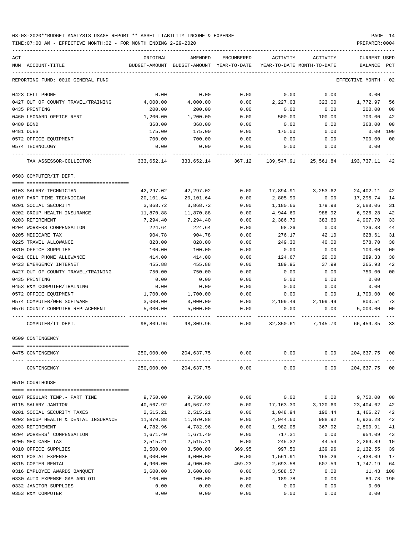TIME:07:00 AM - EFFECTIVE MONTH:02 - FOR MONTH ENDING 2-29-2020 PREPARER:0004

| ACT                                         | ORIGINAL                                                            | AMENDED    | ENCUMBERED | ACTIVITY                                                        | ACTIVITY           | <b>CURRENT USED</b>  |                |
|---------------------------------------------|---------------------------------------------------------------------|------------|------------|-----------------------------------------------------------------|--------------------|----------------------|----------------|
| NUM ACCOUNT-TITLE                           | BUDGET-AMOUNT BUDGET-AMOUNT YEAR-TO-DATE YEAR-TO-DATE MONTH-TO-DATE |            |            |                                                                 |                    | BALANCE PCT          |                |
| REPORTING FUND: 0010 GENERAL FUND           |                                                                     |            |            |                                                                 |                    | EFFECTIVE MONTH - 02 |                |
| 0423 CELL PHONE                             | 0.00                                                                | 0.00       | 0.00       | 0.00                                                            | 0.00               | 0.00                 |                |
| 0427 OUT OF COUNTY TRAVEL/TRAINING 4,000.00 |                                                                     | 4,000.00   | 0.00       | 2,227.03                                                        | 323.00             | 1,772.97             | 56             |
| 0435 PRINTING                               | 200.00                                                              | 200.00     | 0.00       | 0.00                                                            | 0.00               | 200.00               | 00             |
| 0460 LEONARD OFFICE RENT                    | 1,200.00                                                            | 1,200.00   | 0.00       | 500.00                                                          | 100.00             | 700.00               | 42             |
| 0480 BOND                                   | 368.00                                                              | 368.00     | 0.00       | 0.00                                                            | 0.00               | 368.00               | 00             |
| 0481 DUES                                   | 175.00                                                              | 175.00     | 0.00       | 175.00                                                          | 0.00               | 0.00                 | 100            |
| 0572 OFFICE EQUIPMENT                       | 700.00                                                              | 700.00     | 0.00       | 0.00                                                            | 0.00               | 700.00               | 0 <sup>0</sup> |
| 0574 TECHNOLOGY                             | 0.00                                                                | 0.00       | 0.00       | 0.00                                                            | 0.00               | 0.00                 |                |
| TAX ASSESSOR-COLLECTOR                      |                                                                     |            |            | 333,652.14 333,652.14 367.12 139,547.91 25,561.84 193,737.11 42 |                    |                      |                |
| 0503 COMPUTER/IT DEPT.                      |                                                                     |            |            |                                                                 |                    |                      |                |
| 0103 SALARY-TECHNICIAN                      | 42,297.02                                                           | 42,297.02  | 0.00       |                                                                 | 17,894.91 3,253.62 | 24,402.11            | 42             |
| 0107 PART TIME TECHNICIAN                   | 20,101.64                                                           | 20,101.64  | 0.00       | 2,805.90                                                        | 0.00               | 17,295.74            | 14             |
| 0201 SOCIAL SECURITY                        | 3,868.72                                                            | 3,868.72   | 0.00       | 1,180.66                                                        | 179.98             | 2,688.06             | 31             |
| 0202 GROUP HEALTH INSURANCE                 | 11,870.88                                                           | 11,870.88  | 0.00       | 4,944.60                                                        | 988.92             | 6,926.28             | 42             |
| 0203 RETIREMENT                             | 7,294.40                                                            | 7,294.40   | 0.00       | 2,386.70                                                        | 383.60             | 4,907.70             | 33             |
| 0204 WORKERS COMPENSATION                   | 224.64                                                              | 224.64     | 0.00       | 98.26                                                           | 0.00               | 126.38               | 44             |
| 0205 MEDICARE TAX                           | 904.78                                                              | 904.78     | 0.00       | 276.17                                                          | 42.10              | 628.61               | 31             |
| 0225 TRAVEL ALLOWANCE                       | 828.00                                                              | 828.00     | 0.00       | 249.30                                                          | 40.00              | 578.70               | 30             |
| 0310 OFFICE SUPPLIES                        | 100.00                                                              | 100.00     | 0.00       | 0.00                                                            | 0.00               | 100.00               | 0 <sub>0</sub> |
| 0421 CELL PHONE ALLOWANCE                   | 414.00                                                              | 414.00     | 0.00       | 124.67                                                          | 20.00              | 289.33               | 30             |
| 0423 EMERGENCY INTERNET                     | 455.88                                                              | 455.88     | 0.00       | 189.95                                                          | 37.99              | 265.93               | 42             |
| 0427 OUT OF COUNTY TRAVEL/TRAINING          | 750.00                                                              | 750.00     | 0.00       | 0.00                                                            | 0.00               | 750.00               | 0 <sup>0</sup> |
| 0435 PRINTING                               | 0.00                                                                | 0.00       | 0.00       | 0.00                                                            | 0.00               | 0.00                 |                |
| 0453 R&M COMPUTER/TRAINING                  | 0.00                                                                | 0.00       | 0.00       | 0.00                                                            | 0.00               | 0.00                 |                |
| 0572 OFFICE EQUIPMENT                       | 1,700.00                                                            | 1,700.00   | 0.00       | 0.00                                                            | 0.00               | 1,700.00             | 00             |
| 0574 COMPUTER/WEB SOFTWARE                  | 3,000.00                                                            | 3,000.00   |            | $0.00$ 2,199.49 2,199.49                                        |                    | 800.51               | 73             |
| 0576 COUNTY COMPUTER REPLACEMENT            | 5,000.00                                                            | 5,000.00   | 0.00       | 0.00                                                            | 0.00               | 5,000.00             | 0 <sup>0</sup> |
| COMPUTER/IT DEPT.                           |                                                                     |            |            | 98,809.96 98,809.96 0.00 32,350.61 7,145.70 66,459.35 33        |                    |                      |                |
| 0509 CONTINGENCY                            |                                                                     |            |            |                                                                 |                    |                      |                |
|                                             |                                                                     |            |            |                                                                 |                    |                      |                |
| 0475 CONTINGENCY                            | 250,000.00                                                          | 204,637.75 | 0.00       | 0.00                                                            | 0.00               | 204,637.75 00        |                |
| CONTINGENCY                                 | 250,000.00                                                          | 204,637.75 | 0.00       | 0.00                                                            | 0.00               | 204,637.75 00        |                |
| 0510 COURTHOUSE                             |                                                                     |            |            |                                                                 |                    |                      |                |
| 0107 REGULAR TEMP.- PART TIME               | 9,750.00                                                            | 9,750.00   | 0.00       | 0.00                                                            | 0.00               | 9,750.00             | 00             |
| 0115 SALARY JANITOR                         | 40,567.92                                                           | 40,567.92  | 0.00       | 17,163.30                                                       | 3,120.60           | 23,404.62            | 42             |
| 0201 SOCIAL SECURITY TAXES                  | 2,515.21                                                            | 2,515.21   | 0.00       | 1,048.94                                                        | 190.44             | 1,466.27             | 42             |
| 0202 GROUP HEALTH & DENTAL INSURANCE        | 11,870.88                                                           | 11,870.88  | 0.00       | 4,944.60                                                        | 988.92             | 6,926.28             | 42             |
| 0203 RETIREMENT                             | 4,782.96                                                            | 4,782.96   | 0.00       | 1,982.05                                                        | 367.92             | 2,800.91             | 41             |
| 0204 WORKERS' COMPENSATION                  | 1,671.40                                                            | 1,671.40   | 0.00       | 717.31                                                          | 0.00               | 954.09               | 43             |
| 0205 MEDICARE TAX                           | 2,515.21                                                            | 2,515.21   | 0.00       | 245.32                                                          | 44.54              | 2,269.89             | 10             |
| 0310 OFFICE SUPPLIES                        | 3,500.00                                                            | 3,500.00   | 369.95     | 997.50                                                          | 139.96             | 2,132.55             | 39             |
| 0311 POSTAL EXPENSE                         | 9,000.00                                                            | 9,000.00   | 0.00       | 1,561.91                                                        | 165.26             | 7,438.09             | 17             |
| 0315 COPIER RENTAL                          | 4,900.00                                                            | 4,900.00   | 459.23     | 2,693.58                                                        | 607.59             | 1,747.19             | 64             |
| 0316 EMPLOYEE AWARDS BANQUET                | 3,600.00                                                            | 3,600.00   | 0.00       | 3,588.57                                                        | 0.00               | 11.43 100            |                |
| 0330 AUTO EXPENSE-GAS AND OIL               | 100.00                                                              | 100.00     | 0.00       | 189.78                                                          | 0.00               | 89.78- 190           |                |
| 0332 JANITOR SUPPLIES                       | 0.00                                                                | 0.00       | 0.00       | 0.00                                                            | 0.00               | 0.00                 |                |
|                                             |                                                                     |            |            |                                                                 |                    |                      |                |

0353 R&M COMPUTER 0.00 0.00 0.00 0.00 0.00 0.00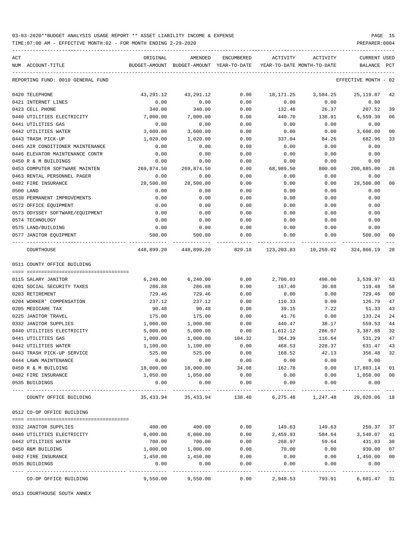TIME:07:00 AM - EFFECTIVE MONTH:02 - FOR MONTH ENDING 2-29-2020

| ACT |                                   | ORIGINAL      | AMENDED                                 | ENCUMBERED         | ACTIVITY                   | ACTIVITY  | <b>CURRENT USED</b>       |       |
|-----|-----------------------------------|---------------|-----------------------------------------|--------------------|----------------------------|-----------|---------------------------|-------|
|     | NUM ACCOUNT-TITLE                 | BUDGET-AMOUNT | BUDGET-AMOUNT YEAR-TO-DATE              |                    | YEAR-TO-DATE MONTH-TO-DATE |           | BALANCE                   | PCT   |
|     | REPORTING FUND: 0010 GENERAL FUND |               |                                         |                    |                            |           | EFFECTIVE MONTH - 02      |       |
|     | 0420 TELEPHONE                    | 43,291.12     | 43,291.12                               | 0.00               | 18,171.25                  | 3,584.25  | 25,119.87                 | 42    |
|     | 0421 INTERNET LINES               | 0.00          | 0.00                                    | 0.00               | 0.00                       | 0.00      | 0.00                      |       |
|     | 0423 CELL PHONE                   | 340.00        | 340.00                                  | 0.00               | 132.48                     | 26.37     | 207.52                    | 39    |
|     | 0440 UTILITIES ELECTRICITY        | 7,000.00      | 7,000.00                                | 0.00               | 440.70                     | 138.91    | 6,559.30                  | 06    |
|     | 0441 UTILITIES GAS                | 0.00          | 0.00                                    | 0.00               | 0.00                       | 0.00      | 0.00                      |       |
|     | 0442 UTILITIES WATER              | 3,600.00      | 3,600.00                                | 0.00               | 0.00                       | 0.00      | 3,600.00                  | 00    |
|     | 0443 TRASH PICK-UP                | 1,020.00      | 1,020.00                                | 0.00               | 337.04                     | 84.26     | 682.96                    | 33    |
|     | 0445 AIR CONDITIONER MAINTENANCE  | 0.00          | 0.00                                    | 0.00               | 0.00                       | 0.00      | 0.00                      |       |
|     | 0446 ELEVATOR MAINTENANCE CONTR   | 0.00          | 0.00                                    | 0.00               | 0.00                       | 0.00      | 0.00                      |       |
|     | 0450 R & M BUILDINGS              | 0.00          | 0.00                                    | 0.00               | 0.00                       | 0.00      | 0.00                      |       |
|     | 0453 COMPUTER SOFTWARE MAINTEN    | 269,874.50    | 269,874.50                              | 0.00               | 68,989.50                  | 800.00    | 200,885.00                | 26    |
|     | 0463 RENTAL PERSONNEL PAGER       | 0.00          | 0.00                                    | 0.00               | 0.00                       | 0.00      | 0.00                      |       |
|     | 0482 FIRE INSURANCE               | 28,500.00     | 28,500.00                               | 0.00               | 0.00                       | 0.00      | 28,500.00                 | 00    |
|     | 0500 LAND                         | 0.00          | 0.00                                    | 0.00               | 0.00                       | 0.00      | 0.00                      |       |
|     | 0530 PERMANENT IMPROVEMENTS       | 0.00          | 0.00                                    | 0.00               | 0.00                       | 0.00      | 0.00                      |       |
|     | 0572 OFFICE EQUIPMENT             | 0.00          | 0.00                                    | 0.00               | 0.00                       | 0.00      | 0.00                      |       |
|     | 0573 ODYSSEY SOFTWARE/EOUIPMENT   | 0.00          | 0.00                                    | 0.00               | 0.00                       | 0.00      | 0.00                      |       |
|     | 0574 TECHNOLOGY                   | 0.00          | 0.00                                    | 0.00               | 0.00                       | 0.00      | 0.00                      |       |
|     | 0575 LAND/BUILDING                | 0.00          | 0.00                                    | 0.00               | 0.00                       | 0.00      | 0.00                      |       |
|     | 0577 JANITOR EQUIPMENT            | 500.00        | 500.00                                  | 0.00               | 0.00                       | 0.00      | 500.00                    | 00    |
|     | COURTHOUSE                        |               | 448,899.20 448,899.20 829.18 123,203.83 |                    |                            | 10,259.02 | 324,866.19                | 28    |
|     | 0511 COUNTY OFFICE BUILDING       |               |                                         |                    |                            |           |                           |       |
|     | 0115 SALARY JANITOR               | 6,240.00      | 6,240.00                                | 0.00               | 2,700.03                   | 498.00    | 3,539.97                  | 43    |
|     | 0201 SOCIAL SECURITY TAXES        | 286.88        | 286.88                                  | 0.00               | 167.40                     | 30.88     | 119.48                    | 58    |
|     | 0203 RETIREMENT                   | 729.46        | 729.46                                  | 0.00               | 0.00                       | 0.00      | 729.46                    | 00    |
|     | 0204 WORKER' COMPENSATION         | 237.12        | 237.12                                  | 0.00               | 110.33                     | 0.00      | 126.79                    | 47    |
|     | 0205 MEDICARE TAX                 | 90.48         | 90.48                                   | 0.00               | 39.15                      | 7.22      | 51.33                     | 43    |
|     | 0225 JANITOR TRAVEL               | 175.00        | 175.00                                  | 0.00               | 41.76                      | 0.00      | 133.24                    | 24    |
|     | 0332 JANITOR SUPPLIES             | 1,000.00      | 1,000.00                                | 0.00               | 440.47                     | 38.17     | 559.53                    | 44    |
|     | 0440 UTILITIES ELECTRICITY        | 5,000.00      | 5,000.00                                | 0.00               | 1,612.12                   | 286.07    | 3,387.88                  | 32    |
|     | 0441 UTILITIES GAS                | 1,000.00      | 1,000.00                                | 104.32             | 364.39                     | 116.64    | 531.29                    | 47    |
|     | 0442 UTILITIES WATER              | 1,100.00      | 1,100.00                                | 0.00               | 468.53                     | 228.37    | 631.47                    | 43    |
|     | 0443 TRASH PICK-UP SERVICE        | 525.00        | 525.00                                  | 0.00               | 168.52                     | 42.13     | 356.48                    | 32    |
|     | 0444 LAWN MAINTENANCE             | 0.00          | 0.00                                    | 0.00               | 0.00                       | 0.00      | 0.00                      |       |
|     | 0450 R & M BUILDING               | 18,000.00     | 18,000.00                               | 34.08              | 162.78                     | 0.00      | 17,803.14                 | 01    |
|     | 0482 FIRE INSURANCE               | 1,050.00      | 1,050.00                                | 0.00               | 0.00                       | 0.00      | 1,050.00 00               |       |
|     | 0535 BUILDINGS                    | 0.00          | 0.00                                    | 0.00               | 0.00                       | 0.00      | 0.00                      |       |
|     | COUNTY OFFICE BUILDING            | 35,433.94     | 35,433.94                               | 138.40             | 6,275.48                   | 1,247.48  | 29,020.06 18              |       |
|     | 0512 CO-OP OFFICE BUILDING        |               |                                         |                    |                            |           |                           |       |
|     | 0332 JANITOR SUPPLIES             | 400.00        | 400.00                                  | 0.00               | 149.63                     |           | 149.63 250.37             | 37    |
|     | 0440 UTILITIES ELECTRICITY        | 6,000.00      | 6,000.00                                | 0.00               | 2,459.93                   | 584.64    | 3,540.07                  | 41    |
|     | 0442 UTILITIES WATER              | 700.00        | 700.00                                  | 0.00               | 268.97                     | 59.64     | 431.03                    | 38    |
|     | 0450 R&M BUILDING                 | 1,000.00      | 1,000.00                                | 0.00               | 70.00                      | 0.00      | 930.00                    | 07    |
|     | 0482 FIRE INSURANCE               | 1,450.00      | 1,450.00                                | 0.00               | 0.00                       | 0.00      | 1,450.00                  | 00    |
|     | 0535 BUILDINGS                    | 0.00          | 0.00                                    | 0.00               | 0.00                       | 0.00      | 0.00                      |       |
|     | CO-OP OFFICE BUILDING             | 9,550.00      | ----------<br>9,550.00                  | ----------<br>0.00 | .<br>2,948.53              | 793.91    | ----------<br>6,601.47 31 | $---$ |

0513 COURTHOUSE SOUTH ANNEX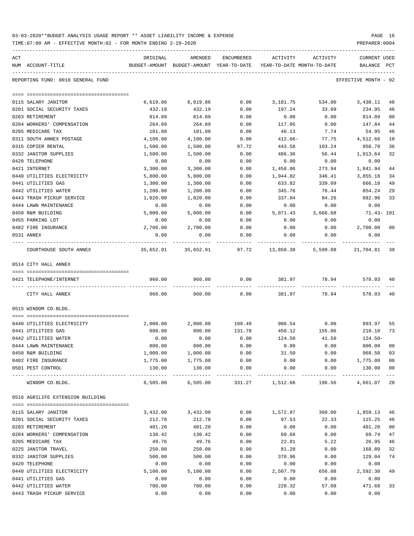| 03-03-2020**BUDGET ANALYSIS USAGE REPORT ** ASSET LIABILITY INCOME & EXPENSE | PAGE 16        |
|------------------------------------------------------------------------------|----------------|
| TIME:07:00 AM - EFFECTIVE MONTH:02 - FOR MONTH ENDING 2-29-2020              | PREPARER: 0004 |

| ACT |                                   | ORIGINAL  | AMENDED                                                             | ENCUMBERED | ACTIVITY        | ACTIVITY                    | CURRENT USED         |                |
|-----|-----------------------------------|-----------|---------------------------------------------------------------------|------------|-----------------|-----------------------------|----------------------|----------------|
|     | NUM ACCOUNT-TITLE                 |           | BUDGET-AMOUNT BUDGET-AMOUNT YEAR-TO-DATE YEAR-TO-DATE MONTH-TO-DATE |            |                 |                             | BALANCE PCT          |                |
|     | REPORTING FUND: 0010 GENERAL FUND |           |                                                                     |            |                 |                             | EFFECTIVE MONTH - 02 |                |
|     |                                   |           |                                                                     |            |                 |                             |                      |                |
|     | 0115 SALARY JANITOR               | 6,619.86  | 6,619.86                                                            | 0.00       | 3,181.75        | 534.00                      | 3,438.11             | 48             |
|     | 0201 SOCIAL SECURITY TAXES        | 432.19    | 432.19                                                              | 0.00       | 197.24          | 33.09                       | 234.95               | 46             |
|     | 0203 RETIREMENT                   | 814.89    | 814.89                                                              | 0.00       | 0.00            | 0.00                        | 814.89               | 00             |
|     | 0204 WORKERS' COMPENSATION        | 264.89    | 264.89                                                              | 0.00       | 117.05          | 0.00                        | 147.84               | 44             |
|     | 0205 MEDICARE TAX                 | 101.08    | 101.08                                                              | 0.00       | 46.13           | 7.74                        | 54.95                | 46             |
|     | 0311 SOUTH ANNEX POSTAGE          | 4,100.00  | 4,100.00                                                            | 0.00       | $412.66-$       | 77.75                       | 4,512.66             | 10             |
|     | 0315 COPIER RENTAL                | 1,500.00  | 1,500.00                                                            | 97.72      | 443.58          | 103.24                      | 958.70               | 36             |
|     | 0332 JANITOR SUPPLIES             | 1,500.00  | 1,500.00                                                            | 0.00       | 486.36          | 56.44                       | 1,013.64             | 32             |
|     | 0420 TELEPHONE                    | 0.00      | 0.00                                                                | 0.00       | 0.00            | 0.00                        | 0.00                 |                |
|     | 0421 INTERNET                     | 3,300.00  | 3,300.00                                                            | 0.00       | 1,458.06        | 273.94                      | 1,841.94             | 44             |
|     | 0440 UTILITIES ELECTRICITY        | 5,800.00  | 5,800.00                                                            | 0.00       | 1,944.82        | 346.41                      | 3,855.18             | 34             |
|     | 0441 UTILITIES GAS                | 1,300.00  | 1,300.00                                                            | 0.00       | 633.82          | 339.09                      | 666.18               | 49             |
|     | 0442 UTILITIES WATER              | 1,200.00  | 1,200.00                                                            | 0.00       | 345.76          | 76.44                       | 854.24               | 29             |
|     | 0443 TRASH PICKUP SERVICE         | 1,020.00  | 1,020.00                                                            | 0.00       | 337.04          | 84.26                       | 682.96               | 33             |
|     | 0444 LAWN MAINTENANCE             | 0.00      | 0.00                                                                | 0.00       | 0.00            | 0.00                        | 0.00                 |                |
|     | 0450 R&M BUILDING                 | 5,000.00  | 5,000.00                                                            | 0.00       | 5,071.43        | 3,666.68                    | 71.43- 101           |                |
|     | 0455 PARKING LOT                  | 0.00      | 0.00                                                                | 0.00       | 0.00            | 0.00                        | 0.00                 |                |
|     | 0482 FIRE INSURANCE               | 2,700.00  | 2,700.00                                                            | 0.00       | 0.00            | 0.00                        | 2,700.00             | 0 <sub>0</sub> |
|     | 0531 ANNEX                        | 0.00      | 0.00                                                                | 0.00       | 0.00            | 0.00                        | 0.00                 |                |
|     | COURTHOUSE SOUTH ANNEX            | 35,652.91 | 35,652.91                                                           | 97.72      | 13,850.38       | 5,599.08                    | 21,704.81            | 39             |
|     | 0514 CITY HALL ANNEX              |           |                                                                     |            |                 |                             |                      |                |
|     | 0421 TELEPHONE/INTERNET           | 960.00    | 960.00                                                              | 0.00       | 381.97          | 78.94                       | 578.03               | 40             |
|     | CITY HALL ANNEX                   | 960.00    | 960.00                                                              | 0.00       | 381.97          | 78.94                       | 578.03               | 40             |
|     |                                   |           |                                                                     |            |                 |                             |                      |                |
|     | 0515 WINDOM CO.BLDG.              |           |                                                                     |            |                 |                             |                      |                |
|     | 0440 UTILITIES ELECTRICITY        | 2,000.00  | 2,000.00                                                            | 199.49     | 906.54          | 0.00                        | 893.97               | 55             |
|     | 0441 UTILITIES GAS                | 800.00    | 800.00                                                              | 131.78     | 450.12          | 155.06                      | 218.10               | 73             |
|     | 0442 UTILITIES WATER              | 0.00      | 0.00                                                                | 0.00       | 124.50          | 41.50                       | $124.50-$            |                |
|     | 0444 LAWN MAINTENANCE             | 800.00    | 800.00                                                              | 0.00       | 0.00            | 0.00                        | 800.00               | 00             |
|     | 0450 R&M BUILDING                 | 1,000.00  | 1,000.00                                                            | 0.00       | 31.50           | 0.00                        | 968.50               | 03             |
|     | 0482 FIRE INSURANCE               | 1,775.00  | 1,775.00                                                            | 0.00       | 0.00            |                             | $0.00$ 1,775.00      | 0 <sub>0</sub> |
|     | 0501 PEST CONTROL                 | 130.00    | 130.00                                                              | 0.00       | -------------   | $0.00$ 0.00<br>------------ | 130.00               | 0 <sub>0</sub> |
|     | WINDOM CO.BLDG.                   |           | 6,505.00 6,505.00                                                   |            | 331.27 1,512.66 | 196.56                      | 4,661.07             | 28             |
|     | 0516 AGRILIFE EXTENSION BUILDING  |           |                                                                     |            |                 |                             |                      |                |
|     |                                   |           |                                                                     |            |                 |                             |                      |                |
|     | 0115 SALARY JANITOR               | 3,432.00  | 3,432.00                                                            | 0.00       |                 | 1,572.87 360.00 1,859.13    |                      | 46             |
|     | 0201 SOCIAL SECURITY TAXES        | 212.78    | 212.78                                                              | 0.00       | 97.53           | 22.33                       | 115.25               | 46             |
|     | 0203 RETIREMENT                   | 401.20    | 401.20                                                              | 0.00       | 0.00            | 0.00                        | 401.20               | 0 <sub>0</sub> |
|     | 0204 WORKERS' COMPENSATION        | 130.42    | 130.42                                                              | 0.00       | 60.68           | 0.00                        | 69.74                | 47             |
|     | 0205 MEDICARE TAX                 | 49.76     | 49.76                                                               | 0.00       | 22.81           | 5.22                        | 26.95                | 46             |
|     | 0225 JANITOR TRAVEL               | 250.00    | 250.00                                                              | 0.00       | 81.20           | 0.00                        | 168.80               | 32             |
|     | 0332 JANITOR SUPPLIES             | 500.00    | 500.00                                                              | 0.00       | 370.96          | 0.00                        | 129.04               | 74             |
|     | 0420 TELEPHONE                    | 0.00      | 0.00                                                                | 0.00       | 0.00            | 0.00                        | 0.00                 |                |
|     | 0440 UTILITIES ELECTRICITY        | 5,100.00  | 5,100.00                                                            | 0.00       | 2,507.70        | 656.08                      | 2,592.30             | 49             |
|     | 0441 UTILITIES GAS                | 0.00      | 0.00                                                                | 0.00       | 0.00            | 0.00                        | 0.00                 |                |
|     | 0442 UTILITIES WATER              | 700.00    | 700.00                                                              | 0.00       | 228.32          | 57.08                       | 471.68               | 33             |

0443 TRASH PICKUP SERVICE 0.00 0.00 0.00 0.00 0.00 0.00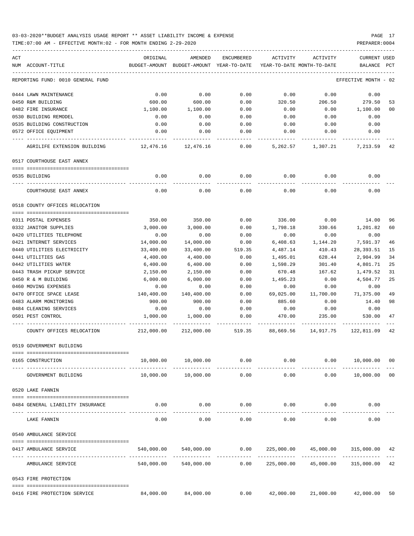TIME:07:00 AM - EFFECTIVE MONTH:02 - FOR MONTH ENDING 2-29-2020 PREPARER:0004

| ACT<br>NUM ACCOUNT-TITLE          | ORIGINAL   | AMENDED<br>BUDGET-AMOUNT BUDGET-AMOUNT YEAR-TO-DATE | ENCUMBERED            | ACTIVITY   | ACTIVITY<br>YEAR-TO-DATE MONTH-TO-DATE | <b>CURRENT USED</b><br>BALANCE | PCT |
|-----------------------------------|------------|-----------------------------------------------------|-----------------------|------------|----------------------------------------|--------------------------------|-----|
| REPORTING FUND: 0010 GENERAL FUND |            |                                                     |                       |            |                                        | EFFECTIVE MONTH - 02           |     |
|                                   |            |                                                     |                       |            |                                        |                                |     |
| 0444 LAWN MAINTENANCE             | 0.00       | 0.00                                                | 0.00                  | 0.00       | 0.00                                   | 0.00                           |     |
| 0450 R&M BUILDING                 | 600.00     | 600.00                                              | 0.00                  | 320.50     | 206.50                                 | 279.50                         | 53  |
| 0482 FIRE INSURANCE               | 1,100.00   | 1,100.00                                            | 0.00                  | 0.00       | 0.00                                   | 1,100.00                       | 00  |
| 0530 BUILDING REMODEL             | 0.00       | 0.00                                                | 0.00                  | 0.00       | 0.00                                   | 0.00                           |     |
| 0535 BUILDING CONSTRUCTION        | 0.00       | 0.00                                                | 0.00                  | 0.00       | 0.00                                   | 0.00                           |     |
| 0572 OFFICE EQUIPMENT             | 0.00       | 0.00                                                | 0.00                  | 0.00       | 0.00                                   | 0.00                           |     |
| AGRILIFE EXTENSION BUILDING       | 12,476.16  | 12,476.16                                           | 0.00                  | 5,262.57   | 1,307.21 7,213.59                      |                                | 42  |
| 0517 COURTHOUSE EAST ANNEX        |            |                                                     |                       |            |                                        |                                |     |
|                                   |            |                                                     |                       |            |                                        |                                |     |
| 0535 BUILDING                     | 0.00       | 0.00                                                | 0.00                  | 0.00       | 0.00                                   | 0.00                           |     |
| COURTHOUSE EAST ANNEX             | 0.00       | 0.00                                                | 0.00                  | 0.00       | 0.00                                   | 0.00                           |     |
| 0518 COUNTY OFFICES RELOCATION    |            |                                                     |                       |            |                                        |                                |     |
|                                   |            |                                                     |                       |            |                                        |                                |     |
| 0311 POSTAL EXPENSES              | 350.00     | 350.00                                              | 0.00                  | 336.00     | 0.00                                   | 14.00                          | 96  |
| 0332 JANITOR SUPPLIES             | 3,000.00   | 3,000.00                                            | 0.00                  | 1,798.18   | 330.66                                 | 1,201.82                       | 60  |
| 0420 UTILITIES TELEPHONE          | 0.00       | 0.00                                                | 0.00                  | 0.00       | 0.00                                   | 0.00                           |     |
| 0421 INTERNET SERVICES            | 14,000.00  | 14,000.00                                           | 0.00                  | 6,408.63   | 1,144.20                               | 7,591.37                       | 46  |
| 0440 UTILITIES ELECTRICITY        | 33,400.00  | 33,400.00                                           | 519.35                | 4,487.14   | 410.43                                 | 28,393.51                      | 15  |
| 0441 UTILITIES GAS                | 4,400.00   | 4,400.00                                            | 0.00                  | 1,495.01   | 628.44                                 | 2,904.99                       | 34  |
| 0442 UTILITIES WATER              | 6,400.00   | 6,400.00                                            | 0.00                  | 1,598.29   | 301.40                                 | 4,801.71                       | 25  |
| 0443 TRASH PICKUP SERVICE         | 2,150.00   | 2,150.00                                            | 0.00                  | 670.48     | 167.62                                 | 1,479.52                       | 31  |
| 0450 R & M BUILDING               | 6,000.00   | 6,000.00                                            | 0.00                  | 1,495.23   | 0.00                                   | 4,504.77                       | 25  |
| 0460 MOVING EXPENSES              | 0.00       | 0.00                                                | 0.00                  | 0.00       | 0.00                                   | 0.00                           |     |
| 0470 OFFICE SPACE LEASE           | 140,400.00 | 140,400.00                                          | 0.00                  | 69,025.00  | 11,700.00                              | 71,375.00                      | 49  |
| 0483 ALARM MONITORING             | 900.00     | 900.00                                              | 0.00                  | 885.60     | 0.00                                   | 14.40                          | 98  |
| 0484 CLEANING SERVICES            | 0.00       | 0.00                                                | 0.00                  | 0.00       | 0.00                                   | 0.00                           |     |
| 0501 PEST CONTROL                 | 1,000.00   | 1,000.00                                            | 0.00                  | 470.00     | 235.00                                 | 530.00                         | 47  |
| COUNTY OFFICES RELOCATION         |            | 212,000.00 212,000.00 519.35                        |                       |            | 88,669.56 14,917.75 122,811.09         |                                | 42  |
| 0519 GOVERNMENT BUILDING          |            |                                                     |                       |            |                                        |                                |     |
| 0165 CONSTRUCTION                 | 10,000.00  | 10,000.00                                           | 0.00                  | 0.00       | 0.00                                   | 10,000.00 00                   |     |
| GOVERNMENT BUILDING               | 10,000.00  | _____________<br>10,000.00                          | -------------<br>0.00 | 0.00       | 0.00                                   | 10,000.00 00                   |     |
| 0520 LAKE FANNIN                  |            |                                                     |                       |            |                                        |                                |     |
|                                   |            |                                                     |                       |            |                                        |                                |     |
| 0484 GENERAL LIABILITY INSURANCE  | 0.00       | 0.00                                                | 0.00                  | 0.00       | 0.00                                   | 0.00                           |     |
|                                   |            |                                                     |                       |            |                                        |                                |     |
| LAKE FANNIN                       | 0.00       | 0.00                                                | 0.00                  | 0.00       | 0.00                                   | 0.00                           |     |
| 0540 AMBULANCE SERVICE            |            |                                                     |                       |            |                                        |                                |     |
| 0417 AMBULANCE SERVICE            |            | 540,000.00 540,000.00                               | 0.00                  |            | 225,000.00 45,000.00                   | 315,000.00 42                  |     |
| AMBULANCE SERVICE                 | 540,000.00 | 540,000.00                                          | 0.00                  | 225,000.00 | 45,000.00                              | 315,000.00                     | 42  |
| 0543 FIRE PROTECTION              |            |                                                     |                       |            |                                        |                                |     |
| 0416 FIRE PROTECTION SERVICE      | 84,000.00  | 84,000.00                                           | 0.00                  | 42,000.00  |                                        | 21,000.00 42,000.00 50         |     |
|                                   |            |                                                     |                       |            |                                        |                                |     |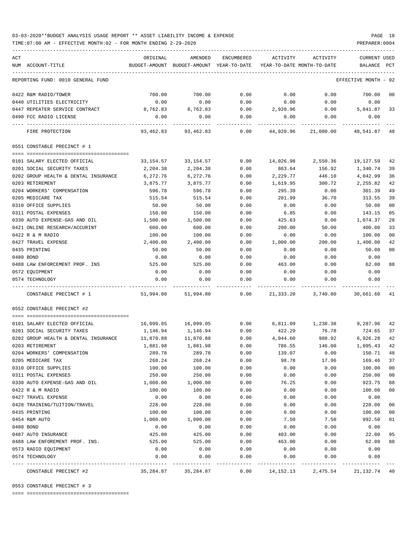TIME:07:00 AM - EFFECTIVE MONTH:02 - FOR MONTH ENDING 2-29-2020

|     |                                      |              |                                                     |              | ACTIVITY     |                                        |                                |        |
|-----|--------------------------------------|--------------|-----------------------------------------------------|--------------|--------------|----------------------------------------|--------------------------------|--------|
| ACT | NUM ACCOUNT-TITLE                    | ORIGINAL     | AMENDED<br>BUDGET-AMOUNT BUDGET-AMOUNT YEAR-TO-DATE | ENCUMBERED   |              | ACTIVITY<br>YEAR-TO-DATE MONTH-TO-DATE | <b>CURRENT USED</b><br>BALANCE | PCT    |
|     | REPORTING FUND: 0010 GENERAL FUND    |              |                                                     |              |              |                                        | EFFECTIVE MONTH - 02           |        |
|     |                                      |              |                                                     |              |              |                                        |                                |        |
|     | 0422 R&M RADIO/TOWER                 | 700.00       | 700.00                                              | 0.00         | 0.00         | 0.00                                   | 700.00                         | 00     |
|     | 0440 UTILITIES ELECTRICITY           | 0.00         | 0.00                                                | 0.00         | 0.00         | 0.00                                   | 0.00                           |        |
|     | 0447 REPEATER SERVICE CONTRACT       | 8,762.83     | 8,762.83                                            | 0.00         | 2,920.96     | 0.00                                   | 5,841.87                       | 33     |
|     | 0490 FCC RADIO LICENSE               | 0.00         | 0.00                                                | 0.00         | 0.00         | 0.00                                   | 0.00                           |        |
|     | FIRE PROTECTION                      | 93,462.83    | 93,462.83                                           | 0.00         | 44,920.96    | 21,000.00                              | 48,541.87 48                   |        |
|     | 0551 CONSTABLE PRECINCT # 1          |              |                                                     |              |              |                                        |                                |        |
|     |                                      |              |                                                     |              |              |                                        |                                |        |
|     | 0101 SALARY ELECTED OFFICIAL         | 33,154.57    | 33,154.57                                           | 0.00         | 14,026.98    | 2,550.36                               | 19,127.59                      | 42     |
|     | 0201 SOCIAL SECURITY TAXES           | 2,204.38     | 2,204.38                                            | 0.00         | 863.64       | 156.92                                 | 1,340.74                       | 39     |
|     | 0202 GROUP HEALTH & DENTAL INSURANCE | 6,272.76     | 6,272.76                                            | 0.00         | 2,229.77     | 446.10                                 | 4,042.99                       | 36     |
|     | 0203 RETIREMENT                      | 3,875.77     | 3,875.77                                            | 0.00         | 1,619.95     | 300.72                                 | 2,255.82                       | 42     |
|     | 0204 WORKERS' COMPENSATION           | 596.78       | 596.78                                              | 0.00         | 295.39       | 0.00                                   | 301.39                         | 49     |
|     | 0205 MEDICARE TAX                    | 515.54       | 515.54                                              | 0.00         | 201.99       | 36.70                                  | 313.55                         | 39     |
|     | 0310 OFFICE SUPPLIES                 | 50.00        | 50.00                                               | 0.00         | 0.00         | 0.00                                   | 50.00                          | 00     |
|     | 0311 POSTAL EXPENSES                 | 150.00       | 150.00                                              | 0.00         | 6.85         | 0.00                                   | 143.15                         | 05     |
|     | 0330 AUTO EXPENSE-GAS AND OIL        | 1,500.00     | 1,500.00                                            | 0.00         | 425.63       | 0.00                                   | 1,074.37                       | 28     |
|     | 0421 ONLINE RESEARCH/ACCURINT        | 600.00       | 600.00                                              | 0.00         | 200.00       | 50.00                                  | 400.00                         | 33     |
|     | 0422 R & M RADIO                     | 100.00       | 100.00                                              | 0.00         | 0.00         | 0.00                                   | 100.00                         | 00     |
|     | 0427 TRAVEL EXPENSE                  | 2,400.00     | 2,400.00                                            | 0.00         | 1,000.00     | 200.00                                 | 1,400.00                       | 42     |
|     | 0435 PRINTING                        | 50.00        | 50.00                                               | 0.00         | 0.00         | 0.00                                   | 50.00                          | 00     |
|     | 0480 BOND                            | 0.00         | 0.00                                                | 0.00         | 0.00         | 0.00                                   | 0.00                           |        |
|     | 0488 LAW ENFORCEMENT PROF. INS       | 525.00       | 525.00                                              | 0.00         | 463.00       | 0.00                                   | 62.00                          | 88     |
|     | 0572 EQUIPMENT<br>0574 TECHNOLOGY    | 0.00<br>0.00 | 0.00<br>0.00                                        | 0.00<br>0.00 | 0.00<br>0.00 | 0.00<br>0.00                           | 0.00<br>0.00                   |        |
|     | CONSTABLE PRECINCT # 1               | 51,994.80    | 51,994.80                                           | 0.00         | 21,333.20    | 3,740.80                               | 30,661.60                      | - 41   |
|     |                                      |              |                                                     |              |              |                                        |                                |        |
|     | 0552 CONSTABLE PRECINCT #2           |              |                                                     |              |              |                                        |                                |        |
|     | 0101 SALARY ELECTED OFFICIAL         | 16,099.05    | 16,099.05                                           | 0.00         | 6,811.09     | 1,238.38                               | 9,287.96 42                    |        |
|     | 0201 SOCIAL SECURITY TAXES           | 1,146.94     | 1,146.94                                            | 0.00         | 422.29       | 76.78                                  | 724.65                         | 37     |
|     | 0202 GROUP HEALTH & DENTAL INSURANCE | 11,870.88    | 11,870.88                                           | 0.00         | 4,944.60     | 988.92                                 | 6,926.28                       | 42     |
|     | 0203 RETIREMENT                      | 1,881.98     | 1,881.98                                            | 0.00         | 786.55       | 146.00                                 | 1,095.43                       | 42     |
|     | 0204 WORKERS' COMPENSATION           | 289.78       | 289.78                                              | 0.00         | 139.07       | 0.00                                   | 150.71                         | 48     |
|     | 0205 MEDICARE TAX                    | 268.24       | 268.24                                              | 0.00         | 98.78        | 17.96                                  | 169.46                         | 37     |
|     | 0310 OFFICE SUPPLIES                 | 100.00       | 100.00                                              | 0.00         | 0.00         | 0.00                                   | 100.00                         | $00\,$ |
|     | 0311 POSTAL EXPENSES                 | 250.00       | 250.00                                              | 0.00         | 0.00         | 0.00                                   | 250.00                         | 00     |
|     | 0330 AUTO EXPENSE-GAS AND OIL        | 1,000.00     | 1,000.00                                            | 0.00         | 76.25        | 0.00                                   | 923.75                         | 08     |
|     | 0422 R & M RADIO                     | 100.00       | 100.00                                              | 0.00         | 0.00         | 0.00                                   | 100.00                         | 00     |
|     | 0427 TRAVEL EXPENSE                  | 0.00         | 0.00                                                | 0.00         | 0.00         | 0.00                                   | 0.00                           |        |
|     | 0428 TRAINING/TUITION/TRAVEL         | 228.00       | 228.00                                              | 0.00         | 0.00         | 0.00                                   | 228.00                         | 00     |
|     | 0435 PRINTING                        | 100.00       | 100.00                                              | 0.00         | 0.00         | 0.00                                   | 100.00                         | 00     |
|     | 0454 R&M AUTO                        | 1,000.00     | 1,000.00                                            | 0.00         | 7.50         | 7.50                                   | 992.50                         | 01     |
|     | 0480 BOND                            | 0.00         | 0.00                                                | 0.00         | 0.00         | 0.00                                   | 0.00                           |        |
|     | 0487 AUTO INSURANCE                  | 425.00       | 425.00                                              | 0.00         | 403.00       | 0.00                                   | 22.00                          | 95     |
|     | 0488 LAW ENFOREMENT PROF. INS.       | 525.00       | 525.00                                              | 0.00         | 463.00       | 0.00                                   | 62.00                          | 88     |
|     | 0573 RADIO EQUIPMENT                 | 0.00         | 0.00                                                | 0.00         | 0.00         | 0.00                                   | 0.00                           |        |
|     | 0574 TECHNOLOGY                      | 0.00         | 0.00                                                | 0.00         | 0.00         | 0.00                                   | 0.00                           |        |
|     | CONSTABLE PRECINCT #2                | 35,284.87    | 35,284.87                                           | 0.00         | 14,152.13    | 2,475.54                               | 21,132.74                      | 40     |

0553 CONSTABLE PRECINCT # 3

==== ===================================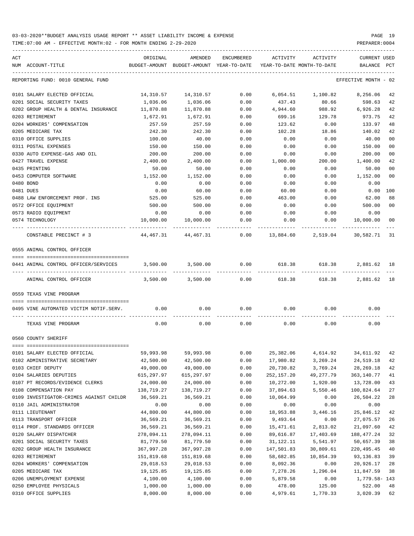TIME:07:00 AM - EFFECTIVE MONTH:02 - FOR MONTH ENDING 2-29-2020 PREPARER:0004

| ACT | NUM ACCOUNT-TITLE                       | ORIGINAL          | AMENDED<br>BUDGET-AMOUNT BUDGET-AMOUNT YEAR-TO-DATE | ENCUMBERED   | ACTIVITY     | ACTIVITY<br>YEAR-TO-DATE MONTH-TO-DATE | <b>CURRENT USED</b><br>BALANCE | PCT |
|-----|-----------------------------------------|-------------------|-----------------------------------------------------|--------------|--------------|----------------------------------------|--------------------------------|-----|
|     | REPORTING FUND: 0010 GENERAL FUND       |                   |                                                     |              |              |                                        | EFFECTIVE MONTH - 02           |     |
|     |                                         |                   |                                                     |              |              |                                        |                                |     |
|     | 0101 SALARY ELECTED OFFICIAL            | 14,310.57         | 14,310.57                                           | 0.00         |              | 6,054.51 1,100.82                      | 8,256.06                       | 42  |
|     | 0201 SOCIAL SECURITY TAXES              | 1,036.06          | 1,036.06                                            | 0.00         | 437.43       | 80.66                                  | 598.63                         | 42  |
|     | 0202 GROUP HEALTH & DENTAL INSURANCE    | 11,870.88         | 11,870.88                                           | 0.00         | 4,944.60     | 988.92                                 | 6,926.28                       | 42  |
|     | 0203 RETIREMENT                         | 1,672.91          | 1,672.91                                            | 0.00         | 699.16       | 129.78                                 | 973.75                         | 42  |
|     | 0204 WORKERS' COMPENSATION              | 257.59            | 257.59                                              | 0.00         | 123.62       | 0.00                                   | 133.97                         | 48  |
|     | 0205 MEDICARE TAX                       | 242.30            | 242.30                                              | 0.00         | 102.28       | 18.86                                  | 140.02                         | 42  |
|     | 0310 OFFICE SUPPLIES                    | 100.00            | 40.00                                               | 0.00         | 0.00         | 0.00                                   | 40.00                          | 00  |
|     | 0311 POSTAL EXPENSES                    | 150.00            | 150.00                                              | 0.00         | 0.00         | 0.00                                   | 150.00                         | 00  |
|     | 0330 AUTO EXPENSE-GAS AND OIL           | 200.00            | 200.00                                              | 0.00         | 0.00         | 0.00                                   | 200.00                         | 00  |
|     | 0427 TRAVEL EXPENSE                     | 2,400.00          | 2,400.00                                            | 0.00         | 1,000.00     | 200.00                                 | 1,400.00                       | 42  |
|     | 0435 PRINTING                           | 50.00             | 50.00                                               | 0.00         | 0.00         | 0.00                                   | 50.00                          | 00  |
|     | 0453 COMPUTER SOFTWARE                  | 1,152.00          | 1,152.00                                            | 0.00         | 0.00         | 0.00                                   | 1,152.00                       | 00  |
|     | 0480 BOND                               | 0.00              | 0.00                                                | 0.00         | 0.00         | 0.00                                   | 0.00                           |     |
|     | 0481 DUES                               | 0.00              | 60.00                                               | 0.00         | 60.00        | 0.00                                   | 0.00                           | 100 |
|     | 0488 LAW ENFORCEMENT PROF. INS          | 525.00            | 525.00                                              | 0.00         | 463.00       | 0.00                                   | 62.00                          | 88  |
|     | 0572 OFFICE EQUIPMENT                   | 500.00            | 500.00                                              | 0.00         | 0.00         | 0.00                                   | 500.00                         | 00  |
|     | 0573 RADIO EQUIPMENT<br>0574 TECHNOLOGY | 0.00<br>10,000.00 | 0.00<br>10,000.00                                   | 0.00<br>0.00 | 0.00<br>0.00 | 0.00<br>0.00                           | 0.00<br>10,000.00              | 00  |
|     |                                         |                   |                                                     |              |              |                                        |                                |     |
|     | CONSTABLE PRECINCT # 3                  |                   | 44,467.31 44,467.31                                 |              |              | $0.00$ 13,884.60 2,519.04 30,582.71    |                                | 31  |
|     | 0555 ANIMAL CONTROL OFFICER             |                   |                                                     |              |              |                                        |                                |     |
|     | 0441 ANIMAL CONTROL OFFICER/SERVICES    | 3,500.00          | 3,500.00                                            | 0.00         |              | 618.38                                 | 618.38 2,881.62 18             |     |
|     |                                         |                   |                                                     |              |              |                                        |                                |     |
|     | ANIMAL CONTROL OFFICER                  | 3,500.00          | 3,500.00                                            | 0.00         | 618.38       | 618.38                                 | 2,881.62 18                    |     |
|     | 0559 TEXAS VINE PROGRAM                 |                   |                                                     |              |              |                                        |                                |     |
|     | 0495 VINE AUTOMATED VICTIM NOTIF.SERV.  | 0.00              | 0.00                                                | 0.00         | 0.00         | 0.00                                   | 0.00                           |     |
|     | TEXAS VINE PROGRAM                      | 0.00              | 0.00                                                | 0.00         | 0.00         | 0.00                                   | 0.00                           |     |
|     | 0560 COUNTY SHERIFF                     |                   |                                                     |              |              |                                        |                                |     |
|     |                                         |                   |                                                     |              |              |                                        |                                |     |
|     | 0101 SALARY ELECTED OFFICIAL            | 59,993.98         | 59,993.98                                           | 0.00         | 25,382.06    | 4,614.92                               | 34,611.92                      | 42  |
|     | 0102 ADMINISTRATIVE SECRETARY           | 42,500.00         | 42,500.00                                           | 0.00         | 17,980.82    | 3,269.24                               | 24,519.18                      | 42  |
|     | 0103 CHIEF DEPUTY                       | 49,000.00         | 49,000.00                                           | 0.00         | 20,730.82    | 3,769.24                               | 28, 269. 18                    | 42  |
|     | 0104 SALARIES DEPUTIES                  | 615,297.97        | 615,297.97                                          | 0.00         | 252,157.20   | 49,277.79                              | 363,140.77                     | 41  |
|     | 0107 PT RECORDS/EVIDENCE CLERKS         | 24,000.00         | 24,000.00                                           | 0.00         | 10,272.00    | 1,920.00                               | 13,728.00                      | 43  |
|     | 0108 COMPENSATION PAY                   | 138,719.27        | 138,719.27                                          | 0.00         | 37,894.63    | 5,550.46                               | 100,824.64                     | 27  |
|     | 0109 INVESTIGATOR-CRIMES AGAINST CHILDR | 36,569.21         | 36,569.21                                           | 0.00         | 10,064.99    | 0.00                                   | 26,504.22                      | 28  |
|     | 0110 JAIL ADMINISTRATOR                 | 0.00              | 0.00                                                | 0.00         | 0.00         | 0.00                                   | 0.00                           |     |
|     | 0111 LIEUTENANT                         | 44,800.00         | 44,800.00                                           | 0.00         | 18,953.88    | 3,446.16                               | 25,846.12                      | 42  |
|     | 0113 TRANSPORT OFFICER                  | 36,569.21         | 36,569.21                                           | 0.00         | 9,493.64     | 0.00                                   | 27,075.57                      | 26  |
|     | 0114 PROF. STANDARDS OFFICER            | 36,569.21         | 36,569.21                                           | 0.00         | 15,471.61    | 2,813.02                               | 21,097.60                      | 42  |
|     | 0120 SALARY DISPATCHER                  | 278,094.11        | 278,094.11                                          | 0.00         | 89,616.87    | 17,403.69                              | 188,477.24                     | 32  |
|     | 0201 SOCIAL SECURITY TAXES              | 81,779.50         | 81,779.50                                           | 0.00         | 31,122.11    | 5,541.97                               | 50,657.39                      | 38  |
|     | 0202 GROUP HEALTH INSURANCE             | 367,997.28        | 367,997.28                                          | 0.00         | 147,501.83   | 30,809.61                              | 220,495.45                     | 40  |
|     | 0203 RETIREMENT                         | 151,819.68        | 151,819.68                                          | 0.00         | 58,682.85    | 10,854.39                              | 93, 136.83                     | 39  |
|     | 0204 WORKERS' COMPENSATION              | 29,018.53         | 29,018.53                                           | 0.00         | 8,092.36     | 0.00                                   | 20,926.17                      | 28  |
|     | 0205 MEDICARE TAX                       | 19,125.85         | 19,125.85                                           | 0.00         | 7,278.26     | 1,296.04                               | 11,847.59                      | 38  |
|     | 0206 UNEMPLOYMENT EXPENSE               | 4,100.00          | 4,100.00                                            | 0.00         | 5,879.58     | 0.00                                   | 1,779.58-143                   |     |
|     | 0250 EMPLOYEE PHYSICALS                 | 1,000.00          | 1,000.00                                            | 0.00         | 478.00       | 125.00                                 | 522.00                         | 48  |
|     | 0310 OFFICE SUPPLIES                    | 8,000.00          | 8,000.00                                            | 0.00         | 4,979.61     | 1,770.33                               | 3,020.39                       | 62  |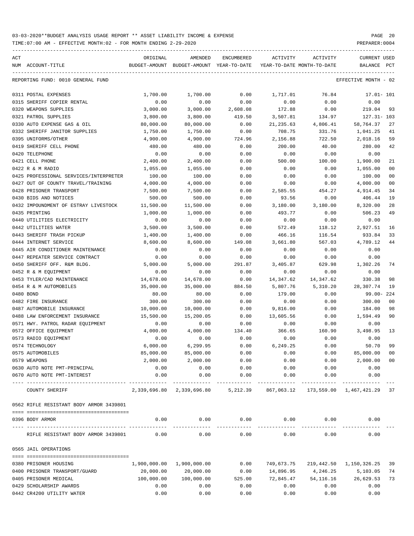| ACT |                                         | ORIGINAL                      | AMENDED                                                                  | ENCUMBERED             | ACTIVITY              | ACTIVITY                           | CURRENT USED            |                |
|-----|-----------------------------------------|-------------------------------|--------------------------------------------------------------------------|------------------------|-----------------------|------------------------------------|-------------------------|----------------|
|     | NUM ACCOUNT-TITLE                       | BUDGET-AMOUNT                 | BUDGET-AMOUNT YEAR-TO-DATE                                               |                        |                       | YEAR-TO-DATE MONTH-TO-DATE         | BALANCE                 | PCT            |
|     | REPORTING FUND: 0010 GENERAL FUND       |                               |                                                                          |                        |                       |                                    | EFFECTIVE MONTH - 02    |                |
|     | 0311 POSTAL EXPENSES                    | 1,700.00                      | 1,700.00                                                                 | 0.00                   | 1,717.01              | 76.84                              | $17.01 - 101$           |                |
|     | 0315 SHERIFF COPIER RENTAL              | 0.00                          | 0.00                                                                     | 0.00                   | 0.00                  | 0.00                               | 0.00                    |                |
|     | 0320 WEAPONS SUPPLIES                   | 3,000.00                      | 3,000.00                                                                 | 2,608.08               | 172.88                | 0.00                               | 219.04                  | 93             |
|     | 0321 PATROL SUPPLIES                    | 3,800.00                      | 3,800.00                                                                 | 419.50                 | 3,507.81              | 134.97                             | $127.31 - 103$          |                |
|     | 0330 AUTO EXPENSE GAS & OIL             | 80,000.00                     | 80,000.00                                                                | 0.00                   | 21,235.63             | 4,806.41                           | 58,764.37               | 27             |
|     | 0332 SHERIFF JANITOR SUPPLIES           | 1,750.00                      | 1,750.00                                                                 | 0.00                   | 708.75                | 331.76                             | 1,041.25                | 41             |
|     | 0395 UNIFORMS/OTHER                     | 4,900.00                      | 4,900.00                                                                 | 724.96                 | 2,156.88              | 722.50                             | 2,018.16                | 59             |
|     | 0419 SHERIFF CELL PHONE                 | 480.00                        | 480.00                                                                   | 0.00                   | 200.00                | 40.00                              | 280.00                  | 42             |
|     | 0420 TELEPHONE                          | 0.00                          | 0.00                                                                     | 0.00                   | 0.00                  | 0.00                               | 0.00                    |                |
|     | 0421 CELL PHONE                         | 2,400.00                      | 2,400.00                                                                 | 0.00                   | 500.00                | 100.00                             | 1,900.00                | 21             |
|     | 0422 R & M RADIO                        | 1,055.00                      | 1,055.00                                                                 | 0.00                   | 0.00                  | 0.00                               | 1,055.00                | 0 <sub>0</sub> |
|     | 0425 PROFESSIONAL SERVICES/INTERPRETER  | 100.00                        | 100.00                                                                   | 0.00                   | 0.00                  | 0.00                               | 100.00                  | 0 <sub>0</sub> |
|     | 0427 OUT OF COUNTY TRAVEL/TRAINING      | 4,000.00                      | 4,000.00                                                                 | 0.00                   | 0.00                  | 0.00                               | 4,000.00                | 0 <sub>0</sub> |
|     | 0428 PRISONER TRANSPORT                 | 7,500.00                      | 7,500.00                                                                 | 0.00                   | 2,585.55              | 454.27                             | 4,914.45                | 34             |
|     | 0430 BIDS AND NOTICES                   | 500.00                        | 500.00                                                                   | 0.00                   | 93.56                 | 0.00                               | 406.44                  | 19             |
|     | 0432 IMPOUNDMENT OF ESTRAY LIVESTOCK    | 11,500.00                     | 11,500.00                                                                | 0.00                   | 3,180.00              | 3,180.00                           | 8,320.00                | 28             |
|     | 0435 PRINTING                           | 1,000.00                      | 1,000.00                                                                 | 0.00                   | 493.77                | 0.00                               | 506.23                  | 49             |
|     | 0440 UTILITIES ELECTRICITY              | 0.00                          | 0.00                                                                     | 0.00                   | 0.00                  | 0.00                               | 0.00                    |                |
|     | 0442 UTILITIES WATER                    | 3,500.00                      | 3,500.00                                                                 | 0.00                   | 572.49                | 118.12                             | 2,927.51                | 16             |
|     | 0443 SHERIFF TRASH PICKUP               | 1,400.00                      | 1,400.00                                                                 | 0.00                   | 466.16                | 116.54                             | 933.84                  | 33             |
|     | 0444 INTERNET SERVICE                   | 8,600.00                      | 8,600.00                                                                 | 149.08                 | 3,661.80              | 567.03                             | 4,789.12                | 44             |
|     | 0445 AIR CONDITIONER MAINTENANCE        | 0.00                          | 0.00                                                                     | 0.00                   | 0.00                  | 0.00                               | 0.00                    |                |
|     | 0447 REPEATER SERVICE CONTRACT          | 0.00                          | 0.00                                                                     | 0.00                   | 0.00                  | 0.00                               | 0.00                    |                |
|     | 0450 SHERIFF OFF. R&M BLDG.             | 5,000.00                      | 5,000.00                                                                 | 291.87                 | 3,405.87              | 629.98                             | 1,302.26                | 74             |
|     | 0452 R & M EQUIPMENT                    | 0.00                          | 0.00                                                                     | 0.00                   | 0.00                  | 0.00                               | 0.00                    |                |
|     | 0453 TYLER/CAD MAINTENANCE              | 14,678.00                     | 14,678.00                                                                | 0.00                   | 14,347.62             | 14,347.62                          | 330.38                  | 98             |
|     | 0454 R & M AUTOMOBILES                  | 35,000.00                     | 35,000.00                                                                | 884.50                 | 5,807.76              | 5,310.20                           | 28,307.74               | 19             |
|     | 0480 BOND                               | 80.00                         | 80.00                                                                    | 0.00                   | 179.00                | 0.00                               | $99.00 - 224$           |                |
|     | 0482 FIRE INSURANCE                     | 300.00                        | 300.00                                                                   | 0.00                   | 0.00                  | 0.00                               | 300.00                  | 0 <sub>0</sub> |
|     | 0487 AUTOMOBILE INSURANCE               | 10,000.00                     | 10,000.00                                                                | 0.00                   | 9,816.00              | 0.00                               | 184.00                  | 98             |
|     | 0488 LAW ENFORCEMENT INSURANCE          | 15,500.00                     | 15,200.05                                                                | 0.00                   | 13,605.56             | 0.00                               | 1,594.49                | 90             |
|     | 0571 HWY. PATROL RADAR EQUIPMENT        | 0.00                          | 0.00                                                                     | 0.00                   | 0.00                  | 0.00                               | 0.00                    |                |
|     | 0572 OFFICE EQUIPMENT                   | 4,000.00                      | 4,000.00                                                                 | 134.40                 | 366.65                | 160.90                             | 3,498.95                | 13             |
|     | 0573 RADIO EQUIPMENT                    | 0.00                          | 0.00                                                                     | 0.00                   | 0.00                  | 0.00                               | 0.00                    |                |
|     | 0574 TECHNOLOGY                         | 6,000.00                      | 6,299.95                                                                 | 0.00                   | 6,249.25              | 0.00                               | 50.70                   | 99             |
|     | 0575 AUTOMOBILES                        | 85,000.00                     | 85,000.00                                                                | 0.00                   | 0.00                  | 0.00                               | 85,000.00 00            |                |
|     | 0579 WEAPONS                            | 2,000.00                      | 2,000.00                                                                 | 0.00                   | 0.00                  | 0.00                               | 2,000.00 00             |                |
|     | 0630 AUTO NOTE PMT-PRINCIPAL            | 0.00                          | 0.00                                                                     | 0.00                   | 0.00                  | 0.00                               | 0.00                    |                |
|     | 0670 AUTO NOTE PMT-INTEREST             | 0.00<br>. _ _ _ _ _ _ _ _ _ _ | 0.00                                                                     | 0.00<br>-------------  | 0.00<br>_____________ | 0.00<br>____________               | 0.00<br>-------------   |                |
|     | COUNTY SHERIFF                          |                               | 2,339,696.80 2,339,696.80 5,212.39 867,063.12 173,559.00 1,467,421.29 37 |                        |                       |                                    |                         |                |
|     | 0562 RIFLE RESISTANT BODY ARMOR 3439801 |                               |                                                                          |                        |                       |                                    |                         |                |
|     | 0396 BODY ARMOR                         | 0.00                          |                                                                          |                        |                       | $0.00$ $0.00$ $0.00$ $0.00$ $0.00$ | 0.00                    |                |
|     | RIFLE RESISTANT BODY ARMOR 3439801      | 0.00                          | 0.00                                                                     | --------------<br>0.00 | 0.00                  | 0.00                               | 0.00                    |                |
|     | 0565 JAIL OPERATIONS                    |                               |                                                                          |                        |                       |                                    |                         |                |
|     |                                         |                               |                                                                          |                        |                       |                                    |                         |                |
|     | 0380 PRISONER HOUSING                   | 1,900,000.00                  | 1,900,000.00                                                             | 0.00                   | 749,673.75            |                                    | 219,442.50 1,150,326.25 | 39             |
|     | 0400 PRISONER TRANSPORT/GUARD           | 20,000.00                     | 20,000.00                                                                | 0.00                   | 14,896.95             | 4,246.25                           | 5,103.05                | 74             |
|     | 0405 PRISONER MEDICAL                   | 100,000.00                    | 100,000.00                                                               | 525.00                 | 72,845.47             | 54,116.16                          | 26,629.53               | 73             |
|     | 0429 SCHOLARSHIP AWARDS                 | 0.00                          | 0.00                                                                     | 0.00                   | 0.00                  | 0.00                               | 0.00                    |                |
|     | 0442 CR4200 UTILITY WATER               | 0.00                          | 0.00                                                                     | 0.00                   | 0.00                  | 0.00                               | 0.00                    |                |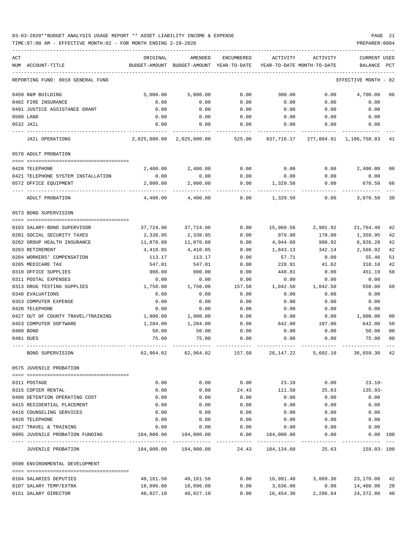### 03-03-2020\*\*BUDGET ANALYSIS USAGE REPORT \*\* ASSET LIABILITY INCOME & EXPENSE PAGE 21 TIME:07:00 AM - EFFECTIVE MONTH:02 - FOR MONTH ENDING 2-29-2020 PREPARER:0004

| ACT<br>NUM ACCOUNT-TITLE                      | ORIGINAL<br>BUDGET-AMOUNT                                      | AMENDED<br>BUDGET-AMOUNT YEAR-TO-DATE                  | <b>ENCUMBERED</b> | ACTIVITY<br>YEAR-TO-DATE MONTH-TO-DATE    | <b>ACTIVITY</b> | CURRENT USED<br><b>BALANCE</b>        | PCT      |
|-----------------------------------------------|----------------------------------------------------------------|--------------------------------------------------------|-------------------|-------------------------------------------|-----------------|---------------------------------------|----------|
|                                               |                                                                |                                                        |                   |                                           |                 |                                       |          |
| REPORTING FUND: 0010 GENERAL FUND             |                                                                |                                                        |                   |                                           |                 | EFFECTIVE MONTH                       | - 02     |
| 0450 R&M BUILDING                             | 5,000.00                                                       | 5,000.00                                               | 0.00              | 300.00                                    | 0.00            | 4,700.00                              | 06       |
| 0482 FIRE INSURANCE                           | 0.00                                                           | 0.00                                                   | 0.00              | 0.00                                      | 0.00            | 0.00                                  |          |
| 0491 JUSTICE ASSISTANCE GRANT                 | 0.00                                                           | 0.00                                                   | 0.00              | 0.00                                      | 0.00            | 0.00                                  |          |
| 0500 LAND                                     | 0.00                                                           | 0.00                                                   | 0.00              | 0.00                                      | 0.00            | 0.00                                  |          |
| 0532 JAIL                                     | 0.00                                                           | 0.00                                                   | 0.00              | 0.00                                      | 0.00            | 0.00                                  |          |
| <b>JAIL OPERATIONS</b>                        | 2,025,000.00                                                   | 2,025,000.00                                           | 525.00            | 837,716.17                                |                 | 277,804.91 1,186,758.83               | -41      |
| 0570 ADULT PROBATION                          |                                                                |                                                        |                   |                                           |                 |                                       |          |
| 0420 TELEPHONE                                | 2,400.00                                                       | 2,400.00                                               | 0.00              | 0.00                                      | 0.00            | 2,400.00                              | 00       |
| 0421 TELEPHONE SYSTEM INSTALLATION            | 0.00                                                           | 0.00                                                   | 0.00              | 0.00                                      | 0.00            | 0.00                                  |          |
| 0572 OFFICE EQUIPMENT                         | 2,000.00                                                       | 2,000.00                                               | 0.00              | 1,329.50                                  | 0.00            | 670.50                                | 66       |
| ADULT PROBATION                               | 4,400.00                                                       | 4,400.00                                               | 0.00              | 1,329.50                                  | 0.00            | 3,070.50                              | 30       |
| 0573 BOND SUPERVISION                         |                                                                |                                                        |                   |                                           |                 |                                       |          |
|                                               |                                                                |                                                        |                   |                                           |                 |                                       |          |
| 0103 SALARY-BOND SUPERVISOR                   | 37,724.96                                                      | 37,724.96                                              | 0.00              | 15,960.56                                 | 2,901.92        | 21,764.40                             | 42       |
| 0201 SOCIAL SECURITY TAXES                    | 2,338.95                                                       | 2,338.95                                               | 0.00              | 979.00                                    | 178.00          | 1,359.95                              | 42       |
| 0202 GROUP HEALTH INSURANCE                   | 11,870.88                                                      | 11,870.88                                              | 0.00              | 4,944.60                                  | 988.92          | 6,926.28                              | 42       |
| 0203 RETIREMENT<br>0204 WORKERS' COMPENSATION | 4,410.05<br>113.17                                             | 4,410.05<br>113.17                                     | 0.00<br>0.00      | 1,843.13<br>57.71                         | 342.14<br>0.00  | 2,566.92<br>55.46                     | 42<br>51 |
| 0205 MEDICARE TAX                             | 547.01                                                         | 547.01                                                 | 0.00              | 228.91                                    | 41.62           | 318.10                                | 42       |
| 0310 OFFICE SUPPLIES                          | 900.00                                                         | 900.00                                                 | 0.00              | 448.81                                    | 0.00            | 451.19                                | 50       |
| 0311 POSTAL EXPENSES                          | 0.00                                                           | 0.00                                                   | 0.00              | 0.00                                      | 0.00            | 0.00                                  |          |
| 0313 DRUG TESTING SUPPLIES                    | 1,750.00                                                       | 1,750.00                                               | 157.50            | 1,042.50                                  | 1,042.50        | 550.00                                | 69       |
| 0340 EVALUATIONS                              | 0.00                                                           | 0.00                                                   | 0.00              | 0.00                                      | 0.00            | 0.00                                  |          |
| 0353 COMPUTER EXPENSE                         | 0.00                                                           | 0.00                                                   | 0.00              | 0.00                                      | 0.00            | 0.00                                  |          |
| 0420 TELEPHONE                                | 0.00                                                           | 0.00                                                   | 0.00              | 0.00                                      | 0.00            | 0.00                                  |          |
| 0427 OUT OF COUNTY TRAVEL/TRAINING            | 1,900.00                                                       | 1,900.00                                               | 0.00              | 0.00                                      | 0.00            | 1,900.00                              | 00       |
| 0453 COMPUTER SOFTWARE                        | 1,284.00                                                       | 1,284.00                                               | 0.00              | 642.00                                    | 107.00          | 642.00                                | 50       |
| 0480 BOND                                     | 50.00                                                          | 50.00                                                  | 0.00              | 0.00                                      | 0.00            | 50.00                                 | 00       |
| 0481 DUES                                     | 75.00                                                          | 75.00                                                  | 0.00              | 0.00                                      | 0.00            | 75.00                                 | 00       |
| BOND SUPERVISION                              | 62,964.02                                                      | 62,964.02                                              | 157.50            |                                           |                 | 26, 147. 22 5, 602. 10 36, 659. 30 42 |          |
| 0575 JUVENILE PROBATION                       |                                                                |                                                        |                   |                                           |                 |                                       |          |
| 0311 POSTAGE                                  | 0.00                                                           | 0.00                                                   |                   | $0.00$ 23.10 $0.00$                       |                 | $23.10-$                              |          |
| 0315 COPIER RENTAL                            | 0.00                                                           | 0.00                                                   | 24.43             |                                           | 111.50 25.63    | 135.93-                               |          |
| 0408 DETENTION OPERATING COST                 | 0.00                                                           | 0.00                                                   | 0.00              | 0.00                                      | 0.00            | 0.00                                  |          |
| 0415 RESIDENTIAL PLACEMENT                    | 0.00                                                           | 0.00                                                   | 0.00              | 0.00                                      | 0.00            | 0.00                                  |          |
| 0416 COUNSELING SERVICES                      | 0.00                                                           | 0.00                                                   | 0.00              | 0.00                                      | 0.00            | 0.00                                  |          |
| 0420 TELEPHONE                                | 0.00                                                           | 0.00                                                   | 0.00              | 0.00                                      | 0.00            | 0.00                                  |          |
| 0427 TRAVEL & TRAINING                        | 0.00                                                           | 0.00                                                   | 0.00              | 0.00                                      | 0.00            | 0.00                                  |          |
| 0995 JUVENILE PROBATION FUNDING               | $184,000.00$ $184,000.00$ 0.00 $184,000.00$ 0.00 0.00 0.00 100 |                                                        |                   |                                           |                 | ------------                          |          |
| JUVENILE PROBATION                            |                                                                | $184,000.00$ $184,000.00$ $24.43$ $184,134.60$ $25.63$ |                   |                                           |                 | 159.03- 100                           |          |
| 0590 ENVIRONMENTAL DEVELOPMENT                |                                                                |                                                        |                   |                                           |                 |                                       |          |
| 0104 SALARIES DEPUTIES                        |                                                                | 40, 161. 56 40, 161. 56                                |                   | $0.00$ $16,991.48$ $3,089.36$ $23,170.08$ |                 |                                       | 42       |
| 0107 SALARY TEMP/EXTRA                        | 18,096.00                                                      | 18,096.00                                              | 0.00              | 3,636.00                                  | 0.00            | 14,460.00                             | 20       |
| 0151 SALARY DIRECTOR                          | 40,827.10                                                      | 40,827.10                                              | 0.00              | 16,454.30                                 | 2,286.84        | 24,372.80 40                          |          |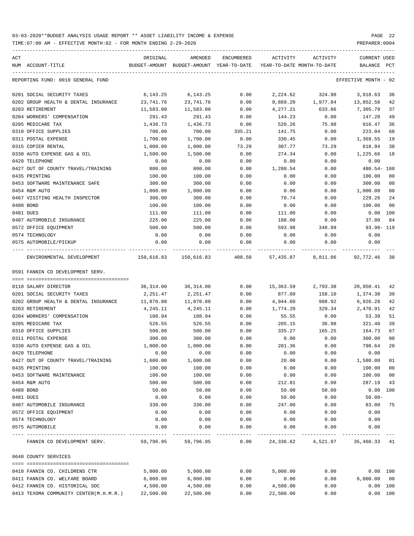| ACT | NUM ACCOUNT-TITLE                                       | ORIGINAL            | AMENDED<br>BUDGET-AMOUNT BUDGET-AMOUNT YEAR-TO-DATE | ENCUMBERED              | ACTIVITY            | ACTIVITY<br>YEAR-TO-DATE MONTH-TO-DATE | <b>CURRENT USED</b><br>BALANCE PCT |                      |
|-----|---------------------------------------------------------|---------------------|-----------------------------------------------------|-------------------------|---------------------|----------------------------------------|------------------------------------|----------------------|
|     | REPORTING FUND: 0010 GENERAL FUND                       |                     |                                                     |                         |                     |                                        | EFFECTIVE MONTH - 02               |                      |
|     | 0201 SOCIAL SECURITY TAXES                              | 6,143.25            | 6,143.25                                            | 0.00                    | 2,224.62            | 324.90                                 | 3,918.63                           | 36                   |
|     | 0202 GROUP HEALTH & DENTAL INSURANCE                    | 23,741.76           | 23,741.76                                           | 0.00                    | 9,889.20            | 1,977.84                               | 13,852.56                          | 42                   |
|     | 0203 RETIREMENT                                         | 11,583.00           | 11,583.00                                           | 0.00                    | 4,277.21            | 633.86                                 | 7,305.79                           | 37                   |
|     | 0204 WORKERS' COMPENSATION                              | 291.43              | 291.43                                              | 0.00                    | 144.23              | 0.00                                   | 147.20                             | 49                   |
|     | 0205 MEDICARE TAX                                       | 1,436.73            | 1,436.73                                            | 0.00                    | 520.26              | 75.98                                  | 916.47                             | 36                   |
|     | 0310 OFFICE SUPPLIES                                    | 700.00              | 700.00                                              | 335.21                  | 141.75              | 0.00                                   | 223.04                             | 68                   |
|     | 0311 POSTAL EXPENSE                                     | 1,700.00            | 1,700.00                                            | 0.00                    | 330.45              | 0.00                                   | 1,369.55                           | 19                   |
|     | 0315 COPIER RENTAL                                      | 1,000.00            | 1,000.00                                            | 73.29                   | 307.77              | 73.29                                  | 618.94                             | 38                   |
|     | 0330 AUTO EXPENSE GAS & OIL                             | 1,500.00            | 1,500.00                                            | 0.00                    | 274.34              | 0.00                                   | 1,225.66                           | 18                   |
|     | 0420 TELEPHONE                                          | 0.00                | 0.00                                                | 0.00                    | 0.00                | 0.00                                   | 0.00                               |                      |
|     | 0427 OUT OF COUNTY TRAVEL/TRAINING                      | 800.00              | 800.00                                              | 0.00                    | 1,280.54            | 0.00                                   | 480.54- 160                        |                      |
|     | 0435 PRINTING                                           | 100.00              | 100.00                                              | 0.00                    | 0.00                | 0.00                                   | 100.00                             | 0 <sub>0</sub>       |
|     | 0453 SOFTWARE MAINTENANCE SAFE                          | 300.00              | 300.00                                              | 0.00                    | 0.00                | 0.00                                   | 300.00                             | 0 <sub>0</sub>       |
|     | 0454 R&M AUTO                                           | 1,000.00            | 1,000.00                                            | 0.00                    | 0.00                | 0.00                                   | 1,000.00                           | 0 <sub>0</sub>       |
|     | 0467 VISITING HEALTH INSPECTOR                          | 300.00              | 300.00                                              | 0.00                    | 70.74               | 0.00                                   | 229.26                             | 24                   |
|     | 0480 BOND                                               | 100.00              | 100.00                                              | 0.00                    | 0.00                | 0.00                                   | 100.00                             | 0 <sub>0</sub>       |
|     | 0481 DUES                                               | 111.00              | 111.00                                              | 0.00                    | 111.00              | 0.00                                   | 0.00                               | 100                  |
|     | 0487 AUTOMOBILE INSURANCE                               | 225.00              | 225.00                                              | 0.00                    | 188.00              | 0.00                                   | 37.00                              | 84                   |
|     | 0572 OFFICE EQUIPMENT                                   | 500.00              | 500.00                                              | 0.00                    | 593.98              | 348.99                                 | 93.98-119                          |                      |
|     | 0574 TECHNOLOGY                                         | 0.00                | 0.00                                                | 0.00                    | 0.00                | 0.00                                   | 0.00                               |                      |
|     | 0575 AUTOMOBILE/PICKUP                                  | 0.00<br>----------- | 0.00                                                | 0.00                    | 0.00<br>----------- | 0.00<br>-------------                  | 0.00                               |                      |
|     | ENVIRONMENTAL DEVELOPMENT                               |                     |                                                     |                         |                     |                                        | 92,772.46                          | 38                   |
|     | 0591 FANNIN CO DEVELOPMENT SERV.                        |                     |                                                     |                         |                     |                                        |                                    |                      |
|     |                                                         |                     |                                                     |                         |                     |                                        |                                    |                      |
|     | 0110 SALARY DIRECTOR                                    | 36,314.00           | 36,314.00                                           | 0.00                    | 15,363.59           | 2,793.38                               | 20,950.41                          | 42                   |
|     | 0201 SOCIAL SECURITY TAXES                              | 2,251.47            | 2,251.47                                            | 0.00                    | 877.09              | 158.10                                 | 1,374.38                           | 39                   |
|     | 0202 GROUP HEALTH & DENTAL INSURANCE<br>0203 RETIREMENT | 11,870.88           | 11,870.88                                           | 0.00                    | 4,944.60            | 988.92                                 | 6,926.28                           | 42<br>42             |
|     | 0204 WORKERS' COMPENSATION                              | 4,245.11<br>108.94  | 4,245.11                                            | 0.00                    | 1,774.20            | 329.34                                 | 2,470.91                           | 51                   |
|     |                                                         |                     | 108.94                                              | 0.00                    | 55.55               | 0.00                                   | 53.39                              |                      |
|     | 0205 MEDICARE TAX                                       | 526.55              | 526.55                                              | 0.00                    | 205.15              | 36.98                                  | 321.40                             | 39                   |
|     | 0310 OFFICE SUPPLIES                                    | 500.00              | 500.00                                              | 0.00                    | 335.27              | 165.25                                 | 164.73                             | 67<br>0 <sub>0</sub> |
|     | 0311 POSTAL EXPENSE                                     | 300.00              | 300.00                                              | 0.00<br>0.00            | 0.00<br>201.36      | 0.00                                   | 300.00<br>798.64                   | 20                   |
|     | 0330 AUTO EXPENSE GAS & OIL                             | 1,000.00<br>0.00    | 1,000.00<br>0.00                                    | 0.00                    | 0.00                | 0.00<br>0.00                           | 0.00                               |                      |
|     | 0420 TELEPHONE                                          |                     |                                                     |                         |                     |                                        |                                    | 01                   |
|     | 0427 OUT OF COUNTY TRAVEL/TRAINING<br>0435 PRINTING     | 1,600.00<br>100.00  | 1,600.00<br>100.00                                  | 0.00<br>0.00            | 20.00<br>0.00       | 0.00<br>0.00                           | 1,580.00<br>100.00                 | 0 <sub>0</sub>       |
|     | 0453 SOFTWARE MAINTENANCE                               | 100.00              | 100.00                                              | 0.00                    | 0.00                | 0.00                                   | 100.00                             | 0 <sub>0</sub>       |
|     | 0454 R&M AUTO                                           | 500.00              | 500.00                                              | 0.00                    | 212.81              | 0.00                                   | 287.19                             | 43                   |
|     | 0480 BOND                                               | 50.00               | 50.00                                               | 0.00                    | 50.00               | 50.00                                  | $0.00$ 100                         |                      |
|     | 0481 DUES                                               | 0.00                | 0.00                                                | 0.00                    | 50.00               | 0.00                                   | $50.00 -$                          |                      |
|     | 0487 AUTOMOBILE INSURANCE                               | 330.00              | 330.00                                              | 0.00                    | 247.00              | 0.00                                   | 83.00                              | 75                   |
|     | 0572 OFFICE EQUIPMENT                                   | 0.00                | 0.00                                                | 0.00                    | 0.00                | 0.00                                   | 0.00                               |                      |
|     | 0574 TECHNOLOGY                                         | 0.00                | 0.00                                                | 0.00                    | 0.00                | 0.00                                   | 0.00                               |                      |
|     | 0575 AUTOMOBILE                                         | 0.00                | 0.00                                                | 0.00                    | 0.00                | 0.00                                   | 0.00                               |                      |
|     |                                                         |                     |                                                     | . _ _ _ _ _ _ _ _ _ _ _ |                     |                                        |                                    |                      |
|     | FANNIN CO DEVELOPMENT SERV.                             | 59,796.95           | 59,796.95                                           |                         |                     | $0.00$ 24,336.62 4,521.97 35,460.33 41 |                                    |                      |
|     | 0640 COUNTY SERVICES                                    |                     |                                                     |                         |                     |                                        |                                    |                      |
|     | 0410 FANNIN CO. CHILDRENS CTR                           | 5,000.00            | 5,000.00                                            | 0.00                    | 5,000.00            | 0.00                                   | 0.00 100                           |                      |
|     | 0411 FANNIN CO. WELFARE BOARD                           | 6,000.00            | 6,000.00                                            | 0.00                    | 0.00                | 0.00                                   | 6,000.00000                        |                      |
|     | 0412 FANNIN CO. HISTORICAL SOC                          | 4,500.00            | 4,500.00                                            | 0.00                    | 4,500.00            | 0.00                                   | 0.00 100                           |                      |
|     | 0413 TEXOMA COMMUNITY CENTER(M.H.M.R.) 22,500.00        |                     | 22,500.00                                           | 0.00                    | 22,500.00           | 0.00                                   | 0.00 100                           |                      |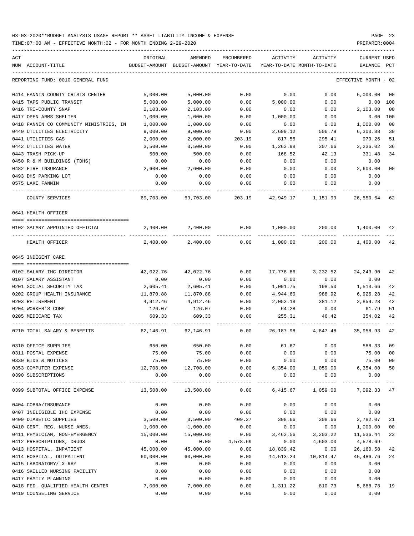TIME:07:00 AM - EFFECTIVE MONTH:02 - FOR MONTH ENDING 2-29-2020 PREPARER:0004

| ACT<br>NUM ACCOUNT-TITLE                | ORIGINAL  | AMENDED<br>BUDGET-AMOUNT BUDGET-AMOUNT YEAR-TO-DATE | ENCUMBERED | ACTIVITY                     | ACTIVITY<br>YEAR-TO-DATE MONTH-TO-DATE | CURRENT USED<br>BALANCE PCT |                |
|-----------------------------------------|-----------|-----------------------------------------------------|------------|------------------------------|----------------------------------------|-----------------------------|----------------|
| REPORTING FUND: 0010 GENERAL FUND       |           |                                                     |            |                              |                                        | EFFECTIVE MONTH - 02        |                |
| 0414 FANNIN COUNTY CRISIS CENTER        | 5,000.00  | 5,000.00                                            | 0.00       | 0.00                         | 0.00                                   | 5,000.00                    | 0 <sub>0</sub> |
| 0415 TAPS PUBLIC TRANSIT                | 5,000.00  | 5,000.00                                            | 0.00       | 5,000.00                     | 0.00                                   | 0.00                        | 100            |
| 0416 TRI-COUNTY SNAP                    | 2,103.00  | 2,103.00                                            | 0.00       | 0.00                         | 0.00                                   | 2,103.00                    | 0 <sub>0</sub> |
| 0417 OPEN ARMS SHELTER                  | 1,000.00  | 1,000.00                                            | 0.00       | 1,000.00                     | 0.00                                   | 0.00                        | 100            |
| 0418 FANNIN CO COMMUNITY MINISTRIES, IN | 1,000.00  | 1,000.00                                            | 0.00       | 0.00                         | 0.00                                   | 1,000.00                    | 0 <sub>0</sub> |
| 0440 UTILITIES ELECTRICITY              | 9,000.00  | 9,000.00                                            | 0.00       | 2,699.12                     | 506.79                                 | 6,300.88                    | 30             |
| 0441 UTILITIES GAS                      | 2,000.00  | 2,000.00                                            | 203.19     | 817.55                       | 295.41                                 | 979.26                      | 51             |
| 0442 UTILITIES WATER                    | 3,500.00  | 3,500.00                                            | 0.00       | 1,263.98                     | 307.66                                 | 2,236.02                    | 36             |
| 0443 TRASH PICK-UP                      | 500.00    | 500.00                                              | 0.00       | 168.52                       | 42.13                                  | 331.48                      | 34             |
| 0450 R & M BUILDINGS (TDHS)             | 0.00      | 0.00                                                | 0.00       | 0.00                         | 0.00                                   | 0.00                        |                |
| 0482 FIRE INSURANCE                     | 2,600.00  | 2,600.00                                            | 0.00       | 0.00                         | 0.00                                   | 2,600.00                    | 0 <sub>0</sub> |
| 0493 DHS PARKING LOT                    | 0.00      | 0.00                                                | 0.00       | 0.00                         | 0.00                                   | 0.00                        |                |
| 0575 LAKE FANNIN                        | 0.00      | 0.00                                                | 0.00       | 0.00                         | 0.00                                   | 0.00                        |                |
| COUNTY SERVICES                         | 69,703.00 | 69,703.00                                           | 203.19     | 42,949.17                    | 1,151.99                               | 26,550.64                   | 62             |
| 0641 HEALTH OFFICER                     |           |                                                     |            |                              |                                        |                             |                |
|                                         |           |                                                     |            |                              |                                        |                             |                |
| 0102 SALARY APPOINTED OFFICIAL          | 2,400.00  | 2,400.00                                            | 0.00       | 1,000.00                     | 200.00                                 | 1,400.00                    | 42             |
| HEALTH OFFICER                          | 2,400.00  | 2,400.00                                            | 0.00       | 1,000.00                     |                                        | 200.00 1,400.00             | 42             |
| 0645 INDIGENT CARE                      |           |                                                     |            |                              |                                        |                             |                |
|                                         |           |                                                     |            |                              |                                        |                             |                |
| 0102 SALARY IHC DIRECTOR                | 42,022.76 | 42,022.76                                           | 0.00       | 17,778.86                    | 3,232.52                               | 24,243.90                   | 42             |
| 0107 SALARY ASSISTANT                   | 0.00      | 0.00                                                | 0.00       | 0.00                         | 0.00                                   | 0.00                        |                |
| 0201 SOCIAL SECURITY TAX                | 2,605.41  | 2,605.41                                            | 0.00       | 1,091.75                     | 198.50                                 | 1,513.66                    | 42             |
| 0202 GROUP HEALTH INSURANCE             | 11,870.88 | 11,870.88                                           | 0.00       | 4,944.60                     | 988.92                                 | 6,926.28                    | 42             |
| 0203 RETIREMENT                         | 4,912.46  | 4,912.46                                            | 0.00       | 2,053.18                     | 381.12                                 | 2,859.28                    | 42             |
| 0204 WORKER'S COMP                      | 126.07    | 126.07                                              | 0.00       | 64.28                        | 0.00                                   | 61.79                       | 51             |
| 0205 MEDICARE TAX                       | 609.33    | 609.33                                              | 0.00       | 255.31                       | 46.42                                  | 354.02                      | 42             |
| 0210 TOTAL SALARY & BENEFITS            | 62,146.91 | 62,146.91                                           | 0.00       | 26,187.98                    | 4,847.48                               | 35,958.93                   | 42             |
| 0310 OFFICE SUPPLIES                    | 650.00    | 650.00                                              | 0.00       | 61.67                        | 0.00                                   | 588.33                      | 09             |
| 0311 POSTAL EXPENSE                     | 75.00     | 75.00                                               | 0.00       | 0.00                         | 0.00                                   | 75.00                       | 0 <sub>0</sub> |
| 0330 BIDS & NOTICES                     | 75.00     | 75.00                                               | 0.00       | 0.00                         | 0.00                                   | 75.00                       | 0 <sub>0</sub> |
| 0353 COMPUTER EXPENSE                   | 12,708.00 | 12,708.00                                           |            |                              | $0.00$ 6,354.00 1,059.00 6,354.00      |                             | 50             |
| 0390 SUBSCRIPTIONS                      | 0.00      | 0.00                                                |            | $0.00$ 0.00<br>------------- | 0.00<br>_____________                  | 0.00<br>-------------       |                |
| 0399 SUBTOTAL OFFICE EXPENSE            |           | 13,508.00    13,508.00                              | 0.00       |                              | 6,415.67 1,059.00                      | 7,092.33 47                 |                |
| 0404 COBRA/INSURANCE                    | 0.00      | 0.00                                                | 0.00       | 0.00                         | 0.00                                   | 0.00                        |                |
| 0407 INELIGIBLE IHC EXPENSE             | 0.00      | 0.00                                                | 0.00       | 0.00                         | 0.00                                   | 0.00                        |                |
| 0409 DIABETIC SUPPLIES                  | 3,500.00  | 3,500.00                                            | 409.27     | 308.66                       | 308.66                                 | 2,782.07                    | 21             |
| 0410 CERT. REG. NURSE ANES.             | 1,000.00  | 1,000.00                                            | 0.00       | 0.00                         | 0.00                                   | 1,000.00                    | 0 <sub>0</sub> |
| 0411 PHYSICIAN, NON-EMERGENCY           | 15,000.00 | 15,000.00                                           | 0.00       | 3,463.56                     | 3,203.22                               | 11,536.44                   | 23             |
| 0412 PRESCRIPTIONS, DRUGS               | 0.00      | 0.00                                                | 4,578.69   | 0.00                         | 4,603.00                               | 4,578.69-                   |                |
| 0413 HOSPITAL, INPATIENT                | 45,000.00 | 45,000.00                                           | 0.00       | 18,839.42                    | 0.00                                   | 26,160.58                   | 42             |
| 0414 HOSPITAL, OUTPATIENT               | 60,000.00 | 60,000.00                                           | 0.00       | 14,513.24                    | 10,814.47                              | 45,486.76                   | 24             |
| 0415 LABORATORY/ X-RAY                  | 0.00      | 0.00                                                | 0.00       | 0.00                         | 0.00                                   | 0.00                        |                |
| 0416 SKILLED NURSING FACILITY           | 0.00      | 0.00                                                | 0.00       | 0.00                         | 0.00                                   | 0.00                        |                |
| 0417 FAMILY PLANNING                    | 0.00      | 0.00                                                | 0.00       | 0.00                         | 0.00                                   | 0.00                        |                |
| 0418 FED. QUALIFIED HEALTH CENTER       | 7,000.00  | 7,000.00                                            | 0.00       | 1,311.22                     | 810.73                                 | 5,688.78                    | 19             |

0419 COUNSELING SERVICE  $\begin{array}{cccccccc} 0.00 & 0.00 & 0.00 & 0.00 & 0.00 & 0.00 & 0.00 & 0.00 & 0.00 & 0.00 & 0.00 & 0.00 & 0.00 & 0.00 & 0.00 & 0.00 & 0.00 & 0.00 & 0.00 & 0.00 & 0.00 & 0.00 & 0.00 & 0.00 & 0.00 & 0.00 & 0.00 & 0.00 & 0.00 & 0.00 & 0.00 & 0.$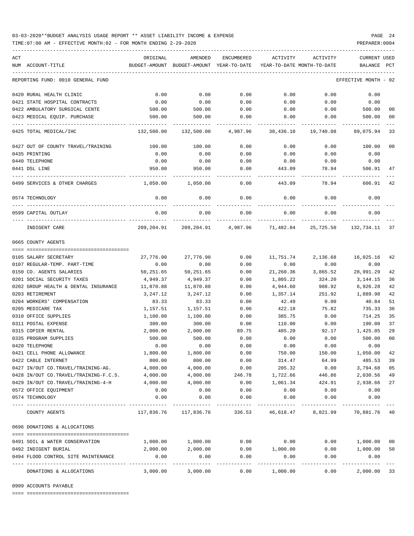TIME:07:00 AM - EFFECTIVE MONTH:02 - FOR MONTH ENDING 2-29-2020

| ACT | NUM ACCOUNT-TITLE                                         | ORIGINAL<br>BUDGET-AMOUNT | AMENDED<br>BUDGET-AMOUNT YEAR-TO-DATE | ENCUMBERED          | ACTIVITY<br>YEAR-TO-DATE MONTH-TO-DATE | ACTIVITY     | <b>CURRENT USED</b><br>BALANCE | PCT            |
|-----|-----------------------------------------------------------|---------------------------|---------------------------------------|---------------------|----------------------------------------|--------------|--------------------------------|----------------|
|     |                                                           |                           |                                       |                     |                                        |              |                                |                |
|     | REPORTING FUND: 0010 GENERAL FUND                         |                           |                                       |                     |                                        |              | EFFECTIVE MONTH - 02           |                |
|     | 0420 RURAL HEALTH CLINIC                                  | 0.00                      | 0.00                                  | 0.00                | 0.00                                   | 0.00         | 0.00                           |                |
|     | 0421 STATE HOSPITAL CONTRACTS                             | 0.00                      | 0.00                                  | 0.00                | 0.00                                   | 0.00         | 0.00                           |                |
|     | 0422 AMBULATORY SURGICAL CENTE                            | 500.00                    | 500.00                                | 0.00                | 0.00                                   | 0.00         | 500.00                         | 00             |
|     | 0423 MEDICAL EQUIP. PURCHASE                              | 500.00                    | 500.00                                | 0.00                | 0.00                                   | 0.00         | 500.00                         | 0 <sub>0</sub> |
|     | 0425 TOTAL MEDICAL/IHC                                    | 132,500.00                | 132,500.00                            | 4,987.96            | 38,436.10                              | 19,740.08    | 89,075.94                      | 33             |
|     | 0427 OUT OF COUNTY TRAVEL/TRAINING                        | 100.00                    | 100.00                                | 0.00                | 0.00                                   | 0.00         | 100.00                         | 0 <sub>0</sub> |
|     | 0435 PRINTING                                             | 0.00                      | 0.00                                  | 0.00                | 0.00                                   | 0.00         | 0.00                           |                |
|     | 0440 TELEPHONE                                            | 0.00                      | 0.00                                  | 0.00                | 0.00                                   | 0.00         | 0.00                           |                |
|     | 0441 DSL LINE                                             | 950.00                    | 950.00                                | 0.00                | 443.09                                 | 78.94        | 506.91                         | 47             |
|     | 0499 SERVICES & OTHER CHARGES                             | 1,050.00                  | 1,050.00                              | 0.00                | 443.09                                 | 78.94        | 606.91                         | 42             |
|     | 0574 TECHNOLOGY                                           | 0.00                      | 0.00                                  | 0.00                | 0.00                                   | 0.00         | 0.00                           |                |
|     | 0599 CAPITAL OUTLAY                                       | 0.00                      | 0.00                                  | 0.00                | 0.00                                   | 0.00         | 0.00                           |                |
|     | INDIGENT CARE                                             | 209,204.91                |                                       | 209,204.91 4,987.96 | 71,482.84                              | 25,725.50    | 132,734.11                     | 37             |
|     | 0665 COUNTY AGENTS                                        |                           |                                       |                     |                                        |              |                                |                |
|     |                                                           |                           |                                       |                     |                                        |              |                                |                |
|     | 0105 SALARY SECRETARY                                     | 27,776.90                 | 27,776.90                             | 0.00                | 11,751.74                              | 2,136.68     | 16,025.16                      | 42             |
|     | 0107 REGULAR-TEMP. PART-TIME                              | 0.00                      | 0.00                                  | 0.00                | 0.00                                   | 0.00         | 0.00                           |                |
|     | 0150 CO. AGENTS SALARIES                                  | 50,251.65                 | 50,251.65                             | 0.00                | 21,260.36                              | 3,865.52     | 28,991.29                      | 42             |
|     | 0201 SOCIAL SECURITY TAXES                                | 4,949.37                  | 4,949.37                              | 0.00                | 1,805.22                               | 324.20       | 3,144.15                       | 36             |
|     | 0202 GROUP HEALTH & DENTAL INSURANCE                      | 11,870.88                 | 11,870.88                             | 0.00                | 4,944.60                               | 988.92       | 6,926.28                       | 42             |
|     | 0203 RETIREMENT                                           | 3,247.12                  | 3,247.12                              | 0.00                | 1,357.14                               | 251.92       | 1,889.98                       | 42             |
|     | 0204 WORKERS' COMPENSATION                                | 83.33                     | 83.33                                 | 0.00                | 42.49                                  | 0.00         | 40.84                          | 51             |
|     | 0205 MEDICARE TAX                                         | 1,157.51                  | 1,157.51                              | 0.00                | 422.18                                 | 75.82        | 735.33                         | 36             |
|     | 0310 OFFICE SUPPLIES                                      | 1,100.00                  | 1,100.00                              | 0.00                | 385.75                                 | 0.00         | 714.25                         | 35             |
|     | 0311 POSTAL EXPENSE                                       | 300.00                    | 300.00                                | 0.00                | 110.00                                 | 0.00         | 190.00                         | 37             |
|     | 0315 COPIER RENTAL                                        | 2,000.00                  | 2,000.00                              | 89.75               | 485.20                                 | 92.17        | 1,425.05                       | 29             |
|     | 0335 PROGRAM SUPPLIES                                     | 500.00                    | 500.00                                | 0.00                | 0.00                                   | 0.00         | 500.00                         | 0 <sub>0</sub> |
|     | 0420 TELEPHONE                                            | 0.00                      | 0.00                                  | 0.00                | 0.00                                   | 0.00         | 0.00                           |                |
|     | 0421 CELL PHONE ALLOWANCE                                 | 1,800.00                  | 1,800.00                              | 0.00                | 750.00                                 | 150.00       | 1,050.00                       | 42             |
|     | 0422 CABLE INTERNET<br>0427 IN/OUT CO.TRAVEL/TRAINING-AG. | 800.00                    | 800.00                                | 0.00                | 314.47                                 | 64.99        | 485.53                         | 39             |
|     |                                                           | 4,000.00                  | 4,000.00                              | 0.00                | 205.32                                 | 0.00         | 3,794.68                       | 05             |
|     | 0428 IN/OUT CO.TRAVEL/TRAINING-F.C.S.                     | 4,000.00<br>4,000.00      | 4,000.00                              | 246.78              | 1,722.66                               | 446.86       | 2,030.56                       | 49<br>27       |
|     | 0429 IN/OUT CO.TRAVEL/TRAINING-4-H                        |                           | 4,000.00                              | 0.00                | 1,061.34                               | 424.91       | 2,938.66                       |                |
|     | 0572 OFFICE EQUIPMENT<br>0574 TECHNOLOGY                  | 0.00<br>0.00              | 0.00<br>0.00                          | 0.00<br>0.00        | 0.00<br>0.00                           | 0.00<br>0.00 | 0.00<br>0.00                   |                |
|     | COUNTY AGENTS                                             | 117,836.76                | 117,836.76                            | 336.53              | 46,618.47                              | 8,821.99     | 70,881.76 40                   |                |
|     | 0696 DONATIONS & ALLOCATIONS                              |                           |                                       |                     |                                        |              |                                |                |
|     |                                                           |                           |                                       |                     |                                        |              |                                |                |
|     | 0491 SOIL & WATER CONSERVATION                            | 1,000.00                  | 1,000.00                              | 0.00                | 0.00                                   | 0.00         | 1,000.00                       | 0 <sub>0</sub> |
|     |                                                           |                           | 2,000.00                              | 0.00                | 1,000.00                               | 0.00         | 1,000.00                       | 50             |
|     | 0492 INDIGENT BURIAL                                      | 2,000.00                  |                                       |                     |                                        |              |                                |                |
|     | 0494 FLOOD CONTROL SITE MAINTENANCE                       | 0.00<br>---------         | 0.00<br>---------                     | 0.00                | 0.00<br>---------                      | 0.00         | 0.00                           |                |

0999 ACCOUNTS PAYABLE

==== ===================================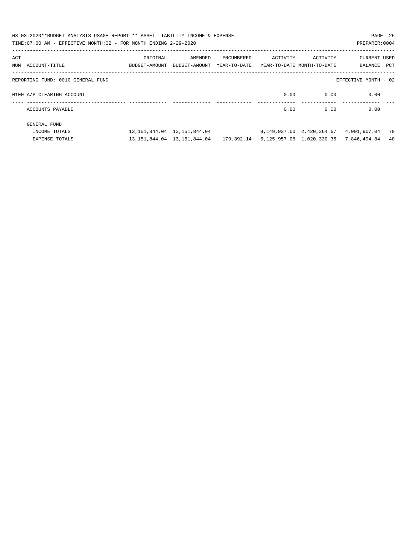| 03-03-2020**BUDGET ANALYSIS USAGE REPORT ** ASSET LIABILITY INCOME & EXPENSE<br>TIME: 07:00 AM - EFFECTIVE MONTH: 02 - FOR MONTH ENDING 2-29-2020 |                                                                                 |                                                                                                |            |          |          | PAGE 25<br>PREPARER: 0004                         |     |
|---------------------------------------------------------------------------------------------------------------------------------------------------|---------------------------------------------------------------------------------|------------------------------------------------------------------------------------------------|------------|----------|----------|---------------------------------------------------|-----|
| ACT<br>NUM ACCOUNT-TITLE                                                                                                                          | ORIGINAL<br>BUDGET-AMOUNT BUDGET-AMOUNT YEAR-TO-DATE YEAR-TO-DATE MONTH-TO-DATE | AMENDED                                                                                        | ENCUMBERED | ACTIVITY | ACTIVITY | CURRENT USED<br>BALANCE PCT                       |     |
| REPORTING FUND: 0010 GENERAL FUND                                                                                                                 |                                                                                 |                                                                                                |            |          |          | EFFECTIVE MONTH - 02                              |     |
| 0100 A/P CLEARING ACCOUNT                                                                                                                         |                                                                                 |                                                                                                |            | 0.00     | 0.00     | 0.00                                              |     |
| ACCOUNTS PAYABLE                                                                                                                                  |                                                                                 |                                                                                                |            | 0.00     | 0.00     | 0.00                                              |     |
| GENERAL FUND<br>INCOME TOTALS                                                                                                                     |                                                                                 | 13, 151, 844, 04 13, 151, 844, 04                                                              |            |          |          | 9, 149, 937, 00  2, 420, 364, 67  4, 001, 907, 04 | 70  |
| <b>EXPENSE TOTALS</b>                                                                                                                             |                                                                                 | 13, 151, 844, 04 13, 151, 844, 04 179, 392, 14 5, 125, 957, 06 1, 020, 330, 35 7, 846, 494, 84 |            |          |          |                                                   | -40 |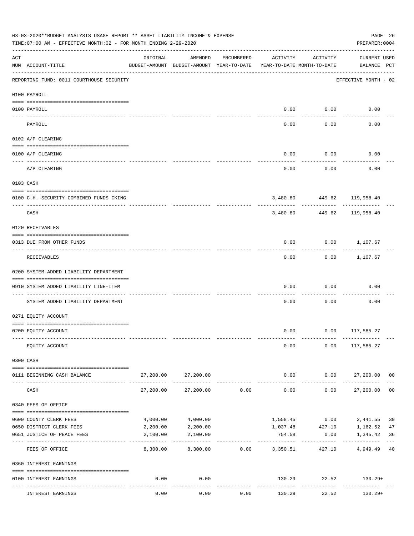|     | 03-03-2020**BUDGET ANALYSIS USAGE REPORT ** ASSET LIABILITY INCOME & EXPENSE<br>TIME: 07:00 AM - EFFECTIVE MONTH: 02 - FOR MONTH ENDING 2-29-2020 |                           |                                                     |            |                                        |                      | PAGE 26<br>PREPARER: 0004          |                |
|-----|---------------------------------------------------------------------------------------------------------------------------------------------------|---------------------------|-----------------------------------------------------|------------|----------------------------------------|----------------------|------------------------------------|----------------|
| ACT | NUM ACCOUNT-TITLE                                                                                                                                 | ORIGINAL                  | AMENDED<br>BUDGET-AMOUNT BUDGET-AMOUNT YEAR-TO-DATE | ENCUMBERED | ACTIVITY<br>YEAR-TO-DATE MONTH-TO-DATE | ACTIVITY             | <b>CURRENT USED</b><br>BALANCE PCT |                |
|     | REPORTING FUND: 0011 COURTHOUSE SECURITY                                                                                                          |                           |                                                     |            |                                        |                      | EFFECTIVE MONTH - 02               |                |
|     | 0100 PAYROLL                                                                                                                                      |                           |                                                     |            |                                        |                      |                                    |                |
|     | 0100 PAYROLL                                                                                                                                      |                           |                                                     |            | 0.00                                   | 0.00                 | 0.00                               |                |
|     | ---- ----<br>PAYROLL                                                                                                                              |                           |                                                     |            | 0.00                                   | .<br>0.00            | 0.00                               |                |
|     | 0102 A/P CLEARING                                                                                                                                 |                           |                                                     |            |                                        |                      |                                    |                |
|     | 0100 A/P CLEARING                                                                                                                                 |                           |                                                     |            | 0.00                                   | 0.00                 | 0.00                               |                |
|     | A/P CLEARING                                                                                                                                      |                           |                                                     |            | 0.00                                   | 0.00                 | 0.00                               |                |
|     | 0103 CASH                                                                                                                                         |                           |                                                     |            |                                        |                      |                                    |                |
|     | 0100 C.H. SECURITY-COMBINED FUNDS CKING                                                                                                           |                           |                                                     |            |                                        |                      | 3,480.80 449.62 119,958.40         |                |
|     | CASH                                                                                                                                              |                           |                                                     |            | 3,480.80                               | ----------<br>449.62 | 119,958.40                         |                |
|     | 0120 RECEIVABLES                                                                                                                                  |                           |                                                     |            |                                        |                      |                                    |                |
|     | 0313 DUE FROM OTHER FUNDS                                                                                                                         |                           |                                                     |            | 0.00                                   |                      | $0.00$ 1,107.67                    |                |
|     | RECEIVABLES                                                                                                                                       |                           |                                                     |            | 0.00                                   | ---------            | $0.00$ 1,107.67                    |                |
|     | 0200 SYSTEM ADDED LIABILITY DEPARTMENT                                                                                                            |                           |                                                     |            |                                        |                      |                                    |                |
|     | 0910 SYSTEM ADDED LIABILITY LINE-ITEM                                                                                                             |                           |                                                     |            | 0.00                                   | 0.00                 | 0.00                               |                |
|     | SYSTEM ADDED LIABILITY DEPARTMENT                                                                                                                 |                           |                                                     |            | 0.00                                   | 0.00                 | 0.00                               |                |
|     | 0271 EQUITY ACCOUNT                                                                                                                               |                           |                                                     |            |                                        |                      |                                    |                |
|     | 0200 EQUITY ACCOUNT                                                                                                                               |                           |                                                     |            |                                        |                      | $0.00$ $0.00$ $117,585.27$         |                |
|     | EQUITY ACCOUNT                                                                                                                                    |                           |                                                     |            | 0.00                                   |                      | $0.00$ 117,585.27                  |                |
|     | 0300 CASH                                                                                                                                         |                           |                                                     |            |                                        |                      |                                    |                |
|     | 0111 BEGINNING CASH BALANCE                                                                                                                       | 27,200.00                 | 27,200.00                                           |            | 0.00                                   |                      | $0.00$ 27,200.00 00                |                |
|     | CASH                                                                                                                                              | 27,200.00                 | 27,200.00                                           | 0.00       | ------------<br>0.00                   | ----------           | ------------<br>0.00<br>27,200.00  | 0 <sub>0</sub> |
|     | 0340 FEES OF OFFICE                                                                                                                               |                           |                                                     |            |                                        |                      |                                    |                |
|     | 0600 COUNTY CLERK FEES                                                                                                                            | 4,000.00                  | 4,000.00                                            |            | 1,558.45                               | 0.00                 | 2,441.55                           | 39             |
|     | 0650 DISTRICT CLERK FEES                                                                                                                          | 2,200.00                  | 2,200.00                                            |            | 1,037.48                               | 427.10               | 1,162.52                           | 47             |
|     | 0651 JUSTICE OF PEACE FEES                                                                                                                        | 2,100.00<br>------------- | 2,100.00                                            |            | 754.58<br>----------                   | 0.00                 | 1,345.42                           | 36             |
|     | FEES OF OFFICE                                                                                                                                    | 8,300.00                  | 8,300.00                                            | 0.00       | 3,350.51                               | 427.10               | 4,949.49                           | 40             |
|     | 0360 INTEREST EARNINGS                                                                                                                            |                           |                                                     |            |                                        |                      |                                    |                |
|     | 0100 INTEREST EARNINGS                                                                                                                            | 0.00                      | 0.00<br>$- - - - -$                                 |            |                                        | -----------          | 130.29 22.52 130.29+               |                |
|     | INTEREST EARNINGS                                                                                                                                 | 0.00                      | 0.00                                                | 0.00       | 130.29                                 | 22.52                | $130.29+$                          |                |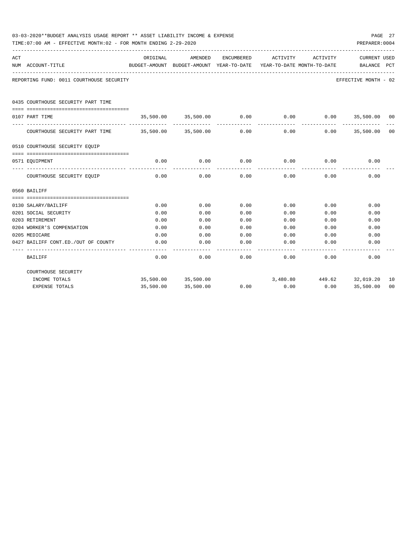|     | 03-03-2020**BUDGET ANALYSIS USAGE REPORT ** ASSET LIABILITY INCOME & EXPENSE<br>TIME: 07:00 AM - EFFECTIVE MONTH: 02 - FOR MONTH ENDING 2-29-2020 |          |                          |      |                                                                                                     |                                                     | PAGE 27<br>PREPARER: 0004   |    |
|-----|---------------------------------------------------------------------------------------------------------------------------------------------------|----------|--------------------------|------|-----------------------------------------------------------------------------------------------------|-----------------------------------------------------|-----------------------------|----|
| ACT | NUM ACCOUNT-TITLE                                                                                                                                 | ORIGINAL | AMENDED                  |      | ENCUMBERED ACTIVITY ACTIVITY<br>BUDGET-AMOUNT BUDGET-AMOUNT YEAR-TO-DATE YEAR-TO-DATE MONTH-TO-DATE |                                                     | CURRENT USED<br>BALANCE PCT |    |
|     | REPORTING FUND: 0011 COURTHOUSE SECURITY                                                                                                          |          |                          |      |                                                                                                     |                                                     | EFFECTIVE MONTH - 02        |    |
|     | 0435 COURTHOUSE SECURITY PART TIME                                                                                                                |          |                          |      |                                                                                                     |                                                     |                             |    |
|     |                                                                                                                                                   |          | 35,500.00 35,500.00 0.00 |      |                                                                                                     |                                                     |                             |    |
|     | 0107 PART TIME                                                                                                                                    |          |                          |      | 0.00<br>-------------                                                                               | $0.00$ 35,500.00 00<br>------------- -------------- |                             |    |
|     | COURTHOUSE SECURITY PART TIME 35,500.00 35,500.00                                                                                                 |          |                          | 0.00 | 0.00                                                                                                | 0.00                                                | 35,500.00 00                |    |
|     | 0510 COURTHOUSE SECURITY EOUIP                                                                                                                    |          |                          |      |                                                                                                     |                                                     |                             |    |
|     |                                                                                                                                                   |          |                          |      |                                                                                                     |                                                     |                             |    |
|     | 0571 EOUIPMENT                                                                                                                                    | 0.00     |                          |      | $0.00$ $0.00$ $0.00$ $0.00$                                                                         |                                                     | $0.00$ 0.00                 |    |
|     | COURTHOUSE SECURITY EQUIP                                                                                                                         | 0.00     | 0.00                     | 0.00 | 0.00                                                                                                | 0.00                                                | 0.00                        |    |
|     | 0560 BAILIFF                                                                                                                                      |          |                          |      |                                                                                                     |                                                     |                             |    |
|     |                                                                                                                                                   |          |                          |      |                                                                                                     |                                                     |                             |    |
|     | 0130 SALARY/BAILIFF                                                                                                                               | 0.00     | 0.00                     | 0.00 | 0.00                                                                                                | 0.00                                                | 0.00                        |    |
|     | 0201 SOCIAL SECURITY                                                                                                                              | 0.00     | 0.00                     | 0.00 | 0.00                                                                                                | 0.00                                                | 0.00                        |    |
|     | 0203 RETIREMENT                                                                                                                                   | 0.00     | 0.00                     | 0.00 | 0.00                                                                                                | 0.00                                                | 0.00                        |    |
|     | 0204 WORKER'S COMPENSATION                                                                                                                        | 0.00     | 0.00                     | 0.00 | 0.00                                                                                                | 0.00                                                | 0.00                        |    |
|     | 0205 MEDICARE                                                                                                                                     | 0.00     | 0.00                     | 0.00 | 0.00                                                                                                | 0.00                                                | 0.00                        |    |
|     | 0427 BAILIFF CONT.ED./OUT OF COUNTY                                                                                                               | 0.00     | 0.00                     | 0.00 | 0.00                                                                                                | 0.00                                                | 0.00                        |    |
|     | <b>BAILIFF</b>                                                                                                                                    | 0.00     | 0.00                     | 0.00 | 0.00                                                                                                | 0.00                                                | 0.00                        |    |
|     | COURTHOUSE SECURITY                                                                                                                               |          |                          |      |                                                                                                     |                                                     |                             |    |
|     | INCOME TOTALS                                                                                                                                     |          | 35,500.00 35,500.00      |      |                                                                                                     | 3,480.80 449.62 32,019.20                           |                             | 10 |
|     | <b>EXPENSE TOTALS</b>                                                                                                                             |          | 35,500.00 35,500.00      | 0.00 | 0.00                                                                                                |                                                     | $0.00$ 35,500.00            | 00 |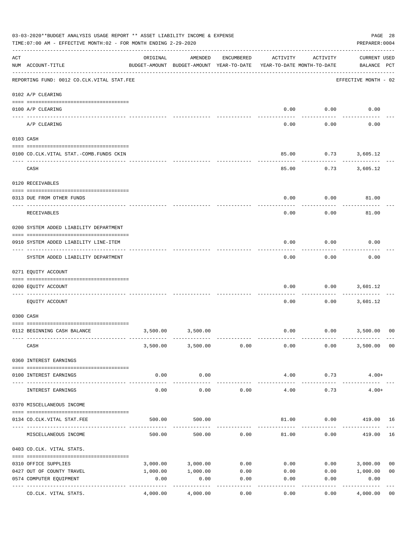|     | 03-03-2020**BUDGET ANALYSIS USAGE REPORT ** ASSET LIABILITY INCOME & EXPENSE<br>TIME: 07:00 AM - EFFECTIVE MONTH: 02 - FOR MONTH ENDING 2-29-2020 |          |                                                     |            |          |                                        | PAGE 28<br>PREPARER: 0004          |
|-----|---------------------------------------------------------------------------------------------------------------------------------------------------|----------|-----------------------------------------------------|------------|----------|----------------------------------------|------------------------------------|
| ACT | NUM ACCOUNT-TITLE                                                                                                                                 | ORIGINAL | AMENDED<br>BUDGET-AMOUNT BUDGET-AMOUNT YEAR-TO-DATE | ENCUMBERED | ACTIVITY | ACTIVITY<br>YEAR-TO-DATE MONTH-TO-DATE | <b>CURRENT USED</b><br>BALANCE PCT |
|     | --------------------------------------<br>REPORTING FUND: 0012 CO.CLK.VITAL STAT.FEE                                                              |          |                                                     |            |          |                                        | EFFECTIVE MONTH - 02               |
|     | 0102 A/P CLEARING                                                                                                                                 |          |                                                     |            |          |                                        |                                    |
|     | 0100 A/P CLEARING                                                                                                                                 |          |                                                     |            | 0.00     | 0.00                                   | 0.00                               |
|     | A/P CLEARING                                                                                                                                      |          |                                                     |            | 0.00     | 0.00                                   | 0.00                               |
|     | 0103 CASH                                                                                                                                         |          |                                                     |            |          |                                        |                                    |
|     | 0100 CO.CLK.VITAL STAT.-COMB.FUNDS CKIN                                                                                                           |          |                                                     |            | 85.00    | 0.73                                   | 3,605.12                           |
|     | CASH                                                                                                                                              |          |                                                     |            | 85.00    |                                        | $0.73$ 3,605.12                    |
|     | 0120 RECEIVABLES                                                                                                                                  |          |                                                     |            |          |                                        |                                    |
|     |                                                                                                                                                   |          |                                                     |            |          |                                        |                                    |
|     | 0313 DUE FROM OTHER FUNDS                                                                                                                         |          |                                                     |            | 0.00     | 0.00                                   | 81.00                              |
|     | <b>RECEIVABLES</b>                                                                                                                                |          |                                                     |            | 0.00     | 0.00                                   | 81.00                              |
|     | 0200 SYSTEM ADDED LIABILITY DEPARTMENT                                                                                                            |          |                                                     |            |          |                                        |                                    |
|     | 0910 SYSTEM ADDED LIABILITY LINE-ITEM                                                                                                             |          |                                                     |            | 0.00     | 0.00                                   | 0.00                               |
|     | SYSTEM ADDED LIABILITY DEPARTMENT                                                                                                                 |          |                                                     |            | 0.00     | 0.00                                   | 0.00                               |
|     | 0271 EQUITY ACCOUNT                                                                                                                               |          |                                                     |            |          |                                        |                                    |
|     | 0200 EQUITY ACCOUNT                                                                                                                               |          |                                                     |            | 0.00     | 0.00                                   | 3,601.12                           |
|     | EQUITY ACCOUNT                                                                                                                                    |          |                                                     |            | 0.00     | 0.00                                   | 3,601.12                           |
|     | 0300 CASH                                                                                                                                         |          |                                                     |            |          |                                        |                                    |
|     | 0112 BEGINNING CASH BALANCE                                                                                                                       | 3,500.00 | 3,500.00                                            |            | 0.00     |                                        | $0.00$ 3,500.00<br>0 <sup>0</sup>  |
|     |                                                                                                                                                   |          |                                                     |            |          |                                        |                                    |
|     | CASH                                                                                                                                              |          | 3,500.00 3,500.00                                   | 0.00       | 0.00     | 0.00                                   | 3,500.00<br>00                     |
|     | 0360 INTEREST EARNINGS                                                                                                                            |          |                                                     |            |          |                                        |                                    |
|     | 0100 INTEREST EARNINGS                                                                                                                            | 0.00     | 0.00                                                |            | 4.00     | 0.73                                   | $4.00+$                            |
|     |                                                                                                                                                   |          | --------                                            |            |          |                                        |                                    |
|     | INTEREST EARNINGS                                                                                                                                 | 0.00     | 0.00                                                | 0.00       | 4.00     | 0.73                                   | $4.00+$                            |
|     | 0370 MISCELLANEOUS INCOME                                                                                                                         |          |                                                     |            |          |                                        |                                    |
|     | 0134 CO.CLK.VITAL STAT.FEE                                                                                                                        | 500.00   | 500.00                                              |            | 81.00    | 0.00                                   | 419.00 16                          |
|     |                                                                                                                                                   |          |                                                     |            |          |                                        |                                    |
|     | MISCELLANEOUS INCOME                                                                                                                              | 500.00   | 500.00                                              | 0.00       | 81.00    | 0.00                                   | 16<br>419.00                       |
|     | 0403 CO.CLK. VITAL STATS.                                                                                                                         |          |                                                     |            |          |                                        |                                    |
|     | 0310 OFFICE SUPPLIES                                                                                                                              | 3,000.00 | 3,000.00                                            | 0.00       | 0.00     | 0.00                                   | 3,000.00<br>0 <sub>0</sub>         |
|     | 0427 OUT OF COUNTY TRAVEL                                                                                                                         | 1,000.00 | 1,000.00                                            | 0.00       | 0.00     | 0.00                                   | 1,000.00<br>0 <sub>0</sub>         |
|     | 0574 COMPUTER EQUIPMENT<br>---- ----------------<br>--------------                                                                                | 0.00     | 0.00                                                | 0.00       | 0.00     | 0.00                                   | 0.00                               |
|     | CO.CLK. VITAL STATS.                                                                                                                              | 4,000.00 | 4,000.00                                            | 0.00       | 0.00     | 0.00                                   | 4,000.00<br>0 <sub>0</sub>         |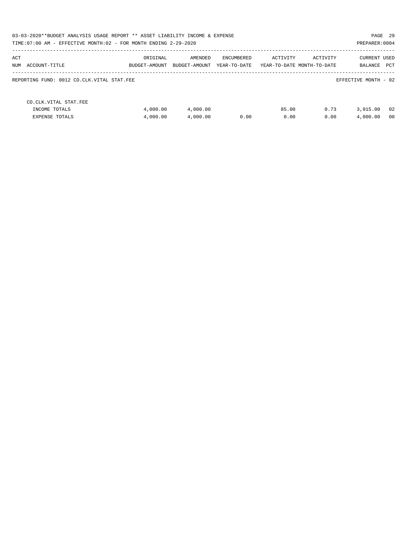| 03-03-2020**BUDGET ANALYSIS USAGE REPORT ** ASSET LIABILITY INCOME & EXPENSE |               |               |              |          |                            |                      | PAGE 29 |
|------------------------------------------------------------------------------|---------------|---------------|--------------|----------|----------------------------|----------------------|---------|
| TIME: 07:00 AM - EFFECTIVE MONTH: 02 - FOR MONTH ENDING 2-29-2020            |               |               |              |          |                            | PREPARER: 0004       |         |
| ACT                                                                          | ORIGINAL      | AMENDED       | ENCUMBERED   | ACTIVITY | ACTIVITY                   | CURRENT USED         |         |
| NUM<br>ACCOUNT-TITLE                                                         | BUDGET-AMOUNT | BUDGET-AMOUNT | YEAR-TO-DATE |          | YEAR-TO-DATE MONTH-TO-DATE | BALANCE              | PCT     |
| REPORTING FUND: 0012 CO.CLK.VITAL STAT.FEE                                   |               |               |              |          |                            | EFFECTIVE MONTH - 02 |         |
| CO. CLK. VITAL STAT. FEE                                                     |               |               |              |          |                            |                      |         |
| INCOME TOTALS                                                                | 4,000.00      | 4,000.00      |              | 85.00    | 0.73                       | 3,915.00             | -02     |
| <b>EXPENSE TOTALS</b>                                                        | 4,000.00      | 4,000.00      | 0.00         | 0.00     | 0.00                       | 4,000.00             | - 00    |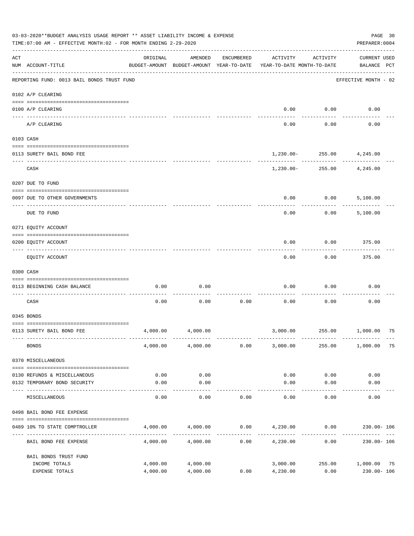|     | 03-03-2020**BUDGET ANALYSIS USAGE REPORT ** ASSET LIABILITY INCOME & EXPENSE<br>TIME: 07:00 AM - EFFECTIVE MONTH: 02 - FOR MONTH ENDING 2-29-2020 |                      |                                                     |            |                                         |                                         | PAGE 30<br>PREPARER: 0004          |  |
|-----|---------------------------------------------------------------------------------------------------------------------------------------------------|----------------------|-----------------------------------------------------|------------|-----------------------------------------|-----------------------------------------|------------------------------------|--|
| ACT | NUM ACCOUNT-TITLE                                                                                                                                 | ORIGINAL             | AMENDED<br>BUDGET-AMOUNT BUDGET-AMOUNT YEAR-TO-DATE | ENCUMBERED | ACTIVITY<br>YEAR-TO-DATE MONTH-TO-DATE  | ACTIVITY                                | <b>CURRENT USED</b><br>BALANCE PCT |  |
|     | REPORTING FUND: 0013 BAIL BONDS TRUST FUND                                                                                                        |                      |                                                     |            |                                         |                                         | EFFECTIVE MONTH - 02               |  |
|     | 0102 A/P CLEARING                                                                                                                                 |                      |                                                     |            |                                         |                                         |                                    |  |
|     | 0100 A/P CLEARING<br>---- ---------                                                                                                               |                      |                                                     |            | 0.00                                    | 0.00                                    | 0.00                               |  |
|     | A/P CLEARING                                                                                                                                      |                      |                                                     |            | 0.00                                    | 0.00                                    | 0.00                               |  |
|     | 0103 CASH                                                                                                                                         |                      |                                                     |            |                                         |                                         |                                    |  |
|     | 0113 SURETY BAIL BOND FEE                                                                                                                         |                      |                                                     |            |                                         | 1,230.00- 255.00 4,245.00               |                                    |  |
|     | CASH                                                                                                                                              |                      |                                                     |            |                                         | ----------<br>1,230.00- 255.00 4,245.00 |                                    |  |
|     | 0207 DUE TO FUND                                                                                                                                  |                      |                                                     |            |                                         |                                         |                                    |  |
|     | 0097 DUE TO OTHER GOVERNMENTS                                                                                                                     |                      |                                                     |            | 0.00                                    | 0.00                                    | 5,100.00                           |  |
|     | DUE TO FUND                                                                                                                                       |                      |                                                     |            | 0.00                                    | 0.00                                    | 5,100.00                           |  |
|     | 0271 EQUITY ACCOUNT                                                                                                                               |                      |                                                     |            |                                         |                                         |                                    |  |
|     | 0200 EQUITY ACCOUNT                                                                                                                               |                      |                                                     |            | 0.00                                    | 0.00                                    | 375.00                             |  |
|     | EQUITY ACCOUNT                                                                                                                                    |                      |                                                     |            | 0.00                                    | 0.00                                    | 375.00                             |  |
|     | 0300 CASH                                                                                                                                         |                      |                                                     |            |                                         |                                         |                                    |  |
|     | 0113 BEGINNING CASH BALANCE                                                                                                                       | 0.00                 | 0.00                                                |            | 0.00                                    | 0.00                                    | 0.00                               |  |
|     | CASH                                                                                                                                              | 0.00                 | 0.00                                                | 0.00       | 0.00                                    | 0.00                                    | 0.00                               |  |
|     | 0345 BONDS                                                                                                                                        |                      |                                                     |            |                                         |                                         |                                    |  |
|     | 0113 SURETY BAIL BOND FEE                                                                                                                         | 4,000.00             | 4,000.00                                            |            |                                         |                                         | 3,000.00  255.00  1,000.00  75     |  |
|     | <b>BONDS</b>                                                                                                                                      |                      | 4,000.00 4,000.00                                   | 0.00       | 3,000.00                                | 255.00                                  | 1,000.00 75                        |  |
|     | 0370 MISCELLANEOUS                                                                                                                                |                      |                                                     |            |                                         |                                         |                                    |  |
|     | 0130 REFUNDS & MISCELLANEOUS                                                                                                                      | 0.00                 | 0.00                                                |            | 0.00                                    | 0.00                                    | 0.00                               |  |
|     | 0132 TEMPORARY BOND SECURITY                                                                                                                      | 0.00                 | 0.00<br>----------                                  |            | 0.00                                    | 0.00<br>$- - - - -$                     | 0.00                               |  |
|     | MISCELLANEOUS                                                                                                                                     | 0.00                 | 0.00                                                | 0.00       | 0.00                                    | 0.00                                    | 0.00                               |  |
|     | 0498 BAIL BOND FEE EXPENSE                                                                                                                        |                      |                                                     |            |                                         |                                         |                                    |  |
|     | 0489 10% TO STATE COMPTROLLER                                                                                                                     |                      | 4,000.00 4,000.00                                   |            | $0.00$ $4,230.00$ $0.00$ $230.00$ $106$ |                                         |                                    |  |
|     | BAIL BOND FEE EXPENSE                                                                                                                             | 4,000.00             | 4,000.00                                            | 0.00       | 4,230.00                                | 0.00                                    | 230.00- 106                        |  |
|     | BAIL BONDS TRUST FUND                                                                                                                             |                      |                                                     |            |                                         |                                         |                                    |  |
|     | INCOME TOTALS<br>EXPENSE TOTALS                                                                                                                   | 4,000.00<br>4,000.00 | 4,000.00<br>4,000.00                                | 0.00       | 3,000.00<br>4,230.00                    | 0.00                                    | 255.00 1,000.00 75<br>230.00- 106  |  |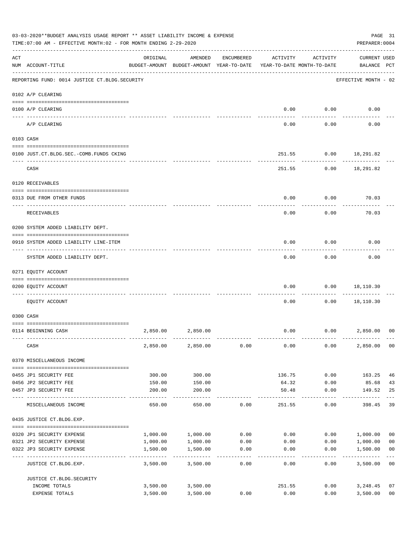|     | 03-03-2020**BUDGET ANALYSIS USAGE REPORT ** ASSET LIABILITY INCOME & EXPENSE<br>TIME: 07:00 AM - EFFECTIVE MONTH: 02 - FOR MONTH ENDING 2-29-2020<br>PREPARER: 0004 |                      |                                                     |              |                                        |                |                                    |                                  |  |
|-----|---------------------------------------------------------------------------------------------------------------------------------------------------------------------|----------------------|-----------------------------------------------------|--------------|----------------------------------------|----------------|------------------------------------|----------------------------------|--|
| ACT | NUM ACCOUNT-TITLE                                                                                                                                                   | ORIGINAL             | AMENDED<br>BUDGET-AMOUNT BUDGET-AMOUNT YEAR-TO-DATE | ENCUMBERED   | ACTIVITY<br>YEAR-TO-DATE MONTH-TO-DATE | ACTIVITY       | <b>CURRENT USED</b><br>BALANCE PCT |                                  |  |
|     | REPORTING FUND: 0014 JUSTICE CT. BLDG. SECURITY                                                                                                                     |                      |                                                     |              |                                        |                | EFFECTIVE MONTH - 02               |                                  |  |
|     | 0102 A/P CLEARING                                                                                                                                                   |                      |                                                     |              |                                        |                |                                    |                                  |  |
|     | 0100 A/P CLEARING                                                                                                                                                   |                      |                                                     |              | 0.00                                   | 0.00           | 0.00                               |                                  |  |
|     | A/P CLEARING                                                                                                                                                        |                      |                                                     |              | 0.00                                   | 0.00           | 0.00                               |                                  |  |
|     | 0103 CASH                                                                                                                                                           |                      |                                                     |              |                                        |                |                                    |                                  |  |
|     | 0100 JUST.CT.BLDG.SEC.-COMB.FUNDS CKING<br>----------------------------                                                                                             |                      |                                                     |              | 251.55                                 |                | $0.00$ 18,291.82                   |                                  |  |
|     | CASH                                                                                                                                                                |                      |                                                     |              |                                        | 251.55<br>0.00 | 18,291.82                          |                                  |  |
|     | 0120 RECEIVABLES                                                                                                                                                    |                      |                                                     |              |                                        |                |                                    |                                  |  |
|     | 0313 DUE FROM OTHER FUNDS                                                                                                                                           |                      |                                                     |              | 0.00                                   | 0.00           | 70.03                              |                                  |  |
|     | RECEIVABLES                                                                                                                                                         |                      |                                                     |              | 0.00                                   | 0.00           | 70.03                              |                                  |  |
|     | 0200 SYSTEM ADDED LIABILITY DEPT.                                                                                                                                   |                      |                                                     |              |                                        |                |                                    |                                  |  |
|     | 0910 SYSTEM ADDED LIABILITY LINE-ITEM                                                                                                                               |                      |                                                     |              | 0.00                                   | 0.00           | 0.00                               |                                  |  |
|     | SYSTEM ADDED LIABILITY DEPT.                                                                                                                                        |                      |                                                     |              | 0.00                                   | 0.00           | 0.00                               |                                  |  |
|     | 0271 EQUITY ACCOUNT                                                                                                                                                 |                      |                                                     |              |                                        |                |                                    |                                  |  |
|     | 0200 EQUITY ACCOUNT                                                                                                                                                 |                      |                                                     |              | 0.00                                   | 0.00           | 18,110.30                          |                                  |  |
|     | EQUITY ACCOUNT                                                                                                                                                      |                      |                                                     |              | 0.00                                   | 0.00           | 18,110.30                          |                                  |  |
|     | 0300 CASH                                                                                                                                                           |                      |                                                     |              |                                        |                |                                    |                                  |  |
|     | 0114 BEGINNING CASH                                                                                                                                                 | 2,850.00             | 2,850.00                                            |              | 0.00                                   | 0.00           | 2,850.00                           | 00                               |  |
|     | CASH                                                                                                                                                                | 2,850.00             | 2,850.00                                            | 0.00         | 0.00                                   | 0.00           | 2,850.00                           | 0 <sub>0</sub>                   |  |
|     | 0370 MISCELLANEOUS INCOME                                                                                                                                           |                      |                                                     |              |                                        |                |                                    |                                  |  |
|     |                                                                                                                                                                     |                      |                                                     |              |                                        |                |                                    |                                  |  |
|     | 0455 JP1 SECURITY FEE                                                                                                                                               | 300.00               | 300.00                                              |              | 136.75                                 | 0.00           | 163.25                             | 46                               |  |
|     | 0456 JP2 SECURITY FEE<br>0457 JP3 SECURITY FEE                                                                                                                      | 150.00<br>200.00     | 150.00<br>200.00                                    |              | 64.32<br>50.48                         | 0.00<br>0.00   | 85.68<br>149.52                    | 43<br>25                         |  |
|     | ----- -------------                                                                                                                                                 |                      | 650.00                                              |              |                                        | 0.00           | $- - - - - -$                      | 39                               |  |
|     | MISCELLANEOUS INCOME<br>0435 JUSTICE CT.BLDG.EXP.                                                                                                                   | 650.00               |                                                     | 0.00         | 251.55                                 |                | 398.45                             |                                  |  |
|     |                                                                                                                                                                     |                      |                                                     |              |                                        |                |                                    |                                  |  |
|     | 0320 JP1 SECURITY EXPENSE                                                                                                                                           | 1,000.00             | 1,000.00                                            | 0.00         | 0.00                                   |                | 0.00 1,000.00                      | 0 <sub>0</sub>                   |  |
|     | 0321 JP2 SECURITY EXPENSE<br>0322 JP3 SECURITY EXPENSE                                                                                                              | 1,000.00<br>1,500.00 | 1,000.00<br>1,500.00                                | 0.00<br>0.00 | 0.00<br>0.00                           | 0.00<br>0.00   | 1,000.00<br>1,500.00               | 0 <sub>0</sub><br>0 <sub>0</sub> |  |
|     |                                                                                                                                                                     | -------------        | ----------                                          | ------       |                                        |                | -----------                        | $---$                            |  |
|     | JUSTICE CT.BLDG.EXP.                                                                                                                                                | 3,500.00             | 3,500.00                                            | 0.00         | 0.00                                   | 0.00           | 3,500.00                           | 0 <sub>0</sub>                   |  |
|     | JUSTICE CT.BLDG.SECURITY<br>INCOME TOTALS                                                                                                                           | 3,500.00             | 3,500.00                                            |              | 251.55                                 | 0.00           | 3,248.45                           | 07                               |  |
|     | EXPENSE TOTALS                                                                                                                                                      | 3,500.00             | 3,500.00                                            | 0.00         | 0.00                                   | 0.00           | 3,500.00                           | 0 <sub>0</sub>                   |  |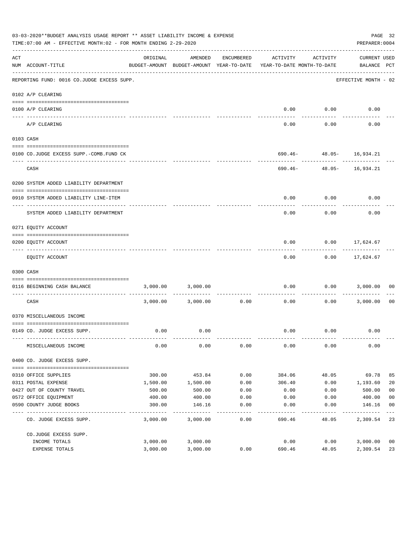|     | 03-03-2020**BUDGET ANALYSIS USAGE REPORT ** ASSET LIABILITY INCOME & EXPENSE<br>TIME:07:00 AM - EFFECTIVE MONTH:02 - FOR MONTH ENDING 2-29-2020 |          |                                                     |               |                                        |               | PREPARER: 0004                            | PAGE 32        |
|-----|-------------------------------------------------------------------------------------------------------------------------------------------------|----------|-----------------------------------------------------|---------------|----------------------------------------|---------------|-------------------------------------------|----------------|
| ACT | NUM ACCOUNT-TITLE                                                                                                                               | ORIGINAL | AMENDED<br>BUDGET-AMOUNT BUDGET-AMOUNT YEAR-TO-DATE | ENCUMBERED    | ACTIVITY<br>YEAR-TO-DATE MONTH-TO-DATE | ACTIVITY      | <b>CURRENT USED</b><br>BALANCE PCT        |                |
|     | REPORTING FUND: 0016 CO.JUDGE EXCESS SUPP.                                                                                                      |          |                                                     |               |                                        |               | EFFECTIVE MONTH - 02                      |                |
|     | 0102 A/P CLEARING                                                                                                                               |          |                                                     |               |                                        |               |                                           |                |
|     | 0100 A/P CLEARING                                                                                                                               |          |                                                     |               |                                        | $0.00$ $0.00$ | 0.00                                      |                |
|     | ---- -------                                                                                                                                    |          |                                                     |               |                                        |               |                                           |                |
|     | A/P CLEARING                                                                                                                                    |          |                                                     |               | 0.00                                   | 0.00          | 0.00                                      |                |
|     | 0103 CASH                                                                                                                                       |          |                                                     |               |                                        |               |                                           |                |
|     |                                                                                                                                                 |          |                                                     |               |                                        |               |                                           |                |
|     | 0100 CO.JUDGE EXCESS SUPP.-COMB.FUND CK                                                                                                         |          |                                                     |               |                                        | ------------- | 690.46- 48.05- 16,934.21<br>------------- |                |
|     | CASH                                                                                                                                            |          |                                                     |               |                                        |               | 690.46- 48.05- 16,934.21                  |                |
|     | 0200 SYSTEM ADDED LIABILITY DEPARTMENT                                                                                                          |          |                                                     |               |                                        |               |                                           |                |
|     |                                                                                                                                                 |          |                                                     |               |                                        |               |                                           |                |
|     | 0910 SYSTEM ADDED LIABILITY LINE-ITEM                                                                                                           |          |                                                     |               | 0.00                                   | 0.00          | 0.00                                      |                |
|     | SYSTEM ADDED LIABILITY DEPARTMENT                                                                                                               |          |                                                     |               | 0.00                                   | 0.00          | 0.00                                      |                |
|     | 0271 EQUITY ACCOUNT                                                                                                                             |          |                                                     |               |                                        |               |                                           |                |
|     |                                                                                                                                                 |          |                                                     |               |                                        |               |                                           |                |
|     | 0200 EQUITY ACCOUNT                                                                                                                             |          |                                                     |               | 0.00                                   |               | $0.00$ 17,624.67<br>-----------           |                |
|     | EQUITY ACCOUNT                                                                                                                                  |          |                                                     |               | 0.00                                   |               | $0.00$ 17,624.67                          |                |
|     | 0300 CASH                                                                                                                                       |          |                                                     |               |                                        |               |                                           |                |
|     | 0116 BEGINNING CASH BALANCE                                                                                                                     |          | 3,000.00 3,000.00                                   |               | 0.00<br>------------- --------------   | ----------    | $0.00$ 3,000.00                           | 00             |
|     | CASH                                                                                                                                            |          | 3,000.00 3,000.00                                   | 0.00          | 0.00                                   |               | $0.00$ 3,000.00                           | 00             |
|     | 0370 MISCELLANEOUS INCOME                                                                                                                       |          |                                                     |               |                                        |               |                                           |                |
|     |                                                                                                                                                 |          |                                                     |               |                                        |               |                                           |                |
|     | 0149 CO. JUDGE EXCESS SUPP.                                                                                                                     | 0.00     | 0.00                                                |               |                                        | $0.00$ $0.00$ | 0.00                                      |                |
|     | MISCELLANEOUS INCOME                                                                                                                            | 0.00     | 0.00                                                | 0.00          | 0.00                                   | 0.00          | 0.00                                      |                |
|     | 0400 CO. JUDGE EXCESS SUPP.                                                                                                                     |          |                                                     |               |                                        |               |                                           |                |
|     | 0310 OFFICE SUPPLIES                                                                                                                            | 300.00   | 453.84                                              | 0.00          | 384.06                                 | 48.05         | 69.78                                     | 85             |
|     | 0311 POSTAL EXPENSE                                                                                                                             | 1,500.00 | 1,500.00                                            | 0.00          | 306.40                                 | 0.00          | 1,193.60                                  | 20             |
|     | 0427 OUT OF COUNTY TRAVEL                                                                                                                       | 500.00   | 500.00                                              | 0.00          | 0.00                                   | 0.00          | 500.00                                    | 0 <sub>0</sub> |
|     | 0572 OFFICE EQUIPMENT                                                                                                                           | 400.00   | 400.00                                              | 0.00          | 0.00                                   | 0.00          | 400.00                                    | 0 <sub>0</sub> |
|     | 0590 COUNTY JUDGE BOOKS                                                                                                                         | 300.00   | 146.16                                              | 0.00          | 0.00                                   | 0.00          | 146.16                                    | 0 <sub>0</sub> |
|     | CO. JUDGE EXCESS SUPP.                                                                                                                          | 3,000.00 | 3,000.00                                            | $---$<br>0.00 | 690.46                                 | 48.05         | 2,309.54 23                               |                |
|     | CO.JUDGE EXCESS SUPP.                                                                                                                           |          |                                                     |               |                                        |               |                                           |                |
|     | INCOME TOTALS                                                                                                                                   | 3,000.00 | 3,000.00                                            |               | 0.00                                   | 0.00          | 3,000.00                                  | 0 <sub>0</sub> |
|     | EXPENSE TOTALS                                                                                                                                  | 3,000.00 | 3,000.00                                            | 0.00          | 690.46                                 | 48.05         | 2,309.54                                  | 23             |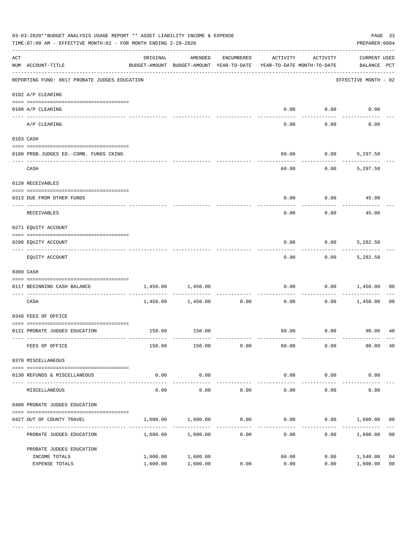|                    | 03-03-2020**BUDGET ANALYSIS USAGE REPORT ** ASSET LIABILITY INCOME & EXPENSE<br>TIME: 07:00 AM - EFFECTIVE MONTH: 02 - FOR MONTH ENDING 2-29-2020<br>PREPARER: 0004 |                                                                                 |                      |              |                        |                     |                                    |                      |
|--------------------|---------------------------------------------------------------------------------------------------------------------------------------------------------------------|---------------------------------------------------------------------------------|----------------------|--------------|------------------------|---------------------|------------------------------------|----------------------|
| $\mathop{\rm ACT}$ | NUM ACCOUNT-TITLE                                                                                                                                                   | ORIGINAL<br>BUDGET-AMOUNT BUDGET-AMOUNT YEAR-TO-DATE YEAR-TO-DATE MONTH-TO-DATE | AMENDED              | ENCUMBERED   | ACTIVITY               | ACTIVITY            | <b>CURRENT USED</b><br>BALANCE PCT |                      |
|                    | REPORTING FUND: 0017 PROBATE JUDGES EDUCATION                                                                                                                       |                                                                                 |                      |              |                        |                     | EFFECTIVE MONTH - 02               |                      |
|                    | 0102 A/P CLEARING                                                                                                                                                   |                                                                                 |                      |              |                        |                     |                                    |                      |
|                    | 0100 A/P CLEARING                                                                                                                                                   |                                                                                 |                      |              | 0.00                   | 0.00                | 0.00                               |                      |
|                    | ---- --------<br>A/P CLEARING                                                                                                                                       |                                                                                 |                      |              | 0.00                   | 0.00                | 0.00                               |                      |
|                    | 0103 CASH                                                                                                                                                           |                                                                                 |                      |              |                        |                     |                                    |                      |
|                    | 0100 PROB.JUDGES ED.-COMB. FUNDS CKING                                                                                                                              |                                                                                 |                      |              | 60.00                  |                     | $0.00$ 5,297.50                    |                      |
|                    | CASH                                                                                                                                                                |                                                                                 |                      |              | 60.00                  | 0.00                | 5,297.50                           |                      |
|                    | 0120 RECEIVABLES                                                                                                                                                    |                                                                                 |                      |              |                        |                     |                                    |                      |
|                    | 0313 DUE FROM OTHER FUNDS                                                                                                                                           |                                                                                 |                      |              | 0.00                   |                     | $0.00$ 45.00                       |                      |
|                    | RECEIVABLES                                                                                                                                                         |                                                                                 |                      |              | 0.00                   | 0.00                | 45.00                              |                      |
|                    | 0271 EQUITY ACCOUNT                                                                                                                                                 |                                                                                 |                      |              |                        |                     |                                    |                      |
|                    | 0200 EQUITY ACCOUNT                                                                                                                                                 |                                                                                 |                      |              | 0.00                   | 0.00                | 5,282.50                           |                      |
|                    | EQUITY ACCOUNT                                                                                                                                                      |                                                                                 |                      |              | 0.00                   |                     | $0.00$ 5,282.50                    |                      |
|                    | 0300 CASH                                                                                                                                                           |                                                                                 |                      |              |                        |                     |                                    |                      |
|                    | 0117 BEGINNING CASH BALANCE                                                                                                                                         | 1,450.00                                                                        | 1,450.00             | ------------ | 0.00                   | 0.00                | 1,450.00                           | 00                   |
|                    | CASH                                                                                                                                                                |                                                                                 | 1,450.00 1,450.00    | 0.00         | 0.00                   | 0.00                | 1,450.00                           | 00                   |
|                    | 0340 FEES OF OFFICE                                                                                                                                                 |                                                                                 |                      |              |                        |                     |                                    |                      |
|                    | 0131 PROBATE JUDGES EDUCATION                                                                                                                                       |                                                                                 | 150.00 150.00        |              |                        |                     |                                    |                      |
|                    | FEES OF OFFICE                                                                                                                                                      | 150.00                                                                          | 150.00               | 0.00         | 60.00                  | 0.00                | 90.00                              | 40                   |
|                    | 0370 MISCELLANEOUS                                                                                                                                                  |                                                                                 |                      |              |                        |                     |                                    |                      |
|                    | 0130 REFUNDS & MISCELLANEOUS                                                                                                                                        | 0.00                                                                            | 0.00                 |              | 0.00                   | 0.00                | 0.00                               |                      |
|                    | MISCELLANEOUS                                                                                                                                                       | 0.00                                                                            | -----------<br>0.00  | 0.00         | --------------<br>0.00 | -----------<br>0.00 | 0.00                               |                      |
|                    | 0400 PROBATE JUDGES EDUCATION                                                                                                                                       |                                                                                 |                      |              |                        |                     |                                    |                      |
|                    | 0427 OUT OF COUNTY TRAVEL                                                                                                                                           | 1,600.00                                                                        | 1,600.00             | 0.00         | 0.00                   |                     | $0.00$ 1,600.00                    | 00                   |
|                    | PROBATE JUDGES EDUCATION                                                                                                                                            |                                                                                 | 1,600.00 1,600.00    | 0.00         | 0.00                   |                     | 0.00<br>1,600.00                   | 0 <sub>0</sub>       |
|                    | PROBATE JUDGES EDUCATION                                                                                                                                            |                                                                                 |                      |              |                        |                     |                                    |                      |
|                    | INCOME TOTALS<br>EXPENSE TOTALS                                                                                                                                     | 1,600.00<br>1,600.00                                                            | 1,600.00<br>1,600.00 | 0.00         | 60.00<br>0.00          | 0.00<br>0.00        | 1,540.00<br>1,600.00               | 04<br>0 <sub>0</sub> |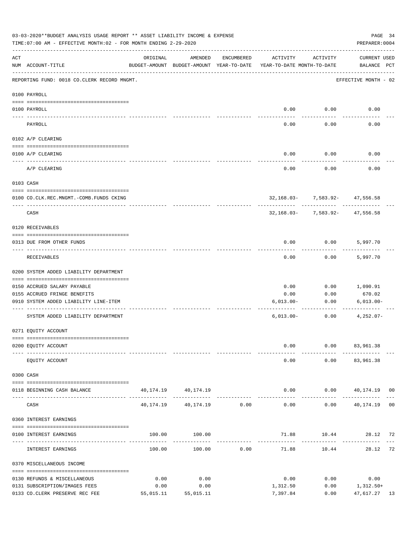| 03-03-2020**BUDGET ANALYSIS USAGE REPORT ** ASSET LIABILITY INCOME & EXPENSE<br>PAGE 34<br>TIME: 07:00 AM - EFFECTIVE MONTH: 02 - FOR MONTH ENDING 2-29-2020<br>PREPARER: 0004 |                                             |           |                                                     |                                  |                                        |                                                  |                              |  |  |
|--------------------------------------------------------------------------------------------------------------------------------------------------------------------------------|---------------------------------------------|-----------|-----------------------------------------------------|----------------------------------|----------------------------------------|--------------------------------------------------|------------------------------|--|--|
| ACT                                                                                                                                                                            | NUM ACCOUNT-TITLE                           | ORIGINAL  | AMENDED<br>BUDGET-AMOUNT BUDGET-AMOUNT YEAR-TO-DATE | ENCUMBERED                       | ACTIVITY<br>YEAR-TO-DATE MONTH-TO-DATE | ACTIVITY                                         | CURRENT USED<br>BALANCE PCT  |  |  |
|                                                                                                                                                                                | REPORTING FUND: 0018 CO.CLERK RECORD MNGMT. |           |                                                     |                                  |                                        |                                                  | EFFECTIVE MONTH - 02         |  |  |
|                                                                                                                                                                                | 0100 PAYROLL                                |           |                                                     |                                  |                                        |                                                  |                              |  |  |
|                                                                                                                                                                                | 0100 PAYROLL                                |           |                                                     |                                  |                                        | $0.00$ 0.00                                      | 0.00                         |  |  |
|                                                                                                                                                                                | PAYROLL                                     |           |                                                     |                                  | 0.00                                   | 0.00                                             | 0.00                         |  |  |
|                                                                                                                                                                                | 0102 A/P CLEARING                           |           |                                                     |                                  |                                        |                                                  |                              |  |  |
|                                                                                                                                                                                | 0100 A/P CLEARING                           |           |                                                     |                                  | 0.00                                   | 0.00                                             | 0.00                         |  |  |
|                                                                                                                                                                                | A/P CLEARING                                |           |                                                     |                                  | 0.00                                   | 0.00                                             | 0.00                         |  |  |
|                                                                                                                                                                                | 0103 CASH                                   |           |                                                     |                                  |                                        |                                                  |                              |  |  |
|                                                                                                                                                                                | 0100 CO.CLK.REC.MNGMT.-COMB.FUNDS CKING     |           |                                                     |                                  |                                        | 32,168.03- 7,583.92- 47,556.58                   |                              |  |  |
|                                                                                                                                                                                | --------------------------<br>CASH          |           |                                                     |                                  |                                        | ----------<br>$32,168.03 - 7,583.92 - 47,556.58$ |                              |  |  |
|                                                                                                                                                                                | 0120 RECEIVABLES                            |           |                                                     |                                  |                                        |                                                  |                              |  |  |
|                                                                                                                                                                                | 0313 DUE FROM OTHER FUNDS                   |           |                                                     |                                  | 0.00                                   | $0.00$ 5,997.70                                  |                              |  |  |
|                                                                                                                                                                                | RECEIVABLES                                 |           |                                                     |                                  | 0.00                                   | 0.00                                             | 5,997.70                     |  |  |
|                                                                                                                                                                                | 0200 SYSTEM ADDED LIABILITY DEPARTMENT      |           |                                                     |                                  |                                        |                                                  |                              |  |  |
|                                                                                                                                                                                | 0150 ACCRUED SALARY PAYABLE                 |           |                                                     |                                  | 0.00                                   | 0.00                                             | 1,090.91                     |  |  |
|                                                                                                                                                                                | 0155 ACCRUED FRINGE BENEFITS                |           |                                                     |                                  | 0.00                                   | 0.00                                             | 670.02                       |  |  |
|                                                                                                                                                                                | 0910 SYSTEM ADDED LIABILITY LINE-ITEM       |           |                                                     |                                  | $6,013.00-$                            | 0.00<br>-------------                            | $6,013.00 -$                 |  |  |
|                                                                                                                                                                                | SYSTEM ADDED LIABILITY DEPARTMENT           |           |                                                     |                                  | $6,013.00-$                            | 0.00                                             | $4,252.07-$                  |  |  |
|                                                                                                                                                                                | 0271 EQUITY ACCOUNT                         |           |                                                     |                                  |                                        |                                                  |                              |  |  |
|                                                                                                                                                                                | 0200 EQUITY ACCOUNT                         |           |                                                     |                                  | 0.00                                   |                                                  | $0.00$ $83,961.38$           |  |  |
|                                                                                                                                                                                | EQUITY ACCOUNT                              |           |                                                     |                                  | 0.00                                   |                                                  | $0.00$ $83,961.38$           |  |  |
|                                                                                                                                                                                | 0300 CASH                                   |           |                                                     |                                  |                                        |                                                  |                              |  |  |
|                                                                                                                                                                                | 0118 BEGINNING CASH BALANCE                 |           | 40, 174. 19 40, 174. 19                             | -------------------------------- |                                        |                                                  | $0.00$ $0.00$ $40,174.19$ 00 |  |  |
|                                                                                                                                                                                | CASH                                        |           | 40, 174, 19 40, 174, 19 0.00                        |                                  | 0.00                                   |                                                  | $0.00$ $40,174.19$ 00        |  |  |
|                                                                                                                                                                                | 0360 INTEREST EARNINGS                      |           |                                                     |                                  |                                        |                                                  |                              |  |  |
|                                                                                                                                                                                | 0100 INTEREST EARNINGS                      |           | 100.00 100.00                                       |                                  |                                        | ---------                                        | 71.88 10.44 28.12 72         |  |  |
|                                                                                                                                                                                | INTEREST EARNINGS                           | 100.00    | 100.00                                              | 0.00                             | 71.88                                  | 10.44                                            | 28.12 72                     |  |  |
|                                                                                                                                                                                | 0370 MISCELLANEOUS INCOME                   |           |                                                     |                                  |                                        |                                                  |                              |  |  |
|                                                                                                                                                                                | 0130 REFUNDS & MISCELLANEOUS                | 0.00      | 0.00                                                |                                  | 0.00                                   | 0.00                                             | 0.00                         |  |  |
|                                                                                                                                                                                | 0131 SUBSCRIPTION/IMAGES FEES               | 0.00      | 0.00                                                |                                  | 1,312.50                               | $0.00$ 1, 312.50+                                |                              |  |  |
|                                                                                                                                                                                | 0133 CO.CLERK PRESERVE REC FEE              | 55,015.11 | 55,015.11                                           |                                  | 7,397.84                               | 0.00                                             | 47,617.27 13                 |  |  |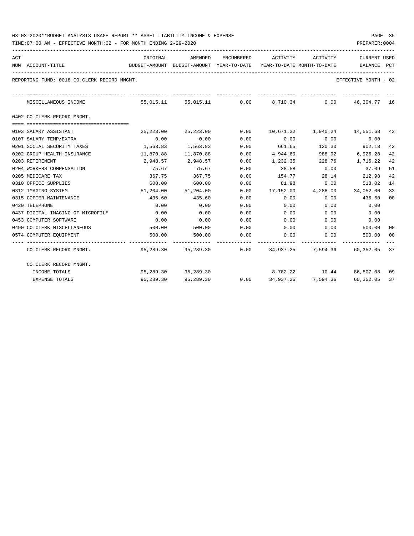| ACT | NUM ACCOUNT-TITLE                           | BUDGET-AMOUNT BUDGET-AMOUNT YEAR-TO-DATE YEAR-TO-DATE MONTH-TO-DATE     BALANCE PCT |                     |      |                                                                |                    | <b>CURRENT USED</b>                      |    |
|-----|---------------------------------------------|-------------------------------------------------------------------------------------|---------------------|------|----------------------------------------------------------------|--------------------|------------------------------------------|----|
|     | REPORTING FUND: 0018 CO.CLERK RECORD MNGMT. |                                                                                     |                     |      |                                                                |                    | EFFECTIVE MONTH - 02                     |    |
|     | MISCELLANEOUS INCOME                        |                                                                                     |                     |      | 55,015.11 55,015.11 0.00 8,710.34 0.00 46,304.77 16            |                    |                                          |    |
|     | 0402 CO.CLERK RECORD MNGMT.                 |                                                                                     |                     |      |                                                                |                    |                                          |    |
|     |                                             |                                                                                     |                     |      |                                                                |                    |                                          |    |
|     | 0103 SALARY ASSISTANT                       | 25,223.00                                                                           | 25,223.00           | 0.00 |                                                                |                    | 10,671.32    1,940.24    14,551.68    42 |    |
|     | 0107 SALARY TEMP/EXTRA                      | 0.00                                                                                | 0.00                | 0.00 | 0.00                                                           | 0.00               | 0.00                                     |    |
|     | 0201 SOCIAL SECURITY TAXES                  | 1,563.83                                                                            | 1,563.83            | 0.00 | 661.65                                                         |                    | 120.30 902.18                            | 42 |
|     | 0202 GROUP HEALTH INSURANCE                 | 11,870.88                                                                           | 11,870.88           | 0.00 | 4,944.60                                                       | 988.92             | 6,926.28                                 | 42 |
|     | 0203 RETIREMENT                             | 2,948.57                                                                            | 2,948.57            | 0.00 | 1,232.35 228.76 1,716.22                                       |                    |                                          | 42 |
|     | 0204 WORKERS COMPENSATION                   | 75.67                                                                               | 75.67               | 0.00 |                                                                | 38.58 0.00         | 37.09                                    | 51 |
|     | 0205 MEDICARE TAX                           | 367.75                                                                              | 367.75              | 0.00 |                                                                |                    | 154.77 28.14 212.98                      | 42 |
|     | 0310 OFFICE SUPPLIES                        | 600.00                                                                              | 600.00              | 0.00 | 81.98                                                          |                    | 0.00<br>518.02                           | 14 |
|     | 0312 IMAGING SYSTEM                         |                                                                                     | 51,204.00 51,204.00 | 0.00 | 17, 152.00 4, 288.00 34, 052.00                                |                    |                                          | 33 |
|     | 0315 COPIER MAINTENANCE                     | 435.60                                                                              | 435.60              | 0.00 | 0.00                                                           | 0.00               | 435.60                                   | 00 |
|     | 0420 TELEPHONE                              | 0.00                                                                                | 0.00                | 0.00 | 0.00                                                           | 0.00               | 0.00                                     |    |
|     | 0437 DIGITAL IMAGING OF MICROFILM           | 0.00                                                                                | 0.00                | 0.00 | 0.00                                                           | 0.00               | 0.00                                     |    |
|     | 0453 COMPUTER SOFTWARE                      | 0.00                                                                                | 0.00                | 0.00 | 0.00                                                           | 0.00               | 0.00                                     |    |
|     | 0490 CO. CLERK MISCELLANEOUS                | 500.00                                                                              | 500.00              | 0.00 | $0.00$ $0.00$                                                  |                    | 500.00                                   | 00 |
|     | 0574 COMPUTER EQUIPMENT                     | 500.00                                                                              | 500.00              | 0.00 | 0.00                                                           | 0.00               | 500.00 00                                |    |
|     | CO.CLERK RECORD MNGMT.                      |                                                                                     |                     |      | 95,289.30  95,289.30  0.00  34,937.25  7,594.36  60,352.05  37 |                    |                                          |    |
|     | CO.CLERK RECORD MNGMT.                      |                                                                                     |                     |      |                                                                |                    |                                          |    |
|     | INCOME TOTALS                               |                                                                                     | 95,289.30 95,289.30 |      |                                                                |                    | 8,782.22 10.44 86,507.08 09              |    |
|     | <b>EXPENSE TOTALS</b>                       | 95,289.30                                                                           | 95,289.30           | 0.00 |                                                                | 34,937.25 7,594.36 | 60,352.05 37                             |    |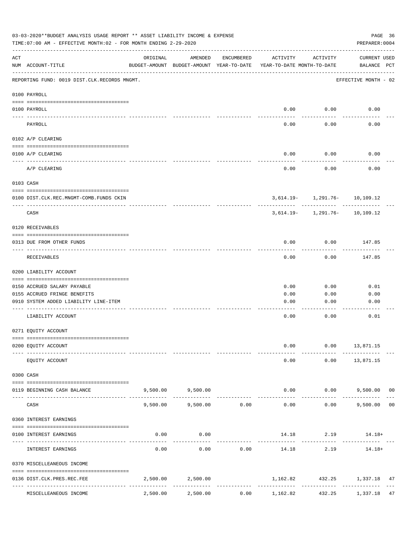|     | 03-03-2020**BUDGET ANALYSIS USAGE REPORT ** ASSET LIABILITY INCOME & EXPENSE<br>TIME: 07:00 AM - EFFECTIVE MONTH: 02 - FOR MONTH ENDING 2-29-2020 |          |                                                     |             |                                        |                                   | PAGE 36<br>PREPARER: 0004          |    |
|-----|---------------------------------------------------------------------------------------------------------------------------------------------------|----------|-----------------------------------------------------|-------------|----------------------------------------|-----------------------------------|------------------------------------|----|
| ACT | NUM ACCOUNT-TITLE                                                                                                                                 | ORIGINAL | AMENDED<br>BUDGET-AMOUNT BUDGET-AMOUNT YEAR-TO-DATE | ENCUMBERED  | ACTIVITY<br>YEAR-TO-DATE MONTH-TO-DATE | ACTIVITY                          | <b>CURRENT USED</b><br>BALANCE PCT |    |
|     | REPORTING FUND: 0019 DIST.CLK.RECORDS MNGMT.                                                                                                      |          |                                                     |             |                                        |                                   | EFFECTIVE MONTH - 02               |    |
|     | 0100 PAYROLL                                                                                                                                      |          |                                                     |             |                                        |                                   |                                    |    |
|     | 0100 PAYROLL<br><u>---- ----</u>                                                                                                                  |          |                                                     |             | 0.00                                   | 0.00                              | 0.00                               |    |
|     | PAYROLL                                                                                                                                           |          |                                                     |             | 0.00                                   | 0.00                              | 0.00                               |    |
|     | 0102 A/P CLEARING                                                                                                                                 |          |                                                     |             |                                        |                                   |                                    |    |
|     | 0100 A/P CLEARING                                                                                                                                 |          |                                                     |             | 0.00                                   | 0.00                              | 0.00                               |    |
|     | A/P CLEARING                                                                                                                                      |          |                                                     |             | 0.00                                   | 0.00                              | 0.00                               |    |
|     | 0103 CASH                                                                                                                                         |          |                                                     |             |                                        |                                   |                                    |    |
|     | 0100 DIST.CLK.REC.MNGMT-COMB.FUNDS CKIN                                                                                                           |          |                                                     |             |                                        | $3,614.19 - 1,291.76 - 10,109.12$ |                                    |    |
|     | CASH                                                                                                                                              |          |                                                     |             |                                        | $3,614.19 - 1,291.76 - 10,109.12$ |                                    |    |
|     | 0120 RECEIVABLES                                                                                                                                  |          |                                                     |             |                                        |                                   |                                    |    |
|     | 0313 DUE FROM OTHER FUNDS                                                                                                                         |          |                                                     |             | 0.00                                   | 0.00                              | 147.85                             |    |
|     | RECEIVABLES                                                                                                                                       |          |                                                     |             | 0.00                                   | 0.00                              | 147.85                             |    |
|     | 0200 LIABILITY ACCOUNT                                                                                                                            |          |                                                     |             |                                        |                                   |                                    |    |
|     | 0150 ACCRUED SALARY PAYABLE                                                                                                                       |          |                                                     |             | 0.00                                   | 0.00                              | 0.01                               |    |
|     | 0155 ACCRUED FRINGE BENEFITS                                                                                                                      |          |                                                     |             | 0.00                                   | 0.00                              | 0.00                               |    |
|     | 0910 SYSTEM ADDED LIABILITY LINE-ITEM                                                                                                             |          |                                                     |             | 0.00                                   | 0.00                              | 0.00                               |    |
|     | LIABILITY ACCOUNT                                                                                                                                 |          |                                                     |             | 0.00                                   | 0.00                              | 0.01                               |    |
|     | 0271 EQUITY ACCOUNT                                                                                                                               |          |                                                     |             |                                        |                                   |                                    |    |
|     | 0200 EQUITY ACCOUNT                                                                                                                               |          |                                                     |             | 0.00                                   | 0.00                              | 13,871.15                          |    |
|     | EQUITY ACCOUNT                                                                                                                                    |          |                                                     |             | 0.00                                   | 0.00                              | 13,871.15                          |    |
|     | 0300 CASH                                                                                                                                         |          |                                                     |             |                                        |                                   |                                    |    |
|     | 0119 BEGINNING CASH BALANCE                                                                                                                       |          | 9,500.00 9,500.00<br>______________                 | ----------- | 0.00<br>--------------                 | -----------                       | $0.00$ 9,500.00 00<br>------------ |    |
|     | CASH                                                                                                                                              | 9,500.00 | 9,500.00                                            | 0.00        | 0.00                                   | 0.00                              | 9,500.00                           | 00 |
|     | 0360 INTEREST EARNINGS                                                                                                                            |          |                                                     |             |                                        |                                   |                                    |    |
|     | 0100 INTEREST EARNINGS                                                                                                                            | 0.00     | 0.00                                                |             | 14.18                                  |                                   | $2.19$ $14.18+$                    |    |
|     | INTEREST EARNINGS                                                                                                                                 | 0.00     | 0.00                                                | 0.00        | 14.18                                  | --------<br>2.19                  | $14.18+$                           |    |
|     | 0370 MISCELLEANEOUS INCOME                                                                                                                        |          |                                                     |             |                                        |                                   |                                    |    |
|     |                                                                                                                                                   |          |                                                     |             |                                        |                                   |                                    |    |
|     | 0136 DIST.CLK.PRES.REC.FEE                                                                                                                        |          | 2,500.00 2,500.00                                   |             |                                        |                                   | 1, 162.82 432.25 1, 337.18 47      |    |
|     | MISCELLEANEOUS INCOME                                                                                                                             | 2,500.00 | 2,500.00                                            | 0.00        | 1,162.82                               | 432.25                            | 1,337.18 47                        |    |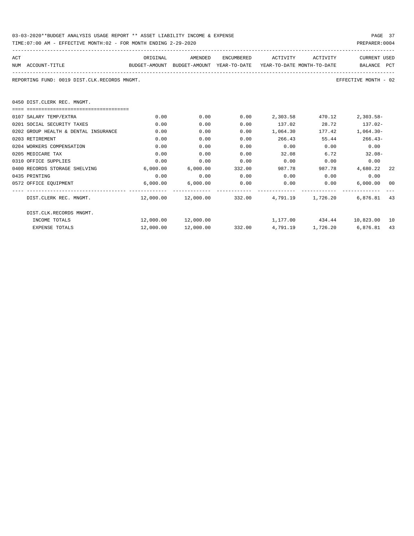| 03-03-2020**BUDGET ANALYSIS USAGE REPORT ** ASSET LIABILITY INCOME & EXPENSE | PAGE 37        |
|------------------------------------------------------------------------------|----------------|
| TIME:07:00 AM - EFFECTIVE MONTH:02 - FOR MONTH ENDING 2-29-2020              | PREPARER: 0004 |

| ACT | NUM ACCOUNT-TITLE                            | ORIGINAL  | AMENDED             | ENCUMBERED | ACTIVITY ACTIVITY<br>BUDGET-AMOUNT BUDGET-AMOUNT YEAR-TO-DATE YEAR-TO-DATE MONTH-TO-DATE |        | CURRENT USED<br>BALANCE PCT |    |
|-----|----------------------------------------------|-----------|---------------------|------------|------------------------------------------------------------------------------------------|--------|-----------------------------|----|
|     | REPORTING FUND: 0019 DIST.CLK.RECORDS MNGMT. |           |                     |            |                                                                                          |        | EFFECTIVE MONTH - 02        |    |
|     | 0450 DIST.CLERK REC. MNGMT.                  |           |                     |            |                                                                                          |        |                             |    |
|     |                                              |           |                     |            |                                                                                          |        |                             |    |
|     | 0107 SALARY TEMP/EXTRA                       | 0.00      | 0.00                |            | $0.00$ 2,303.58                                                                          | 470.12 | 2,303.58-                   |    |
|     | 0201 SOCIAL SECURITY TAXES                   | 0.00      | 0.00                | 0.00       | 137.02 28.72 137.02-                                                                     |        |                             |    |
|     | 0202 GROUP HEALTH & DENTAL INSURANCE         | 0.00      | 0.00                | 0.00       | 1,064.30                                                                                 | 177.42 | $1,064.30-$                 |    |
|     | 0203 RETIREMENT                              | 0.00      | 0.00                | 0.00       | 266.43                                                                                   |        | 55.44 266.43-               |    |
|     | 0204 WORKERS COMPENSATION                    | 0.00      | 0.00                | 0.00       | $0.00$ 0.00                                                                              |        | 0.00                        |    |
|     | 0205 MEDICARE TAX                            | 0.00      | 0.00                | 0.00       | $32.08$ 6.72 32.08                                                                       |        |                             |    |
|     | 0310 OFFICE SUPPLIES                         | 0.00      | 0.00                | 0.00       | $0.00$ $0.00$ $0.00$ $0.00$                                                              |        |                             |    |
|     | 0400 RECORDS STORAGE SHELVING                | 6.000.00  |                     |            | $6.000.00$ 332.00 987.78                                                                 |        | 987.78 4,680.22 22          |    |
|     | 0435 PRINTING                                | 0.00      | 0.00                | 0.00       | $0.00$ 0.00                                                                              |        | 0.00                        |    |
|     | 0572 OFFICE EQUIPMENT                        |           | 6,000.00 6,000.00   |            | $0.00$ $0.00$ $0.00$ $0.00$ $0.00$ $0.00$ $0.00$ $0.00$                                  |        |                             |    |
|     | DIST.CLERK REC. MNGMT.                       |           |                     |            | $12,000.00$ $12,000.00$ $332.00$ $4,791.19$ $1,726.20$ $6,876.81$ $43$                   |        |                             |    |
|     | DIST.CLK.RECORDS MNGMT.                      |           |                     |            |                                                                                          |        |                             |    |
|     | INCOME TOTALS                                |           | 12,000.00 12,000.00 |            | 1,177.00 434.44 10,823.00 10                                                             |        |                             |    |
|     | <b>EXPENSE TOTALS</b>                        | 12,000.00 | 12,000.00           |            | 332.00 4,791.19 1,726.20 6,876.81                                                        |        |                             | 43 |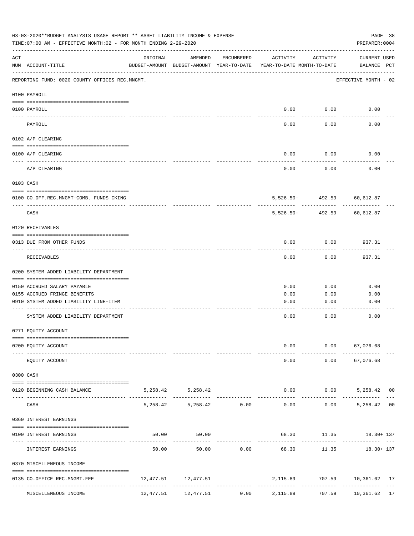|        | 03-03-2020**BUDGET ANALYSIS USAGE REPORT ** ASSET LIABILITY INCOME & EXPENSE<br>TIME: 07:00 AM - EFFECTIVE MONTH: 02 - FOR MONTH ENDING 2-29-2020 |          |                                                     |                               |                                        |                            | PAGE 38<br>PREPARER: 0004                    |  |
|--------|---------------------------------------------------------------------------------------------------------------------------------------------------|----------|-----------------------------------------------------|-------------------------------|----------------------------------------|----------------------------|----------------------------------------------|--|
| ACT    | NUM ACCOUNT-TITLE                                                                                                                                 | ORIGINAL | AMENDED<br>BUDGET-AMOUNT BUDGET-AMOUNT YEAR-TO-DATE | ENCUMBERED                    | ACTIVITY<br>YEAR-TO-DATE MONTH-TO-DATE | ACTIVITY                   | CURRENT USED<br>BALANCE PCT                  |  |
|        | REPORTING FUND: 0020 COUNTY OFFICES REC.MNGMT.                                                                                                    |          |                                                     |                               |                                        |                            | EFFECTIVE MONTH - 02                         |  |
|        | 0100 PAYROLL                                                                                                                                      |          |                                                     |                               |                                        |                            |                                              |  |
|        | 0100 PAYROLL                                                                                                                                      |          |                                                     |                               |                                        | $0.00$ 0.00                | 0.00                                         |  |
|        | $\frac{1}{2}$<br>PAYROLL                                                                                                                          |          |                                                     |                               | 0.00                                   | 0.00                       | 0.00                                         |  |
|        | 0102 A/P CLEARING                                                                                                                                 |          |                                                     |                               |                                        |                            |                                              |  |
|        | 0100 A/P CLEARING                                                                                                                                 |          |                                                     |                               | 0.00                                   | 0.00                       | 0.00                                         |  |
|        | A/P CLEARING                                                                                                                                      |          |                                                     |                               | 0.00                                   | 0.00                       | 0.00                                         |  |
|        | 0103 CASH                                                                                                                                         |          |                                                     |                               |                                        |                            |                                              |  |
|        | 0100 CO.OFF.REC.MNGMT-COMB. FUNDS CKING                                                                                                           |          |                                                     |                               |                                        | 5,526.50- 492.59 60,612.87 |                                              |  |
|        | _______________________________<br>CASH                                                                                                           |          |                                                     |                               | $5.526.50 -$                           | ----------<br>492.59       | 60,612.87                                    |  |
|        | 0120 RECEIVABLES                                                                                                                                  |          |                                                     |                               |                                        |                            |                                              |  |
|        | 0313 DUE FROM OTHER FUNDS                                                                                                                         |          |                                                     |                               | 0.00                                   | 0.00                       | 937.31                                       |  |
|        | RECEIVABLES                                                                                                                                       |          |                                                     |                               | 0.00                                   | 0.00                       | 937.31                                       |  |
|        | 0200 SYSTEM ADDED LIABILITY DEPARTMENT                                                                                                            |          |                                                     |                               |                                        |                            |                                              |  |
|        | 0150 ACCRUED SALARY PAYABLE                                                                                                                       |          |                                                     |                               | 0.00                                   | 0.00                       | 0.00                                         |  |
|        | 0155 ACCRUED FRINGE BENEFITS                                                                                                                      |          |                                                     |                               | 0.00                                   | 0.00                       | 0.00                                         |  |
|        | 0910 SYSTEM ADDED LIABILITY LINE-ITEM                                                                                                             |          |                                                     |                               | 0.00                                   | 0.00                       | 0.00                                         |  |
|        | SYSTEM ADDED LIABILITY DEPARTMENT                                                                                                                 |          |                                                     |                               | 0.00                                   | 0.00                       | 0.00                                         |  |
|        | 0271 EQUITY ACCOUNT                                                                                                                               |          |                                                     |                               |                                        |                            |                                              |  |
|        |                                                                                                                                                   |          |                                                     |                               |                                        |                            |                                              |  |
|        | 0200 EQUITY ACCOUNT                                                                                                                               |          |                                                     |                               | 0.00                                   | $0.00$ 67,076.68           |                                              |  |
|        | EQUITY ACCOUNT                                                                                                                                    |          |                                                     |                               |                                        | $0.00$ $0.00$ $67,076.68$  |                                              |  |
|        | 0300 CASH                                                                                                                                         |          |                                                     |                               |                                        |                            |                                              |  |
| ---- - | 0120 BEGINNING CASH BALANCE                                                                                                                       |          | 5, 258.42 5, 258.42                                 | ----------------------------- |                                        | ------------               | $0.00$ $0.00$ $5,258.42$ 00<br>------------- |  |
|        | CASH                                                                                                                                              |          | 5,258.42 5,258.42 0.00                              |                               |                                        |                            | $0.00$ $0.00$ $5,258.42$ 00                  |  |
|        | 0360 INTEREST EARNINGS                                                                                                                            |          |                                                     |                               |                                        |                            |                                              |  |
|        | 0100 INTEREST EARNINGS                                                                                                                            |          | 50.00<br>50.00                                      |                               |                                        |                            | 68.30 11.35 18.30+ 137                       |  |
|        |                                                                                                                                                   |          |                                                     |                               | ----------------------------           |                            |                                              |  |
|        | INTEREST EARNINGS                                                                                                                                 | 50.00    |                                                     | 50.00 0.00                    | 68.30                                  |                            | 11.35 18.30+ 137                             |  |
|        | 0370 MISCELLENEOUS INCOME                                                                                                                         |          |                                                     |                               |                                        |                            |                                              |  |
|        | 0135 CO.OFFICE REC.MNGMT.FEE                                                                                                                      |          | 12,477.51 12,477.51                                 |                               |                                        |                            | 2,115.89 707.59 10,361.62 17                 |  |
|        | MISCELLENEOUS INCOME                                                                                                                              |          |                                                     |                               | $12,477.51$ $12,477.51$ 0.00 2,115.89  |                            | 707.59 10,361.62 17                          |  |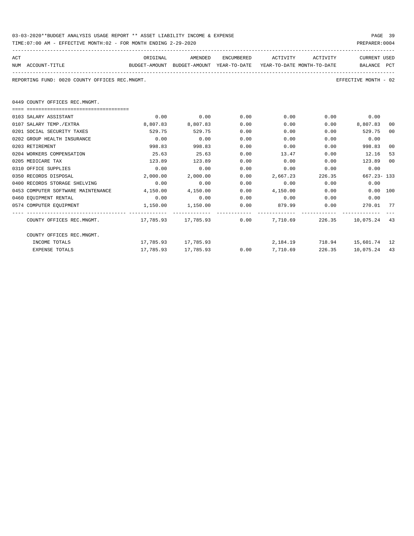| 03-03-2020**BUDGET ANALYSIS USAGE REPORT ** ASSET LIABILITY INCOME & EXPENSE | PAGE 39        |  |
|------------------------------------------------------------------------------|----------------|--|
| TIME:07:00 AM - EFFECTIVE MONTH:02 - FOR MONTH ENDING 2-29-2020              | PREPARER: 0004 |  |

| ACT<br>NUM ACCOUNT-TITLE                                    | ORIGINAL<br>BUDGET-AMOUNT BUDGET-AMOUNT YEAR-TO-DATE YEAR-TO-DATE MONTH-TO-DATE | AMENDED             |      | ENCUMBERED ACTIVITY ACTIVITY          |             | CURRENT USED<br>BALANCE PCT    |    |
|-------------------------------------------------------------|---------------------------------------------------------------------------------|---------------------|------|---------------------------------------|-------------|--------------------------------|----|
| REPORTING FUND: 0020 COUNTY OFFICES REC.MNGMT.              |                                                                                 |                     |      |                                       |             | EFFECTIVE MONTH - 02           |    |
| 0449 COUNTY OFFICES REC.MNGMT.                              |                                                                                 |                     |      |                                       |             |                                |    |
|                                                             |                                                                                 |                     |      |                                       |             |                                |    |
| 0103 SALARY ASSISTANT                                       | 0.00                                                                            | 0.00                | 0.00 |                                       | $0.00$ 0.00 | 0.00                           |    |
| 0107 SALARY TEMP./EXTRA                                     | 8,807.83                                                                        | 8,807.83            | 0.00 | 0.00                                  |             | $0.00$ $8,807.83$              | 00 |
| 0201 SOCIAL SECURITY TAXES                                  | 529.75                                                                          | 529.75              | 0.00 | 0.00                                  |             | 0.00<br>529.75                 | 00 |
| 0202 GROUP HEALTH INSURANCE                                 | 0.00                                                                            | 0.00                | 0.00 | 0.00                                  | 0.00        | 0.00                           |    |
| 0203 RETIREMENT                                             | 998.83                                                                          | 998.83              | 0.00 | 0.00                                  | 0.00        | 998.83                         | 00 |
| 0204 WORKERS COMPENSATION                                   | 25.63                                                                           | 25.63               | 0.00 | 13.47                                 | 0.00        | 12.16                          | 53 |
| 0205 MEDICARE TAX                                           | 123.89                                                                          | 123.89              | 0.00 | 0.00                                  | 0.00        | 123.89                         | 00 |
| 0310 OFFICE SUPPLIES                                        | 0.00                                                                            | 0.00                | 0.00 | 0.00                                  | 0.00        | 0.00                           |    |
| 0350 RECORDS DISPOSAL                                       | 2,000.00                                                                        | 2,000.00            | 0.00 | 2,667.23                              | 226.35      | 667.23-133                     |    |
| 0400 RECORDS STORAGE SHELVING                               | 0.00                                                                            | 0.00                | 0.00 |                                       | $0.00$ 0.00 | 0.00                           |    |
| 0453 COMPUTER SOFTWARE MAINTENANCE                          | 4,150.00                                                                        | 4,150.00            | 0.00 | 4,150.00                              | 0.00        | $0.00$ 100                     |    |
| 0460 EQUIPMENT RENTAL                                       | 0.00                                                                            | 0.00                | 0.00 | $0.00$ 0.00                           |             | 0.00                           |    |
| 0574 COMPUTER EQUIPMENT                                     | 1,150.00 1,150.00                                                               |                     | 0.00 | 879.99 0.00                           |             | 270.01 77                      |    |
| COUNTY OFFICES REC.MNGMT. 17,785.93 17,785.93 0.00 7,710.69 |                                                                                 |                     |      |                                       |             | 226.35 10.075.24 43            |    |
| COUNTY OFFICES REC.MNGMT.                                   |                                                                                 |                     |      |                                       |             |                                |    |
| INCOME TOTALS                                               |                                                                                 | 17,785.93 17,785.93 |      |                                       |             | 2, 184.19 718.94 15, 601.74 12 |    |
| <b>EXPENSE TOTALS</b>                                       |                                                                                 |                     |      | $17,785.93$ $17,785.93$ 0.00 7,710.69 | 226.35      | 10,075.24 43                   |    |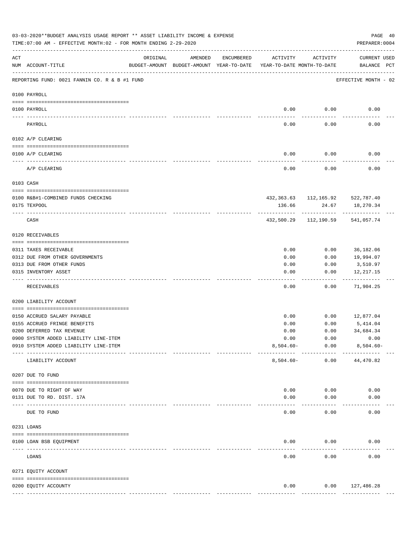|     | 03-03-2020**BUDGET ANALYSIS USAGE REPORT ** ASSET LIABILITY INCOME & EXPENSE<br>TIME: 07:00 AM - EFFECTIVE MONTH: 02 - FOR MONTH ENDING 2-29-2020 |                            |         |            |                                                                                 |                                              | PAGE 40<br>PREPARER: 0004          |  |
|-----|---------------------------------------------------------------------------------------------------------------------------------------------------|----------------------------|---------|------------|---------------------------------------------------------------------------------|----------------------------------------------|------------------------------------|--|
| ACT | NUM ACCOUNT-TITLE                                                                                                                                 | ORIGINAL                   | AMENDED | ENCUMBERED | ACTIVITY<br>BUDGET-AMOUNT BUDGET-AMOUNT YEAR-TO-DATE YEAR-TO-DATE MONTH-TO-DATE | ACTIVITY                                     | <b>CURRENT USED</b><br>BALANCE PCT |  |
|     | REPORTING FUND: 0021 FANNIN CO. R & B #1 FUND                                                                                                     |                            |         |            |                                                                                 |                                              | EFFECTIVE MONTH - 02               |  |
|     | 0100 PAYROLL                                                                                                                                      |                            |         |            |                                                                                 |                                              |                                    |  |
|     | 0100 PAYROLL<br>---- ----                                                                                                                         |                            |         |            | 0.00<br>$---$                                                                   | 0.00<br>-------                              | 0.00                               |  |
|     | PAYROLL                                                                                                                                           |                            |         |            | 0.00                                                                            | 0.00                                         | 0.00                               |  |
|     | 0102 A/P CLEARING                                                                                                                                 |                            |         |            |                                                                                 |                                              |                                    |  |
|     | 0100 A/P CLEARING                                                                                                                                 |                            |         |            | 0.00                                                                            | 0.00                                         | 0.00                               |  |
|     | A/P CLEARING                                                                                                                                      |                            |         |            | 0.00                                                                            | 0.00                                         | 0.00                               |  |
|     | 0103 CASH                                                                                                                                         |                            |         |            |                                                                                 |                                              |                                    |  |
|     |                                                                                                                                                   |                            |         |            |                                                                                 |                                              |                                    |  |
|     | 0100 R&B#1-COMBINED FUNDS CHECKING<br>0175 TEXPOOL                                                                                                |                            |         |            | 136.66                                                                          | 432, 363.63 112, 165.92 522, 787.40<br>24.67 | 18,270.34                          |  |
|     | CASH                                                                                                                                              |                            |         |            | 432,500.29                                                                      | 112,190.59                                   | 541,057.74                         |  |
|     | 0120 RECEIVABLES                                                                                                                                  |                            |         |            |                                                                                 |                                              |                                    |  |
|     | 0311 TAXES RECEIVABLE                                                                                                                             |                            |         |            | 0.00                                                                            | 0.00                                         | 36,182.06                          |  |
|     | 0312 DUE FROM OTHER GOVERNMENTS                                                                                                                   |                            |         |            | 0.00                                                                            | 0.00                                         | 19,994.07                          |  |
|     | 0313 DUE FROM OTHER FUNDS                                                                                                                         |                            |         |            | 0.00                                                                            | 0.00                                         | 3,510.97                           |  |
|     | 0315 INVENTORY ASSET                                                                                                                              |                            |         |            | 0.00<br>----                                                                    | 0.00<br>-----                                | 12,217.15<br>----------            |  |
|     | RECEIVABLES                                                                                                                                       |                            |         |            | 0.00                                                                            | 0.00                                         | 71,904.25                          |  |
|     | 0200 LIABILITY ACCOUNT                                                                                                                            |                            |         |            |                                                                                 |                                              |                                    |  |
|     | 0150 ACCRUED SALARY PAYABLE                                                                                                                       |                            |         |            | 0.00                                                                            | 0.00                                         | 12,877.04                          |  |
|     | 0155 ACCRUED FRINGE BENEFITS                                                                                                                      |                            |         |            | 0.00                                                                            | 0.00                                         | 5,414.04                           |  |
|     | 0200 DEFERRED TAX REVENUE                                                                                                                         |                            |         |            | 0.00                                                                            | 0.00                                         | 34,684.34                          |  |
|     | 0900 SYSTEM ADDED LIABILITY LINE-ITEM                                                                                                             |                            |         |            | 0.00                                                                            | 0.00                                         | 0.00                               |  |
|     | 0910 SYSTEM ADDED LIABILITY LINE-ITEM                                                                                                             |                            |         |            | $8,504.60 -$                                                                    | 0.00                                         | $8,504.60 -$                       |  |
|     | LIABILITY ACCOUNT                                                                                                                                 |                            |         |            | $8,504.60 -$                                                                    | ----------<br>0.00                           | 44,470.82                          |  |
|     | 0207 DUE TO FUND                                                                                                                                  |                            |         |            |                                                                                 |                                              |                                    |  |
|     | 0070 DUE TO RIGHT OF WAY                                                                                                                          |                            |         |            | 0.00                                                                            | 0.00                                         | 0.00                               |  |
|     | 0131 DUE TO RD. DIST. 17A                                                                                                                         |                            |         |            | 0.00                                                                            | 0.00                                         | 0.00                               |  |
|     | DUE TO FUND                                                                                                                                       | ------------ ------------- |         |            | 0.00                                                                            | 0.00                                         | 0.00                               |  |
|     | 0231 LOANS                                                                                                                                        |                            |         |            |                                                                                 |                                              |                                    |  |
|     | 0100 LOAN BSB EQUIPMENT                                                                                                                           |                            |         |            | 0.00                                                                            | 0.00                                         | 0.00                               |  |
|     | LOANS                                                                                                                                             |                            |         |            | 0.00                                                                            | 0.00                                         | 0.00                               |  |
|     | 0271 EQUITY ACCOUNT                                                                                                                               |                            |         |            |                                                                                 |                                              |                                    |  |
|     |                                                                                                                                                   |                            |         |            |                                                                                 |                                              |                                    |  |
|     | 0200 EQUITY ACCOUNTY                                                                                                                              |                            |         |            | 0.00<br>-------------                                                           | 0.00<br>-------------                        | 127,486.28<br>--------------       |  |
|     |                                                                                                                                                   |                            |         |            |                                                                                 |                                              |                                    |  |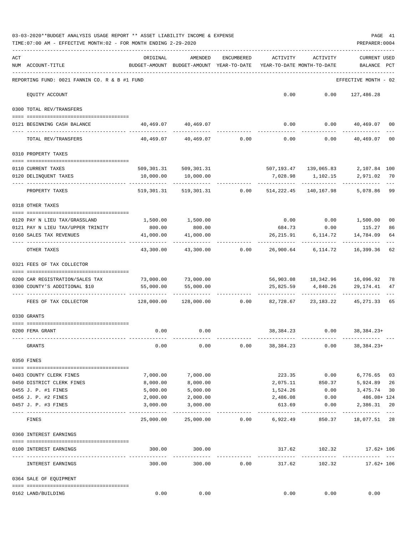|     | 03-03-2020**BUDGET ANALYSIS USAGE REPORT ** ASSET LIABILITY INCOME & EXPENSE<br>TIME: 07:00 AM - EFFECTIVE MONTH: 02 - FOR MONTH ENDING 2-29-2020 |                                                      |                                                  |                |                                        |                                          | PREPARER: 0004                 | PAGE 41  |
|-----|---------------------------------------------------------------------------------------------------------------------------------------------------|------------------------------------------------------|--------------------------------------------------|----------------|----------------------------------------|------------------------------------------|--------------------------------|----------|
| ACT | NUM ACCOUNT-TITLE                                                                                                                                 | ORIGINAL<br>BUDGET-AMOUNT BUDGET-AMOUNT YEAR-TO-DATE | AMENDED                                          | ENCUMBERED     | ACTIVITY<br>YEAR-TO-DATE MONTH-TO-DATE | ACTIVITY                                 | <b>CURRENT USED</b><br>BALANCE | PCT      |
|     | REPORTING FUND: 0021 FANNIN CO. R & B #1 FUND                                                                                                     |                                                      |                                                  |                |                                        |                                          | EFFECTIVE MONTH - 02           |          |
|     | EQUITY ACCOUNT                                                                                                                                    |                                                      |                                                  |                |                                        | $0.00$ $0.00$ $127,486.28$               |                                |          |
|     | 0300 TOTAL REV/TRANSFERS                                                                                                                          |                                                      |                                                  |                |                                        |                                          |                                |          |
|     | 0121 BEGINNING CASH BALANCE                                                                                                                       |                                                      | 40,469.07 40,469.07                              |                |                                        | $0.00$ $0.00$ $40,469.07$ 00             |                                |          |
|     | TOTAL REV/TRANSFERS                                                                                                                               |                                                      | $40,469.07$ $40,469.07$ $0.00$ $0.00$            |                |                                        | 0.00                                     | 40,469.07                      | 00       |
|     | 0310 PROPERTY TAXES                                                                                                                               |                                                      |                                                  |                |                                        |                                          |                                |          |
|     | 0110 CURRENT TAXES                                                                                                                                |                                                      |                                                  |                |                                        | 507,193.47 139,065.83                    | 2,107.84 100                   |          |
|     | 0120 DELINQUENT TAXES                                                                                                                             | 10,000.00                                            | 509,301.31 509,301.31<br>10,000.00               |                |                                        | 7,028.98 1,102.15                        | 2,971.02 70                    |          |
|     | PROPERTY TAXES                                                                                                                                    |                                                      | 519,301.31 519,301.31 0.00 514,222.45 140,167.98 |                |                                        | ------------ ------------                | 5,078.86                       | 99       |
|     | 0318 OTHER TAXES                                                                                                                                  |                                                      |                                                  |                |                                        |                                          |                                |          |
|     |                                                                                                                                                   |                                                      | 1,500.00                                         |                |                                        | $0.00$ $0.00$ $1,500.00$                 |                                | 00       |
|     | 0120 PAY N LIEU TAX/GRASSLAND<br>0121 PAY N LIEU TAX/UPPER TRINITY                                                                                | 1,500.00<br>800.00                                   | 800.00                                           |                |                                        | 684.73 0.00 115.27                       |                                | 86       |
|     | 0160 SALES TAX REVENUES                                                                                                                           | 41,000.00<br>----------                              | 41,000.00                                        |                |                                        | 26, 215. 91 6, 114. 72                   | 14,784.09                      | 64       |
|     | OTHER TAXES                                                                                                                                       | 43,300.00                                            |                                                  | 43,300.00 0.00 |                                        | 26,900.64 6,114.72 16,399.36             |                                | 62       |
|     | 0321 FEES OF TAX COLLECTOR                                                                                                                        |                                                      |                                                  |                |                                        |                                          |                                |          |
|     | 0200 CAR REGISTRATION/SALES TAX                                                                                                                   |                                                      | 73,000.00 73,000.00                              |                |                                        | 56,903.08 18,342.96 16,096.92 78         |                                |          |
|     | 0300 COUNTY'S ADDITIONAL \$10                                                                                                                     | 55,000.00                                            | 55,000.00                                        |                |                                        | 25,825.59 4,840.26                       | 29,174.41                      | 47       |
|     |                                                                                                                                                   |                                                      |                                                  |                |                                        |                                          |                                |          |
|     | FEES OF TAX COLLECTOR                                                                                                                             |                                                      | $128,000.00$ $128,000.00$ $0.00$ $82,728.67$     |                |                                        |                                          | 23, 183. 22 45, 271. 33        | 65       |
|     | 0330 GRANTS                                                                                                                                       |                                                      |                                                  |                |                                        |                                          |                                |          |
|     | 0200 FEMA GRANT                                                                                                                                   |                                                      | $0.00$ 0.00                                      |                |                                        | 38, 384. 23 0.00 38, 384. 23+            |                                |          |
|     | GRANTS                                                                                                                                            | 0.00                                                 | 0.00                                             | 0.00           | 38,384.23                              | 0.00                                     | $38,384.23+$                   |          |
|     | 0350 FINES                                                                                                                                        |                                                      |                                                  |                |                                        |                                          |                                |          |
|     |                                                                                                                                                   |                                                      |                                                  |                |                                        |                                          |                                |          |
|     | 0403 COUNTY CLERK FINES                                                                                                                           | 7,000.00                                             | 7,000.00                                         |                |                                        | 223.35 0.00                              | 6,776.65                       | 03       |
|     | 0450 DISTRICT CLERK FINES<br>0455 J. P. #1 FINES                                                                                                  | 8,000.00<br>5,000.00                                 | 8,000.00<br>5,000.00                             |                | 1,524.26                               | 2,075.11 850.37                          | 5,924.89<br>$0.00$ 3,475.74    | 26<br>30 |
|     | 0456 J. P. #2 FINES                                                                                                                               | 2,000.00                                             | 2,000.00                                         |                | 2,486.08                               | 0.00                                     | $486.08 + 124$                 |          |
|     | 0457 J. P. #3 FINES                                                                                                                               | 3,000.00                                             | 3,000.00                                         |                | 613.69                                 | 0.00                                     | 2,386.31                       | 20       |
|     | FINES                                                                                                                                             | 25,000.00                                            | 25,000.00                                        |                | $0.00$ 6,922.49                        | 850.37                                   | 18,077.51 28                   | $- - -$  |
|     | 0360 INTEREST EARNINGS                                                                                                                            |                                                      |                                                  |                |                                        |                                          |                                |          |
|     |                                                                                                                                                   |                                                      |                                                  |                |                                        |                                          |                                |          |
|     | 0100 INTEREST EARNINGS<br>--- --------------------                                                                                                | 300.00                                               | 300.00<br>_____________                          |                | --------------                         | 317.62 102.32 17.62+106<br>------------- |                                |          |
|     | INTEREST EARNINGS                                                                                                                                 | 300.00                                               | 300.00                                           | 0.00           | 317.62                                 | 102.32                                   | $17.62 + 106$                  |          |
|     | 0364 SALE OF EQUIPMENT                                                                                                                            |                                                      |                                                  |                |                                        |                                          |                                |          |
|     | 0162 LAND/BUILDING                                                                                                                                | 0.00                                                 | 0.00                                             |                | 0.00                                   | 0.00                                     | 0.00                           |          |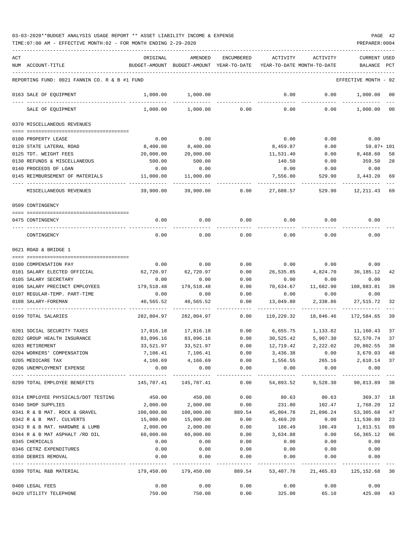TIME:07:00 AM - EFFECTIVE MONTH:02 - FOR MONTH ENDING 2-29-2020 PREPARER:0004

| ACT | NUM ACCOUNT-TITLE                             | ORIGINAL                       | AMENDED<br>BUDGET-AMOUNT BUDGET-AMOUNT YEAR-TO-DATE | ENCUMBERED    | ACTIVITY        | ACTIVITY<br>YEAR-TO-DATE MONTH-TO-DATE   | CURRENT USED<br>BALANCE | PCT     |
|-----|-----------------------------------------------|--------------------------------|-----------------------------------------------------|---------------|-----------------|------------------------------------------|-------------------------|---------|
|     | REPORTING FUND: 0021 FANNIN CO. R & B #1 FUND |                                |                                                     |               |                 |                                          | EFFECTIVE MONTH - 02    |         |
|     | 0163 SALE OF EQUIPMENT                        | 1,000.00                       | 1,000.00                                            |               | 0.00            | 0.00                                     | 1,000.00                | 00      |
|     | SALE OF EQUIPMENT                             | 1,000.00                       | 1,000.00                                            | 0.00          | 0.00            | 0.00                                     | 1,000.00                | $_{00}$ |
|     | 0370 MISCELLANEOUS REVENUES                   |                                |                                                     |               |                 |                                          |                         |         |
|     | 0100 PROPERTY LEASE                           | 0.00                           | 0.00                                                |               | 0.00            | 0.00                                     | 0.00                    |         |
|     | 0120 STATE LATERAL ROAD                       | 8,400.00                       | 8,400.00                                            |               | 8,459.87        | 0.00                                     | 59.87+ 101              |         |
|     | 0125 TDT. WEIGHT FEES                         | 20,000.00                      | 20,000.00                                           |               | 11,531.40       | 0.00                                     | 8,468.60                | 58      |
|     | 0130 REFUNDS & MISCELLANEOUS                  | 500.00                         | 500.00                                              |               | 140.50          | 0.00                                     | 359.50                  | 28      |
|     | 0140 PROCEEDS OF LOAN                         | 0.00                           | 0.00                                                |               | 0.00            | 0.00                                     | 0.00                    |         |
|     | 0145 REIMBURSEMENT OF MATERIALS               | 11,000.00                      | 11,000.00                                           |               | 7,556.80        | 529.90                                   | 3,443.20                | 69      |
|     | MISCELLANEOUS REVENUES                        | 39,900.00                      | 39,900.00                                           | 0.00          | 27,688.57       | 529.90                                   | 12, 211. 43 69          |         |
|     | 0509 CONTINGENCY                              |                                |                                                     |               |                 |                                          |                         |         |
|     | 0475 CONTINGENCY                              | 0.00                           | 0.00                                                | 0.00          | 0.00            | 0.00                                     | 0.00                    |         |
|     | CONTINGENCY                                   | 0.00                           | 0.00                                                | 0.00          | 0.00            | 0.00                                     | 0.00                    |         |
|     | 0621 ROAD & BRIDGE 1                          |                                |                                                     |               |                 |                                          |                         |         |
|     |                                               |                                |                                                     |               |                 |                                          |                         |         |
|     | 0100 COMPENSATION PAY                         | 0.00                           | 0.00                                                | 0.00          |                 | $0.00$ 0.00                              | 0.00                    |         |
|     | 0101 SALARY ELECTED OFFICIAL                  | 62,720.97                      | 62,720.97                                           | 0.00          | 26,535.85       | 4,824.70                                 | 36,185.12               | 42      |
|     | 0105 SALARY SECRETARY                         | 0.00                           | 0.00                                                | 0.00          | 0.00            | 0.00                                     | 0.00                    |         |
|     | 0106 SALARY PRECINCT EMPLOYEES                | 179,518.48                     | 179,518.48                                          | 0.00          | 70,634.67       | 11,682.90                                | 108,883.81              | 39      |
|     | 0107 REGULAR-TEMP. PART-TIME                  | 0.00                           | 0.00                                                | 0.00          | 0.00            | 0.00                                     | 0.00                    |         |
|     | 0108 SALARY-FOREMAN                           | 40,565.52                      | 40,565.52                                           | 0.00          | 13,049.80       | 2,338.86                                 | 27,515.72               | 32      |
|     | 0199 TOTAL SALARIES                           | 282,804.97                     | 282,804.97                                          | 0.00          | 110,220.32      | 18,846.46                                | 172,584.65              | 39      |
|     | 0201 SOCIAL SECURITY TAXES                    | 17,816.18                      | 17,816.18                                           | 0.00          |                 | 6,655.75 1,133.82 11,160.43              |                         | 37      |
|     | 0202 GROUP HEALTH INSURANCE                   | 83,096.16                      | 83,096.16                                           | 0.00          | 30,525.42       | 5,907.30                                 | 52,570.74               | 37      |
|     | 0203 RETIREMENT                               | 33,521.97                      | 33,521.97                                           | 0.00          | 12,719.42       | 2,222.02                                 | 20,802.55               | 38      |
|     | 0204 WORKERS' COMPENSATION                    |                                | 7,106.41 7,106.41                                   |               | $0.00$ 3,436.38 |                                          | $0.00$ 3,670.03 48      |         |
|     | 0205 MEDICARE TAX                             | 4,166.69                       | 4,166.69                                            | 0.00          | 1,556.55        | 265.16                                   | 2,610.14 37             |         |
|     | 0206 UNEMPLOYMENT EXPENSE                     | 0.00<br>-------------          |                                                     | $0.00$ $0.00$ | 0.00            | 0.00                                     | 0.00                    |         |
|     | 0299 TOTAL EMPLOYEE BENEFITS                  | 145, 707. 41 145, 707. 41 0.00 |                                                     |               |                 | 54,893.52 9,528.30 90,813.89             |                         | 38      |
|     | 0314 EMPLOYEE PHYSICALS/DOT TESTING           | 450.00                         | 450.00                                              | 0.00          | 80.63           | 80.63                                    | 369.37 18               |         |
|     | 0340 SHOP SUPPLIES                            | 2,000.00                       | 2,000.00                                            | 0.00          | 231.80          |                                          | 102.47 1,768.20         | 12      |
|     | 0341 R & B MAT. ROCK & GRAVEL 100,000.00      |                                | 100,000.00                                          |               |                 | 889.54 45,804.78 21,096.24 53,305.68     |                         | 47      |
|     | 0342 R & B MAT. CULVERTS                      | 15,000.00                      | 15,000.00                                           |               | $0.00$ 3,469.20 |                                          | $0.00$ 11,530.80        | 23      |
|     | 0343 R & B MAT. HARDWRE & LUMB                | 2,000.00                       | 2,000.00                                            | 0.00          | 186.49          | 186.49                                   | 1,813.51                | 09      |
|     | 0344 R & B MAT ASPHALT /RD OIL                | 60,000.00                      | 60,000.00                                           | 0.00          | 3,634.88        | 0.00                                     | 56,365.12               | 06      |
|     | 0345 CHEMICALS                                | 0.00                           | 0.00                                                | 0.00          | 0.00            | 0.00                                     | 0.00                    |         |
|     | 0346 CETRZ EXPENDITURES                       | 0.00                           | 0.00                                                | 0.00          | 0.00            | 0.00                                     | 0.00                    |         |
|     | 0350 DEBRIS REMOVAL                           | 0.00                           | 0.00                                                | 0.00          |                 | $0.00$ 0.00                              | 0.00                    |         |
|     | 0399 TOTAL R&B MATERIAL                       |                                | 179,450.00 179,450.00                               |               |                 | 889.54 53,407.78 21,465.83 125,152.68 30 |                         |         |
|     | 0400 LEGAL FEES                               | 0.00                           | 0.00                                                | 0.00          | 0.00            | 0.00                                     | 0.00                    |         |
|     | 0420 UTILITY TELEPHONE                        | 750.00                         | 750.00                                              | 0.00          | 325.00          |                                          | 65.10 425.00            | 43      |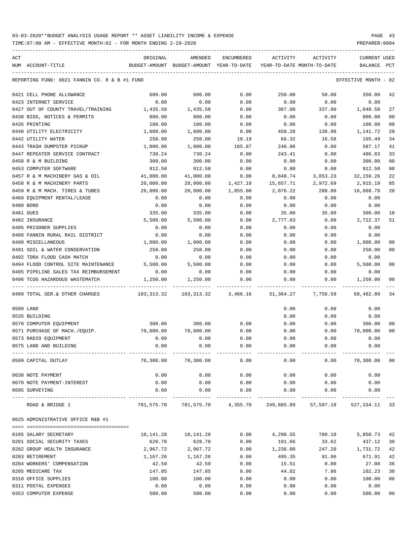TIME:07:00 AM - EFFECTIVE MONTH:02 - FOR MONTH ENDING 2-29-2020 PREPARER:0004

| ACT                                           | ORIGINAL   | AMENDED                                  | <b>ENCUMBERED</b> | ACTIVITY                   | ACTIVITY             | <b>CURRENT USED</b>  |                |
|-----------------------------------------------|------------|------------------------------------------|-------------------|----------------------------|----------------------|----------------------|----------------|
| NUM ACCOUNT-TITLE                             |            | BUDGET-AMOUNT BUDGET-AMOUNT YEAR-TO-DATE |                   | YEAR-TO-DATE MONTH-TO-DATE |                      | BALANCE              | PCT            |
| REPORTING FUND: 0021 FANNIN CO. R & B #1 FUND |            |                                          |                   |                            |                      | EFFECTIVE MONTH - 02 |                |
| 0421 CELL PHONE ALLOWANCE                     | 600.00     | 600.00                                   | 0.00              | 250.00                     | 50.00                | 350.00               | 42             |
| 0423 INTERNET SERVICE                         | 0.00       | 0.00                                     | 0.00              | 0.00                       | 0.00                 | 0.00                 |                |
| 0427 OUT OF COUNTY TRAVEL/TRAINING            | 1,435.58   | 1,435.58                                 | 0.00              | 387.00                     | 337.00               | 1,048.58             | 27             |
| 0430 BIDS, NOTICES & PERMITS                  | 800.00     | 800.00                                   | 0.00              | 0.00                       | 0.00                 | 800.00               | 00             |
| 0435 PRINTING                                 | 100.00     | 100.00                                   | 0.00              | 0.00                       | 0.00                 | 100.00               | 00             |
| 0440 UTILITY ELECTRICITY                      | 1,600.00   | 1,600.00                                 | 0.00              | 458.28                     | 138.99               | 1,141.72             | 29             |
| 0442 UTILITY WATER                            | 250.00     | 250.00                                   | 18.19             | 66.32                      | 16.58                | 165.49               | 34             |
| 0443 TRASH DUMPSTER PICKUP                    | 1,000.00   | 1,000.00                                 | 165.87            | 246.96                     | 0.00                 | 587.17               | 41             |
| 0447 REPEATER SERVICE CONTRACT                | 730.24     | 730.24                                   | 0.00              | 243.41                     | 0.00                 | 486.83               | 33             |
| 0450 R & M BUILDING                           | 300.00     | 300.00                                   | 0.00              | 0.00                       | 0.00                 | 300.00               | 00             |
| 0453 COMPUTER SOFTWARE                        | 912.50     | 912.50                                   | 0.00              | 0.00                       | 0.00                 | 912.50               | 0 <sub>0</sub> |
| 0457 R & M MACHINERY GAS & OIL                | 41,000.00  | 41,000.00                                | 0.00              | 8,840.74                   | 3,853.23             | 32, 159. 26          | 22             |
| 0458 R & M MACHINERY PARTS                    | 20,000.00  | 20,000.00                                | 1,427.10          | 15,657.71                  | 2,972.69             | 2,915.19             | 85             |
| 0459 R & M MACH. TIRES & TUBES                | 20,000.00  | 20,000.00                                | 1,855.00          | 2,076.22                   | 288.00               | 16,068.78            | 20             |
| 0460 EOUIPMENT RENTAL/LEASE                   | 0.00       | 0.00                                     | 0.00              | 0.00                       | 0.00                 | 0.00                 |                |
| 0480 BOND                                     | 0.00       | 0.00                                     | 0.00              | 0.00                       | 0.00                 | 0.00                 |                |
| 0481 DUES                                     | 335.00     | 335.00                                   | 0.00              | 35.00                      | 35.00                | 300.00               | 10             |
| 0482 INSURANCE                                | 5,500.00   | 5,500.00                                 | 0.00              | 2,777.63                   | 0.00                 | 2,722.37             | 51             |
| 0485 PRISONER SUPPLIES                        | 0.00       | 0.00                                     | 0.00              | 0.00                       | 0.00                 | 0.00                 |                |
| 0488 FANNIN RURAL RAIL DISTRICT               | 0.00       | 0.00                                     | 0.00              | 0.00                       | 0.00                 | 0.00                 |                |
| 0490 MISCELLANEOUS                            | 1,000.00   | 1,000.00                                 | 0.00              | 0.00                       | 0.00                 | 1,000.00             | 00             |
| 0491 SOIL & WATER CONSERVATION                | 250.00     | 250.00                                   | 0.00              | 0.00                       | 0.00                 | 250.00               | 00             |
| 0492 TDRA FLOOD CASH MATCH                    | 0.00       | 0.00                                     | 0.00              | 0.00                       | 0.00                 | 0.00                 |                |
| 0494 FLOOD CONTROL SITE MAINTENANCE           | 5,500.00   | 5,500.00                                 | 0.00              | 0.00                       | 0.00                 | 5,500.00             | 00             |
| 0495 PIPELINE SALES TAX REIMBURSEMENT         | 0.00       | 0.00                                     | 0.00              | 0.00                       | 0.00                 | 0.00                 |                |
| 0496 TCOG HAZARDOUS WASTEMATCH                | 1,250.00   | 1,250.00                                 | 0.00              | 0.00                       | 0.00                 | 1,250.00             | 00             |
| 0499 TOTAL SER. & OTHER CHARGES               | 103,313.32 | 103,313.32                               | 3,466.16          | 31,364.27                  | 7,756.59             | 68,482.89            | 34             |
| 0500 LAND                                     |            |                                          |                   | 0.00                       | 0.00                 | 0.00                 |                |
| 0535 BUILDING                                 |            |                                          |                   | 0.00                       | 0.00                 | 0.00                 |                |
| 0570 COMPUTER EQUIPMENT                       | 300.00     | 300.00                                   | 0.00              | 0.00                       | 0.00                 | 300.00               | 00             |
| 0571 PURCHASE OF MACH./EOUIP.                 | 70,000.00  | 70,000.00                                | 0.00              | 0.00                       | 0.00                 | 70,000.00            | 00             |
| 0573 RADIO EQUIPMENT                          | 0.00       | 0.00                                     | 0.00              | 0.00                       | 0.00                 | 0.00                 |                |
| 0575 LAND AND BUILDING                        | 0.00       | 0.00                                     | 0.00              | 0.00                       | 0.00                 | 0.00                 |                |
| 0599 CAPITAL OUTLAY                           |            | 70,300.00 70,300.00                      | 0.00              | 0.00                       |                      | $0.00$ 70,300.00 00  |                |
| 0630 NOTE PAYMENT                             | 0.00       | 0.00                                     | 0.00              | 0.00                       | 0.00                 | 0.00                 |                |
| 0670 NOTE PAYMENT-INTEREST                    | 0.00       | 0.00                                     | 0.00              | 0.00                       | 0.00                 | 0.00                 |                |
| 0695 SURVEYING                                | 0.00       | 0.00                                     | 0.00              | 0.00                       | 0.00                 | 0.00                 |                |
| ROAD & BRIDGE 1                               |            | 781,575.70 781,575.70 4,355.70           |                   |                            | 249,885.89 57,597.18 | 527,334.11 33        |                |
| 0625 ADMINISTRATIVE OFFICE R&B #1             |            |                                          |                   |                            |                      |                      |                |
|                                               |            |                                          |                   |                            |                      |                      |                |
| 0105 SALARY SECRETARY                         | 10,141.28  | 10,141.28                                | 0.00              |                            | 4,290.55 780.10      | 5,850.73             | 42             |
| 0201 SOCIAL SECURITY TAXES                    | 628.78     | 628.78                                   | 0.00              | 191.66                     | 33.62                | 437.12               | 30             |
| 0202 GROUP HEALTH INSURANCE                   | 2,967.72   | 2,967.72                                 | 0.00              | 1,236.00                   | 247.20               | 1,731.72             | 42             |
| 0203 RETIREMENT                               | 1,167.26   | 1,167.26                                 | 0.00              | 495.35                     | 91.96                | 671.91               | 42             |
| 0204 WORKERS' COMPENSATION                    | 42.59      | 42.59                                    | 0.00              | 15.51                      | 0.00                 | 27.08                | 36             |
| 0205 MEDICARE TAX                             | 147.05     | 147.05                                   | 0.00              | 44.82                      | 7.86                 | 102.23               | 30             |
| 0310 OFFICE SUPPLIES                          | 100.00     | 100.00                                   | 0.00              | 0.00                       | 0.00                 | 100.00               | 00             |
| 0311 POSTAL EXPENSES                          | 0.00       | 0.00                                     | 0.00              | 0.00                       | 0.00                 | 0.00                 |                |
| 0353 COMPUTER EXPENSE                         | 500.00     | 500.00                                   | 0.00              | 0.00                       | 0.00                 | 500.00               | $00\,$         |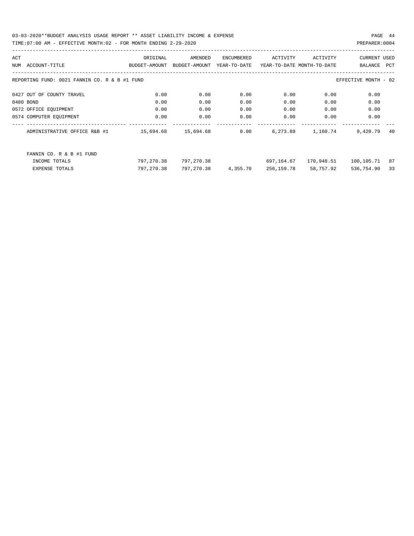| ACT |                                               | ORIGINAL            | AMENDED       | ENCUMBERED   | ACTIVITY                   | ACTIVITY   | CURRENT USED         |     |
|-----|-----------------------------------------------|---------------------|---------------|--------------|----------------------------|------------|----------------------|-----|
| NUM | ACCOUNT-TITLE                                 | BUDGET-AMOUNT       | BUDGET-AMOUNT | YEAR-TO-DATE | YEAR-TO-DATE MONTH-TO-DATE |            | BALANCE              | PCT |
|     | REPORTING FUND: 0021 FANNIN CO. R & B #1 FUND |                     |               |              |                            |            | EFFECTIVE MONTH - 02 |     |
|     | 0427 OUT OF COUNTY TRAVEL                     | 0.00                | 0.00          | 0.00         | 0.00                       | 0.00       | 0.00                 |     |
|     | 0480 BOND                                     | 0.00                | 0.00          | 0.00         | 0.00                       | 0.00       | 0.00                 |     |
|     | 0572 OFFICE EQUIPMENT                         | 0.00                | 0.00          | 0.00         | 0.00                       | 0.00       | 0.00                 |     |
|     | 0574 COMPUTER EQUIPMENT                       | 0.00                | 0.00          | 0.00         | 0.00                       | 0.00       | 0.00                 |     |
|     | ADMINISTRATIVE OFFICE R&B #1                  | 15,694.68 15,694.68 |               | 0.00         | 6,273.89                   | 1,160.74   | 9,420.79             | 40  |
|     | FANNIN CO. R & B #1 FUND                      |                     |               |              |                            |            |                      |     |
|     | INCOME TOTALS                                 | 797,270.38          | 797,270.38    |              | 697,164.67                 | 170,948.51 | 100,105.71           | 87  |
|     | <b>EXPENSE TOTALS</b>                         | 797,270.38          | 797,270.38    | 4,355.70     | 256,159.78                 | 58,757.92  | 536,754.90           | 33  |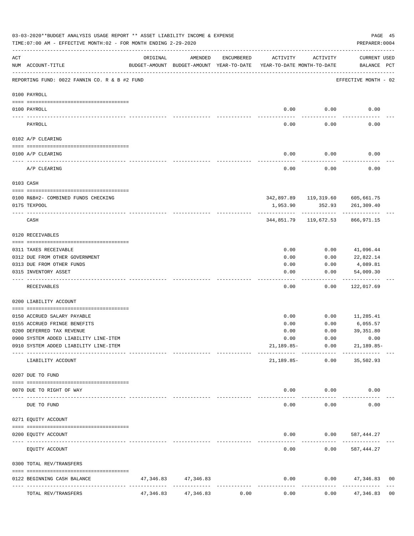|     | 03-03-2020**BUDGET ANALYSIS USAGE REPORT ** ASSET LIABILITY INCOME & EXPENSE<br>TIME:07:00 AM - EFFECTIVE MONTH:02 - FOR MONTH ENDING 2-29-2020 |           |                                                     |                    |                                        |                               | PAGE 45<br>PREPARER: 0004                      |                |
|-----|-------------------------------------------------------------------------------------------------------------------------------------------------|-----------|-----------------------------------------------------|--------------------|----------------------------------------|-------------------------------|------------------------------------------------|----------------|
| ACT | NUM ACCOUNT-TITLE                                                                                                                               | ORIGINAL  | AMENDED<br>BUDGET-AMOUNT BUDGET-AMOUNT YEAR-TO-DATE | ENCUMBERED         | ACTIVITY<br>YEAR-TO-DATE MONTH-TO-DATE | ACTIVITY                      | CURRENT USED<br>BALANCE PCT                    |                |
|     | REPORTING FUND: 0022 FANNIN CO. R & B #2 FUND                                                                                                   |           |                                                     |                    |                                        |                               | EFFECTIVE MONTH - 02                           |                |
|     | 0100 PAYROLL                                                                                                                                    |           |                                                     |                    |                                        |                               |                                                |                |
|     |                                                                                                                                                 |           |                                                     |                    |                                        |                               |                                                |                |
|     | 0100 PAYROLL                                                                                                                                    |           |                                                     |                    | 0.00                                   | 0.00                          | 0.00                                           |                |
|     | PAYROLL                                                                                                                                         |           |                                                     |                    | 0.00                                   | 0.00                          | 0.00                                           |                |
|     | 0102 A/P CLEARING                                                                                                                               |           |                                                     |                    |                                        |                               |                                                |                |
|     | 0100 A/P CLEARING                                                                                                                               |           |                                                     |                    | 0.00                                   | 0.00                          | 0.00                                           |                |
|     | A/P CLEARING                                                                                                                                    |           |                                                     |                    | 0.00                                   | 0.00                          | 0.00                                           |                |
|     | 0103 CASH                                                                                                                                       |           |                                                     |                    |                                        |                               |                                                |                |
|     |                                                                                                                                                 |           |                                                     |                    |                                        |                               |                                                |                |
|     | 0100 R&B#2- COMBINED FUNDS CHECKING<br>0175 TEXPOOL                                                                                             |           |                                                     |                    | 1,953.90                               | 352.93                        | 342,897.89 119,319.60 605,661.75<br>261,309.40 |                |
|     | CASH                                                                                                                                            |           |                                                     |                    |                                        | -------------                 | 344,851.79   119,672.53   866,971.15           |                |
|     | 0120 RECEIVABLES                                                                                                                                |           |                                                     |                    |                                        |                               |                                                |                |
|     | 0311 TAXES RECEIVABLE                                                                                                                           |           |                                                     |                    | 0.00                                   | 0.00                          | 41,096.44                                      |                |
|     | 0312 DUE FROM OTHER GOVERNMENT                                                                                                                  |           |                                                     |                    | 0.00                                   | 0.00                          | 22,822.14                                      |                |
|     | 0313 DUE FROM OTHER FUNDS                                                                                                                       |           |                                                     |                    | 0.00                                   | 0.00                          | 4,089.81                                       |                |
|     | 0315 INVENTORY ASSET                                                                                                                            |           |                                                     |                    | 0.00                                   | 0.00                          | 54,009.30                                      |                |
|     | RECEIVABLES                                                                                                                                     |           |                                                     |                    | 0.00                                   | 0.00                          | ----------<br>122,017.69                       |                |
|     | 0200 LIABILITY ACCOUNT                                                                                                                          |           |                                                     |                    |                                        |                               |                                                |                |
|     |                                                                                                                                                 |           |                                                     |                    |                                        |                               |                                                |                |
|     | 0150 ACCRUED SALARY PAYABLE<br>0155 ACCRUED FRINGE BENEFITS                                                                                     |           |                                                     |                    | 0.00                                   | 0.00<br>0.00                  | 11,285.41<br>6,055.57                          |                |
|     | 0200 DEFERRED TAX REVENUE                                                                                                                       |           |                                                     |                    | 0.00<br>0.00                           | 0.00                          | 39, 351.80                                     |                |
|     | 0900 SYSTEM ADDED LIABILITY LINE-ITEM                                                                                                           |           |                                                     |                    | 0.00                                   | 0.00                          | 0.00                                           |                |
|     | 0910 SYSTEM ADDED LIABILITY LINE-ITEM                                                                                                           |           |                                                     |                    |                                        | 21,189.85- 0.00               | $21, 189.85 -$                                 |                |
|     | LIABILITY ACCOUNT                                                                                                                               |           |                                                     |                    | 21,189.85-                             | 0.00                          | 35,502.93                                      |                |
|     | 0207 DUE TO FUND                                                                                                                                |           |                                                     |                    |                                        |                               |                                                |                |
|     |                                                                                                                                                 |           |                                                     |                    |                                        |                               |                                                |                |
|     | 0070 DUE TO RIGHT OF WAY                                                                                                                        |           | --------------                                      |                    | $- - - - -$                            | $0.00$ $0.00$<br>. <u>.</u> . | 0.00                                           |                |
|     | DUE TO FUND                                                                                                                                     |           |                                                     |                    | 0.00                                   | 0.00                          | 0.00                                           |                |
|     | 0271 EQUITY ACCOUNT                                                                                                                             |           |                                                     |                    |                                        |                               |                                                |                |
|     | 0200 EQUITY ACCOUNT<br>----------------------- -----------                                                                                      |           |                                                     |                    |                                        |                               | $0.00$ $0.00$ $587,444.27$                     |                |
|     | EQUITY ACCOUNT                                                                                                                                  |           |                                                     |                    | -----<br>0.00                          | 0.00                          | 587,444.27                                     |                |
|     | 0300 TOTAL REV/TRANSFERS                                                                                                                        |           |                                                     |                    |                                        |                               |                                                |                |
|     | 0122 BEGINNING CASH BALANCE                                                                                                                     |           | 47, 346.83 47, 346.83                               |                    | 0.00                                   |                               | $0.00$ $47,346.83$                             | 00             |
|     | TOTAL REV/TRANSFERS                                                                                                                             | 47,346.83 | --------------<br>47,346.83                         | . <u>.</u><br>0.00 | 0.00                                   | 0.00                          | 47,346.83                                      | 0 <sub>0</sub> |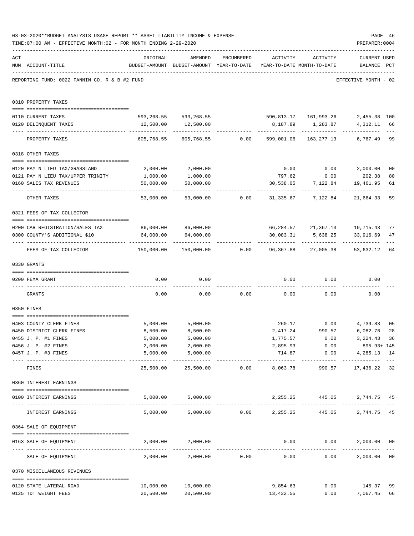|     | 03-03-2020**BUDGET ANALYSIS USAGE REPORT ** ASSET LIABILITY INCOME & EXPENSE<br>TIME: 07:00 AM - EFFECTIVE MONTH: 02 - FOR MONTH ENDING 2-29-2020 |                                             |                                                                                |                                                  |                         |                       | PAGE 46<br>PREPARER: 0004                              |                |
|-----|---------------------------------------------------------------------------------------------------------------------------------------------------|---------------------------------------------|--------------------------------------------------------------------------------|--------------------------------------------------|-------------------------|-----------------------|--------------------------------------------------------|----------------|
| ACT | NUM ACCOUNT-TITLE                                                                                                                                 | ORIGINAL                                    | AMENDED<br>BUDGET-AMOUNT BUDGET-AMOUNT YEAR-TO-DATE YEAR-TO-DATE MONTH-TO-DATE | ENCUMBERED                                       | ACTIVITY                | ACTIVITY              | <b>CURRENT USED</b><br>BALANCE PCT                     |                |
|     | REPORTING FUND: 0022 FANNIN CO. R & B #2 FUND                                                                                                     |                                             |                                                                                |                                                  |                         |                       | EFFECTIVE MONTH - 02                                   |                |
|     | 0310 PROPERTY TAXES                                                                                                                               |                                             |                                                                                |                                                  |                         |                       |                                                        |                |
|     | 0110 CURRENT TAXES                                                                                                                                |                                             | 593,268.55 593,268.55 590,813.17 161,993.26 2,455.38 100                       |                                                  |                         |                       |                                                        |                |
|     | 0120 DELINQUENT TAXES                                                                                                                             |                                             | 12,500.00   12,500.00                                                          |                                                  |                         | 8,187.89 1,283.87     | 4, 312. 11 66                                          |                |
|     | PROPERTY TAXES                                                                                                                                    | 605,768.55                                  |                                                                                | 605,768.55 0.00                                  | . <u>.</u>              | 599,001.06 163,277.13 | 6,767.49                                               | $---$<br>99    |
|     | 0318 OTHER TAXES                                                                                                                                  |                                             |                                                                                |                                                  |                         |                       |                                                        |                |
|     | --------------------------------------                                                                                                            |                                             |                                                                                |                                                  |                         |                       |                                                        |                |
|     | 0120 PAY N LIEU TAX/GRASSLAND                                                                                                                     | 2,000.00                                    | 2,000.00                                                                       |                                                  |                         |                       | $0.00$ $0.00$ $2,000.00$                               | 0 <sub>0</sub> |
|     | 0121 PAY N LIEU TAX/UPPER TRINITY                                                                                                                 | 1,000.00                                    | 1,000.00                                                                       |                                                  | 797.62                  | 0.00                  | 202.38                                                 | 80             |
|     | 0160 SALES TAX REVENUES                                                                                                                           | 50,000.00<br>---------                      | 50,000.00                                                                      |                                                  |                         |                       | 30,538.05 7,122.84 19,461.95                           | 61             |
|     | OTHER TAXES                                                                                                                                       | 53,000.00                                   |                                                                                |                                                  |                         |                       |                                                        | 59             |
|     | 0321 FEES OF TAX COLLECTOR                                                                                                                        |                                             |                                                                                |                                                  |                         |                       |                                                        |                |
|     |                                                                                                                                                   | 86,000.00 86,000.00                         |                                                                                |                                                  |                         |                       |                                                        |                |
|     | 0200 CAR REGISTRATION/SALES TAX<br>0300 COUNTY'S ADDITIONAL \$10                                                                                  | 64,000.00                                   | 64,000.00                                                                      |                                                  | 30,083.31               |                       | 66, 284.57 21, 367.13 19, 715.43<br>5,638.25 33,916.69 | 77<br>47       |
|     | FEES OF TAX COLLECTOR                                                                                                                             | 150,000.00                                  | -------------                                                                  |                                                  | --------------          | ------------          | --------------<br>53,632.12                            | 64             |
|     | 0330 GRANTS                                                                                                                                       |                                             |                                                                                |                                                  |                         |                       |                                                        |                |
|     |                                                                                                                                                   |                                             |                                                                                |                                                  |                         |                       |                                                        |                |
|     | 0200 FEMA GRANT                                                                                                                                   | 0.00                                        | 0.00                                                                           |                                                  |                         | $0.00$ $0.00$         | 0.00                                                   |                |
|     | GRANTS                                                                                                                                            | 0.00                                        |                                                                                | $0.00$ 0.00                                      |                         | 0.00                  | 0.00<br>0.00                                           |                |
|     | 0350 FINES                                                                                                                                        |                                             |                                                                                |                                                  |                         |                       |                                                        |                |
|     | 0403 COUNTY CLERK FINES                                                                                                                           | 5,000.00                                    | 5,000.00                                                                       |                                                  |                         |                       | 260.17 0.00 4,739.83                                   | 0 <sub>5</sub> |
|     | 0450 DISTRICT CLERK FINES                                                                                                                         | 8,500.00                                    | 8,500.00                                                                       |                                                  | 2,417.24                | 990.57                | 6,082.76                                               | 28             |
|     | 0455 J. P. #1 FINES                                                                                                                               | 5,000.00                                    | 5,000.00                                                                       |                                                  | 1,775.57                | 0.00                  | 3, 224.43 36                                           |                |
|     | 0456 J. P. #2 FINES                                                                                                                               | 2,000.00                                    | 2,000.00                                                                       |                                                  | 2,895.93                | 0.00                  | 895.93+ 145                                            |                |
|     | 0457 J. P. #3 FINES                                                                                                                               | 5,000.00<br>----------------- ------------- | 5,000.00<br>___________                                                        |                                                  | 714.87<br>------------- | ------------          | 0.00<br>4,285.13 14<br>. <u>.</u>                      |                |
|     | FINES                                                                                                                                             | 25,500.00                                   |                                                                                | 25,500.00 0.00                                   | 8,063.78                | 990.57                | 17,436.22 32                                           |                |
|     | 0360 INTEREST EARNINGS                                                                                                                            |                                             |                                                                                |                                                  |                         |                       |                                                        |                |
|     | 0100 INTEREST EARNINGS<br>---------------------------------                                                                                       |                                             | 5,000.00 5,000.00                                                              |                                                  |                         |                       | 2, 255. 25 445. 05 2, 744. 75 45                       |                |
|     | INTEREST EARNINGS                                                                                                                                 |                                             | $5,000.00$ $5,000.00$ $0.00$ $2,255.25$ $445.05$                               |                                                  |                         |                       | 2,744.75                                               | 45             |
|     | 0364 SALE OF EQUIPMENT                                                                                                                            |                                             |                                                                                |                                                  |                         |                       |                                                        |                |
|     | --------------------------------------<br>0163 SALE OF EQUIPMENT                                                                                  |                                             | 2,000.00 2,000.00                                                              |                                                  |                         | 0.00                  | 0.00<br>2,000.00                                       | 0 <sub>0</sub> |
|     | SALE OF EQUIPMENT                                                                                                                                 | 2,000.00                                    |                                                                                | -------------------------------<br>2,000.00 0.00 | 0.00                    |                       | _____________<br>0.00<br>2,000.00                      | 0 <sub>0</sub> |
|     | 0370 MISCELLANEOUS REVENUES                                                                                                                       |                                             |                                                                                |                                                  |                         |                       |                                                        |                |
|     | 0120 STATE LATERAL ROAD                                                                                                                           | 10,000.00                                   | 10,000.00                                                                      |                                                  | 9,854.63                |                       | $0.00$ 145.37                                          | 99             |
|     | 0125 TDT WEIGHT FEES                                                                                                                              | 20,500.00                                   | 20,500.00                                                                      |                                                  | 13,432.55               |                       | 7,067.45<br>0.00                                       | 66             |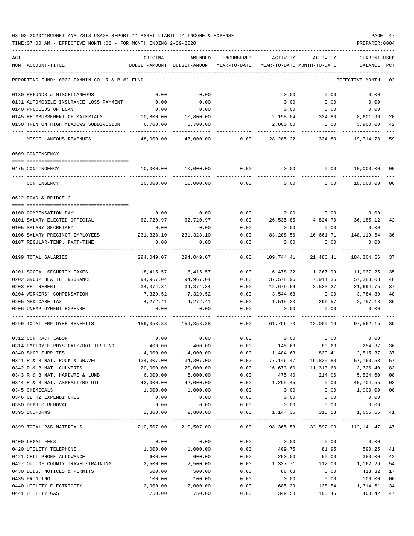### 03-03-2020\*\*BUDGET ANALYSIS USAGE REPORT \*\* ASSET LIABILITY INCOME & EXPENSE PAGE 47 TIME:07:00 AM - EFFECTIVE MONTH:02 - FOR MONTH ENDING 2-29-2020 PREPARER:0004

| ACT                                           | ORIGINAL   | AMENDED                                  | ENCUMBERED           | ACTIVITY                               | ACTIVITY                     | <b>CURRENT USED</b>  |     |
|-----------------------------------------------|------------|------------------------------------------|----------------------|----------------------------------------|------------------------------|----------------------|-----|
| NUM ACCOUNT-TITLE                             |            | BUDGET-AMOUNT BUDGET-AMOUNT YEAR-TO-DATE |                      | YEAR-TO-DATE MONTH-TO-DATE             |                              | BALANCE              | PCT |
| REPORTING FUND: 0022 FANNIN CO. R & B #2 FUND |            |                                          |                      |                                        |                              | EFFECTIVE MONTH - 02 |     |
| 0130 REFUNDS & MISCELLANEOUS                  | 0.00       | 0.00                                     |                      | 0.00                                   | 0.00                         | 0.00                 |     |
| 0131 AUTOMOBILE INSURANCE LOSS PAYMENT        | 0.00       | 0.00                                     |                      | 0.00                                   | 0.00                         | 0.00                 |     |
| 0140 PROCEEDS OF LOAN                         | 0.00       | 0.00                                     |                      | 0.00                                   | 0.00                         | 0.00                 |     |
| 0145 REIMBURSEMENT OF MATERIALS               | 10,800.00  | 10,800.00                                |                      | 2,198.04                               | 334.80                       | 8,601.96             | 20  |
| 0150 TRENTON HIGH MEADOWS SUBDIVISION         | 6,700.00   | 6,700.00                                 |                      | 2,800.00                               | 0.00                         | 3,900.00             | 42  |
| MISCELLANEOUS REVENUES                        | 48,000.00  | 48,000.00                                | 0.00                 | 28,285.22                              | 334.80                       | 19,714.78            | 59  |
| 0509 CONTINGENCY                              |            |                                          |                      |                                        |                              |                      |     |
|                                               |            |                                          |                      |                                        |                              |                      |     |
| 0475 CONTINGENCY                              | 10,000.00  | 10,000.00                                | 0.00                 | 0.00                                   | 0.00                         | 10,000.00 00         |     |
| CONTINGENCY                                   | 10,000.00  | 10,000.00                                | 0.00                 | 0.00                                   | 0.00                         | 10,000.00            | 00  |
| 0622 ROAD & BRIDGE 2                          |            |                                          |                      |                                        |                              |                      |     |
| 0100 COMPENSATION PAY                         | 0.00       | 0.00                                     | 0.00                 | 0.00                                   | 0.00                         | 0.00                 |     |
| 0101 SALARY ELECTED OFFICIAL                  |            | 62,720.97 62,720.97                      | 0.00                 |                                        | 26,535.85 4,824.70 36,185.12 |                      | 42  |
| 0105 SALARY SECRETARY                         | 0.00       | 0.00                                     | 0.00                 | 0.00                                   | 0.00                         | 0.00                 |     |
| 0106 SALARY PRECINCT EMPLOYEES 231,328.10     |            | 231,328.10                               | 0.00                 | 83,208.56                              | 16,661.71                    | 148, 119.54          | 36  |
| 0107 REGULAR-TEMP. PART-TIME                  | 0.00       | 0.00                                     | 0.00                 | 0.00                                   | 0.00                         | 0.00                 |     |
| 0199 TOTAL SALARIES                           | 294,049.07 | 294,049.07                               | 0.00                 | 109,744.41                             | 21,486.41                    | 184,304.66           | 37  |
| 0201 SOCIAL SECURITY TAXES                    | 18,415.57  | 18,415.57                                | 0.00                 | 6,478.32                               | 1,267.99                     | 11,937.25            | 35  |
| 0202 GROUP HEALTH INSURANCE                   | 94,967.04  | 94,967.04                                | 0.00                 | 37,578.96                              | 7,911.36                     | 57,388.08            | 40  |
| 0203 RETIREMENT                               | 34,374.34  | 34, 374. 34                              | 0.00                 | 12,679.59                              | 2,533.27                     | 21,694.75            | 37  |
| 0204 WORKERS' COMPENSATION                    | 7,329.52   | 7,329.52                                 | 0.00                 | 3,544.63                               | 0.00                         | 3,784.89             | 48  |
| 0205 MEDICARE TAX                             | 4,272.41   | 4,272.41                                 | 0.00                 | 1,515.23                               | 296.57                       | 2,757.18             | 35  |
| 0206 UNEMPLOYMENT EXPENSE                     | 0.00       | 0.00                                     | 0.00                 | 0.00                                   | 0.00                         | 0.00                 |     |
| 0299 TOTAL EMPLOYEE BENEFITS                  | 159,358.88 | 159,358.88                               | 0.00                 | 61,796.73                              | 12,009.19                    | 97,562.15 39         |     |
| 0312 CONTRACT LABOR                           | 0.00       | 0.00                                     | 0.00                 | 0.00                                   | 0.00                         | 0.00                 |     |
| 0314 EMPLOYEE PHYSICALS/DOT TESTING           | 400.00     | 400.00                                   | 0.00                 | 145.63                                 | 80.63                        | 254.37               | 36  |
| 0340 SHOP SUPPLIES                            | 4,000.00   | 4,000.00                                 | 0.00                 | 1,484.63                               | 839.41                       | 2,515.37             | 37  |
| 0341 R & B MAT. ROCK & GRAVEL                 | 134,307.00 | 134,307.00                               | 0.00                 | 77,146.47                              | 19,825.80                    | 57,160.53            | 57  |
| 0342 R & B MAT. CULVERTS                      | 20,000.00  | 20,000.00                                | 0.00                 | 16,673.60                              | 11,313.60                    | 3,326.40             | 83  |
| 0343 R & B MAT. HARDWRE & LUMB                | 6,000.00   | 6,000.00                                 | 0.00                 | 475.40                                 | 214.06                       | 5,524.60             | 08  |
| 0344 R & B MAT. ASPHALT/RD OIL                | 42,000.00  | 42,000.00                                | 0.00                 | 1,295.45                               | 0.00                         | 40,704.55            | 03  |
| 0345 CHEMICALS                                | 1,000.00   | 1,000.00                                 | 0.00                 | 0.00                                   | 0.00                         | 1,000.00             | 00  |
| 0346 CETRZ EXPENDITURES                       | 0.00       | 0.00                                     | 0.00                 | 0.00                                   | 0.00                         | 0.00                 |     |
| 0350 DEBRIS REMOVAL                           | 0.00       | 0.00                                     | 0.00                 | 0.00                                   | 0.00                         | 0.00                 |     |
| 0395 UNIFORMS                                 | 2,800.00   | 2,800.00                                 | 0.00<br>------------ | 1,144.35                               | 318.53                       | 1,655.65             | 41  |
| 0399 TOTAL R&B MATERIALS                      |            | 210,507.00 210,507.00                    |                      | 0.00 98,365.53 32,592.03 112,141.47 47 |                              |                      |     |
| 0400 LEGAL FEES                               | 0.00       | 0.00                                     | 0.00                 | 0.00                                   | 0.00                         | 0.00                 |     |
| 0420 UTILITY TELEPHONE                        | 1,000.00   | 1,000.00                                 | 0.00                 | 409.75                                 | 81.95                        | 590.25               | 41  |
| 0421 CELL PHONE ALLOWANCE                     | 600.00     | 600.00                                   | 0.00                 | 250.00                                 | 50.00                        | 350.00               | 42  |
| 0427 OUT OF COUNTY TRAVEL/TRAINING            | 2,500.00   | 2,500.00                                 | 0.00                 | 1,337.71                               | 112.00                       | 1,162.29             | 54  |
| 0430 BIDS, NOTICES & PERMITS                  | 500.00     | 500.00                                   | 0.00                 | 86.68                                  | 0.00                         | 413.32               | 17  |
| 0435 PRINTING                                 | 100.00     | 100.00                                   | 0.00                 | 0.00                                   | 0.00                         | 100.00               | 00  |
| 0440 UTILITY ELECTRICITY                      | 2,000.00   | 2,000.00                                 | 0.00                 | 685.39                                 | 138.54                       | 1,314.61             | 34  |
| 0441 UTILITY GAS                              | 750.00     | 750.00                                   | 0.00                 | 349.58                                 | 105.45                       | 400.42               | 47  |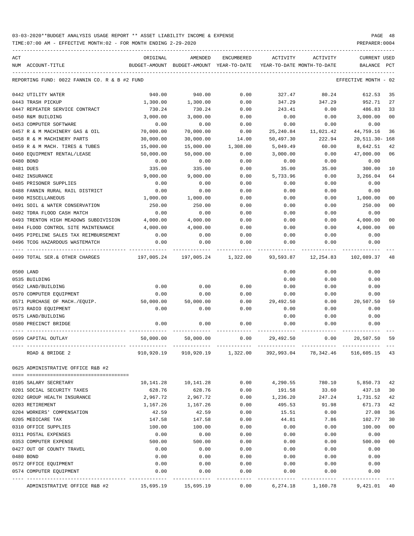TIME:07:00 AM - EFFECTIVE MONTH:02 - FOR MONTH ENDING 2-29-2020

| ACT                                                                          | ORIGINAL                                                                                                      | AMENDED                                  | ENCUMBERED | ACTIVITY                   | ACTIVITY  | CURRENT USED         |                |
|------------------------------------------------------------------------------|---------------------------------------------------------------------------------------------------------------|------------------------------------------|------------|----------------------------|-----------|----------------------|----------------|
| NUM ACCOUNT-TITLE                                                            |                                                                                                               | BUDGET-AMOUNT BUDGET-AMOUNT YEAR-TO-DATE |            | YEAR-TO-DATE MONTH-TO-DATE |           | BALANCE              | PCT            |
| REPORTING FUND: 0022 FANNIN CO. R & B #2 FUND                                |                                                                                                               |                                          |            |                            |           | EFFECTIVE MONTH - 02 |                |
| 0442 UTILITY WATER                                                           | 940.00                                                                                                        | 940.00                                   | 0.00       | 327.47                     | 80.24     | 612.53               | 35             |
| 0443 TRASH PICKUP                                                            | 1,300.00                                                                                                      | 1,300.00                                 | 0.00       | 347.29                     | 347.29    | 952.71               | 27             |
| 0447 REPEATER SERVICE CONTRACT                                               | 730.24                                                                                                        | 730.24                                   | 0.00       | 243.41                     | 0.00      | 486.83               | 33             |
| 0450 R&M BUILDING                                                            | 3,000.00                                                                                                      | 3,000.00                                 | 0.00       | 0.00                       | 0.00      | 3,000.00             | 0 <sub>0</sub> |
| 0453 COMPUTER SOFTWARE                                                       | 0.00                                                                                                          | 0.00                                     | 0.00       | 0.00                       | 0.00      | 0.00                 |                |
| 0457 R & M MACHINERY GAS & OIL                                               | 70,000.00                                                                                                     | 70,000.00                                | 0.00       | 25,240.84                  | 11,021.42 | 44,759.16            | 36             |
| 0458 R & M MACHINERY PARTS                                                   | 30,000.00                                                                                                     | 30,000.00                                | 14.00      | 50,497.30                  | 222.94    | 20,511.30- 168       |                |
| 0459 R & M MACH. TIRES & TUBES                                               | 15,000.00                                                                                                     | 15,000.00                                | 1,308.00   | 5,049.49                   | 60.00     | 8,642.51             | 42             |
| 0460 EQUIPMENT RENTAL/LEASE                                                  | 50,000.00                                                                                                     | 50,000.00                                | 0.00       | 3,000.00                   | 0.00      | 47,000.00            | 06             |
| 0480 BOND                                                                    | 0.00                                                                                                          | 0.00                                     | 0.00       | 0.00                       | 0.00      | 0.00                 |                |
| 0481 DUES                                                                    | 335.00                                                                                                        | 335.00                                   | 0.00       | 35.00                      | 35.00     | 300.00               | 10             |
| 0482 INSURANCE                                                               | 9,000.00                                                                                                      | 9,000.00                                 | 0.00       | 5,733.96                   | 0.00      | 3,266.04             | 64             |
| 0485 PRISONER SUPPLIES                                                       | 0.00                                                                                                          | 0.00                                     | 0.00       | 0.00                       | 0.00      | 0.00                 |                |
| 0488 FANNIN RURAL RAIL DISTRICT                                              | 0.00                                                                                                          | 0.00                                     | 0.00       | 0.00                       | 0.00      | 0.00                 |                |
| 0490 MISCELLANEOUS                                                           | 1,000.00                                                                                                      | 1,000.00                                 | 0.00       | 0.00                       | 0.00      | 1,000.00             | 00             |
| 0491 SOIL & WATER CONSERVATION                                               | 250.00                                                                                                        | 250.00                                   | 0.00       | 0.00                       | 0.00      | 250.00               | 0 <sub>0</sub> |
| 0492 TDRA FLOOD CASH MATCH                                                   | 0.00                                                                                                          | 0.00                                     | 0.00       | 0.00                       | 0.00      | 0.00                 |                |
| 0493 TRENTON HIGH MEADOWS SUBDIVISION<br>0494 FLOOD CONTROL SITE MAINTENANCE | 4,000.00                                                                                                      | 4,000.00                                 | 0.00       | 0.00                       | 0.00      | 4,000.00             | 0 <sub>0</sub> |
|                                                                              | 4,000.00                                                                                                      | 4,000.00                                 | 0.00       | 0.00                       | 0.00      | 4,000.00             | 0 <sub>0</sub> |
| 0495 PIPELINE SALES TAX REIMBURSEMENT<br>0496 TCOG HAZARDOUS WASTEMATCH      | 0.00                                                                                                          | 0.00                                     | 0.00       | 0.00                       | 0.00      | 0.00                 |                |
| -----------------------------------                                          | 0.00<br>-----------                                                                                           | 0.00                                     | 0.00       | 0.00                       | 0.00      | 0.00                 |                |
| 0499 TOTAL SER.& OTHER CHARGES                                               | 197,005.24               197,005.24                1,322.00                93,593.87                12,254.83 |                                          |            |                            |           | 102,089.37           | 48             |
| 0500 LAND                                                                    |                                                                                                               |                                          |            | 0.00                       | 0.00      | 0.00                 |                |
| 0535 BUILDING                                                                |                                                                                                               |                                          |            | 0.00                       | 0.00      | 0.00                 |                |
| 0562 LAND/BUILDING                                                           | 0.00                                                                                                          | 0.00                                     | 0.00       | 0.00                       | 0.00      | 0.00                 |                |
| 0570 COMPUTER EQUIPMENT                                                      | 0.00                                                                                                          | 0.00                                     | 0.00       | 0.00                       | 0.00      | 0.00                 |                |
| 0571 PURCHASE OF MACH./EQUIP. 50,000.00 50,000.00                            |                                                                                                               |                                          |            | $0.00$ 29,492.50           | 0.00      | 20,507.50            | 59             |
| 0573 RADIO EQUIPMENT                                                         | 0.00                                                                                                          | 0.00                                     | 0.00       | 0.00                       | 0.00      | 0.00                 |                |
| 0575 LAND/BUILDING                                                           |                                                                                                               |                                          |            | 0.00                       | 0.00      | 0.00                 |                |
| 0580 PRECINCT BRIDGE                                                         | 0.00                                                                                                          | 0.00                                     | 0.00       | 0.00                       | 0.00      | 0.00                 |                |
| 0599 CAPITAL OUTLAY                                                          | 50,000.00                                                                                                     | 50,000.00                                | 0.00       | 29,492.50                  | 0.00      | 20,507.50            |                |
| KOAD & BRIDGE 2                                                              | 910,920.19                                                                                                    | 910,920.19                               | 1,322.00   | 392,993.04                 | 78,342.46 | 516,605.15           |                |
| 0625 ADMINISTRATIVE OFFICE R&B #2                                            |                                                                                                               |                                          |            |                            |           |                      |                |
| 0105 SALARY SECRETARY                                                        | 10,141.28                                                                                                     | 10,141.28                                | 0.00       | 4,290.55                   | 780.10    | 5,850.73             | 42             |
| 0201 SOCIAL SECURITY TAXES                                                   | 628.76                                                                                                        | 628.76                                   | 0.00       | 191.58                     | 33.60     | 437.18               | 30             |
| 0202 GROUP HEALTH INSURANCE                                                  | 2,967.72                                                                                                      | 2,967.72                                 | 0.00       | 1,236.20                   | 247.24    | 1,731.52             | 42             |
| 0203 RETIREMENT                                                              | 1,167.26                                                                                                      | 1,167.26                                 | 0.00       | 495.53                     | 91.98     | 671.73               | 42             |
| 0204 WORKERS' COMPENSATION                                                   | 42.59                                                                                                         | 42.59                                    | 0.00       | 15.51                      | 0.00      | 27.08                | 36             |
| 0205 MEDICARE TAX                                                            | 147.58                                                                                                        | 147.58                                   | 0.00       | 44.81                      | 7.86      | 102.77               | 30             |
| 0310 OFFICE SUPPLIES                                                         | 100.00                                                                                                        | 100.00                                   | 0.00       | 0.00                       | 0.00      | 100.00               | 00             |
| 0311 POSTAL EXPENSES                                                         | 0.00                                                                                                          | 0.00                                     | 0.00       | 0.00                       | 0.00      | 0.00                 |                |
| 0353 COMPUTER EXPENSE                                                        | 500.00                                                                                                        | 500.00                                   | 0.00       | 0.00                       | 0.00      | 500.00               | 0 <sub>0</sub> |
| 0427 OUT OF COUNTY TRAVEL                                                    | 0.00                                                                                                          | 0.00                                     | 0.00       | 0.00                       | 0.00      | 0.00                 |                |
| 0480 BOND                                                                    | 0.00                                                                                                          | 0.00                                     | 0.00       | 0.00                       | 0.00      | 0.00                 |                |
| 0572 OFFICE EQUIPMENT                                                        | 0.00                                                                                                          | 0.00                                     | 0.00       | 0.00                       | 0.00      | 0.00                 |                |
| 0574 COMPUTER EQUIPMENT                                                      | 0.00                                                                                                          | 0.00                                     | 0.00       | 0.00                       | 0.00      | 0.00                 |                |
|                                                                              |                                                                                                               |                                          |            |                            |           |                      |                |

ADMINISTRATIVE OFFICE R&B #2 15,695.19 15,695.19 0.00 6,274.18 1,160.78 9,421.01 40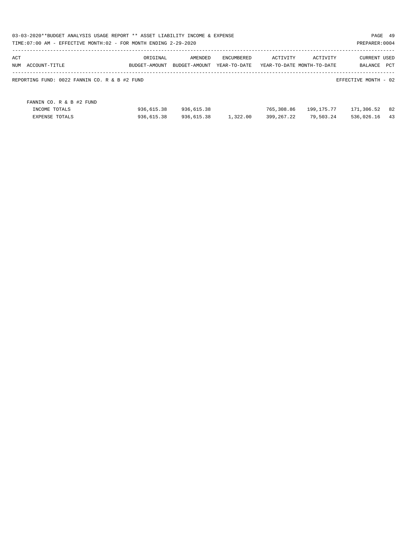| 03-03-2020**BUDGET ANALYSIS USAGE REPORT ** ASSET LIABILITY INCOME & EXPENSE<br>TIME:07:00 AM - EFFECTIVE MONTH:02 - FOR MONTH ENDING 2-29-2020 |               |               |              |            |                            | PAGE 49<br>PREPARER: 0004 |     |
|-------------------------------------------------------------------------------------------------------------------------------------------------|---------------|---------------|--------------|------------|----------------------------|---------------------------|-----|
| ACT                                                                                                                                             | ORIGINAL      | AMENDED       | ENCUMBERED   | ACTIVITY   | ACTIVITY                   | <b>CURRENT USED</b>       |     |
| NUM<br>ACCOUNT-TITLE                                                                                                                            | BUDGET-AMOUNT | BUDGET-AMOUNT | YEAR-TO-DATE |            | YEAR-TO-DATE MONTH-TO-DATE | BALANCE                   | PCT |
| REPORTING FUND: 0022 FANNIN CO. R & B #2 FUND                                                                                                   |               |               |              |            |                            | EFFECTIVE MONTH - 02      |     |
| FANNIN CO. R & B #2 FUND                                                                                                                        |               |               |              |            |                            |                           |     |
| INCOME TOTALS                                                                                                                                   | 936,615.38    | 936,615.38    |              | 765,308.86 | 199,175.77                 | 171,306.52                | 82  |
| <b>EXPENSE TOTALS</b>                                                                                                                           | 936,615.38    | 936,615.38    | 1,322.00     | 399,267.22 | 79,503.24                  | 536,026.16                | 43  |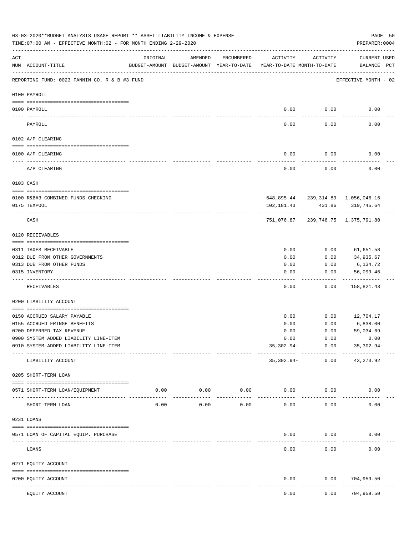|     | 03-03-2020**BUDGET ANALYSIS USAGE REPORT ** ASSET LIABILITY INCOME & EXPENSE<br>TIME: 07:00 AM - EFFECTIVE MONTH: 02 - FOR MONTH ENDING 2-29-2020 |                                                                                 |                     |                     |              |                                | PREPARER: 0004                                          | PAGE 50 |
|-----|---------------------------------------------------------------------------------------------------------------------------------------------------|---------------------------------------------------------------------------------|---------------------|---------------------|--------------|--------------------------------|---------------------------------------------------------|---------|
| ACT | NUM ACCOUNT-TITLE                                                                                                                                 | ORIGINAL<br>BUDGET-AMOUNT BUDGET-AMOUNT YEAR-TO-DATE YEAR-TO-DATE MONTH-TO-DATE | AMENDED             | ENCUMBERED          | ACTIVITY     | ACTIVITY                       | <b>CURRENT USED</b><br>BALANCE PCT                      |         |
|     | REPORTING FUND: 0023 FANNIN CO. R & B #3 FUND                                                                                                     |                                                                                 |                     |                     |              |                                | EFFECTIVE MONTH - 02                                    |         |
|     | 0100 PAYROLL                                                                                                                                      |                                                                                 |                     |                     |              |                                |                                                         |         |
|     | 0100 PAYROLL                                                                                                                                      |                                                                                 |                     |                     | 0.00         | 0.00                           | 0.00                                                    |         |
|     | PAYROLL                                                                                                                                           |                                                                                 |                     |                     | 0.00         | 0.00                           | 0.00                                                    |         |
|     | 0102 A/P CLEARING                                                                                                                                 |                                                                                 |                     |                     |              |                                |                                                         |         |
|     | 0100 A/P CLEARING                                                                                                                                 |                                                                                 |                     |                     | 0.00         | 0.00                           | 0.00                                                    |         |
|     | A/P CLEARING                                                                                                                                      |                                                                                 |                     |                     | 0.00         | 0.00                           | 0.00                                                    |         |
|     | 0103 CASH                                                                                                                                         |                                                                                 |                     |                     |              |                                |                                                         |         |
|     |                                                                                                                                                   |                                                                                 |                     |                     |              |                                |                                                         |         |
|     | 0100 R&B#3-COMBINED FUNDS CHECKING<br>0175 TEXPOOL                                                                                                |                                                                                 |                     |                     | 102,181.43   |                                | 648,895.44 239,314.89 1,056,046.16<br>431.86 319,745.64 |         |
|     |                                                                                                                                                   |                                                                                 |                     |                     |              | ------------                   |                                                         |         |
|     | CASH                                                                                                                                              |                                                                                 |                     |                     | 751,076.87   |                                | 239,746.75 1,375,791.80                                 |         |
|     | 0120 RECEIVABLES                                                                                                                                  |                                                                                 |                     |                     |              |                                |                                                         |         |
|     | 0311 TAXES RECEIVABLE                                                                                                                             |                                                                                 |                     |                     | 0.00         | 0.00                           | 61,651.58                                               |         |
|     | 0312 DUE FROM OTHER GOVERNMENTS                                                                                                                   |                                                                                 |                     |                     | 0.00         | 0.00                           | 34,935.67                                               |         |
|     | 0313 DUE FROM OTHER FUNDS                                                                                                                         |                                                                                 |                     |                     | 0.00         | 0.00                           | 6,134.72                                                |         |
|     | 0315 INVENTORY                                                                                                                                    |                                                                                 |                     |                     | 0.00         | 0.00                           | 56,099.46<br>----------                                 |         |
|     | RECEIVABLES                                                                                                                                       |                                                                                 |                     |                     | 0.00         | 0.00                           | 158,821.43                                              |         |
|     | 0200 LIABILITY ACCOUNT                                                                                                                            |                                                                                 |                     |                     |              |                                |                                                         |         |
|     |                                                                                                                                                   |                                                                                 |                     |                     |              |                                |                                                         |         |
|     | 0150 ACCRUED SALARY PAYABLE<br>0155 ACCRUED FRINGE BENEFITS                                                                                       |                                                                                 |                     |                     | 0.00<br>0.00 | 0.00<br>0.00                   | 12,704.17<br>6,838.00                                   |         |
|     | 0200 DEFERRED TAX REVENUE                                                                                                                         |                                                                                 |                     |                     | 0.00         | 0.00                           | 59,034.69                                               |         |
|     | 0900 SYSTEM ADDED LIABILITY LINE-ITEM                                                                                                             |                                                                                 |                     |                     | 0.00         | 0.00                           | 0.00                                                    |         |
|     | 0910 SYSTEM ADDED LIABILITY LINE-ITEM                                                                                                             |                                                                                 |                     |                     | $35,302.94-$ | 0.00<br>--------- ------------ | $35,302.94-$<br>-------------                           |         |
|     | LIABILITY ACCOUNT                                                                                                                                 |                                                                                 |                     |                     | 35,302.94-   | 0.00                           | 43, 273. 92                                             |         |
|     | 0205 SHORT-TERM LOAN                                                                                                                              |                                                                                 |                     |                     |              |                                |                                                         |         |
|     | 0571 SHORT-TERM LOAN/EQUIPMENT                                                                                                                    | 0.00                                                                            | 0.00<br>----------- | 0.00<br>----------- | 0.00         | 0.00                           | 0.00                                                    |         |
|     | SHORT-TERM LOAN                                                                                                                                   | 0.00                                                                            | 0.00                | 0.00                | 0.00         | 0.00                           | 0.00                                                    |         |
|     | 0231 LOANS                                                                                                                                        |                                                                                 |                     |                     |              |                                |                                                         |         |
|     | 0571 LOAN OF CAPITAL EQUIP. PURCHASE                                                                                                              |                                                                                 |                     |                     | 0.00         | 0.00                           | 0.00                                                    |         |
|     |                                                                                                                                                   |                                                                                 |                     |                     |              |                                |                                                         |         |
|     | LOANS                                                                                                                                             |                                                                                 |                     |                     | 0.00         | 0.00                           | 0.00                                                    |         |
|     | 0271 EQUITY ACCOUNT                                                                                                                               |                                                                                 |                     |                     |              |                                |                                                         |         |
|     | 0200 EQUITY ACCOUNT<br>---- -----------<br>--------------------- -----------                                                                      |                                                                                 | -------------       |                     | 0.00         | 0.00                           | 704,959.50<br>---------                                 |         |
|     | EQUITY ACCOUNT                                                                                                                                    |                                                                                 |                     |                     | 0.00         | 0.00                           | 704,959.50                                              |         |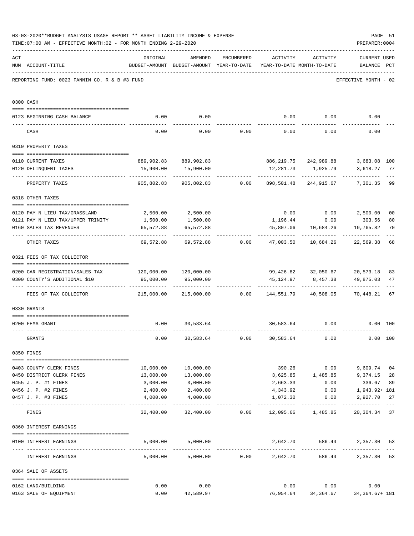|     | 03-03-2020**BUDGET ANALYSIS USAGE REPORT ** ASSET LIABILITY INCOME & EXPENSE<br>TIME: 07:00 AM - EFFECTIVE MONTH: 02 - FOR MONTH ENDING 2-29-2020 |                                                         |                                                                                |                                    |                   |                                    | PREPARER: 0004                                                       | PAGE 51              |
|-----|---------------------------------------------------------------------------------------------------------------------------------------------------|---------------------------------------------------------|--------------------------------------------------------------------------------|------------------------------------|-------------------|------------------------------------|----------------------------------------------------------------------|----------------------|
| ACT | NUM ACCOUNT-TITLE                                                                                                                                 | ORIGINAL                                                | AMENDED<br>BUDGET-AMOUNT BUDGET-AMOUNT YEAR-TO-DATE YEAR-TO-DATE MONTH-TO-DATE | ENCUMBERED                         | ACTIVITY ACTIVITY |                                    | <b>CURRENT USED</b><br>BALANCE PCT                                   |                      |
|     | REPORTING FUND: 0023 FANNIN CO. R & B #3 FUND                                                                                                     |                                                         |                                                                                |                                    |                   |                                    | EFFECTIVE MONTH - 02                                                 |                      |
|     | 0300 CASH                                                                                                                                         |                                                         |                                                                                |                                    |                   |                                    |                                                                      |                      |
|     | 0123 BEGINNING CASH BALANCE                                                                                                                       | 0.00                                                    | 0.00                                                                           |                                    |                   |                                    | $0.00$ $0.00$ $0.00$ $0.00$                                          |                      |
|     | CASH                                                                                                                                              | 0.00                                                    |                                                                                | $0.00$ $0.00$ $0.00$ $0.00$ $0.00$ |                   |                                    | 0.00                                                                 |                      |
|     | 0310 PROPERTY TAXES                                                                                                                               |                                                         |                                                                                |                                    |                   |                                    |                                                                      |                      |
|     |                                                                                                                                                   |                                                         |                                                                                |                                    |                   |                                    |                                                                      |                      |
|     | 0110 CURRENT TAXES                                                                                                                                |                                                         | 889,902.83 889,902.83                                                          |                                    |                   | 886, 219.75 242, 989.88            | 3,683.08 100                                                         |                      |
|     | 0120 DELINQUENT TAXES<br>--------------------- --------------                                                                                     |                                                         | 15,900.00 15,900.00<br>-----------                                             |                                    | . <u>.</u>        | 12,281.73 1,925.79<br>------------ | 3,618.27<br>--------------                                           | 77                   |
|     | PROPERTY TAXES                                                                                                                                    | 905,802.83                                              |                                                                                | 905,802.83 0.00                    |                   | 898,501.48 244,915.67              | 7,301.35                                                             | 99                   |
|     | 0318 OTHER TAXES                                                                                                                                  |                                                         |                                                                                |                                    |                   |                                    |                                                                      |                      |
|     | 0120 PAY N LIEU TAX/GRASSLAND                                                                                                                     |                                                         | 2,500.00 2,500.00                                                              |                                    |                   |                                    |                                                                      |                      |
|     | 0121 PAY N LIEU TAX/UPPER TRINITY                                                                                                                 |                                                         | 1,500.00                                                                       |                                    |                   | 1,196.44 0.00                      | $0.00$ $0.00$ $2,500.00$<br>303.56                                   | 0 <sub>0</sub><br>80 |
|     | 0160 SALES TAX REVENUES                                                                                                                           | 1,500.00<br>65,572.88                                   | 65,572.88                                                                      |                                    |                   | 45,807.06 10,684.26                | 19,765.82                                                            | 70                   |
|     |                                                                                                                                                   |                                                         |                                                                                |                                    |                   |                                    |                                                                      |                      |
|     | OTHER TAXES                                                                                                                                       |                                                         | $69,572.88$ $69,572.88$ $0.00$ $47,003.50$ $10,684.26$                         |                                    |                   |                                    | 22,569.38                                                            | 68                   |
|     | 0321 FEES OF TAX COLLECTOR                                                                                                                        |                                                         |                                                                                |                                    |                   |                                    |                                                                      |                      |
|     |                                                                                                                                                   |                                                         |                                                                                |                                    |                   |                                    |                                                                      |                      |
|     | 0200 CAR REGISTRATION/SALES TAX                                                                                                                   | $120,000.00$ $120,000.00$                               |                                                                                |                                    |                   |                                    | 99,426.82 32,050.67 20,573.18                                        | 83                   |
|     | 0300 COUNTY'S ADDITIONAL \$10                                                                                                                     | 95,000.00                                               | 95,000.00                                                                      |                                    | 45,124.97         | 8,457.38                           | 49,875.03                                                            | 47                   |
|     | FEES OF TAX COLLECTOR                                                                                                                             | $215,000.00$ $215,000.00$ 0.00 $144,551.79$ $40,508.05$ |                                                                                |                                    |                   |                                    | 70,448.21                                                            | 67                   |
|     | 0330 GRANTS                                                                                                                                       |                                                         |                                                                                |                                    |                   |                                    |                                                                      |                      |
|     |                                                                                                                                                   |                                                         |                                                                                |                                    |                   |                                    |                                                                      |                      |
|     | 0200 FEMA GRANT                                                                                                                                   | 0.00                                                    | 30,583.64                                                                      |                                    |                   | 30,583.64 0.00                     | $0.00$ 100                                                           |                      |
|     | GRANTS                                                                                                                                            | 0.00                                                    |                                                                                | 30,583.64 0.00                     | 30,583.64         | 0.00                               |                                                                      | 0.00 100             |
|     | 0350 FINES                                                                                                                                        |                                                         |                                                                                |                                    |                   |                                    |                                                                      |                      |
|     | 0403 COUNTY CLERK FINES                                                                                                                           |                                                         | 10,000.00 10,000.00                                                            |                                    |                   | 390.26 0.00                        | 9,609.74                                                             | 04                   |
|     | 0450 DISTRICT CLERK FINES                                                                                                                         | 13,000.00                                               | 13,000.00                                                                      |                                    |                   |                                    | 3,625.85 1,485.85 9,374.15                                           | 28                   |
|     | 0455 J. P. #1 FINES                                                                                                                               | 3,000.00                                                | 3,000.00                                                                       |                                    | 2,663.33          | 0.00                               | 336.67                                                               | 89                   |
|     | 0456 J. P. #2 FINES                                                                                                                               | 2,400.00                                                | 2,400.00                                                                       |                                    | 4,343.92          | 0.00                               | 1,943.92+ 181                                                        |                      |
|     | 0457 J. P. #3 FINES                                                                                                                               | 4,000.00                                                | 4,000.00                                                                       |                                    | 1,072.30          | 0.00                               | 2,927.70 27                                                          |                      |
|     | FINES                                                                                                                                             |                                                         |                                                                                |                                    |                   |                                    | $32,400.00$ $32,400.00$ $0.00$ $12,095.66$ $1,485.85$ $20,304.34$ 37 | $\qquad \qquad - -$  |
|     | 0360 INTEREST EARNINGS                                                                                                                            |                                                         |                                                                                |                                    |                   |                                    |                                                                      |                      |
|     |                                                                                                                                                   |                                                         |                                                                                |                                    |                   |                                    |                                                                      |                      |
|     | 0100 INTEREST EARNINGS                                                                                                                            |                                                         | 5,000.00 5,000.00                                                              |                                    |                   | 2,642.70 586.44                    | 2,357.30 53                                                          |                      |
|     | INTEREST EARNINGS                                                                                                                                 |                                                         | $5,000.00$ $5,000.00$ $0.00$ $2,642.70$                                        |                                    |                   |                                    | 2,357.30<br>586.44                                                   | 53                   |
|     | 0364 SALE OF ASSETS                                                                                                                               |                                                         |                                                                                |                                    |                   |                                    |                                                                      |                      |
|     | 0162 LAND/BUILDING                                                                                                                                | 0.00                                                    | 0.00                                                                           |                                    |                   | $0.00$ $0.00$                      | 0.00                                                                 |                      |
|     | 0163 SALE OF EQUIPMENT                                                                                                                            | 0.00                                                    | 42,589.97                                                                      |                                    |                   |                                    | 76,954.64 34,364.67 34,364.67+181                                    |                      |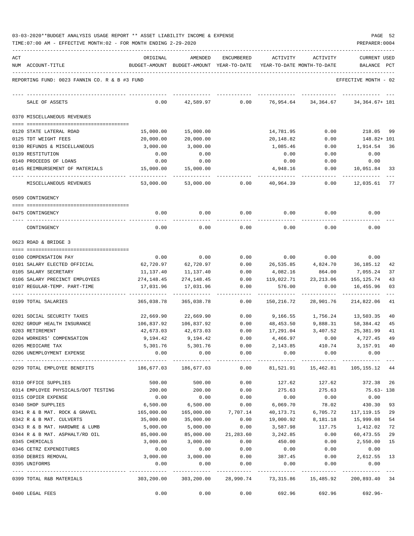|  |  |  | 03-03-2020**BUDGET ANALYSIS USAGE REPORT ** ASSET LIABILITY INCOME & EXPENSE |  | PAGE | - 52 |
|--|--|--|------------------------------------------------------------------------------|--|------|------|
|  |  |  |                                                                              |  |      |      |

|     | TIME: 07:00 AM - EFFECTIVE MONTH: 02 - FOR MONTH ENDING 2-29-2020 |                  |                                                     |              |                                                                   |                                    | PREPARER: 0004                 |     |
|-----|-------------------------------------------------------------------|------------------|-----------------------------------------------------|--------------|-------------------------------------------------------------------|------------------------------------|--------------------------------|-----|
| ACT | NUM ACCOUNT-TITLE                                                 | ORIGINAL         | AMENDED<br>BUDGET-AMOUNT BUDGET-AMOUNT YEAR-TO-DATE | ENCUMBERED   | ACTIVITY<br>YEAR-TO-DATE MONTH-TO-DATE                            | ACTIVITY                           | <b>CURRENT USED</b><br>BALANCE | PCT |
|     | REPORTING FUND: 0023 FANNIN CO. R & B #3 FUND                     |                  |                                                     |              |                                                                   |                                    | EFFECTIVE MONTH - 02           |     |
|     | SALE OF ASSETS                                                    | 0.00             | 42,589.97                                           | 0.00         | 76,954.64                                                         | 34,364.67                          | 34, 364. 67+ 181               |     |
|     | 0370 MISCELLANEOUS REVENUES                                       |                  |                                                     |              |                                                                   |                                    |                                |     |
|     | 0120 STATE LATERAL ROAD                                           | 15,000.00        | 15,000.00                                           |              | 14,781.95                                                         | 0.00                               | 218.05                         | 99  |
|     | 0125 TDT WEIGHT FEES                                              | 20,000.00        | 20,000.00                                           |              | 20,148.82                                                         | 0.00                               | 148.82+ 101                    |     |
|     | 0130 REFUNDS & MISCELLANEOUS                                      | 3,000.00         | 3,000.00                                            |              | 1,085.46                                                          | 0.00                               | 1,914.54                       | 36  |
|     | 0139 RESTITUTION                                                  | 0.00             | 0.00                                                |              | 0.00                                                              | 0.00                               | 0.00                           |     |
|     | 0140 PROCEEDS OF LOANS                                            | 0.00             | 0.00                                                |              | 0.00                                                              | 0.00                               | 0.00                           |     |
|     | 0145 REIMBURSEMENT OF MATERIALS                                   | 15,000.00        | 15,000.00                                           |              | 4,948.16                                                          | 0.00                               | 10,051.84                      | 33  |
|     | MISCELLANEOUS REVENUES                                            | 53,000.00        | 53,000.00                                           | 0.00         | 40,964.39                                                         | 0.00                               | 12,035.61                      | 77  |
|     | 0509 CONTINGENCY                                                  |                  |                                                     |              |                                                                   |                                    |                                |     |
|     | 0475 CONTINGENCY                                                  | 0.00             | 0.00                                                | 0.00         | 0.00                                                              | 0.00                               | 0.00                           |     |
|     | CONTINGENCY                                                       | 0.00             | 0.00                                                | 0.00         | 0.00                                                              | 0.00                               | 0.00                           |     |
|     | 0623 ROAD & BRIDGE 3                                              |                  |                                                     |              |                                                                   |                                    |                                |     |
|     | 0100 COMPENSATION PAY                                             | 0.00             | 0.00                                                | 0.00         | 0.00                                                              | 0.00                               | 0.00                           |     |
|     | 0101 SALARY ELECTED OFFICIAL                                      | 62,720.97        | 62,720.97                                           | 0.00         | 26,535.85                                                         | 4,824.70                           | 36,185.12                      | 42  |
|     | 0105 SALARY SECRETARY                                             | 11,137.40        | 11,137.40                                           | 0.00         | 4,082.16                                                          | 864.00                             | 7,055.24                       | 37  |
|     | 0106 SALARY PRECINCT EMPLOYEES                                    | 274,148.45       | 274,148.45                                          | 0.00         | 119,022.71                                                        | 23, 213.06                         | 155,125.74                     | 43  |
|     | 0107 REGULAR-TEMP. PART-TIME                                      | 17,031.96        | 17,031.96                                           | 0.00         | 576.00                                                            | 0.00                               | 16,455.96                      | 03  |
|     | 0199 TOTAL SALARIES                                               | 365,038.78       | 365,038.78                                          | 0.00         | 150,216.72                                                        | 28,901.76                          | 214,822.06                     | 41  |
|     | 0201 SOCIAL SECURITY TAXES                                        | 22,669.90        | 22,669.90                                           | 0.00         | 9,166.55                                                          | 1,756.24                           | 13,503.35                      | 40  |
|     | 0202 GROUP HEALTH INSURANCE                                       | 106,837.92       | 106,837.92                                          | 0.00         | 48,453.50                                                         | 9,888.31                           | 58,384.42                      | 45  |
|     | 0203 RETIREMENT                                                   | 42,673.03        | 42,673.03                                           | 0.00         | 17,291.04                                                         | 3,407.52                           | 25,381.99                      | 41  |
|     | 0204 WORKERS' COMPENSATION                                        | 9,194.42         | 9,194.42                                            | 0.00         | 4,466.97                                                          | 0.00                               | 4,727.45                       | 49  |
|     | 0205 MEDICARE TAX                                                 |                  | 5,301.76 5,301.76                                   | 0.00         | 2,143.85                                                          | 410.74 3,157.91                    |                                | 40  |
|     | 0206 UNEMPLOYMENT EXPENSE                                         | 0.00             | 0.00                                                | 0.00         | 0.00                                                              | 0.00                               | 0.00                           |     |
|     | 0299 TOTAL EMPLOYEE BENEFITS                                      | 186,677.03       | 186,677.03                                          | 0.00         |                                                                   | 81,521.91   15,462.81   105,155.12 |                                | 44  |
|     | 0310 OFFICE SUPPLIES                                              | 500.00           | 500.00                                              | 0.00         |                                                                   | 127.62 127.62 372.38 26            |                                |     |
|     | 0314 EMPLOYEE PHYSICALS/DOT TESTING 200.00                        |                  | 200.00                                              | 0.00         |                                                                   | 275.63 275.63                      | $75.63 - 138$                  |     |
|     | 0315 COPIER EXPENSE                                               | 0.00             | 0.00                                                | 0.00         | 0.00                                                              | 0.00                               | 0.00                           |     |
|     | 0340 SHOP SUPPLIES                                                | 6,500.00         | 6,500.00                                            | 0.00         | 6,069.70                                                          | 78.02                              | 430.30                         | 93  |
|     | 0341 R & B MAT. ROCK & GRAVEL                                     | 165,000.00       | 165,000.00                                          | 7,707.14     | 40,173.71                                                         | 6,705.72                           | 117,119.15                     | 29  |
|     | 0342 R & B MAT. CULVERTS                                          | 35,000.00        | 35,000.00                                           | 0.00         | 19,000.92                                                         | 8,181.18                           | 15,999.08                      | 54  |
|     | 0343 R & B MAT. HARDWRE & LUMB                                    | 5,000.00         | 5,000.00                                            | 0.00         | 3,587.98                                                          |                                    | 117.75 1,412.02                | 72  |
|     | 0344 R & B MAT. ASPHALT/RD OIL                                    | 85,000.00        | 85,000.00                                           | 21,283.60    | 3,242.85                                                          | 0.00                               | 60,473.55                      | 29  |
|     | 0345 CHEMICALS                                                    | 3,000.00         | 3,000.00                                            | 0.00         | 450.00                                                            | 0.00                               | 2,550.00                       | 15  |
|     | 0346 CETRZ EXPENDITURES                                           | 0.00<br>3,000.00 | 0.00<br>3,000.00                                    | 0.00<br>0.00 | 0.00<br>387.45                                                    | 0.00                               | 0.00<br>$0.00$ 2,612.55        |     |
|     | 0350 DEBRIS REMOVAL<br>0395 UNIFORMS                              | 0.00             | 0.00                                                | 0.00         |                                                                   | $0.00$ 0.00                        | 0.00                           | 13  |
|     |                                                                   |                  |                                                     |              |                                                                   |                                    |                                |     |
|     | 0399 TOTAL R&B MATERIALS                                          |                  |                                                     |              | 303,200.00 303,200.00 28,990.74 73,315.86 15,485.92 200,893.40 34 |                                    |                                |     |
|     | 0400 LEGAL FEES                                                   | 0.00             | 0.00                                                | 0.00         | 692.96                                                            | 692.96                             | $692.96 -$                     |     |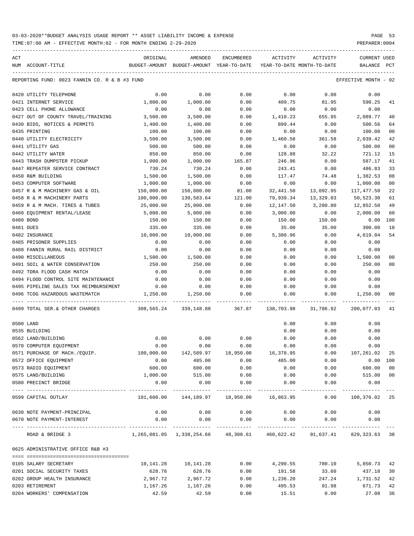TIME:07:00 AM - EFFECTIVE MONTH:02 - FOR MONTH ENDING 2-29-2020 PREPARER:0004

----------------------------------------------------------------------------------------------------------------------------------- ACT ORIGINAL AMENDED ENCUMBERED ACTIVITY ACTIVITY CURRENT USED NUM ACCOUNT-TITLE BUDGET-AMOUNT BUDGET-AMOUNT YEAR-TO-DATE YEAR-TO-DATE MONTH-TO-DATE BALANCE PCT ----------------------------------------------------------------------------------------------------------------------------------- REPORTING FUND: 0023 FANNIN CO. R & B #3 FUND EFFECTIVE MONTH - 02 0420 UTILITY TELEPHONE 0.00 0.00 0.00 0.00 0.00 0.00 0421 INTERNET SERVICE 1,000.00 1,000.00 0.00 409.75 81.95 590.25 41 0423 CELL PHONE ALLOWANCE  $\begin{array}{cccc} 0.00 & 0.00 & 0.00 & 0.00 & 0.00 & 0.00 & 0.00 \end{array}$ 0427 OUT OF COUNTY TRAVEL/TRAINING 3,500.00 3,500.00 0.00 1,410.23 655.95 2,089.77 40 0430 BIDS, NOTICES & PERMITS 1,400.00 1,400.00 0.00 899.44 0.00 500.56 64 0435 PRINTING 100.00 100.00 0.00 0.00 0.00 100.00 00 0440 UTILITY ELECTRICITY 3,500.00 3,500.00 0.00 1,460.58 361.58 2,039.42 42 0441 UTILITY GAS 500.00 500.00 0.00 0.00 0.00 500.00 00 0442 UTILITY WATER 850.00 850.00 0.00 128.88 32.22 721.12 15 0443 TRASH DUMPSTER PICKUP 1,000.00 1,000.00 165.87 246.96 0.00 587.17 41 0447 REPEATER SERVICE CONTRACT 730.24 730.24 0.00 243.41 0.00 486.83 33 0450 R&M BUILDING 1,500.00 1,500.00 0.00 117.47 74.48 1,382.53 08 0453 COMPUTER SOFTWARE 1,000.00 1,000.00 0.00 0.00 0.00 1,000.00 00 0457 R & M MACHINERY GAS & OIL 150,000.00 150,000.00 81.00 32,441.50 13,092.95 117,477.50 22 0458 R & M MACHINERY PARTS 100,000.00 130,583.64 121.00 79,939.34 13,329.03 50,523.30 61 0459 R & M MACH. TIRES & TUBES 25,000.00 25,000.00 0.00 12,147.50 3,280.80 12,852.50 49 0460 EQUIPMENT RENTAL/LEASE 5,000.00 5,000.00 0.00 3,000.00 0.00 2,000.00 60 0480 BOND 150.00 150.00 0.00 150.00 150.00 0.00 100 0481 DUES 335.00 335.00 0.00 35.00 35.00 300.00 10 0482 INSURANCE 10,000.00 10,000.00 0.00 5,380.96 0.00 4,619.04 54 0485 PRISONER SUPPLIES  $\begin{array}{cccccccc} 0.00 & 0.00 & 0.00 & 0.00 & 0.00 & 0.00 & 0.00 & 0.00 & 0.00 & 0.00 & 0.00 & 0.00 & 0.00 & 0.00 & 0.00 & 0.00 & 0.00 & 0.00 & 0.00 & 0.00 & 0.00 & 0.00 & 0.00 & 0.00 & 0.00 & 0.00 & 0.00 & 0.00 & 0.00 & 0.00 & 0.00 & 0.0$ 0488 FANNIN RURAL RAIL DISTRICT 0.00 0.00 0.00 0.00 0.00 0.00 0490 MISCELLANEOUS 1,500.00 1,500.00 0.00 0.00 0.00 1,500.00 00 0491 SOIL & WATER CONSERVATION 250.00 250.00 0.00 0.00 0.00 250.00 00 0492 TDRA FLOOD CASH MATCH 0.00 0.00 0.00 0.00 0.00 0.00 0494 FLOOD CONTROL SITE MAINTENANCE 0.00 0.00 0.00 0.00 0.00 0.00 0495 PIPELINE SALES TAX REIMBURSEMENT 0.00 0.00 0.00 0.00 0.00 0.00 0496 TCOG HAZARDOUS WASTEMATCH 1,250.00 1,250.00 0.00 0.00 0.00 1,250.00 00 ---- ---------------------------------- ------------- ------------- ------------ ------------- ------------ ------------- --- 0499 TOTAL SER.& OTHER CHARGES 308,565.24 339,148.88 367.87 138,703.98 31,786.92 200,077.03 41 0500 LAND 0.00 0.00 0.00 0535 BUILDING 0.00 0.00 0.00 0562 LAND/BUILDING 0.00 0.00 0.00 0.00 0.00 0.00 0500 MML, 10000 MML, 10000 MML, 10000 0.00 0.000 0.000 0.000 0.000 0.000 0.00<br>0570 COMPUTER EQUIPMENT 0571 PURCHASE OF MACH./EQUIP. 100,000.00 142,589.97 18,950.00 16,378.95 0.00 107,261.02 25 0572 OFFICE EQUIPMENT 0.00 485.00 0.00 485.00 0.00 0.00 100 0573 RADIO EQUIPMENT 600.00 600.00 0.00 0.00 0.00 600.00 00 0575 LAND/BUILDING 1,000.00 515.00 0.00 0.00 0.00 515.00 00 0580 PRECINCT BRIDGE 0.00 0.00 0.00 0.00 0.00 0.00 ---- ---------------------------------- ------------- ------------- ------------ ------------- ------------ ------------- --- 0599 CAPITAL OUTLAY 101,600.00 144,189.97 18,950.00 16,863.95 0.00 108,376.02 25 0630 NOTE PAYMENT-PRINCIPAL 0.00 0.00 0.00 0.00 0.00 0.00 0670 NOTE PAYMENT-INTEREST 0.00 0.00 0.00 0.00 0.00 0.00 ---- ---------------------------------- ------------- ------------- ------------ ------------- ------------ ------------- --- ROAD & BRIDGE 3 1,265,081.05 1,338,254.66 48,308.61 460,622.42 91,637.41 829,323.63 38 0625 ADMINISTRATIVE OFFICE R&B #3 ==== =================================== 0105 SALARY SECRETARY 10,141.28 10,141.28 0.00 4,290.55 780.10 5,850.73 42 0201 SOCIAL SECURITY TAXES 628.76 628.76 0.00 191.58 33.60 437.18 30 0202 GROUP HEALTH INSURANCE 2,967.72 2,967.72 0.00 1,236.20 247.24 1,731.52 42 0203 RETIREMENT 1,167.26 1,167.26 0.00 495.53 91.98 671.73 42

0204 WORKERS' COMPENSATION 42.59 42.59 0.00 15.51 0.00 27.08 36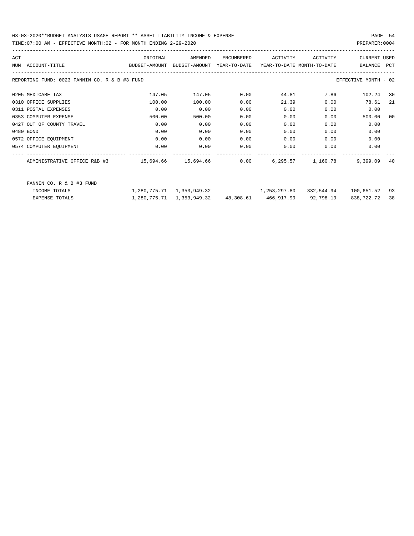| ACT |                                                                                          | ORIGINAL | AMENDED                                                  | ENCUMBERED | ACTIVITY | ACTIVITY      | <b>CURRENT USED</b>  |     |
|-----|------------------------------------------------------------------------------------------|----------|----------------------------------------------------------|------------|----------|---------------|----------------------|-----|
|     | BUDGET-AMOUNT BUDGET-AMOUNT YEAR-TO-DATE YEAR-TO-DATE_MONTH-TO-DATE<br>NUM ACCOUNT-TITLE |          |                                                          |            |          |               | BALANCE PCT          |     |
|     |                                                                                          |          |                                                          |            |          |               |                      |     |
|     | REPORTING FUND: 0023 FANNIN CO. R & B #3 FUND                                            |          |                                                          |            |          |               | EFFECTIVE MONTH - 02 |     |
|     | 0205 MEDICARE TAX                                                                        | 147.05   | 147.05                                                   | 0.00       |          | 7.86<br>44.81 | 102.24               | 30  |
|     | 0310 OFFICE SUPPLIES                                                                     | 100.00   | 100.00                                                   | 0.00       | 21.39    | 0.00          | 78.61                | -21 |
|     | 0311 POSTAL EXPENSES                                                                     | 0.00     | 0.00                                                     | 0.00       | 0.00     | 0.00          | 0.00                 |     |
|     | 0353 COMPUTER EXPENSE                                                                    | 500.00   | 500.00                                                   | 0.00       | 0.00     | 0.00          | 500.00               | 00  |
|     | 0427 OUT OF COUNTY TRAVEL                                                                | 0.00     | 0.00                                                     | 0.00       | 0.00     | 0.00          | 0.00                 |     |
|     | 0480 BOND                                                                                | 0.00     | 0.00                                                     | 0.00       | 0.00     | 0.00          | 0.00                 |     |
|     | 0572 OFFICE EQUIPMENT                                                                    | 0.00     | 0.00                                                     | 0.00       | 0.00     | 0.00          | 0.00                 |     |
|     | 0574 COMPUTER EQUIPMENT                                                                  | 0.00     | 0.00                                                     | 0.00       | 0.00     | 0.00          | 0.00                 |     |
|     |                                                                                          |          |                                                          |            |          |               |                      |     |
|     |                                                                                          |          |                                                          |            |          |               |                      | 40  |
|     |                                                                                          |          |                                                          |            |          |               |                      |     |
|     | FANNIN CO. R & B #3 FUND                                                                 |          |                                                          |            |          |               |                      |     |
|     | INCOME TOTALS                                                                            |          | $1,280,775.71$ $1,353,949.32$ $1,253,297.80$             |            |          | 332,544.94    | 100,651.52 93        |     |
|     | EXPENSE TOTALS                                                                           |          | 1,280,775.71 1,353,949.32 48,308.61 466,917.99 92,798.19 |            |          |               | 838,722.72 38        |     |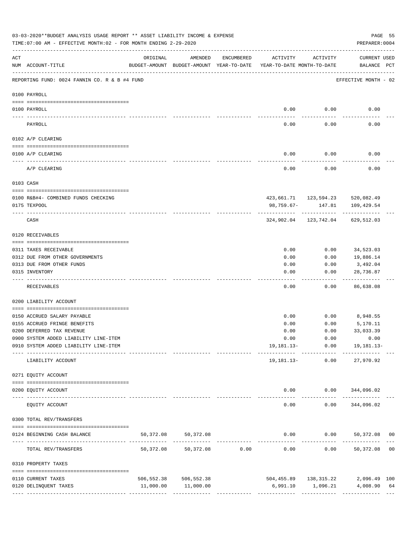|                 | 03-03-2020**BUDGET ANALYSIS USAGE REPORT ** ASSET LIABILITY INCOME & EXPENSE<br>TIME: 07:00 AM - EFFECTIVE MONTH: 02 - FOR MONTH ENDING 2-29-2020 |                                                      |                         |                                                 |                                        |                                        | PREPARER: 0004                                                          | PAGE 55 |
|-----------------|---------------------------------------------------------------------------------------------------------------------------------------------------|------------------------------------------------------|-------------------------|-------------------------------------------------|----------------------------------------|----------------------------------------|-------------------------------------------------------------------------|---------|
| ACT             | NUM ACCOUNT-TITLE                                                                                                                                 | ORIGINAL<br>BUDGET-AMOUNT BUDGET-AMOUNT YEAR-TO-DATE | AMENDED                 | ENCUMBERED                                      | ACTIVITY<br>YEAR-TO-DATE MONTH-TO-DATE | ACTIVITY                               | CURRENT USED<br>BALANCE PCT                                             |         |
|                 | REPORTING FUND: 0024 FANNIN CO. R & B #4 FUND                                                                                                     |                                                      |                         |                                                 |                                        |                                        | EFFECTIVE MONTH - 02                                                    |         |
|                 | 0100 PAYROLL                                                                                                                                      |                                                      |                         |                                                 |                                        |                                        |                                                                         |         |
|                 |                                                                                                                                                   |                                                      |                         |                                                 |                                        |                                        |                                                                         |         |
| $- - - - - - -$ | 0100 PAYROLL                                                                                                                                      |                                                      |                         |                                                 | 0.00                                   | 0.00                                   | 0.00                                                                    |         |
|                 | PAYROLL                                                                                                                                           |                                                      |                         |                                                 | 0.00                                   | 0.00                                   | 0.00                                                                    |         |
|                 | 0102 A/P CLEARING                                                                                                                                 |                                                      |                         |                                                 |                                        |                                        |                                                                         |         |
|                 | 0100 A/P CLEARING                                                                                                                                 |                                                      |                         |                                                 | 0.00                                   | 0.00                                   | 0.00                                                                    |         |
|                 | --------------------------------<br>A/P CLEARING                                                                                                  |                                                      |                         |                                                 | 0.00                                   | 0.00                                   | 0.00                                                                    |         |
|                 | 0103 CASH                                                                                                                                         |                                                      |                         |                                                 |                                        |                                        |                                                                         |         |
|                 | 0100 R&B#4- COMBINED FUNDS CHECKING                                                                                                               |                                                      |                         |                                                 |                                        |                                        | 423,661.71  123,594.23  520,082.49                                      |         |
|                 | 0175 TEXPOOL                                                                                                                                      |                                                      |                         |                                                 | 98,759.67-                             | 147.81                                 | 109,429.54                                                              |         |
|                 | CASH                                                                                                                                              |                                                      |                         |                                                 |                                        | -------------<br>324,902.04 123,742.04 | 629,512.03                                                              |         |
|                 | 0120 RECEIVABLES                                                                                                                                  |                                                      |                         |                                                 |                                        |                                        |                                                                         |         |
|                 | 0311 TAXES RECEIVABLE                                                                                                                             |                                                      |                         |                                                 | 0.00                                   | 0.00                                   | 34,523.03                                                               |         |
|                 | 0312 DUE FROM OTHER GOVERNMENTS                                                                                                                   |                                                      |                         |                                                 | 0.00                                   | 0.00                                   | 19,886.14                                                               |         |
|                 | 0313 DUE FROM OTHER FUNDS                                                                                                                         |                                                      |                         |                                                 | 0.00                                   | 0.00                                   | 3,492.04                                                                |         |
|                 | 0315 INVENTORY                                                                                                                                    |                                                      |                         |                                                 | 0.00                                   | 0.00                                   | 28,736.87<br>.                                                          |         |
|                 | RECEIVABLES                                                                                                                                       |                                                      |                         |                                                 | 0.00                                   | 0.00                                   | 86,638.08                                                               |         |
|                 | 0200 LIABILITY ACCOUNT                                                                                                                            |                                                      |                         |                                                 |                                        |                                        |                                                                         |         |
|                 | 0150 ACCRUED SALARY PAYABLE                                                                                                                       |                                                      |                         |                                                 | 0.00                                   | 0.00                                   | 8,948.55                                                                |         |
|                 | 0155 ACCRUED FRINGE BENEFITS                                                                                                                      |                                                      |                         |                                                 | 0.00                                   | 0.00                                   | 5,170.11                                                                |         |
|                 | 0200 DEFERRED TAX REVENUE                                                                                                                         |                                                      |                         |                                                 | 0.00                                   | 0.00                                   | 33,033.39                                                               |         |
|                 | 0900 SYSTEM ADDED LIABILITY LINE-ITEM                                                                                                             |                                                      |                         |                                                 |                                        |                                        | $0.00$ $0.00$ $0.00$                                                    |         |
|                 | 0910 SYSTEM ADDED LIABILITY LINE-ITEM                                                                                                             |                                                      |                         |                                                 |                                        |                                        | $19, 181.13 - 0.00$ $19, 181.13 -$<br>-------- ------------ ----------- |         |
|                 | LIABILITY ACCOUNT                                                                                                                                 |                                                      |                         |                                                 |                                        | 19,181.13- 0.00                        | 27,970.92                                                               |         |
|                 | 0271 EQUITY ACCOUNT                                                                                                                               |                                                      |                         |                                                 |                                        |                                        |                                                                         |         |
|                 | 0200 EQUITY ACCOUNT                                                                                                                               |                                                      |                         |                                                 |                                        |                                        | $0.00$ $0.00$ $344,096.02$                                              |         |
|                 | EQUITY ACCOUNT                                                                                                                                    |                                                      | --------------          |                                                 | 0.00                                   | 0.00                                   | 344,096.02                                                              |         |
|                 | 0300 TOTAL REV/TRANSFERS                                                                                                                          |                                                      |                         |                                                 |                                        |                                        |                                                                         |         |
|                 | 0124 BEGINNING CASH BALANCE                                                                                                                       | 50,372.08                                            | 50,372.08               |                                                 |                                        |                                        | $0.00$ $0.00$ $50,372.08$ 00                                            |         |
|                 | TOTAL REV/TRANSFERS                                                                                                                               | 50,372.08                                            |                         | -----------------------------<br>50,372.08 0.00 | 0.00                                   |                                        | ---------------------------<br>$0.00$ 50,372.08 00                      |         |
|                 | 0310 PROPERTY TAXES                                                                                                                               |                                                      |                         |                                                 |                                        |                                        |                                                                         |         |
|                 | 0110 CURRENT TAXES                                                                                                                                |                                                      | 506, 552.38 506, 552.38 |                                                 |                                        |                                        | 504,455.89   138,315.22   2,096.49   100                                |         |
|                 | 0120 DELINQUENT TAXES                                                                                                                             |                                                      | 11,000.00 11,000.00     |                                                 |                                        |                                        |                                                                         |         |
|                 |                                                                                                                                                   |                                                      |                         |                                                 |                                        |                                        |                                                                         |         |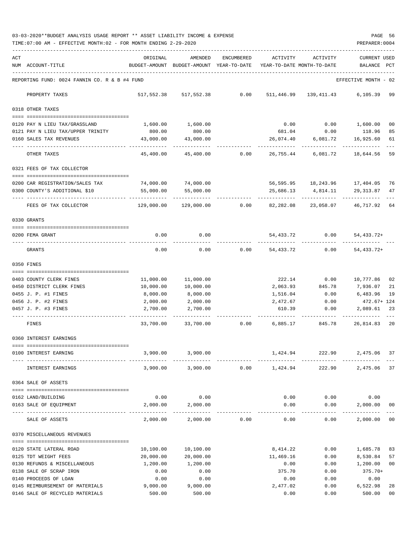03-03-2020\*\*BUDGET ANALYSIS USAGE REPORT \*\* ASSET LIABILITY INCOME & EXPENSE PAGE 56 TIME:07:00 AM - EFFECTIVE MONTH:02 - FOR MONTH ENDING 2-29-2020 PREPARER:0004

| ACT |                                                                    | ORIGINAL                           | AMENDED                                  | ENCUMBERED | ACTIVITY                   | ACTIVITY   | <b>CURRENT USED</b>           |          |
|-----|--------------------------------------------------------------------|------------------------------------|------------------------------------------|------------|----------------------------|------------|-------------------------------|----------|
|     | NUM ACCOUNT-TITLE                                                  |                                    | BUDGET-AMOUNT BUDGET-AMOUNT YEAR-TO-DATE |            | YEAR-TO-DATE MONTH-TO-DATE |            | BALANCE                       | PCT      |
|     |                                                                    |                                    |                                          |            |                            |            |                               |          |
|     | REPORTING FUND: 0024 FANNIN CO. R & B #4 FUND                      |                                    |                                          |            |                            |            | EFFECTIVE MONTH - 02          |          |
|     | PROPERTY TAXES                                                     |                                    | 517,552.38 517,552.38                    | 0.00       | 511,446.99                 | 139,411.43 | 6,105.39 99                   |          |
|     | 0318 OTHER TAXES                                                   |                                    |                                          |            |                            |            |                               |          |
|     |                                                                    |                                    |                                          |            |                            |            |                               |          |
|     | 0120 PAY N LIEU TAX/GRASSLAND<br>0121 PAY N LIEU TAX/UPPER TRINITY | 1,600.00<br>800.00                 | 1,600.00<br>800.00                       |            | 0.00<br>681.04             | 0.00       | $0.00$ 1,600.00<br>118.96     | 00<br>85 |
|     | 0160 SALES TAX REVENUES                                            | 43,000.00                          | 43,000.00                                |            | 26,074.40                  | 6,081.72   | 16,925.60                     | 61       |
|     |                                                                    |                                    |                                          |            |                            |            |                               |          |
|     | OTHER TAXES                                                        | 45,400.00                          | 45,400.00                                | 0.00       | 26,755.44                  | 6,081.72   | 18,644.56                     | 59       |
|     | 0321 FEES OF TAX COLLECTOR                                         |                                    |                                          |            |                            |            |                               |          |
|     | 0200 CAR REGISTRATION/SALES TAX                                    | 74,000.00                          | 74,000.00                                |            |                            |            | 56,595.95 18,243.96 17,404.05 | 76       |
|     | 0300 COUNTY'S ADDITIONAL \$10                                      | 55,000.00                          | 55,000.00                                |            | 25,686.13                  | 4,814.11   | 29,313.87                     | 47       |
|     |                                                                    |                                    |                                          |            |                            |            |                               |          |
|     | FEES OF TAX COLLECTOR                                              | 129,000.00                         | 129,000.00                               | 0.00       | 82,282.08                  | 23,058.07  | 46,717.92                     | 64       |
|     | 0330 GRANTS                                                        |                                    |                                          |            |                            |            |                               |          |
|     | 0200 FEMA GRANT                                                    | 0.00                               | 0.00                                     |            |                            | 0.00       |                               |          |
|     |                                                                    |                                    |                                          |            | 54,433.72                  |            | 54, 433. 72+                  |          |
|     | GRANTS                                                             | 0.00                               | 0.00                                     | 0.00       | 54,433.72                  | 0.00       | $54, 433.72+$                 |          |
|     | 0350 FINES                                                         |                                    |                                          |            |                            |            |                               |          |
|     | 0403 COUNTY CLERK FINES                                            | 11,000.00                          | 11,000.00                                |            | 222.14                     | 0.00       | 10,777.86                     | 02       |
|     | 0450 DISTRICT CLERK FINES                                          | 10,000.00                          | 10,000.00                                |            | 2,063.93                   | 845.78     | 7,936.07                      | 21       |
|     | 0455 J. P. #1 FINES                                                | 8,000.00                           | 8,000.00                                 |            | 1,516.04                   | 0.00       | 6,483.96                      | 19       |
|     | 0456 J. P. #2 FINES                                                | 2,000.00                           | 2,000.00                                 |            | 2,472.67                   | 0.00       | 472.67+ 124                   |          |
|     | 0457 J. P. #3 FINES                                                | 2,700.00                           | 2,700.00                                 |            | 610.39                     | 0.00       | 2,089.61                      | 23       |
|     | FINES                                                              | 33,700.00                          | 33,700.00                                | 0.00       | 6,885.17                   | 845.78     | 26,814.83 20                  |          |
|     | 0360 INTEREST EARNINGS                                             |                                    |                                          |            |                            |            |                               |          |
|     | =============================                                      |                                    |                                          |            |                            |            |                               |          |
|     | 0100 INTEREST EARNING                                              | 3,900.00                           | 3,900.00                                 |            | 1,424.94                   | 222.90     | 2,475.06 37                   |          |
|     | INTEREST EARNINGS                                                  | 3,900.00                           | 3,900.00                                 | 0.00       | 1,424.94                   | 222.90     | 2,475.06 37                   |          |
|     | 0364 SALE OF ASSETS                                                |                                    |                                          |            |                            |            |                               |          |
|     | 0162 LAND/BUILDING                                                 | 0.00                               | 0.00                                     |            | 0.00                       | 0.00       | 0.00                          |          |
|     | 0163 SALE OF EQUIPMENT                                             | 2,000.00                           | 2,000.00                                 |            | 0.00                       | 0.00       | 2,000.00                      | 00       |
|     |                                                                    | ------------------- -------------- |                                          |            |                            |            | ----------                    |          |
|     | SALE OF ASSETS                                                     | 2,000.00                           | 2,000.00                                 | 0.00       | 0.00                       | 0.00       | 2,000.00                      | 00       |
|     | 0370 MISCELLANEOUS REVENUES                                        |                                    |                                          |            |                            |            |                               |          |
|     | 0120 STATE LATERAL ROAD                                            | 10,100.00                          | 10,100.00                                |            | 8,414.22                   | 0.00       | 1,685.78                      | 83       |
|     | 0125 TDT WEIGHT FEES                                               | 20,000.00                          | 20,000.00                                |            | 11,469.16                  | 0.00       | 8,530.84                      | 57       |
|     | 0130 REFUNDS & MISCELLANEOUS                                       | 1,200.00                           | 1,200.00                                 |            | 0.00                       | 0.00       | 1,200.00                      | 00       |
|     | 0138 SALE OF SCRAP IRON                                            | 0.00                               | 0.00                                     |            | 375.70                     | 0.00       | $375.70+$                     |          |
|     | 0140 PROCEEDS OF LOAN                                              | 0.00                               | 0.00                                     |            | 0.00                       | 0.00       | 0.00                          |          |
|     | 0145 REIMBURSEMENT OF MATERIALS                                    | 9,000.00                           | 9,000.00                                 |            | 2,477.02                   | 0.00       | 6,522.98                      | 28       |
|     | 0146 SALE OF RECYCLED MATERIALS                                    | 500.00                             | 500.00                                   |            | 0.00                       | 0.00       | 500.00                        | 00       |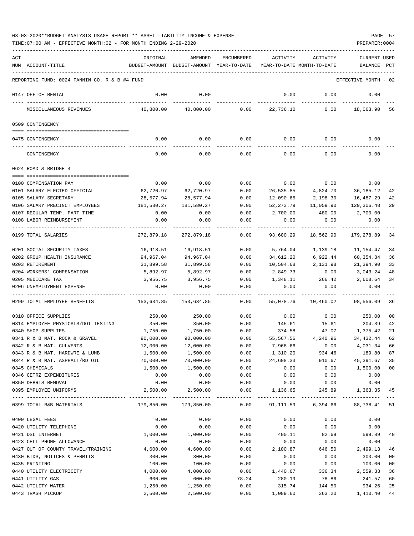|     | TIME: 07:00 AM - EFFECTIVE MONTH: 02 - FOR MONTH ENDING 2-29-2020 |                  |                            |                   |                  |                            | PREPARER: 0004       |              |
|-----|-------------------------------------------------------------------|------------------|----------------------------|-------------------|------------------|----------------------------|----------------------|--------------|
| ACT |                                                                   | ORIGINAL         | AMENDED                    | <b>ENCUMBERED</b> | ACTIVITY         | ACTIVITY                   | <b>CURRENT USED</b>  |              |
|     | NUM ACCOUNT-TITLE                                                 | BUDGET-AMOUNT    | BUDGET-AMOUNT YEAR-TO-DATE |                   |                  | YEAR-TO-DATE MONTH-TO-DATE | BALANCE              | $_{\rm PCT}$ |
|     | REPORTING FUND: 0024 FANNIN CO. R & B #4 FUND                     |                  |                            |                   |                  |                            | EFFECTIVE MONTH - 02 |              |
|     | 0147 OFFICE RENTAL                                                | 0.00             | 0.00                       |                   | 0.00             | 0.00                       | 0.00                 |              |
|     | MISCELLANEOUS REVENUES                                            | 40,800.00        | 40,800.00                  | 0.00              | 22,736.10        | 0.00                       | 18,063.90            | 56           |
|     | 0509 CONTINGENCY                                                  |                  |                            |                   |                  |                            |                      |              |
|     |                                                                   |                  |                            |                   |                  |                            |                      |              |
|     | 0475 CONTINGENCY                                                  | 0.00             | 0.00                       | 0.00              | 0.00             | 0.00                       | 0.00                 |              |
|     | CONTINGENCY                                                       | 0.00             | 0.00                       | 0.00              | 0.00             | 0.00                       | 0.00                 |              |
|     | 0624 ROAD & BRIDGE 4                                              |                  |                            |                   |                  |                            |                      |              |
|     | 0100 COMPENSATION PAY                                             | 0.00             | 0.00                       | 0.00              | 0.00             | 0.00                       | 0.00                 |              |
|     | 0101 SALARY ELECTED OFFICIAL                                      | 62,720.97        | 62,720.97                  | 0.00              | 26,535.85        | 4,824.70                   | 36,185.12            | 42           |
|     | 0105 SALARY SECRETARY                                             | 28,577.94        | 28,577.94                  | 0.00              | 12,090.65        | 2,198.30                   | 16,487.29            | 42           |
|     | 0106 SALARY PRECINCT EMPLOYEES                                    | 181,580.27       | 181,580.27                 | 0.00              | 52, 273.79       | 11,059.90                  | 129,306.48           | 29           |
|     | 0107 REGULAR-TEMP. PART-TIME                                      | 0.00             | 0.00                       | 0.00              | 2,700.00         | 480.00                     | $2,700.00-$          |              |
|     | 0108 LABOR REIMBURSEMENT                                          | 0.00             | 0.00                       | 0.00              | 0.00             | 0.00                       | 0.00                 |              |
|     | 0199 TOTAL SALARIES                                               | 272,879.18       | 272,879.18                 | 0.00              | 93,600.29        | 18,562.90                  | 179,278.89           | 34           |
|     | 0201 SOCIAL SECURITY TAXES                                        | 16,918.51        | 16,918.51                  | 0.00              | 5,764.04         | 1,139.18                   | 11,154.47            | 34           |
|     | 0202 GROUP HEALTH INSURANCE                                       | 94,967.04        | 94,967.04                  | 0.00              | 34,612.20        | 6,922.44                   | 60,354.84            | 36           |
|     | 0203 RETIREMENT                                                   | 31,899.58        | 31,899.58                  | 0.00              | 10,504.68        | 2,131.98                   | 21,394.90            | 33           |
|     | 0204 WORKERS' COMPENSATION                                        | 5,892.97         | 5,892.97                   | 0.00              | 2,849.73         | 0.00                       | 3,043.24             | 48           |
|     | 0205 MEDICARE TAX                                                 | 3,956.75         | 3,956.75                   | 0.00              | 1,348.11         | 266.42                     | 2,608.64             | 34           |
|     | 0206 UNEMPLOYMENT EXPENSE                                         | 0.00             | 0.00                       | 0.00              | 0.00             | 0.00                       | 0.00                 |              |
|     | 0299 TOTAL EMPLOYEE BENEFITS                                      | 153,634.85       | 153,634.85                 | 0.00              | 55,078.76        | 10,460.02                  | 98,556.09            | 36           |
|     | 0310 OFFICE SUPPLIES                                              | 250.00           | 250.00                     | 0.00              | 0.00             | 0.00                       | 250.00               | 00           |
|     | 0314 EMPLOYEE PHYSICALS/DOT TESTING                               | 350.00           | 350.00                     | 0.00              | 145.61           | 15.61                      | 204.39               | 42           |
|     | 0340 SHOP SUPPLIES                                                | 1,750.00         | 1,750.00                   | 0.00              | 374.58           | 47.07                      | 1,375.42             | 21           |
|     | 0341 R & B MAT. ROCK & GRAVEL                                     | 90,000.00        | 90,000.00                  | 0.00              | 55,567.56        | 4,240.96                   | 34, 432.44           | 62           |
|     | 0342 R & B MAT. CULVERTS                                          | 12,000.00        | 12,000.00                  | 0.00              | 7,968.66         | 0.00                       | 4,031.34             | 66           |
|     | 0343 R & B MAT. HARDWRE & LUMB                                    | 1,500.00         | 1,500.00                   | 0.00              | 1,310.20         | 934.46                     | 189.80               | 87           |
|     | 0344 R & B MAT. ASPHALT/RD OIL                                    | 70,000.00        | 70,000.00                  | 0.00              | 24,608.33        | 910.67                     | 45,391.67            | 35           |
|     | 0345 CHEMICALS                                                    | 1,500.00         | 1,500.00                   | 0.00              | 0.00             | 0.00                       | 1,500.00             | 00           |
|     | 0346 CETRZ EXPENDITURES                                           | 0.00             | 0.00                       | 0.00              | 0.00             | 0.00                       | 0.00                 |              |
|     | 0350 DEBRIS REMOVAL<br>0395 EMPLOYEE UNIFORMS                     | 0.00<br>2,500.00 | 0.00<br>2,500.00           | 0.00<br>0.00      | 0.00<br>1,136.65 | 0.00<br>245.89             | 0.00<br>1,363.35     | 45           |
|     |                                                                   |                  |                            |                   | ----------       |                            | -------------        |              |
|     | 0399 TOTAL R&B MATERIALS                                          | 179,850.00       | 179,850.00                 | 0.00              | 91,111.59        | 6,394.66                   | 88,738.41            | 51           |
|     | 0400 LEGAL FEES                                                   | 0.00             | 0.00                       | 0.00              | 0.00             | 0.00                       | 0.00                 |              |
|     | 0420 UTILITY TELEPHONE                                            | 0.00             | 0.00                       | 0.00              | 0.00             | 0.00                       | 0.00                 |              |
|     | 0421 DSL INTERNET                                                 | 1,000.00         | 1,000.00                   | 0.00              | 400.11           | 82.69                      | 599.89               | 40           |
|     | 0423 CELL PHONE ALLOWANCE                                         | 0.00             | 0.00                       | 0.00              | 0.00             | 0.00                       | 0.00                 |              |
|     | 0427 OUT OF COUNTY TRAVEL/TRAINING                                | 4,600.00         | 4,600.00                   | 0.00              | 2,100.87         | 646.50                     | 2,499.13             | 46           |
|     | 0430 BIDS, NOTICES & PERMITS                                      | 300.00           | 300.00                     | 0.00              | 0.00             | 0.00                       | 300.00               | 00           |
|     | 0435 PRINTING                                                     | 100.00           | 100.00                     | 0.00              | 0.00             | 0.00                       | 100.00               | 00           |
|     | 0440 UTILITY ELECTRICITY                                          | 4,000.00         | 4,000.00                   | 0.00              | 1,440.67         | 336.34                     | 2,559.33             | 36           |
|     | 0441 UTILITY GAS                                                  | 600.00           | 600.00                     | 78.24             | 280.19           | 78.86                      | 241.57               | 60           |
|     | 0442 UTILITY WATER                                                | 1,250.00         | 1,250.00                   | 0.00              | 315.74           | 144.50                     | 934.26               | 25           |
|     | 0443 TRASH PICKUP                                                 | 2,500.00         | 2,500.00                   | 0.00              | 1,089.60         | 363.20                     | 1,410.40             | 44           |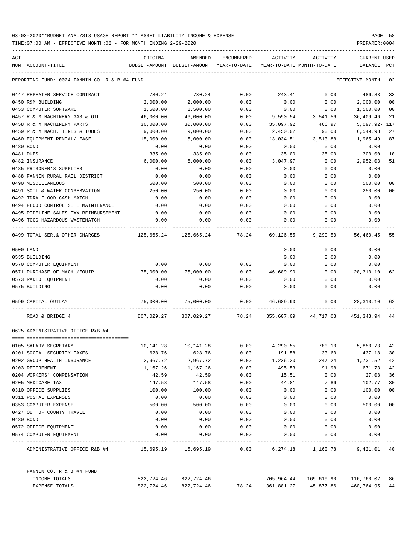| ACT |                                               | ORIGINAL                                 | AMENDED                   | ENCUMBERED                  | ACTIVITY                                   | ACTIVITY                        | <b>CURRENT USED</b> |                |
|-----|-----------------------------------------------|------------------------------------------|---------------------------|-----------------------------|--------------------------------------------|---------------------------------|---------------------|----------------|
|     | NUM ACCOUNT-TITLE                             | BUDGET-AMOUNT BUDGET-AMOUNT YEAR-TO-DATE |                           |                             | YEAR-TO-DATE MONTH-TO-DATE                 |                                 | BALANCE             | PCT            |
|     | REPORTING FUND: 0024 FANNIN CO. R & B #4 FUND |                                          |                           |                             |                                            |                                 | EFFECTIVE MONTH     | - 02           |
|     | 0447 REPEATER SERVICE CONTRACT                | 730.24                                   | 730.24                    | 0.00                        | 243.41                                     | 0.00                            | 486.83              | 33             |
|     | 0450 R&M BUILDING                             | 2,000.00                                 | 2,000.00                  | 0.00                        | 0.00                                       | 0.00                            | 2,000.00            | 0 <sub>0</sub> |
|     | 0453 COMPUTER SOFTWARE                        | 1,500.00                                 | 1,500.00                  | 0.00                        | 0.00                                       | 0.00                            | 1,500.00            | 00             |
|     | 0457 R & M MACHINERY GAS & OIL                | 46,000.00                                | 46,000.00                 | 0.00                        | 9,590.54                                   | 3,541.56                        | 36,409.46           | 21             |
|     | 0458 R & M MACHINERY PARTS                    | 30,000.00                                | 30,000.00                 | 0.00                        | 35,097.92                                  | 466.97                          | 5,097.92- 117       |                |
|     | 0459 R & M MACH. TIRES & TUBES                | 9,000.00                                 | 9,000.00                  | 0.00                        | 2,450.02                                   | 90.00                           | 6,549.98            | 27             |
|     | 0460 EQUIPMENT RENTAL/LEASE                   | 15,000.00                                | 15,000.00                 | 0.00                        | 13,034.51                                  | 3,513.88                        | 1,965.49            | 87             |
|     | 0480 BOND                                     | 0.00                                     | 0.00                      | 0.00                        | 0.00                                       | 0.00                            | 0.00                |                |
|     | 0481 DUES                                     | 335.00                                   | 335.00                    | 0.00                        | 35.00                                      | 35.00                           | 300.00              | 10             |
|     | 0482 INSURANCE                                | 6,000.00                                 | 6,000.00                  | 0.00                        | 3,047.97                                   | 0.00                            | 2,952.03            | 51             |
|     | 0485 PRISONER'S SUPPLIES                      | 0.00                                     | 0.00                      | 0.00                        | 0.00                                       | 0.00                            | 0.00                |                |
|     | 0488 FANNIN RURAL RAIL DISTRICT               | 0.00                                     | 0.00                      | 0.00                        | 0.00                                       | 0.00                            | 0.00                |                |
|     | 0490 MISCELLANEOUS                            | 500.00                                   | 500.00                    | 0.00                        | 0.00                                       | 0.00                            | 500.00              | 00             |
|     | 0491 SOIL & WATER CONSERVATION                | 250.00                                   | 250.00                    | 0.00                        | 0.00                                       | 0.00                            | 250.00              | 00             |
|     | 0492 TDRA FLOOD CASH MATCH                    | 0.00                                     | 0.00                      | 0.00                        | 0.00                                       | 0.00                            | 0.00                |                |
|     | 0494 FLOOD CONTROL SITE MAINTENANCE           | 0.00                                     | 0.00                      | 0.00                        | 0.00                                       | 0.00                            | 0.00                |                |
|     | 0495 PIPELINE SALES TAX REIMBURSEMENT         | 0.00                                     | 0.00                      | 0.00                        | 0.00                                       | 0.00                            | 0.00                |                |
|     | 0496 TCOG HAZARDOUS WASTEMATCH                | 0.00                                     | 0.00                      | 0.00                        | 0.00                                       | 0.00                            | 0.00                |                |
|     | 0499 TOTAL SER.& OTHER CHARGES                | 125,665.24 125,665.24                    |                           |                             | 78.24 69,126.55                            | 9,299.50                        | 56,460.45           | 55             |
|     | 0500 LAND                                     |                                          |                           |                             | 0.00                                       | 0.00                            | 0.00                |                |
|     | 0535 BUILDING                                 |                                          |                           |                             | 0.00                                       | 0.00                            | 0.00                |                |
|     | 0570 COMPUTER EQUIPMENT                       | 0.00                                     | 0.00                      | 0.00                        | 0.00                                       | 0.00                            | 0.00                |                |
|     | 0571 PURCHASE OF MACH./EQUIP.                 | 75,000.00                                | 75,000.00                 | 0.00                        | 46,689.90                                  | 0.00                            | 28,310.10           | 62             |
|     | 0573 RADIO EQUIPMENT                          | 0.00                                     | 0.00                      | 0.00                        | 0.00                                       | 0.00                            | 0.00                |                |
|     | 0575 BUILDING                                 | 0.00                                     | 0.00                      | 0.00                        | 0.00                                       | 0.00                            | 0.00                |                |
|     | 0599 CAPITAL OUTLAY                           | 75,000.00                                | 75,000.00                 | 0.00                        | 46,689.90                                  | 0.00                            | 28,310.10           | 62             |
|     | ROAD & BRIDGE 4                               |                                          |                           | 807,029.27 807,029.27 78.24 |                                            | 355,607.09 44,717.08 451,343.94 |                     | - 44           |
|     | 0625 ADMINISTRATIVE OFFICE R&B #4             |                                          |                           |                             |                                            |                                 |                     |                |
|     | 0105 SALARY SECRETARY                         |                                          | 10, 141. 28   10, 141. 28 |                             | $0.00$ $4,290.55$ $780.10$ $5,850.73$ $42$ |                                 |                     |                |
|     | 0201 SOCIAL SECURITY TAXES                    | 628.76                                   | 628.76                    | 0.00                        | 191.58                                     | 33.60                           | 437.18              | 30             |
|     | 0202 GROUP HEALTH INSURANCE                   | 2,967.72                                 | 2,967.72                  | 0.00                        | 1,236.20                                   | 247.24                          | 1,731.52            | 42             |
|     | 0203 RETIREMENT                               | 1,167.26                                 | 1,167.26                  | 0.00                        | 495.53                                     | 91.98                           | 671.73              | 42             |
|     | 0204 WORKERS' COMPENSATION                    | 42.59                                    | 42.59                     | 0.00                        | 15.51                                      | 0.00                            | 27.08               | 36             |
|     | 0205 MEDICARE TAX                             | 147.58                                   | 147.58                    | 0.00                        | 44.81                                      | 7.86                            | 102.77              | 30             |
|     | 0310 OFFICE SUPPLIES                          | 100.00                                   | 100.00                    | 0.00                        | 0.00                                       | 0.00                            | 100.00              | 00             |
|     | 0311 POSTAL EXPENSES                          | 0.00                                     | 0.00                      | 0.00                        | 0.00                                       | 0.00                            | 0.00                |                |
|     | 0353 COMPUTER EXPENSE                         | 500.00                                   | 500.00                    | 0.00                        | 0.00                                       | 0.00                            | 500.00              | 00             |
|     | 0427 OUT OF COUNTY TRAVEL                     | 0.00                                     | 0.00                      | 0.00                        | 0.00                                       | 0.00                            | 0.00                |                |
|     | 0480 BOND                                     | 0.00                                     | 0.00                      | 0.00                        | 0.00                                       | 0.00                            | 0.00                |                |
|     | 0572 OFFICE EQUIPMENT                         | 0.00                                     | 0.00                      | 0.00                        | 0.00                                       | 0.00                            | 0.00                |                |
|     | 0574 COMPUTER EQUIPMENT                       | 0.00                                     | 0.00                      | 0.00                        | 0.00                                       | 0.00                            | 0.00                |                |
|     | ADMINISTRATIVE OFFICE R&B #4                  |                                          |                           | 0.00                        | 6,274.18                                   | 1,160.78 9,421.01               |                     | - 40           |
|     | FANNIN CO. R & B #4 FUND                      |                                          |                           |                             |                                            |                                 |                     |                |
|     | INCOME TOTALS                                 | 822,724.46                               | 822,724.46                |                             |                                            | 705,964.44 169,619.90           | 116,760.02 86       |                |
|     | EXPENSE TOTALS                                | 822,724.46                               | 822,724.46                | 78.24                       | 361,881.27                                 | 45,877.86                       | 460,764.95 44       |                |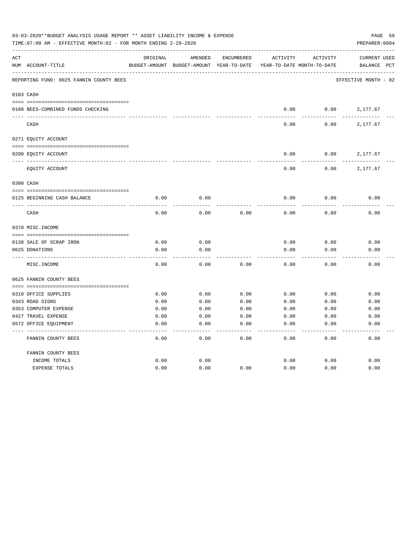|     | 03-03-2020**BUDGET ANALYSIS USAGE REPORT ** ASSET LIABILITY INCOME & EXPENSE<br>TIME:07:00 AM - EFFECTIVE MONTH:02 - FOR MONTH ENDING 2-29-2020 |               |               |                   |                            |              | PAGE 59<br>PREPARER: 0004 |              |
|-----|-------------------------------------------------------------------------------------------------------------------------------------------------|---------------|---------------|-------------------|----------------------------|--------------|---------------------------|--------------|
| ACT |                                                                                                                                                 | ORIGINAL      | AMENDED       | <b>ENCUMBERED</b> | <b>ACTIVITY</b>            | ACTIVITY     | <b>CURRENT USED</b>       |              |
|     | NUM ACCOUNT-TITLE                                                                                                                               | BUDGET-AMOUNT | BUDGET-AMOUNT | YEAR-TO-DATE      | YEAR-TO-DATE MONTH-TO-DATE |              | BALANCE                   | $_{\rm PCT}$ |
|     | REPORTING FUND: 0025 FANNIN COUNTY BEES                                                                                                         |               |               |                   |                            |              | EFFECTIVE MONTH - 02      |              |
|     | 0103 CASH                                                                                                                                       |               |               |                   |                            |              |                           |              |
|     | 0100 BEES-COMBINED FUNDS CHECKING                                                                                                               |               |               |                   | 0.00                       | 0.00         | 2,177.67                  |              |
|     | CASH                                                                                                                                            |               |               |                   | 0.00                       | 0.00         | 2,177.67                  |              |
|     | 0271 EQUITY ACCOUNT                                                                                                                             |               |               |                   |                            |              |                           |              |
|     | 0200 EQUITY ACCOUNT                                                                                                                             |               |               |                   | 0.00                       | 0.00         | 2,177.67                  |              |
|     | EQUITY ACCOUNT                                                                                                                                  |               |               |                   | 0.00                       | 0.00         | 2,177.67                  |              |
|     | 0300 CASH                                                                                                                                       |               |               |                   |                            |              |                           |              |
|     | 0125 BEGINNING CASH BALANCE                                                                                                                     | 0.00          | 0.00          |                   | 0.00                       | 0.00         | 0.00                      |              |
|     | CASH                                                                                                                                            | 0.00          | 0.00          | 0.00              | 0.00                       | 0.00         | 0.00                      |              |
|     | 0370 MISC. INCOME                                                                                                                               |               |               |                   |                            |              |                           |              |
|     |                                                                                                                                                 |               |               |                   |                            |              |                           |              |
|     | 0138 SALE OF SCRAP IRON<br>0625 DONATIONS                                                                                                       | 0.00<br>0.00  | 0.00<br>0.00  |                   | 0.00<br>0.00               | 0.00<br>0.00 | 0.00<br>0.00              |              |
|     |                                                                                                                                                 |               |               |                   |                            |              |                           |              |
|     | MISC. INCOME                                                                                                                                    | 0.00          | 0.00          | 0.00              | 0.00                       | 0.00         | 0.00                      |              |
|     | 0625 FANNIN COUNTY BEES                                                                                                                         |               |               |                   |                            |              |                           |              |
|     | 0310 OFFICE SUPPLIES                                                                                                                            | 0.00          | 0.00          | 0.00              | 0.00                       | 0.00         | 0.00                      |              |
|     | 0343 ROAD SIGNS                                                                                                                                 | 0.00          | 0.00          | 0.00              | 0.00                       | 0.00         | 0.00                      |              |
|     | 0353 COMPUTER EXPENSE                                                                                                                           | 0.00          | 0.00          | 0.00              | 0.00                       | 0.00         | 0.00                      |              |
|     | 0427 TRAVEL EXPENSE                                                                                                                             | 0.00          | 0.00          | 0.00              | 0.00                       | 0.00         | 0.00                      |              |
|     | 0572 OFFICE EQUIPMENT                                                                                                                           | 0.00          | 0.00          | 0.00              | 0.00                       | 0.00         | 0.00                      |              |
|     | FANNIN COUNTY BEES                                                                                                                              | 0.00          | 0.00          | 0.00              | 0.00                       | 0.00         | 0.00                      |              |
|     | FANNIN COUNTY BEES                                                                                                                              |               |               |                   |                            |              |                           |              |
|     | INCOME TOTALS                                                                                                                                   | 0.00          | 0.00          |                   | 0.00                       | 0.00         | 0.00                      |              |
|     | <b>EXPENSE TOTALS</b>                                                                                                                           | 0.00          | 0.00          | 0.00              | 0.00                       | 0.00         | 0.00                      |              |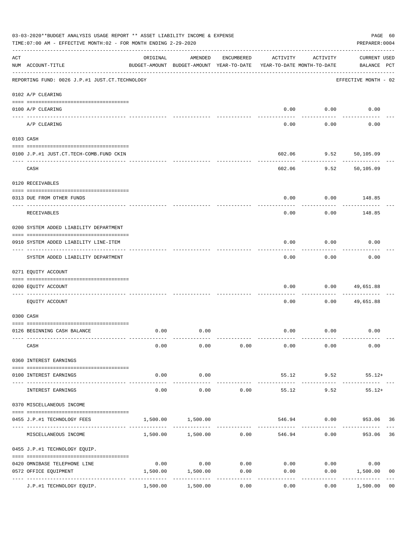|     | 03-03-2020**BUDGET ANALYSIS USAGE REPORT ** ASSET LIABILITY INCOME & EXPENSE<br>TIME: 07:00 AM - EFFECTIVE MONTH: 02 - FOR MONTH ENDING 2-29-2020<br>PREPARER: 0004 |                             |                                                     |            |                                        |                    |                                    |                |  |  |  |
|-----|---------------------------------------------------------------------------------------------------------------------------------------------------------------------|-----------------------------|-----------------------------------------------------|------------|----------------------------------------|--------------------|------------------------------------|----------------|--|--|--|
| ACT | NUM ACCOUNT-TITLE                                                                                                                                                   | ORIGINAL                    | AMENDED<br>BUDGET-AMOUNT BUDGET-AMOUNT YEAR-TO-DATE | ENCUMBERED | ACTIVITY<br>YEAR-TO-DATE MONTH-TO-DATE | ACTIVITY           | <b>CURRENT USED</b><br>BALANCE PCT |                |  |  |  |
|     | REPORTING FUND: 0026 J.P.#1 JUST.CT.TECHNOLOGY                                                                                                                      |                             |                                                     |            |                                        |                    | EFFECTIVE MONTH - 02               |                |  |  |  |
|     | 0102 A/P CLEARING                                                                                                                                                   |                             |                                                     |            |                                        |                    |                                    |                |  |  |  |
|     | 0100 A/P CLEARING                                                                                                                                                   |                             |                                                     |            |                                        | $0.00$ $0.00$      | 0.00                               |                |  |  |  |
|     | A/P CLEARING                                                                                                                                                        |                             |                                                     |            | 0.00                                   | 0.00               | 0.00                               |                |  |  |  |
|     | 0103 CASH                                                                                                                                                           |                             |                                                     |            |                                        |                    |                                    |                |  |  |  |
|     | 0100 J.P.#1 JUST.CT.TECH-COMB.FUND CKIN                                                                                                                             |                             |                                                     |            | 602.06                                 |                    | $9.52$ $50,105.09$                 |                |  |  |  |
|     | CASH                                                                                                                                                                |                             |                                                     |            | 602.06                                 | ----------<br>9.52 | 50,105.09                          |                |  |  |  |
|     | 0120 RECEIVABLES                                                                                                                                                    |                             |                                                     |            |                                        |                    |                                    |                |  |  |  |
|     | 0313 DUE FROM OTHER FUNDS                                                                                                                                           |                             |                                                     |            | 0.00                                   |                    | $0.00$ 148.85                      |                |  |  |  |
|     | RECEIVABLES                                                                                                                                                         |                             |                                                     |            | 0.00                                   | 0.00               | 148.85                             |                |  |  |  |
|     | 0200 SYSTEM ADDED LIABILITY DEPARTMENT                                                                                                                              |                             |                                                     |            |                                        |                    |                                    |                |  |  |  |
|     | 0910 SYSTEM ADDED LIABILITY LINE-ITEM                                                                                                                               |                             |                                                     |            | 0.00                                   | 0.00               | 0.00                               |                |  |  |  |
|     | SYSTEM ADDED LIABILITY DEPARTMENT                                                                                                                                   |                             |                                                     |            | 0.00                                   | 0.00               | 0.00                               |                |  |  |  |
|     | 0271 EQUITY ACCOUNT                                                                                                                                                 |                             |                                                     |            |                                        |                    |                                    |                |  |  |  |
|     | 0200 EQUITY ACCOUNT                                                                                                                                                 |                             |                                                     |            | 0.00                                   | 0.00               | 49,651.88                          |                |  |  |  |
|     | EQUITY ACCOUNT                                                                                                                                                      |                             |                                                     |            | 0.00                                   | 0.00               | 49,651.88                          |                |  |  |  |
|     | 0300 CASH                                                                                                                                                           |                             |                                                     |            |                                        |                    |                                    |                |  |  |  |
|     | 0126 BEGINNING CASH BALANCE                                                                                                                                         | 0.00                        | 0.00                                                |            |                                        | $0.00$ $0.00$      | 0.00                               |                |  |  |  |
|     | CASH                                                                                                                                                                | 0.00                        | 0.00                                                | 0.00       | 0.00                                   | 0.00               | 0.00                               |                |  |  |  |
|     | 0360 INTEREST EARNINGS                                                                                                                                              |                             |                                                     |            |                                        |                    |                                    |                |  |  |  |
|     | 0100 INTEREST EARNINGS                                                                                                                                              | 0.00                        | 0.00                                                |            |                                        | 55.12 9.52         | $55.12+$                           |                |  |  |  |
|     | INTEREST EARNINGS                                                                                                                                                   | ------<br>0.00              | .<br>0.00                                           | 0.00       | 55.12                                  | ----------<br>9.52 | $55.12+$                           |                |  |  |  |
|     | 0370 MISCELLANEOUS INCOME                                                                                                                                           |                             |                                                     |            |                                        |                    |                                    |                |  |  |  |
|     | 0455 J.P.#1 TECHNOLOGY FEES                                                                                                                                         | 1,500.00                    | 1,500.00                                            |            | 546.94                                 |                    | $0.00$ 953.06 36                   |                |  |  |  |
|     | MISCELLANEOUS INCOME                                                                                                                                                |                             |                                                     |            |                                        | 546.94<br>0.00     | 953.06                             | 36             |  |  |  |
|     | 0455 J.P.#1 TECHNOLOGY EQUIP.                                                                                                                                       |                             |                                                     |            |                                        |                    |                                    |                |  |  |  |
|     | 0420 OMNIBASE TELEPHONE LINE                                                                                                                                        | 0.00                        | 0.00                                                | 0.00       |                                        | $0.00$ 0.00        | 0.00                               |                |  |  |  |
|     | 0572 OFFICE EQUIPMENT                                                                                                                                               | ------------- ------------- | 1,500.00 1,500.00                                   | 0.00       | 0.00                                   | 0.00               | 1,500.00                           | 0 <sub>0</sub> |  |  |  |
|     | J.P.#1 TECHNOLOGY EQUIP.                                                                                                                                            | 1,500.00                    | 1,500.00                                            | 0.00       | 0.00                                   | 0.00               | 1,500.00                           | 0 <sub>0</sub> |  |  |  |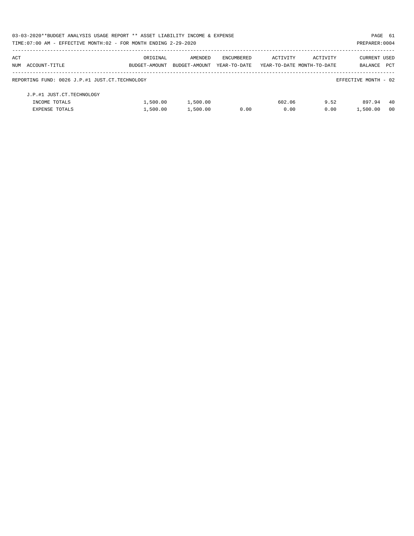|     | 03-03-2020**BUDGET ANALYSIS USAGE REPORT ** ASSET LIABILITY INCOME & EXPENSE |               |               |              |                            |          | PAGE 61              |      |
|-----|------------------------------------------------------------------------------|---------------|---------------|--------------|----------------------------|----------|----------------------|------|
|     | TIME: 07:00 AM - EFFECTIVE MONTH: 02 - FOR MONTH ENDING 2-29-2020            |               |               |              |                            |          | PREPARER: 0004       |      |
| ACT |                                                                              | ORIGINAL      | AMENDED       | ENCUMBERED   | ACTIVITY                   | ACTIVITY | CURRENT USED         |      |
|     | NUM ACCOUNT-TITLE                                                            | BUDGET-AMOUNT | BUDGET-AMOUNT | YEAR-TO-DATE | YEAR-TO-DATE MONTH-TO-DATE |          | <b>BALANCE</b>       | PCT  |
|     | REPORTING FUND: 0026 J.P.#1 JUST.CT.TECHNOLOGY                               |               |               |              |                            |          | EFFECTIVE MONTH - 02 |      |
|     | J.P.#1 JUST.CT.TECHNOLOGY                                                    |               |               |              |                            |          |                      |      |
|     | INCOME TOTALS                                                                | 1,500.00      | 1,500.00      |              | 602.06                     | 9.52     | 897.94               | -40  |
|     | <b>EXPENSE TOTALS</b>                                                        | 1,500.00      | 1,500.00      | 0.00         | 0.00                       | 0.00     | 1,500.00             | - 00 |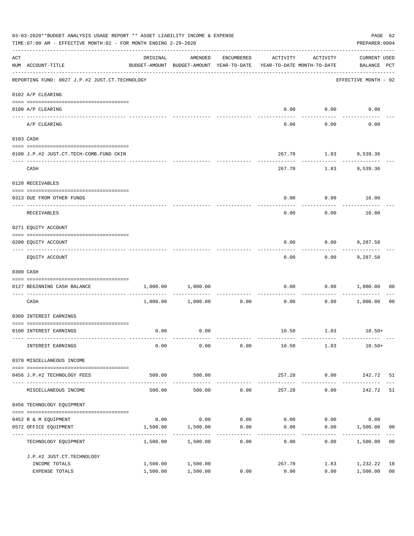|     | 03-03-2020**BUDGET ANALYSIS USAGE REPORT ** ASSET LIABILITY INCOME & EXPENSE<br>TIME: 07:00 AM - EFFECTIVE MONTH: 02 - FOR MONTH ENDING 2-29-2020 |                      |                                                                                |            |                |                      |                             |                      |  |  |
|-----|---------------------------------------------------------------------------------------------------------------------------------------------------|----------------------|--------------------------------------------------------------------------------|------------|----------------|----------------------|-----------------------------|----------------------|--|--|
| ACT | NUM ACCOUNT-TITLE                                                                                                                                 | ORIGINAL             | AMENDED<br>BUDGET-AMOUNT BUDGET-AMOUNT YEAR-TO-DATE YEAR-TO-DATE MONTH-TO-DATE | ENCUMBERED | ACTIVITY       | ACTIVITY             | CURRENT USED<br>BALANCE PCT |                      |  |  |
|     | REPORTING FUND: 0027 J.P.#2 JUST.CT.TECHNOLOGY                                                                                                    |                      |                                                                                |            |                |                      | EFFECTIVE MONTH - 02        |                      |  |  |
|     | 0102 A/P CLEARING                                                                                                                                 |                      |                                                                                |            |                |                      |                             |                      |  |  |
|     | 0100 A/P CLEARING                                                                                                                                 |                      |                                                                                |            | 0.00           | 0.00                 | 0.00                        |                      |  |  |
|     | A/P CLEARING                                                                                                                                      |                      |                                                                                |            | 0.00           | 0.00                 | 0.00                        |                      |  |  |
|     | 0103 CASH                                                                                                                                         |                      |                                                                                |            |                |                      |                             |                      |  |  |
|     | 0100 J.P.#2 JUST.CT.TECH-COMB.FUND CKIN                                                                                                           |                      |                                                                                |            |                | 267.78 1.83 9,539.36 |                             |                      |  |  |
|     | CASH                                                                                                                                              |                      |                                                                                |            | 267.78         | -----------<br>1.83  | 9,539.36                    |                      |  |  |
|     | 0120 RECEIVABLES                                                                                                                                  |                      |                                                                                |            |                |                      |                             |                      |  |  |
|     | 0313 DUE FROM OTHER FUNDS                                                                                                                         |                      |                                                                                |            | 0.00           |                      | $0.00$ 16.00                |                      |  |  |
|     | RECEIVABLES                                                                                                                                       |                      |                                                                                |            | 0.00           | 0.00                 | 16.00                       |                      |  |  |
|     | 0271 EQUITY ACCOUNT                                                                                                                               |                      |                                                                                |            |                |                      |                             |                      |  |  |
|     | 0200 EQUITY ACCOUNT                                                                                                                               |                      |                                                                                |            | 0.00           | 0.00                 | 9,287.58                    |                      |  |  |
|     | EQUITY ACCOUNT                                                                                                                                    |                      |                                                                                |            | 0.00           | ---------<br>0.00    | 9,287.58                    |                      |  |  |
|     | 0300 CASH                                                                                                                                         |                      |                                                                                |            |                |                      |                             |                      |  |  |
|     | 0127 BEGINNING CASH BALANCE                                                                                                                       | 1,000.00             | 1,000.00                                                                       |            | 0.00           |                      | 0.00 1,000.00               | 00                   |  |  |
|     | __________________________________<br>CASH                                                                                                        |                      | 1,000.00 1,000.00                                                              | 0.00       | 0.00           |                      | 0.00 1,000.00               | 0 <sub>0</sub>       |  |  |
|     | 0360 INTEREST EARNINGS                                                                                                                            |                      |                                                                                |            |                |                      |                             |                      |  |  |
|     | 0100 INTEREST EARNINGS                                                                                                                            | 0.00                 | 0.00                                                                           |            |                | 10.50 1.83           | $10.50+$                    |                      |  |  |
|     | INTEREST EARNINGS                                                                                                                                 | 0.00                 | 0.00                                                                           | 0.00       | 10.50          | 1.83                 | 10.50+                      |                      |  |  |
|     | 0370 MISCELLANEOUS INCOME                                                                                                                         |                      |                                                                                |            |                |                      |                             |                      |  |  |
|     | 0456 J.P.#2 TECHNOLOGY FEES                                                                                                                       | 500.00               | 500.00                                                                         |            | 257.28         | 0.00                 | 242.72 51                   |                      |  |  |
|     | MISCELLANEOUS INCOME                                                                                                                              | 500.00               | -----------<br>500.00                                                          | 0.00       | 257.28         | ---------<br>0.00    | 242.72                      | 51                   |  |  |
|     | 0456 TECHNOLOGY EQUIPMENT                                                                                                                         |                      |                                                                                |            |                |                      |                             |                      |  |  |
|     | 0452 R & M EQUIPMENT                                                                                                                              | 0.00                 | 0.00                                                                           | 0.00       | 0.00           | 0.00                 | 0.00                        |                      |  |  |
|     | 0572 OFFICE EQUIPMENT<br>-----------------                                                                                                        | 1,500.00             | 1,500.00                                                                       | 0.00<br>.  | 0.00           | 0.00                 | 1,500.00                    | 00                   |  |  |
|     | TECHNOLOGY EQUIPMENT                                                                                                                              | 1,500.00             | 1,500.00                                                                       | 0.00       | 0.00           | 0.00                 | 1,500.00                    | 0 <sub>0</sub>       |  |  |
|     | J.P.#2 JUST.CT.TECHNOLOGY                                                                                                                         |                      |                                                                                |            |                |                      |                             |                      |  |  |
|     | INCOME TOTALS<br>EXPENSE TOTALS                                                                                                                   | 1,500.00<br>1,500.00 | 1,500.00<br>1,500.00                                                           | 0.00       | 267.78<br>0.00 | 1.83<br>0.00         | 1,232.22<br>1,500.00        | 18<br>0 <sub>0</sub> |  |  |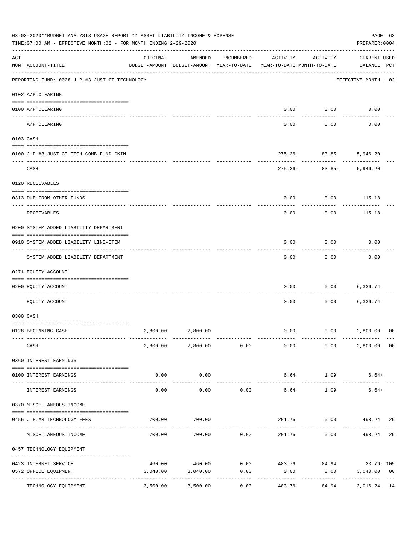| ORIGINAL<br>AMENDED<br>ENCUMBERED<br>ACTIVITY<br><b>CURRENT USED</b><br>ACTIVITY<br>NUM ACCOUNT-TITLE<br>BUDGET-AMOUNT BUDGET-AMOUNT YEAR-TO-DATE<br>BALANCE PCT<br>YEAR-TO-DATE MONTH-TO-DATE<br>REPORTING FUND: 0028 J.P.#3 JUST.CT.TECHNOLOGY<br>EFFECTIVE MONTH - 02<br>0102 A/P CLEARING<br>0.00<br>0.00<br>0.00<br>0100 A/P CLEARING<br>---- ------<br>A/P CLEARING<br>0.00<br>0.00<br>0.00<br>0103 CASH<br>$275.36 - 83.85 -$<br>0100 J.P.#3 JUST.CT.TECH-COMB.FUND CKIN<br>5,946.20<br>---------<br>CASH<br>$275.36-$<br>83.85-<br>5,946.20<br>0120 RECEIVABLES<br>0.00<br>0.00<br>115.18<br>0313 DUE FROM OTHER FUNDS<br>0.00<br>0.00<br>RECEIVABLES<br>115.18<br>0200 SYSTEM ADDED LIABILITY DEPARTMENT<br>0.00<br>0.00<br>0.00<br>0910 SYSTEM ADDED LIABILITY LINE-ITEM<br>SYSTEM ADDED LIABILITY DEPARTMENT<br>0.00<br>0.00<br>0.00<br>0271 EQUITY ACCOUNT<br>0.00<br>0.00<br>6,336.74<br>0200 EQUITY ACCOUNT<br>EOUITY ACCOUNT<br>0.00<br>0.00<br>6,336.74<br>0300 CASH<br>0.00<br>2,800.00 2,800.00<br>0.00<br>2,800.00<br>00<br>0128 BEGINNING CASH<br>CASH<br>$2,800.00$ $2,800.00$ $0.00$ $0.00$<br>0.00<br>2,800.00<br>0 <sub>0</sub><br>0360 INTEREST EARNINGS<br>0.00<br>0.00<br>6.64<br>1.09<br>$6.64+$<br>0100 INTEREST EARNINGS<br>-------------<br>_____________<br>------------<br>.<br>0.00<br>0.00<br>0.00<br>6.64<br>1.09<br>$6.64+$<br>INTEREST EARNINGS<br>0370 MISCELLANEOUS INCOME<br>700.00<br>700.00<br>201.76<br>$0.00$ 498.24<br>0456 J.P.#3 TECHNOLOGY FEES<br>-29<br>700.00<br>700.00<br>0.00<br>201.76<br>0.00<br>29<br>MISCELLANEOUS INCOME<br>498.24<br>0457 TECHNOLOGY EQUIPMENT<br>460.00 460.00 0.00 483.76 84.94 23.76 105<br>0423 INTERNET SERVICE<br>0572 OFFICE EQUIPMENT<br>3,040.00<br>3,040.00<br>0.00<br>0.00<br>0.00<br>3,040.00<br>0 <sub>0</sub><br>-------------<br>-----------<br>.<br>------------<br>3,500.00<br>3,500.00<br>0.00<br>84.94<br>3,016.24 14<br>TECHNOLOGY EQUIPMENT<br>483.76 |     | 03-03-2020**BUDGET ANALYSIS USAGE REPORT ** ASSET LIABILITY INCOME & EXPENSE<br>TIME: 07:00 AM - EFFECTIVE MONTH: 02 - FOR MONTH ENDING 2-29-2020 |  |  | PAGE 63<br>PREPARER: 0004 |  |
|--------------------------------------------------------------------------------------------------------------------------------------------------------------------------------------------------------------------------------------------------------------------------------------------------------------------------------------------------------------------------------------------------------------------------------------------------------------------------------------------------------------------------------------------------------------------------------------------------------------------------------------------------------------------------------------------------------------------------------------------------------------------------------------------------------------------------------------------------------------------------------------------------------------------------------------------------------------------------------------------------------------------------------------------------------------------------------------------------------------------------------------------------------------------------------------------------------------------------------------------------------------------------------------------------------------------------------------------------------------------------------------------------------------------------------------------------------------------------------------------------------------------------------------------------------------------------------------------------------------------------------------------------------------------------------------------------------------------------------------------------------------------------------------------------------------------------------------------------------------------------------------------------------------------------------------------------------|-----|---------------------------------------------------------------------------------------------------------------------------------------------------|--|--|---------------------------|--|
|                                                                                                                                                                                                                                                                                                                                                                                                                                                                                                                                                                                                                                                                                                                                                                                                                                                                                                                                                                                                                                                                                                                                                                                                                                                                                                                                                                                                                                                                                                                                                                                                                                                                                                                                                                                                                                                                                                                                                        | ACT |                                                                                                                                                   |  |  |                           |  |
|                                                                                                                                                                                                                                                                                                                                                                                                                                                                                                                                                                                                                                                                                                                                                                                                                                                                                                                                                                                                                                                                                                                                                                                                                                                                                                                                                                                                                                                                                                                                                                                                                                                                                                                                                                                                                                                                                                                                                        |     |                                                                                                                                                   |  |  |                           |  |
|                                                                                                                                                                                                                                                                                                                                                                                                                                                                                                                                                                                                                                                                                                                                                                                                                                                                                                                                                                                                                                                                                                                                                                                                                                                                                                                                                                                                                                                                                                                                                                                                                                                                                                                                                                                                                                                                                                                                                        |     |                                                                                                                                                   |  |  |                           |  |
|                                                                                                                                                                                                                                                                                                                                                                                                                                                                                                                                                                                                                                                                                                                                                                                                                                                                                                                                                                                                                                                                                                                                                                                                                                                                                                                                                                                                                                                                                                                                                                                                                                                                                                                                                                                                                                                                                                                                                        |     |                                                                                                                                                   |  |  |                           |  |
|                                                                                                                                                                                                                                                                                                                                                                                                                                                                                                                                                                                                                                                                                                                                                                                                                                                                                                                                                                                                                                                                                                                                                                                                                                                                                                                                                                                                                                                                                                                                                                                                                                                                                                                                                                                                                                                                                                                                                        |     |                                                                                                                                                   |  |  |                           |  |
|                                                                                                                                                                                                                                                                                                                                                                                                                                                                                                                                                                                                                                                                                                                                                                                                                                                                                                                                                                                                                                                                                                                                                                                                                                                                                                                                                                                                                                                                                                                                                                                                                                                                                                                                                                                                                                                                                                                                                        |     |                                                                                                                                                   |  |  |                           |  |
|                                                                                                                                                                                                                                                                                                                                                                                                                                                                                                                                                                                                                                                                                                                                                                                                                                                                                                                                                                                                                                                                                                                                                                                                                                                                                                                                                                                                                                                                                                                                                                                                                                                                                                                                                                                                                                                                                                                                                        |     |                                                                                                                                                   |  |  |                           |  |
|                                                                                                                                                                                                                                                                                                                                                                                                                                                                                                                                                                                                                                                                                                                                                                                                                                                                                                                                                                                                                                                                                                                                                                                                                                                                                                                                                                                                                                                                                                                                                                                                                                                                                                                                                                                                                                                                                                                                                        |     |                                                                                                                                                   |  |  |                           |  |
|                                                                                                                                                                                                                                                                                                                                                                                                                                                                                                                                                                                                                                                                                                                                                                                                                                                                                                                                                                                                                                                                                                                                                                                                                                                                                                                                                                                                                                                                                                                                                                                                                                                                                                                                                                                                                                                                                                                                                        |     |                                                                                                                                                   |  |  |                           |  |
|                                                                                                                                                                                                                                                                                                                                                                                                                                                                                                                                                                                                                                                                                                                                                                                                                                                                                                                                                                                                                                                                                                                                                                                                                                                                                                                                                                                                                                                                                                                                                                                                                                                                                                                                                                                                                                                                                                                                                        |     |                                                                                                                                                   |  |  |                           |  |
|                                                                                                                                                                                                                                                                                                                                                                                                                                                                                                                                                                                                                                                                                                                                                                                                                                                                                                                                                                                                                                                                                                                                                                                                                                                                                                                                                                                                                                                                                                                                                                                                                                                                                                                                                                                                                                                                                                                                                        |     |                                                                                                                                                   |  |  |                           |  |
|                                                                                                                                                                                                                                                                                                                                                                                                                                                                                                                                                                                                                                                                                                                                                                                                                                                                                                                                                                                                                                                                                                                                                                                                                                                                                                                                                                                                                                                                                                                                                                                                                                                                                                                                                                                                                                                                                                                                                        |     |                                                                                                                                                   |  |  |                           |  |
|                                                                                                                                                                                                                                                                                                                                                                                                                                                                                                                                                                                                                                                                                                                                                                                                                                                                                                                                                                                                                                                                                                                                                                                                                                                                                                                                                                                                                                                                                                                                                                                                                                                                                                                                                                                                                                                                                                                                                        |     |                                                                                                                                                   |  |  |                           |  |
|                                                                                                                                                                                                                                                                                                                                                                                                                                                                                                                                                                                                                                                                                                                                                                                                                                                                                                                                                                                                                                                                                                                                                                                                                                                                                                                                                                                                                                                                                                                                                                                                                                                                                                                                                                                                                                                                                                                                                        |     |                                                                                                                                                   |  |  |                           |  |
|                                                                                                                                                                                                                                                                                                                                                                                                                                                                                                                                                                                                                                                                                                                                                                                                                                                                                                                                                                                                                                                                                                                                                                                                                                                                                                                                                                                                                                                                                                                                                                                                                                                                                                                                                                                                                                                                                                                                                        |     |                                                                                                                                                   |  |  |                           |  |
|                                                                                                                                                                                                                                                                                                                                                                                                                                                                                                                                                                                                                                                                                                                                                                                                                                                                                                                                                                                                                                                                                                                                                                                                                                                                                                                                                                                                                                                                                                                                                                                                                                                                                                                                                                                                                                                                                                                                                        |     |                                                                                                                                                   |  |  |                           |  |
|                                                                                                                                                                                                                                                                                                                                                                                                                                                                                                                                                                                                                                                                                                                                                                                                                                                                                                                                                                                                                                                                                                                                                                                                                                                                                                                                                                                                                                                                                                                                                                                                                                                                                                                                                                                                                                                                                                                                                        |     |                                                                                                                                                   |  |  |                           |  |
|                                                                                                                                                                                                                                                                                                                                                                                                                                                                                                                                                                                                                                                                                                                                                                                                                                                                                                                                                                                                                                                                                                                                                                                                                                                                                                                                                                                                                                                                                                                                                                                                                                                                                                                                                                                                                                                                                                                                                        |     |                                                                                                                                                   |  |  |                           |  |
|                                                                                                                                                                                                                                                                                                                                                                                                                                                                                                                                                                                                                                                                                                                                                                                                                                                                                                                                                                                                                                                                                                                                                                                                                                                                                                                                                                                                                                                                                                                                                                                                                                                                                                                                                                                                                                                                                                                                                        |     |                                                                                                                                                   |  |  |                           |  |
|                                                                                                                                                                                                                                                                                                                                                                                                                                                                                                                                                                                                                                                                                                                                                                                                                                                                                                                                                                                                                                                                                                                                                                                                                                                                                                                                                                                                                                                                                                                                                                                                                                                                                                                                                                                                                                                                                                                                                        |     |                                                                                                                                                   |  |  |                           |  |
|                                                                                                                                                                                                                                                                                                                                                                                                                                                                                                                                                                                                                                                                                                                                                                                                                                                                                                                                                                                                                                                                                                                                                                                                                                                                                                                                                                                                                                                                                                                                                                                                                                                                                                                                                                                                                                                                                                                                                        |     |                                                                                                                                                   |  |  |                           |  |
|                                                                                                                                                                                                                                                                                                                                                                                                                                                                                                                                                                                                                                                                                                                                                                                                                                                                                                                                                                                                                                                                                                                                                                                                                                                                                                                                                                                                                                                                                                                                                                                                                                                                                                                                                                                                                                                                                                                                                        |     |                                                                                                                                                   |  |  |                           |  |
|                                                                                                                                                                                                                                                                                                                                                                                                                                                                                                                                                                                                                                                                                                                                                                                                                                                                                                                                                                                                                                                                                                                                                                                                                                                                                                                                                                                                                                                                                                                                                                                                                                                                                                                                                                                                                                                                                                                                                        |     |                                                                                                                                                   |  |  |                           |  |
|                                                                                                                                                                                                                                                                                                                                                                                                                                                                                                                                                                                                                                                                                                                                                                                                                                                                                                                                                                                                                                                                                                                                                                                                                                                                                                                                                                                                                                                                                                                                                                                                                                                                                                                                                                                                                                                                                                                                                        |     |                                                                                                                                                   |  |  |                           |  |
|                                                                                                                                                                                                                                                                                                                                                                                                                                                                                                                                                                                                                                                                                                                                                                                                                                                                                                                                                                                                                                                                                                                                                                                                                                                                                                                                                                                                                                                                                                                                                                                                                                                                                                                                                                                                                                                                                                                                                        |     |                                                                                                                                                   |  |  |                           |  |
|                                                                                                                                                                                                                                                                                                                                                                                                                                                                                                                                                                                                                                                                                                                                                                                                                                                                                                                                                                                                                                                                                                                                                                                                                                                                                                                                                                                                                                                                                                                                                                                                                                                                                                                                                                                                                                                                                                                                                        |     |                                                                                                                                                   |  |  |                           |  |
|                                                                                                                                                                                                                                                                                                                                                                                                                                                                                                                                                                                                                                                                                                                                                                                                                                                                                                                                                                                                                                                                                                                                                                                                                                                                                                                                                                                                                                                                                                                                                                                                                                                                                                                                                                                                                                                                                                                                                        |     |                                                                                                                                                   |  |  |                           |  |
|                                                                                                                                                                                                                                                                                                                                                                                                                                                                                                                                                                                                                                                                                                                                                                                                                                                                                                                                                                                                                                                                                                                                                                                                                                                                                                                                                                                                                                                                                                                                                                                                                                                                                                                                                                                                                                                                                                                                                        |     |                                                                                                                                                   |  |  |                           |  |
|                                                                                                                                                                                                                                                                                                                                                                                                                                                                                                                                                                                                                                                                                                                                                                                                                                                                                                                                                                                                                                                                                                                                                                                                                                                                                                                                                                                                                                                                                                                                                                                                                                                                                                                                                                                                                                                                                                                                                        |     |                                                                                                                                                   |  |  |                           |  |
|                                                                                                                                                                                                                                                                                                                                                                                                                                                                                                                                                                                                                                                                                                                                                                                                                                                                                                                                                                                                                                                                                                                                                                                                                                                                                                                                                                                                                                                                                                                                                                                                                                                                                                                                                                                                                                                                                                                                                        |     |                                                                                                                                                   |  |  |                           |  |
|                                                                                                                                                                                                                                                                                                                                                                                                                                                                                                                                                                                                                                                                                                                                                                                                                                                                                                                                                                                                                                                                                                                                                                                                                                                                                                                                                                                                                                                                                                                                                                                                                                                                                                                                                                                                                                                                                                                                                        |     |                                                                                                                                                   |  |  |                           |  |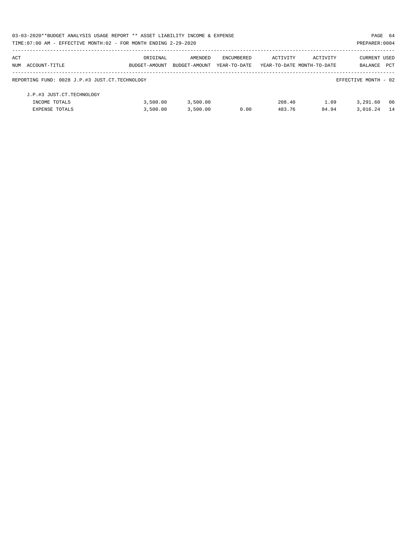|     | 03-03-2020**BUDGET ANALYSIS USAGE REPORT ** ASSET LIABILITY INCOME & EXPENSE |               |               |              |                            |          | PAGE 64              |      |
|-----|------------------------------------------------------------------------------|---------------|---------------|--------------|----------------------------|----------|----------------------|------|
|     | TIME: 07:00 AM - EFFECTIVE MONTH: 02 - FOR MONTH ENDING 2-29-2020            |               |               |              |                            |          | PREPARER: 0004       |      |
| ACT |                                                                              | ORIGINAL      | AMENDED       | ENCUMBERED   | ACTIVITY                   | ACTIVITY | <b>CURRENT USED</b>  |      |
|     | NUM ACCOUNT-TITLE                                                            | BUDGET-AMOUNT | BUDGET-AMOUNT | YEAR-TO-DATE | YEAR-TO-DATE MONTH-TO-DATE |          | BALANCE PCT          |      |
|     | REPORTING FUND: 0028 J.P.#3 JUST.CT.TECHNOLOGY                               |               |               |              |                            |          | EFFECTIVE MONTH - 02 |      |
|     | J.P.#3 JUST.CT.TECHNOLOGY                                                    |               |               |              |                            |          |                      |      |
|     | INCOME TOTALS                                                                | 3,500.00      | 3,500.00      |              | 208.40                     | 1.09     | 3,291.60             | - 06 |
|     | <b>EXPENSE TOTALS</b>                                                        | 3,500.00      | 3.500.00      | 0.00         | 483.76                     | 84.94    | 3,016.24             | 14   |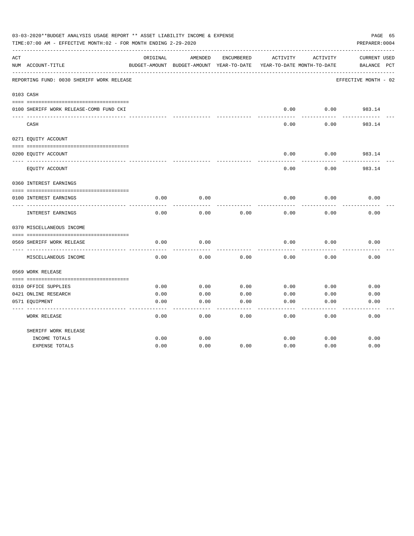|     | 03-03-2020**BUDGET ANALYSIS USAGE REPORT ** ASSET LIABILITY INCOME & EXPENSE<br>TIME:07:00 AM - EFFECTIVE MONTH:02 - FOR MONTH ENDING 2-29-2020 |          |                                          |            |          |                            | PAGE 65<br>PREPARER: 0004 |
|-----|-------------------------------------------------------------------------------------------------------------------------------------------------|----------|------------------------------------------|------------|----------|----------------------------|---------------------------|
| ACT |                                                                                                                                                 | ORIGINAL | AMENDED                                  | ENCUMBERED | ACTIVITY | ACTIVITY                   | <b>CURRENT USED</b>       |
|     | NUM ACCOUNT-TITLE                                                                                                                               |          | BUDGET-AMOUNT BUDGET-AMOUNT YEAR-TO-DATE |            |          | YEAR-TO-DATE MONTH-TO-DATE | $_{\rm PCT}$<br>BALANCE   |
|     | REPORTING FUND: 0030 SHERIFF WORK RELEASE                                                                                                       |          |                                          |            |          |                            | EFFECTIVE MONTH - 02      |
|     | 0103 CASH                                                                                                                                       |          |                                          |            |          |                            |                           |
|     |                                                                                                                                                 |          |                                          |            |          |                            |                           |
|     | 0100 SHERIFF WORK RELEASE-COMB FUND CKI                                                                                                         |          |                                          |            | 0.00     | 0.00                       | 983.14                    |
|     | CASH                                                                                                                                            |          |                                          |            | 0.00     | 0.00                       | 983.14                    |
|     | 0271 EQUITY ACCOUNT                                                                                                                             |          |                                          |            |          |                            |                           |
|     | 0200 EQUITY ACCOUNT                                                                                                                             |          |                                          |            | 0.00     | 0.00                       | 983.14                    |
|     | EQUITY ACCOUNT                                                                                                                                  |          |                                          |            | 0.00     | 0.00                       | 983.14                    |
|     | 0360 INTEREST EARNINGS                                                                                                                          |          |                                          |            |          |                            |                           |
|     |                                                                                                                                                 |          |                                          |            |          |                            |                           |
|     | 0100 INTEREST EARNINGS                                                                                                                          | 0.00     | 0.00                                     |            | 0.00     | 0.00                       | 0.00                      |
|     | <b>INTEREST EARNINGS</b>                                                                                                                        | 0.00     | 0.00                                     | 0.00       | 0.00     | 0.00                       | 0.00                      |
|     | 0370 MISCELLANEOUS INCOME                                                                                                                       |          |                                          |            |          |                            |                           |
|     |                                                                                                                                                 |          |                                          |            |          |                            |                           |
|     | 0569 SHERIFF WORK RELEASE                                                                                                                       | 0.00     | 0.00                                     |            | 0.00     | 0.00                       | 0.00                      |
|     | MISCELLANEOUS INCOME                                                                                                                            | 0.00     | 0.00                                     | 0.00       | 0.00     | 0.00                       | 0.00                      |
|     | 0569 WORK RELEASE                                                                                                                               |          |                                          |            |          |                            |                           |
|     |                                                                                                                                                 |          |                                          |            |          |                            |                           |
|     | 0310 OFFICE SUPPLIES                                                                                                                            | 0.00     | 0.00                                     | 0.00       | 0.00     | 0.00                       | 0.00                      |
|     | 0421 ONLINE RESEARCH                                                                                                                            | 0.00     | 0.00                                     | 0.00       | 0.00     | 0.00                       | 0.00                      |
|     | 0571 EQUIPMENT                                                                                                                                  | 0.00     | 0.00                                     | 0.00       | 0.00     | 0.00                       | 0.00                      |
|     | <b>WORK RELEASE</b>                                                                                                                             | 0.00     | 0.00                                     | 0.00       | 0.00     | 0.00                       | 0.00                      |
|     | SHERIFF WORK RELEASE                                                                                                                            |          |                                          |            |          |                            |                           |
|     | INCOME TOTALS                                                                                                                                   | 0.00     | 0.00                                     |            | 0.00     | 0.00                       | 0.00                      |
|     | <b>EXPENSE TOTALS</b>                                                                                                                           | 0.00     | 0.00                                     | 0.00       | 0.00     | 0.00                       | 0.00                      |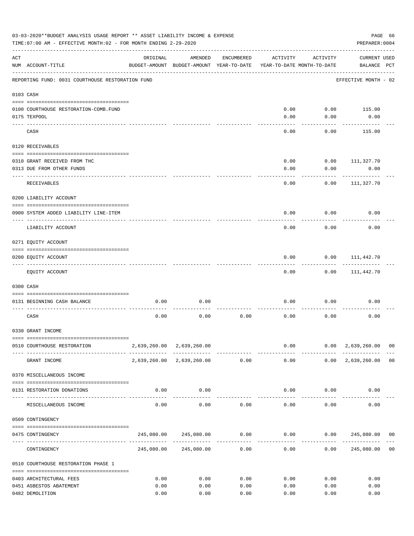|           | 03-03-2020**BUDGET ANALYSIS USAGE REPORT ** ASSET LIABILITY INCOME & EXPENSE<br>TIME: 07:00 AM - EFFECTIVE MONTH: 02 - FOR MONTH ENDING 2-29-2020 |                                           |                                                     |              |              |                                        | PREPARER: 0004                                                                   | PAGE 66 |
|-----------|---------------------------------------------------------------------------------------------------------------------------------------------------|-------------------------------------------|-----------------------------------------------------|--------------|--------------|----------------------------------------|----------------------------------------------------------------------------------|---------|
| ACT       | NUM ACCOUNT-TITLE                                                                                                                                 | ORIGINAL                                  | AMENDED<br>BUDGET-AMOUNT BUDGET-AMOUNT YEAR-TO-DATE | ENCUMBERED   | ACTIVITY     | ACTIVITY<br>YEAR-TO-DATE MONTH-TO-DATE | <b>CURRENT USED</b><br>BALANCE PCT                                               |         |
|           | REPORTING FUND: 0031 COURTHOUSE RESTORATION FUND                                                                                                  |                                           |                                                     |              |              |                                        | EFFECTIVE MONTH - 02                                                             |         |
| 0103 CASH |                                                                                                                                                   |                                           |                                                     |              |              |                                        |                                                                                  |         |
|           |                                                                                                                                                   |                                           |                                                     |              |              |                                        |                                                                                  |         |
|           | 0100 COURTHOUSE RESTORATION-COMB.FUND                                                                                                             |                                           |                                                     |              | 0.00         | 0.00                                   | 115.00                                                                           |         |
|           | 0175 TEXPOOL                                                                                                                                      |                                           |                                                     |              | 0.00         | 0.00                                   | 0.00                                                                             |         |
|           | CASH                                                                                                                                              |                                           |                                                     |              | 0.00         | 0.00                                   | 115.00                                                                           |         |
|           | 0120 RECEIVABLES                                                                                                                                  |                                           |                                                     |              |              |                                        |                                                                                  |         |
|           | 0310 GRANT RECEIVED FROM THC                                                                                                                      |                                           |                                                     |              | 0.00         | 0.00                                   | 111,327.70                                                                       |         |
|           | 0313 DUE FROM OTHER FUNDS                                                                                                                         |                                           |                                                     |              | 0.00         | 0.00                                   | 0.00                                                                             |         |
|           | RECEIVABLES                                                                                                                                       |                                           |                                                     |              | 0.00         | 0.00                                   | 111,327.70                                                                       |         |
|           |                                                                                                                                                   |                                           |                                                     |              |              |                                        |                                                                                  |         |
|           | 0200 LIABILITY ACCOUNT                                                                                                                            |                                           |                                                     |              |              |                                        |                                                                                  |         |
|           | 0900 SYSTEM ADDED LIABILITY LINE-ITEM                                                                                                             |                                           |                                                     |              | 0.00         | 0.00                                   | 0.00                                                                             |         |
|           | LIABILITY ACCOUNT                                                                                                                                 |                                           |                                                     |              | 0.00         | 0.00                                   | 0.00                                                                             |         |
|           | 0271 EQUITY ACCOUNT                                                                                                                               |                                           |                                                     |              |              |                                        |                                                                                  |         |
|           | 0200 EQUITY ACCOUNT                                                                                                                               |                                           |                                                     |              | 0.00         | 0.00                                   | 111,442.70                                                                       |         |
|           |                                                                                                                                                   |                                           |                                                     |              |              |                                        |                                                                                  |         |
|           | EQUITY ACCOUNT                                                                                                                                    |                                           |                                                     |              | 0.00         | 0.00                                   | 111,442.70                                                                       |         |
|           | 0300 CASH                                                                                                                                         |                                           |                                                     |              |              |                                        |                                                                                  |         |
|           | 0131 BEGINNING CASH BALANCE                                                                                                                       | 0.00                                      | 0.00                                                |              | 0.00         | 0.00                                   | 0.00                                                                             |         |
|           | CASH                                                                                                                                              | 0.00                                      | 0.00                                                | 0.00         | 0.00         | 0.00                                   | 0.00                                                                             |         |
|           | 0330 GRANT INCOME                                                                                                                                 |                                           |                                                     |              |              |                                        |                                                                                  |         |
|           |                                                                                                                                                   |                                           |                                                     |              |              |                                        |                                                                                  |         |
|           | 0510 COURTHOUSE RESTORATION                                                                                                                       |                                           | 2,639,260.00 2,639,260.00                           |              |              | -------------                          | $0.00$ $0.00$ $2,639,260.00$ 00<br>--------------                                |         |
|           | GRANT INCOME                                                                                                                                      |                                           | 2,639,260.00 2,639,260.00 0.00                      |              | 0.00         |                                        | $0.00 \quad 2,639,260.00 \quad 00$                                               |         |
|           | 0370 MISCELLANEOUS INCOME                                                                                                                         |                                           |                                                     |              |              |                                        |                                                                                  |         |
|           | 0131 RESTORATION DONATIONS                                                                                                                        | 0.00                                      | 0.00                                                |              |              | $0.00$ $0.00$                          | 0.00                                                                             |         |
|           | MISCELLANEOUS INCOME                                                                                                                              | ------------------- -------------<br>0.00 | 0.00                                                | 0.00         |              | 0.00<br>0.00                           | 0.00                                                                             |         |
|           | 0509 CONTINGENCY                                                                                                                                  |                                           |                                                     |              |              |                                        |                                                                                  |         |
|           |                                                                                                                                                   |                                           |                                                     |              |              |                                        |                                                                                  |         |
|           | 0475 CONTINGENCY                                                                                                                                  |                                           |                                                     |              | ------------ | -----------                            | $245,080.00$ $245,080.00$ $0.00$ $0.00$ $0.00$ $245,080.00$ $00$<br>------------ |         |
|           | CONTINGENCY                                                                                                                                       |                                           | 245,080.00 245,080.00                               | 0.00         | 0.00         | 0.00                                   | 245,080.00                                                                       | 00      |
|           | 0510 COURTHOUSE RESTORATION PHASE 1                                                                                                               |                                           |                                                     |              |              |                                        |                                                                                  |         |
|           |                                                                                                                                                   |                                           | 0.00                                                |              |              |                                        | 0.00                                                                             |         |
|           | 0403 ARCHITECTURAL FEES<br>0451 ASBESTOS ABATEMENT                                                                                                | 0.00<br>0.00                              | 0.00                                                | 0.00<br>0.00 | 0.00<br>0.00 | 0.00<br>0.00                           | 0.00                                                                             |         |
|           | 0482 DEMOLITION                                                                                                                                   | 0.00                                      | 0.00                                                | 0.00         | 0.00         | 0.00                                   | 0.00                                                                             |         |
|           |                                                                                                                                                   |                                           |                                                     |              |              |                                        |                                                                                  |         |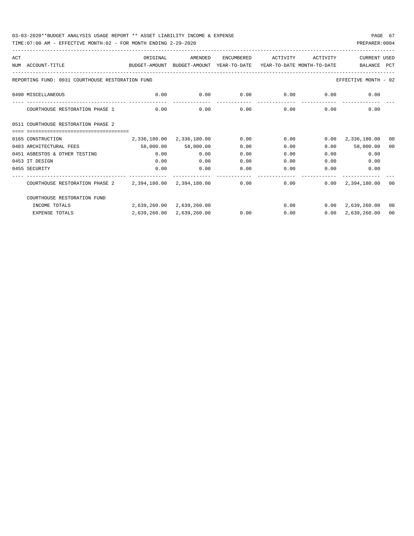| ACT |                                                                                                              | ORIGINAL                                                | AMENDED                   | ENCUMBERED | ACTIVITY | ACTIVITY      | CURRENT USED                 |                |
|-----|--------------------------------------------------------------------------------------------------------------|---------------------------------------------------------|---------------------------|------------|----------|---------------|------------------------------|----------------|
|     | NUM ACCOUNT-TITLE<br>BUDGET-AMOUNT BUDGET-AMOUNT YEAR-TO-DATE YEAR-TO-DATE MONTH-TO-DATE                     |                                                         |                           |            |          |               | BALANCE                      | PCT            |
|     |                                                                                                              |                                                         |                           |            |          |               |                              |                |
|     | REPORTING FUND: 0031 COURTHOUSE RESTORATION FUND                                                             |                                                         |                           |            |          |               | EFFECTIVE MONTH - 02         |                |
|     | 0490 MISCELLANEOUS                                                                                           | $0.00$ $0.00$ $0.00$ $0.00$ $0.00$ $0.00$ $0.00$ $0.00$ |                           |            |          |               |                              |                |
|     | COURTHOUSE RESTORATION PHASE 1                                                                               | 0.00                                                    | 0.00                      | 0.00       |          | $0.00$ $0.00$ | 0.00                         |                |
|     | 0511 COURTHOUSE RESTORATION PHASE 2                                                                          |                                                         |                           |            |          |               |                              |                |
|     |                                                                                                              |                                                         |                           |            |          |               |                              |                |
|     | 0165 CONSTRUCTION                                                                                            |                                                         | 2,336,180.00 2,336,180.00 | 0.00       | 0.00     |               | $0.00 \quad 2,336,180.00$    | 0 <sub>0</sub> |
|     | 0403 ARCHITECTURAL FEES                                                                                      | 58,000.00 58,000.00                                     |                           | 0.00       | 0.00     |               | $0.00$ 58,000.00             | 00             |
|     | 0451 ASBESTOS & OTHER TESTING                                                                                | 0.00                                                    | 0.00                      | 0.00       | 0.00     |               | 0.00<br>0.00                 |                |
|     | 0453 IT DESIGN                                                                                               | 0.00                                                    | 0.00                      | 0.00       | 0.00     | 0.00          | 0.00                         |                |
|     | 0455 SECURITY                                                                                                | 0.00                                                    | 0.00                      | 0.00       | 0.00     | 0.00          | 0.00                         |                |
|     | COURTHOUSE RESTORATION PHASE 2   2,394,180.00   2,394,180.00   0.00   0.00   0.00   0.00   2,394,180.00   00 |                                                         |                           |            |          |               |                              |                |
|     | COURTHOUSE RESTORATION FUND                                                                                  |                                                         |                           |            |          |               |                              |                |
|     | INCOME TOTALS                                                                                                | 2,639,260.00 2,639,260.00                               |                           |            |          |               | $0.00$ $0.00$ $2.639.260.00$ | 00             |
|     | <b>EXPENSE TOTALS</b>                                                                                        |                                                         | 2,639,260.00 2,639,260.00 | 0.00       | 0.00     |               | $0.00 \quad 2.639.260.00$    | 00             |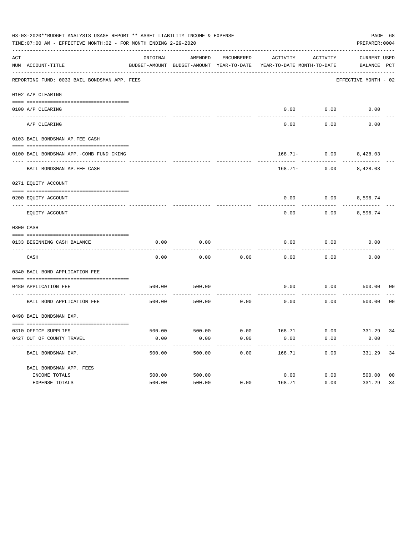|     | 03-03-2020**BUDGET ANALYSIS USAGE REPORT ** ASSET LIABILITY INCOME & EXPENSE<br>TIME: 07:00 AM - EFFECTIVE MONTH: 02 - FOR MONTH ENDING 2-29-2020 |          |         |            |                                                                                 |                                        | PAGE 68<br>PREPARER: 0004          |                |
|-----|---------------------------------------------------------------------------------------------------------------------------------------------------|----------|---------|------------|---------------------------------------------------------------------------------|----------------------------------------|------------------------------------|----------------|
| ACT | NUM ACCOUNT-TITLE                                                                                                                                 | ORIGINAL | AMENDED | ENCUMBERED | ACTIVITY<br>BUDGET-AMOUNT BUDGET-AMOUNT YEAR-TO-DATE YEAR-TO-DATE MONTH-TO-DATE | ACTIVITY                               | <b>CURRENT USED</b><br>BALANCE PCT |                |
|     | REPORTING FUND: 0033 BAIL BONDSMAN APP. FEES                                                                                                      |          |         |            |                                                                                 |                                        | EFFECTIVE MONTH - 02               |                |
|     | 0102 A/P CLEARING                                                                                                                                 |          |         |            |                                                                                 |                                        |                                    |                |
|     | 0100 A/P CLEARING                                                                                                                                 |          |         |            | 0.00                                                                            | 0.00                                   | 0.00                               |                |
|     | ---- ----------<br>---------------------- --------<br>A/P CLEARING                                                                                |          |         |            | 0.00                                                                            | 0.00                                   | 0.00                               |                |
|     | 0103 BAIL BONDSMAN AP.FEE CASH                                                                                                                    |          |         |            |                                                                                 |                                        |                                    |                |
|     | 0100 BAIL BONDSMAN APP.-COMB FUND CKING                                                                                                           |          |         |            |                                                                                 | 168.71- 0.00 8,428.03                  |                                    |                |
|     | ----------------------------<br>BAIL BONDSMAN AP. FEE CASH                                                                                        |          |         |            |                                                                                 | ----------<br>$168.71 - 0.00$ 8,428.03 |                                    |                |
|     | 0271 EQUITY ACCOUNT                                                                                                                               |          |         |            |                                                                                 |                                        |                                    |                |
|     | 0200 EQUITY ACCOUNT                                                                                                                               |          |         |            | 0.00                                                                            | $0.00$ 8,596.74                        |                                    |                |
|     | EQUITY ACCOUNT                                                                                                                                    |          |         |            | 0.00                                                                            | 0.00                                   | 8,596.74                           |                |
|     | 0300 CASH                                                                                                                                         |          |         |            |                                                                                 |                                        |                                    |                |
|     | 0133 BEGINNING CASH BALANCE                                                                                                                       | 0.00     | 0.00    |            | 0.00                                                                            | 0.00                                   | 0.00                               |                |
|     | CASH                                                                                                                                              | 0.00     | 0.00    | 0.00       | 0.00                                                                            | 0.00                                   | 0.00                               |                |
|     | 0340 BAIL BOND APPLICATION FEE                                                                                                                    |          |         |            |                                                                                 |                                        |                                    |                |
|     | 0480 APPLICATION FEE<br>-----------------------------------                                                                                       | 500.00   | 500.00  |            | 0.00                                                                            | 0.00                                   | 500.00                             | 00             |
|     | BAIL BOND APPLICATION FEE                                                                                                                         | 500.00   | 500.00  | 0.00       | 0.00                                                                            | 0.00                                   | 500.00                             | 0 <sub>0</sub> |
|     | 0498 BAIL BONDSMAN EXP.                                                                                                                           |          |         |            |                                                                                 |                                        |                                    |                |
|     |                                                                                                                                                   |          |         |            |                                                                                 |                                        |                                    |                |
|     | 0310 OFFICE SUPPLIES<br>0427 OUT OF COUNTY TRAVEL                                                                                                 | 0.00     | 0.00    | 0.00       | 500.00 500.00 6.00 168.71 0.00 331.29 34<br>0.00                                | 0.00                                   | 0.00                               |                |
|     | BAIL BONDSMAN EXP.                                                                                                                                | 500.00   | 500.00  | 0.00       | 168.71                                                                          | 0.00                                   | 331.29                             | 34             |
|     | BAIL BONDSMAN APP. FEES                                                                                                                           |          |         |            |                                                                                 |                                        |                                    |                |
|     | INCOME TOTALS                                                                                                                                     | 500.00   | 500.00  |            | 0.00                                                                            | 0.00                                   | 500.00                             | 0 <sub>0</sub> |
|     | EXPENSE TOTALS                                                                                                                                    | 500.00   | 500.00  | 0.00       | 168.71                                                                          | 0.00                                   | 331.29                             | 34             |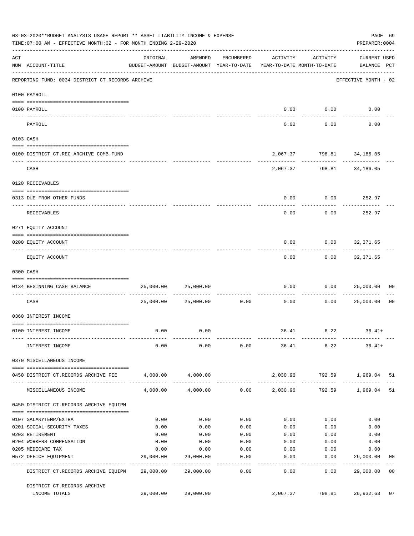|     | 03-03-2020**BUDGET ANALYSIS USAGE REPORT ** ASSET LIABILITY INCOME & EXPENSE<br>PAGE 69<br>TIME: 07:00 AM - EFFECTIVE MONTH: 02 - FOR MONTH ENDING 2-29-2020<br>PREPARER: 0004 |           |                                                                                |                   |                       |                             |                                    |                |  |  |
|-----|--------------------------------------------------------------------------------------------------------------------------------------------------------------------------------|-----------|--------------------------------------------------------------------------------|-------------------|-----------------------|-----------------------------|------------------------------------|----------------|--|--|
| ACT | NUM ACCOUNT-TITLE                                                                                                                                                              | ORIGINAL  | AMENDED<br>BUDGET-AMOUNT BUDGET-AMOUNT YEAR-TO-DATE YEAR-TO-DATE MONTH-TO-DATE | ENCUMBERED        | ACTIVITY              | ACTIVITY                    | <b>CURRENT USED</b><br>BALANCE PCT |                |  |  |
|     | REPORTING FUND: 0034 DISTRICT CT.RECORDS ARCHIVE                                                                                                                               |           |                                                                                |                   |                       |                             | EFFECTIVE MONTH - 02               |                |  |  |
|     | 0100 PAYROLL                                                                                                                                                                   |           |                                                                                |                   |                       |                             |                                    |                |  |  |
|     |                                                                                                                                                                                |           |                                                                                |                   |                       |                             |                                    |                |  |  |
|     | 0100 PAYROLL<br>--------------------------- --------<br>---- -------                                                                                                           |           |                                                                                |                   |                       | $0.00$ $0.00$               | 0.00                               |                |  |  |
|     | PAYROLL                                                                                                                                                                        |           |                                                                                |                   | 0.00                  | 0.00                        | 0.00                               |                |  |  |
|     | 0103 CASH                                                                                                                                                                      |           |                                                                                |                   |                       |                             |                                    |                |  |  |
|     | 0100 DISTRICT CT.REC.ARCHIVE COMB.FUND                                                                                                                                         |           |                                                                                |                   |                       | 2,067.37 798.81 34,186.05   |                                    |                |  |  |
|     | CASH                                                                                                                                                                           |           |                                                                                |                   |                       | 2,067.37 798.81 34,186.05   | ------------- --------------       |                |  |  |
|     | 0120 RECEIVABLES                                                                                                                                                               |           |                                                                                |                   |                       |                             |                                    |                |  |  |
|     | 0313 DUE FROM OTHER FUNDS                                                                                                                                                      |           |                                                                                |                   | 0.00                  |                             | $0.00$ 252.97                      |                |  |  |
|     | RECEIVABLES                                                                                                                                                                    |           |                                                                                |                   | 0.00                  | 0.00                        | 252.97                             |                |  |  |
|     | 0271 EQUITY ACCOUNT                                                                                                                                                            |           |                                                                                |                   |                       |                             |                                    |                |  |  |
|     | 0200 EQUITY ACCOUNT                                                                                                                                                            |           |                                                                                |                   | 0.00                  |                             | $0.00$ 32,371.65                   |                |  |  |
|     | EQUITY ACCOUNT                                                                                                                                                                 |           |                                                                                |                   | 0.00                  | ---------                   | ------------<br>$0.00$ 32,371.65   |                |  |  |
|     | 0300 CASH                                                                                                                                                                      |           |                                                                                |                   |                       |                             |                                    |                |  |  |
|     | 0134 BEGINNING CASH BALANCE                                                                                                                                                    | 25,000.00 | 25,000.00                                                                      |                   | 0.00                  |                             | 0.000025,000.00                    | 0 <sub>0</sub> |  |  |
|     | ----------------------------- -----<br>CASH                                                                                                                                    |           | 25,000.00 25,000.00                                                            | 0.00              | 0.00                  | 0.00                        | 25,000.00                          | 0 <sub>0</sub> |  |  |
|     | 0360 INTEREST INCOME                                                                                                                                                           |           |                                                                                |                   |                       |                             |                                    |                |  |  |
|     | 0100 INTEREST INCOME                                                                                                                                                           | 0.00      | 0.00                                                                           |                   |                       | 36.41 6.22                  | $36.41+$                           |                |  |  |
|     | INTEREST INCOME                                                                                                                                                                | 0.00      | 0.00                                                                           |                   |                       | $0.00$ 36.41 6.22           | $36.41+$                           |                |  |  |
|     | 0370 MISCELLANEOUS INCOME                                                                                                                                                      |           |                                                                                |                   |                       |                             |                                    |                |  |  |
|     | 0450 DISTRICT CT.RECORDS ARCHIVE FEE                                                                                                                                           |           | 4,000.00 4,000.00                                                              |                   |                       | 2,030.96 792.59 1,969.04 51 |                                    |                |  |  |
|     | MISCELLANEOUS INCOME                                                                                                                                                           | 4,000.00  | 4,000.00                                                                       |                   | $0.00$ 2,030.96       |                             | 792.59 1,969.04                    | 51             |  |  |
|     | 0450 DISTRICT CT.RECORDS ARCHIVE EQUIPM                                                                                                                                        |           |                                                                                |                   |                       |                             |                                    |                |  |  |
|     | 0107 SALARYTEMP/EXTRA                                                                                                                                                          | 0.00      | 0.00                                                                           | 0.00              | 0.00                  | 0.00                        | 0.00                               |                |  |  |
|     | 0201 SOCIAL SECURITY TAXES                                                                                                                                                     | 0.00      | 0.00                                                                           | 0.00              | 0.00                  | 0.00                        | 0.00                               |                |  |  |
|     | 0203 RETIREMENT                                                                                                                                                                | 0.00      | 0.00                                                                           | 0.00              | 0.00                  | 0.00                        | 0.00                               |                |  |  |
|     | 0204 WORKERS COMPENSATION                                                                                                                                                      | 0.00      | 0.00                                                                           | 0.00              | 0.00                  | 0.00                        | 0.00                               |                |  |  |
|     | 0205 MEDICARE TAX                                                                                                                                                              | 0.00      | 0.00                                                                           | 0.00              | 0.00                  | 0.00                        | 0.00                               |                |  |  |
|     | 0572 OFFICE EQUIPMENT                                                                                                                                                          | 29,000.00 | 29,000.00                                                                      | 0.00              | 0.00                  | 0.00                        | 29,000.00                          | 00             |  |  |
|     | ------------------- ------------<br>DISTRICT CT.RECORDS ARCHIVE EQUIPM 29,000.00                                                                                               |           | . <u>.</u> .<br>29,000.00                                                      | ---------<br>0.00 | $- - - - - -$<br>0.00 | ---------<br>0.00           | ------------<br>29,000.00          | 0 <sub>0</sub> |  |  |
|     | DISTRICT CT.RECORDS ARCHIVE                                                                                                                                                    |           |                                                                                |                   |                       |                             |                                    |                |  |  |
|     | INCOME TOTALS                                                                                                                                                                  | 29,000.00 | 29,000.00                                                                      |                   | 2,067.37              | 798.81                      | 26,932.63                          | 07             |  |  |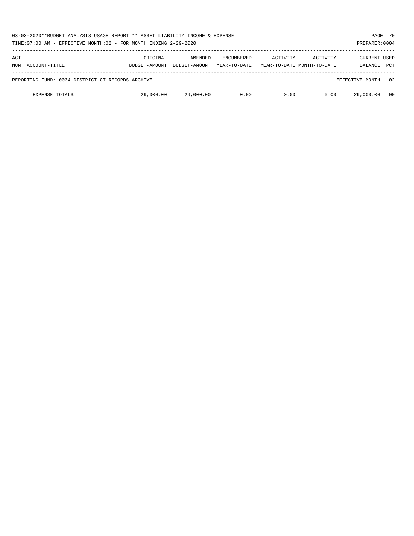| 03-03-2020**BUDGET ANALYSIS USAGE REPORT ** ASSET LIABILITY INCOME & EXPENSE<br>TIME:07:00 AM - EFFECTIVE MONTH:02 - FOR MONTH ENDING 2-29-2020 |                           |                          |                                   |                                        |          |                                       |            |  |  |
|-------------------------------------------------------------------------------------------------------------------------------------------------|---------------------------|--------------------------|-----------------------------------|----------------------------------------|----------|---------------------------------------|------------|--|--|
| ACT<br>NUM ACCOUNT-TITLE                                                                                                                        | ORIGINAL<br>BUDGET-AMOUNT | AMENDED<br>BUDGET-AMOUNT | <b>ENCUMBERED</b><br>YEAR-TO-DATE | ACTIVITY<br>YEAR-TO-DATE MONTH-TO-DATE | ACTIVITY | <b>CURRENT USED</b><br><b>BALANCE</b> | <b>PCT</b> |  |  |
| REPORTING FUND: 0034 DISTRICT CT.RECORDS ARCHIVE                                                                                                |                           |                          |                                   |                                        |          | EFFECTIVE MONTH - 02                  |            |  |  |
| <b>EXPENSE TOTALS</b>                                                                                                                           | 29,000.00                 | 29,000.00                | 0.00                              | 0.00                                   | 0.00     | 29,000.00                             | - 00       |  |  |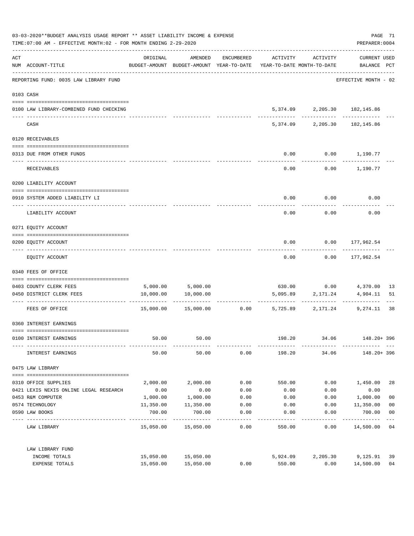| 03-03-2020**BUDGET ANALYSIS USAGE REPORT ** ASSET LIABILITY INCOME & EXPENSE<br>TIME: 07:00 AM - EFFECTIVE MONTH: 02 - FOR MONTH ENDING 2-29-2020 |                                         |                       |                                                                                |                    |              |                              |                                    | PAGE 71<br>PREPARER: 0004        |
|---------------------------------------------------------------------------------------------------------------------------------------------------|-----------------------------------------|-----------------------|--------------------------------------------------------------------------------|--------------------|--------------|------------------------------|------------------------------------|----------------------------------|
| ACT                                                                                                                                               | NUM ACCOUNT-TITLE                       | ORIGINAL              | AMENDED<br>BUDGET-AMOUNT BUDGET-AMOUNT YEAR-TO-DATE YEAR-TO-DATE MONTH-TO-DATE | ENCUMBERED         | ACTIVITY     | ACTIVITY                     | <b>CURRENT USED</b><br>BALANCE PCT |                                  |
|                                                                                                                                                   | REPORTING FUND: 0035 LAW LIBRARY FUND   |                       |                                                                                |                    |              |                              | EFFECTIVE MONTH - 02               |                                  |
|                                                                                                                                                   | 0103 CASH                               |                       |                                                                                |                    |              |                              |                                    |                                  |
|                                                                                                                                                   | 0100 LAW LIBRARY-COMBINED FUND CHECKING |                       |                                                                                |                    |              | 5,374.09 2,205.30 182,145.86 |                                    |                                  |
|                                                                                                                                                   | CASH                                    |                       |                                                                                |                    |              | 5,374.09 2,205.30            | 182,145.86                         |                                  |
|                                                                                                                                                   | 0120 RECEIVABLES                        |                       |                                                                                |                    |              |                              |                                    |                                  |
|                                                                                                                                                   | 0313 DUE FROM OTHER FUNDS               |                       |                                                                                |                    | 0.00         |                              | $0.00$ 1,190.77                    |                                  |
|                                                                                                                                                   | RECEIVABLES                             |                       |                                                                                |                    | 0.00         |                              | $0.00$ 1,190.77                    |                                  |
|                                                                                                                                                   | 0200 LIABILITY ACCOUNT                  |                       |                                                                                |                    |              |                              |                                    |                                  |
|                                                                                                                                                   | 0910 SYSTEM ADDED LIABILITY LI          |                       |                                                                                |                    | 0.00         | 0.00                         | 0.00                               |                                  |
|                                                                                                                                                   | LIABILITY ACCOUNT                       |                       |                                                                                |                    | 0.00         | 0.00                         | 0.00                               |                                  |
|                                                                                                                                                   | 0271 EQUITY ACCOUNT                     |                       |                                                                                |                    |              |                              |                                    |                                  |
|                                                                                                                                                   | 0200 EQUITY ACCOUNT                     |                       |                                                                                |                    | 0.00         |                              | $0.00$ 177,962.54                  |                                  |
|                                                                                                                                                   | EQUITY ACCOUNT                          |                       |                                                                                |                    | 0.00         |                              | $0.00$ 177,962.54                  |                                  |
|                                                                                                                                                   | 0340 FEES OF OFFICE                     |                       |                                                                                |                    |              |                              |                                    |                                  |
|                                                                                                                                                   |                                         |                       |                                                                                |                    |              |                              |                                    |                                  |
|                                                                                                                                                   | 0403 COUNTY CLERK FEES                  |                       | 5,000.00 5,000.00                                                              |                    |              | 630.00 0.00 4,370.00         |                                    | 13                               |
|                                                                                                                                                   | 0450 DISTRICT CLERK FEES                | 10,000.00             | 10,000.00                                                                      |                    | 5,095.89     | 2,171.24                     | 4,904.11                           | 51                               |
|                                                                                                                                                   | FEES OF OFFICE                          |                       | $15,000.00$ $15,000.00$ $0.00$ $5,725.89$ $2,171.24$                           |                    |              |                              | 9,274.11                           | 38                               |
|                                                                                                                                                   | 0360 INTEREST EARNINGS                  |                       |                                                                                |                    |              |                              |                                    |                                  |
|                                                                                                                                                   | 0100 INTEREST EARNINGS                  | 50.00                 | 50.00                                                                          |                    | 198.20       | 34.06                        | 148.20+ 396                        |                                  |
|                                                                                                                                                   | INTEREST EARNINGS                       | 50.00                 | 50.00                                                                          | 0.00               | 198.20       | 34.06                        | 148.20+ 396                        |                                  |
|                                                                                                                                                   | 0475 LAW LIBRARY                        |                       |                                                                                |                    |              |                              |                                    |                                  |
|                                                                                                                                                   |                                         |                       |                                                                                |                    |              |                              |                                    |                                  |
|                                                                                                                                                   | 0310 OFFICE SUPPLIES                    | 2,000.00              | 2,000.00                                                                       | 0.00               | 550.00       | 0.00                         | 1,450.00                           | 28                               |
|                                                                                                                                                   | 0421 LEXIS NEXIS ONLINE LEGAL RESEARCH  | 0.00                  | 0.00                                                                           | 0.00               | 0.00         | 0.00                         | 0.00                               |                                  |
|                                                                                                                                                   | 0453 R&M COMPUTER<br>0574 TECHNOLOGY    | 1,000.00<br>11,350.00 | 1,000.00<br>11,350.00                                                          | 0.00<br>0.00       | 0.00         | 0.00                         | 1,000.00                           | 0 <sub>0</sub><br>0 <sub>0</sub> |
|                                                                                                                                                   | 0590 LAW BOOKS                          | 700.00                | 700.00                                                                         | 0.00               | 0.00<br>0.00 | 0.00<br>0.00                 | 11,350.00<br>700.00                | 0 <sub>0</sub>                   |
|                                                                                                                                                   | LAW LIBRARY                             |                       | 15,050.00 15,050.00                                                            | ----------<br>0.00 | 550.00       | 0.00                         | .<br>14,500.00 04                  | $---$                            |
|                                                                                                                                                   | LAW LIBRARY FUND                        |                       |                                                                                |                    |              |                              |                                    |                                  |
|                                                                                                                                                   | INCOME TOTALS                           | 15,050.00             | 15,050.00                                                                      |                    | 5,924.09     | 2,205.30                     | 9,125.91                           | 39                               |
|                                                                                                                                                   | EXPENSE TOTALS                          | 15,050.00             | 15,050.00                                                                      | 0.00               | 550.00       | 0.00                         | 14,500.00                          | 0 <sub>4</sub>                   |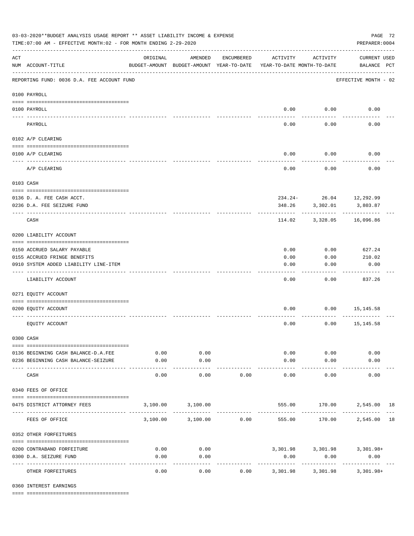|          | 03-03-2020**BUDGET ANALYSIS USAGE REPORT ** ASSET LIABILITY INCOME & EXPENSE<br>TIME: 07:00 AM - EFFECTIVE MONTH: 02 - FOR MONTH ENDING 2-29-2020<br>PREPARER: 0004 |                                                      |                    |            |                                        |                          |                                         |  |  |  |  |
|----------|---------------------------------------------------------------------------------------------------------------------------------------------------------------------|------------------------------------------------------|--------------------|------------|----------------------------------------|--------------------------|-----------------------------------------|--|--|--|--|
| ACT      | NUM ACCOUNT-TITLE                                                                                                                                                   | ORIGINAL<br>BUDGET-AMOUNT BUDGET-AMOUNT YEAR-TO-DATE | AMENDED            | ENCUMBERED | ACTIVITY<br>YEAR-TO-DATE MONTH-TO-DATE | ACTIVITY                 | <b>CURRENT USED</b><br>BALANCE PCT      |  |  |  |  |
|          | REPORTING FUND: 0036 D.A. FEE ACCOUNT FUND                                                                                                                          |                                                      |                    |            |                                        |                          | EFFECTIVE MONTH - 02                    |  |  |  |  |
|          | 0100 PAYROLL                                                                                                                                                        |                                                      |                    |            |                                        |                          |                                         |  |  |  |  |
|          | 0100 PAYROLL                                                                                                                                                        |                                                      |                    |            |                                        | $0.00$ 0.00              | 0.00                                    |  |  |  |  |
| ---- --- | PAYROLL                                                                                                                                                             |                                                      |                    |            | 0.00                                   | 0.00                     | 0.00                                    |  |  |  |  |
|          | 0102 A/P CLEARING                                                                                                                                                   |                                                      |                    |            |                                        |                          |                                         |  |  |  |  |
|          |                                                                                                                                                                     |                                                      |                    |            |                                        |                          |                                         |  |  |  |  |
|          | 0100 A/P CLEARING                                                                                                                                                   |                                                      |                    |            | 0.00                                   | 0.00                     | 0.00                                    |  |  |  |  |
|          | A/P CLEARING                                                                                                                                                        |                                                      |                    |            | 0.00                                   | 0.00                     | 0.00                                    |  |  |  |  |
|          | 0103 CASH                                                                                                                                                           |                                                      |                    |            |                                        |                          |                                         |  |  |  |  |
|          |                                                                                                                                                                     |                                                      |                    |            |                                        |                          |                                         |  |  |  |  |
|          | 0136 D. A. FEE CASH ACCT.<br>0236 D.A. FEE SEIZURE FUND                                                                                                             |                                                      |                    |            |                                        | 348.26 3,302.01          | $234.24 - 26.04$ 12, 292.99<br>3,803.87 |  |  |  |  |
|          | CASH                                                                                                                                                                |                                                      |                    |            | 114.02                                 | 3,328.05                 | 16,096.86                               |  |  |  |  |
|          | 0200 LIABILITY ACCOUNT                                                                                                                                              |                                                      |                    |            |                                        |                          |                                         |  |  |  |  |
|          |                                                                                                                                                                     |                                                      |                    |            |                                        |                          |                                         |  |  |  |  |
|          | 0150 ACCRUED SALARY PAYABLE                                                                                                                                         |                                                      |                    |            | 0.00                                   | 0.00                     | 627.24                                  |  |  |  |  |
|          | 0155 ACCRUED FRINGE BENEFITS<br>0910 SYSTEM ADDED LIABILITY LINE-ITEM                                                                                               |                                                      |                    |            | 0.00<br>0.00                           | 0.00<br>0.00             | 210.02<br>0.00                          |  |  |  |  |
|          |                                                                                                                                                                     |                                                      |                    |            |                                        |                          |                                         |  |  |  |  |
|          | LIABILITY ACCOUNT                                                                                                                                                   |                                                      |                    |            | 0.00                                   | 0.00                     | 837.26                                  |  |  |  |  |
|          | 0271 EQUITY ACCOUNT                                                                                                                                                 |                                                      |                    |            |                                        |                          |                                         |  |  |  |  |
|          | 0200 EQUITY ACCOUNT                                                                                                                                                 |                                                      |                    |            | 0.00                                   |                          | $0.00$ 15,145.58                        |  |  |  |  |
|          | EQUITY ACCOUNT                                                                                                                                                      |                                                      |                    |            | 0.00                                   | 0.00                     | 15,145.58                               |  |  |  |  |
|          | 0300 CASH                                                                                                                                                           |                                                      |                    |            |                                        |                          |                                         |  |  |  |  |
|          | 0136 BEGINNING CASH BALANCE-D.A.FEE                                                                                                                                 | 0.00                                                 | 0.00               |            |                                        | 0.00<br>0.00             | 0.00                                    |  |  |  |  |
|          | 0236 BEGINNING CASH BALANCE-SEIZURE                                                                                                                                 | 0.00                                                 | 0.00               |            | 0.00                                   | 0.00                     | 0.00                                    |  |  |  |  |
|          | CASH                                                                                                                                                                | $- - - - -$<br>0.00                                  | ----------<br>0.00 | 0.00       | 0.00                                   | 0.00                     | 0.00                                    |  |  |  |  |
|          | 0340 FEES OF OFFICE                                                                                                                                                 |                                                      |                    |            |                                        |                          |                                         |  |  |  |  |
|          |                                                                                                                                                                     |                                                      |                    |            |                                        |                          |                                         |  |  |  |  |
|          | 0475 DISTRICT ATTORNEY FEES                                                                                                                                         |                                                      | 3,100.00 3,100.00  |            |                                        |                          | 555.00 170.00 2,545.00 18               |  |  |  |  |
|          | FEES OF OFFICE                                                                                                                                                      |                                                      | 3,100.00 3,100.00  | 0.00       | 555.00                                 | 170.00                   | 2,545.00 18                             |  |  |  |  |
|          | 0352 OTHER FORFEITURES                                                                                                                                              |                                                      |                    |            |                                        |                          |                                         |  |  |  |  |
|          | 0200 CONTRABAND FORFEITURE                                                                                                                                          | 0.00                                                 | 0.00               |            |                                        |                          | 3,301.98 3,301.98 3,301.98+             |  |  |  |  |
|          | 0300 D.A. SEIZURE FUND                                                                                                                                              | 0.00                                                 | 0.00               |            | 0.00                                   | 0.00                     | 0.00                                    |  |  |  |  |
|          | OTHER FORFEITURES                                                                                                                                                   | 0.00                                                 | 0.00               | 0.00       | ----------<br>3,301.98                 | ------------<br>3,301.98 | -------------<br>$3,301.98+$            |  |  |  |  |

0360 INTEREST EARNINGS

==== ===================================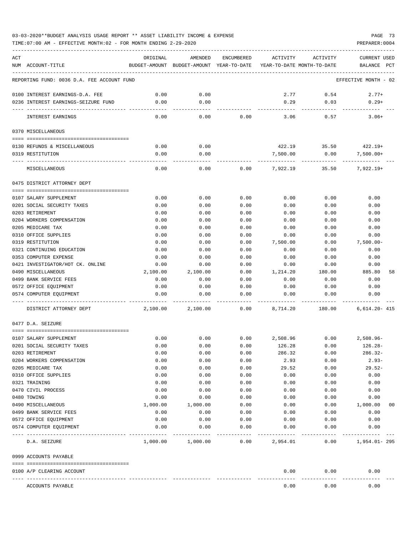# 03-03-2020\*\*BUDGET ANALYSIS USAGE REPORT \*\* ASSET LIABILITY INCOME & EXPENSE PAGE 73

TIME:07:00 AM - EFFECTIVE MONTH:02 - FOR MONTH ENDING 2-29-2020

| ACT |                                                                 | ORIGINAL     | AMENDED                                                             | ENCUMBERED   | ACTIVITY     | ACTIVITY                              | <b>CURRENT USED</b>  |    |
|-----|-----------------------------------------------------------------|--------------|---------------------------------------------------------------------|--------------|--------------|---------------------------------------|----------------------|----|
|     | NUM ACCOUNT-TITLE                                               |              | BUDGET-AMOUNT BUDGET-AMOUNT YEAR-TO-DATE YEAR-TO-DATE MONTH-TO-DATE |              |              |                                       | BALANCE PCT          |    |
|     | REPORTING FUND: 0036 D.A. FEE ACCOUNT FUND                      |              |                                                                     |              |              |                                       | EFFECTIVE MONTH - 02 |    |
|     |                                                                 |              |                                                                     |              |              |                                       |                      |    |
|     | 0100 INTEREST EARNINGS-D.A. FEE                                 | 0.00         | 0.00                                                                |              | 2.77         | 0.54                                  | $2.77+$              |    |
|     | 0236 INTEREST EARNINGS-SEIZURE FUND                             | 0.00         | 0.00                                                                |              | 0.29         | 0.03                                  | $0.29+$              |    |
|     | INTEREST EARNINGS                                               | 0.00         | $- - - - -$<br>0.00                                                 | 0.00         | 3.06         | --------<br>0.57                      | $3.06+$              |    |
|     | 0370 MISCELLANEOUS                                              |              |                                                                     |              |              |                                       |                      |    |
|     |                                                                 |              |                                                                     |              |              |                                       |                      |    |
|     | 0130 REFUNDS & MISCELLANEOUS                                    | 0.00         | 0.00                                                                |              |              | $422.19$ $35.50$ $422.19+$            |                      |    |
|     | 0319 RESTITUTION                                                | 0.00         | 0.00                                                                |              | 7,500.00     | 0.00                                  | $7,500.00+$          |    |
|     | MISCELLANEOUS                                                   | 0.00         | 0.00                                                                |              |              | $0.00$ $7,922.19$ $35.50$ $7,922.19+$ |                      |    |
|     | 0475 DISTRICT ATTORNEY DEPT                                     |              |                                                                     |              |              |                                       |                      |    |
|     |                                                                 |              |                                                                     |              |              |                                       |                      |    |
|     | 0107 SALARY SUPPLEMENT                                          | 0.00         | 0.00                                                                | 0.00         | 0.00         | 0.00                                  | 0.00                 |    |
|     | 0201 SOCIAL SECURITY TAXES                                      | 0.00         | 0.00                                                                | 0.00         | 0.00         | 0.00                                  | 0.00                 |    |
|     | 0203 RETIREMENT<br>0204 WORKERS COMPENSATION                    | 0.00<br>0.00 | 0.00<br>0.00                                                        | 0.00<br>0.00 | 0.00<br>0.00 | 0.00<br>0.00                          | 0.00<br>0.00         |    |
|     | 0205 MEDICARE TAX                                               | 0.00         | 0.00                                                                | 0.00         | 0.00         | 0.00                                  | 0.00                 |    |
|     | 0310 OFFICE SUPPLIES                                            | 0.00         | 0.00                                                                | 0.00         | 0.00         | 0.00                                  | 0.00                 |    |
|     | 0319 RESTITUTION                                                | 0.00         | 0.00                                                                | 0.00         | 7,500.00     | 0.00                                  | $7,500.00 -$         |    |
|     | 0321 CONTINUING EDUCATION                                       | 0.00         | 0.00                                                                | 0.00         | 0.00         | 0.00                                  | 0.00                 |    |
|     | 0353 COMPUTER EXPENSE                                           | 0.00         | 0.00                                                                | 0.00         | 0.00         | 0.00                                  | 0.00                 |    |
|     | 0421 INVESTIGATOR/HOT CK. ONLINE                                | 0.00         | 0.00                                                                | 0.00         | 0.00         | 0.00                                  | 0.00                 |    |
|     | 0490 MISCELLANEOUS                                              | 2,100.00     | 2,100.00                                                            | 0.00         | 1,214.20     | 180.00                                | 885.80               | 58 |
|     | 0499 BANK SERVICE FEES                                          | 0.00         | 0.00                                                                | 0.00         | 0.00         | 0.00                                  | 0.00                 |    |
|     | 0572 OFFICE EQUIPMENT                                           | 0.00         | 0.00                                                                | 0.00         | 0.00         | 0.00                                  | 0.00                 |    |
|     | 0574 COMPUTER EQUIPMENT                                         | 0.00         | 0.00                                                                | 0.00         | 0.00         | 0.00                                  | 0.00                 |    |
|     | DISTRICT ATTORNEY DEPT                                          | 2,100.00     | 2,100.00                                                            | 0.00         | 8,714.20     | 180.00                                | $6,614.20 - 415$     |    |
|     | 0477 D.A. SEIZURE                                               |              |                                                                     |              |              |                                       |                      |    |
|     | 0107 SALARY SUPPLEMENT                                          | 0.00         | 0.00                                                                | 0.00         | 2,508.96     | 0.00                                  | 2,508.96-            |    |
|     | 0201 SOCIAL SECURITY TAXES                                      | 0.00         | 0.00                                                                | 0.00         | 126.28       | 0.00                                  | 126.28-              |    |
|     | 0203 RETIREMENT                                                 | 0.00         | 0.00                                                                | 0.00         | 286.32       | 0.00                                  | $286.32-$            |    |
|     | 0204 WORKERS COMPENSATION                                       | 0.00         | 0.00                                                                | 0.00         | 2.93         | 0.00                                  | $2.93-$              |    |
|     | 0205 MEDICARE TAX                                               | 0.00         | 0.00                                                                | 0.00         | 29.52        | 0.00                                  | $29.52-$             |    |
|     | 0310 OFFICE SUPPLIES                                            | 0.00         | 0.00                                                                | 0.00         | 0.00         | 0.00                                  | 0.00                 |    |
|     | 0321 TRAINING                                                   | 0.00         | 0.00                                                                | 0.00         | 0.00         | 0.00                                  | 0.00                 |    |
|     | 0470 CIVIL PROCESS                                              | 0.00         | 0.00                                                                | 0.00         | 0.00         | 0.00                                  | 0.00                 |    |
|     | 0480 TOWING                                                     | 0.00         | 0.00                                                                | 0.00         | 0.00         | 0.00                                  | 0.00                 |    |
|     | 0490 MISCELLANEOUS                                              | 1,000.00     | 1,000.00                                                            | 0.00         | 0.00         | 0.00                                  | 1,000.00             | 00 |
|     | 0499 BANK SERVICE FEES                                          | 0.00         | 0.00                                                                | 0.00         | 0.00         | 0.00                                  | 0.00                 |    |
|     | 0572 OFFICE EQUIPMENT                                           | 0.00         | 0.00                                                                | 0.00         | 0.00         | 0.00                                  | 0.00                 |    |
|     | 0574 COMPUTER EQUIPMENT<br>------------------------------------ | 0.00         | 0.00                                                                | 0.00         | 0.00         | 0.00                                  | 0.00                 |    |
|     | D.A. SEIZURE                                                    | 1,000.00     | 1,000.00                                                            | 0.00         | 2,954.01     | 0.00                                  | $1,954.01 - 295$     |    |
|     | 0999 ACCOUNTS PAYABLE                                           |              |                                                                     |              |              |                                       |                      |    |
|     | 0100 A/P CLEARING ACCOUNT                                       |              |                                                                     |              | 0.00         | 0.00                                  | 0.00                 |    |
|     | ACCOUNTS PAYABLE                                                |              |                                                                     |              | 0.00         | 0.00                                  | 0.00                 |    |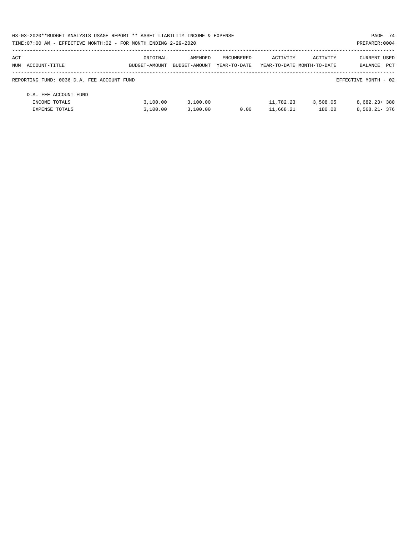| 03-03-2020**BUDGET ANALYSIS USAGE REPORT ** ASSET LIABILITY INCOME & EXPENSE |               |               |              |                            |          | PAGE 74              |     |
|------------------------------------------------------------------------------|---------------|---------------|--------------|----------------------------|----------|----------------------|-----|
| TIME:07:00 AM - EFFECTIVE MONTH:02 - FOR MONTH ENDING 2-29-2020              |               |               |              |                            |          | PREPARER: 0004       |     |
| ACT                                                                          | ORIGINAL      | AMENDED       | ENCUMBERED   | ACTIVITY                   | ACTIVITY | <b>CURRENT USED</b>  |     |
| NUM ACCOUNT-TITLE                                                            | BUDGET-AMOUNT | BUDGET-AMOUNT | YEAR-TO-DATE | YEAR-TO-DATE MONTH-TO-DATE |          | BALANCE              | PCT |
| REPORTING FUND: 0036 D.A. FEE ACCOUNT FUND                                   |               |               |              |                            |          | EFFECTIVE MONTH - 02 |     |
| D.A. FEE ACCOUNT FUND                                                        |               |               |              |                            |          |                      |     |
| INCOME TOTALS                                                                | 3.100.00      | 3.100.00      |              | 11,782.23                  | 3,508.05 | $8.682.23 + 380$     |     |
| <b>EXPENSE TOTALS</b>                                                        | 3,100.00      | 3,100.00      | 0.00         | 11,668.21                  | 180.00   | $8.568.21 - 376$     |     |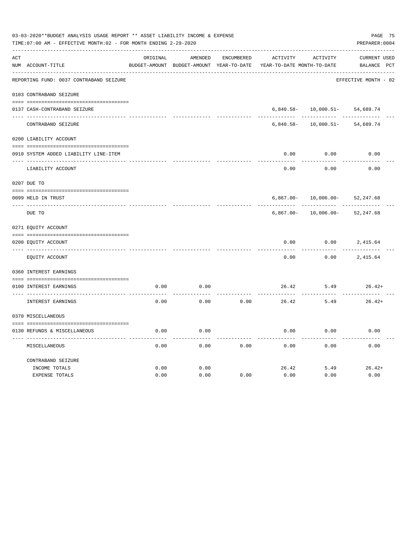| 03-03-2020**BUDGET ANALYSIS USAGE REPORT ** ASSET LIABILITY INCOME & EXPENSE<br>TIME: 07:00 AM - EFFECTIVE MONTH: 02 - FOR MONTH ENDING 2-29-2020<br>PREPARER: 0004 |                                         |          |                                          |                   |                            |                                    |                      |  |  |
|---------------------------------------------------------------------------------------------------------------------------------------------------------------------|-----------------------------------------|----------|------------------------------------------|-------------------|----------------------------|------------------------------------|----------------------|--|--|
| ACT                                                                                                                                                                 |                                         | ORIGINAL | AMENDED                                  | <b>ENCUMBERED</b> | <b>ACTIVITY</b>            | ACTIVITY                           | <b>CURRENT USED</b>  |  |  |
|                                                                                                                                                                     | NUM ACCOUNT-TITLE                       |          | BUDGET-AMOUNT BUDGET-AMOUNT YEAR-TO-DATE |                   | YEAR-TO-DATE MONTH-TO-DATE |                                    | BALANCE PCT          |  |  |
|                                                                                                                                                                     | REPORTING FUND: 0037 CONTRABAND SEIZURE |          |                                          |                   |                            |                                    | EFFECTIVE MONTH - 02 |  |  |
|                                                                                                                                                                     | 0103 CONTRABAND SEIZURE                 |          |                                          |                   |                            |                                    |                      |  |  |
|                                                                                                                                                                     | 0137 CASH-CONTRABAND SEIZURE            |          |                                          |                   |                            | $6,840.58 - 10,000.51 - 54,689.74$ |                      |  |  |
|                                                                                                                                                                     | CONTRABAND SEIZURE                      |          |                                          |                   | $6,840.58-$                | 10,000.51-                         | 54,689.74            |  |  |
|                                                                                                                                                                     | 0200 LIABILITY ACCOUNT                  |          |                                          |                   |                            |                                    |                      |  |  |
|                                                                                                                                                                     | 0910 SYSTEM ADDED LIABILITY LINE-ITEM   |          |                                          |                   | 0.00                       | 0.00                               | 0.00                 |  |  |
|                                                                                                                                                                     | LIABILITY ACCOUNT                       |          |                                          |                   | 0.00                       | 0.00                               | 0.00                 |  |  |
|                                                                                                                                                                     | 0207 DUE TO                             |          |                                          |                   |                            |                                    |                      |  |  |
|                                                                                                                                                                     | 0099 HELD IN TRUST                      |          |                                          |                   | $6,867.00 -$               | $10,006.00-$                       | 52, 247.68           |  |  |
|                                                                                                                                                                     | DUE TO                                  |          |                                          |                   | $6,867.00 -$               | $10,006.00 -$                      | 52, 247.68           |  |  |
|                                                                                                                                                                     | 0271 EQUITY ACCOUNT                     |          |                                          |                   |                            |                                    |                      |  |  |
|                                                                                                                                                                     | 0200 EQUITY ACCOUNT                     |          |                                          |                   | 0.00                       | 0.00                               | 2,415.64             |  |  |
|                                                                                                                                                                     | EQUITY ACCOUNT                          |          |                                          |                   | 0.00                       | 0.00                               | 2,415.64             |  |  |
|                                                                                                                                                                     | 0360 INTEREST EARNINGS                  |          |                                          |                   |                            |                                    |                      |  |  |
|                                                                                                                                                                     | 0100 INTEREST EARNINGS                  | 0.00     | 0.00                                     |                   | 26.42                      | 5.49                               | $26.42+$             |  |  |
|                                                                                                                                                                     | INTEREST EARNINGS                       | 0.00     | 0.00                                     | 0.00              | 26.42                      | 5.49                               | $26.42+$             |  |  |
|                                                                                                                                                                     | 0370 MISCELLANEOUS                      |          |                                          |                   |                            |                                    |                      |  |  |
|                                                                                                                                                                     |                                         |          |                                          |                   | 0.00                       |                                    |                      |  |  |
|                                                                                                                                                                     | 0130 REFUNDS & MISCELLANEOUS            | 0.00     | 0.00                                     |                   |                            | 0.00                               | 0.00                 |  |  |
|                                                                                                                                                                     | MISCELLANEOUS                           | 0.00     | 0.00                                     | 0.00              | 0.00                       | 0.00                               | 0.00                 |  |  |
|                                                                                                                                                                     | CONTRABAND SEIZURE                      |          |                                          |                   |                            |                                    |                      |  |  |
|                                                                                                                                                                     | INCOME TOTALS                           | 0.00     | 0.00                                     |                   | 26.42                      | 5.49                               | $26.42+$             |  |  |
|                                                                                                                                                                     | <b>EXPENSE TOTALS</b>                   | 0.00     | 0.00                                     | 0.00              | 0.00                       | 0.00                               | 0.00                 |  |  |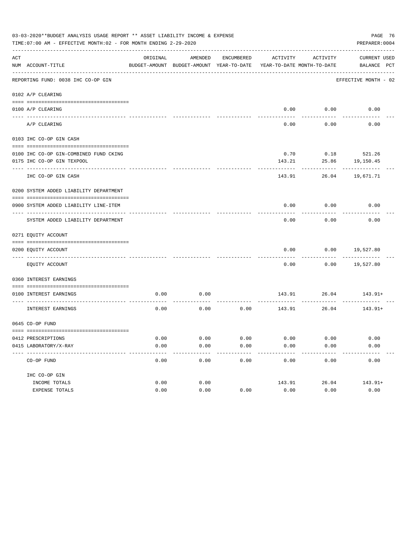|     | PAGE 76<br>03-03-2020**BUDGET ANALYSIS USAGE REPORT ** ASSET LIABILITY INCOME & EXPENSE<br>TIME: 07:00 AM - EFFECTIVE MONTH: 02 - FOR MONTH ENDING 2-29-2020<br>PREPARER: 0004 |          |                                                     |                       |          |                                        |                             |  |  |  |  |
|-----|--------------------------------------------------------------------------------------------------------------------------------------------------------------------------------|----------|-----------------------------------------------------|-----------------------|----------|----------------------------------------|-----------------------------|--|--|--|--|
| ACT | NUM ACCOUNT-TITLE                                                                                                                                                              | ORIGINAL | AMENDED<br>BUDGET-AMOUNT BUDGET-AMOUNT YEAR-TO-DATE | ENCUMBERED            | ACTIVITY | ACTIVITY<br>YEAR-TO-DATE MONTH-TO-DATE | CURRENT USED<br>BALANCE PCT |  |  |  |  |
|     | REPORTING FUND: 0038 IHC CO-OP GIN                                                                                                                                             |          |                                                     |                       |          |                                        | EFFECTIVE MONTH - 02        |  |  |  |  |
|     | 0102 A/P CLEARING                                                                                                                                                              |          |                                                     |                       |          |                                        |                             |  |  |  |  |
|     | 0100 A/P CLEARING                                                                                                                                                              |          |                                                     |                       |          | 0.00 0.00                              | 0.00                        |  |  |  |  |
|     | A/P CLEARING                                                                                                                                                                   |          |                                                     |                       | 0.00     | 0.00                                   | 0.00                        |  |  |  |  |
|     | 0103 IHC CO-OP GIN CASH                                                                                                                                                        |          |                                                     |                       |          |                                        |                             |  |  |  |  |
|     | 0100 IHC CO-OP GIN-COMBINED FUND CKING                                                                                                                                         |          |                                                     |                       | 0.70     |                                        | $0.18$ 521.26               |  |  |  |  |
|     | 0175 IHC CO-OP GIN TEXPOOL                                                                                                                                                     |          |                                                     |                       | 143.21   | 25.86                                  | 19,150.45                   |  |  |  |  |
|     | --------------------------------<br>IHC CO-OP GIN CASH                                                                                                                         |          |                                                     |                       | 143.91   |                                        | 26.04 19,671.71             |  |  |  |  |
|     |                                                                                                                                                                                |          |                                                     |                       |          |                                        |                             |  |  |  |  |
|     | 0200 SYSTEM ADDED LIABILITY DEPARTMENT                                                                                                                                         |          |                                                     |                       |          |                                        |                             |  |  |  |  |
|     |                                                                                                                                                                                |          |                                                     |                       |          |                                        |                             |  |  |  |  |
|     | 0900 SYSTEM ADDED LIABILITY LINE-ITEM                                                                                                                                          |          |                                                     |                       | 0.00     | 0.00                                   | 0.00                        |  |  |  |  |
|     | SYSTEM ADDED LIABILITY DEPARTMENT                                                                                                                                              |          |                                                     |                       | 0.00     | 0.00                                   | 0.00                        |  |  |  |  |
|     | 0271 EQUITY ACCOUNT                                                                                                                                                            |          |                                                     |                       |          |                                        |                             |  |  |  |  |
|     | 0200 EQUITY ACCOUNT                                                                                                                                                            |          |                                                     |                       | 0.00     |                                        | $0.00$ 19,527.80            |  |  |  |  |
|     | EQUITY ACCOUNT                                                                                                                                                                 |          |                                                     |                       | 0.00     |                                        | $0.00$ 19,527.80            |  |  |  |  |
|     | 0360 INTEREST EARNINGS                                                                                                                                                         |          |                                                     |                       |          |                                        |                             |  |  |  |  |
|     | 0100 INTEREST EARNINGS                                                                                                                                                         | 0.00     | 0.00                                                |                       |          | -----------                            | 143.91 26.04 143.91+        |  |  |  |  |
|     | INTEREST EARNINGS                                                                                                                                                              | 0.00     | 0.00                                                | 0.00                  |          | 143.91 26.04                           | 143.91+                     |  |  |  |  |
|     | 0645 CO-OP FUND                                                                                                                                                                |          |                                                     |                       |          |                                        |                             |  |  |  |  |
|     | 0412 PRESCRIPTIONS                                                                                                                                                             | 0.00     | 0.00                                                | 0.00                  | 0.00     | 0.00                                   |                             |  |  |  |  |
|     | 0415 LABORATORY/X-RAY                                                                                                                                                          | 0.00     | 0.00                                                | 0.00                  | 0.00     | 0.00                                   | 0.00<br>0.00                |  |  |  |  |
|     | ____________________________________<br>CO-OP FUND                                                                                                                             | 0.00     | 0.00                                                | $- - - - - -$<br>0.00 | 0.00     | 0.00                                   | 0.00                        |  |  |  |  |
|     | IHC CO-OP GIN                                                                                                                                                                  |          |                                                     |                       |          |                                        |                             |  |  |  |  |
|     | INCOME TOTALS                                                                                                                                                                  | 0.00     | 0.00                                                |                       | 143.91   | 26.04                                  | $143.91+$                   |  |  |  |  |
|     | EXPENSE TOTALS                                                                                                                                                                 | 0.00     | 0.00                                                | 0.00                  | 0.00     | 0.00                                   | 0.00                        |  |  |  |  |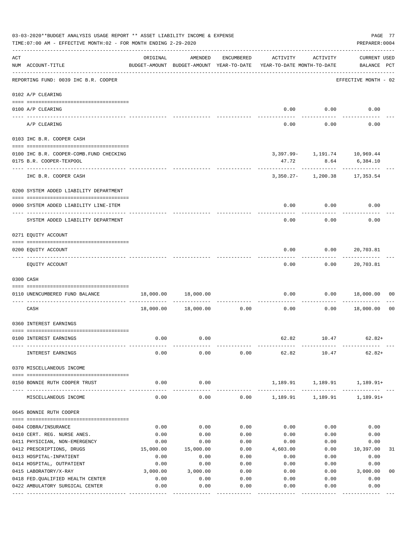| 03-03-2020**BUDGET ANALYSIS USAGE REPORT ** ASSET LIABILITY INCOME & EXPENSE<br>TIME: 07:00 AM - EFFECTIVE MONTH: 02 - FOR MONTH ENDING 2-29-2020 |                                                                         |                                                      |                       |                     |                                        |                                                     |                                    |                |  |  |
|---------------------------------------------------------------------------------------------------------------------------------------------------|-------------------------------------------------------------------------|------------------------------------------------------|-----------------------|---------------------|----------------------------------------|-----------------------------------------------------|------------------------------------|----------------|--|--|
| ACT                                                                                                                                               | NUM ACCOUNT-TITLE                                                       | ORIGINAL<br>BUDGET-AMOUNT BUDGET-AMOUNT YEAR-TO-DATE | AMENDED               | ENCUMBERED          | ACTIVITY<br>YEAR-TO-DATE MONTH-TO-DATE | ACTIVITY                                            | <b>CURRENT USED</b><br>BALANCE PCT |                |  |  |
|                                                                                                                                                   | -------------------------------<br>REPORTING FUND: 0039 IHC B.R. COOPER |                                                      |                       |                     |                                        |                                                     | EFFECTIVE MONTH - 02               |                |  |  |
|                                                                                                                                                   | 0102 A/P CLEARING                                                       |                                                      |                       |                     |                                        |                                                     |                                    |                |  |  |
|                                                                                                                                                   | 0100 A/P CLEARING                                                       |                                                      |                       |                     |                                        | $0.00$ $0.00$                                       | 0.00                               |                |  |  |
|                                                                                                                                                   | ---- ---------<br>A/P CLEARING                                          |                                                      |                       |                     | 0.00                                   | 0.00                                                | 0.00                               |                |  |  |
|                                                                                                                                                   | 0103 IHC B.R. COOPER CASH                                               |                                                      |                       |                     |                                        |                                                     |                                    |                |  |  |
|                                                                                                                                                   | 0100 IHC B.R. COOPER-COMB.FUND CHECKING<br>0175 B.R. COOPER-TEXPOOL     |                                                      |                       |                     | 47.72                                  | 3,397.99- 1,191.74 10,969.44<br>8.64                | 6,384.10                           |                |  |  |
|                                                                                                                                                   | ------------------<br>IHC B.R. COOPER CASH                              |                                                      |                       |                     | ----------                             | . <u>.</u> .<br>3, 350. 27 - 1, 200. 38 17, 353. 54 | . <u>.</u> .                       |                |  |  |
|                                                                                                                                                   | 0200 SYSTEM ADDED LIABILITY DEPARTMENT                                  |                                                      |                       |                     |                                        |                                                     |                                    |                |  |  |
|                                                                                                                                                   | 0900 SYSTEM ADDED LIABILITY LINE-ITEM                                   |                                                      |                       |                     | 0.00                                   | 0.00                                                | 0.00                               |                |  |  |
|                                                                                                                                                   | SYSTEM ADDED LIABILITY DEPARTMENT                                       |                                                      |                       |                     | 0.00                                   | 0.00                                                | 0.00                               |                |  |  |
|                                                                                                                                                   | 0271 EQUITY ACCOUNT                                                     |                                                      |                       |                     |                                        |                                                     |                                    |                |  |  |
|                                                                                                                                                   | 0200 EQUITY ACCOUNT                                                     |                                                      |                       |                     | 0.00                                   | 0.00                                                | 20,703.81                          |                |  |  |
|                                                                                                                                                   | EQUITY ACCOUNT                                                          |                                                      |                       |                     | 0.00                                   |                                                     | 0.00 20,703.81                     |                |  |  |
|                                                                                                                                                   | 0300 CASH                                                               |                                                      |                       |                     |                                        |                                                     |                                    |                |  |  |
|                                                                                                                                                   | 0110 UNENCUMBERED FUND BALANCE                                          |                                                      | 18,000.00 18,000.00   |                     | 0.00                                   |                                                     | $0.00$ 18,000.00                   | 00             |  |  |
|                                                                                                                                                   | CASH                                                                    | 18,000.00                                            | 18,000.00             | 0.00                | ------------ -------------<br>0.00     | 0.00                                                | 18,000.00                          | 0 <sub>0</sub> |  |  |
|                                                                                                                                                   | 0360 INTEREST EARNINGS                                                  |                                                      |                       |                     |                                        |                                                     |                                    |                |  |  |
|                                                                                                                                                   | 0100 INTEREST EARNINGS                                                  | 0.00                                                 | 0.00                  |                     | 62.82                                  | 10.47                                               | $62.82+$                           |                |  |  |
|                                                                                                                                                   | INTEREST EARNINGS                                                       | 0.00                                                 | 0.00                  | 0.00                | 62.82                                  | 10.47                                               | $62.82+$                           |                |  |  |
|                                                                                                                                                   | 0370 MISCELLANEOUS INCOME                                               |                                                      |                       |                     |                                        |                                                     |                                    |                |  |  |
|                                                                                                                                                   | 0150 BONNIE RUTH COOPER TRUST                                           | 0.00                                                 | 0.00                  |                     | 1,189.91                               | 1,189.91                                            | 1,189.91+                          |                |  |  |
|                                                                                                                                                   | -------------<br>MISCELLANEOUS INCOME                                   | 0.00                                                 | ---------<br>0.00     |                     | $0.00$ 1,189.91 1,189.91               |                                                     | $1,189.91+$                        |                |  |  |
|                                                                                                                                                   | 0645 BONNIE RUTH COOPER                                                 |                                                      |                       |                     |                                        |                                                     |                                    |                |  |  |
|                                                                                                                                                   | 0404 COBRA/INSURANCE                                                    | 0.00                                                 | 0.00                  | 0.00                | 0.00                                   | 0.00                                                | 0.00                               |                |  |  |
|                                                                                                                                                   | 0410 CERT. REG. NURSE ANES.                                             | 0.00                                                 | 0.00                  | 0.00                | 0.00                                   | 0.00                                                | 0.00                               |                |  |  |
|                                                                                                                                                   | 0411 PHYSICIAN, NON-EMERGENCY                                           | 0.00                                                 | 0.00                  | 0.00                | 0.00                                   | 0.00                                                | 0.00                               |                |  |  |
|                                                                                                                                                   | 0412 PRESCRIPTIONS, DRUGS                                               | 15,000.00                                            | 15,000.00             | 0.00                | 4,603.00                               | 0.00                                                | 10,397.00                          | 31             |  |  |
|                                                                                                                                                   | 0413 HOSPITAL-INPATIENT                                                 | 0.00                                                 | 0.00                  | 0.00                | 0.00                                   | 0.00                                                | 0.00                               |                |  |  |
|                                                                                                                                                   | 0414 HOSPITAL, OUTPATIENT                                               | 0.00                                                 | 0.00                  | 0.00                | 0.00                                   | 0.00                                                | 0.00                               |                |  |  |
|                                                                                                                                                   | 0415 LABORATORY/X-RAY                                                   | 3,000.00                                             | 3,000.00              | 0.00                | 0.00                                   | 0.00                                                | 3,000.00                           | 0 <sub>0</sub> |  |  |
|                                                                                                                                                   | 0418 FED. QUALIFIED HEALTH CENTER                                       | 0.00                                                 | 0.00                  | 0.00                | 0.00                                   | 0.00                                                | 0.00                               |                |  |  |
|                                                                                                                                                   | 0422 AMBULATORY SURGICAL CENTER                                         | 0.00                                                 | 0.00<br>------------- | 0.00<br>----------- | 0.00<br>----------                     | 0.00<br>---------                                   | 0.00<br>----------                 |                |  |  |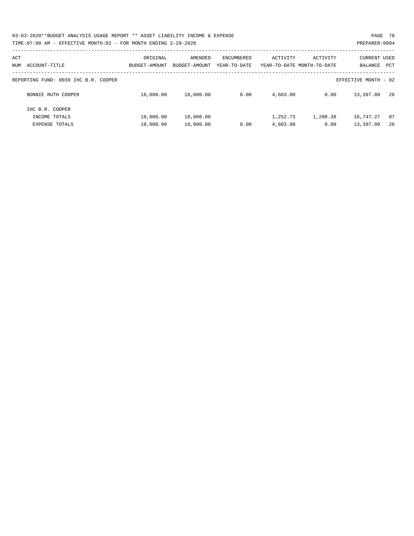| 03-03-2020**BUDGET ANALYSIS USAGE REPORT ** ASSET LIABILITY INCOME & EXPENSE | PAGE 78        |
|------------------------------------------------------------------------------|----------------|
| TIME: 07:00 AM - EFFECTIVE MONTH: 02 - FOR MONTH ENDING 2-29-2020            | PREPARER: 0004 |

| ACT<br>ACCOUNT-TITLE<br>NUM          | ORIGINAL<br>BUDGET-AMOUNT | AMENDED<br>BUDGET-AMOUNT | ENCUMBERED<br>YEAR-TO-DATE | ACTIVITY | ACTIVITY<br>YEAR-TO-DATE MONTH-TO-DATE | <b>CURRENT USED</b><br>BALANCE<br>PCT |    |
|--------------------------------------|---------------------------|--------------------------|----------------------------|----------|----------------------------------------|---------------------------------------|----|
| REPORTING FUND: 0039 IHC B.R. COOPER |                           |                          |                            |          |                                        | EFFECTIVE MONTH - 02                  |    |
| BONNIE RUTH COOPER                   | 18,000.00                 | 18,000.00                | 0.00                       | 4,603.00 | 0.00                                   | 13,397.00                             | 26 |
| IHC B.R. COOPER                      |                           |                          |                            |          |                                        |                                       |    |
| INCOME TOTALS                        | 18,000.00                 | 18,000.00                |                            | 1,252.73 | 1,200.38                               | 16,747.27                             | 07 |
| EXPENSE TOTALS                       | 18,000.00                 | 18,000.00                | 0.00                       | 4,603.00 | 0.00                                   | 13,397.00                             | 26 |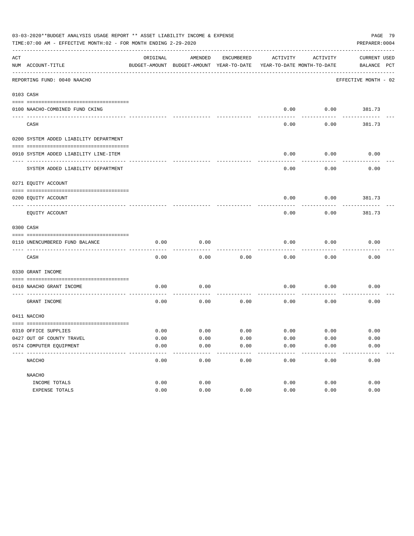|     | 03-03-2020**BUDGET ANALYSIS USAGE REPORT ** ASSET LIABILITY INCOME & EXPENSE<br>PAGE 79<br>TIME:07:00 AM - EFFECTIVE MONTH:02 - FOR MONTH ENDING 2-29-2020<br>PREPARER: 0004 |          |                                                     |            |                                        |             |                             |  |  |  |  |
|-----|------------------------------------------------------------------------------------------------------------------------------------------------------------------------------|----------|-----------------------------------------------------|------------|----------------------------------------|-------------|-----------------------------|--|--|--|--|
| ACT | NUM ACCOUNT-TITLE                                                                                                                                                            | ORIGINAL | AMENDED<br>BUDGET-AMOUNT BUDGET-AMOUNT YEAR-TO-DATE | ENCUMBERED | ACTIVITY<br>YEAR-TO-DATE MONTH-TO-DATE | ACTIVITY    | CURRENT USED<br>BALANCE PCT |  |  |  |  |
|     | --------------------------------<br>REPORTING FUND: 0040 NAACHO                                                                                                              |          |                                                     |            |                                        |             | EFFECTIVE MONTH - 02        |  |  |  |  |
|     | 0103 CASH                                                                                                                                                                    |          |                                                     |            |                                        |             |                             |  |  |  |  |
|     | 0100 NAACHO-COMBINED FUND CKING                                                                                                                                              |          |                                                     |            | 0.00                                   | 0.00        | 381.73                      |  |  |  |  |
|     | CASH                                                                                                                                                                         |          |                                                     |            | 0.00                                   | 0.00        | 381.73                      |  |  |  |  |
|     | 0200 SYSTEM ADDED LIABILITY DEPARTMENT                                                                                                                                       |          |                                                     |            |                                        |             |                             |  |  |  |  |
|     | 0910 SYSTEM ADDED LIABILITY LINE-ITEM                                                                                                                                        |          |                                                     |            | 0.00                                   | 0.00        | 0.00                        |  |  |  |  |
|     | SYSTEM ADDED LIABILITY DEPARTMENT                                                                                                                                            |          |                                                     |            | 0.00                                   | 0.00        | 0.00                        |  |  |  |  |
|     | 0271 EQUITY ACCOUNT                                                                                                                                                          |          |                                                     |            |                                        |             |                             |  |  |  |  |
|     | 0200 EQUITY ACCOUNT                                                                                                                                                          |          |                                                     |            | 0.00                                   | 0.00        | 381.73                      |  |  |  |  |
|     | EQUITY ACCOUNT                                                                                                                                                               |          |                                                     |            | 0.00                                   | 0.00        | 381.73                      |  |  |  |  |
|     | 0300 CASH                                                                                                                                                                    |          |                                                     |            |                                        |             |                             |  |  |  |  |
|     | 0110 UNENCUMBERED FUND BALANCE                                                                                                                                               | 0.00     | 0.00                                                |            | 0.00                                   | 0.00        | 0.00                        |  |  |  |  |
|     | CASH                                                                                                                                                                         | 0.00     | 0.00                                                | 0.00       | 0.00                                   | 0.00        | 0.00                        |  |  |  |  |
|     | 0330 GRANT INCOME                                                                                                                                                            |          |                                                     |            |                                        |             |                             |  |  |  |  |
|     | 0410 NAACHO GRANT INCOME                                                                                                                                                     | 0.00     | 0.00                                                |            | 0.00                                   | 0.00        | 0.00                        |  |  |  |  |
|     | GRANT INCOME                                                                                                                                                                 | 0.00     | 0.00                                                | 0.00       | 0.00                                   | 0.00        | 0.00                        |  |  |  |  |
|     | 0411 NACCHO                                                                                                                                                                  |          |                                                     |            |                                        |             |                             |  |  |  |  |
|     | 0310 OFFICE SUPPLIES                                                                                                                                                         | 0.00     | 0.00                                                | 0.00       |                                        | $0.00$ 0.00 | 0.00                        |  |  |  |  |
|     | 0427 OUT OF COUNTY TRAVEL                                                                                                                                                    | 0.00     | 0.00                                                | 0.00       | 0.00                                   | 0.00        | 0.00                        |  |  |  |  |
|     | 0574 COMPUTER EQUIPMENT                                                                                                                                                      | 0.00     | 0.00                                                | 0.00       | 0.00                                   | 0.00        | 0.00                        |  |  |  |  |
|     | NACCHO                                                                                                                                                                       | 0.00     | 0.00                                                | 0.00       | 0.00                                   | 0.00        | 0.00                        |  |  |  |  |
|     | NAACHO                                                                                                                                                                       |          |                                                     |            |                                        |             |                             |  |  |  |  |
|     | INCOME TOTALS                                                                                                                                                                | 0.00     | 0.00                                                |            | 0.00                                   | 0.00        | 0.00                        |  |  |  |  |
|     | EXPENSE TOTALS                                                                                                                                                               | 0.00     | 0.00                                                | 0.00       | 0.00                                   | 0.00        | 0.00                        |  |  |  |  |
|     |                                                                                                                                                                              |          |                                                     |            |                                        |             |                             |  |  |  |  |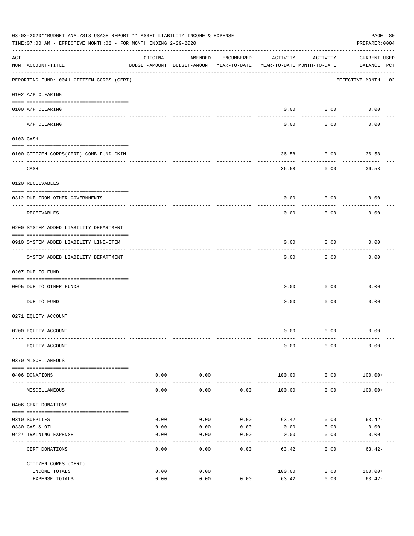|     | 03-03-2020**BUDGET ANALYSIS USAGE REPORT ** ASSET LIABILITY INCOME & EXPENSE<br>PAGE 80<br>TIME: 07:00 AM - EFFECTIVE MONTH: 02 - FOR MONTH ENDING 2-29-2020<br>PREPARER: 0004 |                     |                                                     |            |                                        |                           |                                    |  |  |  |  |  |
|-----|--------------------------------------------------------------------------------------------------------------------------------------------------------------------------------|---------------------|-----------------------------------------------------|------------|----------------------------------------|---------------------------|------------------------------------|--|--|--|--|--|
| ACT | NUM ACCOUNT-TITLE                                                                                                                                                              | ORIGINAL            | AMENDED<br>BUDGET-AMOUNT BUDGET-AMOUNT YEAR-TO-DATE | ENCUMBERED | ACTIVITY<br>YEAR-TO-DATE MONTH-TO-DATE | ACTIVITY                  | <b>CURRENT USED</b><br>BALANCE PCT |  |  |  |  |  |
|     | REPORTING FUND: 0041 CITIZEN CORPS (CERT)                                                                                                                                      |                     |                                                     |            |                                        |                           | EFFECTIVE MONTH - 02               |  |  |  |  |  |
|     | 0102 A/P CLEARING                                                                                                                                                              |                     |                                                     |            |                                        |                           |                                    |  |  |  |  |  |
|     | 0100 A/P CLEARING                                                                                                                                                              |                     |                                                     |            | 0.00                                   | 0.00                      | 0.00                               |  |  |  |  |  |
|     | A/P CLEARING                                                                                                                                                                   |                     |                                                     |            | 0.00                                   | -------<br>0.00           | 0.00                               |  |  |  |  |  |
|     | 0103 CASH                                                                                                                                                                      |                     |                                                     |            |                                        |                           |                                    |  |  |  |  |  |
|     | 0100 CITIZEN CORPS(CERT)-COMB.FUND CKIN                                                                                                                                        |                     |                                                     |            | 36.58                                  | 0.00                      | 36.58                              |  |  |  |  |  |
|     | CASH                                                                                                                                                                           |                     |                                                     |            | 36.58                                  | 0.00                      | 36.58                              |  |  |  |  |  |
|     | 0120 RECEIVABLES                                                                                                                                                               |                     |                                                     |            |                                        |                           |                                    |  |  |  |  |  |
|     | 0312 DUE FROM OTHER GOVERNMENTS                                                                                                                                                |                     |                                                     |            | 0.00                                   | 0.00                      | 0.00                               |  |  |  |  |  |
|     | RECEIVABLES                                                                                                                                                                    |                     |                                                     |            | 0.00                                   | 0.00                      | 0.00                               |  |  |  |  |  |
|     | 0200 SYSTEM ADDED LIABILITY DEPARTMENT                                                                                                                                         |                     |                                                     |            |                                        |                           |                                    |  |  |  |  |  |
|     | 0910 SYSTEM ADDED LIABILITY LINE-ITEM                                                                                                                                          |                     |                                                     |            | 0.00                                   | 0.00<br>$- - - - - - - -$ | 0.00                               |  |  |  |  |  |
|     | SYSTEM ADDED LIABILITY DEPARTMENT                                                                                                                                              |                     |                                                     |            | 0.00                                   | 0.00                      | 0.00                               |  |  |  |  |  |
|     | 0207 DUE TO FUND                                                                                                                                                               |                     |                                                     |            |                                        |                           |                                    |  |  |  |  |  |
|     | 0095 DUE TO OTHER FUNDS                                                                                                                                                        |                     |                                                     |            | 0.00                                   | 0.00                      | 0.00                               |  |  |  |  |  |
|     | DUE TO FUND                                                                                                                                                                    |                     |                                                     |            | 0.00                                   | 0.00                      | 0.00                               |  |  |  |  |  |
|     | 0271 EQUITY ACCOUNT                                                                                                                                                            |                     |                                                     |            |                                        |                           |                                    |  |  |  |  |  |
|     | 0200 EQUITY ACCOUNT                                                                                                                                                            |                     |                                                     |            | 0.00                                   | 0.00                      | 0.00                               |  |  |  |  |  |
|     | EQUITY ACCOUNT                                                                                                                                                                 |                     |                                                     |            | 0.00                                   | 0.00                      | 0.00                               |  |  |  |  |  |
|     | 0370 MISCELLANEOUS                                                                                                                                                             |                     |                                                     |            |                                        |                           |                                    |  |  |  |  |  |
|     | 0406 DONATIONS                                                                                                                                                                 | 0.00<br>$- - - - -$ | 0.00<br>----------                                  |            | 100.00                                 | 0.00<br>----------        | $100.00+$                          |  |  |  |  |  |
|     | MISCELLANEOUS                                                                                                                                                                  | 0.00                | 0.00                                                | 0.00       | 100.00                                 | 0.00                      | $100.00+$                          |  |  |  |  |  |
|     | 0406 CERT DONATIONS                                                                                                                                                            |                     |                                                     |            |                                        |                           |                                    |  |  |  |  |  |
|     | 0310 SUPPLIES                                                                                                                                                                  | 0.00                | 0.00                                                | 0.00       | 63.42                                  | 0.00                      | $63.42-$                           |  |  |  |  |  |
|     | 0330 GAS & OIL                                                                                                                                                                 | 0.00                | 0.00                                                | 0.00       | 0.00                                   | 0.00                      | 0.00                               |  |  |  |  |  |
|     | 0427 TRAINING EXPENSE                                                                                                                                                          | 0.00                | 0.00                                                | 0.00       | 0.00                                   | 0.00                      | 0.00                               |  |  |  |  |  |
|     | CERT DONATIONS                                                                                                                                                                 | 0.00                | 0.00                                                | 0.00       | 63.42                                  | 0.00                      | $63.42-$                           |  |  |  |  |  |
|     | CITIZEN CORPS (CERT)                                                                                                                                                           |                     |                                                     |            |                                        |                           |                                    |  |  |  |  |  |
|     | INCOME TOTALS<br>EXPENSE TOTALS                                                                                                                                                | 0.00<br>0.00        | 0.00<br>0.00                                        | 0.00       | 100.00<br>63.42                        | 0.00<br>0.00              | $100.00+$<br>$63.42-$              |  |  |  |  |  |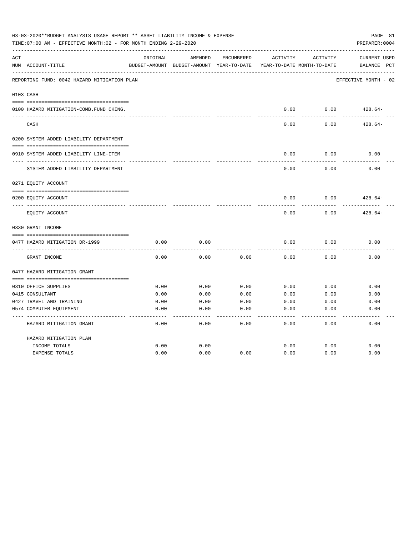| 03-03-2020**BUDGET ANALYSIS USAGE REPORT ** ASSET LIABILITY INCOME & EXPENSE<br>TIME: 07:00 AM - EFFECTIVE MONTH: 02 - FOR MONTH ENDING 2-29-2020<br>PREPARER: 0004 |                                             |              |                                          |              |              |                            |                      |  |
|---------------------------------------------------------------------------------------------------------------------------------------------------------------------|---------------------------------------------|--------------|------------------------------------------|--------------|--------------|----------------------------|----------------------|--|
| ACT                                                                                                                                                                 |                                             | ORIGINAL     | AMENDED                                  | ENCUMBERED   | ACTIVITY     | ACTIVITY                   | <b>CURRENT USED</b>  |  |
|                                                                                                                                                                     | NUM ACCOUNT-TITLE                           |              | BUDGET-AMOUNT BUDGET-AMOUNT YEAR-TO-DATE |              |              | YEAR-TO-DATE MONTH-TO-DATE | BALANCE<br>PCT       |  |
|                                                                                                                                                                     | REPORTING FUND: 0042 HAZARD MITIGATION PLAN |              |                                          |              |              |                            | EFFECTIVE MONTH - 02 |  |
|                                                                                                                                                                     | 0103 CASH                                   |              |                                          |              |              |                            |                      |  |
|                                                                                                                                                                     | 0100 HAZARD MITIGATION-COMB.FUND CKING.     |              |                                          |              | 0.00         | 0.00                       | $428.64-$            |  |
|                                                                                                                                                                     | CASH                                        |              |                                          |              | 0.00         | 0.00                       | $428.64-$            |  |
|                                                                                                                                                                     | 0200 SYSTEM ADDED LIABILITY DEPARTMENT      |              |                                          |              |              |                            |                      |  |
|                                                                                                                                                                     |                                             |              |                                          |              |              |                            |                      |  |
|                                                                                                                                                                     | 0910 SYSTEM ADDED LIABILITY LINE-ITEM       |              |                                          |              | 0.00         | 0.00                       | 0.00                 |  |
|                                                                                                                                                                     | SYSTEM ADDED LIABILITY DEPARTMENT           |              |                                          |              | 0.00         | 0.00                       | 0.00                 |  |
|                                                                                                                                                                     | 0271 EQUITY ACCOUNT                         |              |                                          |              |              |                            |                      |  |
|                                                                                                                                                                     | 0200 EQUITY ACCOUNT                         |              |                                          |              | 0.00         | 0.00                       | $428.64-$            |  |
|                                                                                                                                                                     | EQUITY ACCOUNT                              |              |                                          |              | 0.00         | 0.00                       | $428.64-$            |  |
|                                                                                                                                                                     | 0330 GRANT INCOME                           |              |                                          |              |              |                            |                      |  |
|                                                                                                                                                                     |                                             |              |                                          |              |              |                            |                      |  |
|                                                                                                                                                                     | 0477 HAZARD MITIGATION DR-1999              | 0.00         | 0.00                                     |              | 0.00         | 0.00                       | 0.00                 |  |
|                                                                                                                                                                     | GRANT INCOME                                | 0.00         | 0.00                                     | 0.00         | 0.00         | 0.00                       | 0.00                 |  |
|                                                                                                                                                                     | 0477 HAZARD MITIGATION GRANT                |              |                                          |              |              |                            |                      |  |
|                                                                                                                                                                     |                                             |              |                                          |              |              |                            |                      |  |
|                                                                                                                                                                     | 0310 OFFICE SUPPLIES<br>0415 CONSULTANT     | 0.00<br>0.00 | 0.00                                     | 0.00         | 0.00         | 0.00                       | 0.00                 |  |
|                                                                                                                                                                     | 0427 TRAVEL AND TRAINING                    | 0.00         | 0.00<br>0.00                             | 0.00<br>0.00 | 0.00<br>0.00 | 0.00<br>0.00               | 0.00<br>0.00         |  |
|                                                                                                                                                                     |                                             | 0.00         | 0.00                                     | 0.00         | 0.00         | 0.00                       |                      |  |
|                                                                                                                                                                     | 0574 COMPUTER EQUIPMENT                     |              |                                          |              |              |                            | 0.00                 |  |
|                                                                                                                                                                     | HAZARD MITIGATION GRANT                     | 0.00         | 0.00                                     | 0.00         | 0.00         | 0.00                       | 0.00                 |  |
|                                                                                                                                                                     | HAZARD MITIGATION PLAN                      |              |                                          |              |              |                            |                      |  |
|                                                                                                                                                                     | INCOME TOTALS                               | 0.00         | 0.00                                     |              | 0.00         | 0.00                       | 0.00                 |  |
|                                                                                                                                                                     | <b>EXPENSE TOTALS</b>                       | 0.00         | 0.00                                     | 0.00         | 0.00         | 0.00                       | 0.00                 |  |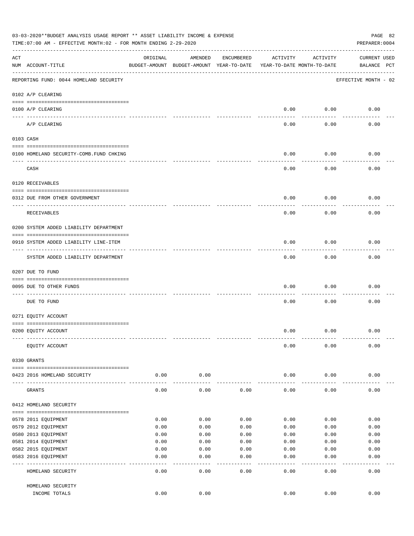|     | 03-03-2020**BUDGET ANALYSIS USAGE REPORT ** ASSET LIABILITY INCOME & EXPENSE<br>PAGE 82<br>TIME: 07:00 AM - EFFECTIVE MONTH: 02 - FOR MONTH ENDING 2-29-2020<br>PREPARER: 0004 |          |                                                     |              |                                        |           |                                    |  |  |  |  |
|-----|--------------------------------------------------------------------------------------------------------------------------------------------------------------------------------|----------|-----------------------------------------------------|--------------|----------------------------------------|-----------|------------------------------------|--|--|--|--|
| ACT | NUM ACCOUNT-TITLE                                                                                                                                                              | ORIGINAL | AMENDED<br>BUDGET-AMOUNT BUDGET-AMOUNT YEAR-TO-DATE | ENCUMBERED   | ACTIVITY<br>YEAR-TO-DATE MONTH-TO-DATE | ACTIVITY  | <b>CURRENT USED</b><br>BALANCE PCT |  |  |  |  |
|     | REPORTING FUND: 0044 HOMELAND SECURITY                                                                                                                                         |          |                                                     |              |                                        |           | EFFECTIVE MONTH - 02               |  |  |  |  |
|     | 0102 A/P CLEARING                                                                                                                                                              |          |                                                     |              |                                        |           |                                    |  |  |  |  |
|     | 0100 A/P CLEARING<br>---- ----------                                                                                                                                           |          |                                                     |              | 0.00                                   | 0.00      | 0.00                               |  |  |  |  |
|     | A/P CLEARING                                                                                                                                                                   |          |                                                     |              | 0.00                                   | 0.00      | 0.00                               |  |  |  |  |
|     | 0103 CASH                                                                                                                                                                      |          |                                                     |              |                                        |           |                                    |  |  |  |  |
|     | 0100 HOMELAND SECURITY-COMB.FUND CHKING                                                                                                                                        |          |                                                     |              | 0.00                                   | 0.00      | 0.00                               |  |  |  |  |
|     | CASH                                                                                                                                                                           |          |                                                     |              | 0.00                                   | 0.00      | 0.00                               |  |  |  |  |
|     | 0120 RECEIVABLES                                                                                                                                                               |          |                                                     |              |                                        |           |                                    |  |  |  |  |
|     |                                                                                                                                                                                |          |                                                     |              |                                        |           |                                    |  |  |  |  |
|     | 0312 DUE FROM OTHER GOVERNMENT                                                                                                                                                 |          |                                                     |              | 0.00                                   | 0.00      | 0.00                               |  |  |  |  |
|     | RECEIVABLES                                                                                                                                                                    |          |                                                     |              | 0.00                                   | 0.00      | 0.00                               |  |  |  |  |
|     | 0200 SYSTEM ADDED LIABILITY DEPARTMENT                                                                                                                                         |          |                                                     |              |                                        |           |                                    |  |  |  |  |
|     | 0910 SYSTEM ADDED LIABILITY LINE-ITEM                                                                                                                                          |          |                                                     |              | 0.00                                   | 0.00      | 0.00                               |  |  |  |  |
|     | SYSTEM ADDED LIABILITY DEPARTMENT                                                                                                                                              |          |                                                     |              | 0.00                                   | 0.00      | 0.00                               |  |  |  |  |
|     | 0207 DUE TO FUND                                                                                                                                                               |          |                                                     |              |                                        |           |                                    |  |  |  |  |
|     | 0095 DUE TO OTHER FUNDS                                                                                                                                                        |          |                                                     |              | 0.00                                   | 0.00      | 0.00                               |  |  |  |  |
|     | DUE TO FUND                                                                                                                                                                    |          |                                                     |              | 0.00                                   | 0.00      | 0.00                               |  |  |  |  |
|     | 0271 EQUITY ACCOUNT                                                                                                                                                            |          |                                                     |              |                                        |           |                                    |  |  |  |  |
|     | 0200 EQUITY ACCOUNT                                                                                                                                                            |          |                                                     |              | 0.00                                   | 0.00      | 0.00                               |  |  |  |  |
|     | EQUITY ACCOUNT                                                                                                                                                                 |          |                                                     |              | 0.00                                   | 0.00      | 0.00                               |  |  |  |  |
|     | 0330 GRANTS                                                                                                                                                                    |          |                                                     |              |                                        |           |                                    |  |  |  |  |
|     | 0423 2016 HOMELAND SECURITY                                                                                                                                                    | 0.00     | 0.00                                                |              | 0.00                                   | 0.00      | 0.00                               |  |  |  |  |
|     | GRANTS                                                                                                                                                                         | 0.00     | 0.00                                                | 0.00         | 0.00                                   | 0.00      | 0.00                               |  |  |  |  |
|     | 0412 HOMELAND SECURITY                                                                                                                                                         |          |                                                     |              |                                        |           |                                    |  |  |  |  |
|     | 0578 2011 EQUIPMENT                                                                                                                                                            | 0.00     | 0.00                                                | 0.00         | 0.00                                   | 0.00      | 0.00                               |  |  |  |  |
|     | 0579 2012 EQUIPMENT                                                                                                                                                            | 0.00     | 0.00                                                | 0.00         | 0.00                                   | 0.00      | 0.00                               |  |  |  |  |
|     | 0580 2013 EQUIPMENT                                                                                                                                                            | 0.00     | 0.00                                                | 0.00         | 0.00                                   | 0.00      | 0.00                               |  |  |  |  |
|     | 0581 2014 EQUIPMENT                                                                                                                                                            | 0.00     | 0.00                                                | 0.00         | 0.00                                   | 0.00      | 0.00                               |  |  |  |  |
|     | 0582 2015 EQUIPMENT                                                                                                                                                            | 0.00     | 0.00                                                | 0.00         | 0.00                                   | 0.00      | 0.00                               |  |  |  |  |
|     | 0583 2016 EQUIPMENT                                                                                                                                                            | 0.00     | 0.00                                                | 0.00         | 0.00                                   | 0.00      | 0.00                               |  |  |  |  |
|     | HOMELAND SECURITY                                                                                                                                                              | 0.00     | - - - -<br>0.00                                     | ----<br>0.00 | $---$<br>0.00                          | .<br>0.00 | 0.00                               |  |  |  |  |
|     | HOMELAND SECURITY                                                                                                                                                              |          |                                                     |              |                                        |           |                                    |  |  |  |  |
|     | INCOME TOTALS                                                                                                                                                                  | 0.00     | 0.00                                                |              | 0.00                                   | 0.00      | 0.00                               |  |  |  |  |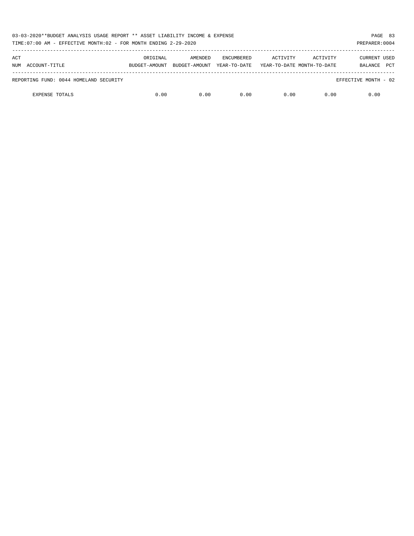| 03-03-2020**BUDGET ANALYSIS USAGE REPORT ** ASSET LIABILITY INCOME & EXPENSE<br>TIME: 07:00 AM - EFFECTIVE MONTH: 02 - FOR MONTH ENDING 2-29-2020 |               |               |                   |                            |          |                       |  |  |
|---------------------------------------------------------------------------------------------------------------------------------------------------|---------------|---------------|-------------------|----------------------------|----------|-----------------------|--|--|
| ACT                                                                                                                                               | ORIGINAL      | AMENDED       | <b>ENCUMBERED</b> | ACTIVITY                   | ACTIVITY | CURRENT USED          |  |  |
| NUM ACCOUNT-TITLE                                                                                                                                 | BUDGET-AMOUNT | BUDGET-AMOUNT | YEAR-TO-DATE      | YEAR-TO-DATE MONTH-TO-DATE |          | <b>PCT</b><br>BALANCE |  |  |
| REPORTING FUND: 0044 HOMELAND SECURITY                                                                                                            |               |               |                   |                            |          | EFFECTIVE MONTH - 02  |  |  |
| <b>EXPENSE TOTALS</b>                                                                                                                             | 0.00          | 0.00          | 0.00              | 0.00                       | 0.00     | 0.00                  |  |  |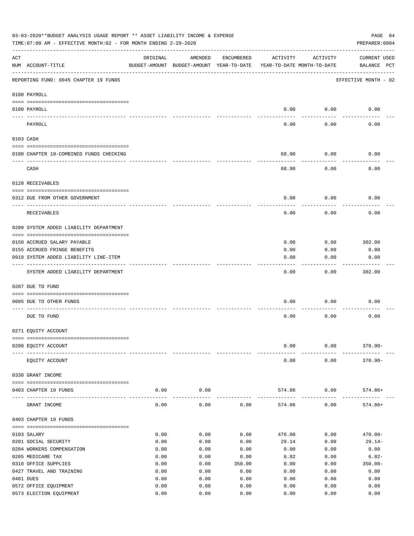| 03-03-2020**BUDGET ANALYSIS USAGE REPORT ** ASSET LIABILITY INCOME & EXPENSE<br>PAGE 84<br>TIME: 07:00 AM - EFFECTIVE MONTH: 02 - FOR MONTH ENDING 2-29-2020<br>PREPARER: 0004 |                                         |          |                                                     |            |                                        |          |                                    |  |  |  |
|--------------------------------------------------------------------------------------------------------------------------------------------------------------------------------|-----------------------------------------|----------|-----------------------------------------------------|------------|----------------------------------------|----------|------------------------------------|--|--|--|
| ACT                                                                                                                                                                            | NUM ACCOUNT-TITLE                       | ORIGINAL | AMENDED<br>BUDGET-AMOUNT BUDGET-AMOUNT YEAR-TO-DATE | ENCUMBERED | ACTIVITY<br>YEAR-TO-DATE MONTH-TO-DATE | ACTIVITY | <b>CURRENT USED</b><br>BALANCE PCT |  |  |  |
|                                                                                                                                                                                | REPORTING FUND: 0045 CHAPTER 19 FUNDS   |          |                                                     |            |                                        |          | EFFECTIVE MONTH - 02               |  |  |  |
|                                                                                                                                                                                | 0100 PAYROLL                            |          |                                                     |            |                                        |          |                                    |  |  |  |
|                                                                                                                                                                                | 0100 PAYROLL                            |          |                                                     |            | 0.00                                   | 0.00     | 0.00                               |  |  |  |
|                                                                                                                                                                                | PAYROLL                                 |          |                                                     |            | 0.00                                   | 0.00     | 0.00                               |  |  |  |
|                                                                                                                                                                                | 0103 CASH                               |          |                                                     |            |                                        |          |                                    |  |  |  |
|                                                                                                                                                                                | 0100 CHAPTER 19-COMBINED FUNDS CHECKING |          |                                                     |            | 68.90                                  | 0.00     | 0.00                               |  |  |  |
|                                                                                                                                                                                | CASH                                    |          |                                                     |            | 68.90                                  | 0.00     | 0.00                               |  |  |  |
|                                                                                                                                                                                | 0120 RECEIVABLES                        |          |                                                     |            |                                        |          |                                    |  |  |  |
|                                                                                                                                                                                | 0312 DUE FROM OTHER GOVERNMENT          |          |                                                     |            | 0.00                                   | 0.00     | 0.00                               |  |  |  |
|                                                                                                                                                                                | RECEIVABLES                             |          |                                                     |            | 0.00                                   | 0.00     | 0.00                               |  |  |  |
|                                                                                                                                                                                | 0200 SYSTEM ADDED LIABILITY DEPARTMENT  |          |                                                     |            |                                        |          |                                    |  |  |  |
|                                                                                                                                                                                | 0150 ACCRUED SALARY PAYABLE             |          |                                                     |            | 0.00                                   | 0.00     | 302.00                             |  |  |  |
|                                                                                                                                                                                | 0155 ACCRUED FRINGE BENEFITS            |          |                                                     |            | 0.00                                   | 0.00     | 0.00                               |  |  |  |
|                                                                                                                                                                                | 0910 SYSTEM ADDED LIABILITY LINE-ITEM   |          |                                                     |            | 0.00                                   | 0.00     | 0.00                               |  |  |  |
|                                                                                                                                                                                | SYSTEM ADDED LIABILITY DEPARTMENT       |          |                                                     |            | 0.00                                   | 0.00     | 302.00                             |  |  |  |
|                                                                                                                                                                                | 0207 DUE TO FUND                        |          |                                                     |            |                                        |          |                                    |  |  |  |
|                                                                                                                                                                                | 0095 DUE TO OTHER FUNDS                 |          |                                                     |            | 0.00                                   | 0.00     | 0.00                               |  |  |  |
|                                                                                                                                                                                | DUE TO FUND                             |          |                                                     |            | 0.00                                   | 0.00     | 0.00                               |  |  |  |
|                                                                                                                                                                                | 0271 EQUITY ACCOUNT                     |          |                                                     |            |                                        |          |                                    |  |  |  |
|                                                                                                                                                                                | 0200 EQUITY ACCOUNT                     |          |                                                     |            | 0.00                                   | 0.00     | $370.90 -$                         |  |  |  |
|                                                                                                                                                                                | EQUITY ACCOUNT                          |          |                                                     |            | 0.00                                   | 0.00     | $370.90 -$                         |  |  |  |
|                                                                                                                                                                                | 0330 GRANT INCOME                       |          |                                                     |            |                                        |          |                                    |  |  |  |
|                                                                                                                                                                                | 0403 CHAPTER 19 FUNDS                   | 0.00     | 0.00                                                |            | 574.86                                 | 0.00     | 574.86+                            |  |  |  |
| ----                                                                                                                                                                           | GRANT INCOME                            | 0.00     | 0.00                                                | 0.00       | 574.86                                 | 0.00     | $574.86+$                          |  |  |  |
|                                                                                                                                                                                | 0403 CHAPTER 19 FUNDS                   |          |                                                     |            |                                        |          |                                    |  |  |  |
|                                                                                                                                                                                | 0103 SALARY                             | 0.00     | 0.00                                                | 0.00       | 470.00                                 | 0.00     | $470.00 -$                         |  |  |  |
|                                                                                                                                                                                | 0201 SOCIAL SECURITY                    | 0.00     | 0.00                                                | 0.00       | 29.14                                  | 0.00     | $29.14-$                           |  |  |  |
|                                                                                                                                                                                | 0204 WORKERS COMPENSATION               | 0.00     | 0.00                                                | 0.00       | 0.00                                   | 0.00     | 0.00                               |  |  |  |
|                                                                                                                                                                                | 0205 MEDICARE TAX                       | 0.00     | 0.00                                                | 0.00       | 6.82                                   | 0.00     | $6.82-$                            |  |  |  |
|                                                                                                                                                                                | 0310 OFFICE SUPPLIES                    | 0.00     | 0.00                                                | 350.00     | 0.00                                   | 0.00     | $350.00 -$                         |  |  |  |
|                                                                                                                                                                                | 0427 TRAVEL AND TRAINING                | 0.00     | 0.00                                                | 0.00       | 0.00                                   | 0.00     | 0.00                               |  |  |  |
|                                                                                                                                                                                | 0481 DUES                               | 0.00     | 0.00                                                | 0.00       | 0.00                                   | 0.00     | 0.00                               |  |  |  |
|                                                                                                                                                                                | 0572 OFFICE EQUIPMENT                   | 0.00     | 0.00                                                | 0.00       | 0.00                                   | 0.00     | 0.00                               |  |  |  |
|                                                                                                                                                                                | 0573 ELECTION EQUIPMENT                 | 0.00     | 0.00                                                | 0.00       | 0.00                                   | 0.00     | 0.00                               |  |  |  |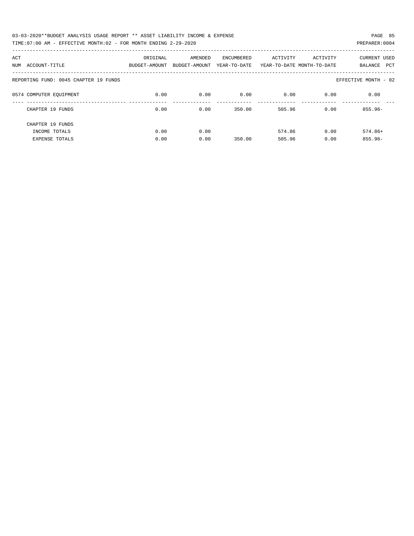| 03-03-2020**BUDGET ANALYSIS USAGE REPORT ** ASSET LIABILITY INCOME & EXPENSE | PAGE 85        |
|------------------------------------------------------------------------------|----------------|
| TIME:07:00 AM - EFFECTIVE MONTH:02 - FOR MONTH ENDING 2-29-2020              | PREPARER: 0004 |

| ACT<br>ACCOUNT-TITLE<br>NUM           | ORIGINAL<br>BUDGET-AMOUNT | AMENDED<br>BUDGET-AMOUNT | ENCUMBERED<br>YEAR-TO-DATE | ACTIVITY | ACTIVITY<br>YEAR-TO-DATE MONTH-TO-DATE | <b>CURRENT USED</b><br>PCT<br>BALANCE |
|---------------------------------------|---------------------------|--------------------------|----------------------------|----------|----------------------------------------|---------------------------------------|
| REPORTING FUND: 0045 CHAPTER 19 FUNDS |                           |                          |                            |          |                                        | EFFECTIVE MONTH - 02                  |
| 0574 COMPUTER EQUIPMENT               | 0.00                      | 0.00                     | 0.00                       | 0.00     | 0.00                                   | 0.00                                  |
| CHAPTER 19 FUNDS                      | 0.00                      | 0.00                     | 350.00                     | 505.96   | 0.00                                   | $855.96 -$                            |
| CHAPTER 19 FUNDS                      |                           |                          |                            |          |                                        |                                       |
| INCOME TOTALS                         | 0.00                      | 0.00                     |                            | 574.86   | 0.00                                   | $574.86+$                             |
| <b>EXPENSE TOTALS</b>                 | 0.00                      | 0.00                     | 350.00                     | 505.96   | 0.00                                   | $855.96 -$                            |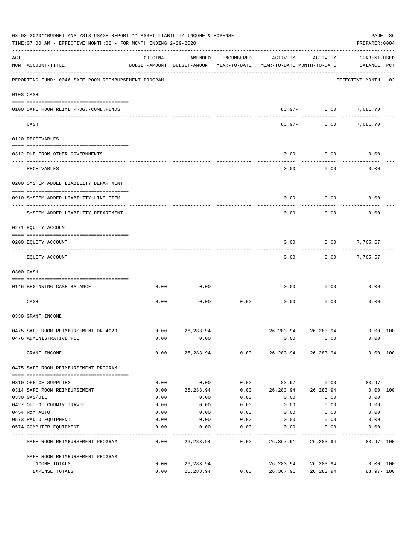|     | 03-03-2020**BUDGET ANALYSIS USAGE REPORT ** ASSET LIABILITY INCOME & EXPENSE<br>TIME: 07:00 AM - EFFECTIVE MONTH: 02 - FOR MONTH ENDING 2-29-2020 |                                                      |                          |            |                                          |                                     |                                    |  |  |  |  |
|-----|---------------------------------------------------------------------------------------------------------------------------------------------------|------------------------------------------------------|--------------------------|------------|------------------------------------------|-------------------------------------|------------------------------------|--|--|--|--|
| ACT | NUM ACCOUNT-TITLE                                                                                                                                 | ORIGINAL<br>BUDGET-AMOUNT BUDGET-AMOUNT YEAR-TO-DATE | AMENDED                  | ENCUMBERED | ACTIVITY<br>YEAR-TO-DATE MONTH-TO-DATE   | ACTIVITY                            | <b>CURRENT USED</b><br>BALANCE PCT |  |  |  |  |
|     | REPORTING FUND: 0046 SAFE ROOM REIMBURSEMENT PROGRAM                                                                                              |                                                      |                          |            |                                          |                                     | EFFECTIVE MONTH - 02               |  |  |  |  |
|     | 0103 CASH                                                                                                                                         |                                                      |                          |            |                                          |                                     |                                    |  |  |  |  |
|     | 0100 SAFE ROOM REIMB. PROG. - COMB. FUNDS                                                                                                         |                                                      |                          |            |                                          | 83.97- 0.00 7,681.70<br>----------- |                                    |  |  |  |  |
|     | CASH                                                                                                                                              |                                                      |                          |            | $83.97 -$                                |                                     | $0.00$ 7,681.70                    |  |  |  |  |
|     | 0120 RECEIVABLES                                                                                                                                  |                                                      |                          |            |                                          |                                     |                                    |  |  |  |  |
|     | 0312 DUE FROM OTHER GOVERNMENTS                                                                                                                   |                                                      |                          |            | 0.00                                     | 0.00                                | 0.00                               |  |  |  |  |
|     | RECEIVABLES                                                                                                                                       |                                                      |                          |            | 0.00                                     | 0.00                                | 0.00                               |  |  |  |  |
|     | 0200 SYSTEM ADDED LIABILITY DEPARTMENT                                                                                                            |                                                      |                          |            |                                          |                                     |                                    |  |  |  |  |
|     | 0910 SYSTEM ADDED LIABILITY LINE-ITEM                                                                                                             |                                                      |                          |            | 0.00                                     | 0.00                                | 0.00                               |  |  |  |  |
|     | SYSTEM ADDED LIABILITY DEPARTMENT                                                                                                                 |                                                      |                          |            | 0.00                                     | 0.00                                | 0.00                               |  |  |  |  |
|     | 0271 EQUITY ACCOUNT                                                                                                                               |                                                      |                          |            |                                          |                                     |                                    |  |  |  |  |
|     | 0200 EQUITY ACCOUNT                                                                                                                               |                                                      |                          |            | 0.00                                     | 0.00                                | 7,765.67                           |  |  |  |  |
|     | EQUITY ACCOUNT                                                                                                                                    |                                                      |                          |            | 0.00                                     |                                     | $0.00$ 7,765.67                    |  |  |  |  |
|     | 0300 CASH                                                                                                                                         |                                                      |                          |            |                                          |                                     |                                    |  |  |  |  |
|     | 0146 BEGINNING CASH BALANCE                                                                                                                       | 0.00                                                 | 0.00                     |            | 0.00                                     | 0.00                                | 0.00                               |  |  |  |  |
|     | CASH                                                                                                                                              | 0.00                                                 | 0.00                     | 0.00       | 0.00                                     | 0.00                                | 0.00                               |  |  |  |  |
|     | 0330 GRANT INCOME                                                                                                                                 |                                                      |                          |            |                                          |                                     |                                    |  |  |  |  |
|     | 0475 SAFE ROOM REIMBURSEMENT DR-4029                                                                                                              |                                                      | $0.00$ 26,283.94         |            |                                          | 26,283.94 26,283.94 0.00 100        |                                    |  |  |  |  |
|     | 0476 ADMINISTRATIVE FEE                                                                                                                           | 0.00                                                 | 0.00                     |            | 0.00                                     | 0.00                                | 0.00                               |  |  |  |  |
|     | GRANT INCOME                                                                                                                                      | 0.00                                                 |                          |            | 26, 283.94  0.00  26, 283.94  26, 283.94 |                                     | 0.00 100                           |  |  |  |  |
|     | 0475 SAFE ROOM REIMBURSEMENT PROGRAM                                                                                                              |                                                      |                          |            |                                          |                                     |                                    |  |  |  |  |
|     | 0310 OFFICE SUPPLIES                                                                                                                              | 0.00                                                 | 0.00                     | 0.00       | 83.97                                    | 0.00                                | $83.97 -$                          |  |  |  |  |
|     | 0314 SAFE ROOM REIMBURSEMENT                                                                                                                      | 0.00                                                 | 26,283.94                | 0.00       |                                          | 26, 283.94 26, 283.94               | $0.00$ 100                         |  |  |  |  |
|     | 0330 GAS/OIL                                                                                                                                      | 0.00                                                 | 0.00                     | 0.00       | 0.00                                     | 0.00                                | 0.00                               |  |  |  |  |
|     | 0427 OUT OF COUNTY TRAVEL                                                                                                                         | 0.00                                                 | 0.00                     | 0.00       | 0.00                                     | 0.00                                | 0.00                               |  |  |  |  |
|     | 0454 R&M AUTO                                                                                                                                     | 0.00                                                 | 0.00                     | 0.00       | 0.00                                     | 0.00                                | 0.00                               |  |  |  |  |
|     | 0573 RADIO EQUIPMENT                                                                                                                              | 0.00                                                 | 0.00                     | 0.00       | 0.00                                     | 0.00                                | 0.00                               |  |  |  |  |
|     | 0574 COMPUTER EQUIPMENT                                                                                                                           | 0.00                                                 | 0.00                     | 0.00       | 0.00                                     | 0.00                                | 0.00                               |  |  |  |  |
|     | SAFE ROOM REIMBURSEMENT PROGRAM                                                                                                                   | 0.00                                                 | 26,283.94                | 0.00       |                                          | 26, 367.91 26, 283.94               | $83.97 - 100$                      |  |  |  |  |
|     | SAFE ROOM REIMBURSEMENT PROGRAM                                                                                                                   |                                                      |                          |            |                                          |                                     |                                    |  |  |  |  |
|     | INCOME TOTALS<br>EXPENSE TOTALS                                                                                                                   | 0.00<br>0.00                                         | 26, 283.94<br>26, 283.94 | 0.00       | 26,283.94<br>26,367.91                   | 26,283.94<br>26,283.94              | $0.00$ 100<br>$83.97 - 100$        |  |  |  |  |
|     |                                                                                                                                                   |                                                      |                          |            |                                          |                                     |                                    |  |  |  |  |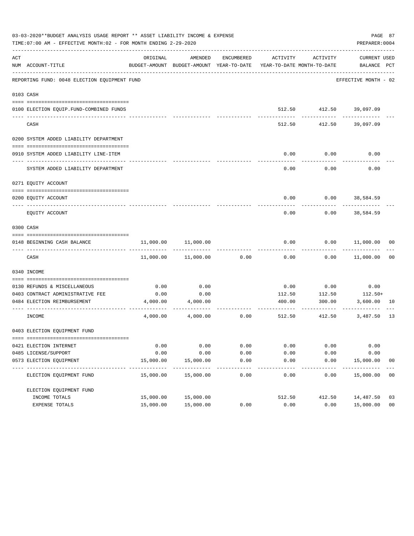|     | 03-03-2020**BUDGET ANALYSIS USAGE REPORT ** ASSET LIABILITY INCOME & EXPENSE<br>PAGE 87<br>TIME: 07:00 AM - EFFECTIVE MONTH: 02 - FOR MONTH ENDING 2-29-2020<br>PREPARER: 0004 |           |                                                                                |              |                      |                         |                             |                |  |  |  |  |
|-----|--------------------------------------------------------------------------------------------------------------------------------------------------------------------------------|-----------|--------------------------------------------------------------------------------|--------------|----------------------|-------------------------|-----------------------------|----------------|--|--|--|--|
| ACT | NUM ACCOUNT-TITLE                                                                                                                                                              | ORIGINAL  | AMENDED<br>BUDGET-AMOUNT BUDGET-AMOUNT YEAR-TO-DATE YEAR-TO-DATE MONTH-TO-DATE | ENCUMBERED   |                      | ACTIVITY ACTIVITY       | CURRENT USED<br>BALANCE PCT |                |  |  |  |  |
|     | REPORTING FUND: 0048 ELECTION EQUIPMENT FUND                                                                                                                                   |           |                                                                                |              |                      |                         | EFFECTIVE MONTH - 02        |                |  |  |  |  |
|     | 0103 CASH                                                                                                                                                                      |           |                                                                                |              |                      |                         |                             |                |  |  |  |  |
|     | 0100 ELECTION EQUIP.FUND-COMBINED FUNDS                                                                                                                                        |           |                                                                                |              |                      | 512.50 412.50 39,097.09 |                             |                |  |  |  |  |
|     | _____________________________<br>CASH                                                                                                                                          |           |                                                                                |              | 512.50               | 412.50                  | ---------<br>39,097.09      |                |  |  |  |  |
|     | 0200 SYSTEM ADDED LIABILITY DEPARTMENT                                                                                                                                         |           |                                                                                |              |                      |                         |                             |                |  |  |  |  |
|     | 0910 SYSTEM ADDED LIABILITY LINE-ITEM                                                                                                                                          |           |                                                                                |              | 0.00                 | 0.00                    | 0.00                        |                |  |  |  |  |
|     | SYSTEM ADDED LIABILITY DEPARTMENT                                                                                                                                              |           |                                                                                |              | 0.00                 | 0.00                    | 0.00                        |                |  |  |  |  |
|     | 0271 EQUITY ACCOUNT                                                                                                                                                            |           |                                                                                |              |                      |                         |                             |                |  |  |  |  |
|     | 0200 EQUITY ACCOUNT                                                                                                                                                            |           |                                                                                |              |                      |                         | $0.00$ $0.00$ $38,584.59$   |                |  |  |  |  |
|     | EQUITY ACCOUNT                                                                                                                                                                 |           |                                                                                |              | 0.00                 | 0.00                    | 38,584.59                   |                |  |  |  |  |
|     | 0300 CASH                                                                                                                                                                      |           |                                                                                |              |                      |                         |                             |                |  |  |  |  |
|     | 0148 BEGINNING CASH BALANCE                                                                                                                                                    | 11,000.00 | 11,000.00                                                                      |              | 0.00                 |                         | $0.00$ 11,000.00 00         |                |  |  |  |  |
|     | CASH                                                                                                                                                                           | 11,000.00 | 11,000.00                                                                      | 0.00         | 0.00                 | 0.00                    | 11,000.00                   | 0 <sub>0</sub> |  |  |  |  |
|     | 0340 INCOME                                                                                                                                                                    |           |                                                                                |              |                      |                         |                             |                |  |  |  |  |
|     | 0130 REFUNDS & MISCELLANEOUS                                                                                                                                                   | 0.00      | 0.00                                                                           |              | 0.00                 | 0.00                    | 0.00                        |                |  |  |  |  |
|     | 0403 CONTRACT ADMINISTRATIVE FEE                                                                                                                                               | 0.00      | 0.00                                                                           |              | 112.50               | 112.50                  | $112.50+$                   |                |  |  |  |  |
|     | 0484 ELECTION REIMBURSEMENT                                                                                                                                                    |           | 4,000.00 4,000.00                                                              |              | 400.00<br>---------- | 300.00<br>-----------   | 3,600.00<br>------------    | 10             |  |  |  |  |
|     | INCOME                                                                                                                                                                         | 4,000.00  | 4,000.00                                                                       | 0.00         |                      | 512.50 412.50           | 3,487.50                    | - 13           |  |  |  |  |
|     | 0403 ELECTION EQUIPMENT FUND                                                                                                                                                   |           |                                                                                |              |                      |                         |                             |                |  |  |  |  |
|     | 0421 ELECTION INTERNET                                                                                                                                                         | 0.00      | 0.00                                                                           | 0.00         | 0.00                 | 0.00                    | 0.00                        |                |  |  |  |  |
|     | 0485 LICENSE/SUPPORT                                                                                                                                                           | 0.00      | 0.00                                                                           | 0.00         | 0.00                 | 0.00                    | 0.00                        |                |  |  |  |  |
|     | 0573 ELECTION EQUIPMENT                                                                                                                                                        | 15,000.00 | 15,000.00                                                                      | 0.00<br>---- | 0.00                 | 0.00                    | 15,000.00                   | 0 <sub>0</sub> |  |  |  |  |
|     | ELECTION EQUIPMENT FUND                                                                                                                                                        | 15,000.00 | 15,000.00                                                                      | 0.00         | 0.00                 | 0.00                    | 15,000.00                   | 00             |  |  |  |  |
|     | ELECTION EQUIPMENT FUND                                                                                                                                                        |           |                                                                                |              |                      |                         |                             |                |  |  |  |  |
|     | INCOME TOTALS                                                                                                                                                                  | 15,000.00 | 15,000.00                                                                      |              | 512.50               | 412.50                  | 14,487.50                   | 03             |  |  |  |  |
|     | EXPENSE TOTALS                                                                                                                                                                 | 15,000.00 | 15,000.00                                                                      | 0.00         | 0.00                 | 0.00                    | 15,000.00                   | 0 <sub>0</sub> |  |  |  |  |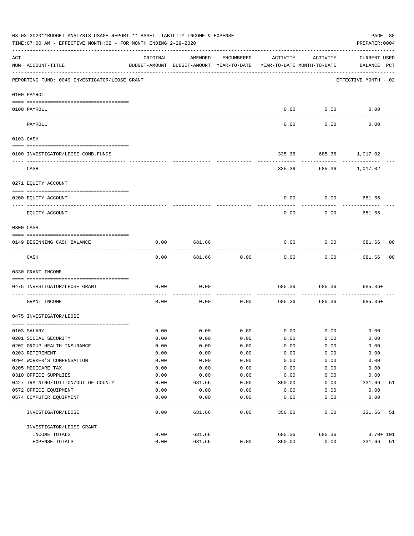|                                                                                                                                                                                                                                                                                                                                                                                              | 03-03-2020**BUDGET ANALYSIS USAGE REPORT ** ASSET LIABILITY INCOME & EXPENSE<br>TIME:07:00 AM - EFFECTIVE MONTH:02 - FOR MONTH ENDING 2-29-2020 |                                                                                 |         |                    |          |                   | PAGE 88<br>PREPARER: 0004          |                |
|----------------------------------------------------------------------------------------------------------------------------------------------------------------------------------------------------------------------------------------------------------------------------------------------------------------------------------------------------------------------------------------------|-------------------------------------------------------------------------------------------------------------------------------------------------|---------------------------------------------------------------------------------|---------|--------------------|----------|-------------------|------------------------------------|----------------|
| ACT                                                                                                                                                                                                                                                                                                                                                                                          | NUM ACCOUNT-TITLE                                                                                                                               | ORIGINAL<br>BUDGET-AMOUNT BUDGET-AMOUNT YEAR-TO-DATE YEAR-TO-DATE MONTH-TO-DATE | AMENDED | ENCUMBERED         | ACTIVITY | ACTIVITY          | <b>CURRENT USED</b><br>BALANCE PCT |                |
|                                                                                                                                                                                                                                                                                                                                                                                              | REPORTING FUND: 0049 INVESTIGATOR/LEOSE GRANT                                                                                                   |                                                                                 |         |                    |          |                   | EFFECTIVE MONTH - 02               |                |
|                                                                                                                                                                                                                                                                                                                                                                                              | 0100 PAYROLL                                                                                                                                    |                                                                                 |         |                    |          |                   |                                    |                |
|                                                                                                                                                                                                                                                                                                                                                                                              | 0100 PAYROLL                                                                                                                                    |                                                                                 |         |                    | 0.00     | 0.00              | 0.00                               |                |
| $\frac{1}{2} \frac{1}{2} \frac{1}{2} \frac{1}{2} \frac{1}{2} \frac{1}{2} \frac{1}{2} \frac{1}{2} \frac{1}{2} \frac{1}{2} \frac{1}{2} \frac{1}{2} \frac{1}{2} \frac{1}{2} \frac{1}{2} \frac{1}{2} \frac{1}{2} \frac{1}{2} \frac{1}{2} \frac{1}{2} \frac{1}{2} \frac{1}{2} \frac{1}{2} \frac{1}{2} \frac{1}{2} \frac{1}{2} \frac{1}{2} \frac{1}{2} \frac{1}{2} \frac{1}{2} \frac{1}{2} \frac{$ | PAYROLL                                                                                                                                         |                                                                                 |         |                    | 0.00     | 0.00              | 0.00                               |                |
|                                                                                                                                                                                                                                                                                                                                                                                              | 0103 CASH                                                                                                                                       |                                                                                 |         |                    |          |                   |                                    |                |
|                                                                                                                                                                                                                                                                                                                                                                                              | 0100 INVESTIGATOR/LEOSE-COMB.FUNDS                                                                                                              |                                                                                 |         |                    |          |                   | 335.36 685.36 1,017.02             |                |
|                                                                                                                                                                                                                                                                                                                                                                                              | CASH                                                                                                                                            |                                                                                 |         |                    |          | ------------      | 335.36 685.36 1,017.02             |                |
|                                                                                                                                                                                                                                                                                                                                                                                              | 0271 EQUITY ACCOUNT                                                                                                                             |                                                                                 |         |                    |          |                   |                                    |                |
|                                                                                                                                                                                                                                                                                                                                                                                              | 0200 EQUITY ACCOUNT                                                                                                                             |                                                                                 |         |                    | 0.00     |                   | $0.00$ 681.66                      |                |
|                                                                                                                                                                                                                                                                                                                                                                                              | EQUITY ACCOUNT                                                                                                                                  |                                                                                 |         |                    | 0.00     | ---------<br>0.00 | 681.66                             |                |
|                                                                                                                                                                                                                                                                                                                                                                                              | 0300 CASH                                                                                                                                       |                                                                                 |         |                    |          |                   |                                    |                |
|                                                                                                                                                                                                                                                                                                                                                                                              | 0149 BEGINNING CASH BALANCE                                                                                                                     | 0.00                                                                            | 681.66  |                    | 0.00     |                   | $0.00$ 681.66 00                   |                |
|                                                                                                                                                                                                                                                                                                                                                                                              | CASH                                                                                                                                            | 0.00                                                                            | 681.66  | 0.00               | 0.00     | 0.00              | -----------<br>681.66              | 0 <sub>0</sub> |
|                                                                                                                                                                                                                                                                                                                                                                                              | 0330 GRANT INCOME                                                                                                                               |                                                                                 |         |                    |          |                   |                                    |                |
|                                                                                                                                                                                                                                                                                                                                                                                              | 0475 INVESTIGATOR/LEOSE GRANT                                                                                                                   | 0.00                                                                            | 0.00    |                    | 685.36   | 685.36            | 685.36+                            |                |
|                                                                                                                                                                                                                                                                                                                                                                                              | GRANT INCOME                                                                                                                                    | 0.00                                                                            | 0.00    | ----------<br>0.00 | 685.36   | 685.36            | $685.36+$                          |                |
|                                                                                                                                                                                                                                                                                                                                                                                              | 0475 INVESTIGATOR/LEOSE                                                                                                                         |                                                                                 |         |                    |          |                   |                                    |                |
|                                                                                                                                                                                                                                                                                                                                                                                              | 0103 SALARY                                                                                                                                     | 0.00                                                                            |         | $0.00$ 0.00        |          | $0.00$ 0.00       | 0.00                               |                |
|                                                                                                                                                                                                                                                                                                                                                                                              | 0201 SOCIAL SECURITY                                                                                                                            | 0.00                                                                            | 0.00    | 0.00               | 0.00     | 0.00              | 0.00                               |                |
|                                                                                                                                                                                                                                                                                                                                                                                              | 0202 GROUP HEALTH INSURANCE                                                                                                                     | 0.00                                                                            | 0.00    | 0.00               | 0.00     | 0.00              | 0.00                               |                |
|                                                                                                                                                                                                                                                                                                                                                                                              | 0203 RETIREMENT                                                                                                                                 | 0.00                                                                            | 0.00    | 0.00               | 0.00     | 0.00              | 0.00                               |                |
|                                                                                                                                                                                                                                                                                                                                                                                              | 0204 WORKER'S COMPENSATION                                                                                                                      | 0.00                                                                            | 0.00    | 0.00               | 0.00     | 0.00              | 0.00                               |                |
|                                                                                                                                                                                                                                                                                                                                                                                              | 0205 MEDICARE TAX                                                                                                                               | 0.00                                                                            | 0.00    | 0.00               | 0.00     | 0.00              | 0.00                               |                |
|                                                                                                                                                                                                                                                                                                                                                                                              | 0310 OFFICE SUPPLIES                                                                                                                            | 0.00                                                                            | 0.00    | 0.00               | 0.00     | 0.00              | 0.00                               |                |
|                                                                                                                                                                                                                                                                                                                                                                                              | 0427 TRAINING/TUITION/OUT OF COUNTY                                                                                                             | 0.00                                                                            | 681.66  | 0.00               | 350.00   | 0.00              | 331.66                             | 51             |
|                                                                                                                                                                                                                                                                                                                                                                                              | 0572 OFFICE EQUIPMENT                                                                                                                           | 0.00                                                                            | 0.00    | 0.00               | 0.00     | 0.00              | 0.00                               |                |
|                                                                                                                                                                                                                                                                                                                                                                                              | 0574 COMPUTER EQUIPMENT                                                                                                                         | 0.00                                                                            | 0.00    | 0.00               | 0.00     | 0.00              | 0.00                               |                |
|                                                                                                                                                                                                                                                                                                                                                                                              | INVESTIGATOR/LEOSE                                                                                                                              | 0.00                                                                            | 681.66  | 0.00               | 350.00   | 0.00              | 331.66                             | 51             |
|                                                                                                                                                                                                                                                                                                                                                                                              | INVESTIGATOR/LEOSE GRANT                                                                                                                        |                                                                                 |         |                    |          |                   |                                    |                |
|                                                                                                                                                                                                                                                                                                                                                                                              | INCOME TOTALS                                                                                                                                   | 0.00                                                                            | 681.66  |                    | 685.36   | 685.36            | $3.70 + 101$                       |                |
|                                                                                                                                                                                                                                                                                                                                                                                              | EXPENSE TOTALS                                                                                                                                  | 0.00                                                                            | 681.66  | 0.00               | 350.00   | 0.00              | 331.66 51                          |                |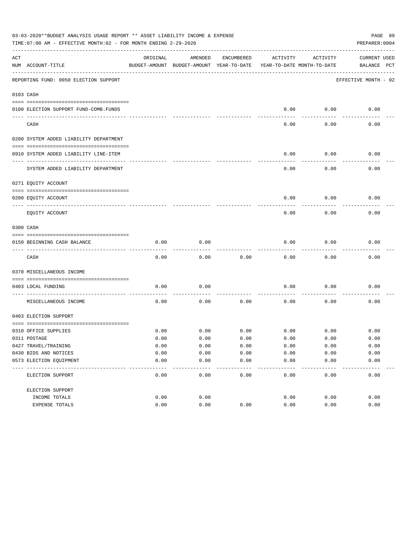|     | 03-03-2020**BUDGET ANALYSIS USAGE REPORT ** ASSET LIABILITY INCOME & EXPENSE<br>PAGE 89<br>TIME: 07:00 AM - EFFECTIVE MONTH: 02 - FOR MONTH ENDING 2-29-2020<br>PREPARER: 0004 |          |                                                     |            |                                        |          |                                    |  |  |  |  |  |
|-----|--------------------------------------------------------------------------------------------------------------------------------------------------------------------------------|----------|-----------------------------------------------------|------------|----------------------------------------|----------|------------------------------------|--|--|--|--|--|
| ACT | NUM ACCOUNT-TITLE                                                                                                                                                              | ORIGINAL | AMENDED<br>BUDGET-AMOUNT BUDGET-AMOUNT YEAR-TO-DATE | ENCUMBERED | ACTIVITY<br>YEAR-TO-DATE MONTH-TO-DATE | ACTIVITY | <b>CURRENT USED</b><br>BALANCE PCT |  |  |  |  |  |
|     | REPORTING FUND: 0050 ELECTION SUPPORT                                                                                                                                          |          |                                                     |            |                                        |          | EFFECTIVE MONTH - 02               |  |  |  |  |  |
|     | 0103 CASH                                                                                                                                                                      |          |                                                     |            |                                        |          |                                    |  |  |  |  |  |
|     | 0100 ELECTION SUPPORT FUND-COMB.FUNDS                                                                                                                                          |          |                                                     |            | 0.00                                   | 0.00     | 0.00                               |  |  |  |  |  |
|     | CASH                                                                                                                                                                           |          |                                                     |            | 0.00                                   | 0.00     | 0.00                               |  |  |  |  |  |
|     | 0200 SYSTEM ADDED LIABILITY DEPARTMENT                                                                                                                                         |          |                                                     |            |                                        |          |                                    |  |  |  |  |  |
|     | 0910 SYSTEM ADDED LIABILITY LINE-ITEM                                                                                                                                          |          |                                                     |            | 0.00                                   | 0.00     | 0.00                               |  |  |  |  |  |
|     | SYSTEM ADDED LIABILITY DEPARTMENT                                                                                                                                              |          |                                                     |            | 0.00                                   | 0.00     | 0.00                               |  |  |  |  |  |
|     | 0271 EQUITY ACCOUNT                                                                                                                                                            |          |                                                     |            |                                        |          |                                    |  |  |  |  |  |
|     | 0200 EQUITY ACCOUNT                                                                                                                                                            |          |                                                     |            | 0.00                                   | 0.00     | 0.00                               |  |  |  |  |  |
|     | EQUITY ACCOUNT                                                                                                                                                                 |          |                                                     |            | 0.00                                   | 0.00     | 0.00                               |  |  |  |  |  |
|     | 0300 CASH                                                                                                                                                                      |          |                                                     |            |                                        |          |                                    |  |  |  |  |  |
|     | 0150 BEGINNING CASH BALANCE                                                                                                                                                    | 0.00     | 0.00                                                |            | 0.00                                   | 0.00     | 0.00                               |  |  |  |  |  |
|     | CASH                                                                                                                                                                           | 0.00     | 0.00                                                | 0.00       | 0.00                                   | 0.00     | 0.00                               |  |  |  |  |  |
|     | 0370 MISCELLANEOUS INCOME                                                                                                                                                      |          |                                                     |            |                                        |          |                                    |  |  |  |  |  |
|     | 0403 LOCAL FUNDING                                                                                                                                                             | 0.00     | 0.00                                                |            | 0.00                                   | 0.00     | 0.00                               |  |  |  |  |  |
|     | MISCELLANEOUS INCOME                                                                                                                                                           | 0.00     | 0.00                                                | 0.00       | 0.00                                   | 0.00     | 0.00                               |  |  |  |  |  |
|     | 0403 ELECTION SUPPORT                                                                                                                                                          |          |                                                     |            |                                        |          |                                    |  |  |  |  |  |
|     | 0310 OFFICE SUPPLIES                                                                                                                                                           | 0.00     | 0.00                                                | 0.00       | 0.00                                   | 0.00     | 0.00                               |  |  |  |  |  |
|     | 0311 POSTAGE                                                                                                                                                                   | 0.00     | 0.00                                                | 0.00       | 0.00                                   | 0.00     | 0.00                               |  |  |  |  |  |
|     | 0427 TRAVEL/TRAINING                                                                                                                                                           | 0.00     | 0.00                                                | 0.00       | 0.00                                   | 0.00     | 0.00                               |  |  |  |  |  |
|     | 0430 BIDS AND NOTICES                                                                                                                                                          | 0.00     | 0.00                                                | 0.00       | 0.00                                   | 0.00     | 0.00                               |  |  |  |  |  |
|     | 0573 ELECTION EQUIPMENT                                                                                                                                                        | 0.00     | 0.00                                                | 0.00       | 0.00                                   | 0.00     | 0.00                               |  |  |  |  |  |
|     | ELECTION SUPPORT                                                                                                                                                               | 0.00     | 0.00                                                | 0.00       | 0.00                                   | 0.00     | 0.00                               |  |  |  |  |  |
|     | ELECTION SUPPORT                                                                                                                                                               |          |                                                     |            |                                        |          |                                    |  |  |  |  |  |
|     | INCOME TOTALS                                                                                                                                                                  | 0.00     | 0.00                                                |            | 0.00                                   | 0.00     | 0.00                               |  |  |  |  |  |
|     | EXPENSE TOTALS                                                                                                                                                                 | 0.00     | 0.00                                                | 0.00       | 0.00                                   | 0.00     | 0.00                               |  |  |  |  |  |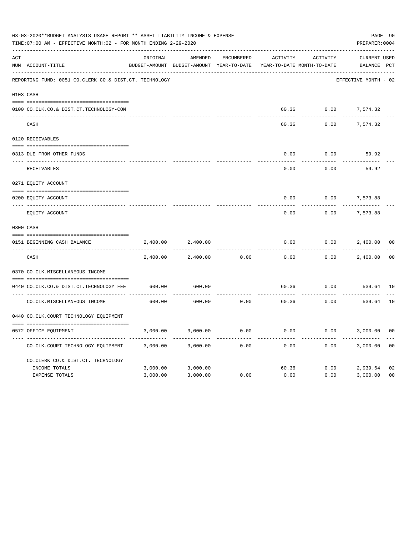|     | 03-03-2020**BUDGET ANALYSIS USAGE REPORT ** ASSET LIABILITY INCOME & EXPENSE<br>PREPARER: 0004<br>TIME: 07:00 AM - EFFECTIVE MONTH: 02 - FOR MONTH ENDING 2-29-2020 |          |                                                     |                   |                                        |          |                                    |                |  |  |
|-----|---------------------------------------------------------------------------------------------------------------------------------------------------------------------|----------|-----------------------------------------------------|-------------------|----------------------------------------|----------|------------------------------------|----------------|--|--|
| ACT | NUM ACCOUNT-TITLE                                                                                                                                                   | ORIGINAL | AMENDED<br>BUDGET-AMOUNT BUDGET-AMOUNT YEAR-TO-DATE | <b>ENCUMBERED</b> | ACTIVITY<br>YEAR-TO-DATE MONTH-TO-DATE | ACTIVITY | <b>CURRENT USED</b><br>BALANCE PCT |                |  |  |
|     | REPORTING FUND: 0051 CO.CLERK CO.& DIST.CT. TECHNOLOGY                                                                                                              |          |                                                     |                   |                                        |          | EFFECTIVE MONTH - 02               |                |  |  |
|     | 0103 CASH                                                                                                                                                           |          |                                                     |                   |                                        |          |                                    |                |  |  |
|     | 0100 CO.CLK.CO.& DIST.CT.TECHNOLOGY-COM                                                                                                                             |          |                                                     |                   | 60.36                                  | 0.00     | 7,574.32                           |                |  |  |
|     | CASH                                                                                                                                                                |          |                                                     |                   | 60.36                                  | 0.00     | 7,574.32                           |                |  |  |
|     | 0120 RECEIVABLES                                                                                                                                                    |          |                                                     |                   |                                        |          |                                    |                |  |  |
|     | 0313 DUE FROM OTHER FUNDS                                                                                                                                           |          |                                                     |                   | 0.00                                   | 0.00     | 59.92                              |                |  |  |
|     | RECEIVABLES                                                                                                                                                         |          |                                                     |                   | 0.00                                   | 0.00     | 59.92                              |                |  |  |
|     | 0271 EQUITY ACCOUNT                                                                                                                                                 |          |                                                     |                   |                                        |          |                                    |                |  |  |
|     | 0200 EQUITY ACCOUNT                                                                                                                                                 |          |                                                     |                   | 0.00                                   | 0.00     | 7,573.88                           |                |  |  |
|     | ---- -----------<br>EQUITY ACCOUNT                                                                                                                                  |          |                                                     |                   | 0.00                                   | 0.00     | 7,573.88                           |                |  |  |
|     | 0300 CASH                                                                                                                                                           |          |                                                     |                   |                                        |          |                                    |                |  |  |
|     | 0151 BEGINNING CASH BALANCE                                                                                                                                         | 2,400.00 | 2,400.00                                            |                   | 0.00                                   | 0.00     | 2,400.00                           | 0 <sub>0</sub> |  |  |
|     | ---- ---------------------------------<br>CASH                                                                                                                      | 2,400.00 | 2,400.00                                            | 0.00              | 0.00                                   | 0.00     | 2,400.00                           | 0 <sup>0</sup> |  |  |
|     | 0370 CO.CLK.MISCELLANEOUS INCOME                                                                                                                                    |          |                                                     |                   |                                        |          |                                    |                |  |  |
|     | 0440 CO.CLK.CO.& DIST.CT.TECHNOLOGY FEE                                                                                                                             | 600.00   | 600.00                                              |                   | 60.36                                  | 0.00     | 539.64 10                          |                |  |  |
|     | CO. CLK. MISCELLANEOUS INCOME                                                                                                                                       | 600.00   | 600.00                                              | 0.00              | 60.36                                  | 0.00     | 539.64                             | 10             |  |  |
|     | 0440 CO.CLK.COURT TECHNOLOGY EQUIPMENT                                                                                                                              |          |                                                     |                   |                                        |          |                                    |                |  |  |
|     | 0572 OFFICE EOUIPMENT                                                                                                                                               | 3,000.00 | 3,000.00                                            | 0.00              | 0.00                                   | 0.00     | 3,000.00                           | 0 <sub>0</sub> |  |  |
|     | CO.CLK.COURT TECHNOLOGY EQUIPMENT                                                                                                                                   | 3,000.00 | 3,000.00                                            | 0.00              | 0.00                                   | 0.00     | 3,000.00                           | 0 <sub>0</sub> |  |  |
|     | CO.CLERK CO.& DIST.CT. TECHNOLOGY                                                                                                                                   |          |                                                     |                   |                                        |          |                                    |                |  |  |
|     | INCOME TOTALS                                                                                                                                                       | 3,000.00 | 3,000.00                                            |                   | 60.36                                  | 0.00     | 2,939.64                           | 02             |  |  |
|     | <b>EXPENSE TOTALS</b>                                                                                                                                               | 3,000.00 | 3,000.00                                            | 0.00              | 0.00                                   | 0.00     | 3,000.00                           | 0 <sub>0</sub> |  |  |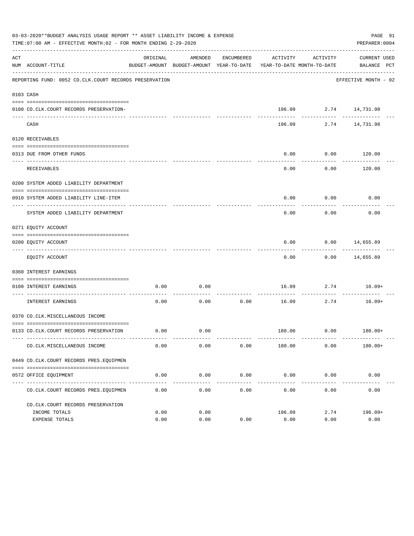|     | 03-03-2020**BUDGET ANALYSIS USAGE REPORT ** ASSET LIABILITY INCOME & EXPENSE<br>PAGE 91<br>TIME:07:00 AM - EFFECTIVE MONTH:02 - FOR MONTH ENDING 2-29-2020<br>PREPARER: 0004 |              |                     |                     |                                                                                 |                       |                              |  |  |  |  |
|-----|------------------------------------------------------------------------------------------------------------------------------------------------------------------------------|--------------|---------------------|---------------------|---------------------------------------------------------------------------------|-----------------------|------------------------------|--|--|--|--|
| ACT | NUM ACCOUNT-TITLE                                                                                                                                                            | ORIGINAL     | AMENDED             | ENCUMBERED          | ACTIVITY<br>BUDGET-AMOUNT BUDGET-AMOUNT YEAR-TO-DATE YEAR-TO-DATE MONTH-TO-DATE | ACTIVITY              | CURRENT USED<br>BALANCE PCT  |  |  |  |  |
|     | REPORTING FUND: 0052 CO.CLK.COURT RECORDS PRESERVATION                                                                                                                       |              |                     |                     |                                                                                 |                       | EFFECTIVE MONTH - 02         |  |  |  |  |
|     | 0103 CASH                                                                                                                                                                    |              |                     |                     |                                                                                 |                       |                              |  |  |  |  |
|     | 0100 CO.CLK.COURT RECORDS PRESERVATION-                                                                                                                                      |              |                     |                     |                                                                                 | 196.09 2.74 14,731.98 |                              |  |  |  |  |
|     | CASH                                                                                                                                                                         |              |                     |                     | 196.09                                                                          | ------------          | __________<br>2.74 14,731.98 |  |  |  |  |
|     | 0120 RECEIVABLES                                                                                                                                                             |              |                     |                     |                                                                                 |                       |                              |  |  |  |  |
|     | 0313 DUE FROM OTHER FUNDS                                                                                                                                                    |              |                     |                     | 0.00                                                                            | 0.00                  | 120.00                       |  |  |  |  |
|     |                                                                                                                                                                              |              |                     |                     |                                                                                 |                       | ----------                   |  |  |  |  |
|     | RECEIVABLES                                                                                                                                                                  |              |                     |                     | 0.00                                                                            | 0.00                  | 120.00                       |  |  |  |  |
|     | 0200 SYSTEM ADDED LIABILITY DEPARTMENT                                                                                                                                       |              |                     |                     |                                                                                 |                       |                              |  |  |  |  |
|     | 0910 SYSTEM ADDED LIABILITY LINE-ITEM                                                                                                                                        |              |                     |                     | 0.00                                                                            | 0.00                  | 0.00                         |  |  |  |  |
|     | SYSTEM ADDED LIABILITY DEPARTMENT                                                                                                                                            |              |                     |                     | 0.00                                                                            | 0.00                  | 0.00                         |  |  |  |  |
|     | 0271 EQUITY ACCOUNT                                                                                                                                                          |              |                     |                     |                                                                                 |                       |                              |  |  |  |  |
|     | 0200 EQUITY ACCOUNT                                                                                                                                                          |              |                     |                     | 0.00                                                                            |                       | $0.00$ 14,655.89             |  |  |  |  |
|     | EQUITY ACCOUNT                                                                                                                                                               |              |                     |                     | 0.00                                                                            |                       | $0.00$ 14,655.89             |  |  |  |  |
|     | 0360 INTEREST EARNINGS                                                                                                                                                       |              |                     |                     |                                                                                 |                       |                              |  |  |  |  |
|     | 0100 INTEREST EARNINGS                                                                                                                                                       | 0.00         | 0.00                |                     |                                                                                 |                       | $16.09$ 2.74 $16.09+$        |  |  |  |  |
|     | ------------------- ---<br>INTEREST EARNINGS                                                                                                                                 | 0.00         | 0.00                | ----------<br>0.00  | 16.09                                                                           | -----------<br>2.74   | $16.09+$                     |  |  |  |  |
|     | 0370 CO.CLK.MISCELLANEOUS INCOME                                                                                                                                             |              |                     |                     |                                                                                 |                       |                              |  |  |  |  |
|     | 0133 CO.CLK.COURT RECORDS PRESERVATION                                                                                                                                       | 0.00         | 0.00                |                     |                                                                                 |                       | $180.00$ $0.00$ $180.00+$    |  |  |  |  |
|     | CO. CLK. MISCELLANEOUS INCOME                                                                                                                                                | 0.00         | 0.00                | 0.00                | 180.00                                                                          | 0.00                  | $180.00+$                    |  |  |  |  |
|     | 0449 CO.CLK.COURT RECORDS PRES.EOUIPMEN                                                                                                                                      |              |                     |                     |                                                                                 |                       |                              |  |  |  |  |
|     | 0572 OFFICE EQUIPMENT                                                                                                                                                        | 0.00         | 0.00                | 0.00                | 0.00                                                                            | 0.00                  | 0.00                         |  |  |  |  |
|     | CO. CLK. COURT RECORDS PRES. EQUIPMEN                                                                                                                                        | 0.00         | -----------<br>0.00 | -----------<br>0.00 | 0.00                                                                            | 0.00                  | -------------<br>0.00        |  |  |  |  |
|     |                                                                                                                                                                              |              |                     |                     |                                                                                 |                       |                              |  |  |  |  |
|     | CO. CLK. COURT RECORDS PRESERVATION                                                                                                                                          |              |                     |                     |                                                                                 |                       |                              |  |  |  |  |
|     | INCOME TOTALS<br>EXPENSE TOTALS                                                                                                                                              | 0.00<br>0.00 | 0.00<br>0.00        | 0.00                | 196.09<br>0.00                                                                  | 2.74<br>0.00          | $196.09+$<br>0.00            |  |  |  |  |
|     |                                                                                                                                                                              |              |                     |                     |                                                                                 |                       |                              |  |  |  |  |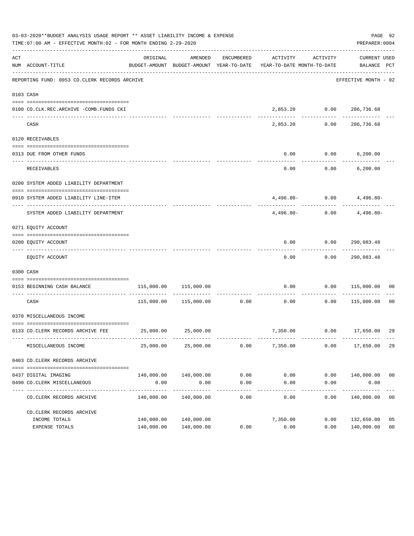|     | 03-03-2020**BUDGET ANALYSIS USAGE REPORT ** ASSET LIABILITY INCOME & EXPENSE<br>PAGE 92<br>TIME:07:00 AM - EFFECTIVE MONTH:02 - FOR MONTH ENDING 2-29-2020<br>PREPARER: 0004 |                                     |                       |                                        |                                                                                 |                    |                                     |                |  |  |  |  |
|-----|------------------------------------------------------------------------------------------------------------------------------------------------------------------------------|-------------------------------------|-----------------------|----------------------------------------|---------------------------------------------------------------------------------|--------------------|-------------------------------------|----------------|--|--|--|--|
| ACT | NUM ACCOUNT-TITLE                                                                                                                                                            | ORIGINAL                            | AMENDED               | ENCUMBERED                             | ACTIVITY<br>BUDGET-AMOUNT BUDGET-AMOUNT YEAR-TO-DATE YEAR-TO-DATE MONTH-TO-DATE | ACTIVITY           | CURRENT USED<br>BALANCE PCT         |                |  |  |  |  |
|     | REPORTING FUND: 0053 CO.CLERK RECORDS ARCHIVE                                                                                                                                |                                     |                       |                                        |                                                                                 |                    | EFFECTIVE MONTH - 02                |                |  |  |  |  |
|     | 0103 CASH                                                                                                                                                                    |                                     |                       |                                        |                                                                                 |                    |                                     |                |  |  |  |  |
|     | 0100 CO.CLK.REC.ARCHIVE -COMB.FUNDS CKI                                                                                                                                      |                                     |                       |                                        |                                                                                 |                    | 2,853.20 0.00 286,736.68            |                |  |  |  |  |
|     | CASH                                                                                                                                                                         |                                     |                       |                                        | ---------<br>2,853.20                                                           | 0.00               | . _ _ _ _ _ _ _ _ _ _<br>286,736.68 |                |  |  |  |  |
|     | 0120 RECEIVABLES                                                                                                                                                             |                                     |                       |                                        |                                                                                 |                    |                                     |                |  |  |  |  |
|     | 0313 DUE FROM OTHER FUNDS                                                                                                                                                    |                                     |                       |                                        | 0.00                                                                            |                    | $0.00$ 6,200.00                     |                |  |  |  |  |
|     | RECEIVABLES                                                                                                                                                                  |                                     |                       |                                        | 0.00                                                                            |                    | $0.00$ 6,200.00                     |                |  |  |  |  |
|     | 0200 SYSTEM ADDED LIABILITY DEPARTMENT                                                                                                                                       |                                     |                       |                                        |                                                                                 |                    |                                     |                |  |  |  |  |
|     | 0910 SYSTEM ADDED LIABILITY LINE-ITEM                                                                                                                                        |                                     |                       |                                        |                                                                                 |                    | $4,496.80 - 0.00$ $4,496.80 -$      |                |  |  |  |  |
|     | SYSTEM ADDED LIABILITY DEPARTMENT                                                                                                                                            |                                     |                       |                                        | 4,496.80-                                                                       |                    | $0.00$ $4,496.80-$                  |                |  |  |  |  |
|     | 0271 EQUITY ACCOUNT                                                                                                                                                          |                                     |                       |                                        |                                                                                 |                    |                                     |                |  |  |  |  |
|     | 0200 EQUITY ACCOUNT                                                                                                                                                          |                                     |                       |                                        | 0.00                                                                            |                    |                                     |                |  |  |  |  |
|     | EQUITY ACCOUNT                                                                                                                                                               |                                     |                       |                                        | 0.00                                                                            |                    | 0.00 290,083.48                     |                |  |  |  |  |
|     | 0300 CASH                                                                                                                                                                    |                                     |                       |                                        |                                                                                 |                    |                                     |                |  |  |  |  |
|     | 0153 BEGINNING CASH BALANCE                                                                                                                                                  | 115,000.00                          | 115,000.00            |                                        | 0.00                                                                            |                    | 0.00 115,000.00                     | 00             |  |  |  |  |
|     | CASH                                                                                                                                                                         |                                     | 115,000.00 115,000.00 | ------------------------------<br>0.00 | 0.00                                                                            | 0.00               | 115,000.00                          | 00             |  |  |  |  |
|     | 0370 MISCELLANEOUS INCOME                                                                                                                                                    |                                     |                       |                                        |                                                                                 |                    |                                     |                |  |  |  |  |
|     | 0133 CO.CLERK RECORDS ARCHIVE FEE 25,000.00 25,000.00                                                                                                                        |                                     |                       |                                        |                                                                                 |                    | 7,350.00   0.00   17,650.00   29    |                |  |  |  |  |
|     | MISCELLANEOUS INCOME                                                                                                                                                         | 25,000.00                           | 25,000.00             | 0.00                                   | 7,350.00                                                                        | 0.00               | 17,650.00                           | 29             |  |  |  |  |
|     | 0403 CO. CLERK RECORDS ARCHIVE                                                                                                                                               |                                     |                       |                                        |                                                                                 |                    |                                     |                |  |  |  |  |
|     | 0437 DIGITAL IMAGING                                                                                                                                                         |                                     | 140,000.00 140,000.00 | 0.00                                   | 0.00                                                                            |                    | 0.00 140,000.00 00                  |                |  |  |  |  |
|     | 0490 CO. CLERK MISCELLANEOUS                                                                                                                                                 | 0.00<br>------------ -------------- | 0.00<br>------------- | 0.00<br>-----------                    | 0.00<br>-----------                                                             | 0.00<br>---------- | 0.00<br>-----------                 |                |  |  |  |  |
|     | CO. CLERK RECORDS ARCHIVE                                                                                                                                                    | 140,000.00                          | 140,000.00            | 0.00                                   | 0.00                                                                            | 0.00               | 140,000.00                          | 0 <sub>0</sub> |  |  |  |  |
|     | CO. CLERK RECORDS ARCHIVE                                                                                                                                                    |                                     |                       |                                        |                                                                                 |                    |                                     |                |  |  |  |  |
|     | INCOME TOTALS                                                                                                                                                                | 140,000.00                          | 140,000.00            |                                        | 7,350.00                                                                        | 0.00               | 132,650.00                          | 05             |  |  |  |  |
|     | EXPENSE TOTALS                                                                                                                                                               |                                     | 140,000.00 140,000.00 | 0.00                                   | 0.00                                                                            | 0.00               | 140,000.00                          | 0 <sub>0</sub> |  |  |  |  |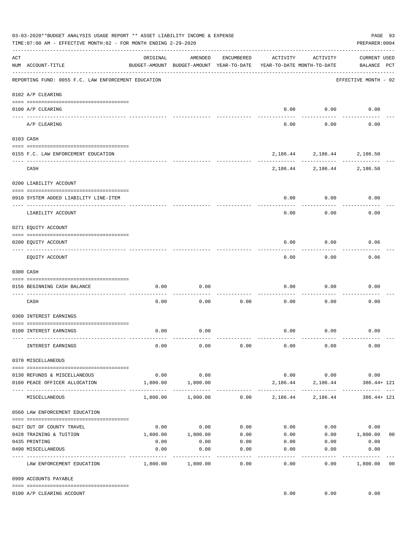|     | 03-03-2020**BUDGET ANALYSIS USAGE REPORT ** ASSET LIABILITY INCOME & EXPENSE<br>PAGE 93<br>TIME: 07:00 AM - EFFECTIVE MONTH: 02 - FOR MONTH ENDING 2-29-2020<br>PREPARER: 0004 |              |                                                     |                   |                                        |                                    |                                    |  |  |  |  |
|-----|--------------------------------------------------------------------------------------------------------------------------------------------------------------------------------|--------------|-----------------------------------------------------|-------------------|----------------------------------------|------------------------------------|------------------------------------|--|--|--|--|
| ACT | NUM ACCOUNT-TITLE                                                                                                                                                              | ORIGINAL     | AMENDED<br>BUDGET-AMOUNT BUDGET-AMOUNT YEAR-TO-DATE | ENCUMBERED        | ACTIVITY<br>YEAR-TO-DATE MONTH-TO-DATE | ACTIVITY                           | <b>CURRENT USED</b><br>BALANCE PCT |  |  |  |  |
|     | REPORTING FUND: 0055 F.C. LAW ENFORCEMENT EDUCATION                                                                                                                            |              |                                                     |                   |                                        |                                    | EFFECTIVE MONTH - 02               |  |  |  |  |
|     | 0102 A/P CLEARING                                                                                                                                                              |              |                                                     |                   |                                        |                                    |                                    |  |  |  |  |
|     | 0100 A/P CLEARING<br>--- ----------                                                                                                                                            |              |                                                     |                   | 0.00                                   | 0.00                               | 0.00                               |  |  |  |  |
|     | A/P CLEARING                                                                                                                                                                   |              |                                                     |                   | 0.00                                   | 0.00                               | 0.00                               |  |  |  |  |
|     | 0103 CASH                                                                                                                                                                      |              |                                                     |                   |                                        |                                    |                                    |  |  |  |  |
|     | 0155 F.C. LAW ENFORCEMENT EDUCATION                                                                                                                                            |              |                                                     |                   |                                        |                                    | 2, 186.44 2, 186.44 2, 186.50      |  |  |  |  |
|     | CASH                                                                                                                                                                           |              |                                                     |                   |                                        | ---------                          | 2, 186. 44 2, 186. 44 2, 186. 50   |  |  |  |  |
|     | 0200 LIABILITY ACCOUNT                                                                                                                                                         |              |                                                     |                   |                                        |                                    |                                    |  |  |  |  |
|     | 0910 SYSTEM ADDED LIABILITY LINE-ITEM                                                                                                                                          |              |                                                     |                   | 0.00                                   | 0.00                               | 0.00                               |  |  |  |  |
|     | LIABILITY ACCOUNT                                                                                                                                                              |              |                                                     |                   | 0.00                                   | 0.00                               | 0.00                               |  |  |  |  |
|     | 0271 EQUITY ACCOUNT                                                                                                                                                            |              |                                                     |                   |                                        |                                    |                                    |  |  |  |  |
|     | 0200 EQUITY ACCOUNT                                                                                                                                                            |              |                                                     |                   | 0.00                                   | 0.00                               | 0.06                               |  |  |  |  |
|     | EQUITY ACCOUNT                                                                                                                                                                 |              |                                                     |                   | 0.00                                   | 0.00                               | 0.06                               |  |  |  |  |
|     | 0300 CASH                                                                                                                                                                      |              |                                                     |                   |                                        |                                    |                                    |  |  |  |  |
|     | 0156 BEGINNING CASH BALANCE                                                                                                                                                    | 0.00         | 0.00                                                |                   | 0.00                                   | 0.00                               | 0.00                               |  |  |  |  |
|     | CASH                                                                                                                                                                           | 0.00         | 0.00                                                | 0.00              | 0.00                                   | 0.00                               | 0.00                               |  |  |  |  |
|     | 0360 INTEREST EARNINGS                                                                                                                                                         |              |                                                     |                   |                                        |                                    |                                    |  |  |  |  |
|     | 0100 INTEREST EARNINGS                                                                                                                                                         | 0.00         | 0.00                                                |                   | 0.00                                   | 0.00                               | 0.00                               |  |  |  |  |
|     | INTEREST EARNINGS                                                                                                                                                              | 0.00         | 0.00                                                | 0.00              | 0.00                                   | 0.00                               | 0.00                               |  |  |  |  |
|     | 0370 MISCELLANEOUS                                                                                                                                                             |              |                                                     |                   |                                        |                                    |                                    |  |  |  |  |
|     | 0130 REFUNDS & MISCELLANEOUS                                                                                                                                                   | 0.00         | 0.00                                                |                   |                                        | $0.00$ 0.00                        | 0.00                               |  |  |  |  |
|     | 0160 PEACE OFFICER ALLOCATION                                                                                                                                                  | 1,800.00     | 1,800.00<br>-----------                             |                   | -----------                            | 2, 186.44 2, 186.44<br>----------- | 386.44+ 121                        |  |  |  |  |
|     | MISCELLANEOUS                                                                                                                                                                  | 1,800.00     | 1,800.00                                            |                   | $0.00$ 2,186.44 2,186.44               |                                    | 386.44+ 121                        |  |  |  |  |
|     | 0560 LAW ENFORCEMENT EDUCATION                                                                                                                                                 |              |                                                     |                   |                                        |                                    |                                    |  |  |  |  |
|     | 0427 OUT OF COUNTY TRAVEL                                                                                                                                                      | 0.00         | 0.00                                                | 0.00              |                                        | 0.00                               | 0.00<br>0.00                       |  |  |  |  |
|     | 0428 TRAINING & TUITION                                                                                                                                                        | 1,800.00     | 1,800.00                                            | 0.00              | 0.00                                   |                                    | $0.00$ 1,800.00<br>0 <sub>0</sub>  |  |  |  |  |
|     | 0435 PRINTING<br>0490 MISCELLANEOUS                                                                                                                                            | 0.00<br>0.00 | 0.00<br>0.00                                        | 0.00<br>0.00      | 0.00<br>0.00                           | 0.00<br>0.00                       | 0.00<br>0.00                       |  |  |  |  |
|     | LAW ENFORCEMENT EDUCATION                                                                                                                                                      | 1,800.00     | 1,800.00                                            | $- - - -$<br>0.00 | 0.00                                   | 0.00                               | ---------<br>1,800.00<br>00        |  |  |  |  |
|     | 0999 ACCOUNTS PAYABLE                                                                                                                                                          |              |                                                     |                   |                                        |                                    |                                    |  |  |  |  |
|     | 0100 A/P CLEARING ACCOUNT                                                                                                                                                      |              |                                                     |                   | 0.00                                   | 0.00                               | 0.00                               |  |  |  |  |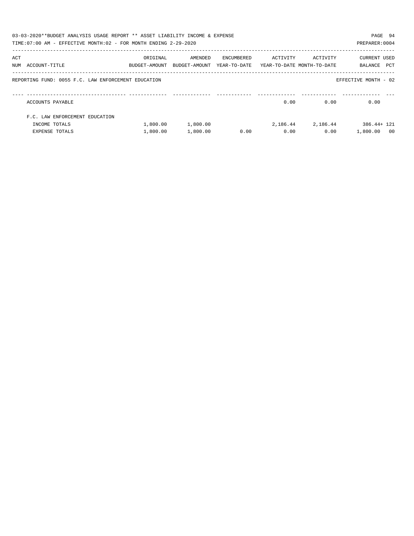|     | 03-03-2020**BUDGET ANALYSIS USAGE REPORT ** ASSET LIABILITY INCOME & EXPENSE<br>TIME: 07:00 AM - EFFECTIVE MONTH: 02 - FOR MONTH ENDING 2-29-2020 |                                                                     |          |            |          |                       | PAGE 94<br>PREPARER: 0004 |  |
|-----|---------------------------------------------------------------------------------------------------------------------------------------------------|---------------------------------------------------------------------|----------|------------|----------|-----------------------|---------------------------|--|
| ACT |                                                                                                                                                   | ORIGINAL                                                            | AMENDED  | ENCUMBERED | ACTIVITY | ACTIVITY              | CURRENT USED              |  |
|     | NUM ACCOUNT-TITLE                                                                                                                                 | BUDGET-AMOUNT BUDGET-AMOUNT YEAR-TO-DATE YEAR-TO-DATE_MONTH-TO-DATE |          |            |          |                       | PCT<br>BALANCE            |  |
|     | REPORTING FUND: 0055 F.C. LAW ENFORCEMENT EDUCATION                                                                                               |                                                                     |          |            |          |                       | EFFECTIVE MONTH - 02      |  |
|     | ACCOUNTS PAYABLE                                                                                                                                  |                                                                     |          |            | 0.00     | 0.00                  | 0.00                      |  |
|     | F.C. LAW ENFORCEMENT EDUCATION                                                                                                                    |                                                                     |          |            |          |                       |                           |  |
|     | INCOME TOTALS                                                                                                                                     | 1,800.00                                                            | 1,800.00 |            |          | 2, 186, 44 2, 186, 44 | 386.44+ 121               |  |
|     | EXPENSE TOTALS                                                                                                                                    | 1,800.00                                                            | 1,800.00 | 0.00       | 0.00     | 0.00                  | 1,800.00<br>- 00          |  |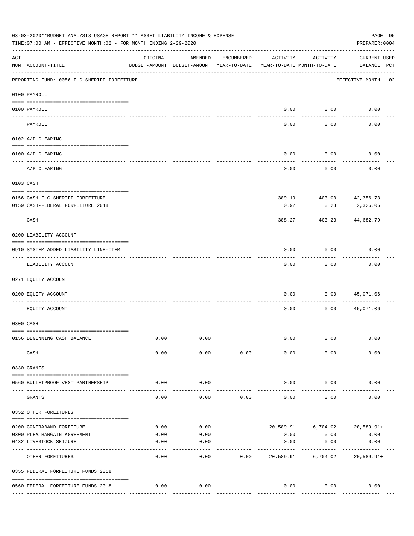|                       | 03-03-2020**BUDGET ANALYSIS USAGE REPORT ** ASSET LIABILITY INCOME & EXPENSE<br>TIME: 07:00 AM - EFFECTIVE MONTH: 02 - FOR MONTH ENDING 2-29-2020 |          |                                                     |            |                                        |          | PAGE 95<br>PREPARER: 0004          |
|-----------------------|---------------------------------------------------------------------------------------------------------------------------------------------------|----------|-----------------------------------------------------|------------|----------------------------------------|----------|------------------------------------|
| ACT                   | NUM ACCOUNT-TITLE                                                                                                                                 | ORIGINAL | AMENDED<br>BUDGET-AMOUNT BUDGET-AMOUNT YEAR-TO-DATE | ENCUMBERED | ACTIVITY<br>YEAR-TO-DATE MONTH-TO-DATE | ACTIVITY | <b>CURRENT USED</b><br>BALANCE PCT |
|                       | REPORTING FUND: 0056 F C SHERIFF FORFEITURE                                                                                                       |          |                                                     |            |                                        |          | EFFECTIVE MONTH - 02               |
|                       | 0100 PAYROLL                                                                                                                                      |          |                                                     |            |                                        |          |                                    |
|                       |                                                                                                                                                   |          |                                                     |            |                                        |          |                                    |
| $- - - - - - - - - -$ | 0100 PAYROLL                                                                                                                                      |          |                                                     |            | 0.00                                   | 0.00     | 0.00                               |
|                       | PAYROLL                                                                                                                                           |          |                                                     |            | 0.00                                   | 0.00     | 0.00                               |
|                       | 0102 A/P CLEARING                                                                                                                                 |          |                                                     |            |                                        |          |                                    |
|                       | 0100 A/P CLEARING                                                                                                                                 |          |                                                     |            | 0.00                                   | 0.00     | 0.00                               |
|                       | A/P CLEARING                                                                                                                                      |          |                                                     |            | 0.00                                   | 0.00     | 0.00                               |
|                       | 0103 CASH                                                                                                                                         |          |                                                     |            |                                        |          |                                    |
|                       |                                                                                                                                                   |          |                                                     |            |                                        |          |                                    |
|                       | 0156 CASH-F C SHERIFF FORFEITURE                                                                                                                  |          |                                                     |            |                                        |          | 389.19- 403.00 42,356.73           |
|                       | 0159 CASH-FEDERAL FORFEITURE 2018                                                                                                                 |          |                                                     |            | 0.92                                   | 0.23     | 2,326.06                           |
|                       | CASH                                                                                                                                              |          |                                                     |            | $388.27 -$                             | 403.23   | 44,682.79                          |
|                       | 0200 LIABILITY ACCOUNT                                                                                                                            |          |                                                     |            |                                        |          |                                    |
|                       | 0910 SYSTEM ADDED LIABILITY LINE-ITEM                                                                                                             |          |                                                     |            | 0.00                                   | 0.00     | 0.00                               |
|                       | LIABILITY ACCOUNT                                                                                                                                 |          |                                                     |            | 0.00                                   | 0.00     | 0.00                               |
|                       | 0271 EQUITY ACCOUNT                                                                                                                               |          |                                                     |            |                                        |          |                                    |
|                       | 0200 EQUITY ACCOUNT                                                                                                                               |          |                                                     |            | 0.00                                   | 0.00     | 45,071.06                          |
|                       | EQUITY ACCOUNT                                                                                                                                    |          |                                                     |            | 0.00                                   | 0.00     | 45,071.06                          |
|                       | 0300 CASH                                                                                                                                         |          |                                                     |            |                                        |          |                                    |
|                       | 0156 BEGINNING CASH BALANCE                                                                                                                       | 0.00     | 0.00                                                |            | 0.00                                   | 0.00     | 0.00                               |
|                       | CASH                                                                                                                                              | 0.00     | 0.00                                                | 0.00       | 0.00                                   | 0.00     | 0.00                               |
|                       | 0330 GRANTS                                                                                                                                       |          |                                                     |            |                                        |          |                                    |
|                       | 0560 BULLETPROOF VEST PARTNERSHIP                                                                                                                 | 0.00     | 0.00                                                |            | 0.00                                   | 0.00     | 0.00                               |
|                       | GRANTS                                                                                                                                            | 0.00     | 0.00                                                | 0.00       | 0.00                                   | 0.00     | 0.00                               |
|                       | 0352 OTHER FOREITURES                                                                                                                             |          |                                                     |            |                                        |          |                                    |
|                       | 0200 CONTRABAND FOREITURE                                                                                                                         | 0.00     | 0.00                                                |            |                                        |          | 20,589.91 6,704.02 20,589.91+      |
|                       | 0300 PLEA BARGAIN AGREEMENT                                                                                                                       | 0.00     | 0.00                                                |            | 0.00                                   | 0.00     | 0.00                               |
|                       | 0432 LIVESTOCK SEIZURE                                                                                                                            | 0.00     | 0.00                                                |            | 0.00                                   | 0.00     | 0.00                               |
|                       | OTHER FOREITURES                                                                                                                                  | 0.00     | 0.00                                                | 0.00       | 20,589.91                              | 6,704.02 | $20,589.91+$                       |
|                       | 0355 FEDERAL FORFEITURE FUNDS 2018                                                                                                                |          |                                                     |            |                                        |          |                                    |
|                       |                                                                                                                                                   |          |                                                     |            |                                        |          |                                    |
|                       | 0560 FEDERAL FORFEITURE FUNDS 2018                                                                                                                | 0.00     | 0.00                                                |            | 0.00                                   | 0.00     | 0.00                               |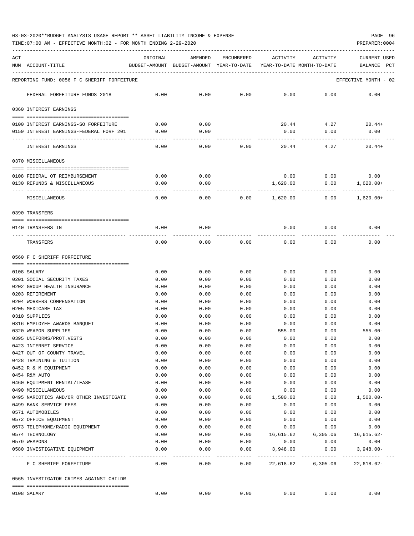03-03-2020\*\*BUDGET ANALYSIS USAGE REPORT \*\* ASSET LIABILITY INCOME & EXPENSE PAGE 96

TIME:07:00 AM - EFFECTIVE MONTH:02 - FOR MONTH ENDING 2-29-2020

| ACT<br>NUM<br>ACCOUNT-TITLE                             |                                             | ORIGINAL          | AMENDED<br>BUDGET-AMOUNT BUDGET-AMOUNT YEAR-TO-DATE | ENCUMBERED       | ACTIVITY<br>YEAR-TO-DATE MONTH-TO-DATE | ACTIVITY           | CURRENT USED<br>BALANCE<br>PCT |
|---------------------------------------------------------|---------------------------------------------|-------------------|-----------------------------------------------------|------------------|----------------------------------------|--------------------|--------------------------------|
|                                                         | REPORTING FUND: 0056 F C SHERIFF FORFEITURE |                   |                                                     |                  |                                        |                    | EFFECTIVE MONTH - 02           |
| FEDERAL FORFEITURE FUNDS 2018                           |                                             | 0.00              | 0.00                                                | 0.00             | 0.00                                   | 0.00               | 0.00                           |
| 0360 INTEREST EARNINGS                                  |                                             |                   |                                                     |                  |                                        |                    |                                |
|                                                         |                                             |                   |                                                     |                  |                                        | 4.27               |                                |
| 0100 INTEREST EARNINGS-SO FORFEITURE                    | 0159 INTEREST EARNINGS-FEDERAL FORF 201     | 0.00<br>0.00      | 0.00<br>0.00                                        |                  | 20.44<br>0.00                          | 0.00               | 20.44+<br>0.00                 |
| INTEREST EARNINGS                                       |                                             | 0.00              | 0.00                                                | 0.00             | 20.44                                  | 4.27               | $20.44+$                       |
| 0370 MISCELLANEOUS                                      |                                             |                   |                                                     |                  |                                        |                    |                                |
| 0108 FEDERAL OT REIMBURSEMENT                           |                                             | 0.00              | 0.00                                                |                  | 0.00                                   | 0.00               | 0.00                           |
| 0130 REFUNDS & MISCELLANEOUS                            |                                             | 0.00              | 0.00                                                |                  | 1,620.00                               | 0.00               | 1,620.00+                      |
|                                                         |                                             |                   |                                                     |                  |                                        | $---$              |                                |
| MISCELLANEOUS                                           |                                             | 0.00              | 0.00                                                | 0.00             | 1,620.00                               | 0.00               | $1,620.00+$                    |
| 0390 TRANSFERS                                          |                                             |                   |                                                     |                  |                                        |                    |                                |
| 0140 TRANSFERS IN                                       |                                             | 0.00              | 0.00                                                |                  | 0.00                                   | 0.00               | 0.00                           |
| TRANSFERS                                               |                                             | 0.00              | 0.00                                                | 0.00             | 0.00                                   | 0.00               | 0.00                           |
|                                                         |                                             |                   |                                                     |                  |                                        |                    |                                |
| 0560 F C SHERIFF FORFEITURE                             |                                             |                   |                                                     |                  |                                        |                    |                                |
| 0108 SALARY                                             |                                             | 0.00              | 0.00                                                | 0.00             | 0.00                                   | 0.00               | 0.00                           |
| 0201 SOCIAL SECURITY TAXES                              |                                             | 0.00              | 0.00                                                | 0.00             | 0.00                                   | 0.00               | 0.00                           |
| 0202 GROUP HEALTH INSURANCE                             |                                             | 0.00              | 0.00                                                | 0.00             | 0.00                                   | 0.00               | 0.00                           |
| 0203 RETIREMENT                                         |                                             | 0.00              | 0.00                                                | 0.00             | 0.00                                   | 0.00               | 0.00                           |
| 0204 WORKERS COMPENSATION                               |                                             | 0.00              | 0.00                                                | 0.00             | 0.00                                   | 0.00               | 0.00                           |
| 0205 MEDICARE TAX                                       |                                             | 0.00              | 0.00                                                | 0.00             | 0.00                                   | 0.00               | 0.00                           |
| 0310 SUPPLIES                                           |                                             | 0.00              | 0.00                                                | 0.00             | 0.00                                   | 0.00               | 0.00                           |
| 0316 EMPLOYEE AWARDS BANOUET                            |                                             | 0.00              | 0.00                                                | 0.00             | 0.00                                   | 0.00               | 0.00                           |
| 0320 WEAPON SUPPLIES                                    |                                             | 0.00              | 0.00                                                | 0.00             | 555.00                                 | 0.00               | $555.00 -$                     |
| 0395 UNIFORMS/PROT.VESTS                                |                                             | 0.00              | 0.00                                                | 0.00             | 0.00                                   | 0.00               | 0.00                           |
| 0423 INTERNET SERVICE                                   |                                             | 0.00              | 0.00                                                | 0.00             | 0.00                                   | 0.00               | 0.00                           |
| 0427 OUT OF COUNTY TRAVEL                               |                                             | 0.00              | 0.00                                                | 0.00             | 0.00                                   | 0.00               | 0.00                           |
| 0428 TRAINING & TUITION                                 |                                             | 0.00              | 0.00                                                | 0.00             | 0.00                                   | 0.00               | 0.00                           |
| 0452 R & M EQUIPMENT                                    |                                             | 0.00              | 0.00                                                | 0.00             | 0.00                                   | 0.00               | 0.00                           |
| 0454 R&M AUTO                                           |                                             | 0.00              | 0.00                                                | 0.00             | 0.00                                   | 0.00               | 0.00                           |
| 0460 EQUIPMENT RENTAL/LEASE                             |                                             | 0.00              | 0.00                                                | 0.00             | 0.00                                   | 0.00               | 0.00                           |
| 0490 MISCELLANEOUS                                      |                                             | 0.00              | 0.00                                                | 0.00             | 0.00                                   | 0.00               | 0.00                           |
|                                                         | 0495 NARCOTICS AND/OR OTHER INVESTIGATI     | 0.00              | 0.00                                                | 0.00             | 1,500.00                               | 0.00               | $1,500.00-$                    |
| 0499 BANK SERVICE FEES                                  |                                             | 0.00              | 0.00                                                | 0.00             | 0.00                                   | 0.00               | 0.00                           |
|                                                         |                                             |                   |                                                     |                  |                                        |                    |                                |
| 0571 AUTOMOBILES                                        |                                             | 0.00              | 0.00                                                | 0.00             | 0.00                                   | 0.00               | 0.00                           |
| 0572 OFFICE EQUIPMENT<br>0573 TELEPHONE/RADIO EQUIPMENT |                                             | 0.00              | 0.00                                                | 0.00             | 0.00                                   | 0.00               | 0.00                           |
| 0574 TECHNOLOGY                                         |                                             | 0.00              | 0.00                                                | 0.00             | 0.00                                   | 0.00               | 0.00                           |
|                                                         |                                             | 0.00              | 0.00                                                | 0.00             | 16,615.62                              | 6,305.06           | $16,615.62-$                   |
| 0579 WEAPONS<br>0580 INVESTIGATIVE EQUIPMENT            |                                             | 0.00<br>0.00      | 0.00<br>0.00                                        | 0.00<br>0.00     | 0.00<br>3,948.00                       | 0.00<br>0.00       | 0.00<br>$3,948.00 -$           |
| ---- ------------------                                 |                                             | $- - - -$<br>0.00 | -----<br>0.00                                       | $------$<br>0.00 |                                        |                    | $22,618.62-$                   |
| F C SHERIFF FORFEITURE                                  |                                             |                   |                                                     |                  |                                        | 22,618.62 6,305.06 |                                |
|                                                         | 0565 INVESTIGATOR CRIMES AGAINST CHILDR     |                   |                                                     |                  |                                        |                    |                                |
| 0108 SALARY                                             |                                             | 0.00              | 0.00                                                | 0.00             | 0.00                                   | 0.00               | 0.00                           |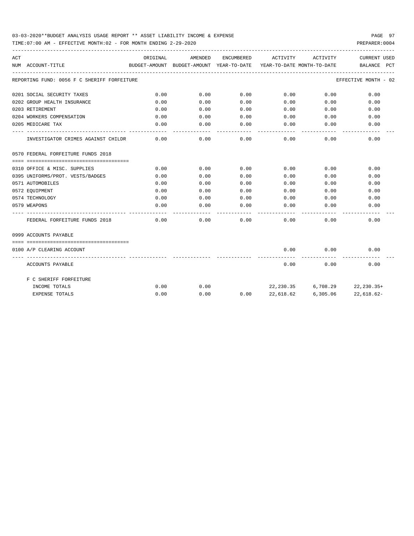## 03-03-2020\*\*BUDGET ANALYSIS USAGE REPORT \*\* ASSET LIABILITY INCOME & EXPENSE PAGE 97

TIME:07:00 AM - EFFECTIVE MONTH:02 - FOR MONTH ENDING 2-29-2020 PREPARER:0004

| ACT | NUM ACCOUNT-TITLE                           | ORIGINAL            | AMENDED<br>BUDGET-AMOUNT BUDGET-AMOUNT YEAR-TO-DATE YEAR-TO-DATE MONTH-TO-DATE |                   | ENCUMBERED ACTIVITY | ACTIVITY | <b>CURRENT USED</b><br>BALANCE PCT |
|-----|---------------------------------------------|---------------------|--------------------------------------------------------------------------------|-------------------|---------------------|----------|------------------------------------|
|     | REPORTING FUND: 0056 F C SHERIFF FORFEITURE |                     |                                                                                |                   |                     |          | EFFECTIVE MONTH - 02               |
|     | 0201 SOCIAL SECURITY TAXES                  | 0.00                | 0.00                                                                           | 0.00              | 0.00                | 0.00     | 0.00                               |
|     | 0202 GROUP HEALTH INSURANCE                 | 0.00                | 0.00                                                                           | 0.00              | 0.00                | 0.00     | 0.00                               |
|     | 0203 RETIREMENT                             | 0.00                | 0.00                                                                           | 0.00              | 0.00                | 0.00     | 0.00                               |
|     | 0204 WORKERS COMPENSATION                   | 0.00                | 0.00                                                                           |                   | $0.00$ 0.00         | 0.00     | 0.00                               |
|     | 0205 MEDICARE TAX                           | 0.00<br>$- - - - -$ | 0.00                                                                           | 0.00              | 0.00                | 0.00     | 0.00                               |
|     | INVESTIGATOR CRIMES AGAINST CHILDR          | 0.00                | 0.00                                                                           | 0.00              | 0.00                | 0.00     | 0.00                               |
|     | 0570 FEDERAL FORFEITURE FUNDS 2018          |                     |                                                                                |                   |                     |          |                                    |
|     | 0310 OFFICE & MISC. SUPPLIES                | 0.00                | 0.00                                                                           | 0.00              | 0.00                | 0.00     | 0.00                               |
|     | 0395 UNIFORMS/PROT. VESTS/BADGES            | 0.00                | 0.00                                                                           | 0.00              | 0.00                | 0.00     | 0.00                               |
|     | 0571 AUTOMOBILES                            | 0.00                | 0.00                                                                           | 0.00              | 0.00                | 0.00     | 0.00                               |
|     | 0572 EOUIPMENT                              | 0.00                | 0.00                                                                           | 0.00              | 0.00                | 0.00     | 0.00                               |
|     | 0574 TECHNOLOGY                             | 0.00                | 0.00                                                                           | 0.00              | 0.00                | 0.00     | 0.00                               |
|     | 0579 WEAPONS                                | 0.00                | 0.00                                                                           | 0.00              | 0.00                | 0.00     | 0.00                               |
|     | FEDERAL FORFEITURE FUNDS 2018               | 0.00                | .<br>0.00                                                                      | ---------<br>0.00 | 0.00                | 0.00     | 0.00                               |
|     | 0999 ACCOUNTS PAYABLE                       |                     |                                                                                |                   |                     |          |                                    |
|     | 0100 A/P CLEARING ACCOUNT                   |                     |                                                                                |                   | 0.00                | 0.00     | 0.00                               |
|     | ACCOUNTS PAYABLE                            |                     |                                                                                |                   | 0.00                | 0.00     | 0.00                               |
|     | F C SHERIFF FORFEITURE                      |                     |                                                                                |                   |                     |          |                                    |
|     | INCOME TOTALS                               | 0.00                | 0.00                                                                           |                   |                     |          | 22, 230.35 6, 708.29 22, 230.35+   |
|     | <b>EXPENSE TOTALS</b>                       | 0.00                | 0.00                                                                           | 0.00              | 22,618.62           | 6,305.06 | 22,618.62-                         |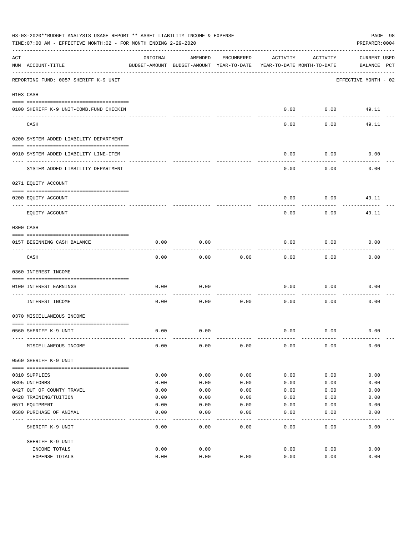|     | 03-03-2020**BUDGET ANALYSIS USAGE REPORT ** ASSET LIABILITY INCOME & EXPENSE<br>TIME: 07:00 AM - EFFECTIVE MONTH: 02 - FOR MONTH ENDING 2-29-2020 |              |                                                     |              |                                        |              | PAGE 98<br>PREPARER: 0004   |
|-----|---------------------------------------------------------------------------------------------------------------------------------------------------|--------------|-----------------------------------------------------|--------------|----------------------------------------|--------------|-----------------------------|
| ACT | NUM ACCOUNT-TITLE                                                                                                                                 | ORIGINAL     | AMENDED<br>BUDGET-AMOUNT BUDGET-AMOUNT YEAR-TO-DATE | ENCUMBERED   | ACTIVITY<br>YEAR-TO-DATE MONTH-TO-DATE | ACTIVITY     | CURRENT USED<br>BALANCE PCT |
|     | REPORTING FUND: 0057 SHERIFF K-9 UNIT                                                                                                             |              |                                                     |              |                                        |              | EFFECTIVE MONTH - 02        |
|     | 0103 CASH                                                                                                                                         |              |                                                     |              |                                        |              |                             |
|     |                                                                                                                                                   |              |                                                     |              |                                        |              |                             |
|     | 0100 SHERIFF K-9 UNIT-COMB. FUND CHECKIN                                                                                                          |              |                                                     |              | 0.00                                   | 0.00         | 49.11                       |
|     | CASH                                                                                                                                              |              |                                                     |              | 0.00                                   | 0.00         | 49.11                       |
|     | 0200 SYSTEM ADDED LIABILITY DEPARTMENT                                                                                                            |              |                                                     |              |                                        |              |                             |
|     | 0910 SYSTEM ADDED LIABILITY LINE-ITEM                                                                                                             |              |                                                     |              | 0.00                                   | 0.00         | 0.00                        |
|     | SYSTEM ADDED LIABILITY DEPARTMENT                                                                                                                 |              |                                                     |              | 0.00                                   | 0.00         | 0.00                        |
|     | 0271 EQUITY ACCOUNT                                                                                                                               |              |                                                     |              |                                        |              |                             |
|     | 0200 EQUITY ACCOUNT                                                                                                                               |              |                                                     |              | 0.00                                   | 0.00         | 49.11                       |
|     | EQUITY ACCOUNT                                                                                                                                    |              |                                                     |              | 0.00                                   | 0.00         | 49.11                       |
|     | 0300 CASH                                                                                                                                         |              |                                                     |              |                                        |              |                             |
|     | 0157 BEGINNING CASH BALANCE                                                                                                                       | 0.00         | 0.00                                                |              | 0.00                                   | 0.00         | 0.00                        |
|     | CASH                                                                                                                                              | 0.00         | 0.00                                                | 0.00         | 0.00                                   | 0.00         | 0.00                        |
|     | 0360 INTEREST INCOME                                                                                                                              |              |                                                     |              |                                        |              |                             |
|     |                                                                                                                                                   |              |                                                     |              |                                        |              |                             |
|     | 0100 INTEREST EARNINGS<br>-----------------                                                                                                       | 0.00         | 0.00                                                |              | 0.00                                   | 0.00         | 0.00                        |
|     | INTEREST INCOME                                                                                                                                   | 0.00         | 0.00                                                | 0.00         | 0.00                                   | 0.00         | 0.00                        |
|     | 0370 MISCELLANEOUS INCOME                                                                                                                         |              |                                                     |              |                                        |              |                             |
|     | 0560 SHERIFF K-9 UNIT                                                                                                                             | 0.00         | 0.00                                                |              | 0.00                                   | 0.00         | 0.00                        |
|     | MISCELLANEOUS INCOME                                                                                                                              | 0.00         | 0.00                                                | 0.00         | 0.00                                   | 0.00         | 0.00                        |
|     | 0560 SHERIFF K-9 UNIT                                                                                                                             |              |                                                     |              |                                        |              |                             |
|     |                                                                                                                                                   |              |                                                     |              |                                        |              |                             |
|     | 0310 SUPPLIES<br>0395 UNIFORMS                                                                                                                    | 0.00<br>0.00 | 0.00<br>0.00                                        | 0.00<br>0.00 | 0.00<br>0.00                           | 0.00<br>0.00 | 0.00<br>0.00                |
|     | 0427 OUT OF COUNTY TRAVEL                                                                                                                         | 0.00         | 0.00                                                | 0.00         | 0.00                                   | 0.00         | 0.00                        |
|     | 0428 TRAINING/TUITION                                                                                                                             | 0.00         | 0.00                                                | 0.00         | 0.00                                   | 0.00         | 0.00                        |
|     | 0571 EQUIPMENT                                                                                                                                    | 0.00         | 0.00                                                | 0.00         | 0.00                                   | 0.00         | 0.00                        |
|     | 0580 PURCHASE OF ANIMAL                                                                                                                           | 0.00         | 0.00                                                | 0.00         | 0.00                                   | 0.00         | 0.00                        |
|     | SHERIFF K-9 UNIT                                                                                                                                  | 0.00         | ----<br>0.00                                        | ----<br>0.00 | 0.00                                   | 0.00         | 0.00                        |
|     | SHERIFF K-9 UNIT                                                                                                                                  |              |                                                     |              |                                        |              |                             |
|     | INCOME TOTALS                                                                                                                                     | 0.00         | 0.00                                                |              | 0.00                                   | 0.00         | 0.00                        |
|     | EXPENSE TOTALS                                                                                                                                    | 0.00         | 0.00                                                | 0.00         | 0.00                                   | 0.00         | 0.00                        |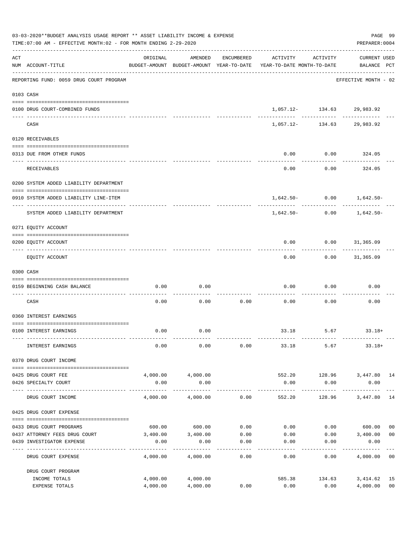|     | 03-03-2020**BUDGET ANALYSIS USAGE REPORT ** ASSET LIABILITY INCOME & EXPENSE<br>TIME: 07:00 AM - EFFECTIVE MONTH: 02 - FOR MONTH ENDING 2-29-2020 |                      |                      |            |                                                                                 |                            |                                       |                      |  |  |
|-----|---------------------------------------------------------------------------------------------------------------------------------------------------|----------------------|----------------------|------------|---------------------------------------------------------------------------------|----------------------------|---------------------------------------|----------------------|--|--|
| ACT | NUM ACCOUNT-TITLE                                                                                                                                 | ORIGINAL             | AMENDED              | ENCUMBERED | ACTIVITY<br>BUDGET-AMOUNT BUDGET-AMOUNT YEAR-TO-DATE YEAR-TO-DATE MONTH-TO-DATE | ACTIVITY                   | CURRENT USED<br>BALANCE PCT           |                      |  |  |
|     | ------------------------------------<br>REPORTING FUND: 0059 DRUG COURT PROGRAM                                                                   |                      |                      |            |                                                                                 |                            | -------------<br>EFFECTIVE MONTH - 02 |                      |  |  |
|     | 0103 CASH                                                                                                                                         |                      |                      |            |                                                                                 |                            |                                       |                      |  |  |
|     | 0100 DRUG COURT-COMBINED FUNDS                                                                                                                    |                      |                      |            |                                                                                 | 1,057.12- 134.63 29,983.92 |                                       |                      |  |  |
|     | CASH                                                                                                                                              |                      |                      |            |                                                                                 | 1,057.12- 134.63 29,983.92 |                                       |                      |  |  |
|     | 0120 RECEIVABLES                                                                                                                                  |                      |                      |            |                                                                                 |                            |                                       |                      |  |  |
|     | 0313 DUE FROM OTHER FUNDS                                                                                                                         |                      |                      |            | 0.00                                                                            | $0.00$ 324.05              |                                       |                      |  |  |
|     | RECEIVABLES                                                                                                                                       |                      |                      |            | 0.00                                                                            | ---------<br>0.00          | 324.05                                |                      |  |  |
|     | 0200 SYSTEM ADDED LIABILITY DEPARTMENT                                                                                                            |                      |                      |            |                                                                                 |                            |                                       |                      |  |  |
|     | 0910 SYSTEM ADDED LIABILITY LINE-ITEM                                                                                                             |                      |                      |            |                                                                                 |                            | $1,642.50 - 0.00$ $1,642.50 -$        |                      |  |  |
|     | SYSTEM ADDED LIABILITY DEPARTMENT                                                                                                                 |                      |                      |            | 1,642.50-                                                                       |                            | -----------<br>$0.00$ 1,642.50-       |                      |  |  |
|     | 0271 EQUITY ACCOUNT                                                                                                                               |                      |                      |            |                                                                                 |                            |                                       |                      |  |  |
|     | 0200 EQUITY ACCOUNT                                                                                                                               |                      |                      |            | 0.00                                                                            | $0.00$ $31,365.09$         | . <u>.</u>                            |                      |  |  |
|     | EQUITY ACCOUNT                                                                                                                                    |                      |                      |            | 0.00                                                                            | ---------                  | $0.00$ 31,365.09                      |                      |  |  |
|     | 0300 CASH                                                                                                                                         |                      |                      |            |                                                                                 |                            |                                       |                      |  |  |
|     | 0159 BEGINNING CASH BALANCE<br>------------------------------                                                                                     | 0.00                 | 0.00                 |            | 0.00                                                                            | 0.00                       | 0.00                                  |                      |  |  |
|     | CASH                                                                                                                                              | 0.00                 | 0.00                 | 0.00       | 0.00                                                                            | 0.00                       | 0.00                                  |                      |  |  |
|     | 0360 INTEREST EARNINGS                                                                                                                            |                      |                      |            |                                                                                 |                            |                                       |                      |  |  |
|     | 0100 INTEREST EARNINGS                                                                                                                            | 0.00                 | 0.00                 |            |                                                                                 |                            | $33.18$ $5.67$ $33.18+$               |                      |  |  |
|     | INTEREST EARNINGS                                                                                                                                 | 0.00                 | 0.00                 | 0.00       | 33.18                                                                           | 5.67                       | $33.18+$                              |                      |  |  |
|     | 0370 DRUG COURT INCOME                                                                                                                            |                      |                      |            |                                                                                 |                            |                                       |                      |  |  |
|     | 0425 DRUG COURT FEE                                                                                                                               | 4,000.00             | 4,000.00             |            |                                                                                 |                            | 552.20 128.96 3,447.80 14             |                      |  |  |
|     | 0426 SPECIALTY COURT                                                                                                                              | 0.00                 | 0.00<br>-----------  |            | 0.00<br>-------                                                                 | 0.00<br>----------         | 0.00<br>-------------                 |                      |  |  |
|     | DRUG COURT INCOME                                                                                                                                 | 4,000.00             | 4,000.00             | 0.00       | 552.20                                                                          | 128.96                     | 3,447.80                              | 14                   |  |  |
|     | 0425 DRUG COURT EXPENSE                                                                                                                           |                      |                      |            |                                                                                 |                            |                                       |                      |  |  |
|     | 0433 DRUG COURT PROGRAMS                                                                                                                          |                      | 600.00 600.00        |            | $0.00$ $0.00$ $0.00$ $0.00$ $600.00$                                            |                            |                                       | 00                   |  |  |
|     | 0437 ATTORNEY FEES DRUG COURT                                                                                                                     |                      | 3,400.00 3,400.00    | 0.00       | 0.00                                                                            | 0.00                       | 3,400.00                              | 0 <sub>0</sub>       |  |  |
|     | 0439 INVESTIGATOR EXPENSE                                                                                                                         | 0.00                 | 0.00                 | 0.00       | 0.00                                                                            | 0.00                       | 0.00                                  |                      |  |  |
|     | DRUG COURT EXPENSE                                                                                                                                | 4,000.00             | 4,000.00             | 0.00       | 0.00                                                                            | 0.00                       | 4,000.00 00                           |                      |  |  |
|     | DRUG COURT PROGRAM                                                                                                                                |                      |                      |            |                                                                                 |                            |                                       |                      |  |  |
|     | INCOME TOTALS<br>EXPENSE TOTALS                                                                                                                   | 4,000.00<br>4,000.00 | 4,000.00<br>4,000.00 | 0.00       | 585.38<br>0.00                                                                  | 134.63<br>0.00             | 3,414.62<br>4,000.00                  | 15<br>0 <sub>0</sub> |  |  |
|     |                                                                                                                                                   |                      |                      |            |                                                                                 |                            |                                       |                      |  |  |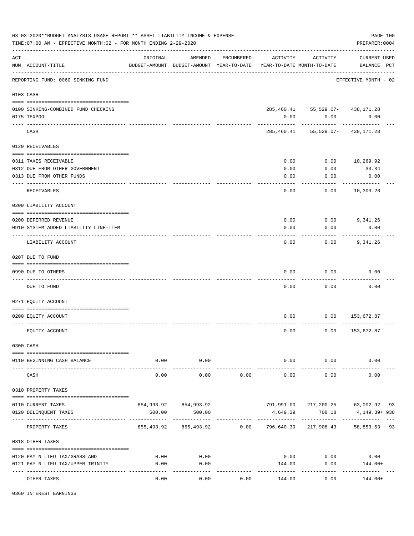|     | 03-03-2020**BUDGET ANALYSIS USAGE REPORT ** ASSET LIABILITY INCOME & EXPENSE<br>TIME: 07:00 AM - EFFECTIVE MONTH: 02 - FOR MONTH ENDING 2-29-2020 |                      |                                                                                |            |                        |                                             | PAGE 100<br>PREPARER: 0004                                                 |
|-----|---------------------------------------------------------------------------------------------------------------------------------------------------|----------------------|--------------------------------------------------------------------------------|------------|------------------------|---------------------------------------------|----------------------------------------------------------------------------|
| ACT | NUM ACCOUNT-TITLE                                                                                                                                 | ORIGINAL             | AMENDED<br>BUDGET-AMOUNT BUDGET-AMOUNT YEAR-TO-DATE YEAR-TO-DATE MONTH-TO-DATE | ENCUMBERED | ACTIVITY               | ACTIVITY                                    | <b>CURRENT USED</b><br>BALANCE PCT                                         |
|     | REPORTING FUND: 0060 SINKING FUND                                                                                                                 |                      |                                                                                |            |                        |                                             | EFFECTIVE MONTH - 02                                                       |
|     | 0103 CASH                                                                                                                                         |                      |                                                                                |            |                        |                                             |                                                                            |
|     | 0100 SINKING-COMBINED FUND CHECKING<br>0175 TEXPOOL                                                                                               |                      |                                                                                |            | 0.00                   | 285, 460.41 55, 529.07- 438, 171.28<br>0.00 | 0.00                                                                       |
|     | CASH                                                                                                                                              |                      |                                                                                |            |                        | 285, 460. 41 55, 529. 07- 438, 171. 28      |                                                                            |
|     | 0120 RECEIVABLES                                                                                                                                  |                      |                                                                                |            |                        |                                             |                                                                            |
|     |                                                                                                                                                   |                      |                                                                                |            |                        |                                             |                                                                            |
|     | 0311 TAXES RECEIVABLE                                                                                                                             |                      |                                                                                |            | 0.00                   | 0.00                                        | 10,269.92                                                                  |
|     | 0312 DUE FROM OTHER GOVERNMENT                                                                                                                    |                      |                                                                                |            | 0.00                   | 0.00                                        | 33.34                                                                      |
|     | 0313 DUE FROM OTHER FUNDS                                                                                                                         |                      |                                                                                |            | 0.00                   | 0.00                                        | 0.00                                                                       |
|     | ---- --------------------<br>RECEIVABLES                                                                                                          |                      |                                                                                |            | 0.00                   | 0.00                                        | ----------<br>10,303.26                                                    |
|     | 0200 LIABILITY ACCOUNT                                                                                                                            |                      |                                                                                |            |                        |                                             |                                                                            |
|     |                                                                                                                                                   |                      |                                                                                |            |                        |                                             |                                                                            |
|     | 0200 DEFERRED REVENUE                                                                                                                             |                      |                                                                                |            | 0.00                   | 0.00                                        | 9,341.26                                                                   |
|     | 0910 SYSTEM ADDED LIABILITY LINE-ITEM                                                                                                             |                      |                                                                                |            | 0.00                   | 0.00                                        | 0.00                                                                       |
|     | LIABILITY ACCOUNT                                                                                                                                 |                      |                                                                                |            | 0.00                   | 0.00                                        | 9,341.26                                                                   |
|     | 0207 DUE TO FUND                                                                                                                                  |                      |                                                                                |            |                        |                                             |                                                                            |
|     | 0990 DUE TO OTHERS                                                                                                                                |                      |                                                                                |            | 0.00                   | 0.00                                        | 0.00                                                                       |
|     | DUE TO FUND                                                                                                                                       |                      |                                                                                |            | 0.00                   | 0.00                                        | 0.00                                                                       |
|     | 0271 EQUITY ACCOUNT                                                                                                                               |                      |                                                                                |            |                        |                                             |                                                                            |
|     |                                                                                                                                                   |                      |                                                                                |            |                        |                                             |                                                                            |
|     | 0200 EQUITY ACCOUNT                                                                                                                               |                      |                                                                                |            | 0.00                   | 0.00                                        | 153,672.87                                                                 |
|     | EQUITY ACCOUNT                                                                                                                                    |                      |                                                                                |            | 0.00                   | 0.00                                        | 153,672.87                                                                 |
|     | 0300 CASH                                                                                                                                         |                      |                                                                                |            |                        |                                             |                                                                            |
|     | 0110 BEGINNING CASH BALANCE                                                                                                                       | 0.00                 | 0.00                                                                           |            |                        | $0.00$ 0.00                                 | 0.00                                                                       |
|     | CASH                                                                                                                                              | 0.00                 | -----------<br>0.00                                                            | 0.00       | ______________<br>0.00 | ------------<br>0.00                        | 0.00                                                                       |
|     | 0310 PROPERTY TAXES                                                                                                                               |                      |                                                                                |            |                        |                                             |                                                                            |
|     |                                                                                                                                                   |                      |                                                                                |            |                        |                                             |                                                                            |
|     | 0110 CURRENT TAXES                                                                                                                                |                      | 854,993.92 854,993.92                                                          |            |                        |                                             | 791,991.00 217,200.25 63,002.92 93                                         |
|     | 0120 DELINQUENT TAXES                                                                                                                             | 500.00               | 500.00                                                                         |            | 4,649.39               | 708.18                                      | 4,149.39+ 930                                                              |
|     | PROPERTY TAXES                                                                                                                                    |                      |                                                                                |            |                        |                                             | 855,493.92   855,493.92      0.00   796,640.39  217,908.43   58,853.53  93 |
|     | 0318 OTHER TAXES                                                                                                                                  |                      |                                                                                |            |                        |                                             |                                                                            |
|     |                                                                                                                                                   |                      |                                                                                |            |                        |                                             |                                                                            |
|     | 0120 PAY N LIEU TAX/GRASSLAND                                                                                                                     | 0.00                 | 0.00                                                                           |            | 0.00                   | 0.00                                        | 0.00                                                                       |
|     | 0121 PAY N LIEU TAX/UPPER TRINITY                                                                                                                 | 0.00                 | 0.00                                                                           |            | 144.00                 | 0.00                                        | 144.00+                                                                    |
|     | OTHER TAXES                                                                                                                                       | . <u>.</u> .<br>0.00 | . <u>.</u><br>0.00                                                             | 0.00       | 144.00                 | ----------<br>0.00                          | $144.00+$                                                                  |

0360 INTEREST EARNINGS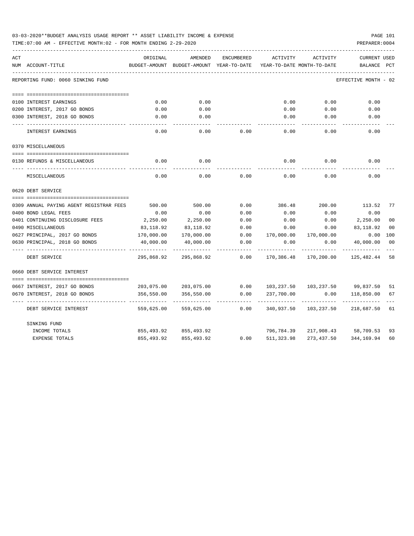| 03-03-2020**BUDGET ANALYSIS USAGE REPORT ** ASSET LIABILITY INCOME & EXPENSE |  |  |  | PAGE 101 |  |
|------------------------------------------------------------------------------|--|--|--|----------|--|
|                                                                              |  |  |  |          |  |

TIME:07:00 AM - EFFECTIVE MONTH:02 - FOR MONTH ENDING 2-29-2020

| ACT |                                         | ORIGINAL   | AMENDED                                  | ENCUMBERED | ACTIVITY                   | ACTIVITY   | <b>CURRENT USED</b>  |                |
|-----|-----------------------------------------|------------|------------------------------------------|------------|----------------------------|------------|----------------------|----------------|
|     | NUM ACCOUNT-TITLE                       |            | BUDGET-AMOUNT BUDGET-AMOUNT YEAR-TO-DATE |            | YEAR-TO-DATE MONTH-TO-DATE |            | BALANCE              | PCT            |
|     | REPORTING FUND: 0060 SINKING FUND       |            |                                          |            |                            |            | EFFECTIVE MONTH - 02 |                |
|     |                                         |            |                                          |            |                            |            |                      |                |
|     | 0100 INTEREST EARNINGS                  | 0.00       | 0.00                                     |            | 0.00                       | 0.00       | 0.00                 |                |
|     | 0200 INTEREST, 2017 GO BONDS            | 0.00       | 0.00                                     |            | 0.00                       | 0.00       | 0.00                 |                |
|     | 0300 INTEREST, 2018 GO BONDS            | 0.00       | 0.00                                     |            | 0.00                       | 0.00       | 0.00                 |                |
|     | INTEREST EARNINGS                       | 0.00       | 0.00                                     | 0.00       | 0.00                       | 0.00       | 0.00                 |                |
|     | 0370 MISCELLANEOUS                      |            |                                          |            |                            |            |                      |                |
|     | 0130 REFUNDS & MISCELLANEOUS            | 0.00       | 0.00                                     |            | 0.00                       | 0.00       | 0.00                 |                |
|     | MISCELLANEOUS                           | 0.00       | 0.00                                     | 0.00       | 0.00                       | 0.00       | 0.00                 |                |
|     | 0620 DEBT SERVICE                       |            |                                          |            |                            |            |                      |                |
|     |                                         |            |                                          |            |                            |            |                      |                |
|     | 0309 ANNUAL PAYING AGENT REGISTRAR FEES | 500.00     | 500.00                                   | 0.00       | 386.48                     | 200.00     | 113.52               | 77             |
|     | 0400 BOND LEGAL FEES                    | 0.00       | 0.00                                     | 0.00       | 0.00                       | 0.00       | 0.00                 |                |
|     | 0401 CONTINUING DISCLOSURE FEES         | 2,250.00   | 2,250.00                                 | 0.00       | 0.00                       | 0.00       | 2,250.00             | 0 <sup>0</sup> |
|     | 0490 MISCELLANEOUS                      | 83,118.92  | 83,118.92                                | 0.00       | 0.00                       | 0.00       | 83,118.92            | 00             |
|     | 0627 PRINCIPAL, 2017 GO BONDS           | 170,000.00 | 170,000.00                               | 0.00       | 170,000.00                 | 170,000.00 | 0.00                 | 100            |
|     | 0630 PRINCIPAL, 2018 GO BONDS           | 40,000.00  | 40,000.00                                | 0.00       | 0.00                       | 0.00       | 40,000.00            | 00             |
|     | DEBT SERVICE                            | 295,868.92 | 295,868.92                               | 0.00       | 170,386.48                 | 170,200.00 | 125,482.44           | 58             |
|     | 0660 DEBT SERVICE INTEREST              |            |                                          |            |                            |            |                      |                |
|     | 0667 INTEREST, 2017 GO BONDS            | 203,075.00 | 203,075.00                               | 0.00       | 103,237.50                 |            | 103,237.50 99,837.50 | 51             |
|     | 0670 INTEREST, 2018 GO BONDS            | 356,550.00 | 356,550.00                               | 0.00       | 237,700.00                 | 0.00       | 118,850.00           | 67             |
|     |                                         |            |                                          |            |                            |            |                      |                |
|     | DEBT SERVICE INTEREST                   | 559,625.00 | 559,625.00                               | 0.00       | 340,937.50                 | 103,237.50 | 218,687.50           | 61             |
|     | SINKING FUND                            |            |                                          |            |                            |            |                      |                |
|     | INCOME TOTALS                           | 855,493.92 | 855,493.92                               |            | 796,784.39                 |            | 217,908.43 58,709.53 | 93             |
|     | <b>EXPENSE TOTALS</b>                   | 855,493.92 | 855, 493.92                              | 0.00       | 511,323.98                 | 273,437.50 | 344,169.94           | 60             |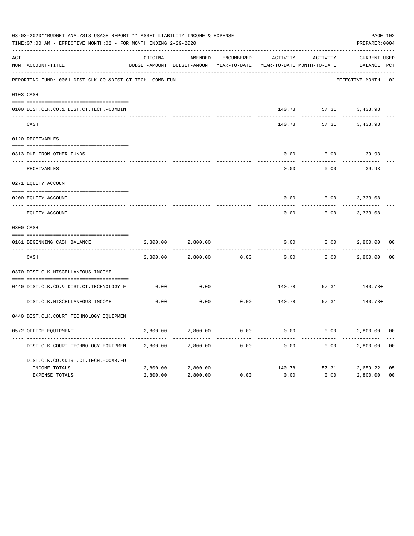|     | 03-03-2020**BUDGET ANALYSIS USAGE REPORT ** ASSET LIABILITY INCOME & EXPENSE<br>TIME: 07:00 AM - EFFECTIVE MONTH: 02 - FOR MONTH ENDING 2-29-2020 |          |                                                     |                   |          |                                        | PAGE 102<br>PREPARER: 0004         |                |
|-----|---------------------------------------------------------------------------------------------------------------------------------------------------|----------|-----------------------------------------------------|-------------------|----------|----------------------------------------|------------------------------------|----------------|
| ACT | NUM ACCOUNT-TITLE                                                                                                                                 | ORIGINAL | AMENDED<br>BUDGET-AMOUNT BUDGET-AMOUNT YEAR-TO-DATE | <b>ENCUMBERED</b> | ACTIVITY | ACTIVITY<br>YEAR-TO-DATE MONTH-TO-DATE | <b>CURRENT USED</b><br>BALANCE PCT |                |
|     | REPORTING FUND: 0061 DIST.CLK.CO.&DIST.CT.TECH.-COMB.FUN                                                                                          |          |                                                     |                   |          |                                        | EFFECTIVE MONTH - 02               |                |
|     | 0103 CASH                                                                                                                                         |          |                                                     |                   |          |                                        |                                    |                |
|     | 0100 DIST.CLK.CO.& DIST.CT.TECH.-COMBIN                                                                                                           |          |                                                     |                   | 140.78   |                                        | 57.31 3,433.93                     |                |
|     | CASH                                                                                                                                              |          |                                                     |                   | 140.78   | 57.31                                  | 3,433.93                           |                |
|     | 0120 RECEIVABLES                                                                                                                                  |          |                                                     |                   |          |                                        |                                    |                |
|     | 0313 DUE FROM OTHER FUNDS                                                                                                                         |          |                                                     |                   | 0.00     | 0.00                                   | 39.93                              |                |
|     | RECEIVABLES                                                                                                                                       |          |                                                     |                   | 0.00     | 0.00                                   | 39.93                              |                |
|     | 0271 EQUITY ACCOUNT                                                                                                                               |          |                                                     |                   |          |                                        |                                    |                |
|     | 0200 EQUITY ACCOUNT                                                                                                                               |          |                                                     |                   | 0.00     | 0.00                                   | 3,333.08                           |                |
|     | ---- ------------<br>EQUITY ACCOUNT                                                                                                               |          |                                                     |                   | 0.00     | 0.00                                   | 3,333.08                           |                |
|     | 0300 CASH                                                                                                                                         |          |                                                     |                   |          |                                        |                                    |                |
|     | 0161 BEGINNING CASH BALANCE                                                                                                                       | 2,800.00 | 2,800.00                                            |                   | 0.00     | 0.00                                   | 2,800.00                           | 0 <sub>0</sub> |
|     | CASH                                                                                                                                              | 2,800.00 | 2,800.00                                            | 0.00              | 0.00     | 0.00                                   | 2,800.00                           | 0 <sup>0</sup> |
|     | 0370 DIST.CLK.MISCELLANEOUS INCOME                                                                                                                |          |                                                     |                   |          |                                        |                                    |                |
|     | 0440 DIST.CLK.CO.& DIST.CT.TECHNOLOGY F                                                                                                           | 0.00     | 0.00                                                |                   | 140.78   | 57.31                                  | $140.78+$                          |                |
|     | DIST.CLK.MISCELLANEOUS INCOME                                                                                                                     | 0.00     | -------<br>0.00                                     | 0.00              | 140.78   | 57.31                                  | 140.78+                            |                |
|     | 0440 DIST.CLK.COURT TECHNOLOGY EQUIPMEN                                                                                                           |          |                                                     |                   |          |                                        |                                    |                |
|     | 0572 OFFICE EOUIPMENT                                                                                                                             | 2,800.00 | 2,800.00                                            | 0.00              | 0.00     | 0.00                                   | 2,800.00                           | 0 <sub>0</sub> |
|     | DIST.CLK.COURT TECHNOLOGY EQUIPMEN                                                                                                                | 2,800.00 | 2,800.00                                            | 0.00              | 0.00     | 0.00                                   | 2,800.00                           | 0 <sub>0</sub> |
|     | DIST.CLK.CO.&DIST.CT.TECH.-COMB.FU                                                                                                                |          |                                                     |                   |          |                                        |                                    |                |
|     | INCOME TOTALS                                                                                                                                     | 2,800.00 | 2,800.00                                            |                   | 140.78   | 57.31                                  | 2,659.22                           | 05             |
|     | <b>EXPENSE TOTALS</b>                                                                                                                             | 2,800.00 | 2,800.00                                            | 0.00              | 0.00     | 0.00                                   | 2,800.00                           | 0 <sub>0</sub> |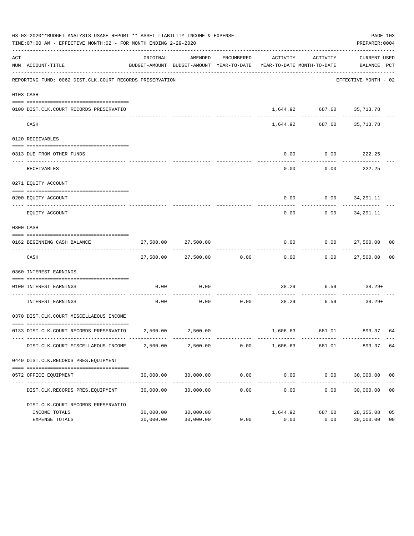|     | 03-03-2020**BUDGET ANALYSIS USAGE REPORT ** ASSET LIABILITY INCOME & EXPENSE<br>TIME:07:00 AM - EFFECTIVE MONTH:02 - FOR MONTH ENDING 2-29-2020 |                        |                          |            |                                                                                 |                           | PREPARER: 0004               | PAGE 103             |
|-----|-------------------------------------------------------------------------------------------------------------------------------------------------|------------------------|--------------------------|------------|---------------------------------------------------------------------------------|---------------------------|------------------------------|----------------------|
| ACT | NUM ACCOUNT-TITLE                                                                                                                               | ORIGINAL               | AMENDED                  | ENCUMBERED | ACTIVITY<br>BUDGET-AMOUNT BUDGET-AMOUNT YEAR-TO-DATE YEAR-TO-DATE MONTH-TO-DATE | ACTIVITY                  | CURRENT USED<br>BALANCE PCT  |                      |
|     | --------------------------------------<br>REPORTING FUND: 0062 DIST.CLK.COURT RECORDS PRESERVATION                                              |                        |                          |            |                                                                                 |                           | EFFECTIVE MONTH - 02         |                      |
|     | 0103 CASH                                                                                                                                       |                        |                          |            |                                                                                 |                           |                              |                      |
|     | 0100 DIST.CLK.COURT RECORDS PRESERVATIO                                                                                                         |                        |                          |            |                                                                                 | 1,644.92 687.60 35,713.78 |                              |                      |
|     | CASH                                                                                                                                            |                        | -------------            |            | 1,644.92                                                                        | ------------              | --------<br>687.60 35,713.78 |                      |
|     | 0120 RECEIVABLES                                                                                                                                |                        |                          |            |                                                                                 |                           |                              |                      |
|     | 0313 DUE FROM OTHER FUNDS                                                                                                                       |                        |                          |            | 0.00                                                                            |                           | $0.00$ 222.25                |                      |
|     | <b>RECEIVABLES</b>                                                                                                                              |                        |                          |            | 0.00                                                                            | ---------<br>0.00         | ----------<br>222.25         |                      |
|     | 0271 EQUITY ACCOUNT                                                                                                                             |                        |                          |            |                                                                                 |                           |                              |                      |
|     | 0200 EQUITY ACCOUNT                                                                                                                             |                        |                          |            |                                                                                 | $0.00$ $0.00$ $34.291.11$ |                              |                      |
|     | -------------------- --------<br>EQUITY ACCOUNT                                                                                                 |                        |                          |            | 0.00                                                                            | 0.00                      | 34,291.11                    |                      |
|     | 0300 CASH                                                                                                                                       |                        |                          |            |                                                                                 |                           |                              |                      |
|     | 0162 BEGINNING CASH BALANCE                                                                                                                     |                        | 27,500.00 27,500.00      |            | 0.00                                                                            |                           | $0.00$ 27,500.00 00          |                      |
|     | CASH                                                                                                                                            |                        | 27,500.00 27,500.00 0.00 |            | 0.00                                                                            |                           | $0.00$ 27,500.00 00          |                      |
|     | 0360 INTEREST EARNINGS                                                                                                                          |                        |                          |            |                                                                                 |                           |                              |                      |
|     | 0100 INTEREST EARNINGS                                                                                                                          | 0.00                   | 0.00                     |            | 38.29                                                                           | 6.59                      | 38.29+                       |                      |
|     | ------------------- ------<br>INTEREST EARNINGS                                                                                                 | 0.00                   | 0.00                     | 0.00       | 38.29                                                                           | 6.59                      | 38.29+                       |                      |
|     | 0370 DIST.CLK.COURT MISCELLAEOUS INCOME                                                                                                         |                        |                          |            |                                                                                 |                           |                              |                      |
|     | 0133 DIST.CLK.COURT RECORDS PRESERVATIO 2,500.00 2,500.00                                                                                       |                        |                          |            |                                                                                 | 1,606.63 681.01 893.37    |                              | 64                   |
|     | DIST.CLK.COURT MISCELLAEOUS INCOME                                                                                                              | 2,500.00               | 2,500.00                 | 0.00       | 1,606.63                                                                        | 681.01                    | 893.37 64                    |                      |
|     | 0449 DIST.CLK.RECORDS PRES.EQUIPMENT                                                                                                            |                        |                          |            |                                                                                 |                           |                              |                      |
|     | 0572 OFFICE EQUIPMENT                                                                                                                           | 30,000.00              | 30,000.00                | 0.00       | 0.00                                                                            | 0.00                      | 30,000.00 00                 |                      |
|     | DIST.CLK.RECORDS PRES.EQUIPMENT                                                                                                                 | 30,000.00              | 30,000.00                | 0.00       | -------------<br>0.00                                                           | _____________<br>0.00     | _____________<br>30,000.00   | 0 <sub>0</sub>       |
|     | DIST.CLK.COURT RECORDS PRESERVATIO                                                                                                              |                        |                          |            |                                                                                 |                           |                              |                      |
|     | INCOME TOTALS<br>EXPENSE TOTALS                                                                                                                 | 30,000.00<br>30,000.00 | 30,000.00<br>30,000.00   | 0.00       | 1,644.92<br>0.00                                                                | 687.60<br>0.00            | 28,355.08<br>30,000.00       | 05<br>0 <sub>0</sub> |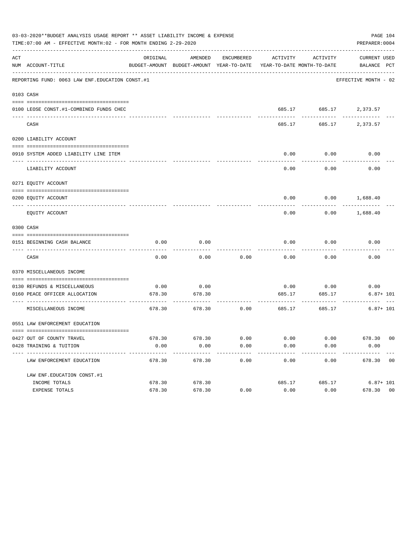|     | 03-03-2020**BUDGET ANALYSIS USAGE REPORT ** ASSET LIABILITY INCOME & EXPENSE<br>TIME:07:00 AM - EFFECTIVE MONTH:02 - FOR MONTH ENDING 2-29-2020 |          |                     |            |                      |                         | PAGE 104<br>PREPARER: 0004                                                                      |
|-----|-------------------------------------------------------------------------------------------------------------------------------------------------|----------|---------------------|------------|----------------------|-------------------------|-------------------------------------------------------------------------------------------------|
| ACT | NUM ACCOUNT-TITLE                                                                                                                               | ORIGINAL | AMENDED             | ENCUMBERED | ACTIVITY             | ACTIVITY                | CURRENT USED<br>BUDGET-AMOUNT BUDGET-AMOUNT YEAR-TO-DATE YEAR-TO-DATE MONTH-TO-DATE BALANCE PCT |
|     | REPORTING FUND: 0063 LAW ENF. EDUCATION CONST.#1                                                                                                |          |                     |            |                      |                         | EFFECTIVE MONTH - 02                                                                            |
|     | 0103 CASH                                                                                                                                       |          |                     |            |                      |                         |                                                                                                 |
|     | 0100 LEOSE CONST.#1-COMBINED FUNDS CHEC                                                                                                         |          |                     |            |                      |                         | 685.17 685.17 2,373.57                                                                          |
|     | CASH                                                                                                                                            |          |                     |            | 685.17               |                         | 685.17 2,373.57                                                                                 |
|     | 0200 LIABILITY ACCOUNT                                                                                                                          |          |                     |            |                      |                         |                                                                                                 |
|     | 0910 SYSTEM ADDED LIABILITY LINE ITEM                                                                                                           |          |                     |            | 0.00                 | 0.00                    | 0.00                                                                                            |
|     | LIABILITY ACCOUNT                                                                                                                               |          |                     |            | 0.00                 | 0.00                    | 0.00                                                                                            |
|     | 0271 EQUITY ACCOUNT                                                                                                                             |          |                     |            |                      |                         |                                                                                                 |
|     | 0200 EOUITY ACCOUNT                                                                                                                             |          |                     |            | 0.00                 |                         | $0.00$ 1,688.40                                                                                 |
|     | EQUITY ACCOUNT                                                                                                                                  |          |                     |            | 0.00                 | 0.00                    | 1,688.40                                                                                        |
|     | 0300 CASH                                                                                                                                       |          |                     |            |                      |                         |                                                                                                 |
|     | 0151 BEGINNING CASH BALANCE                                                                                                                     | 0.00     | 0.00                |            | 0.00                 | 0.00                    | 0.00                                                                                            |
|     | CASH                                                                                                                                            | 0.00     | 0.00                | 0.00       | 0.00                 | 0.00                    | 0.00                                                                                            |
|     | 0370 MISCELLANEOUS INCOME                                                                                                                       |          |                     |            |                      |                         |                                                                                                 |
|     | 0130 REFUNDS & MISCELLANEOUS                                                                                                                    | 0.00     | 0.00                |            | 0.00                 | 0.00                    | 0.00                                                                                            |
|     | 0160 PEACE OFFICER ALLOCATION<br>-----------------------------------                                                                            | 678.30   | 678.30<br>--------- |            | 685.17<br>---------- | 685.17<br>------------- | $6.87 + 101$                                                                                    |
|     | MISCELLANEOUS INCOME                                                                                                                            | 678.30   | 678.30              | 0.00       | 685.17               | 685.17                  | $6.87 + 101$                                                                                    |
|     | 0551 LAW ENFORCEMENT EDUCATION                                                                                                                  |          |                     |            |                      |                         |                                                                                                 |
|     | 0427 OUT OF COUNTY TRAVEL                                                                                                                       | 678.30   | 678.30              | 0.00       | 0.00                 | 0.00                    | 678.30 00                                                                                       |
|     | 0428 TRAINING & TUITION<br>---------------------------                                                                                          | 0.00     | 0.00<br>.           | 0.00       | 0.00                 | 0.00                    | 0.00                                                                                            |
|     | LAW ENFORCEMENT EDUCATION                                                                                                                       | 678.30   | 678.30              | 0.00       | 0.00                 | 0.00                    | 678.30 00                                                                                       |
|     | LAW ENF. EDUCATION CONST. #1                                                                                                                    |          |                     |            |                      |                         |                                                                                                 |
|     | INCOME TOTALS                                                                                                                                   | 678.30   | 678.30              |            | 685.17               | 685.17                  | $6.87 + 101$                                                                                    |
|     | EXPENSE TOTALS                                                                                                                                  | 678.30   | 678.30              | 0.00       | 0.00                 | 0.00                    | 678.30 00                                                                                       |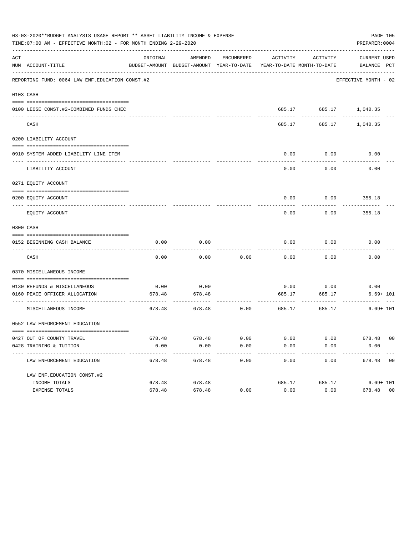| 03-03-2020**BUDGET ANALYSIS USAGE REPORT ** ASSET LIABILITY INCOME & EXPENSE<br>PAGE 105<br>TIME:07:00 AM - EFFECTIVE MONTH:02 - FOR MONTH ENDING 2-29-2020<br>PREPARER: 0004 |                                                                 |                |                    |              |                         |                         |                                                                                                 |  |
|-------------------------------------------------------------------------------------------------------------------------------------------------------------------------------|-----------------------------------------------------------------|----------------|--------------------|--------------|-------------------------|-------------------------|-------------------------------------------------------------------------------------------------|--|
| ACT                                                                                                                                                                           | NUM ACCOUNT-TITLE                                               | ORIGINAL       | AMENDED            | ENCUMBERED   | ACTIVITY                | ACTIVITY                | CURRENT USED<br>BUDGET-AMOUNT BUDGET-AMOUNT YEAR-TO-DATE YEAR-TO-DATE MONTH-TO-DATE BALANCE PCT |  |
|                                                                                                                                                                               | REPORTING FUND: 0064 LAW ENF. EDUCATION CONST. #2               |                |                    |              |                         |                         | EFFECTIVE MONTH - 02                                                                            |  |
|                                                                                                                                                                               | 0103 CASH                                                       |                |                    |              |                         |                         |                                                                                                 |  |
|                                                                                                                                                                               | 0100 LEOSE CONST.#2-COMBINED FUNDS CHEC                         |                |                    |              |                         |                         | 685.17 685.17 1,040.35                                                                          |  |
|                                                                                                                                                                               | CASH                                                            |                |                    |              | 685.17                  |                         | 685.17 1,040.35                                                                                 |  |
|                                                                                                                                                                               | 0200 LIABILITY ACCOUNT                                          |                |                    |              |                         |                         |                                                                                                 |  |
|                                                                                                                                                                               | 0910 SYSTEM ADDED LIABILITY LINE ITEM                           |                |                    |              | 0.00                    | 0.00                    | 0.00                                                                                            |  |
|                                                                                                                                                                               | LIABILITY ACCOUNT                                               |                |                    |              | 0.00                    | 0.00                    | 0.00                                                                                            |  |
|                                                                                                                                                                               | 0271 EQUITY ACCOUNT                                             |                |                    |              |                         |                         |                                                                                                 |  |
|                                                                                                                                                                               | 0200 EOUITY ACCOUNT                                             |                |                    |              | 0.00                    |                         | $0.00$ 355.18                                                                                   |  |
|                                                                                                                                                                               | EQUITY ACCOUNT                                                  |                |                    |              | 0.00                    | 0.00                    | 355.18                                                                                          |  |
|                                                                                                                                                                               | 0300 CASH                                                       |                |                    |              |                         |                         |                                                                                                 |  |
|                                                                                                                                                                               | 0152 BEGINNING CASH BALANCE<br>________________________________ | 0.00           | 0.00               |              | 0.00                    | 0.00                    | 0.00                                                                                            |  |
|                                                                                                                                                                               | CASH                                                            | 0.00           | 0.00               | 0.00         | 0.00                    | 0.00                    | 0.00                                                                                            |  |
|                                                                                                                                                                               | 0370 MISCELLANEOUS INCOME                                       |                |                    |              |                         |                         |                                                                                                 |  |
|                                                                                                                                                                               | 0130 REFUNDS & MISCELLANEOUS                                    | 0.00           | 0.00               |              | 0.00                    | 0.00                    | 0.00                                                                                            |  |
|                                                                                                                                                                               | 0160 PEACE OFFICER ALLOCATION                                   | 678.48         | 678.48             |              | 685.17                  | 685.17                  | $6.69 + 101$                                                                                    |  |
|                                                                                                                                                                               | -----------------------------------<br>MISCELLANEOUS INCOME     | 678.48         | .<br>678.48        | 0.00         | -------------<br>685.17 | -------------<br>685.17 | $6.69 + 101$                                                                                    |  |
|                                                                                                                                                                               | 0552 LAW ENFORCEMENT EDUCATION                                  |                |                    |              |                         |                         |                                                                                                 |  |
|                                                                                                                                                                               |                                                                 |                |                    |              |                         |                         |                                                                                                 |  |
|                                                                                                                                                                               | 0427 OUT OF COUNTY TRAVEL<br>0428 TRAINING & TUITION            | 678.48<br>0.00 | 678.48<br>0.00     | 0.00<br>0.00 | 0.00<br>0.00            | 0.00<br>0.00            | 678.48 00<br>0.00                                                                               |  |
|                                                                                                                                                                               | ----------------------------<br>LAW ENFORCEMENT EDUCATION       | 678.48         | --------<br>678.48 | 0.00         | 0.00                    | 0.00                    | 678.48 00                                                                                       |  |
|                                                                                                                                                                               | LAW ENF. EDUCATION CONST. #2                                    |                |                    |              |                         |                         |                                                                                                 |  |
|                                                                                                                                                                               | INCOME TOTALS                                                   | 678.48         | 678.48             |              | 685.17                  | 685.17                  | $6.69 + 101$                                                                                    |  |
|                                                                                                                                                                               | EXPENSE TOTALS                                                  | 678.48         | 678.48             | 0.00         | 0.00                    | 0.00                    | 678.48 00                                                                                       |  |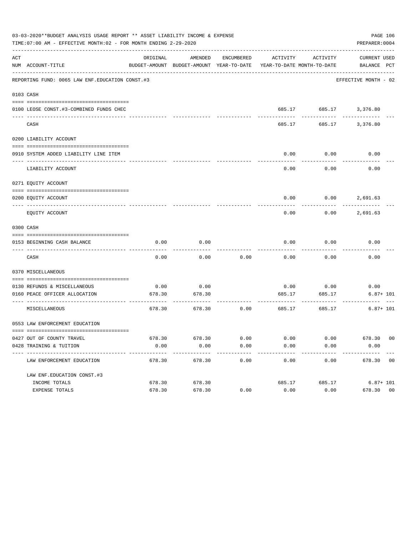| 03-03-2020**BUDGET ANALYSIS USAGE REPORT ** ASSET LIABILITY INCOME & EXPENSE<br>PAGE 106<br>TIME:07:00 AM - EFFECTIVE MONTH:02 - FOR MONTH ENDING 2-29-2020<br>PREPARER: 0004 |                                                                      |          |                     |            |                     |                         |                                                                                                 |  |
|-------------------------------------------------------------------------------------------------------------------------------------------------------------------------------|----------------------------------------------------------------------|----------|---------------------|------------|---------------------|-------------------------|-------------------------------------------------------------------------------------------------|--|
| ACT                                                                                                                                                                           | NUM ACCOUNT-TITLE                                                    | ORIGINAL | AMENDED             | ENCUMBERED | ACTIVITY            | ACTIVITY                | CURRENT USED<br>BUDGET-AMOUNT BUDGET-AMOUNT YEAR-TO-DATE YEAR-TO-DATE MONTH-TO-DATE BALANCE PCT |  |
|                                                                                                                                                                               | REPORTING FUND: 0065 LAW ENF. EDUCATION CONST.#3                     |          |                     |            |                     |                         | EFFECTIVE MONTH - 02                                                                            |  |
|                                                                                                                                                                               | 0103 CASH                                                            |          |                     |            |                     |                         |                                                                                                 |  |
|                                                                                                                                                                               | 0100 LEOSE CONST.#3-COMBINED FUNDS CHEC                              |          |                     |            |                     |                         | 685.17 685.17 3,376.80                                                                          |  |
|                                                                                                                                                                               | CASH                                                                 |          |                     |            | 685.17              |                         | 685.17 3,376.80                                                                                 |  |
|                                                                                                                                                                               | 0200 LIABILITY ACCOUNT                                               |          |                     |            |                     |                         |                                                                                                 |  |
|                                                                                                                                                                               | 0910 SYSTEM ADDED LIABILITY LINE ITEM                                |          |                     |            | 0.00                | 0.00                    | 0.00                                                                                            |  |
|                                                                                                                                                                               | LIABILITY ACCOUNT                                                    |          |                     |            | 0.00                | 0.00                    | 0.00                                                                                            |  |
|                                                                                                                                                                               | 0271 EQUITY ACCOUNT                                                  |          |                     |            |                     |                         |                                                                                                 |  |
|                                                                                                                                                                               | 0200 EOUITY ACCOUNT                                                  |          |                     |            | 0.00                |                         | $0.00$ 2,691.63                                                                                 |  |
|                                                                                                                                                                               | EQUITY ACCOUNT                                                       |          |                     |            | 0.00                | 0.00                    | 2,691.63                                                                                        |  |
|                                                                                                                                                                               | 0300 CASH                                                            |          |                     |            |                     |                         |                                                                                                 |  |
|                                                                                                                                                                               | 0153 BEGINNING CASH BALANCE                                          | 0.00     | 0.00                |            | 0.00                | 0.00                    | 0.00                                                                                            |  |
|                                                                                                                                                                               | CASH                                                                 | 0.00     | 0.00                | 0.00       | 0.00                | 0.00                    | 0.00                                                                                            |  |
|                                                                                                                                                                               | 0370 MISCELLANEOUS                                                   |          |                     |            |                     |                         |                                                                                                 |  |
|                                                                                                                                                                               | 0130 REFUNDS & MISCELLANEOUS                                         | 0.00     | 0.00                |            | 0.00                | 0.00                    | 0.00                                                                                            |  |
|                                                                                                                                                                               | 0160 PEACE OFFICER ALLOCATION<br>----------------------------------- | 678.30   | 678.30<br>--------- |            | 685.17<br>--------- | 685.17<br>------------- | $6.87 + 101$                                                                                    |  |
|                                                                                                                                                                               | MISCELLANEOUS                                                        | 678.30   | 678.30              | 0.00       | 685.17              | 685.17                  | $6.87 + 101$                                                                                    |  |
|                                                                                                                                                                               | 0553 LAW ENFORCEMENT EDUCATION                                       |          |                     |            |                     |                         |                                                                                                 |  |
|                                                                                                                                                                               | 0427 OUT OF COUNTY TRAVEL                                            | 678.30   | 678.30              | 0.00       | 0.00                | 0.00                    | 678.30 00                                                                                       |  |
|                                                                                                                                                                               | 0428 TRAINING & TUITION<br>---------------------------               | 0.00     | 0.00<br>--------    | 0.00       | 0.00                | 0.00                    | 0.00                                                                                            |  |
|                                                                                                                                                                               | LAW ENFORCEMENT EDUCATION                                            | 678.30   | 678.30              | 0.00       | 0.00                | 0.00                    | 678.30 00                                                                                       |  |
|                                                                                                                                                                               | LAW ENF. EDUCATION CONST. #3                                         |          |                     |            |                     |                         |                                                                                                 |  |
|                                                                                                                                                                               | INCOME TOTALS                                                        | 678.30   | 678.30              |            | 685.17              | 685.17                  | $6.87 + 101$                                                                                    |  |
|                                                                                                                                                                               | EXPENSE TOTALS                                                       | 678.30   | 678.30              | 0.00       | 0.00                | 0.00                    | 678.30 00                                                                                       |  |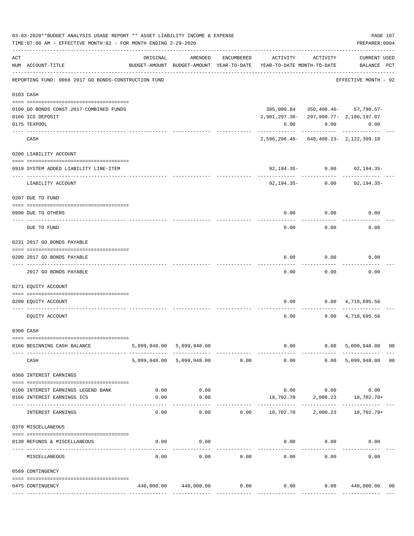|     | 03-03-2020**BUDGET ANALYSIS USAGE REPORT ** ASSET LIABILITY INCOME & EXPENSE<br>TIME: 07:00 AM - EFFECTIVE MONTH: 02 - FOR MONTH ENDING 2-29-2020 |          |                                                     |            |                                               |                    | PREPARER: 0004                      | PAGE 107 |
|-----|---------------------------------------------------------------------------------------------------------------------------------------------------|----------|-----------------------------------------------------|------------|-----------------------------------------------|--------------------|-------------------------------------|----------|
| ACT | NUM ACCOUNT-TITLE                                                                                                                                 | ORIGINAL | AMENDED<br>BUDGET-AMOUNT BUDGET-AMOUNT YEAR-TO-DATE | ENCUMBERED | ACTIVITY<br>YEAR-TO-DATE MONTH-TO-DATE        | ACTIVITY           | <b>CURRENT USED</b><br>BALANCE PCT  |          |
|     | REPORTING FUND: 0066 2017 GO BONDS-CONSTRUCTION FUND                                                                                              |          |                                                     |            |                                               |                    | EFFECTIVE MONTH - 02                |          |
|     | 0103 CASH                                                                                                                                         |          |                                                     |            |                                               |                    |                                     |          |
|     |                                                                                                                                                   |          |                                                     |            |                                               |                    |                                     |          |
|     | 0100 GO BONDS CONST. 2017-COMBINED FUNDS                                                                                                          |          |                                                     |            |                                               |                    | 385,000.84 350,408.46- 57,798.57-   |          |
|     | 0166 ICS DEPOSIT                                                                                                                                  |          |                                                     |            | 2, 981, 297.30 - 297, 999.77 - 2, 180, 197.67 |                    |                                     |          |
|     | 0175 TEXPOOL                                                                                                                                      |          |                                                     |            | 0.00                                          | 0.00               | 0.00                                |          |
|     | CASH                                                                                                                                              |          |                                                     |            | $2,596,296.46 - 648,408.23 - 2,122,399.10$    | -----------        | -----------                         |          |
|     | 0200 LIABILITY ACCOUNT                                                                                                                            |          |                                                     |            |                                               |                    |                                     |          |
|     | 0910 SYSTEM ADDED LIABILITY LINE-ITEM<br>---- --------------                                                                                      |          |                                                     |            |                                               | $92,194.35 - 0.00$ | 92,194.35-                          |          |
|     | LIABILITY ACCOUNT                                                                                                                                 |          |                                                     |            | 92,194.35-                                    | 0.00               | $92, 194.35 -$                      |          |
|     | 0207 DUE TO FUND                                                                                                                                  |          |                                                     |            |                                               |                    |                                     |          |
|     | 0990 DUE TO OTHERS<br>----------------------- -------                                                                                             |          |                                                     |            | 0.00                                          | 0.00               | 0.00                                |          |
|     | DUE TO FUND                                                                                                                                       |          |                                                     |            | 0.00                                          | 0.00               | 0.00                                |          |
|     | 0231 2017 GO BONDS PAYABLE                                                                                                                        |          |                                                     |            |                                               |                    |                                     |          |
|     | 0200 2017 GO BONDS PAYABLE<br>---- ----------------                                                                                               |          |                                                     |            | 0.00                                          | 0.00               | 0.00                                |          |
|     | 2017 GO BONDS PAYABLE                                                                                                                             |          |                                                     |            | 0.00                                          | 0.00               | 0.00                                |          |
|     | 0271 EQUITY ACCOUNT                                                                                                                               |          |                                                     |            |                                               |                    |                                     |          |
|     | 0200 EQUITY ACCOUNT                                                                                                                               |          |                                                     |            | 0.00                                          |                    | $0.00 \qquad 4,718,695.56$          |          |
|     | EQUITY ACCOUNT                                                                                                                                    |          |                                                     |            | 0.00                                          |                    | $0.00 \quad 4,718,695.56$           |          |
|     | 0300 CASH                                                                                                                                         |          |                                                     |            |                                               |                    |                                     |          |
|     | 0166 BEGINNING CASH BALANCE                                                                                                                       |          | 5,099,948.00 5,099,948.00                           |            |                                               | $0.00$ 0.00        | 5,099,948.00 00                     |          |
|     | CASH                                                                                                                                              |          | 5,099,948.00 5,099,948.00 0.00                      |            | 0.00                                          |                    | 0.00 5,099,948.00                   | 00       |
|     | 0360 INTEREST EARNINGS                                                                                                                            |          |                                                     |            |                                               |                    |                                     |          |
|     | 0100 INTEREST EARNINGS LEGEND BANK                                                                                                                |          | $0.00$ 0.00                                         |            |                                               |                    | $0.00$ $0.00$ $0.00$ $0.00$         |          |
|     | 0166 INTEREST EARNINGS ICS                                                                                                                        | 0.00     | 0.00                                                |            |                                               |                    | $18,702.70$ $2,000.23$ $18,702.70+$ |          |
|     | INTEREST EARNINGS                                                                                                                                 | 0.00     | 0.00                                                |            | $0.00$ 18,702.70 2,000.23 18,702.70+          |                    |                                     |          |
|     | 0370 MISCELLANEOUS                                                                                                                                |          |                                                     |            |                                               |                    |                                     |          |
|     | 0130 REFUNDS & MISCELLANEOUS                                                                                                                      | 0.00     | 0.00                                                |            |                                               | $0.00$ $0.00$      | 0.00                                |          |
|     | MISCELLANEOUS                                                                                                                                     | 0.00     | 0.00                                                | 0.00       | 0.00                                          | 0.00               | 0.00                                |          |
|     | 0509 CONTINGENCY                                                                                                                                  |          |                                                     |            |                                               |                    |                                     |          |
|     | 0475 CONTINGENCY                                                                                                                                  |          | 440,000.00 440,000.00                               | 0.00       | 0.00                                          |                    | 0.00 440,000.00                     | 00       |
|     |                                                                                                                                                   |          |                                                     |            |                                               |                    |                                     |          |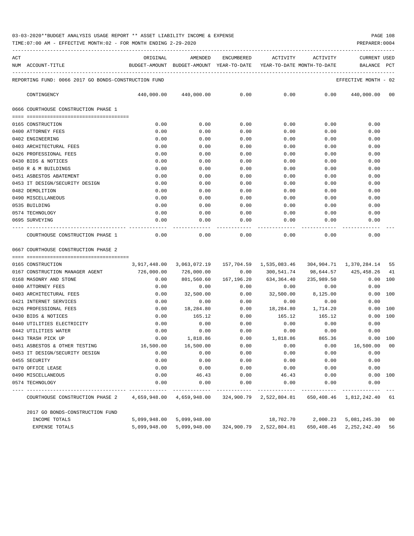TIME:07:00 AM - EFFECTIVE MONTH:02 - FOR MONTH ENDING 2-29-2020 PREPARER:0004

| ACT | NUM ACCOUNT-TITLE                                    | ORIGINAL<br>BUDGET-AMOUNT BUDGET-AMOUNT YEAR-TO-DATE YEAR-TO-DATE MONTH-TO-DATE | AMENDED     |               | ENCUMBERED ACTIVITY | ACTIVITY      | CURRENT USED<br>BALANCE PCT                                             |
|-----|------------------------------------------------------|---------------------------------------------------------------------------------|-------------|---------------|---------------------|---------------|-------------------------------------------------------------------------|
|     |                                                      |                                                                                 |             |               |                     |               |                                                                         |
|     | REPORTING FUND: 0066 2017 GO BONDS-CONSTRUCTION FUND |                                                                                 |             |               |                     |               | EFFECTIVE MONTH - 02                                                    |
|     | CONTINGENCY                                          |                                                                                 |             |               |                     |               | $440,000.00$ $440,000.00$ $0.00$ $0.00$ $0.00$ $0.00$ $440,000.00$ $00$ |
|     | 0666 COURTHOUSE CONSTRUCTION PHASE 1                 |                                                                                 |             |               |                     |               |                                                                         |
|     | --------------------------------------               |                                                                                 |             |               |                     |               |                                                                         |
|     | 0165 CONSTRUCTION                                    | 0.00                                                                            | 0.00        | 0.00          | 0.00                | 0.00          | 0.00                                                                    |
|     | 0400 ATTORNEY FEES                                   | 0.00                                                                            | 0.00        | 0.00          | 0.00                | 0.00          | 0.00                                                                    |
|     | 0402 ENGINEERING                                     | 0.00                                                                            | 0.00        | 0.00          | 0.00                | 0.00          | 0.00                                                                    |
|     | 0403 ARCHITECTURAL FEES                              | 0.00                                                                            | 0.00        | 0.00          | 0.00                | 0.00          | 0.00                                                                    |
|     | 0426 PROFESSIONAL FEES                               | 0.00                                                                            | 0.00        | 0.00          | 0.00                | 0.00          | 0.00                                                                    |
|     | 0430 BIDS & NOTICES                                  | 0.00                                                                            | 0.00        | 0.00          | 0.00                | 0.00          | 0.00                                                                    |
|     | 0450 R & M BUILDINGS                                 | 0.00                                                                            | 0.00        | 0.00          | 0.00                | 0.00          | 0.00                                                                    |
|     | 0451 ASBESTOS ABATEMENT                              | 0.00                                                                            | 0.00        | 0.00          | 0.00                | 0.00          | 0.00                                                                    |
|     | 0453 IT DESIGN/SECURITY DESIGN                       | 0.00                                                                            | 0.00        | 0.00          | 0.00                | 0.00          | 0.00                                                                    |
|     | 0482 DEMOLITION                                      | 0.00                                                                            | 0.00        | 0.00          | 0.00                | 0.00          | 0.00                                                                    |
|     | 0490 MISCELLANEOUS                                   | 0.00                                                                            | 0.00        | 0.00          | 0.00                | 0.00          | 0.00                                                                    |
|     | 0535 BUILDING                                        | 0.00                                                                            | 0.00        | 0.00          | 0.00                | 0.00          | 0.00                                                                    |
|     | 0574 TECHNOLOGY                                      | 0.00                                                                            | 0.00        | 0.00          |                     | 0.00<br>0.00  | 0.00                                                                    |
|     | 0695 SURVEYING                                       | 0.00                                                                            | 0.00        | 0.00          | 0.00                | 0.00          | 0.00                                                                    |
|     |                                                      |                                                                                 | ----------- | ------------- | --------------      | ------------- |                                                                         |
|     | COURTHOUSE CONSTRUCTION PHASE 1                      | 0.00                                                                            | 0.00        | 0.00          |                     | 0.00          | 0.00<br>0.00                                                            |

0667 COURTHOUSE CONSTRUCTION PHASE 2

| 0165 CONSTRUCTION                                                                                            |              |           |                       |                                                                               |                    | 304,904.71 1,370,284.14 55 |     |
|--------------------------------------------------------------------------------------------------------------|--------------|-----------|-----------------------|-------------------------------------------------------------------------------|--------------------|----------------------------|-----|
| 0167 CONSTRUCTION MANAGER AGENT 726,000.00                                                                   |              |           |                       | 726,000.00        0.00      300,541.74      98,644.57      425,458.26      41 |                    |                            |     |
| 0168 MASONRY AND STONE                                                                                       | 0.00         |           | 801,560.60 167,196.20 | 634,364.40                                                                    | 235,989.50         | $0.00$ 100                 |     |
| 0400 ATTORNEY FEES                                                                                           | 0.00         | 0.00      | 0.00                  | $0.00$ 0.00                                                                   |                    | 0.00                       |     |
| 0403 ARCHITECTURAL FEES                                                                                      | 0.00         | 32,500.00 | 0.00                  |                                                                               | 32,500.00 8,125.00 | $0.00$ 100                 |     |
| 0421 INTERNET SERVICES                                                                                       | 0.00         | 0.00      | 0.00                  | 0.00                                                                          | 0.00               | 0.00                       |     |
| 0426 PROFESSIONAL FEES                                                                                       | 0.00         | 18,284.80 | 0.00                  | 18,284.80    1,714.20                                                         |                    | 0.00 100                   |     |
| 0430 BIDS & NOTICES                                                                                          | 0.00         | 165.12    | 0.00                  | 165.12 165.12                                                                 |                    | 0.00                       | 100 |
| 0440 UTILITIES ELECTRICITY                                                                                   | 0.00         | 0.00      | 0.00                  | $0.00$ 0.00                                                                   |                    | 0.00                       |     |
| 0442 UTILITIES WATER                                                                                         | 0.00         | 0.00      | 0.00                  | $0.00$ 0.00                                                                   |                    | 0.00                       |     |
| 0443 TRASH PICK UP                                                                                           | 0.00         | 1,818.86  |                       | $0.00$ 1,818.86                                                               | 865.36             | 0.00 100                   |     |
| 0451 ASBESTOS & OTHER TESTING                                                                                | 16,500.00    | 16,500.00 | 0.00                  | $0.00$ $0.00$ $16,500.00$ $00$                                                |                    |                            |     |
| 0453 IT DESIGN/SECURITY DESIGN                                                                               | 0.00         | 0.00      | 0.00                  | 0.00                                                                          |                    | 0.00<br>0.00               |     |
| 0455 SECURITY                                                                                                | 0.00         | 0.00      | 0.00                  | 0.00                                                                          | 0.00               | 0.00                       |     |
| 0470 OFFICE LEASE                                                                                            | 0.00         | 0.00      | 0.00                  | 0.00                                                                          | 0.00               | 0.00                       |     |
| 0490 MISCELLANEOUS                                                                                           | 0.00         | 46.43     | 0.00                  |                                                                               | 46.43 0.00         | 0.00 100                   |     |
| 0574 TECHNOLOGY                                                                                              | 0.00         | 0.00      |                       | $0.00$ $0.00$ $0.00$ $0.00$                                                   |                    | 0.00                       |     |
|                                                                                                              |              |           |                       |                                                                               |                    |                            |     |
| COURTHOUSE CONSTRUCTION PHASE 2 4,659,948.00 4,659,948.00 324,900.79 2,522,804.81 650,408.46 1,812,242.40 61 |              |           |                       |                                                                               |                    |                            |     |
| 2017 GO BONDS-CONSTRUCTION FUND                                                                              |              |           |                       |                                                                               |                    |                            |     |
| INCOME TOTALS                                                                                                | 5,099,948.00 |           |                       |                                                                               |                    |                            |     |
| <b>EXPENSE TOTALS</b>                                                                                        | 5,099,948.00 |           |                       | 5,099,948.00 324,900.79 2,522,804.81                                          | 650,408.46         | 2,252,242.40               | 56  |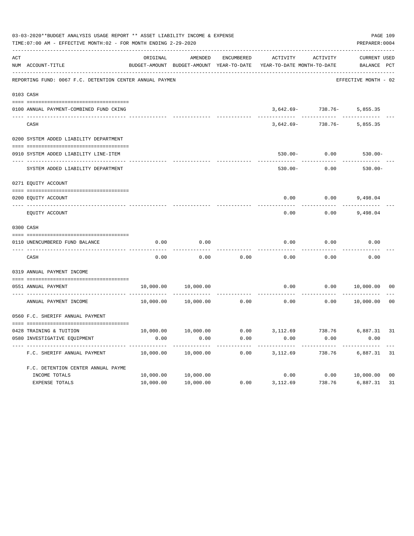|                | 03-03-2020**BUDGET ANALYSIS USAGE REPORT ** ASSET LIABILITY INCOME & EXPENSE<br>TIME: 07:00 AM - EFFECTIVE MONTH: 02 - FOR MONTH ENDING 2-29-2020 |           |                                          |                   |                            |                                | PAGE 109<br>PREPARER: 0004 |                |
|----------------|---------------------------------------------------------------------------------------------------------------------------------------------------|-----------|------------------------------------------|-------------------|----------------------------|--------------------------------|----------------------------|----------------|
| $\mathtt{ACT}$ |                                                                                                                                                   | ORIGINAL  | AMENDED                                  | <b>ENCUMBERED</b> | <b>ACTIVITY</b>            | ACTIVITY                       | <b>CURRENT USED</b>        |                |
|                | NUM ACCOUNT-TITLE                                                                                                                                 |           | BUDGET-AMOUNT BUDGET-AMOUNT YEAR-TO-DATE |                   | YEAR-TO-DATE MONTH-TO-DATE |                                | BALANCE PCT                |                |
|                | REPORTING FUND: 0067 F.C. DETENTION CENTER ANNUAL PAYMEN                                                                                          |           |                                          |                   |                            |                                | EFFECTIVE MONTH - 02       |                |
| 0103 CASH      |                                                                                                                                                   |           |                                          |                   |                            |                                |                            |                |
|                | 0100 ANNUAL PAYMENT-COMBINED FUND CKING                                                                                                           |           |                                          |                   |                            | $3,642.69 - 738.76 - 5,855.35$ |                            |                |
|                | CASH                                                                                                                                              |           |                                          |                   | $3,642.69-$                | 738.76-                        | 5,855.35                   |                |
|                | 0200 SYSTEM ADDED LIABILITY DEPARTMENT                                                                                                            |           |                                          |                   |                            |                                |                            |                |
|                | 0910 SYSTEM ADDED LIABILITY LINE-ITEM<br>---- -------------------------                                                                           |           |                                          |                   | $530.00 -$                 | 0.00                           | $530.00 -$                 |                |
|                | SYSTEM ADDED LIABILITY DEPARTMENT                                                                                                                 |           |                                          |                   | $530.00 -$                 | 0.00                           | $530.00 -$                 |                |
|                | 0271 EQUITY ACCOUNT                                                                                                                               |           |                                          |                   |                            |                                |                            |                |
|                | 0200 EQUITY ACCOUNT                                                                                                                               |           |                                          |                   | 0.00                       | 0.00                           | 9,498.04                   |                |
|                | EQUITY ACCOUNT                                                                                                                                    |           |                                          |                   | 0.00                       | 0.00                           | 9,498.04                   |                |
|                | 0300 CASH                                                                                                                                         |           |                                          |                   |                            |                                |                            |                |
|                | 0110 UNENCUMBERED FUND BALANCE                                                                                                                    | 0.00      | 0.00                                     |                   | 0.00                       | 0.00                           | 0.00                       |                |
|                | CASH                                                                                                                                              | 0.00      | 0.00                                     | 0.00              | 0.00                       | 0.00                           | 0.00                       |                |
|                | 0319 ANNUAL PAYMENT INCOME                                                                                                                        |           |                                          |                   |                            |                                |                            |                |
|                | 0551 ANNUAL PAYMENT                                                                                                                               | 10,000.00 | 10,000.00                                |                   | 0.00                       | 0.00                           | 10,000.00                  | 0 <sub>0</sub> |
|                | ---- ----------------<br>ANNUAL PAYMENT INCOME                                                                                                    | 10,000.00 | 10,000.00                                | 0.00              | 0.00                       | 0.00                           | 10,000.00                  | 0 <sup>0</sup> |
|                | 0560 F.C. SHERIFF ANNUAL PAYMENT                                                                                                                  |           |                                          |                   |                            |                                |                            |                |
|                |                                                                                                                                                   |           |                                          |                   |                            |                                |                            |                |
|                | 0428 TRAINING & TUITION                                                                                                                           | 10,000.00 | 10,000.00                                | 0.00              | 3,112.69                   | 738.76                         | 6,887.31                   | 31             |
|                | 0580 INVESTIGATIVE EQUIPMENT                                                                                                                      | 0.00      | 0.00                                     | 0.00              | 0.00                       | 0.00                           | 0.00                       |                |
|                | F.C. SHERIFF ANNUAL PAYMENT                                                                                                                       | 10,000.00 | 10,000.00                                | 0.00              | 3,112.69                   | 738.76                         | 6,887.31                   | 31             |
|                | F.C. DETENTION CENTER ANNUAL PAYME                                                                                                                |           |                                          |                   |                            |                                |                            |                |
|                | INCOME TOTALS                                                                                                                                     | 10,000.00 | 10,000.00                                |                   | 0.00                       | 0.00 10,000.00                 |                            | 0 <sub>0</sub> |
|                | EXPENSE TOTALS                                                                                                                                    | 10,000.00 | 10,000.00                                | 0.00              | 3,112.69                   | 738.76                         | 6,887.31                   | 31             |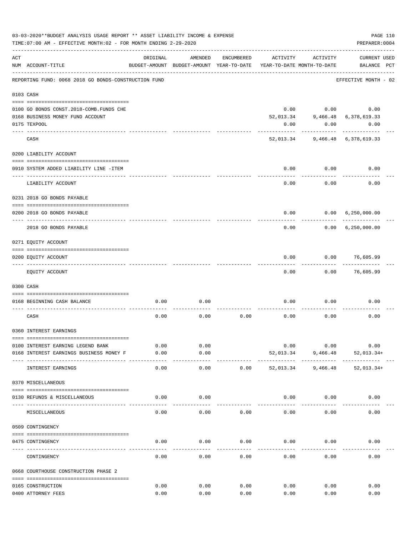|     | 03-03-2020**BUDGET ANALYSIS USAGE REPORT ** ASSET LIABILITY INCOME & EXPENSE<br>TIME: 07:00 AM - EFFECTIVE MONTH: 02 - FOR MONTH ENDING 2-29-2020 |               |                                                     |            |           |                                        | PREPARER: 0004                     | PAGE 110 |
|-----|---------------------------------------------------------------------------------------------------------------------------------------------------|---------------|-----------------------------------------------------|------------|-----------|----------------------------------------|------------------------------------|----------|
| ACT | NUM ACCOUNT-TITLE                                                                                                                                 | ORIGINAL      | AMENDED<br>BUDGET-AMOUNT BUDGET-AMOUNT YEAR-TO-DATE | ENCUMBERED | ACTIVITY  | ACTIVITY<br>YEAR-TO-DATE MONTH-TO-DATE | <b>CURRENT USED</b><br>BALANCE PCT |          |
|     | REPORTING FUND: 0068 2018 GO BONDS-CONSTRUCTION FUND                                                                                              |               |                                                     |            |           |                                        | EFFECTIVE MONTH - 02               |          |
|     | 0103 CASH                                                                                                                                         |               |                                                     |            |           |                                        |                                    |          |
|     |                                                                                                                                                   |               |                                                     |            |           |                                        |                                    |          |
|     | 0100 GO BONDS CONST. 2018-COMB. FUNDS CHE                                                                                                         |               |                                                     |            | 0.00      |                                        | 0.00<br>0.00                       |          |
|     | 0168 BUSINESS MONEY FUND ACCOUNT                                                                                                                  |               |                                                     |            | 52,013.34 |                                        | 9,466.48 6,378,619.33              |          |
|     | 0175 TEXPOOL                                                                                                                                      |               |                                                     |            | 0.00      | 0.00                                   | 0.00                               |          |
|     | CASH                                                                                                                                              |               |                                                     |            |           |                                        | 52,013.34 9,466.48 6,378,619.33    |          |
|     | 0200 LIABILITY ACCOUNT                                                                                                                            |               |                                                     |            |           |                                        |                                    |          |
|     |                                                                                                                                                   |               |                                                     |            |           |                                        |                                    |          |
|     | 0910 SYSTEM ADDED LIABILITY LINE -ITEM                                                                                                            |               |                                                     |            | 0.00      | 0.00                                   | 0.00                               |          |
|     | LIABILITY ACCOUNT                                                                                                                                 |               |                                                     |            | 0.00      | 0.00                                   | 0.00                               |          |
|     | 0231 2018 GO BONDS PAYABLE                                                                                                                        |               |                                                     |            |           |                                        |                                    |          |
|     | 0200 2018 GO BONDS PAYABLE                                                                                                                        |               |                                                     |            | 0.00      |                                        | 0.00 6,250,000.00                  |          |
|     | 2018 GO BONDS PAYABLE                                                                                                                             |               |                                                     |            | 0.00      | ---------                              | 0.00 6,250,000.00                  |          |
|     | 0271 EQUITY ACCOUNT                                                                                                                               |               |                                                     |            |           |                                        |                                    |          |
|     |                                                                                                                                                   |               |                                                     |            |           |                                        |                                    |          |
|     | 0200 EQUITY ACCOUNT<br>------------------- -------                                                                                                |               |                                                     |            | 0.00      |                                        | $0.00$ 76,605.99                   |          |
|     | EQUITY ACCOUNT                                                                                                                                    |               |                                                     |            | 0.00      | 0.00                                   | 76,605.99                          |          |
|     | 0300 CASH                                                                                                                                         |               |                                                     |            |           |                                        |                                    |          |
|     | 0168 BEGINNING CASH BALANCE                                                                                                                       | 0.00          | 0.00                                                |            | 0.00      | 0.00                                   | 0.00                               |          |
|     |                                                                                                                                                   |               |                                                     |            |           |                                        |                                    |          |
|     | CASH                                                                                                                                              | 0.00          | 0.00                                                | 0.00       | 0.00      | 0.00                                   | 0.00                               |          |
|     | 0360 INTEREST EARNINGS                                                                                                                            |               |                                                     |            |           |                                        |                                    |          |
|     |                                                                                                                                                   |               |                                                     |            |           |                                        |                                    |          |
|     | 0100 INTEREST EARNING LEGEND BANK                                                                                                                 | 0.00          | 0.00                                                |            | 0.00      | 0.00                                   | 0.00                               |          |
|     | 0168 INTEREST EARNINGS BUSINESS MONEY F                                                                                                           | 0.00<br>----- | 0.00<br>-----                                       |            | 52,013.34 | 9,466.48<br>.                          | $52,013.34+$                       |          |
|     | INTEREST EARNINGS                                                                                                                                 | 0.00          | 0.00                                                | 0.00       | 52,013.34 | 9,466.48                               | $52,013.34+$                       |          |
|     | 0370 MISCELLANEOUS                                                                                                                                |               |                                                     |            |           |                                        |                                    |          |
|     | 0130 REFUNDS & MISCELLANEOUS                                                                                                                      | 0.00          | 0.00                                                |            | 0.00      | 0.00                                   | 0.00                               |          |
|     | MISCELLANEOUS                                                                                                                                     | 0.00          | 0.00                                                | 0.00       | 0.00      | 0.00                                   | 0.00                               |          |
|     | 0509 CONTINGENCY                                                                                                                                  |               |                                                     |            |           |                                        |                                    |          |
|     |                                                                                                                                                   |               |                                                     |            |           |                                        |                                    |          |
|     | 0475 CONTINGENCY                                                                                                                                  | 0.00          | 0.00                                                | 0.00       | 0.00      | 0.00                                   | 0.00                               |          |
|     | CONTINGENCY                                                                                                                                       | 0.00          | 0.00                                                | 0.00       | 0.00      | 0.00                                   | 0.00                               |          |
|     | 0668 COURTHOUSE CONSTRUCTION PHASE 2                                                                                                              |               |                                                     |            |           |                                        |                                    |          |
|     | 0165 CONSTRUCTION                                                                                                                                 | 0.00          | 0.00                                                | 0.00       | 0.00      | 0.00                                   | 0.00                               |          |
|     | 0400 ATTORNEY FEES                                                                                                                                | 0.00          | 0.00                                                | 0.00       | 0.00      | 0.00                                   | 0.00                               |          |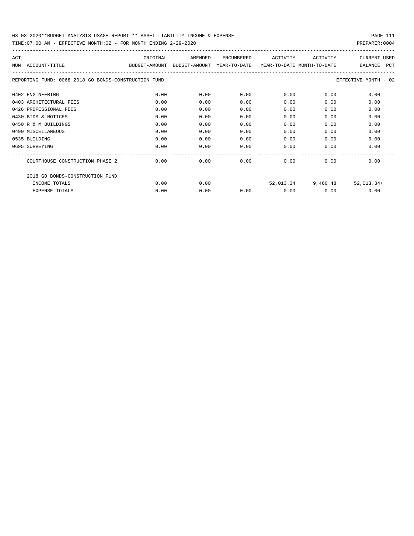| ACT                                                  | ORIGINAL                                 | AMENDED | <b>ENCUMBERED</b> | ACTIVITY                   | ACTIVITY           | <b>CURRENT USED</b>   |
|------------------------------------------------------|------------------------------------------|---------|-------------------|----------------------------|--------------------|-----------------------|
| ACCOUNT-TITLE<br>NTJM                                | BUDGET-AMOUNT BUDGET-AMOUNT YEAR-TO-DATE |         |                   | YEAR-TO-DATE MONTH-TO-DATE |                    | BALANCE<br><b>PCT</b> |
| REPORTING FUND: 0068 2018 GO BONDS-CONSTRUCTION FUND |                                          |         |                   |                            |                    | EFFECTIVE MONTH - 02  |
| 0402 ENGINEERING                                     | 0.00                                     | 0.00    | 0.00              | 0.00                       | 0.00               | 0.00                  |
| 0403 ARCHITECTURAL FEES                              | 0.00                                     | 0.00    | 0.00              | 0.00                       | 0.00               | 0.00                  |
| 0426 PROFESSIONAL FEES                               | 0.00                                     | 0.00    | 0.00              | 0.00                       | 0.00               | 0.00                  |
| 0430 BIDS & NOTICES                                  | 0.00                                     | 0.00    | 0.00              | 0.00                       | 0.00               | 0.00                  |
| 0450 R & M BUILDINGS                                 | 0.00                                     | 0.00    | 0.00              | 0.00                       | 0.00               | 0.00                  |
| 0490 MISCELLANEOUS                                   | 0.00                                     | 0.00    | 0.00              | 0.00                       | 0.00               | 0.00                  |
| 0535 BUILDING                                        | 0.00                                     | 0.00    | 0.00              | 0.00                       | 0.00               | 0.00                  |
| 0695 SURVEYING                                       | 0.00                                     | 0.00    | 0.00              | 0.00                       | 0.00               | 0.00                  |
|                                                      |                                          |         |                   |                            |                    |                       |
| COURTHOUSE CONSTRUCTION PHASE 2                      | 0.00                                     | 0.00    | 0.00              | 0.00                       | 0.00               | 0.00                  |
| 2018 GO BONDS-CONSTRUCTION FUND                      |                                          |         |                   |                            |                    |                       |
| INCOME TOTALS                                        | 0.00                                     | 0.00    |                   |                            | 52,013.34 9,466.48 | 52,013.34+            |
| <b>EXPENSE TOTALS</b>                                | 0.00                                     | 0.00    | 0.00              | 0.00                       | 0.00               | 0.00                  |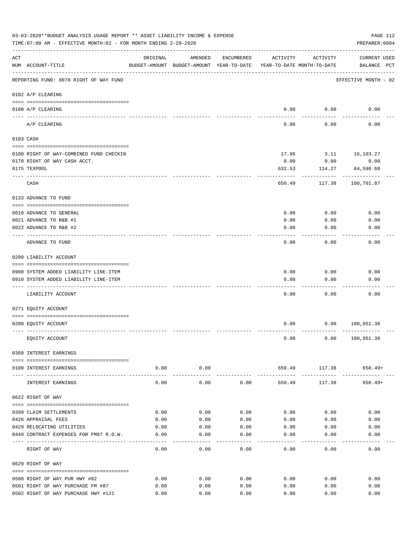|     | 03-03-2020**BUDGET ANALYSIS USAGE REPORT ** ASSET LIABILITY INCOME & EXPENSE<br>TIME: 07:00 AM - EFFECTIVE MONTH: 02 - FOR MONTH ENDING 2-29-2020 |               |                       |            |                                                                                 |                       | PAGE 112<br>PREPARER: 0004         |  |
|-----|---------------------------------------------------------------------------------------------------------------------------------------------------|---------------|-----------------------|------------|---------------------------------------------------------------------------------|-----------------------|------------------------------------|--|
| ACT | NUM ACCOUNT-TITLE                                                                                                                                 | ORIGINAL      | AMENDED               | ENCUMBERED | ACTIVITY<br>BUDGET-AMOUNT BUDGET-AMOUNT YEAR-TO-DATE YEAR-TO-DATE MONTH-TO-DATE | ACTIVITY              | <b>CURRENT USED</b><br>BALANCE PCT |  |
|     | REPORTING FUND: 0070 RIGHT OF WAY FUND                                                                                                            |               |                       |            |                                                                                 |                       | EFFECTIVE MONTH - 02               |  |
|     | 0102 A/P CLEARING                                                                                                                                 |               |                       |            |                                                                                 |                       |                                    |  |
|     |                                                                                                                                                   |               |                       |            |                                                                                 |                       |                                    |  |
|     | 0100 A/P CLEARING<br>---- --------                                                                                                                |               |                       |            | 0.00                                                                            | 0.00                  | 0.00                               |  |
|     | A/P CLEARING                                                                                                                                      |               |                       |            | 0.00                                                                            | 0.00                  | 0.00                               |  |
|     | 0103 CASH                                                                                                                                         |               |                       |            |                                                                                 |                       |                                    |  |
|     | 0100 RIGHT OF WAY-COMBINED FUND CHECKIN                                                                                                           |               |                       |            | 17.96                                                                           |                       | 3.11 16,103.27                     |  |
|     | 0170 RIGHT OF WAY CASH ACCT.                                                                                                                      |               |                       |            | 0.00                                                                            | 0.00                  | 0.00                               |  |
|     | 0175 TEXPOOL                                                                                                                                      |               |                       |            | 632.53                                                                          | 114.27                | 84,598.60                          |  |
|     | CASH                                                                                                                                              |               |                       |            | 650.49                                                                          | 117.38                | 100,701.87                         |  |
|     | 0133 ADVANCE TO FUND                                                                                                                              |               |                       |            |                                                                                 |                       |                                    |  |
|     |                                                                                                                                                   |               |                       |            |                                                                                 |                       |                                    |  |
|     | 0010 ADVANCE TO GENERAL                                                                                                                           |               |                       |            | 0.00                                                                            | 0.00                  | 0.00                               |  |
|     | 0021 ADVANCE TO R&B #1                                                                                                                            |               |                       |            | 0.00                                                                            | 0.00                  | 0.00                               |  |
|     | 0022 ADVANCE TO R&B #2                                                                                                                            |               |                       |            | 0.00                                                                            | 0.00                  | 0.00                               |  |
|     | ADVANCE TO FUND                                                                                                                                   |               |                       |            | 0.00                                                                            | 0.00                  | 0.00                               |  |
|     | 0200 LIABILITY ACCOUNT                                                                                                                            |               |                       |            |                                                                                 |                       |                                    |  |
|     | 0900 SYSTEM ADDED LIABILITY LINE-ITEM                                                                                                             |               |                       |            | 0.00                                                                            | 0.00                  | 0.00                               |  |
|     | 0910 SYSTEM ADDED LIABILITY LINE-ITEM                                                                                                             |               |                       |            | 0.00                                                                            | 0.00                  | 0.00                               |  |
|     |                                                                                                                                                   |               |                       |            |                                                                                 |                       |                                    |  |
|     | LIABILITY ACCOUNT                                                                                                                                 |               |                       |            | 0.00                                                                            | 0.00                  | 0.00                               |  |
|     | 0271 EQUITY ACCOUNT                                                                                                                               |               |                       |            |                                                                                 |                       |                                    |  |
|     | 0200 EQUITY ACCOUNT                                                                                                                               |               |                       |            | 0.00                                                                            | 0.00                  | 100,051.38                         |  |
|     | EQUITY ACCOUNT                                                                                                                                    |               |                       |            | 0.00                                                                            | 0.00                  | 100,051.38                         |  |
|     | 0360 INTEREST EARNINGS                                                                                                                            |               |                       |            |                                                                                 |                       |                                    |  |
|     | 0100 INTEREST EARNINGS                                                                                                                            | 0.00          | 0.00                  |            | 650.49                                                                          | 117.38                | 650.49+                            |  |
|     | INTEREST EARNINGS                                                                                                                                 | 0.00          | . <u>.</u> .<br>0.00  | 0.00       | 650.49                                                                          | -----------<br>117.38 | $650.49+$                          |  |
|     | 0622 RIGHT OF WAY                                                                                                                                 |               |                       |            |                                                                                 |                       |                                    |  |
|     |                                                                                                                                                   |               |                       |            |                                                                                 |                       |                                    |  |
|     | 0399 CLAIM SETTLEMENTS                                                                                                                            | 0.00          | 0.00                  | 0.00       | 0.00                                                                            | 0.00                  | 0.00                               |  |
|     | 0426 APPRAISAL FEES                                                                                                                               | 0.00          | 0.00                  | 0.00       | 0.00                                                                            | 0.00                  | 0.00                               |  |
|     | 0429 RELOCATING UTILITIES                                                                                                                         | 0.00          | 0.00                  | 0.00       | 0.00                                                                            | 0.00                  | 0.00                               |  |
|     | 0449 CONTRACT EXPENSES FOR FM87 R.O.W.                                                                                                            | 0.00          | 0.00                  | 0.00       | 0.00                                                                            | 0.00                  | 0.00                               |  |
|     | RIGHT OF WAY                                                                                                                                      | -----<br>0.00 | $- - - - - -$<br>0.00 | 0.00       | 0.00                                                                            | 0.00                  | ---------<br>0.00                  |  |
|     | 0629 RIGHT OF WAY                                                                                                                                 |               |                       |            |                                                                                 |                       |                                    |  |
|     |                                                                                                                                                   |               |                       |            |                                                                                 |                       |                                    |  |
|     | 0500 RIGHT OF WAY PUR HWY #82                                                                                                                     | 0.00          | 0.00                  | 0.00       | 0.00                                                                            | 0.00                  | 0.00                               |  |
|     | 0501 RIGHT OF WAY PURCHASE FM #87                                                                                                                 | 0.00          | 0.00                  | 0.00       | 0.00                                                                            | 0.00                  | 0.00                               |  |
|     | 0502 RIGHT OF WAY PURCHASE HWY #121                                                                                                               | 0.00          | 0.00                  | 0.00       | 0.00                                                                            | 0.00                  | 0.00                               |  |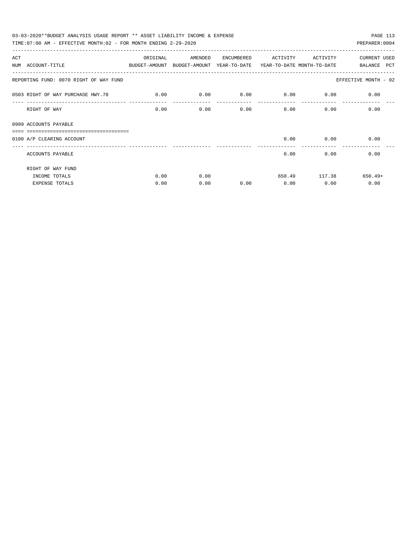| 03-03-2020**BUDGET ANALYSIS USAGE REPORT ** ASSET LIABILITY INCOME & EXPENSE<br>PAGE 113<br>TIME: 07:00 AM - EFFECTIVE MONTH: 02 - FOR MONTH ENDING 2-29-2020<br>PREPARER: 0004 |          |         |            |                   |              |                      |  |  |  |  |  |
|---------------------------------------------------------------------------------------------------------------------------------------------------------------------------------|----------|---------|------------|-------------------|--------------|----------------------|--|--|--|--|--|
|                                                                                                                                                                                 |          |         |            |                   |              |                      |  |  |  |  |  |
| ACT                                                                                                                                                                             | ORIGINAL | AMENDED | ENCUMBERED | ACTIVITY ACTIVITY |              | <b>CURRENT USED</b>  |  |  |  |  |  |
| NUM ACCOUNT-TITLE<br>BUDGET-AMOUNT BUDGET-AMOUNT YEAR-TO-DATE YEAR-TO-DATE MONTH-TO-DATE                                                                                        |          |         |            |                   |              | BALANCE PCT          |  |  |  |  |  |
| REPORTING FUND: 0070 RIGHT OF WAY FUND                                                                                                                                          |          |         |            |                   |              | EFFECTIVE MONTH - 02 |  |  |  |  |  |
| 0503 RIGHT OF WAY PURCHASE HWY.78 0.00                                                                                                                                          |          | 0.00    | 0.00       | 0.00              | 0.00         | 0.00                 |  |  |  |  |  |
| RIGHT OF WAY                                                                                                                                                                    | 0.00     | 0.00    | 0.00       |                   | 0.00<br>0.00 | 0.00                 |  |  |  |  |  |
| 0999 ACCOUNTS PAYABLE                                                                                                                                                           |          |         |            |                   |              |                      |  |  |  |  |  |
| 0100 A/P CLEARING ACCOUNT                                                                                                                                                       |          |         |            | 0.00              | 0.00         | 0.00                 |  |  |  |  |  |
| ACCOUNTS PAYABLE                                                                                                                                                                |          |         |            | 0.00              | 0.00         | 0.00                 |  |  |  |  |  |
| RIGHT OF WAY FUND                                                                                                                                                               |          |         |            |                   |              |                      |  |  |  |  |  |
| INCOME TOTALS                                                                                                                                                                   | 0.00     | 0.00    |            | 650.49            | 117.38       | $650.49+$            |  |  |  |  |  |
| <b>EXPENSE TOTALS</b>                                                                                                                                                           | 0.00     | 0.00    | 0.00       | 0.00              | 0.00         | 0.00                 |  |  |  |  |  |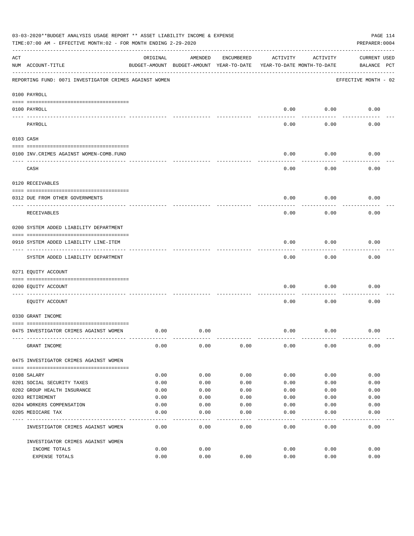|     | 03-03-2020**BUDGET ANALYSIS USAGE REPORT ** ASSET LIABILITY INCOME & EXPENSE<br>TIME: 07:00 AM - EFFECTIVE MONTH: 02 - FOR MONTH ENDING 2-29-2020 |          |                                                     |            |          |                                        | PAGE 114<br>PREPARER: 0004         |
|-----|---------------------------------------------------------------------------------------------------------------------------------------------------|----------|-----------------------------------------------------|------------|----------|----------------------------------------|------------------------------------|
| ACT | NUM ACCOUNT-TITLE                                                                                                                                 | ORIGINAL | AMENDED<br>BUDGET-AMOUNT BUDGET-AMOUNT YEAR-TO-DATE | ENCUMBERED | ACTIVITY | ACTIVITY<br>YEAR-TO-DATE MONTH-TO-DATE | <b>CURRENT USED</b><br>BALANCE PCT |
|     | REPORTING FUND: 0071 INVESTIGATOR CRIMES AGAINST WOMEN                                                                                            |          |                                                     |            |          |                                        | EFFECTIVE MONTH - 02               |
|     | 0100 PAYROLL                                                                                                                                      |          |                                                     |            |          |                                        |                                    |
|     | 0100 PAYROLL                                                                                                                                      |          |                                                     |            | 0.00     | 0.00                                   | 0.00                               |
|     | ---- ----<br>PAYROLL                                                                                                                              |          |                                                     |            | 0.00     | 0.00                                   | 0.00                               |
|     | 0103 CASH                                                                                                                                         |          |                                                     |            |          |                                        |                                    |
|     | 0100 INV. CRIMES AGAINST WOMEN-COMB. FUND                                                                                                         |          |                                                     |            | 0.00     | 0.00                                   | 0.00                               |
|     | CASH                                                                                                                                              |          |                                                     |            | 0.00     | 0.00                                   | 0.00                               |
|     | 0120 RECEIVABLES                                                                                                                                  |          |                                                     |            |          |                                        |                                    |
|     | 0312 DUE FROM OTHER GOVERNMENTS                                                                                                                   |          |                                                     |            | 0.00     | 0.00                                   | 0.00                               |
|     | RECEIVABLES                                                                                                                                       |          |                                                     |            | 0.00     | 0.00                                   | 0.00                               |
|     | 0200 SYSTEM ADDED LIABILITY DEPARTMENT                                                                                                            |          |                                                     |            |          |                                        |                                    |
|     | 0910 SYSTEM ADDED LIABILITY LINE-ITEM                                                                                                             |          |                                                     |            | 0.00     | 0.00                                   | 0.00                               |
|     | SYSTEM ADDED LIABILITY DEPARTMENT                                                                                                                 |          |                                                     |            | 0.00     | 0.00                                   | 0.00                               |
|     | 0271 EQUITY ACCOUNT                                                                                                                               |          |                                                     |            |          |                                        |                                    |
|     | 0200 EQUITY ACCOUNT                                                                                                                               |          |                                                     |            | 0.00     | 0.00                                   | 0.00                               |
|     | EQUITY ACCOUNT                                                                                                                                    |          |                                                     |            | 0.00     | 0.00                                   | 0.00                               |
|     | 0330 GRANT INCOME                                                                                                                                 |          |                                                     |            |          |                                        |                                    |
|     | 0475 INVESTIGATOR CRIMES AGAINST WOMEN                                                                                                            | 0.00     | 0.00                                                |            | 0.00     | 0.00                                   | 0.00                               |
|     | GRANT INCOME                                                                                                                                      | 0.00     | 0.00                                                | 0.00       | 0.00     | 0.00                                   | 0.00                               |
|     | 0475 INVESTIGATOR CRIMES AGAINST WOMEN                                                                                                            |          |                                                     |            |          |                                        |                                    |
|     | 0108 SALARY                                                                                                                                       | 0.00     | 0.00                                                | 0.00       | 0.00     | 0.00                                   | 0.00                               |
|     | 0201 SOCIAL SECURITY TAXES                                                                                                                        | 0.00     | 0.00                                                | 0.00       | 0.00     | 0.00                                   | 0.00                               |
|     | 0202 GROUP HEALTH INSURANCE                                                                                                                       | 0.00     | 0.00                                                | 0.00       | 0.00     | 0.00                                   | 0.00                               |
|     | 0203 RETIREMENT                                                                                                                                   | 0.00     | 0.00                                                | 0.00       | 0.00     | 0.00                                   | 0.00                               |
|     | 0204 WORKERS COMPENSATION                                                                                                                         | 0.00     | 0.00                                                | 0.00       | 0.00     | 0.00                                   | 0.00                               |
|     | 0205 MEDICARE TAX                                                                                                                                 | 0.00     | 0.00                                                | 0.00       | 0.00     | 0.00                                   | 0.00                               |
|     | INVESTIGATOR CRIMES AGAINST WOMEN                                                                                                                 | 0.00     | 0.00                                                | 0.00       | 0.00     | 0.00                                   | 0.00                               |
|     | INVESTIGATOR CRIMES AGAINST WOMEN                                                                                                                 |          |                                                     |            |          |                                        |                                    |
|     | INCOME TOTALS                                                                                                                                     | 0.00     | 0.00                                                |            | 0.00     | 0.00                                   | 0.00                               |
|     | EXPENSE TOTALS                                                                                                                                    | 0.00     | 0.00                                                | 0.00       | 0.00     | 0.00                                   | 0.00                               |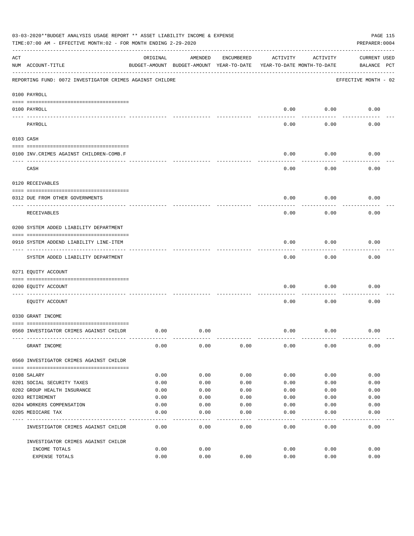|     | 03-03-2020**BUDGET ANALYSIS USAGE REPORT ** ASSET LIABILITY INCOME & EXPENSE<br>TIME: 07:00 AM - EFFECTIVE MONTH: 02 - FOR MONTH ENDING 2-29-2020 |          |                                                     |            |          |                                        | PAGE 115<br>PREPARER: 0004         |
|-----|---------------------------------------------------------------------------------------------------------------------------------------------------|----------|-----------------------------------------------------|------------|----------|----------------------------------------|------------------------------------|
| ACT | NUM ACCOUNT-TITLE                                                                                                                                 | ORIGINAL | AMENDED<br>BUDGET-AMOUNT BUDGET-AMOUNT YEAR-TO-DATE | ENCUMBERED | ACTIVITY | ACTIVITY<br>YEAR-TO-DATE MONTH-TO-DATE | <b>CURRENT USED</b><br>BALANCE PCT |
|     | REPORTING FUND: 0072 INVESTIGATOR CRIMES AGAINST CHILDRE                                                                                          |          |                                                     |            |          |                                        | EFFECTIVE MONTH - 02               |
|     | 0100 PAYROLL                                                                                                                                      |          |                                                     |            |          |                                        |                                    |
|     | 0100 PAYROLL                                                                                                                                      |          |                                                     |            | 0.00     | 0.00                                   | 0.00                               |
|     | ---- ----<br>PAYROLL                                                                                                                              |          |                                                     |            | 0.00     | 0.00                                   | 0.00                               |
|     | 0103 CASH                                                                                                                                         |          |                                                     |            |          |                                        |                                    |
|     | 0100 INV. CRIMES AGAINST CHILDREN-COMB.F                                                                                                          |          |                                                     |            | 0.00     | 0.00                                   | 0.00                               |
|     | CASH                                                                                                                                              |          |                                                     |            | 0.00     | 0.00                                   | 0.00                               |
|     | 0120 RECEIVABLES                                                                                                                                  |          |                                                     |            |          |                                        |                                    |
|     | 0312 DUE FROM OTHER GOVERNMENTS                                                                                                                   |          |                                                     |            | 0.00     | 0.00                                   | 0.00                               |
|     | RECEIVABLES                                                                                                                                       |          |                                                     |            | 0.00     | 0.00                                   | 0.00                               |
|     | 0200 SYSTEM ADDED LIABILITY DEPARTMENT                                                                                                            |          |                                                     |            |          |                                        |                                    |
|     | 0910 SYSTEM ADDEND LIABILITY LINE-ITEM                                                                                                            |          |                                                     |            | 0.00     | 0.00                                   | 0.00                               |
|     | SYSTEM ADDED LIABILITY DEPARTMENT                                                                                                                 |          |                                                     |            | 0.00     | 0.00                                   | 0.00                               |
|     | 0271 EQUITY ACCOUNT                                                                                                                               |          |                                                     |            |          |                                        |                                    |
|     | 0200 EQUITY ACCOUNT                                                                                                                               |          |                                                     |            | 0.00     | 0.00                                   | 0.00                               |
|     | EQUITY ACCOUNT                                                                                                                                    |          |                                                     |            | 0.00     | 0.00                                   | 0.00                               |
|     | 0330 GRANT INCOME                                                                                                                                 |          |                                                     |            |          |                                        |                                    |
|     | 0560 INVESTIGATOR CRIMES AGAINST CHILDR                                                                                                           | 0.00     | 0.00                                                |            | 0.00     | 0.00                                   | 0.00                               |
|     | GRANT INCOME                                                                                                                                      | 0.00     | 0.00                                                | 0.00       | 0.00     | 0.00                                   | 0.00                               |
|     | 0560 INVESTIGATOR CRIMES AGAINST CHILDR                                                                                                           |          |                                                     |            |          |                                        |                                    |
|     | 0108 SALARY                                                                                                                                       | 0.00     | 0.00                                                | 0.00       | 0.00     | 0.00                                   | 0.00                               |
|     | 0201 SOCIAL SECURITY TAXES                                                                                                                        | 0.00     | 0.00                                                | 0.00       | 0.00     | 0.00                                   | 0.00                               |
|     | 0202 GROUP HEALTH INSURANCE                                                                                                                       | 0.00     | 0.00                                                | 0.00       | 0.00     | 0.00                                   | 0.00                               |
|     | 0203 RETIREMENT                                                                                                                                   | 0.00     | 0.00                                                | 0.00       | 0.00     | 0.00                                   | 0.00                               |
|     | 0204 WORKERS COMPENSATION                                                                                                                         | 0.00     | 0.00                                                | 0.00       | 0.00     | 0.00                                   | 0.00                               |
|     | 0205 MEDICARE TAX                                                                                                                                 | 0.00     | 0.00                                                | 0.00       | 0.00     | 0.00                                   | 0.00                               |
|     | INVESTIGATOR CRIMES AGAINST CHILDR                                                                                                                | 0.00     | 0.00                                                | 0.00       | 0.00     | 0.00                                   | 0.00                               |
|     | INVESTIGATOR CRIMES AGAINST CHILDR                                                                                                                |          |                                                     |            |          |                                        |                                    |
|     | INCOME TOTALS                                                                                                                                     | 0.00     | 0.00                                                |            | 0.00     | 0.00                                   | 0.00                               |
|     | EXPENSE TOTALS                                                                                                                                    | 0.00     | 0.00                                                | 0.00       | 0.00     | 0.00                                   | 0.00                               |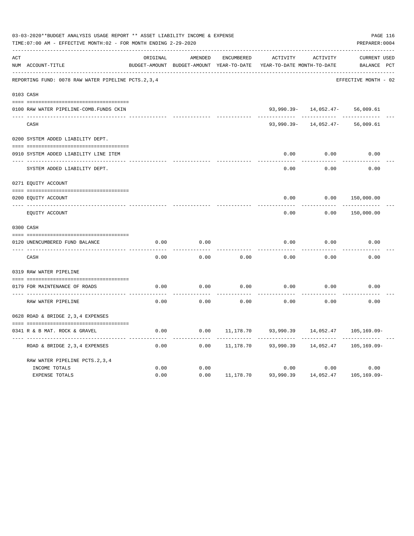|     | 03-03-2020**BUDGET ANALYSIS USAGE REPORT ** ASSET LIABILITY INCOME & EXPENSE<br>TIME: 07:00 AM - EFFECTIVE MONTH: 02 - FOR MONTH ENDING 2-29-2020 |          |                                                     |                   |                                        |                           | PREPARER: 0004                     | PAGE 116 |
|-----|---------------------------------------------------------------------------------------------------------------------------------------------------|----------|-----------------------------------------------------|-------------------|----------------------------------------|---------------------------|------------------------------------|----------|
| ACT | NUM ACCOUNT-TITLE                                                                                                                                 | ORIGINAL | AMENDED<br>BUDGET-AMOUNT BUDGET-AMOUNT YEAR-TO-DATE | <b>ENCUMBERED</b> | ACTIVITY<br>YEAR-TO-DATE MONTH-TO-DATE | ACTIVITY                  | <b>CURRENT USED</b><br>BALANCE PCT |          |
|     | REPORTING FUND: 0078 RAW WATER PIPELINE PCTS.2,3,4                                                                                                |          |                                                     |                   |                                        |                           | EFFECTIVE MONTH - 02               |          |
|     | 0103 CASH                                                                                                                                         |          |                                                     |                   |                                        |                           |                                    |          |
|     | 0100 RAW WATER PIPELINE-COMB.FUNDS CKIN                                                                                                           |          |                                                     |                   |                                        | $93,990.39 - 14,052.47 -$ | 56,009.61                          |          |
|     | CASH                                                                                                                                              |          |                                                     |                   | $93,990.39 -$                          | 14,052.47-                | 56,009.61                          |          |
|     | 0200 SYSTEM ADDED LIABILITY DEPT.                                                                                                                 |          |                                                     |                   |                                        |                           |                                    |          |
|     | 0910 SYSTEM ADDED LIABILITY LINE ITEM                                                                                                             |          |                                                     |                   | 0.00                                   | 0.00                      | 0.00                               |          |
|     | SYSTEM ADDED LIABILITY DEPT.                                                                                                                      |          |                                                     |                   | 0.00                                   | 0.00                      | 0.00                               |          |
|     | 0271 EQUITY ACCOUNT                                                                                                                               |          |                                                     |                   |                                        |                           |                                    |          |
|     | 0200 EQUITY ACCOUNT                                                                                                                               |          |                                                     |                   | 0.00                                   | 0.00                      | 150,000.00                         |          |
|     | ---- ----------------<br>EQUITY ACCOUNT                                                                                                           |          |                                                     |                   | 0.00                                   | 0.00                      | 150,000.00                         |          |
|     | 0300 CASH                                                                                                                                         |          |                                                     |                   |                                        |                           |                                    |          |
|     | 0120 UNENCUMBERED FUND BALANCE                                                                                                                    | 0.00     | 0.00                                                |                   | 0.00                                   | 0.00                      | 0.00                               |          |
|     | CASH                                                                                                                                              | 0.00     | 0.00                                                | 0.00              | 0.00                                   | 0.00                      | 0.00                               |          |
|     | 0319 RAW WATER PIPELINE                                                                                                                           |          |                                                     |                   |                                        |                           |                                    |          |
|     | 0179 FOR MAINTENANCE OF ROADS                                                                                                                     | 0.00     | 0.00                                                | 0.00              | 0.00                                   | 0.00                      | 0.00                               |          |
|     | RAW WATER PIPELINE                                                                                                                                | 0.00     | 0.00                                                | 0.00              | 0.00                                   | 0.00                      | 0.00                               |          |
|     | 0628 ROAD & BRIDGE 2,3,4 EXPENSES                                                                                                                 |          |                                                     |                   |                                        |                           |                                    |          |
|     | 0341 R & B MAT. ROCK & GRAVEL                                                                                                                     | 0.00     | 0.00                                                | 11,178.70         | 93,990.39                              | 14,052.47                 | 105,169.09-                        |          |
|     | ROAD & BRIDGE 2, 3, 4 EXPENSES                                                                                                                    | 0.00     | 0.00                                                | 11,178.70         | 93,990.39                              | 14,052.47                 | $105, 169.09 -$                    |          |
|     | RAW WATER PIPELINE PCTS. 2, 3, 4                                                                                                                  |          |                                                     |                   |                                        |                           |                                    |          |
|     | INCOME TOTALS                                                                                                                                     | 0.00     | 0.00                                                |                   | 0.00                                   | 0.00                      | 0.00                               |          |
|     | <b>EXPENSE TOTALS</b>                                                                                                                             | 0.00     | 0.00                                                | 11,178.70         | 93,990.39                              | 14,052.47                 | $105, 169.09 -$                    |          |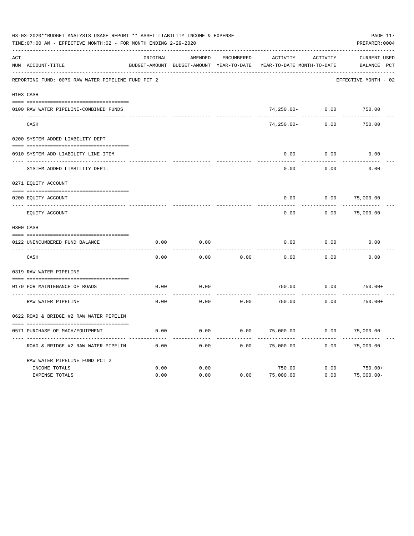| 03-03-2020**BUDGET ANALYSIS USAGE REPORT ** ASSET LIABILITY INCOME & EXPENSE<br>TIME: 07:00 AM - EFFECTIVE MONTH: 02 - FOR MONTH ENDING 2-29-2020<br>PREPARER: 0004 |                                                    |          |                                                     |                   |                                               |          |                                       |  |  |
|---------------------------------------------------------------------------------------------------------------------------------------------------------------------|----------------------------------------------------|----------|-----------------------------------------------------|-------------------|-----------------------------------------------|----------|---------------------------------------|--|--|
| ACT                                                                                                                                                                 | NUM ACCOUNT-TITLE                                  | ORIGINAL | AMENDED<br>BUDGET-AMOUNT BUDGET-AMOUNT YEAR-TO-DATE | <b>ENCUMBERED</b> | <b>ACTIVITY</b><br>YEAR-TO-DATE MONTH-TO-DATE | ACTIVITY | <b>CURRENT USED</b><br>BALANCE<br>PCT |  |  |
|                                                                                                                                                                     | REPORTING FUND: 0079 RAW WATER PIPELINE FUND PCT 2 |          |                                                     |                   |                                               |          | EFFECTIVE MONTH - 02                  |  |  |
|                                                                                                                                                                     | 0103 CASH                                          |          |                                                     |                   |                                               |          |                                       |  |  |
|                                                                                                                                                                     | 0100 RAW WATER PIPELINE-COMBINED FUNDS             |          |                                                     |                   | $74,250.00 -$                                 | 0.00     | 750.00                                |  |  |
|                                                                                                                                                                     | CASH                                               |          |                                                     |                   | $74, 250.00 -$                                | 0.00     | 750.00                                |  |  |
|                                                                                                                                                                     | 0200 SYSTEM ADDED LIABILITY DEPT.                  |          |                                                     |                   |                                               |          |                                       |  |  |
|                                                                                                                                                                     | 0910 SYSTEM ADD LIABILITY LINE ITEM                |          |                                                     |                   | 0.00                                          | 0.00     | 0.00                                  |  |  |
|                                                                                                                                                                     | SYSTEM ADDED LIABILITY DEPT.                       |          |                                                     |                   | 0.00                                          | 0.00     | 0.00                                  |  |  |
|                                                                                                                                                                     | 0271 EQUITY ACCOUNT                                |          |                                                     |                   |                                               |          |                                       |  |  |
|                                                                                                                                                                     | 0200 EQUITY ACCOUNT                                |          |                                                     |                   | 0.00                                          | 0.00     | 75,000.00                             |  |  |
|                                                                                                                                                                     | EQUITY ACCOUNT                                     |          |                                                     |                   | 0.00                                          | 0.00     | 75,000.00                             |  |  |
|                                                                                                                                                                     | 0300 CASH                                          |          |                                                     |                   |                                               |          |                                       |  |  |
|                                                                                                                                                                     | 0122 UNENCUMBERED FUND BALANCE                     | 0.00     | 0.00                                                |                   | 0.00                                          | 0.00     | 0.00                                  |  |  |
|                                                                                                                                                                     | CASH                                               | 0.00     | 0.00                                                | 0.00              | 0.00                                          | 0.00     | 0.00                                  |  |  |
|                                                                                                                                                                     | 0319 RAW WATER PIPELINE                            |          |                                                     |                   |                                               |          |                                       |  |  |
|                                                                                                                                                                     | 0179 FOR MAINTENANCE OF ROADS                      | 0.00     | 0.00                                                |                   | 750.00                                        | 0.00     | $750.00+$                             |  |  |
|                                                                                                                                                                     | RAW WATER PIPELINE                                 | 0.00     | 0.00                                                | 0.00              | 750.00                                        | 0.00     | $750.00+$                             |  |  |
|                                                                                                                                                                     | 0622 ROAD & BRIDGE #2 RAW WATER PIPELIN            |          |                                                     |                   |                                               |          |                                       |  |  |
|                                                                                                                                                                     | 0571 PURCHASE OF MACH/EQUIPMENT                    | 0.00     | 0.00                                                | 0.00              | 75,000.00                                     | 0.00     | $75,000.00-$                          |  |  |
|                                                                                                                                                                     | ROAD & BRIDGE #2 RAW WATER PIPELIN                 | 0.00     | 0.00                                                | 0.00              | 75,000.00                                     | 0.00     | $75,000.00-$                          |  |  |
|                                                                                                                                                                     | RAW WATER PIPELINE FUND PCT 2<br>INCOME TOTALS     | 0.00     | 0.00                                                |                   | 750.00                                        | 0.00     | $750.00+$                             |  |  |
|                                                                                                                                                                     | <b>EXPENSE TOTALS</b>                              | 0.00     | 0.00                                                | 0.00              | 75,000.00                                     | 0.00     | $75,000.00-$                          |  |  |
|                                                                                                                                                                     |                                                    |          |                                                     |                   |                                               |          |                                       |  |  |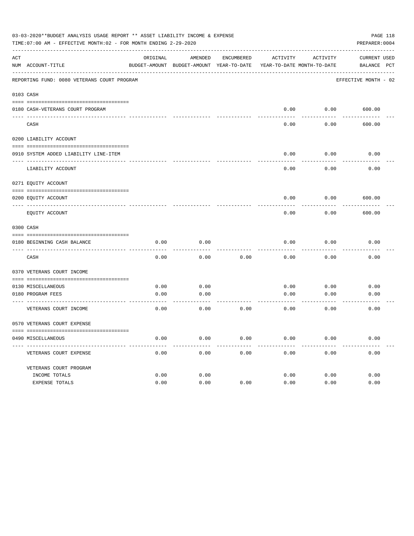|     | 03-03-2020**BUDGET ANALYSIS USAGE REPORT ** ASSET LIABILITY INCOME & EXPENSE<br>TIME: 07:00 AM - EFFECTIVE MONTH: 02 - FOR MONTH ENDING 2-29-2020 |          |                                                                     |            |          |          | PAGE 118<br>PREPARER: 0004 |
|-----|---------------------------------------------------------------------------------------------------------------------------------------------------|----------|---------------------------------------------------------------------|------------|----------|----------|----------------------------|
| ACT |                                                                                                                                                   | ORIGINAL | AMENDED                                                             | ENCUMBERED | ACTIVITY | ACTIVITY | CURRENT USED               |
|     | NUM ACCOUNT-TITLE                                                                                                                                 |          | BUDGET-AMOUNT BUDGET-AMOUNT YEAR-TO-DATE YEAR-TO-DATE MONTH-TO-DATE |            |          |          | BALANCE PCT                |
|     | REPORTING FUND: 0080 VETERANS COURT PROGRAM                                                                                                       |          |                                                                     |            |          |          | EFFECTIVE MONTH - 02       |
|     | 0103 CASH                                                                                                                                         |          |                                                                     |            |          |          |                            |
|     | 0180 CASH-VETERANS COURT PROGRAM                                                                                                                  |          |                                                                     |            | 0.00     |          | $0.00$ 600.00              |
|     | CASH                                                                                                                                              |          |                                                                     |            | 0.00     | 0.00     | 600.00                     |
|     | 0200 LIABILITY ACCOUNT                                                                                                                            |          |                                                                     |            |          |          |                            |
|     | 0910 SYSTEM ADDED LIABILITY LINE-ITEM                                                                                                             |          |                                                                     |            | 0.00     | 0.00     | 0.00                       |
|     | LIABILITY ACCOUNT                                                                                                                                 |          |                                                                     |            | 0.00     | 0.00     | 0.00                       |
|     | 0271 EQUITY ACCOUNT                                                                                                                               |          |                                                                     |            |          |          |                            |
|     | 0200 EQUITY ACCOUNT                                                                                                                               |          |                                                                     |            | 0.00     | 0.00     | 600.00                     |
|     | EQUITY ACCOUNT                                                                                                                                    |          |                                                                     |            | 0.00     | 0.00     | 600.00                     |
|     | 0300 CASH                                                                                                                                         |          |                                                                     |            |          |          |                            |
|     | 0180 BEGINNING CASH BALANCE                                                                                                                       | 0.00     | 0.00                                                                |            | 0.00     | 0.00     | 0.00                       |
|     | CASH                                                                                                                                              | 0.00     | 0.00                                                                | 0.00       | 0.00     | 0.00     | 0.00                       |
|     | 0370 VETERANS COURT INCOME                                                                                                                        |          |                                                                     |            |          |          |                            |
|     | 0130 MISCELLANEOUS                                                                                                                                | 0.00     | 0.00                                                                |            | 0.00     | 0.00     | 0.00                       |
|     | 0180 PROGRAM FEES                                                                                                                                 | 0.00     | 0.00                                                                |            | 0.00     | 0.00     | 0.00                       |
|     | ------------------------ -----<br>VETERANS COURT INCOME                                                                                           | 0.00     | -------<br>0.00                                                     | 0.00       | 0.00     | 0.00     | 0.00                       |
|     | 0570 VETERANS COURT EXPENSE                                                                                                                       |          |                                                                     |            |          |          |                            |
|     | 0490 MISCELLANEOUS                                                                                                                                | 0.00     | 0.00                                                                | 0.00       | 0.00     | 0.00     | 0.00                       |
|     | VETERANS COURT EXPENSE                                                                                                                            | 0.00     | 0.00                                                                | 0.00       | 0.00     | 0.00     | 0.00                       |
|     | VETERANS COURT PROGRAM                                                                                                                            |          |                                                                     |            |          |          |                            |
|     | INCOME TOTALS                                                                                                                                     | 0.00     | 0.00                                                                |            | 0.00     | 0.00     | 0.00                       |
|     | EXPENSE TOTALS                                                                                                                                    | 0.00     | 0.00                                                                | 0.00       | 0.00     | 0.00     | 0.00                       |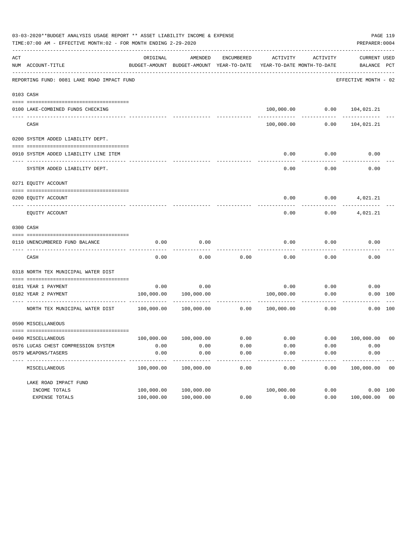|     | 03-03-2020**BUDGET ANALYSIS USAGE REPORT ** ASSET LIABILITY INCOME & EXPENSE<br>PAGE 119<br>TIME: 07:00 AM - EFFECTIVE MONTH: 02 - FOR MONTH ENDING 2-29-2020<br>PREPARER: 0004 |            |                                                     |                   |                                        |          |                                |                |  |  |  |
|-----|---------------------------------------------------------------------------------------------------------------------------------------------------------------------------------|------------|-----------------------------------------------------|-------------------|----------------------------------------|----------|--------------------------------|----------------|--|--|--|
| ACT | NUM ACCOUNT-TITLE                                                                                                                                                               | ORIGINAL   | AMENDED<br>BUDGET-AMOUNT BUDGET-AMOUNT YEAR-TO-DATE | ENCUMBERED        | ACTIVITY<br>YEAR-TO-DATE MONTH-TO-DATE | ACTIVITY | CURRENT USED<br>BALANCE PCT    |                |  |  |  |
|     | REPORTING FUND: 0081 LAKE ROAD IMPACT FUND                                                                                                                                      |            |                                                     |                   |                                        |          | EFFECTIVE MONTH - 02           |                |  |  |  |
|     | 0103 CASH                                                                                                                                                                       |            |                                                     |                   |                                        |          |                                |                |  |  |  |
|     |                                                                                                                                                                                 |            |                                                     |                   |                                        |          |                                |                |  |  |  |
|     | 0100 LAKE-COMBINED FUNDS CHECKING                                                                                                                                               |            |                                                     |                   |                                        |          | 100,000.00   0.00   104,021.21 |                |  |  |  |
|     | CASH                                                                                                                                                                            |            |                                                     |                   | 100,000.00                             | 0.00     | 104,021.21                     |                |  |  |  |
|     | 0200 SYSTEM ADDED LIABILITY DEPT.                                                                                                                                               |            |                                                     |                   |                                        |          |                                |                |  |  |  |
|     | 0910 SYSTEM ADDED LIABILITY LINE ITEM                                                                                                                                           |            |                                                     |                   | 0.00                                   | 0.00     | 0.00                           |                |  |  |  |
|     | SYSTEM ADDED LIABILITY DEPT.                                                                                                                                                    |            |                                                     |                   | 0.00                                   | 0.00     | 0.00                           |                |  |  |  |
|     | 0271 EQUITY ACCOUNT                                                                                                                                                             |            |                                                     |                   |                                        |          |                                |                |  |  |  |
|     |                                                                                                                                                                                 |            |                                                     |                   |                                        |          |                                |                |  |  |  |
|     | 0200 EQUITY ACCOUNT                                                                                                                                                             |            |                                                     |                   | 0.00                                   |          | $0.00$ 4,021.21                |                |  |  |  |
|     | EOUITY ACCOUNT                                                                                                                                                                  |            |                                                     |                   | 0.00                                   | 0.00     | 4,021.21                       |                |  |  |  |
|     | 0300 CASH                                                                                                                                                                       |            |                                                     |                   |                                        |          |                                |                |  |  |  |
|     | 0110 UNENCUMBERED FUND BALANCE                                                                                                                                                  | 0.00       | 0.00                                                |                   | 0.00                                   | 0.00     | 0.00                           |                |  |  |  |
|     | CASH                                                                                                                                                                            | 0.00       | 0.00                                                | 0.00              | 0.00                                   | 0.00     | 0.00                           |                |  |  |  |
|     | 0318 NORTH TEX MUNICIPAL WATER DIST                                                                                                                                             |            |                                                     |                   |                                        |          |                                |                |  |  |  |
|     |                                                                                                                                                                                 |            |                                                     |                   |                                        |          |                                |                |  |  |  |
|     | 0181 YEAR 1 PAYMENT                                                                                                                                                             | 0.00       | 0.00                                                |                   | 0.00                                   | 0.00     | 0.00                           |                |  |  |  |
|     | 0182 YEAR 2 PAYMENT                                                                                                                                                             |            | 100,000.00 100,000.00                               |                   | 100,000.00                             | 0.00     |                                | 0.00 100       |  |  |  |
|     | NORTH TEX MUNICIPAL WATER DIST 100,000.00                                                                                                                                       |            | $100,000.00$ 0.00                                   |                   | 100,000.00                             | 0.00     |                                | 0.00 100       |  |  |  |
|     | 0590 MISCELLANEOUS                                                                                                                                                              |            |                                                     |                   |                                        |          |                                |                |  |  |  |
|     | 0490 MISCELLANEOUS                                                                                                                                                              | 100,000.00 | 100,000.00                                          | 0.00              | 0.00                                   | 0.00     | 100,000.00                     | 0 <sub>0</sub> |  |  |  |
|     | 0576 LUCAS CHEST COMPRESSION SYSTEM                                                                                                                                             | 0.00       | 0.00                                                | 0.00              | 0.00                                   | 0.00     | 0.00                           |                |  |  |  |
|     | 0579 WEAPONS/TASERS                                                                                                                                                             | 0.00       | 0.00                                                | 0.00              | 0.00                                   | 0.00     | 0.00                           |                |  |  |  |
|     | -----------<br>MISCELLANEOUS                                                                                                                                                    | 100,000.00 | 100,000.00                                          | $- - - -$<br>0.00 | 0.00                                   | 0.00     | 100,000.00                     | 0 <sub>0</sub> |  |  |  |
|     | LAKE ROAD IMPACT FUND                                                                                                                                                           |            |                                                     |                   |                                        |          |                                |                |  |  |  |
|     | INCOME TOTALS                                                                                                                                                                   | 100,000.00 | 100,000.00                                          |                   | 100,000.00                             | 0.00     |                                | 0.00 100       |  |  |  |
|     | EXPENSE TOTALS                                                                                                                                                                  | 100,000.00 | 100,000.00                                          | 0.00              | 0.00                                   | 0.00     | 100,000.00 00                  |                |  |  |  |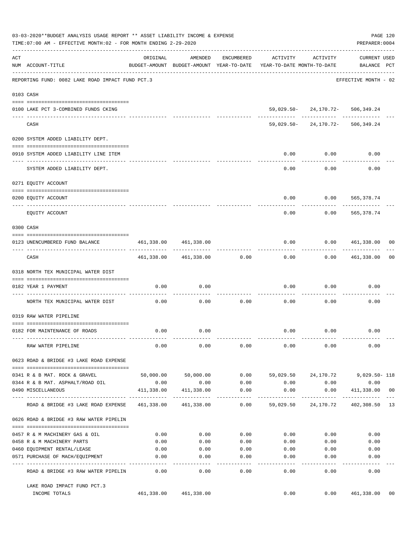|     | 03-03-2020**BUDGET ANALYSIS USAGE REPORT ** ASSET LIABILITY INCOME & EXPENSE<br>PAGE 120<br>TIME: 07:00 AM - EFFECTIVE MONTH: 02 - FOR MONTH ENDING 2-29-2020<br>PREPARER: 0004 |                                 |                       |                      |                                                                                 |                                                                 |                             |    |  |  |  |
|-----|---------------------------------------------------------------------------------------------------------------------------------------------------------------------------------|---------------------------------|-----------------------|----------------------|---------------------------------------------------------------------------------|-----------------------------------------------------------------|-----------------------------|----|--|--|--|
| ACT | NUM ACCOUNT-TITLE                                                                                                                                                               | ORIGINAL                        | AMENDED               | ENCUMBERED           | ACTIVITY<br>BUDGET-AMOUNT BUDGET-AMOUNT YEAR-TO-DATE YEAR-TO-DATE MONTH-TO-DATE | ACTIVITY                                                        | CURRENT USED<br>BALANCE PCT |    |  |  |  |
|     | REPORTING FUND: 0082 LAKE ROAD IMPACT FUND PCT.3                                                                                                                                |                                 |                       |                      |                                                                                 |                                                                 | EFFECTIVE MONTH - 02        |    |  |  |  |
|     | 0103 CASH                                                                                                                                                                       |                                 |                       |                      |                                                                                 |                                                                 |                             |    |  |  |  |
|     |                                                                                                                                                                                 |                                 |                       |                      |                                                                                 |                                                                 |                             |    |  |  |  |
|     | 0100 LAKE PCT 3-COMBINED FUNDS CKING                                                                                                                                            |                                 |                       |                      |                                                                                 | 59,029.50-24,170.72-506,349.24<br>------- ------------ -------- |                             |    |  |  |  |
|     | CASH                                                                                                                                                                            |                                 |                       |                      |                                                                                 | 59,029.50-24,170.72-506,349.24                                  |                             |    |  |  |  |
|     | 0200 SYSTEM ADDED LIABILITY DEPT.                                                                                                                                               |                                 |                       |                      |                                                                                 |                                                                 |                             |    |  |  |  |
|     | 0910 SYSTEM ADDED LIABILITY LINE ITEM                                                                                                                                           |                                 |                       |                      | 0.00                                                                            | 0.00                                                            | 0.00                        |    |  |  |  |
|     | SYSTEM ADDED LIABILITY DEPT.                                                                                                                                                    |                                 |                       |                      | 0.00                                                                            | 0.00                                                            | 0.00                        |    |  |  |  |
|     | 0271 EQUITY ACCOUNT                                                                                                                                                             |                                 |                       |                      |                                                                                 |                                                                 |                             |    |  |  |  |
|     |                                                                                                                                                                                 |                                 |                       |                      |                                                                                 |                                                                 |                             |    |  |  |  |
|     | 0200 EQUITY ACCOUNT<br>-------------------- ----------<br>_____ ___________                                                                                                     |                                 |                       |                      | 0.00                                                                            | $0.00$ 565,378.74                                               | ---------                   |    |  |  |  |
|     | EOUITY ACCOUNT                                                                                                                                                                  |                                 |                       |                      | 0.00                                                                            | 0.00                                                            | 565,378.74                  |    |  |  |  |
|     | 0300 CASH                                                                                                                                                                       |                                 |                       |                      |                                                                                 |                                                                 |                             |    |  |  |  |
|     | 0123 UNENCUMBERED FUND BALANCE                                                                                                                                                  | 461,338.00                      | 461,338.00            |                      | 0.00                                                                            | 0.0000461,338.00                                                |                             | 00 |  |  |  |
|     | CASH                                                                                                                                                                            | -------------                   | 461,338.00 461,338.00 | 0.00                 | 0.00                                                                            | ---------                                                       | $0.00$ $461,338.00$         | 00 |  |  |  |
|     | 0318 NORTH TEX MUNICIPAL WATER DIST                                                                                                                                             |                                 |                       |                      |                                                                                 |                                                                 |                             |    |  |  |  |
|     |                                                                                                                                                                                 |                                 |                       |                      |                                                                                 |                                                                 |                             |    |  |  |  |
|     | 0182 YEAR 1 PAYMENT                                                                                                                                                             | 0.00                            | 0.00                  |                      | 0.00                                                                            | 0.00                                                            | 0.00                        |    |  |  |  |
|     | NORTH TEX MUNICIPAL WATER DIST                                                                                                                                                  | 0.00                            | 0.00                  | 0.00                 | 0.00                                                                            | 0.00                                                            | 0.00                        |    |  |  |  |
|     | 0319 RAW WATER PIPELINE                                                                                                                                                         |                                 |                       |                      |                                                                                 |                                                                 |                             |    |  |  |  |
|     | 0182 FOR MAINTENANCE OF ROADS                                                                                                                                                   | 0.00                            | 0.00                  |                      |                                                                                 | $0.00$ $0.00$                                                   | 0.00                        |    |  |  |  |
|     | RAW WATER PIPELINE                                                                                                                                                              | 0.00                            | 0.00                  | 0.00                 | 0.00                                                                            | 0.00                                                            | 0.00                        |    |  |  |  |
|     | 0623 ROAD & BRIDGE #3 LAKE ROAD EXPENSE                                                                                                                                         |                                 |                       |                      |                                                                                 |                                                                 |                             |    |  |  |  |
|     | 0341 R & B MAT. ROCK & GRAVEL                                                                                                                                                   |                                 | 50,000.00 50,000.00   |                      | $0.00$ 59,029.50 24,170.72                                                      |                                                                 | 9,029.50- 118               |    |  |  |  |
|     | 0344 R & B MAT. ASPHALT/ROAD OIL                                                                                                                                                | 0.00                            | 0.00                  | 0.00                 | 0.00                                                                            | 0.00                                                            | 0.00                        |    |  |  |  |
|     | 0490 MISCELLANEOUS                                                                                                                                                              | 411,338.00                      | 411,338.00            | 0.00                 | 0.00                                                                            | 0.00                                                            | 411,338.00 00               |    |  |  |  |
|     | ROAD & BRIDGE #3 LAKE ROAD EXPENSE                                                                                                                                              | --- ------------- ------------- | 461,338.00 461,338.00 | $-- - - - -$<br>0.00 |                                                                                 | -----------<br>59,029.50 24,170.72 402,308.50 13                | . <u>.</u>                  |    |  |  |  |
|     | 0626 ROAD & BRIDGE #3 RAW WATER PIPELIN                                                                                                                                         |                                 |                       |                      |                                                                                 |                                                                 |                             |    |  |  |  |
|     |                                                                                                                                                                                 |                                 |                       |                      |                                                                                 |                                                                 |                             |    |  |  |  |
|     | 0457 R & M MACHINERY GAS & OIL<br>0458 R & M MACHINERY PARTS                                                                                                                    | 0.00<br>0.00                    | 0.00<br>0.00          | 0.00                 | $0.00$ 0.00<br>0.00                                                             | 0.00<br>0.00                                                    | 0.00<br>0.00                |    |  |  |  |
|     | 0460 EQUIPMENT RENTAL/LEASE                                                                                                                                                     | 0.00                            | 0.00                  | 0.00                 | 0.00                                                                            | 0.00                                                            | 0.00                        |    |  |  |  |
|     | 0571 PURCHASE OF MACH/EQUIPMENT                                                                                                                                                 | 0.00                            | 0.00                  | 0.00                 | 0.00                                                                            | 0.00                                                            | 0.00                        |    |  |  |  |
|     |                                                                                                                                                                                 |                                 | $- - - -$             | $- - - - -$          | -----                                                                           |                                                                 |                             |    |  |  |  |
|     | ROAD & BRIDGE #3 RAW WATER PIPELIN                                                                                                                                              | 0.00                            | 0.00                  | 0.00                 | 0.00                                                                            | 0.00                                                            | 0.00                        |    |  |  |  |
|     | LAKE ROAD IMPACT FUND PCT.3<br>INCOME TOTALS                                                                                                                                    |                                 | 461,338.00 461,338.00 |                      | 0.00                                                                            |                                                                 | 0.00 461,338.00             | 00 |  |  |  |
|     |                                                                                                                                                                                 |                                 |                       |                      |                                                                                 |                                                                 |                             |    |  |  |  |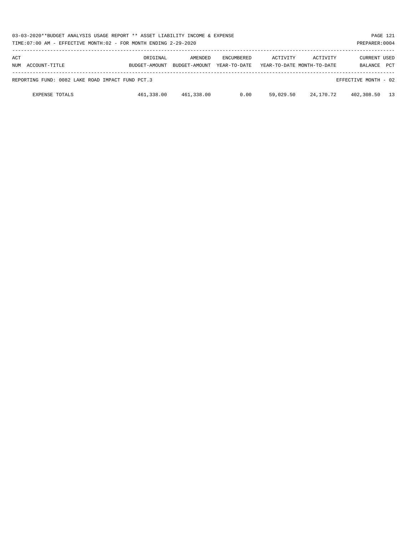| 03-03-2020**BUDGET ANALYSIS USAGE REPORT ** ASSET LIABILITY INCOME & EXPENSE<br>PAGE 121<br>TIME: 07:00 AM - EFFECTIVE MONTH: 02 - FOR MONTH ENDING 2-29-2020<br>PREPARER: 0004 |                           |                          |                                   |           |                                        |                                |            |  |  |
|---------------------------------------------------------------------------------------------------------------------------------------------------------------------------------|---------------------------|--------------------------|-----------------------------------|-----------|----------------------------------------|--------------------------------|------------|--|--|
| ACT<br>NUM ACCOUNT-TITLE                                                                                                                                                        | ORIGINAL<br>BUDGET-AMOUNT | AMENDED<br>BUDGET-AMOUNT | <b>ENCUMBERED</b><br>YEAR-TO-DATE | ACTIVITY  | ACTIVITY<br>YEAR-TO-DATE MONTH-TO-DATE | <b>CURRENT USED</b><br>BALANCE | <b>PCT</b> |  |  |
| REPORTING FUND: 0082 LAKE ROAD IMPACT FUND PCT.3                                                                                                                                |                           |                          |                                   |           |                                        | EFFECTIVE MONTH - 02           |            |  |  |
| <b>EXPENSE TOTALS</b>                                                                                                                                                           | 461,338.00                | 461,338.00               | 0.00                              | 59,029.50 | 24,170.72                              | 402,308.50                     | 13         |  |  |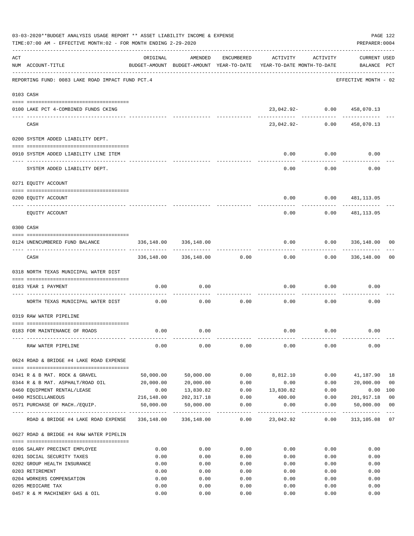|     | 03-03-2020**BUDGET ANALYSIS USAGE REPORT ** ASSET LIABILITY INCOME & EXPENSE<br>PAGE 122<br>TIME: 07:00 AM - EFFECTIVE MONTH: 02 - FOR MONTH ENDING 2-29-2020<br>PREPARER: 0004 |            |                            |                     |                                                                                 |                  |                                    |                |  |  |
|-----|---------------------------------------------------------------------------------------------------------------------------------------------------------------------------------|------------|----------------------------|---------------------|---------------------------------------------------------------------------------|------------------|------------------------------------|----------------|--|--|
| ACT | NUM ACCOUNT-TITLE                                                                                                                                                               | ORIGINAL   | AMENDED                    | ENCUMBERED          | ACTIVITY<br>BUDGET-AMOUNT BUDGET-AMOUNT YEAR-TO-DATE YEAR-TO-DATE MONTH-TO-DATE | ACTIVITY         | <b>CURRENT USED</b><br>BALANCE PCT |                |  |  |
|     | REPORTING FUND: 0083 LAKE ROAD IMPACT FUND PCT.4                                                                                                                                |            |                            |                     |                                                                                 |                  | EFFECTIVE MONTH - 02               |                |  |  |
|     | 0103 CASH                                                                                                                                                                       |            |                            |                     |                                                                                 |                  |                                    |                |  |  |
|     | 0100 LAKE PCT 4-COMBINED FUNDS CKING                                                                                                                                            |            |                            |                     | 23,042.92- 0.00 458,070.13                                                      |                  |                                    |                |  |  |
|     | CASH                                                                                                                                                                            |            |                            |                     | 23,042.92- 0.00                                                                 | -- ------------- | ------------<br>458,070.13         |                |  |  |
|     | 0200 SYSTEM ADDED LIABILITY DEPT.                                                                                                                                               |            |                            |                     |                                                                                 |                  |                                    |                |  |  |
|     | 0910 SYSTEM ADDED LIABILITY LINE ITEM                                                                                                                                           |            |                            |                     | 0.00                                                                            | 0.00             | 0.00                               |                |  |  |
|     | SYSTEM ADDED LIABILITY DEPT.                                                                                                                                                    |            |                            |                     | 0.00                                                                            | 0.00             | 0.00                               |                |  |  |
|     | 0271 EQUITY ACCOUNT                                                                                                                                                             |            |                            |                     |                                                                                 |                  |                                    |                |  |  |
|     | 0200 EQUITY ACCOUNT                                                                                                                                                             |            |                            |                     | 0.00                                                                            | 0.00             | 481,113.05                         |                |  |  |
|     | ------------------------------<br>EQUITY ACCOUNT                                                                                                                                |            |                            |                     | 0.00                                                                            | 0.00             | 481,113.05                         |                |  |  |
|     | 0300 CASH                                                                                                                                                                       |            |                            |                     |                                                                                 |                  |                                    |                |  |  |
|     | 0124 UNENCUMBERED FUND BALANCE                                                                                                                                                  | 336,148.00 | 336,148.00                 |                     | 0.00                                                                            |                  | 0.0000336,148.00                   | 00             |  |  |
|     | CASH                                                                                                                                                                            |            | 336,148.00 336,148.00 0.00 |                     | 0.00                                                                            |                  | $0.00$ 336,148.00                  | 00             |  |  |
|     | 0318 NORTH TEXAS MUNICIPAL WATER DIST                                                                                                                                           |            |                            |                     |                                                                                 |                  |                                    |                |  |  |
|     | 0183 YEAR 1 PAYMENT                                                                                                                                                             | 0.00       | 0.00                       |                     | 0.00                                                                            | 0.00             | 0.00                               |                |  |  |
|     | ------------------------------ ----<br>NORTH TEXAS MUNICIPAL WATER DIST                                                                                                         | 0.00       | 0.00                       | 0.00                | 0.00                                                                            | 0.00             | 0.00                               |                |  |  |
|     | 0319 RAW WATER PIPELINE                                                                                                                                                         |            |                            |                     |                                                                                 |                  |                                    |                |  |  |
|     | 0183 FOR MAINTENANCE OF ROADS                                                                                                                                                   | 0.00       | 0.00                       |                     |                                                                                 | $0.00$ 0.00      | 0.00                               |                |  |  |
|     |                                                                                                                                                                                 |            |                            |                     |                                                                                 |                  |                                    |                |  |  |
|     | RAW WATER PIPELINE                                                                                                                                                              | 0.00       | 0.00                       | 0.00                | 0.00                                                                            | 0.00             | 0.00                               |                |  |  |
|     | 0624 ROAD & BRIDGE #4 LAKE ROAD EXPENSE                                                                                                                                         |            |                            |                     |                                                                                 |                  |                                    |                |  |  |
|     | 0341 R & B MAT. ROCK & GRAVEL                                                                                                                                                   | 50,000.00  | 50,000.00                  | 0.00                | 8,812.10                                                                        | 0.00             | 41,187.90                          | 18             |  |  |
|     | 0344 R & B MAT. ASPHALT/ROAD OIL                                                                                                                                                | 20,000.00  | 20,000.00                  | 0.00                | 0.00                                                                            | 0.00             | 20,000.00                          | 0 <sub>0</sub> |  |  |
|     | 0460 EQUIPMENT RENTAL/LEASE                                                                                                                                                     | 0.00       | 13,830.82                  | 0.00                | 13,830.82                                                                       | 0.00             | 0.00                               | 100            |  |  |
|     | 0490 MISCELLANEOUS                                                                                                                                                              | 216,148.00 | 202,317.18                 | 0.00                | 400.00                                                                          | 0.00             | 201,917.18                         | 0 <sub>0</sub> |  |  |
|     | 0571 PURCHASE OF MACH./EOUIP.                                                                                                                                                   | 50,000.00  | 50,000.00                  | 0.00<br>----------- | 0.00                                                                            | 0.00             | 50,000.00<br>-----------           | 0 <sub>0</sub> |  |  |
|     | ROAD & BRIDGE #4 LAKE ROAD EXPENSE                                                                                                                                              |            | 336,148.00 336,148.00      | 0.00                | 23,042.92                                                                       | 0.00             | 313,105.08 07                      |                |  |  |
|     | 0627 ROAD & BRIDGE #4 RAW WATER PIPELIN                                                                                                                                         |            |                            |                     |                                                                                 |                  |                                    |                |  |  |
|     | 0106 SALARY PRECINCT EMPLOYEE                                                                                                                                                   | 0.00       | 0.00                       | 0.00                | 0.00                                                                            | 0.00             | 0.00                               |                |  |  |
|     | 0201 SOCIAL SECURITY TAXES                                                                                                                                                      | 0.00       | 0.00                       | 0.00                | 0.00                                                                            | 0.00             | 0.00                               |                |  |  |
|     | 0202 GROUP HEALTH INSURANCE                                                                                                                                                     | 0.00       | 0.00                       | 0.00                | 0.00                                                                            | 0.00             | 0.00                               |                |  |  |
|     | 0203 RETIREMENT                                                                                                                                                                 | 0.00       | 0.00                       | 0.00                | 0.00                                                                            | 0.00             | 0.00                               |                |  |  |
|     | 0204 WORKERS COMPENSATION                                                                                                                                                       | 0.00       | 0.00                       | 0.00                | 0.00                                                                            | 0.00             | 0.00                               |                |  |  |
|     | 0205 MEDICARE TAX                                                                                                                                                               | 0.00       | 0.00                       | 0.00                | 0.00                                                                            | 0.00             | 0.00                               |                |  |  |
|     | 0457 R & M MACHINERY GAS & OIL                                                                                                                                                  | 0.00       | 0.00                       | 0.00                | 0.00                                                                            | 0.00             | 0.00                               |                |  |  |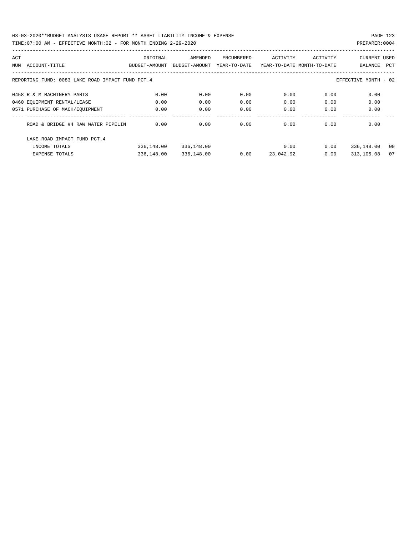| ACT |                                                  | ORIGINAL      | AMENDED       | ENCUMBERED   | ACTIVITY                   | ACTIVITY | <b>CURRENT USED</b>  |     |
|-----|--------------------------------------------------|---------------|---------------|--------------|----------------------------|----------|----------------------|-----|
| NUM | ACCOUNT-TITLE                                    | BUDGET-AMOUNT | BUDGET-AMOUNT | YEAR-TO-DATE | YEAR-TO-DATE MONTH-TO-DATE |          | BALANCE              | PCT |
|     |                                                  |               |               |              |                            |          |                      |     |
|     | REPORTING FUND: 0083 LAKE ROAD IMPACT FUND PCT.4 |               |               |              |                            |          | EFFECTIVE MONTH - 02 |     |
|     | 0458 R & M MACHINERY PARTS                       | 0.00          | 0.00          | 0.00         | 0.00                       | 0.00     | 0.00                 |     |
|     | 0460 EQUIPMENT RENTAL/LEASE                      | 0.00          | 0.00          | 0.00         | 0.00                       | 0.00     | 0.00                 |     |
|     | 0571 PURCHASE OF MACH/EQUIPMENT                  | 0.00          | 0.00          | 0.00         | 0.00                       | 0.00     | 0.00                 |     |
|     | ROAD & BRIDGE #4 RAW WATER PIPELIN               | 0.00          | 0.00          | 0.00         | 0.00                       | 0.00     | 0.00                 |     |
|     | LAKE ROAD IMPACT FUND PCT. 4                     |               |               |              |                            |          |                      |     |
|     | INCOME TOTALS                                    | 336,148.00    | 336,148.00    |              | 0.00                       | 0.00     | 336,148.00           | 00  |
|     | <b>EXPENSE TOTALS</b>                            | 336,148.00    | 336,148.00    | 0.00         | 23,042.92                  | 0.00     | 313,105.08           | 07  |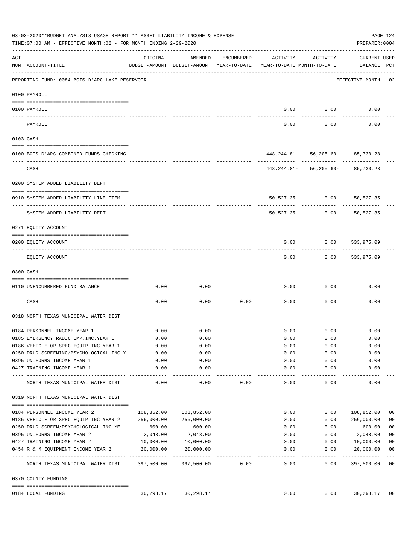|          | 03-03-2020**BUDGET ANALYSIS USAGE REPORT ** ASSET LIABILITY INCOME & EXPENSE<br>PAGE 124<br>TIME: 07:00 AM - EFFECTIVE MONTH: 02 - FOR MONTH ENDING 2-29-2020<br>PREPARER: 0004 |            |                                                     |            |                                        |                         |                                       |                          |  |  |  |
|----------|---------------------------------------------------------------------------------------------------------------------------------------------------------------------------------|------------|-----------------------------------------------------|------------|----------------------------------------|-------------------------|---------------------------------------|--------------------------|--|--|--|
| ACT      | NUM ACCOUNT-TITLE                                                                                                                                                               | ORIGINAL   | AMENDED<br>BUDGET-AMOUNT BUDGET-AMOUNT YEAR-TO-DATE | ENCUMBERED | ACTIVITY<br>YEAR-TO-DATE MONTH-TO-DATE | ACTIVITY                | CURRENT USED<br>BALANCE PCT           |                          |  |  |  |
|          | REPORTING FUND: 0084 BOIS D'ARC LAKE RESERVOIR                                                                                                                                  |            |                                                     |            |                                        |                         | EFFECTIVE MONTH - 02                  |                          |  |  |  |
|          | 0100 PAYROLL                                                                                                                                                                    |            |                                                     |            |                                        |                         |                                       |                          |  |  |  |
|          | 0100 PAYROLL                                                                                                                                                                    |            |                                                     |            | 0.00                                   | 0.00                    | 0.00                                  |                          |  |  |  |
| ---- --- | PAYROLL                                                                                                                                                                         |            |                                                     |            | 0.00                                   | 0.00                    | 0.00                                  |                          |  |  |  |
|          | 0103 CASH                                                                                                                                                                       |            |                                                     |            |                                        |                         |                                       |                          |  |  |  |
|          | 0100 BOIS D'ARC-COMBINED FUNDS CHECKING                                                                                                                                         |            |                                                     |            |                                        |                         | 448, 244.81 - 56, 205.60 - 85, 730.28 |                          |  |  |  |
|          | CASH                                                                                                                                                                            |            |                                                     |            | -----------  ------------  ----------- |                         | 448, 244.81 - 56, 205.60 - 85, 730.28 |                          |  |  |  |
|          | 0200 SYSTEM ADDED LIABILITY DEPT.                                                                                                                                               |            |                                                     |            |                                        |                         |                                       |                          |  |  |  |
|          | 0910 SYSTEM ADDED LIABILITY LINE ITEM                                                                                                                                           |            |                                                     |            |                                        |                         | 50,527.35- 0.00 50,527.35-            |                          |  |  |  |
|          | SYSTEM ADDED LIABILITY DEPT.                                                                                                                                                    |            |                                                     |            | $50,527.35-$                           | 0.00                    | 50,527.35-                            |                          |  |  |  |
|          | 0271 EQUITY ACCOUNT                                                                                                                                                             |            |                                                     |            |                                        |                         |                                       |                          |  |  |  |
|          | 0200 EQUITY ACCOUNT                                                                                                                                                             |            |                                                     |            | 0.00                                   | 0.00                    | 533,975.09                            |                          |  |  |  |
|          | EQUITY ACCOUNT                                                                                                                                                                  |            |                                                     |            | 0.00                                   |                         | $0.00$ 533,975.09                     |                          |  |  |  |
|          | 0300 CASH                                                                                                                                                                       |            |                                                     |            |                                        |                         |                                       |                          |  |  |  |
|          | 0110 UNENCUMBERED FUND BALANCE                                                                                                                                                  | 0.00       | 0.00                                                |            | 0.00                                   | 0.00                    | 0.00                                  |                          |  |  |  |
|          | CASH                                                                                                                                                                            | 0.00       | 0.00                                                | 0.00       | 0.00                                   | 0.00                    | 0.00                                  |                          |  |  |  |
|          | 0318 NORTH TEXAS MUNICIPAL WATER DIST                                                                                                                                           |            |                                                     |            |                                        |                         |                                       |                          |  |  |  |
|          | 0184 PERSONNEL INCOME YEAR 1                                                                                                                                                    | 0.00       | 0.00                                                |            |                                        | $0.00$ 0.00             | 0.00                                  |                          |  |  |  |
|          | 0185 EMERGENCY RADIO IMP. INC. YEAR 1                                                                                                                                           | 0.00       | 0.00                                                |            | 0.00                                   | 0.00                    | 0.00                                  |                          |  |  |  |
|          | 0186 VEHICLE OR SPEC EQUIP INC YEAR 1                                                                                                                                           | 0.00       | 0.00                                                |            | 0.00                                   | 0.00                    | 0.00                                  |                          |  |  |  |
|          | 0250 DRUG SCREENING/PSYCHOLOGICAL INC Y                                                                                                                                         | 0.00       | 0.00                                                |            | 0.00                                   | 0.00                    | 0.00                                  |                          |  |  |  |
|          | 0395 UNIFORMS INCOME YEAR 1                                                                                                                                                     | 0.00       | 0.00                                                |            | 0.00                                   | 0.00                    | 0.00                                  |                          |  |  |  |
|          | 0427 TRAINING INCOME YEAR 1                                                                                                                                                     | 0.00       | 0.00<br>.                                           |            | 0.00<br>-------                        | 0.00<br>$- - - - - - -$ | 0.00<br>----------                    |                          |  |  |  |
|          | NORTH TEXAS MUNICIPAL WATER DIST                                                                                                                                                | 0.00       | 0.00                                                | 0.00       | 0.00                                   | 0.00                    | 0.00                                  |                          |  |  |  |
|          | 0319 NORTH TEXAS MUNICIPAL WATER DIST                                                                                                                                           |            |                                                     |            |                                        |                         |                                       |                          |  |  |  |
|          | 0184 PERSONNEL INCOME YEAR 2                                                                                                                                                    | 108,852.00 | 108,852.00                                          |            | 0.00                                   | 0.00                    | 108,852.00                            | 00                       |  |  |  |
|          | 0186 VEHICLE OR SPEC EQUIP INC YEAR 2                                                                                                                                           | 256,000.00 | 256,000.00                                          |            | 0.00                                   | 0.00                    | 256,000.00                            | 0 <sub>0</sub>           |  |  |  |
|          | 0250 DRUG SCREEN/PSYCHOLOGICAL INC YE                                                                                                                                           | 600.00     | 600.00                                              |            | 0.00                                   | 0.00                    | 600.00                                | 0 <sub>0</sub>           |  |  |  |
|          | 0395 UNIFORMS INCOME YEAR 2                                                                                                                                                     | 2,048.00   | 2,048.00                                            |            | 0.00                                   | 0.00                    | 2,048.00                              | 0 <sub>0</sub>           |  |  |  |
|          | 0427 TRAINING INCOME YEAR 2                                                                                                                                                     | 10,000.00  | 10,000.00                                           |            | 0.00                                   | 0.00                    | 10,000.00                             | 0 <sub>0</sub>           |  |  |  |
|          | 0454 R & M EQUIPMENT INCOME YEAR 2                                                                                                                                              | 20,000.00  | 20,000.00                                           |            | 0.00                                   | 0.00                    | 20,000.00                             | 0 <sub>0</sub>           |  |  |  |
|          | NORTH TEXAS MUNICIPAL WATER DIST 397,500.00                                                                                                                                     |            | 397,500.00                                          | 0.00       | $- - - - - -$<br>0.00                  | -------<br>0.00         | ----------<br>397,500.00              | $---$<br>$\overline{00}$ |  |  |  |
|          | 0370 COUNTY FUNDING                                                                                                                                                             |            |                                                     |            |                                        |                         |                                       |                          |  |  |  |
|          | 0184 LOCAL FUNDING                                                                                                                                                              | 30,298.17  | 30,298.17                                           |            | 0.00                                   | 0.00                    | 30,298.17 00                          |                          |  |  |  |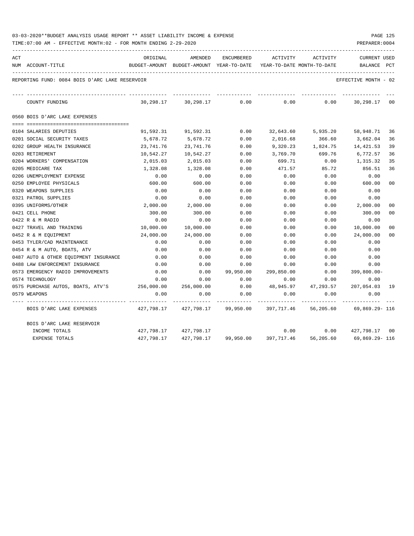| 03-03-2020**BUDGET ANALYSIS USAGE REPORT ** ASSET LIABILITY INCOME & EXPENSE |  |  |  | PAGE 125 |  |
|------------------------------------------------------------------------------|--|--|--|----------|--|
|                                                                              |  |  |  |          |  |

| ACT | NUM ACCOUNT-TITLE                              | ORIGINAL<br>BUDGET-AMOUNT BUDGET-AMOUNT YEAR-TO-DATE | AMENDED                           | ENCUMBERED | ACTIVITY   | ACTIVITY<br>YEAR-TO-DATE MONTH-TO-DATE | <b>CURRENT USED</b><br>BALANCE | PCT     |
|-----|------------------------------------------------|------------------------------------------------------|-----------------------------------|------------|------------|----------------------------------------|--------------------------------|---------|
|     | REPORTING FUND: 0084 BOIS D'ARC LAKE RESERVOIR |                                                      |                                   |            |            |                                        | EFFECTIVE MONTH - 02           |         |
|     | COUNTY FUNDING                                 | 30,298.17                                            | 30,298.17                         | 0.00       | 0.00       | 0.00                                   | 30,298.17                      | $_{00}$ |
|     | 0560 BOIS D'ARC LAKE EXPENSES                  |                                                      |                                   |            |            |                                        |                                |         |
|     |                                                |                                                      |                                   |            |            |                                        |                                |         |
|     | 0104 SALARIES DEPUTIES                         | 91,592.31                                            | 91,592.31                         | 0.00       | 32,643.60  | 5,935.20                               | 58,948.71                      | 36      |
|     | 0201 SOCIAL SECURITY TAXES                     | 5,678.72                                             | 5,678.72                          | 0.00       | 2,016.68   | 366.60                                 | 3,662.04                       | 36      |
|     | 0202 GROUP HEALTH INSURANCE                    | 23,741.76                                            | 23,741.76                         | 0.00       | 9,320.23   | 1,824.75                               | 14,421.53                      | 39      |
|     | 0203 RETIREMENT                                | 10,542.27                                            | 10,542.27                         | 0.00       | 3,769.70   | 699.76                                 | 6,772.57                       | 36      |
|     | 0204 WORKERS' COMPENSATION                     | 2,015.03                                             | 2,015.03                          | 0.00       | 699.71     | 0.00                                   | 1,315.32                       | 35      |
|     | 0205 MEDICARE TAX                              | 1,328.08                                             | 1,328.08                          | 0.00       | 471.57     | 85.72                                  | 856.51                         | 36      |
|     | 0206 UNEMPLOYMENT EXPENSE                      | 0.00                                                 | 0.00                              | 0.00       | 0.00       | 0.00                                   | 0.00                           |         |
|     | 0250 EMPLOYEE PHYSICALS                        | 600.00                                               | 600.00                            | 0.00       | 0.00       | 0.00                                   | 600.00                         | 00      |
|     | 0320 WEAPONS SUPPLIES                          | 0.00                                                 | 0.00                              | 0.00       | 0.00       | 0.00                                   | 0.00                           |         |
|     | 0321 PATROL SUPPLIES                           | 0.00                                                 | 0.00                              | 0.00       | 0.00       | 0.00                                   | 0.00                           |         |
|     | 0395 UNIFORMS/OTHER                            | 2,000.00                                             | 2,000.00                          | 0.00       | 0.00       | 0.00                                   | 2,000.00                       | 00      |
|     | 0421 CELL PHONE                                | 300.00                                               | 300.00                            | 0.00       | 0.00       | 0.00                                   | 300.00                         | 00      |
|     | 0422 R & M RADIO                               | 0.00                                                 | 0.00                              | 0.00       | 0.00       | 0.00                                   | 0.00                           |         |
|     | 0427 TRAVEL AND TRAINING                       | 10,000.00                                            | 10,000.00                         | 0.00       | 0.00       | 0.00                                   | 10,000.00                      | 00      |
|     | 0452 R & M EQUIPMENT                           | 24,000.00                                            | 24,000.00                         | 0.00       | 0.00       | 0.00                                   | 24,000.00                      | 00      |
|     | 0453 TYLER/CAD MAINTENANCE                     | 0.00                                                 | 0.00                              | 0.00       | 0.00       | 0.00                                   | 0.00                           |         |
|     | 0454 R & M AUTO, BOATS, ATV                    | 0.00                                                 | 0.00                              | 0.00       | 0.00       | 0.00                                   | 0.00                           |         |
|     | 0487 AUTO & OTHER EQUIPMENT INSURANCE          | 0.00                                                 | 0.00                              | 0.00       | 0.00       | 0.00                                   | 0.00                           |         |
|     | 0488 LAW ENFORCEMENT INSURANCE                 | 0.00                                                 | 0.00                              | 0.00       | 0.00       | 0.00                                   | 0.00                           |         |
|     | 0573 EMERGENCY RADIO IMPROVEMENTS              | 0.00                                                 | 0.00                              | 99,950.00  | 299,850.00 | 0.00                                   | $399,800.00 -$                 |         |
|     | 0574 TECHNOLOGY                                | 0.00                                                 | 0.00                              | 0.00       | 0.00       | 0.00                                   | 0.00                           |         |
|     | 0575 PURCHASE AUTOS, BOATS, ATV'S              | 256,000.00                                           | 256,000.00                        | 0.00       | 48,945.97  | 47,293.57                              | 207,054.03                     | 19      |
|     | 0579 WEAPONS                                   | 0.00                                                 | 0.00                              | 0.00       | 0.00       | 0.00                                   | 0.00                           |         |
|     | BOIS D'ARC LAKE EXPENSES                       |                                                      | 427,798.17  427,798.17  99,950.00 |            | 397,717.46 | 56,205.60                              | 69,869.29– 116                 |         |
|     | BOIS D'ARC LAKE RESERVOIR                      |                                                      |                                   |            |            |                                        |                                |         |
|     | INCOME TOTALS                                  | 427,798.17                                           | 427,798.17                        |            | 0.00       | 0.00                                   | 427,798.17 00                  |         |
|     | EXPENSE TOTALS                                 | 427,798.17                                           | 427,798.17                        | 99,950.00  | 397,717.46 | 56,205.60                              | 69,869.29-116                  |         |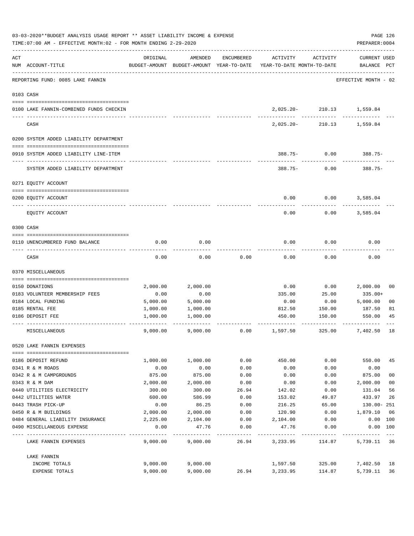| 03-03-2020**BUDGET ANALYSIS USAGE REPORT ** ASSET LIABILITY INCOME & EXPENSE<br>TIME: 07:00 AM - EFFECTIVE MONTH: 02 - FOR MONTH ENDING 2-29-2020 |                                         | PAGE 126<br>PREPARER: 0004 |          |            |                                                                                 |                           |                                    |                |
|---------------------------------------------------------------------------------------------------------------------------------------------------|-----------------------------------------|----------------------------|----------|------------|---------------------------------------------------------------------------------|---------------------------|------------------------------------|----------------|
| ACT                                                                                                                                               | NUM ACCOUNT-TITLE                       | ORIGINAL                   | AMENDED  | ENCUMBERED | ACTIVITY<br>BUDGET-AMOUNT BUDGET-AMOUNT YEAR-TO-DATE YEAR-TO-DATE MONTH-TO-DATE | ACTIVITY                  | <b>CURRENT USED</b><br>BALANCE PCT |                |
|                                                                                                                                                   | REPORTING FUND: 0085 LAKE FANNIN        |                            |          |            |                                                                                 |                           | EFFECTIVE MONTH - 02               |                |
|                                                                                                                                                   | 0103 CASH                               |                            |          |            |                                                                                 |                           |                                    |                |
|                                                                                                                                                   | 0100 LAKE FANNIN-COMBINED FUNDS CHECKIN |                            |          |            |                                                                                 | 2,025.20- 210.13 1,559.84 |                                    |                |
|                                                                                                                                                   | CASH                                    |                            |          |            | 2,025.20-                                                                       | .<br>210.13               | 1,559.84                           |                |
|                                                                                                                                                   | 0200 SYSTEM ADDED LIABILITY DEPARTMENT  |                            |          |            |                                                                                 |                           |                                    |                |
|                                                                                                                                                   | 0910 SYSTEM ADDED LIABILITY LINE-ITEM   |                            |          |            |                                                                                 | $388.75 - 0.00$           | $388.75-$                          |                |
|                                                                                                                                                   | SYSTEM ADDED LIABILITY DEPARTMENT       |                            |          |            | $388.75 -$                                                                      | 0.00                      | 388.75-                            |                |
|                                                                                                                                                   | 0271 EQUITY ACCOUNT                     |                            |          |            |                                                                                 |                           |                                    |                |
|                                                                                                                                                   | 0200 EQUITY ACCOUNT                     |                            |          |            | 0.00                                                                            | 0.00                      | 3,585.04                           |                |
|                                                                                                                                                   | EQUITY ACCOUNT                          |                            |          |            | 0.00                                                                            | 0.00                      | 3,585.04                           |                |
|                                                                                                                                                   | 0300 CASH                               |                            |          |            |                                                                                 |                           |                                    |                |
|                                                                                                                                                   | 0110 UNENCUMBERED FUND BALANCE          | 0.00                       | 0.00     |            | 0.00                                                                            | 0.00                      | 0.00                               |                |
|                                                                                                                                                   | CASH                                    | 0.00                       | 0.00     | 0.00       | 0.00                                                                            | 0.00                      | 0.00                               |                |
|                                                                                                                                                   | 0370 MISCELLANEOUS                      |                            |          |            |                                                                                 |                           |                                    |                |
|                                                                                                                                                   | 0150 DONATIONS                          | 2,000.00                   | 2,000.00 |            | 0.00                                                                            | 0.00                      | 2,000.00                           | 00             |
|                                                                                                                                                   | 0183 VOLUNTEER MEMBERSHIP FEES          | 0.00                       | 0.00     |            | 335.00                                                                          | 25.00                     | 335.00+                            |                |
|                                                                                                                                                   | 0184 LOCAL FUNDING                      | 5,000.00                   | 5,000.00 |            | 0.00                                                                            | 0.00                      | 5,000.00                           | 0 <sub>0</sub> |
|                                                                                                                                                   | 0185 RENTAL FEE                         | 1,000.00                   | 1,000.00 |            | 812.50                                                                          | 150.00                    | 187.50                             | 81             |
|                                                                                                                                                   | 0186 DEPOSIT FEE                        | 1,000.00                   | 1,000.00 |            | 450.00                                                                          | 150.00                    | 550.00                             | 45             |
|                                                                                                                                                   | MISCELLANEOUS                           | 9,000.00                   | 9.000.00 | 0.00       | 1,597.50                                                                        | 325.00                    | 7,402.50                           | 18             |
|                                                                                                                                                   | 0520 LAKE FANNIN EXPENSES               |                            |          |            |                                                                                 |                           |                                    |                |
|                                                                                                                                                   | 0186 DEPOSIT REFUND                     | 1,000.00                   | 1,000.00 | 0.00       | 450.00                                                                          | 0.00                      | 550.00                             | 45             |
|                                                                                                                                                   | 0341 R & M ROADS                        | 0.00                       | 0.00     | 0.00       | 0.00                                                                            | 0.00                      | 0.00                               |                |
|                                                                                                                                                   | 0342 R & M CAMPGROUNDS                  | 875.00                     | 875.00   | 0.00       | 0.00                                                                            | 0.00                      | 875.00                             | 0 <sub>0</sub> |
|                                                                                                                                                   | 0343 R & M DAM                          | 2,000.00                   | 2,000.00 | 0.00       | 0.00                                                                            | 0.00                      | 2,000.00                           | 0 <sub>0</sub> |
|                                                                                                                                                   | 0440 UTILITIES ELECTRICITY              | 300.00                     | 300.00   | 26.94      | 142.02                                                                          | 0.00                      | 131.04                             | 56             |
|                                                                                                                                                   | 0442 UTILITIES WATER                    | 600.00                     | 586.99   | 0.00       | 153.02                                                                          | 49.87                     | 433.97                             | 26             |
|                                                                                                                                                   | 0443 TRASH PICK-UP                      | 0.00                       | 86.25    | 0.00       | 216.25                                                                          | 65.00                     | 130.00-251                         |                |
|                                                                                                                                                   | 0450 R & M BUILDINGS                    | 2,000.00                   | 2,000.00 | 0.00       | 120.90                                                                          | 0.00                      | 1,879.10                           | 06             |
|                                                                                                                                                   | 0484 GENERAL LIABILITY INSURANCE        | 2,225.00                   | 2,104.00 | 0.00       | 2,104.00                                                                        | 0.00                      | 0.00 100                           |                |
|                                                                                                                                                   | 0490 MISCELLANEOUS EXPENSE              | 0.00                       | 47.76    | 0.00       | 47.76                                                                           | 0.00                      | 0.00 100                           |                |
|                                                                                                                                                   | LAKE FANNIN EXPENSES                    | 9,000.00                   | 9,000.00 | 26.94      | 3,233.95                                                                        | 114.87                    | 5,739.11 36                        |                |
|                                                                                                                                                   | LAKE FANNIN                             |                            |          |            |                                                                                 |                           |                                    |                |
|                                                                                                                                                   | INCOME TOTALS                           | 9,000.00                   | 9,000.00 |            | 1,597.50                                                                        | 325.00                    | 7,402.50                           | 18             |
|                                                                                                                                                   | EXPENSE TOTALS                          | 9,000.00                   | 9,000.00 | 26.94      | 3,233.95                                                                        | 114.87                    | 5,739.11                           | 36             |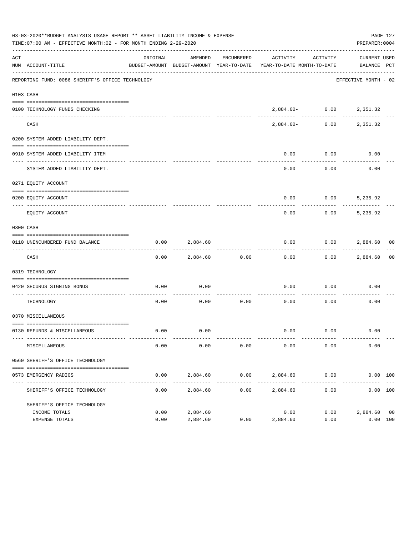|     | 03-03-2020**BUDGET ANALYSIS USAGE REPORT ** ASSET LIABILITY INCOME & EXPENSE<br>PAGE 127<br>TIME:07:00 AM - EFFECTIVE MONTH:02 - FOR MONTH ENDING 2-29-2020<br>PREPARER: 0004 |          |               |            |                                                                                 |                                                                                                                              |                             |    |  |  |  |  |
|-----|-------------------------------------------------------------------------------------------------------------------------------------------------------------------------------|----------|---------------|------------|---------------------------------------------------------------------------------|------------------------------------------------------------------------------------------------------------------------------|-----------------------------|----|--|--|--|--|
| ACT | NUM ACCOUNT-TITLE                                                                                                                                                             | ORIGINAL | AMENDED       | ENCUMBERED | ACTIVITY<br>BUDGET-AMOUNT BUDGET-AMOUNT YEAR-TO-DATE YEAR-TO-DATE MONTH-TO-DATE | ACTIVITY                                                                                                                     | CURRENT USED<br>BALANCE PCT |    |  |  |  |  |
|     | REPORTING FUND: 0086 SHERIFF'S OFFICE TECHNOLOGY                                                                                                                              |          |               |            |                                                                                 |                                                                                                                              | EFFECTIVE MONTH - 02        |    |  |  |  |  |
|     | 0103 CASH                                                                                                                                                                     |          |               |            |                                                                                 |                                                                                                                              |                             |    |  |  |  |  |
|     | 0100 TECHNOLOGY FUNDS CHECKING                                                                                                                                                |          | ------------- |            |                                                                                 | $2\, , \, 8 \, 8 \, 4 \, . \, 6 \, 0 \, - \qquad \qquad 0 \, . \, 0 \, 0 \qquad \qquad 2 \, , \, 3 \, 5 \, 1 \, . \, 3 \, 2$ |                             |    |  |  |  |  |
|     | CASH                                                                                                                                                                          |          |               |            | 2,884.60-                                                                       |                                                                                                                              | $0.00$ 2,351.32             |    |  |  |  |  |
|     | 0200 SYSTEM ADDED LIABILITY DEPT.                                                                                                                                             |          |               |            |                                                                                 |                                                                                                                              |                             |    |  |  |  |  |
|     | 0910 SYSTEM ADDED LIABILITY ITEM                                                                                                                                              |          |               |            | 0.00                                                                            | 0.00                                                                                                                         | 0.00                        |    |  |  |  |  |
|     | SYSTEM ADDED LIABILITY DEPT.                                                                                                                                                  |          |               |            | 0.00                                                                            | 0.00                                                                                                                         | 0.00                        |    |  |  |  |  |
|     | 0271 EQUITY ACCOUNT                                                                                                                                                           |          |               |            |                                                                                 |                                                                                                                              |                             |    |  |  |  |  |
|     | 0200 EOUITY ACCOUNT                                                                                                                                                           |          |               |            | 0.00                                                                            | $0.00$ 5,235.92                                                                                                              |                             |    |  |  |  |  |
|     | EQUITY ACCOUNT                                                                                                                                                                |          |               |            | 0.00                                                                            | 0.00                                                                                                                         | 5,235.92                    |    |  |  |  |  |
|     | 0300 CASH                                                                                                                                                                     |          |               |            |                                                                                 |                                                                                                                              |                             |    |  |  |  |  |
|     | 0110 UNENCUMBERED FUND BALANCE                                                                                                                                                | 0.00     | 2,884.60      |            | 0.00                                                                            |                                                                                                                              | $0.00$ 2,884.60 00          |    |  |  |  |  |
|     | CASH                                                                                                                                                                          | 0.00     | 2,884.60      | 0.00       | 0.00                                                                            |                                                                                                                              | $0.00$ 2,884.60             | 00 |  |  |  |  |
|     | 0319 TECHNOLOGY                                                                                                                                                               |          |               |            |                                                                                 |                                                                                                                              |                             |    |  |  |  |  |
|     | 0420 SECURUS SIGNING BONUS<br>_____________________________                                                                                                                   | 0.00     | 0.00          |            | 0.00                                                                            | 0.00                                                                                                                         | 0.00                        |    |  |  |  |  |
|     | TECHNOLOGY                                                                                                                                                                    | 0.00     | 0.00          | .<br>0.00  | 0.00                                                                            | 0.00                                                                                                                         | 0.00                        |    |  |  |  |  |
|     | 0370 MISCELLANEOUS                                                                                                                                                            |          |               |            |                                                                                 |                                                                                                                              |                             |    |  |  |  |  |
|     | 0130 REFUNDS & MISCELLANEOUS                                                                                                                                                  | 0.00     | 0.00          |            |                                                                                 | $0.00$ 0.00                                                                                                                  | 0.00                        |    |  |  |  |  |
|     | MISCELLANEOUS                                                                                                                                                                 | 0.00     | 0.00          | 0.00       | 0.00                                                                            | 0.00                                                                                                                         | 0.00                        |    |  |  |  |  |
|     | 0560 SHERIFF'S OFFICE TECHNOLOGY                                                                                                                                              |          |               |            |                                                                                 |                                                                                                                              |                             |    |  |  |  |  |
|     | 0573 EMERGENCY RADIOS                                                                                                                                                         | 0.00     | 2,884.60      |            | $0.00$ 2,884.60 0.00                                                            |                                                                                                                              | 0.00 100                    |    |  |  |  |  |
|     | SHERIFF'S OFFICE TECHNOLOGY                                                                                                                                                   | 0.00     | 2,884.60      | 0.00       | 2,884.60                                                                        | 0.00                                                                                                                         | 0.00 100                    |    |  |  |  |  |
|     | SHERIFF'S OFFICE TECHNOLOGY<br>INCOME TOTALS                                                                                                                                  | 0.00     | 2,884.60      |            | 0.00                                                                            | 0.00                                                                                                                         | 2,884.60 00                 |    |  |  |  |  |
|     | EXPENSE TOTALS                                                                                                                                                                | 0.00     | 2,884.60      | 0.00       | 2,884.60                                                                        | 0.00                                                                                                                         | 0.00 100                    |    |  |  |  |  |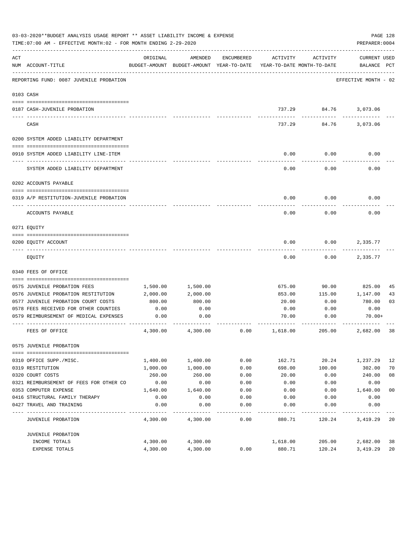| 03-03-2020**BUDGET ANALYSIS USAGE REPORT ** ASSET LIABILITY INCOME & EXPENSE<br>PAGE 128<br>TIME: 07:00 AM - EFFECTIVE MONTH: 02 - FOR MONTH ENDING 2-29-2020<br>PREPARER: 0004 |                                                                               |          |                                                     |            |                                        |            |                             |                |  |  |
|---------------------------------------------------------------------------------------------------------------------------------------------------------------------------------|-------------------------------------------------------------------------------|----------|-----------------------------------------------------|------------|----------------------------------------|------------|-----------------------------|----------------|--|--|
| ACT                                                                                                                                                                             | NUM ACCOUNT-TITLE                                                             | ORIGINAL | AMENDED<br>BUDGET-AMOUNT BUDGET-AMOUNT YEAR-TO-DATE | ENCUMBERED | ACTIVITY<br>YEAR-TO-DATE MONTH-TO-DATE | ACTIVITY   | CURRENT USED<br>BALANCE PCT |                |  |  |
|                                                                                                                                                                                 | __________________________________<br>REPORTING FUND: 0087 JUVENILE PROBATION |          |                                                     |            |                                        |            | EFFECTIVE MONTH - 02        |                |  |  |
|                                                                                                                                                                                 | 0103 CASH                                                                     |          |                                                     |            |                                        |            |                             |                |  |  |
|                                                                                                                                                                                 |                                                                               |          |                                                     |            |                                        |            |                             |                |  |  |
|                                                                                                                                                                                 | 0187 CASH-JUVENILE PROBATION                                                  |          |                                                     |            |                                        | ---------- | 737.29 84.76 3,073.06       |                |  |  |
|                                                                                                                                                                                 | CASH                                                                          |          |                                                     |            | 737.29                                 |            | 84.76 3,073.06              |                |  |  |
|                                                                                                                                                                                 | 0200 SYSTEM ADDED LIABILITY DEPARTMENT                                        |          |                                                     |            |                                        |            |                             |                |  |  |
|                                                                                                                                                                                 |                                                                               |          |                                                     |            |                                        |            |                             |                |  |  |
|                                                                                                                                                                                 | 0910 SYSTEM ADDED LIABILITY LINE-ITEM                                         |          |                                                     |            | 0.00                                   | 0.00       | 0.00                        |                |  |  |
|                                                                                                                                                                                 | SYSTEM ADDED LIABILITY DEPARTMENT                                             |          |                                                     |            | 0.00                                   | 0.00       | 0.00                        |                |  |  |
|                                                                                                                                                                                 | 0202 ACCOUNTS PAYABLE                                                         |          |                                                     |            |                                        |            |                             |                |  |  |
|                                                                                                                                                                                 |                                                                               |          |                                                     |            |                                        |            |                             |                |  |  |
|                                                                                                                                                                                 | 0319 A/P RESTITUTION-JUVENILE PROBATION                                       |          |                                                     |            | 0.00                                   | 0.00       | 0.00                        |                |  |  |
|                                                                                                                                                                                 | ACCOUNTS PAYABLE                                                              |          |                                                     |            | 0.00                                   | 0.00       | 0.00                        |                |  |  |
|                                                                                                                                                                                 | 0271 EQUITY                                                                   |          |                                                     |            |                                        |            |                             |                |  |  |
|                                                                                                                                                                                 |                                                                               |          |                                                     |            |                                        |            |                             |                |  |  |
|                                                                                                                                                                                 | 0200 EQUITY ACCOUNT                                                           |          |                                                     |            | 0.00                                   | 0.00       | 2,335.77                    |                |  |  |
|                                                                                                                                                                                 | EQUITY                                                                        |          |                                                     |            | 0.00                                   | 0.00       | 2,335.77                    |                |  |  |
|                                                                                                                                                                                 | 0340 FEES OF OFFICE                                                           |          |                                                     |            |                                        |            |                             |                |  |  |
|                                                                                                                                                                                 |                                                                               |          |                                                     |            |                                        |            |                             |                |  |  |
|                                                                                                                                                                                 | 0575 JUVENILE PROBATION FEES                                                  | 1,500.00 | 1,500.00                                            |            | 675.00                                 | 90.00      | 825.00                      | 45             |  |  |
|                                                                                                                                                                                 | 0576 JUVENILE PROBATION RESTITUTION                                           | 2,000.00 | 2,000.00                                            |            | 853.00                                 | 115.00     | 1,147.00                    | 43             |  |  |
|                                                                                                                                                                                 | 0577 JUVENILE PROBATION COURT COSTS                                           | 800.00   | 800.00                                              |            | 20.00                                  | 0.00       | 780.00                      | 03             |  |  |
|                                                                                                                                                                                 | 0578 FEES RECEIVED FOR OTHER COUNTIES                                         | 0.00     | 0.00                                                |            | 0.00                                   | 0.00       | 0.00                        |                |  |  |
|                                                                                                                                                                                 | 0579 REIMBURSEMENT OF MEDICAL EXPENSES                                        | 0.00     | 0.00                                                |            | 70.00                                  | 0.00       | 70.00+                      |                |  |  |
|                                                                                                                                                                                 | FEES OF OFFICE                                                                | 4,300.00 | 4,300.00                                            | 0.00       | 1,618.00                               | 205.00     | 2,682.00                    | 38             |  |  |
|                                                                                                                                                                                 | 0575 JUVENILE PROBATION                                                       |          |                                                     |            |                                        |            |                             |                |  |  |
|                                                                                                                                                                                 | 0310 OFFICE SUPP./MISC.                                                       | 1,400.00 | 1,400.00                                            | 0.00       | 162.71                                 | 20.24      | 1,237.29                    | 12             |  |  |
|                                                                                                                                                                                 | 0319 RESTITUTION                                                              | 1,000.00 | 1,000.00                                            | 0.00       | 698.00                                 | 100.00     | 302.00                      | 70             |  |  |
|                                                                                                                                                                                 | 0320 COURT COSTS                                                              | 260.00   | 260.00                                              | 0.00       | 20.00                                  | 0.00       | 240.00                      | 08             |  |  |
|                                                                                                                                                                                 | 0321 REIMBURSEMENT OF FEES FOR OTHER CO                                       | 0.00     | 0.00                                                | 0.00       | 0.00                                   | 0.00       | 0.00                        |                |  |  |
|                                                                                                                                                                                 | 0353 COMPUTER EXPENSE                                                         | 1,640.00 | 1,640.00                                            | 0.00       | 0.00                                   | 0.00       | 1,640.00                    | 0 <sub>0</sub> |  |  |
|                                                                                                                                                                                 | 0416 STRUCTURAL FAMILY THERAPY                                                | 0.00     | 0.00                                                | 0.00       | 0.00                                   | 0.00       | 0.00                        |                |  |  |
|                                                                                                                                                                                 | 0427 TRAVEL AND TRAINING                                                      | 0.00     | 0.00                                                | 0.00       | 0.00                                   | 0.00       | 0.00                        |                |  |  |
|                                                                                                                                                                                 | JUVENILE PROBATION                                                            | 4,300.00 | 4,300.00                                            | 0.00       | 880.71                                 | 120.24     | 3,419.29                    | 20             |  |  |
|                                                                                                                                                                                 | JUVENILE PROBATION                                                            |          |                                                     |            |                                        |            |                             |                |  |  |
|                                                                                                                                                                                 | INCOME TOTALS                                                                 | 4,300.00 | 4,300.00                                            |            | 1,618.00                               | 205.00     | 2,682.00                    | 38             |  |  |
|                                                                                                                                                                                 | EXPENSE TOTALS                                                                | 4,300.00 | 4,300.00                                            | 0.00       | 880.71                                 | 120.24     | 3,419.29                    | 20             |  |  |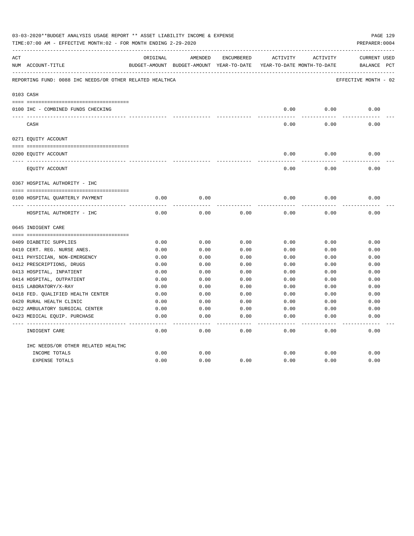|     | 03-03-2020**BUDGET ANALYSIS USAGE REPORT ** ASSET LIABILITY INCOME & EXPENSE<br>TIME:07:00 AM - EFFECTIVE MONTH:02 - FOR MONTH ENDING 2-29-2020<br>PREPARER: 0004 |          |                                          |            |          |                            |                      |  |  |  |
|-----|-------------------------------------------------------------------------------------------------------------------------------------------------------------------|----------|------------------------------------------|------------|----------|----------------------------|----------------------|--|--|--|
| ACT |                                                                                                                                                                   | ORIGINAL | AMENDED                                  | ENCUMBERED | ACTIVITY | ACTIVITY                   | CURRENT USED         |  |  |  |
|     | NUM ACCOUNT-TITLE                                                                                                                                                 |          | BUDGET-AMOUNT BUDGET-AMOUNT YEAR-TO-DATE |            |          | YEAR-TO-DATE MONTH-TO-DATE | BALANCE PCT          |  |  |  |
|     | REPORTING FUND: 0088 IHC NEEDS/OR OTHER RELATED HEALTHCA                                                                                                          |          |                                          |            |          |                            | EFFECTIVE MONTH - 02 |  |  |  |
|     | 0103 CASH                                                                                                                                                         |          |                                          |            |          |                            |                      |  |  |  |
|     |                                                                                                                                                                   |          |                                          |            |          |                            |                      |  |  |  |
|     | 0100 IHC - COMBINED FUNDS CHECKING                                                                                                                                |          |                                          |            | 0.00     | 0.00                       | 0.00                 |  |  |  |
|     | CASH                                                                                                                                                              |          |                                          |            | 0.00     | 0.00                       | 0.00                 |  |  |  |
|     | 0271 EQUITY ACCOUNT                                                                                                                                               |          |                                          |            |          |                            |                      |  |  |  |
|     | 0200 EQUITY ACCOUNT                                                                                                                                               |          |                                          |            | 0.00     | 0.00                       | 0.00                 |  |  |  |
|     | ______________________________<br>EQUITY ACCOUNT                                                                                                                  |          |                                          |            | 0.00     | 0.00                       | 0.00                 |  |  |  |
|     | 0367 HOSPITAL AUTHORITY - IHC                                                                                                                                     |          |                                          |            |          |                            |                      |  |  |  |
|     |                                                                                                                                                                   |          |                                          |            |          |                            |                      |  |  |  |
|     | 0100 HOSPITAL QUARTERLY PAYMENT                                                                                                                                   | 0.00     | 0.00                                     |            | 0.00     | 0.00                       | 0.00                 |  |  |  |
|     | HOSPITAL AUTHORITY - IHC                                                                                                                                          | 0.00     | 0.00                                     | 0.00       | 0.00     | 0.00                       | 0.00                 |  |  |  |
|     | 0645 INDIGENT CARE                                                                                                                                                |          |                                          |            |          |                            |                      |  |  |  |
|     |                                                                                                                                                                   |          |                                          |            |          |                            |                      |  |  |  |
|     | 0409 DIABETIC SUPPLIES                                                                                                                                            | 0.00     | 0.00                                     | 0.00       | 0.00     | 0.00                       | 0.00                 |  |  |  |
|     | 0410 CERT. REG. NURSE ANES.                                                                                                                                       | 0.00     | 0.00                                     | 0.00       | 0.00     | 0.00                       | 0.00                 |  |  |  |
|     | 0411 PHYSICIAN, NON-EMERGENCY                                                                                                                                     | 0.00     | 0.00                                     | 0.00       | 0.00     | 0.00                       | 0.00                 |  |  |  |
|     | 0412 PRESCRIPTIONS, DRUGS                                                                                                                                         | 0.00     | 0.00                                     | 0.00       | 0.00     | 0.00                       | 0.00                 |  |  |  |
|     | 0413 HOSPITAL, INPATIENT                                                                                                                                          | 0.00     | 0.00                                     | 0.00       | 0.00     | 0.00                       | 0.00                 |  |  |  |
|     | 0414 HOSPITAL, OUTPATIENT                                                                                                                                         | 0.00     | 0.00                                     | 0.00       | 0.00     | 0.00                       | 0.00                 |  |  |  |
|     | 0415 LABORATORY/X-RAY                                                                                                                                             | 0.00     | 0.00                                     | 0.00       | 0.00     | 0.00                       | 0.00                 |  |  |  |
|     | 0418 FED. OUALIFIED HEALTH CENTER                                                                                                                                 | 0.00     | 0.00                                     | 0.00       | 0.00     | 0.00                       | 0.00                 |  |  |  |
|     | 0420 RURAL HEALTH CLINIC                                                                                                                                          | 0.00     | 0.00                                     | 0.00       | 0.00     | 0.00                       | 0.00                 |  |  |  |
|     | 0422 AMBULATORY SURGICAL CENTER                                                                                                                                   | 0.00     | 0.00                                     | 0.00       | 0.00     | 0.00                       | 0.00                 |  |  |  |
|     | 0423 MEDICAL EQUIP. PURCHASE                                                                                                                                      | 0.00     | 0.00                                     | 0.00       | 0.00     | 0.00                       | 0.00                 |  |  |  |
|     | INDIGENT CARE                                                                                                                                                     | 0.00     | 0.00                                     | 0.00       | 0.00     | 0.00                       | -----<br>0.00        |  |  |  |
|     | IHC NEEDS/OR OTHER RELATED HEALTHC                                                                                                                                |          |                                          |            |          |                            |                      |  |  |  |
|     | INCOME TOTALS                                                                                                                                                     | 0.00     | 0.00                                     |            | 0.00     | 0.00                       | 0.00                 |  |  |  |
|     | <b>EXPENSE TOTALS</b>                                                                                                                                             | 0.00     | 0.00                                     | 0.00       | 0.00     | 0.00                       | 0.00                 |  |  |  |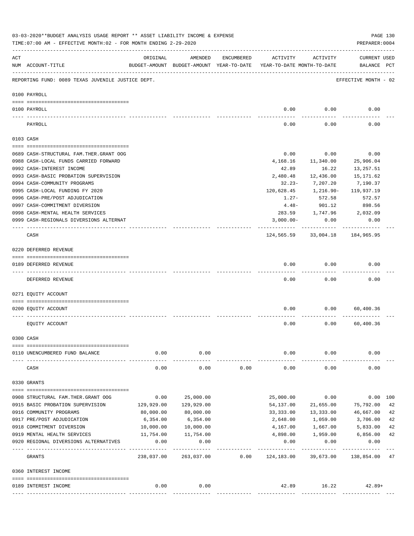|     | 03-03-2020**BUDGET ANALYSIS USAGE REPORT ** ASSET LIABILITY INCOME & EXPENSE<br>TIME: 07:00 AM - EFFECTIVE MONTH: 02 - FOR MONTH ENDING 2-29-2020 |                     |                                                     |            |                                        |                      | PREPARER: 0004                     | PAGE 130 |
|-----|---------------------------------------------------------------------------------------------------------------------------------------------------|---------------------|-----------------------------------------------------|------------|----------------------------------------|----------------------|------------------------------------|----------|
| ACT | NUM ACCOUNT-TITLE                                                                                                                                 | ORIGINAL            | AMENDED<br>BUDGET-AMOUNT BUDGET-AMOUNT YEAR-TO-DATE | ENCUMBERED | ACTIVITY<br>YEAR-TO-DATE MONTH-TO-DATE | ACTIVITY             | <b>CURRENT USED</b><br>BALANCE PCT |          |
|     | REPORTING FUND: 0089 TEXAS JUVENILE JUSTICE DEPT.                                                                                                 |                     |                                                     |            |                                        |                      | EFFECTIVE MONTH - 02               |          |
|     | 0100 PAYROLL                                                                                                                                      |                     |                                                     |            |                                        |                      |                                    |          |
|     | 0100 PAYROLL                                                                                                                                      |                     |                                                     |            | 0.00                                   | 0.00                 | 0.00                               |          |
|     |                                                                                                                                                   |                     |                                                     |            |                                        |                      |                                    |          |
|     | PAYROLL                                                                                                                                           |                     |                                                     |            | 0.00                                   | 0.00                 | 0.00                               |          |
|     | 0103 CASH                                                                                                                                         |                     |                                                     |            |                                        |                      |                                    |          |
|     | 0689 CASH-STRUCTURAL FAM.THER.GRANT OOG                                                                                                           |                     |                                                     |            | 0.00                                   | 0.00                 | 0.00                               |          |
|     | 0988 CASH-LOCAL FUNDS CARRIED FORWARD                                                                                                             |                     |                                                     |            | 4,168.16                               | 11,340.00            | 25,906.04                          |          |
|     | 0992 CASH-INTEREST INCOME                                                                                                                         |                     |                                                     |            | 42.89                                  | 16.22                | 13,257.51                          |          |
|     | 0993 CASH-BASIC PROBATION SUPERVISION                                                                                                             |                     |                                                     |            | 2,480.48                               | 12,436.00            | 15,171.62                          |          |
|     | 0994 CASH-COMMUNITY PROGRAMS                                                                                                                      |                     |                                                     |            | $32.23 -$                              | 7,207.20             | 7,190.37                           |          |
|     | 0995 CASH-LOCAL FUNDING FY 2020                                                                                                                   |                     |                                                     |            | 120,628.45                             | 1,216.90-            | 119,937.19                         |          |
|     | 0996 CASH-PRE/POST ADJUDICATION                                                                                                                   |                     |                                                     |            | $1.27 -$                               | 572.58               | 572.57                             |          |
|     | 0997 CASH-COMMITMENT DIVERSION                                                                                                                    |                     |                                                     |            | $4.48-$                                | 901.12               | 898.56                             |          |
|     | 0998 CASH-MENTAL HEALTH SERVICES                                                                                                                  |                     |                                                     |            |                                        | 283.59 1,747.96      | 2,032.09                           |          |
|     | 0999 CASH-REGIONALS DIVERSIONS ALTERNAT                                                                                                           |                     |                                                     |            | $3,000.00-$                            | 0.00<br>---------    | 0.00                               |          |
|     | CASH                                                                                                                                              |                     |                                                     |            |                                        | 124,565.59 33,004.18 | 184,965.95                         |          |
|     | 0220 DEFERRED REVENUE                                                                                                                             |                     |                                                     |            |                                        |                      |                                    |          |
|     | 0189 DEFERRED REVENUE                                                                                                                             |                     |                                                     |            | 0.00                                   | 0.00                 | 0.00                               |          |
|     | DEFERRED REVENUE                                                                                                                                  |                     |                                                     |            | 0.00                                   | 0.00                 | 0.00                               |          |
|     | 0271 EQUITY ACCOUNT                                                                                                                               |                     |                                                     |            |                                        |                      |                                    |          |
|     | 0200 EQUITY ACCOUNT                                                                                                                               |                     |                                                     |            | 0.00                                   | 0.00                 | 60,400.36                          |          |
|     | EQUITY ACCOUNT                                                                                                                                    |                     |                                                     |            | 0.00                                   | 0.00                 | 60,400.36                          |          |
|     | 0300 CASH                                                                                                                                         |                     |                                                     |            |                                        |                      |                                    |          |
|     |                                                                                                                                                   |                     |                                                     |            |                                        |                      |                                    |          |
|     | 0110 UNENCUMBERED FUND BALANCE                                                                                                                    | 0.00                | 0.00                                                |            | 0.00                                   | 0.00                 | 0.00                               |          |
|     | CASH                                                                                                                                              | 0.00                | 0.00                                                | 0.00       | 0.00                                   | 0.00                 | 0.00                               |          |
|     | 0330 GRANTS                                                                                                                                       |                     |                                                     |            |                                        |                      |                                    |          |
|     | 0908 STRUCTURAL FAM. THER. GRANT OOG                                                                                                              | 0.00                | 25,000.00                                           |            | 25,000.00                              | 0.00                 |                                    | 0.00 100 |
|     | 0915 BASIC PROBATION SUPERVISION                                                                                                                  | 129,929.00          | 129,929.00                                          |            | 54,137.00                              | 21,655.00            | 75,792.00                          | 42       |
|     | 0916 COMMUNITY PROGRAMS                                                                                                                           | 80,000.00           | 80,000.00                                           |            | 33,333.00                              | 13,333.00            | 46,667.00                          | 42       |
|     | 0917 PRE/POST ADJUDICATION                                                                                                                        | 6,354.00            | 6,354.00                                            |            | 2,648.00                               | 1,059.00             | 3,706.00                           | 42       |
|     | 0918 COMMITMENT DIVERSION                                                                                                                         | 10,000.00           | 10,000.00                                           |            | 4,167.00                               | 1,667.00             | 5,833.00                           | 42       |
|     | 0919 MENTAL HEALTH SERVICES                                                                                                                       | 11,754.00           | 11,754.00                                           |            | 4,898.00                               |                      | 1,959.00 6,856.00                  | 42       |
|     | 0920 REGIONAL DIVERSIONS ALTERNATIVES                                                                                                             | 0.00<br>___________ | 0.00<br>-----------                                 |            | 0.00<br>---------                      | 0.00<br>.            | 0.00<br>-----------                |          |
|     | GRANTS                                                                                                                                            | 238,037.00          | 263,037.00                                          | 0.00       | 124,183.00                             | 39,673.00            | 138,854.00                         | 47       |
|     | 0360 INTEREST INCOME                                                                                                                              |                     |                                                     |            |                                        |                      |                                    |          |
|     |                                                                                                                                                   |                     |                                                     |            |                                        |                      |                                    |          |
|     | 0189 INTEREST INCOME                                                                                                                              | 0.00                | 0.00                                                |            |                                        | 42.89 16.22          | $42.89+$                           |          |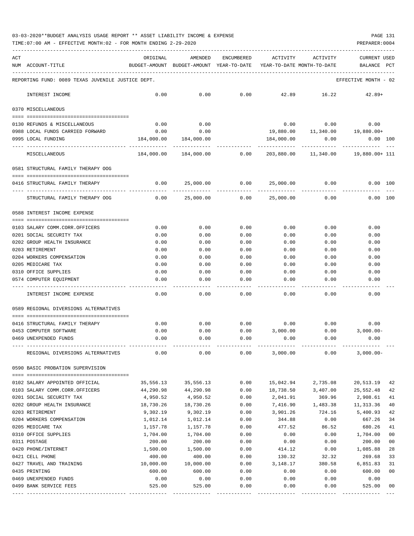TIME:07:00 AM - EFFECTIVE MONTH:02 - FOR MONTH ENDING 2-29-2020 PREPARER:0004

| ACT | NUM ACCOUNT-TITLE                                      | ORIGINAL     | AMENDED<br>BUDGET-AMOUNT BUDGET-AMOUNT YEAR-TO-DATE YEAR-TO-DATE MONTH-TO-DATE | ENCUMBERED | ACTIVITY   | ACTIVITY    | <b>CURRENT USED</b><br>BALANCE                   | PCT            |
|-----|--------------------------------------------------------|--------------|--------------------------------------------------------------------------------|------------|------------|-------------|--------------------------------------------------|----------------|
|     | REPORTING FUND: 0089 TEXAS JUVENILE JUSTICE DEPT.      |              |                                                                                |            |            |             | EFFECTIVE MONTH - 02                             |                |
|     | INTEREST INCOME                                        | 0.00         | 0.00                                                                           | 0.00       |            | 42.89 16.22 | $42.89+$                                         |                |
|     | 0370 MISCELLANEOUS                                     |              |                                                                                |            |            |             |                                                  |                |
|     |                                                        |              |                                                                                |            |            |             | $0.00$ $0.00$ $0.00$ $0.00$                      |                |
|     | 0130 REFUNDS & MISCELLANEOUS                           | 0.00<br>0.00 | 0.00<br>0.00                                                                   |            |            |             |                                                  |                |
|     | 0988 LOCAL FUNDS CARRIED FORWARD<br>0995 LOCAL FUNDING | 184,000.00   | 184,000.00                                                                     |            | 184,000.00 | 0.00        | 19,880.00   11,340.00   19,880.00+<br>$0.00$ 100 |                |
|     |                                                        |              |                                                                                |            |            |             |                                                  |                |
|     | MISCELLANEOUS                                          |              |                                                                                |            |            |             | $0.00$ $203,880.00$ $11,340.00$ $19,880.00+111$  |                |
|     | 0581 STRUCTURAL FAMILY THERAPY OOG                     |              |                                                                                |            |            |             |                                                  |                |
|     | 0416 STRUCTURAL FAMILY THERAPY                         | 0.00         | 25,000.00                                                                      | 0.00       | 25,000.00  | 0.00        | $0.00$ 100                                       |                |
|     | STRUCTURAL FAMILY THERAPY OOG                          | 0.00         | 25,000.00                                                                      | 0.00       | 25,000.00  | 0.00        | $0.00$ 100                                       |                |
|     | 0588 INTEREST INCOME EXPENSE                           |              |                                                                                |            |            |             |                                                  |                |
|     |                                                        |              |                                                                                |            |            |             |                                                  |                |
|     | 0103 SALARY COMM.CORR.OFFICERS                         | 0.00         | 0.00                                                                           | 0.00       | 0.00       | 0.00        | 0.00                                             |                |
|     | 0201 SOCIAL SECURITY TAX                               | 0.00         | 0.00                                                                           | 0.00       | 0.00       | 0.00        | 0.00                                             |                |
|     | 0202 GROUP HEALTH INSURANCE                            | 0.00         | 0.00                                                                           | 0.00       | 0.00       | 0.00        | 0.00                                             |                |
|     | 0203 RETIREMENT                                        | 0.00         | 0.00                                                                           | 0.00       | 0.00       | 0.00        | 0.00                                             |                |
|     | 0204 WORKERS COMPENSATION                              | 0.00         | 0.00                                                                           | 0.00       | 0.00       | 0.00        | 0.00                                             |                |
|     | 0205 MEDICARE TAX                                      | 0.00         | 0.00                                                                           | 0.00       | 0.00       | 0.00        | 0.00                                             |                |
|     | 0310 OFFICE SUPPLIES                                   | 0.00         | 0.00                                                                           | 0.00       | 0.00       | 0.00        | 0.00                                             |                |
|     | 0574 COMPUTER EQUIPMENT                                | 0.00         | 0.00                                                                           | 0.00       | 0.00       | 0.00        | 0.00                                             |                |
|     | INTEREST INCOME EXPENSE                                | 0.00         | 0.00                                                                           | 0.00       | 0.00       | 0.00        | 0.00                                             |                |
|     | 0589 REGIONAL DIVERSIONS ALTERNATIVES                  |              |                                                                                |            |            |             |                                                  |                |
|     | 0416 STRUCTURAL FAMILY THERAPY                         | 0.00         | 0.00                                                                           |            |            |             | $0.00$ $0.00$ $0.00$ $0.00$ $0.00$               |                |
|     | 0453 COMPUTER SOFTWARE                                 | 0.00         | 0.00                                                                           |            |            |             | $0.00$ $3,000.00$ $0.00$ $3,000.00$              |                |
|     | 0469 UNEXPENDED FUNDS                                  | 0.00         | 0.00                                                                           | 0.00       | 0.00       | 0.00        | 0.00                                             |                |
|     |                                                        |              |                                                                                |            |            |             |                                                  |                |
|     | REGIONAL DIVERSIONS ALTERNATIVES                       | 0.00         | 0.00                                                                           | 0.00       | 3,000.00   | 0.00        | $3,000.00-$                                      |                |
|     | 0590 BASIC PROBATION SUPERVISION                       |              |                                                                                |            |            |             |                                                  |                |
|     | 0102 SALARY APPOINTED OFFICIAL                         | 35,556.13    | 35,556.13                                                                      | 0.00       | 15,042.94  | 2,735.08    | 20,513.19                                        | 42             |
|     | 0103 SALARY COMM.CORR.OFFICERS                         | 44,290.98    | 44,290.98                                                                      | 0.00       | 18,738.50  | 3,407.00    | 25,552.48                                        | 42             |
|     | 0201 SOCIAL SECURITY TAX                               | 4,950.52     | 4,950.52                                                                       | 0.00       | 2,041.91   | 369.96      | 2,908.61                                         | 41             |
|     | 0202 GROUP HEALTH INSURANCE                            | 18,730.26    | 18,730.26                                                                      | 0.00       | 7,416.90   | 1,483.38    | 11, 313.36                                       | 40             |
|     | 0203 RETIREMENT                                        | 9,302.19     | 9,302.19                                                                       | 0.00       | 3,901.26   | 724.16      | 5,400.93                                         | 42             |
|     | 0204 WORKERS COMPENSATION                              | 1,012.14     | 1,012.14                                                                       | 0.00       | 344.88     | 0.00        | 667.26                                           | 34             |
|     | 0205 MEDICARE TAX                                      | 1,157.78     | 1,157.78                                                                       | 0.00       | 477.52     | 86.52       | 680.26                                           | 41             |
|     | 0310 OFFICE SUPPLIES                                   | 1,704.00     | 1,704.00                                                                       | 0.00       | 0.00       | 0.00        | 1,704.00                                         | 0 <sub>0</sub> |
|     | 0311 POSTAGE                                           | 200.00       | 200.00                                                                         | 0.00       | 0.00       | 0.00        | 200.00                                           | 0 <sub>0</sub> |
|     | 0420 PHONE/INTERNET                                    | 1,500.00     | 1,500.00                                                                       | 0.00       | 414.12     | 0.00        | 1,085.88                                         | 28             |
|     | 0421 CELL PHONE                                        | 400.00       | 400.00                                                                         | 0.00       | 130.32     | 32.32       | 269.68                                           | 33             |
|     | 0427 TRAVEL AND TRAINING                               | 10,000.00    | 10,000.00                                                                      | 0.00       | 3,148.17   | 380.58      | 6,851.83                                         | 31             |
|     | 0435 PRINTING                                          | 600.00       | 600.00                                                                         | 0.00       | 0.00       | 0.00        | 600.00                                           | 0 <sub>0</sub> |
|     | 0469 UNEXPENDED FUNDS                                  | 0.00         | 0.00                                                                           | 0.00       | 0.00       | 0.00        | 0.00                                             |                |
|     | 0499 BANK SERVICE FEES                                 | 525.00       | 525.00                                                                         | 0.00       | 0.00       | 0.00        | 525.00                                           | 00             |

---- ---------------------------------- ------------- ------------- ------------ ------------- ------------ ------------- ---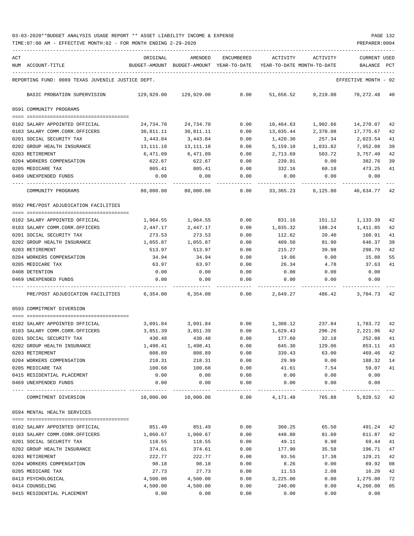TIME:07:00 AM - EFFECTIVE MONTH:02 - FOR MONTH ENDING 2-29-2020 PREPARER:0004

| ACT |                                                                  | ORIGINAL              | AMENDED                    | ENCUMBERED          | ACTIVITY                   | ACTIVITY           | <b>CURRENT USED</b>  |          |
|-----|------------------------------------------------------------------|-----------------------|----------------------------|---------------------|----------------------------|--------------------|----------------------|----------|
|     | NUM ACCOUNT-TITLE                                                | BUDGET-AMOUNT         | BUDGET-AMOUNT YEAR-TO-DATE |                     | YEAR-TO-DATE MONTH-TO-DATE |                    | BALANCE              | PCT      |
|     | REPORTING FUND: 0089 TEXAS JUVENILE JUSTICE DEPT.                |                       |                            |                     |                            |                    | EFFECTIVE MONTH - 02 |          |
|     | BASIC PROBATION SUPERVISION                                      | 129,929.00            | 129,929.00                 | 0.00                | 51,656.52                  | 9,219.00           | 78,272.48            | -40      |
|     | 0591 COMMUNITY PROGRAMS                                          |                       |                            |                     |                            |                    |                      |          |
|     |                                                                  |                       |                            |                     |                            |                    |                      |          |
|     | 0102 SALARY APPOINTED OFFICIAL                                   | 24,734.70             | 24,734.70                  | 0.00                | 10,464.63                  | 1,902.66           | 14,270.07            | 42       |
|     | 0103 SALARY COMM.CORR.OFFICERS                                   | 30,811.11             | 30,811.11                  | 0.00                | 13,035.44                  | 2,370.08           | 17,775.67            | 42       |
|     | 0201 SOCIAL SECURITY TAX<br>0202 GROUP HEALTH INSURANCE          | 3,443.84<br>13,111.18 | 3,443.84<br>13,111.18      | 0.00<br>0.00        | 1,420.30<br>5,159.10       | 257.34<br>1,031.82 | 2,023.54<br>7,952.08 | 41<br>39 |
|     | 0203 RETIREMENT                                                  | 6,471.09              | 6,471.09                   | 0.00                | 2,713.69                   | 503.72             | 3,757.40             | 42       |
|     | 0204 WORKERS COMPENSATION                                        | 622.67                | 622.67                     | 0.00                | 239.91                     | 0.00               | 382.76               | 39       |
|     | 0205 MEDICARE TAX                                                | 805.41                | 805.41                     | 0.00                | 332.16                     | 60.18              | 473.25               | 41       |
|     | 0469 UNEXPENDED FUNDS                                            | 0.00                  | 0.00                       | 0.00                | 0.00                       | 0.00               | 0.00                 |          |
|     |                                                                  |                       |                            |                     |                            |                    |                      |          |
|     | COMMUNITY PROGRAMS                                               | 80,000.00             | 80,000.00                  | 0.00                | 33,365.23                  | 6,125.80           | 46,634.77            | 42       |
|     | 0592 PRE/POST ADJUDICATION FACILITIES                            |                       |                            |                     |                            |                    |                      |          |
|     |                                                                  |                       |                            |                     |                            | 151.12             |                      |          |
|     | 0102 SALARY APPOINTED OFFICIAL<br>0103 SALARY COMM.CORR.OFFICERS | 1,964.55<br>2,447.17  | 1,964.55<br>2,447.17       | 0.00<br>0.00        | 831.16<br>1,035.32         | 188.24             | 1,133.39<br>1,411.85 | 42<br>42 |
|     | 0201 SOCIAL SECURITY TAX                                         | 273.53                | 273.53                     | 0.00                | 112.62                     | 20.40              | 160.91               | 41       |
|     | 0202 GROUP HEALTH INSURANCE                                      | 1,055.87              | 1,055.87                   | 0.00                | 409.50                     | 81.90              | 646.37               | 39       |
|     | 0203 RETIREMENT                                                  | 513.97                | 513.97                     | 0.00                | 215.27                     | 39.98              | 298.70               | 42       |
|     | 0204 WORKERS COMPENSATION                                        | 34.94                 | 34.94                      | 0.00                | 19.06                      | 0.00               | 15.88                | 55       |
|     | 0205 MEDICARE TAX                                                | 63.97                 | 63.97                      | 0.00                | 26.34                      | 4.78               | 37.63                | 41       |
|     | 0408 DETENTION                                                   | 0.00                  | 0.00                       | 0.00                | 0.00                       | 0.00               | 0.00                 |          |
|     | 0469 UNEXPENDED FUNDS                                            | 0.00                  | 0.00                       | 0.00                | 0.00                       | 0.00               | 0.00                 |          |
|     | PRE/POST ADJUDICATION FACILITIES                                 | 6,354.00              | 6,354.00                   | 0.00                | 2,649.27                   | 486.42             | 3,704.73             | 42       |
|     | 0593 COMMITMENT DIVERSION                                        |                       |                            |                     |                            |                    |                      |          |
|     |                                                                  |                       |                            |                     |                            |                    |                      |          |
|     | 0102 SALARY APPOINTED OFFICIAL                                   | 3,091.84              | 3,091.84                   | 0.00                | 1,308.12                   | 237.84             | 1,783.72             | 42       |
|     | 0103 SALARY COMM.CORR.OFFICERS                                   | 3,851.39              | 3,851.39                   | 0.00                | 1,629.43                   | 296.26             | 2,221.96             | 42       |
|     | 0201 SOCIAL SECURITY TAX                                         | 430.48                | 430.48                     | 0.00                | 177.60                     | 32.18              | 252.88               | 41       |
|     | 0202 GROUP HEALTH INSURANCE                                      | 1,498.41              | 1,498.41                   | 0.00                | 645.30                     | 129.06             | 853.11               | 43       |
|     | 0203 RETIREMENT                                                  | 808.89                | 808.89                     | 0.00                | 339.43                     | 63.00              | 469.46               | 42       |
|     | 0204 WORKERS COMPENSATION                                        | 218.31                | 218.31                     | 0.00                | 29.99                      | 0.00               | 188.32               | 14       |
|     | 0205 MEDICARE TAX                                                | 100.68                | 100.68                     | 0.00                | 41.61                      | 7.54               | 59.07                | 41       |
|     | 0415 RESIDENTIAL PLACEMENT                                       | 0.00                  | 0.00                       | 0.00                | 0.00                       | 0.00               | 0.00                 |          |
|     | 0469 UNEXPENDED FUNDS                                            | 0.00                  | 0.00                       | 0.00<br>$- - - - -$ | 0.00                       | 0.00               | 0.00                 |          |
|     | COMMITMENT DIVERSION                                             | 10,000.00             | 10,000.00                  | 0.00                | 4,171.48                   | 765.88             | 5,828.52 42          |          |
|     | 0594 MENTAL HEALTH SERVICES                                      |                       |                            |                     |                            |                    |                      |          |
|     | 0102 SALARY APPOINTED OFFICIAL                                   | 851.49                | 851.49                     | 0.00                | 360.25                     | 65.50              | 491.24               | 42       |
|     | 0103 SALARY COMM.CORR.OFFICERS                                   | 1,060.67              | 1,060.67                   | 0.00                | 448.80                     | 81.60              | 611.87               | 42       |
|     | 0201 SOCIAL SECURITY TAX                                         | 118.55                | 118.55                     | 0.00                | 49.11                      | 8.90               | 69.44                | 41       |
|     | 0202 GROUP HEALTH INSURANCE                                      | 374.61                | 374.61                     | 0.00                | 177.90                     | 35.58              | 196.71               | 47       |
|     | 0203 RETIREMENT                                                  | 222.77                | 222.77                     | 0.00                | 93.56                      | 17.38              | 129.21               | 42       |
|     | 0204 WORKERS COMPENSATION                                        | 98.18                 | 98.18                      | 0.00                | 8.26                       | 0.00               | 89.92                | 08       |
|     | 0205 MEDICARE TAX                                                | 27.73                 | 27.73                      | 0.00                | 11.53                      | 2.08               | 16.20                | 42       |
|     | 0413 PSYCHOLOGICAL                                               | 4,500.00              | 4,500.00                   | 0.00                | 3,225.00                   | 0.00               | 1,275.00             | 72       |
|     | 0414 COUNSELING                                                  | 4,500.00              | 4,500.00                   | 0.00                | 240.00                     | 0.00               | 4,260.00             | 05       |
|     | 0415 RESIDENTIAL PLACEMENT                                       | 0.00                  | 0.00                       | 0.00                | 0.00                       | 0.00               | 0.00                 |          |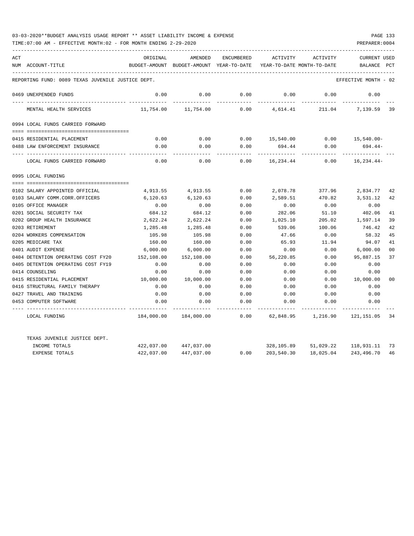| ACT | NUM ACCOUNT-TITLE                                 | ORIGINAL   | AMENDED<br>BUDGET-AMOUNT BUDGET-AMOUNT YEAR-TO-DATE | <b>ENCUMBERED</b> | ACTIVITY<br>YEAR-TO-DATE MONTH-TO-DATE | ACTIVITY  | <b>CURRENT USED</b><br><b>BALANCE</b> | PCT            |
|-----|---------------------------------------------------|------------|-----------------------------------------------------|-------------------|----------------------------------------|-----------|---------------------------------------|----------------|
|     |                                                   |            |                                                     |                   |                                        |           |                                       |                |
|     | REPORTING FUND: 0089 TEXAS JUVENILE JUSTICE DEPT. |            |                                                     |                   |                                        |           | EFFECTIVE MONTH - 02                  |                |
|     | 0469 UNEXPENDED FUNDS                             | 0.00       | 0.00                                                | 0.00              | 0.00                                   | 0.00      | 0.00                                  |                |
|     | MENTAL HEALTH SERVICES                            | 11,754.00  | 11,754.00                                           | 0.00              | 4,614.41                               | 211.04    | 7,139.59                              | 39             |
|     | 0994 LOCAL FUNDS CARRIED FORWARD                  |            |                                                     |                   |                                        |           |                                       |                |
|     |                                                   |            |                                                     |                   |                                        |           |                                       |                |
|     | 0415 RESIDENTIAL PLACEMENT                        | 0.00       | 0.00                                                | 0.00              | 15,540.00                              | 0.00      | 15,540.00-                            |                |
|     | 0488 LAW ENFORCEMENT INSURANCE                    | 0.00       | 0.00                                                | 0.00              | 694.44                                 | 0.00      | $694.44-$                             |                |
|     | LOCAL FUNDS CARRIED FORWARD                       | 0.00       | 0.00                                                | 0.00              | 16,234.44                              | 0.00      | $16, 234.44 -$                        |                |
|     | 0995 LOCAL FUNDING                                |            |                                                     |                   |                                        |           |                                       |                |
|     |                                                   |            |                                                     |                   |                                        |           |                                       |                |
|     | 0102 SALARY APPOINTED OFFICIAL                    | 4,913.55   | 4,913.55                                            | 0.00              | 2,078.78                               | 377.96    | 2,834.77                              | 42             |
|     | 0103 SALARY COMM.CORR.OFFICERS                    | 6,120.63   | 6,120.63                                            | 0.00              | 2,589.51                               | 470.82    | 3,531.12                              | 42             |
|     | 0105 OFFICE MANAGER                               | 0.00       | 0.00                                                | 0.00              | 0.00                                   | 0.00      | 0.00                                  |                |
|     | 0201 SOCIAL SECURITY TAX                          | 684.12     | 684.12                                              | 0.00              | 282.06                                 | 51.10     | 402.06                                | 41             |
|     | 0202 GROUP HEALTH INSURANCE                       | 2,622.24   | 2,622.24                                            | 0.00              | 1,025.10                               | 205.02    | 1,597.14                              | 39             |
|     | 0203 RETIREMENT                                   | 1,285.48   | 1,285.48                                            | 0.00              | 539.06                                 | 100.06    | 746.42                                | 42             |
|     | 0204 WORKERS COMPENSATION                         | 105.98     | 105.98                                              | 0.00              | 47.66                                  | 0.00      | 58.32                                 | 45             |
|     | 0205 MEDICARE TAX                                 | 160.00     | 160.00                                              | 0.00              | 65.93                                  | 11.94     | 94.07                                 | 41             |
|     | 0401 AUDIT EXPENSE                                | 6,000.00   | 6,000.00                                            | 0.00              | 0.00                                   | 0.00      | 6,000.00                              | 0 <sub>0</sub> |
|     | 0404 DETENTION OPERATING COST FY20                | 152,108.00 | 152,108.00                                          | 0.00              | 56,220.85                              | 0.00      | 95,887.15                             | 37             |
|     | 0405 DETENTION OPERATING COST FY19                | 0.00       | 0.00                                                | 0.00              | 0.00                                   | 0.00      | 0.00                                  |                |
|     | 0414 COUNSELING                                   | 0.00       | 0.00                                                | 0.00              | 0.00                                   | 0.00      | 0.00                                  |                |
|     | 0415 RESIDENTIAL PLACEMENT                        | 10,000.00  | 10,000.00                                           | 0.00              | 0.00                                   | 0.00      | 10,000.00                             | 00             |
|     | 0416 STRUCTURAL FAMILY THERAPY                    | 0.00       | 0.00                                                | 0.00              | 0.00                                   | 0.00      | 0.00                                  |                |
|     | 0427 TRAVEL AND TRAINING                          | 0.00       | 0.00                                                | 0.00              | 0.00                                   | 0.00      | 0.00                                  |                |
|     | 0453 COMPUTER SOFTWARE                            | 0.00       | 0.00                                                | 0.00              | 0.00                                   | 0.00      | 0.00                                  |                |
|     | LOCAL FUNDING                                     | 184,000.00 | 184,000.00                                          | 0.00              | 62,848.95                              | 1,216.90  | 121,151.05                            | -34            |
|     | TEXAS JUVENILE JUSTICE DEPT.                      |            |                                                     |                   |                                        |           |                                       |                |
|     | INCOME TOTALS                                     | 422,037.00 | 447,037.00                                          |                   | 328,105.89                             | 51,029.22 | 118,931.11                            | 73             |
|     | <b>EXPENSE TOTALS</b>                             | 422,037.00 | 447,037.00                                          | 0.00              | 203,540.30                             | 18,025.04 | 243,496.70                            | 46             |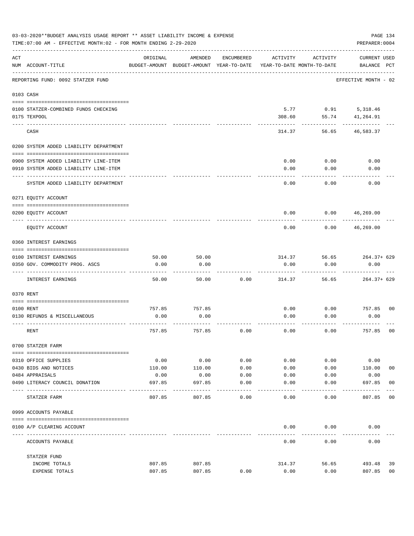|     | 03-03-2020**BUDGET ANALYSIS USAGE REPORT ** ASSET LIABILITY INCOME & EXPENSE<br>PAGE 134<br>TIME: 07:00 AM - EFFECTIVE MONTH: 02 - FOR MONTH ENDING 2-29-2020<br>PREPARER: 0004 |                |                                                     |               |                                        |              |                                    |                |  |  |  |
|-----|---------------------------------------------------------------------------------------------------------------------------------------------------------------------------------|----------------|-----------------------------------------------------|---------------|----------------------------------------|--------------|------------------------------------|----------------|--|--|--|
| ACT | NUM ACCOUNT-TITLE                                                                                                                                                               | ORIGINAL       | AMENDED<br>BUDGET-AMOUNT BUDGET-AMOUNT YEAR-TO-DATE | ENCUMBERED    | ACTIVITY<br>YEAR-TO-DATE MONTH-TO-DATE | ACTIVITY     | <b>CURRENT USED</b><br>BALANCE PCT |                |  |  |  |
|     | REPORTING FUND: 0092 STATZER FUND                                                                                                                                               |                |                                                     |               |                                        |              | EFFECTIVE MONTH - 02               |                |  |  |  |
|     | 0103 CASH                                                                                                                                                                       |                |                                                     |               |                                        |              |                                    |                |  |  |  |
|     | 0100 STATZER-COMBINED FUNDS CHECKING                                                                                                                                            |                |                                                     |               | 5.77                                   |              | $0.91$ 5, 318.46                   |                |  |  |  |
|     | 0175 TEXPOOL                                                                                                                                                                    |                |                                                     |               | 308.60                                 | 55.74        | 41,264.91                          |                |  |  |  |
|     | CASH                                                                                                                                                                            |                |                                                     |               | 314.37                                 | 56.65        | 46,583.37                          |                |  |  |  |
|     | 0200 SYSTEM ADDED LIABILITY DEPARTMENT                                                                                                                                          |                |                                                     |               |                                        |              |                                    |                |  |  |  |
|     |                                                                                                                                                                                 |                |                                                     |               |                                        |              |                                    |                |  |  |  |
|     | 0900 SYSTEM ADDED LIABILITY LINE-ITEM<br>0910 SYSTEM ADDED LIABILITY LINE-ITEM                                                                                                  |                |                                                     |               | 0.00<br>0.00                           | 0.00<br>0.00 | 0.00<br>0.00                       |                |  |  |  |
|     |                                                                                                                                                                                 |                |                                                     |               |                                        |              |                                    |                |  |  |  |
|     | SYSTEM ADDED LIABILITY DEPARTMENT                                                                                                                                               |                |                                                     |               | 0.00                                   | 0.00         | 0.00                               |                |  |  |  |
|     | 0271 EQUITY ACCOUNT                                                                                                                                                             |                |                                                     |               |                                        |              |                                    |                |  |  |  |
|     | 0200 EQUITY ACCOUNT                                                                                                                                                             |                |                                                     |               | 0.00                                   | 0.00         | 46,269.00                          |                |  |  |  |
|     | EQUITY ACCOUNT                                                                                                                                                                  |                |                                                     |               | 0.00                                   | 0.00         | 46,269.00                          |                |  |  |  |
|     | 0360 INTEREST EARNINGS                                                                                                                                                          |                |                                                     |               |                                        |              |                                    |                |  |  |  |
|     | 0100 INTEREST EARNINGS                                                                                                                                                          | 50.00          | 50.00                                               |               | 314.37                                 | 56.65        | 264.37+ 629                        |                |  |  |  |
|     | 0350 GOV. COMMODITY PROG. ASCS                                                                                                                                                  | 0.00           | 0.00                                                |               | 0.00                                   | 0.00         | 0.00                               |                |  |  |  |
|     | INTEREST EARNINGS                                                                                                                                                               | 50.00          | 50.00                                               | 0.00          | 314.37                                 | 56.65        | $264.37+629$                       |                |  |  |  |
|     | 0370 RENT                                                                                                                                                                       |                |                                                     |               |                                        |              |                                    |                |  |  |  |
|     |                                                                                                                                                                                 |                |                                                     |               |                                        |              |                                    |                |  |  |  |
|     | 0100 RENT<br>0130 REFUNDS & MISCELLANEOUS                                                                                                                                       | 757.85<br>0.00 | 757.85<br>0.00                                      |               | 0.00<br>0.00                           | 0.00<br>0.00 | 757.85<br>0.00                     | 0 <sub>0</sub> |  |  |  |
|     |                                                                                                                                                                                 |                |                                                     |               |                                        |              |                                    |                |  |  |  |
|     | RENT                                                                                                                                                                            | 757.85         | 757.85                                              | 0.00          | 0.00                                   | 0.00         | 757.85                             | 0 <sub>0</sub> |  |  |  |
|     | 0700 STATZER FARM                                                                                                                                                               |                |                                                     |               |                                        |              |                                    |                |  |  |  |
|     | 0310 OFFICE SUPPLIES                                                                                                                                                            | 0.00           | 0.00                                                | 0.00          | 0.00                                   | 0.00         | 0.00                               |                |  |  |  |
|     | 0430 BIDS AND NOTICES                                                                                                                                                           | 110.00         | 110.00                                              | 0.00          | 0.00                                   | 0.00         | 110.00                             | 00             |  |  |  |
|     | 0484 APPRAISALS                                                                                                                                                                 | 0.00           | 0.00                                                | 0.00          | 0.00                                   | 0.00         | 0.00                               |                |  |  |  |
|     | 0490 LITERACY COUNCIL DONATION                                                                                                                                                  | 697.85         | 697.85                                              | 0.00<br>$---$ | 0.00                                   | 0.00         | 697.85<br>$- - - - - - -$          | 0 <sub>0</sub> |  |  |  |
|     | STATZER FARM                                                                                                                                                                    | 807.85         | 807.85                                              | 0.00          | 0.00                                   | 0.00         | 807.85                             | 00             |  |  |  |
|     | 0999 ACCOUNTS PAYABLE                                                                                                                                                           |                |                                                     |               |                                        |              |                                    |                |  |  |  |
|     | 0100 A/P CLEARING ACCOUNT                                                                                                                                                       |                |                                                     |               | 0.00                                   | 0.00         | 0.00                               |                |  |  |  |
|     | ACCOUNTS PAYABLE                                                                                                                                                                |                |                                                     |               | 0.00                                   | 0.00         | 0.00                               |                |  |  |  |
|     | STATZER FUND                                                                                                                                                                    |                |                                                     |               |                                        |              |                                    |                |  |  |  |
|     | INCOME TOTALS                                                                                                                                                                   | 807.85         | 807.85                                              |               | 314.37                                 | 56.65        | 493.48                             | 39             |  |  |  |
|     | EXPENSE TOTALS                                                                                                                                                                  | 807.85         | 807.85                                              | 0.00          | 0.00                                   | 0.00         | 807.85                             | 0 <sub>0</sub> |  |  |  |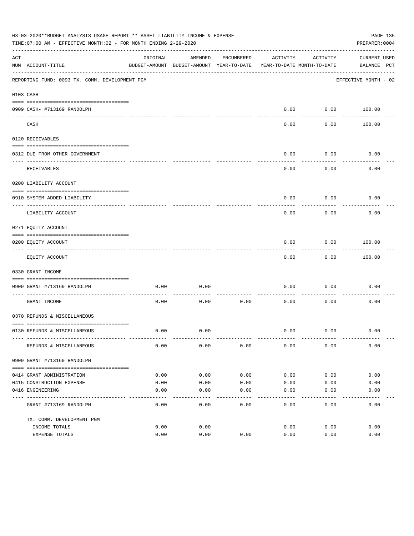|     | 03-03-2020**BUDGET ANALYSIS USAGE REPORT ** ASSET LIABILITY INCOME & EXPENSE<br>PAGE 135<br>TIME: 07:00 AM - EFFECTIVE MONTH: 02 - FOR MONTH ENDING 2-29-2020<br>PREPARER: 0004 |          |                                                     |            |                                        |                   |                             |  |  |  |
|-----|---------------------------------------------------------------------------------------------------------------------------------------------------------------------------------|----------|-----------------------------------------------------|------------|----------------------------------------|-------------------|-----------------------------|--|--|--|
| ACT | NUM ACCOUNT-TITLE                                                                                                                                                               | ORIGINAL | AMENDED<br>BUDGET-AMOUNT BUDGET-AMOUNT YEAR-TO-DATE | ENCUMBERED | ACTIVITY<br>YEAR-TO-DATE MONTH-TO-DATE | ACTIVITY          | CURRENT USED<br>BALANCE PCT |  |  |  |
|     | REPORTING FUND: 0093 TX. COMM. DEVELOPMENT PGM                                                                                                                                  |          |                                                     |            |                                        |                   | EFFECTIVE MONTH - 02        |  |  |  |
|     | 0103 CASH                                                                                                                                                                       |          |                                                     |            |                                        |                   |                             |  |  |  |
|     | 0909 CASH- #713169 RANDOLPH                                                                                                                                                     |          |                                                     |            | 0.00                                   |                   | $0.00$ 100.00               |  |  |  |
|     | CASH                                                                                                                                                                            |          |                                                     |            | $- - - -$<br>0.00                      | ---------<br>0.00 | 100.00                      |  |  |  |
|     | 0120 RECEIVABLES                                                                                                                                                                |          |                                                     |            |                                        |                   |                             |  |  |  |
|     | 0312 DUE FROM OTHER GOVERNMENT                                                                                                                                                  |          |                                                     |            | 0.00                                   | 0.00              | 0.00                        |  |  |  |
|     | RECEIVABLES                                                                                                                                                                     |          |                                                     |            | 0.00                                   | ---------<br>0.00 | 0.00                        |  |  |  |
|     | 0200 LIABILITY ACCOUNT                                                                                                                                                          |          |                                                     |            |                                        |                   |                             |  |  |  |
|     | 0910 SYSTEM ADDED LIABILITY                                                                                                                                                     |          |                                                     |            | 0.00                                   | 0.00              | 0.00                        |  |  |  |
|     | ---- ---------------<br>LIABILITY ACCOUNT                                                                                                                                       |          |                                                     |            | 0.00                                   | 0.00              | 0.00                        |  |  |  |
|     | 0271 EQUITY ACCOUNT                                                                                                                                                             |          |                                                     |            |                                        |                   |                             |  |  |  |
|     | 0200 EQUITY ACCOUNT                                                                                                                                                             |          |                                                     |            | 0.00                                   | 0.00              | 100.00                      |  |  |  |
|     | -------------------------------<br>EQUITY ACCOUNT                                                                                                                               |          |                                                     |            | 0.00                                   | .<br>0.00         | . <u>.</u> .<br>100.00      |  |  |  |
|     | 0330 GRANT INCOME                                                                                                                                                               |          |                                                     |            |                                        |                   |                             |  |  |  |
|     | 0909 GRANT #713169 RANDOLPH                                                                                                                                                     | 0.00     | 0.00                                                |            | 0.00                                   | 0.00              | 0.00                        |  |  |  |
|     | GRANT INCOME                                                                                                                                                                    | 0.00     | 0.00                                                | 0.00       | 0.00                                   | 0.00              | 0.00                        |  |  |  |
|     | 0370 REFUNDS & MISCELLANEOUS                                                                                                                                                    |          |                                                     |            |                                        |                   |                             |  |  |  |
|     |                                                                                                                                                                                 |          |                                                     |            |                                        |                   |                             |  |  |  |
|     | 0130 REFUNDS & MISCELLANEOUS                                                                                                                                                    | 0.00     | 0.00                                                |            | 0.00                                   | 0.00              | 0.00                        |  |  |  |
|     | REFUNDS & MISCELLANEOUS                                                                                                                                                         | 0.00     | 0.00                                                | 0.00       | 0.00                                   | 0.00              | 0.00                        |  |  |  |
|     | 0909 GRANT #713169 RANDOLPH                                                                                                                                                     |          |                                                     |            |                                        |                   |                             |  |  |  |
|     | 0414 GRANT ADMINISTRATION                                                                                                                                                       | 0.00     | 0.00                                                | 0.00       | 0.00                                   | 0.00              | 0.00                        |  |  |  |
|     | 0415 CONSTRUCTION EXPENSE                                                                                                                                                       | 0.00     | 0.00                                                | 0.00       | 0.00                                   | 0.00              | 0.00                        |  |  |  |
|     | 0416 ENGINEERING                                                                                                                                                                | 0.00     | 0.00                                                | 0.00       | 0.00                                   | 0.00              | 0.00                        |  |  |  |
|     | GRANT #713169 RANDOLPH                                                                                                                                                          | 0.00     | 0.00                                                | 0.00       | -----<br>0.00                          | 0.00              | 0.00                        |  |  |  |
|     |                                                                                                                                                                                 |          |                                                     |            |                                        |                   |                             |  |  |  |
|     | TX. COMM. DEVELOPMENT PGM<br>INCOME TOTALS                                                                                                                                      | 0.00     | 0.00                                                |            | 0.00                                   | 0.00              | 0.00                        |  |  |  |
|     | EXPENSE TOTALS                                                                                                                                                                  | 0.00     | 0.00                                                | 0.00       | 0.00                                   | 0.00              | 0.00                        |  |  |  |
|     |                                                                                                                                                                                 |          |                                                     |            |                                        |                   |                             |  |  |  |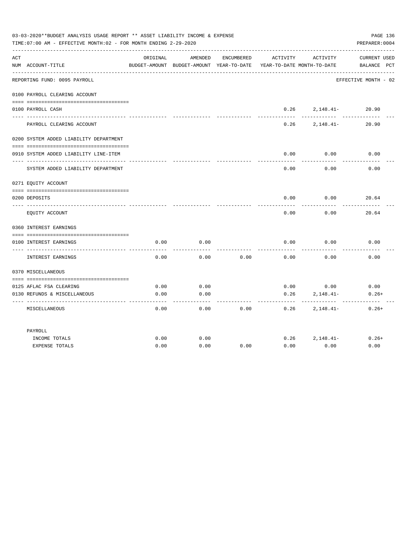|     | 03-03-2020**BUDGET ANALYSIS USAGE REPORT ** ASSET LIABILITY INCOME & EXPENSE<br>TIME: 07:00 AM - EFFECTIVE MONTH: 02 - FOR MONTH ENDING 2-29-2020 |          |                                                                                |            |                     |                    | PAGE 136<br>PREPARER: 0004        |
|-----|---------------------------------------------------------------------------------------------------------------------------------------------------|----------|--------------------------------------------------------------------------------|------------|---------------------|--------------------|-----------------------------------|
| ACT | NUM ACCOUNT-TITLE                                                                                                                                 | ORIGINAL | AMENDED<br>BUDGET-AMOUNT BUDGET-AMOUNT YEAR-TO-DATE YEAR-TO-DATE MONTH-TO-DATE | ENCUMBERED | ACTIVITY            | ACTIVITY           | CURRENT USED<br>BALANCE PCT       |
|     | REPORTING FUND: 0095 PAYROLL                                                                                                                      |          |                                                                                |            |                     |                    | EFFECTIVE MONTH - 02              |
|     | 0100 PAYROLL CLEARING ACCOUNT                                                                                                                     |          |                                                                                |            |                     |                    |                                   |
|     | 0100 PAYROLL CASH<br>-------------------                                                                                                          |          |                                                                                |            | 0.26<br>$- - - - -$ | $2,148.41-$        | 20.90<br>---------- ------------- |
|     | PAYROLL CLEARING ACCOUNT                                                                                                                          |          |                                                                                |            | 0.26                | 2,148.41-          | 20.90                             |
|     | 0200 SYSTEM ADDED LIABILITY DEPARTMENT                                                                                                            |          |                                                                                |            |                     |                    |                                   |
|     | 0910 SYSTEM ADDED LIABILITY LINE-ITEM                                                                                                             |          |                                                                                |            | 0.00                | 0.00               | 0.00                              |
|     | SYSTEM ADDED LIABILITY DEPARTMENT                                                                                                                 |          |                                                                                |            | 0.00                | 0.00               | 0.00                              |
|     | 0271 EQUITY ACCOUNT                                                                                                                               |          |                                                                                |            |                     |                    |                                   |
|     | 0200 DEPOSITS                                                                                                                                     |          |                                                                                |            |                     | $0.00$ $0.00$      | 20.64                             |
|     | EQUITY ACCOUNT                                                                                                                                    |          |                                                                                |            | 0.00                | 0.00               | 20.64                             |
|     | 0360 INTEREST EARNINGS                                                                                                                            |          |                                                                                |            |                     |                    |                                   |
|     | 0100 INTEREST EARNINGS                                                                                                                            | 0.00     | 0.00                                                                           |            | 0.00                | 0.00               | 0.00                              |
|     | INTEREST EARNINGS                                                                                                                                 | 0.00     | 0.00                                                                           | 0.00       | 0.00                | 0.00               | 0.00                              |
|     | 0370 MISCELLANEOUS                                                                                                                                |          |                                                                                |            |                     |                    |                                   |
|     |                                                                                                                                                   | 0.00     |                                                                                |            |                     | $0.00$ 0.00        | 0.00                              |
|     | 0125 AFLAC FSA CLEARING<br>0130 REFUNDS & MISCELLANEOUS                                                                                           | 0.00     | 0.00<br>0.00                                                                   |            | 0.26                | $2,148.41-$        | $0.26+$                           |
|     | MISCELLANEOUS                                                                                                                                     | 0.00     | 0.00                                                                           | 0.00       | -----<br>0.26       | 2,148.41-          | $0.26+$                           |
|     | PAYROLL                                                                                                                                           |          |                                                                                |            |                     |                    |                                   |
|     | INCOME TOTALS                                                                                                                                     | 0.00     | 0.00                                                                           |            |                     | $0.26$ $2.148.41-$ | $0.26+$                           |
|     | <b>EXPENSE TOTALS</b>                                                                                                                             | 0.00     | 0.00                                                                           | 0.00       | 0.00                | 0.00               | 0.00                              |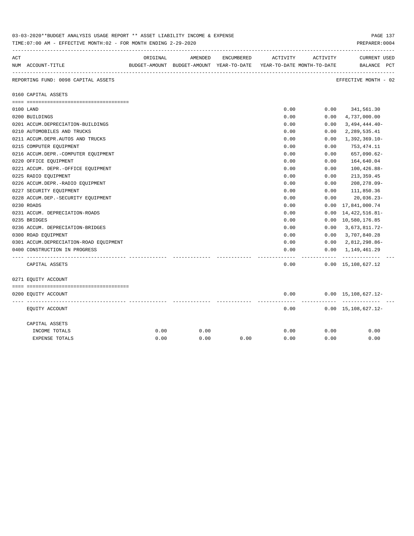| 03-03-2020**BUDGET ANALYSIS USAGE REPORT ** ASSET LIABILITY INCOME & EXPENSE<br>TIME: 07:00 AM - EFFECTIVE MONTH: 02 - FOR MONTH ENDING 2-29-2020 |                                        |          |                                                                     |            |          |          |                                                |  |
|---------------------------------------------------------------------------------------------------------------------------------------------------|----------------------------------------|----------|---------------------------------------------------------------------|------------|----------|----------|------------------------------------------------|--|
| ACT                                                                                                                                               |                                        | ORIGINAL | AMENDED                                                             | ENCUMBERED | ACTIVITY | ACTIVITY | <b>CURRENT USED</b>                            |  |
|                                                                                                                                                   | NUM ACCOUNT-TITLE                      |          | BUDGET-AMOUNT BUDGET-AMOUNT YEAR-TO-DATE YEAR-TO-DATE MONTH-TO-DATE |            |          |          | BALANCE PCT                                    |  |
|                                                                                                                                                   | REPORTING FUND: 0098 CAPITAL ASSETS    |          |                                                                     |            |          |          | ----------------------<br>EFFECTIVE MONTH - 02 |  |
|                                                                                                                                                   | 0160 CAPITAL ASSETS                    |          |                                                                     |            |          |          |                                                |  |
|                                                                                                                                                   |                                        |          |                                                                     |            |          |          |                                                |  |
|                                                                                                                                                   | 0100 LAND                              |          |                                                                     |            | 0.00     | 0.00     | 341,561.30                                     |  |
|                                                                                                                                                   | 0200 BUILDINGS                         |          |                                                                     |            | 0.00     | 0.00     | 4,737,000.00                                   |  |
|                                                                                                                                                   | 0201 ACCUM.DEPRECIATION-BUILDINGS      |          |                                                                     |            | 0.00     | 0.00     | $3,494,444.40-$                                |  |
|                                                                                                                                                   | 0210 AUTOMOBILES AND TRUCKS            |          |                                                                     |            | 0.00     | 0.00     | 2,289,535.41                                   |  |
|                                                                                                                                                   | 0211 ACCUM.DEPR.AUTOS AND TRUCKS       |          |                                                                     |            | 0.00     | 0.00     | $1,392,369.10-$                                |  |
|                                                                                                                                                   | 0215 COMPUTER EQUIPMENT                |          |                                                                     |            | 0.00     | 0.00     | 753,474.11                                     |  |
|                                                                                                                                                   | 0216 ACCUM.DEPR.-COMPUTER EQUIPMENT    |          |                                                                     |            | 0.00     | 0.00     | 657,090.62-                                    |  |
|                                                                                                                                                   | 0220 OFFICE EQUIPMENT                  |          |                                                                     |            | 0.00     | 0.00     | 164,640.04                                     |  |
|                                                                                                                                                   | 0221 ACCUM. DEPR. - OFFICE EQUIPMENT   |          |                                                                     |            | 0.00     | 0.00     | $100, 426.88 -$                                |  |
|                                                                                                                                                   | 0225 RADIO EQUIPMENT                   |          |                                                                     |            | 0.00     | 0.00     | 213, 359.45                                    |  |
|                                                                                                                                                   | 0226 ACCUM.DEPR.-RADIO EQUIPMENT       |          |                                                                     |            | 0.00     | 0.00     | 208,278.09-                                    |  |
|                                                                                                                                                   | 0227 SECURITY EQUIPMENT                |          |                                                                     |            | 0.00     | 0.00     | 111,850.36                                     |  |
|                                                                                                                                                   | 0228 ACCUM.DEP. - SECURITY EQUIPMENT   |          |                                                                     |            | 0.00     | 0.00     | $20,036.23-$                                   |  |
|                                                                                                                                                   | 0230 ROADS                             |          |                                                                     |            | 0.00     | 0.00     | 17,841,000.74                                  |  |
|                                                                                                                                                   | 0231 ACCUM. DEPRECIATION-ROADS         |          |                                                                     |            | 0.00     | 0.00     | 14, 422, 516.81-                               |  |
|                                                                                                                                                   | 0235 BRIDGES                           |          |                                                                     |            | 0.00     |          | 0.00 10,580,176.85                             |  |
|                                                                                                                                                   | 0236 ACCUM. DEPRECIATION-BRIDGES       |          |                                                                     |            | 0.00     | 0.00     | 3,673,811.72-                                  |  |
|                                                                                                                                                   | 0300 ROAD EQUIPMENT                    |          |                                                                     |            | 0.00     | 0.00     | 3,707,840.28                                   |  |
|                                                                                                                                                   | 0301 ACCUM.DEPRECIATION-ROAD EQUIPMENT |          |                                                                     |            | 0.00     | 0.00     | 2,812,298.86-                                  |  |
|                                                                                                                                                   | 0400 CONSTRUCTION IN PROGRESS          |          |                                                                     |            | 0.00     | 0.00     | 1,149,461.29                                   |  |
|                                                                                                                                                   |                                        |          |                                                                     |            |          |          |                                                |  |
|                                                                                                                                                   | CAPITAL ASSETS                         |          |                                                                     |            | 0.00     |          | $0.00 \quad 15,108,627.12$                     |  |
|                                                                                                                                                   | 0271 EQUITY ACCOUNT                    |          |                                                                     |            |          |          |                                                |  |
|                                                                                                                                                   |                                        |          |                                                                     |            |          |          |                                                |  |
|                                                                                                                                                   | 0200 EQUITY ACCOUNT                    |          |                                                                     |            | 0.00     |          | $0.00 \quad 15,108,627.12 -$<br>----------     |  |
|                                                                                                                                                   | EQUITY ACCOUNT                         |          |                                                                     |            | 0.00     |          | $0.00 \quad 15,108,627.12 -$                   |  |
|                                                                                                                                                   | CAPITAL ASSETS                         |          |                                                                     |            |          |          |                                                |  |
|                                                                                                                                                   | INCOME TOTALS                          | 0.00     | 0.00                                                                |            | 0.00     | 0.00     | 0.00                                           |  |
|                                                                                                                                                   | <b>EXPENSE TOTALS</b>                  | 0.00     | 0.00                                                                | 0.00       | 0.00     | 0.00     | 0.00                                           |  |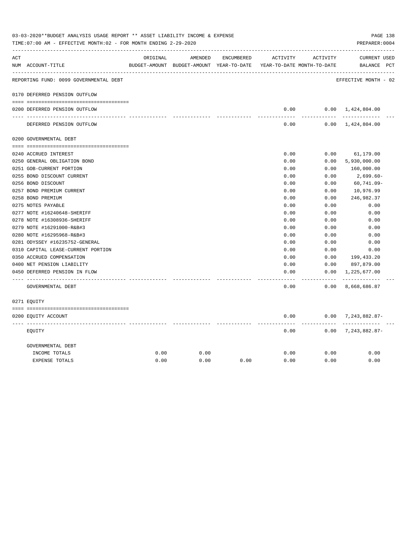|     |                                        |          |                                                     |            |               | ACTIVITY                   | <b>CURRENT USED</b>           |  |
|-----|----------------------------------------|----------|-----------------------------------------------------|------------|---------------|----------------------------|-------------------------------|--|
| ACT | NUM ACCOUNT-TITLE                      | ORIGINAL | AMENDED<br>BUDGET-AMOUNT BUDGET-AMOUNT YEAR-TO-DATE | ENCUMBERED | ACTIVITY      | YEAR-TO-DATE MONTH-TO-DATE | BALANCE PCT                   |  |
|     | REPORTING FUND: 0099 GOVERNMENTAL DEBT |          |                                                     |            |               |                            | EFFECTIVE MONTH - 02          |  |
|     | 0170 DEFERRED PENSION OUTFLOW          |          |                                                     |            |               |                            |                               |  |
|     | 0200 DEFERRED PENSION OUTFLOW          |          |                                                     |            | 0.00          |                            | $0.00 \quad 1,424,804.00$     |  |
|     | DEFERRED PENSION OUTFLOW               |          |                                                     |            | 0.00          |                            | $0.00 \quad 1,424,804.00$     |  |
|     | 0200 GOVERNMENTAL DEBT                 |          |                                                     |            |               |                            |                               |  |
|     | 0240 ACCRUED INTEREST                  |          |                                                     |            | 0.00          | 0.00                       | 61,179.00                     |  |
|     | 0250 GENERAL OBLIGATION BOND           |          |                                                     |            | 0.00          | 0.00                       | 5,930,000.00                  |  |
|     | 0251 GOB-CURRENT PORTION               |          |                                                     |            | 0.00          | 0.00                       | 160,000.00                    |  |
|     | 0255 BOND DISCOUNT CURRENT             |          |                                                     |            | 0.00          | 0.00                       | 2,699.60-                     |  |
|     | 0256 BOND DISCOUNT                     |          |                                                     |            | 0.00          | 0.00                       | $60, 741.09 -$                |  |
|     | 0257 BOND PREMIUM CURRENT              |          |                                                     |            | 0.00          | 0.00                       | 10,976.99                     |  |
|     | 0258 BOND PREMIUM                      |          |                                                     |            | 0.00          | 0.00                       | 246,982.37                    |  |
|     | 0275 NOTES PAYABLE                     |          |                                                     |            | 0.00          | 0.00                       | 0.00                          |  |
|     | 0277 NOTE #16240648-SHERIFF            |          |                                                     |            | 0.00          | 0.00                       | 0.00                          |  |
|     | 0278 NOTE #16308936-SHERIFF            |          |                                                     |            | 0.00          | 0.00                       | 0.00                          |  |
|     | 0279 NOTE #16291000-R&B#3              |          |                                                     |            | 0.00          | 0.00                       | 0.00                          |  |
|     | 0280 NOTE #16295968-R&B#3              |          |                                                     |            | 0.00          | 0.00                       | 0.00                          |  |
|     | 0281 ODYSSEY #16235752-GENERAL         |          |                                                     |            | 0.00          | 0.00                       | 0.00                          |  |
|     | 0310 CAPITAL LEASE-CURRENT PORTION     |          |                                                     |            | 0.00          | 0.00                       | 0.00                          |  |
|     | 0350 ACCRUED COMPENSATION              |          |                                                     |            | 0.00          | 0.00                       | 199,433.20                    |  |
|     | 0400 NET PENSION LIABILITY             |          |                                                     |            | 0.00          | 0.00                       | 897,879.00                    |  |
|     | 0450 DEFERRED PENSION IN FLOW          |          |                                                     |            | 0.00<br>----- | 0.00<br>-------            | 1,225,677.00<br>------------- |  |
|     | GOVERNMENTAL DEBT                      |          |                                                     |            | 0.00          | 0.00                       | 8,668,686.87                  |  |
|     | 0271 EQUITY                            |          |                                                     |            |               |                            |                               |  |
|     | 0200 EQUITY ACCOUNT                    |          |                                                     |            | 0.00          |                            | $0.00$ 7, 243, 882.87-        |  |
|     | EOUITY                                 |          |                                                     |            | 0.00          | ------                     | $0.00$ 7, 243, 882.87-        |  |
|     | GOVERNMENTAL DEBT                      |          |                                                     |            |               |                            |                               |  |
|     | INCOME TOTALS                          | 0.00     | 0.00                                                |            | 0.00          | 0.00                       | 0.00                          |  |
|     | <b>EXPENSE TOTALS</b>                  | 0.00     | 0.00                                                | 0.00       | 0.00          | 0.00                       | 0.00                          |  |